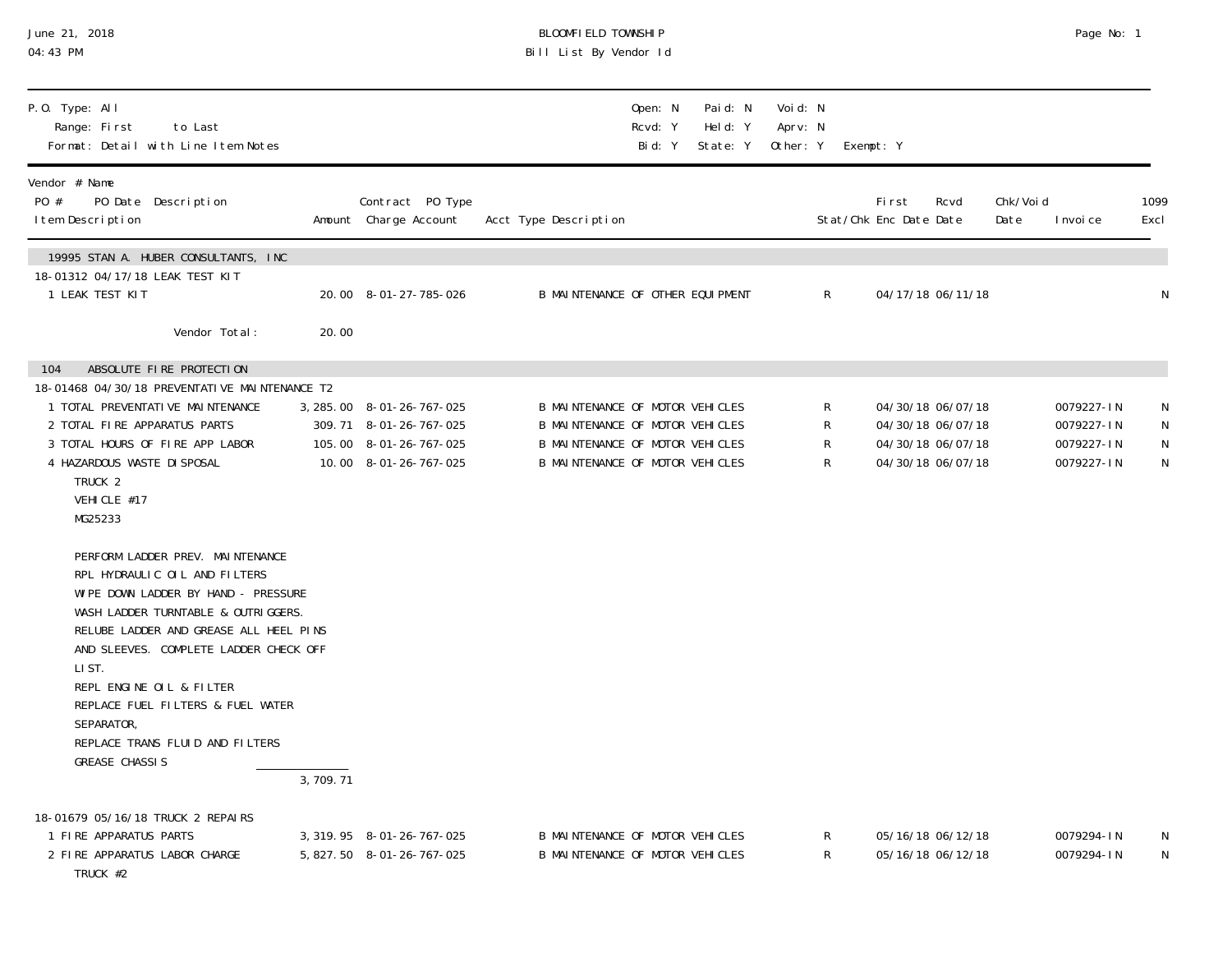| June 21, 2018<br>04:43 PM                                                                                                                                                                                                                                                                                                                                                                |          |                                                                                                        | BLOOMFIELD TOWNSHIP<br>Bill List By Vendor Id                                                                                            |                                |                                 |                                                                                  | Page No: 1                                           |                  |
|------------------------------------------------------------------------------------------------------------------------------------------------------------------------------------------------------------------------------------------------------------------------------------------------------------------------------------------------------------------------------------------|----------|--------------------------------------------------------------------------------------------------------|------------------------------------------------------------------------------------------------------------------------------------------|--------------------------------|---------------------------------|----------------------------------------------------------------------------------|------------------------------------------------------|------------------|
| P.O. Type: All<br>Range: First<br>to Last<br>Format: Detail with Line I tem Notes                                                                                                                                                                                                                                                                                                        |          |                                                                                                        | Open: N<br>Rcvd: Y<br>Bid: Y                                                                                                             | Paid: N<br>Held: Y<br>State: Y | Voi d: N<br>Aprv: N<br>Other: Y | Exempt: Y                                                                        |                                                      |                  |
| Vendor # Name<br>PO #<br>PO Date Description<br>I tem Description                                                                                                                                                                                                                                                                                                                        |          | Contract PO Type<br>Amount Charge Account                                                              | Acct Type Description                                                                                                                    |                                |                                 | First<br>Rcvd<br>Stat/Chk Enc Date Date                                          | Chk/Voi d<br>Date<br>I nvoi ce                       | 1099<br>Excl     |
| 19995 STAN A. HUBER CONSULTANTS, INC<br>18-01312 04/17/18 LEAK TEST KIT<br>1 LEAK TEST KIT<br>Vendor Total:                                                                                                                                                                                                                                                                              | 20.00    | 20.00 8-01-27-785-026                                                                                  | B MAINTENANCE OF OTHER EQUIPMENT                                                                                                         |                                | R                               | 04/17/18 06/11/18                                                                |                                                      |                  |
| ABSOLUTE FIRE PROTECTION<br>104<br>18-01468 04/30/18 PREVENTATI VE MAINTENANCE T2<br>1 TOTAL PREVENTATIVE MAINTENANCE<br>2 TOTAL FIRE APPARATUS PARTS<br>3 TOTAL HOURS OF FIRE APP LABOR<br>4 HAZARDOUS WASTE DI SPOSAL<br>TRUCK <sub>2</sub><br>VEHICLE #17<br>MG25233                                                                                                                  |          | 3, 285.00 8-01-26-767-025<br>309.71 8-01-26-767-025<br>105.00 8-01-26-767-025<br>10.00 8-01-26-767-025 | B MAINTENANCE OF MOTOR VEHICLES<br>B MAINTENANCE OF MOTOR VEHICLES<br>B MAINTENANCE OF MOTOR VEHICLES<br>B MAINTENANCE OF MOTOR VEHICLES |                                | R<br>R<br>R<br>R                | 04/30/18 06/07/18<br>04/30/18 06/07/18<br>04/30/18 06/07/18<br>04/30/18 06/07/18 | 0079227-IN<br>0079227-IN<br>0079227-IN<br>0079227-IN | N<br>N<br>N<br>N |
| PERFORM LADDER PREV. MAINTENANCE<br>RPL HYDRAULIC OIL AND FILTERS<br>WIPE DOWN LADDER BY HAND - PRESSURE<br>WASH LADDER TURNTABLE & OUTRIGGERS.<br>RELUBE LADDER AND GREASE ALL HEEL PINS<br>AND SLEEVES. COMPLETE LADDER CHECK OFF<br>LI ST.<br>REPL ENGINE OIL & FILTER<br>REPLACE FUEL FILTERS & FUEL WATER<br>SEPARATOR,<br>REPLACE TRANS FLUID AND FILTERS<br><b>GREASE CHASSIS</b> | 3,709.71 |                                                                                                        |                                                                                                                                          |                                |                                 |                                                                                  |                                                      |                  |
| 18-01679 05/16/18 TRUCK 2 REPAIRS<br>1 FIRE APPARATUS PARTS<br>2 FIRE APPARATUS LABOR CHARGE<br>TRUCK #2                                                                                                                                                                                                                                                                                 |          | 3, 319. 95 8-01-26-767-025<br>5, 827.50 8-01-26-767-025                                                | B MAINTENANCE OF MOTOR VEHICLES<br>B MAINTENANCE OF MOTOR VEHICLES                                                                       |                                | K<br>R                          | 05/16/18 06/12/18<br>05/16/18 06/12/18                                           | 0079294-IN<br>0079294-IN                             | N<br>N           |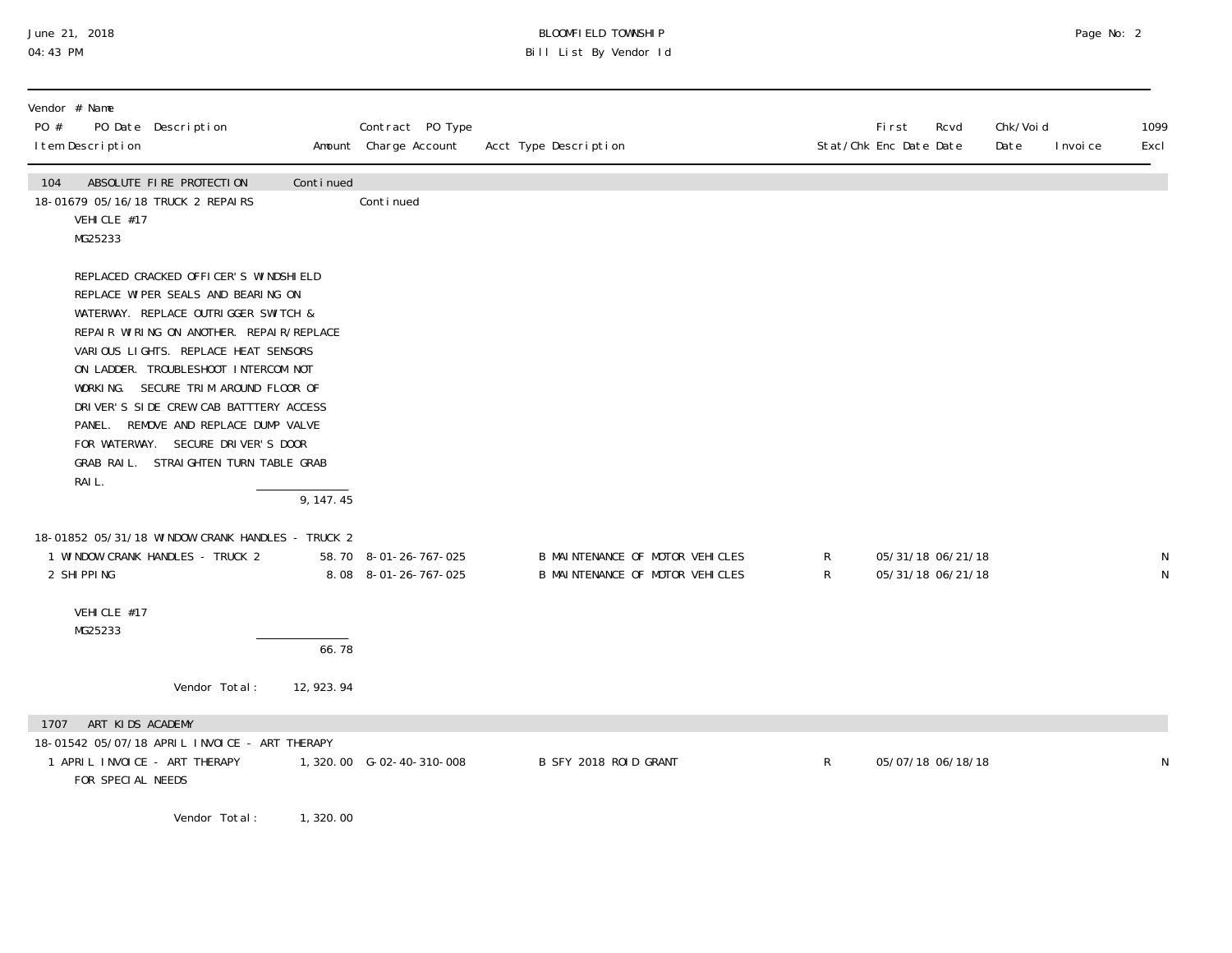## June 21, 2018 BLOOMFIELD TOWNSHIP Page No: 2 04:43 PM Bill List By Vendor Id

| Vendor # Name<br>PO # | I tem Description                     | PO Date Description                                                                                                                                                                                                                                                                                                                                                                                                                                      |             | Contract PO Type<br>Amount Charge Account     | Acct Type Description                                              |                   | <b>First</b><br>Rcvd<br>Stat/Chk Enc Date Date | Chk/Voi d<br>Date | I nvoi ce | 1099<br>Excl |
|-----------------------|---------------------------------------|----------------------------------------------------------------------------------------------------------------------------------------------------------------------------------------------------------------------------------------------------------------------------------------------------------------------------------------------------------------------------------------------------------------------------------------------------------|-------------|-----------------------------------------------|--------------------------------------------------------------------|-------------------|------------------------------------------------|-------------------|-----------|--------------|
| 104                   | VEHICLE #17<br>MG25233                | ABSOLUTE FIRE PROTECTION<br>18-01679 05/16/18 TRUCK 2 REPAIRS                                                                                                                                                                                                                                                                                                                                                                                            | Continued   | Continued                                     |                                                                    |                   |                                                |                   |           |              |
|                       | RAIL.                                 | REPLACED CRACKED OFFICER'S WINDSHIELD<br>REPLACE WIPER SEALS AND BEARING ON<br>WATERWAY. REPLACE OUTRIGGER SWITCH &<br>REPAIR WIRING ON ANOTHER. REPAIR/REPLACE<br>VARIOUS LIGHTS. REPLACE HEAT SENSORS<br>ON LADDER. TROUBLESHOOT INTERCOM NOT<br>WORKING. SECURE TRIM AROUND FLOOR OF<br>DRIVER'S SIDE CREW CAB BATTTERY ACCESS<br>PANEL. REMOVE AND REPLACE DUMP VALVE<br>FOR WATERWAY. SECURE DRIVER'S DOOR<br>GRAB RAIL. STRAIGHTEN TURN TABLE GRAB | 9, 147.45   |                                               |                                                                    |                   |                                                |                   |           |              |
| 2 SHIPPING            |                                       | 18-01852 05/31/18 WINDOW CRANK HANDLES - TRUCK 2<br>1 WINDOW CRANK HANDLES - TRUCK 2                                                                                                                                                                                                                                                                                                                                                                     |             | 58.70 8-01-26-767-025<br>8.08 8-01-26-767-025 | B MAINTENANCE OF MOTOR VEHICLES<br>B MAINTENANCE OF MOTOR VEHICLES | R<br>$\mathsf{R}$ | 05/31/18 06/21/18<br>05/31/18 06/21/18         |                   |           | N            |
|                       | VEHICLE #17<br>MG25233                |                                                                                                                                                                                                                                                                                                                                                                                                                                                          | 66.78       |                                               |                                                                    |                   |                                                |                   |           |              |
|                       |                                       | Vendor Total:                                                                                                                                                                                                                                                                                                                                                                                                                                            | 12, 923. 94 |                                               |                                                                    |                   |                                                |                   |           |              |
| 1707                  | ART KIDS ACADEMY<br>FOR SPECIAL NEEDS | 18-01542 05/07/18 APRIL INVOICE - ART THERAPY<br>1 APRIL INVOICE - ART THERAPY                                                                                                                                                                                                                                                                                                                                                                           |             | 1,320.00 G-02-40-310-008                      | B SFY 2018 ROID GRANT                                              | R                 | 05/07/18 06/18/18                              |                   |           | N            |

Vendor Total: 1,320.00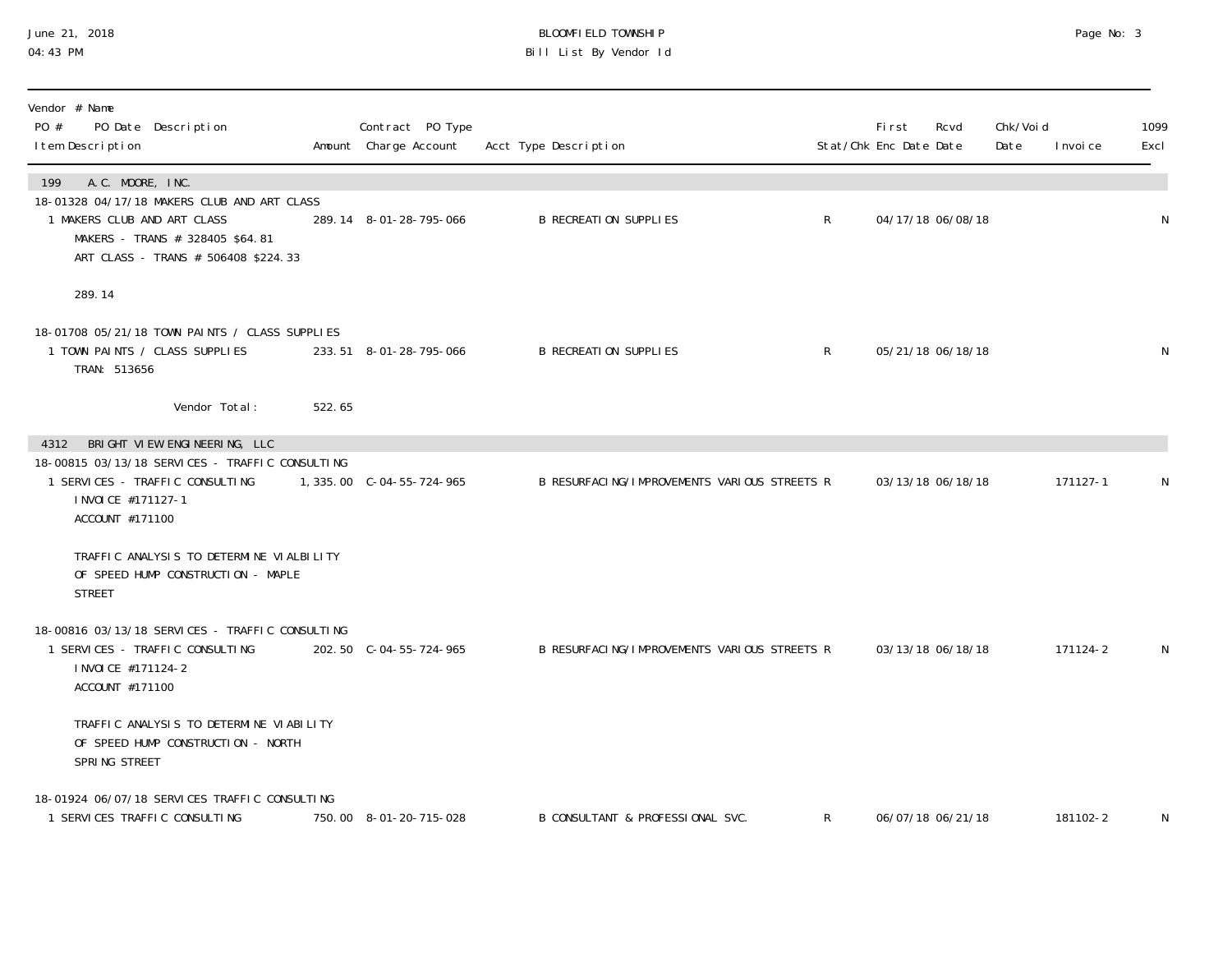## June 21, 2018 BLOOMFIELD TOWNSHIP Page No: 3 04:43 PM Bill List By Vendor Id

| Vendor # Name<br>PO #<br>PO Date Description<br>I tem Description                                                                                                               |        | Contract PO Type<br>Amount Charge Account | Acct Type Description                        |              | Fi rst<br>Stat/Chk Enc Date Date | Rcvd              | Chk/Voi d<br>Date | I nvoi ce | 1099<br>Excl |
|---------------------------------------------------------------------------------------------------------------------------------------------------------------------------------|--------|-------------------------------------------|----------------------------------------------|--------------|----------------------------------|-------------------|-------------------|-----------|--------------|
| A.C. MOORE, INC.<br>199<br>18-01328 04/17/18 MAKERS CLUB AND ART CLASS<br>1 MAKERS CLUB AND ART CLASS<br>MAKERS - TRANS # 328405 \$64.81<br>ART CLASS - TRANS # 506408 \$224.33 |        | 289.14 8-01-28-795-066                    | <b>B RECREATION SUPPLIES</b>                 | $\mathsf{R}$ |                                  | 04/17/18 06/08/18 |                   |           | N            |
| 289.14                                                                                                                                                                          |        |                                           |                                              |              |                                  |                   |                   |           |              |
| 18-01708 05/21/18 TOWN PAINTS / CLASS SUPPLIES<br>1 TOWN PAINTS / CLASS SUPPLIES<br>TRAN: 513656                                                                                |        | 233.51 8-01-28-795-066                    | <b>B RECREATION SUPPLIES</b>                 | $\mathsf{R}$ |                                  | 05/21/18 06/18/18 |                   |           | N            |
| Vendor Total:                                                                                                                                                                   | 522.65 |                                           |                                              |              |                                  |                   |                   |           |              |
| BRIGHT VIEW ENGINEERING, LLC<br>4312<br>18-00815 03/13/18 SERVICES - TRAFFIC CONSULTING<br>1 SERVICES - TRAFFIC CONSULTING<br>I NVOI CE #171127-1<br>ACCOUNT #171100            |        | 1, 335.00 C-04-55-724-965                 | B RESURFACING/IMPROVEMENTS VARIOUS STREETS R |              |                                  | 03/13/18 06/18/18 |                   | 171127-1  | N            |
| TRAFFIC ANALYSIS TO DETERMINE VIALBILITY<br>OF SPEED HUMP CONSTRUCTION - MAPLE<br><b>STREET</b>                                                                                 |        |                                           |                                              |              |                                  |                   |                   |           |              |
| 18-00816 03/13/18 SERVICES - TRAFFIC CONSULTING<br>1 SERVICES - TRAFFIC CONSULTING<br>I NVOI CE #171124-2<br>ACCOUNT #171100                                                    |        | 202.50 C-04-55-724-965                    | B RESURFACING/IMPROVEMENTS VARIOUS STREETS R |              |                                  | 03/13/18 06/18/18 |                   | 171124-2  | N            |
| TRAFFIC ANALYSIS TO DETERMINE VIABILITY<br>OF SPEED HUMP CONSTRUCTION - NORTH<br>SPRING STREET                                                                                  |        |                                           |                                              |              |                                  |                   |                   |           |              |
| 18-01924 06/07/18 SERVICES TRAFFIC CONSULTING<br>1 SERVICES TRAFFIC CONSULTING                                                                                                  |        | 750.00 8-01-20-715-028                    | B CONSULTANT & PROFESSIONAL SVC.             | $\mathsf{R}$ |                                  | 06/07/18 06/21/18 |                   | 181102-2  | N            |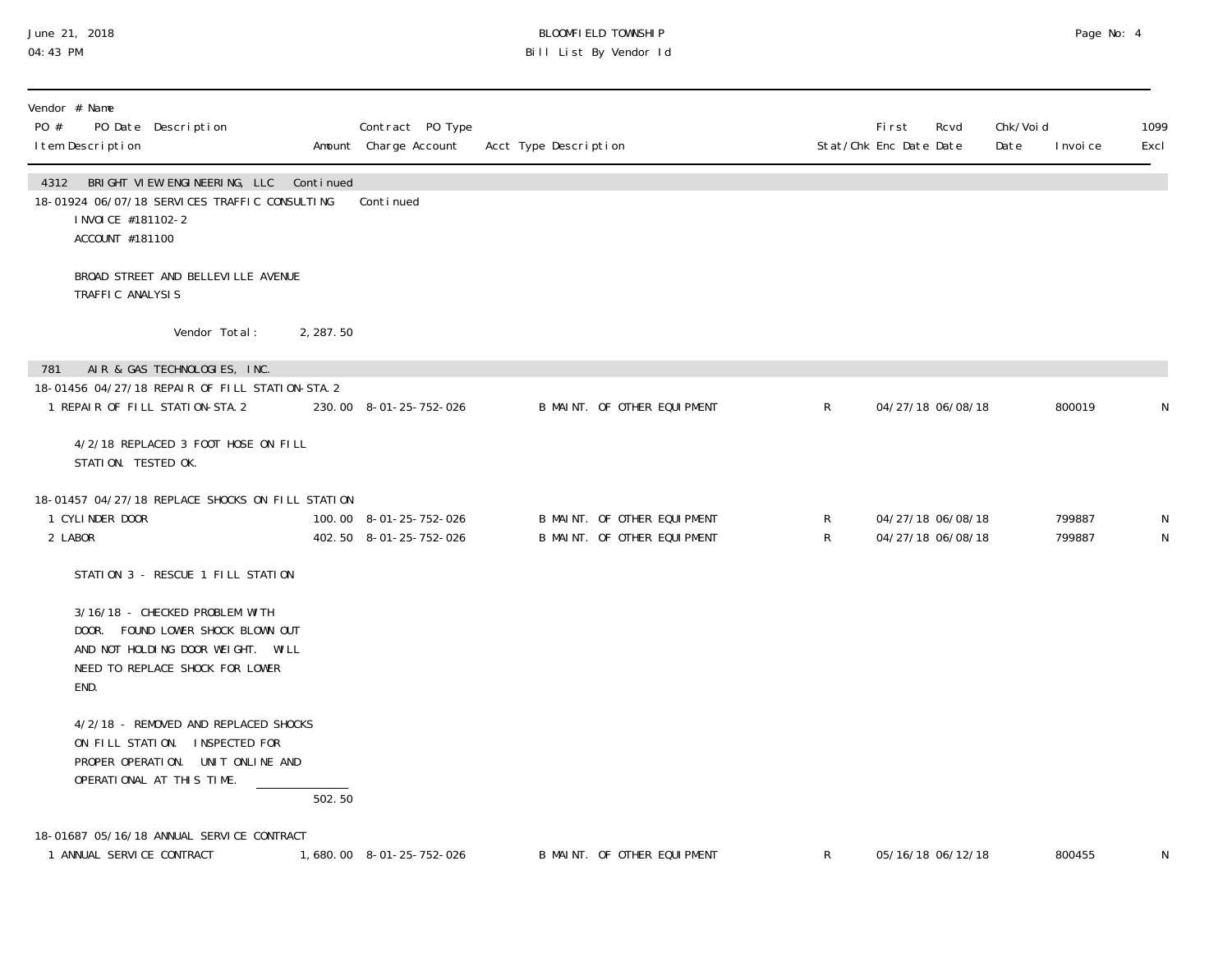# June 21, 2018 BLOOMFIELD TOWNSHIP Page No: 4 Bill List By Vendor Id

| Vendor # Name<br>PO #<br>PO Date Description<br>I tem Description                                                                                   |           | Contract PO Type<br>Amount Charge Account        | Acct Type Description |                                                            |              | <b>First</b><br>Stat/Chk Enc Date Date | Rcvd                                   | Chk/Voi d<br>Date | I nvoi ce        | 1099<br>Excl |
|-----------------------------------------------------------------------------------------------------------------------------------------------------|-----------|--------------------------------------------------|-----------------------|------------------------------------------------------------|--------------|----------------------------------------|----------------------------------------|-------------------|------------------|--------------|
| BRIGHT VIEW ENGINEERING, LLC Continued<br>4312<br>18-01924 06/07/18 SERVICES TRAFFIC CONSULTING<br>I NVOI CE #181102-2<br>ACCOUNT #181100           |           | Continued                                        |                       |                                                            |              |                                        |                                        |                   |                  |              |
| BROAD STREET AND BELLEVILLE AVENUE<br>TRAFFIC ANALYSIS                                                                                              |           |                                                  |                       |                                                            |              |                                        |                                        |                   |                  |              |
| Vendor Total:                                                                                                                                       | 2, 287.50 |                                                  |                       |                                                            |              |                                        |                                        |                   |                  |              |
| AIR & GAS TECHNOLOGIES, INC.<br>781<br>18-01456 04/27/18 REPAIR OF FILL STATION-STA. 2<br>1 REPAIR OF FILL STATION-STA. 2                           |           | 230.00 8-01-25-752-026                           |                       | B MAINT. OF OTHER EQUIPMENT                                | $\mathsf{R}$ |                                        | 04/27/18 06/08/18                      |                   | 800019           | N            |
| 4/2/18 REPLACED 3 FOOT HOSE ON FILL<br>STATION. TESTED OK.                                                                                          |           |                                                  |                       |                                                            |              |                                        |                                        |                   |                  |              |
| 18-01457 04/27/18 REPLACE SHOCKS ON FILL STATION<br>1 CYLINDER DOOR<br>2 LABOR                                                                      |           | 100.00 8-01-25-752-026<br>402.50 8-01-25-752-026 |                       | B MAINT. OF OTHER EQUIPMENT<br>B MAINT. OF OTHER EQUIPMENT | R<br>R       |                                        | 04/27/18 06/08/18<br>04/27/18 06/08/18 |                   | 799887<br>799887 | N<br>N       |
| STATION 3 - RESCUE 1 FILL STATION                                                                                                                   |           |                                                  |                       |                                                            |              |                                        |                                        |                   |                  |              |
| 3/16/18 - CHECKED PROBLEM WITH<br>DOOR. FOUND LOWER SHOCK BLOWN OUT<br>AND NOT HOLDING DOOR WEIGHT. WILL<br>NEED TO REPLACE SHOCK FOR LOWER<br>END. |           |                                                  |                       |                                                            |              |                                        |                                        |                   |                  |              |
| 4/2/18 - REMOVED AND REPLACED SHOCKS<br>ON FILL STATION. INSPECTED FOR<br>PROPER OPERATION. UNIT ONLINE AND<br>OPERATIONAL AT THIS TIME.            | 502.50    |                                                  |                       |                                                            |              |                                        |                                        |                   |                  |              |
| 18-01687 05/16/18 ANNUAL SERVICE CONTRACT<br>1 ANNUAL SERVICE CONTRACT                                                                              |           | 1,680.00 8-01-25-752-026                         |                       | B MAINT. OF OTHER EQUIPMENT                                | R            |                                        | 05/16/18 06/12/18                      |                   | 800455           | N            |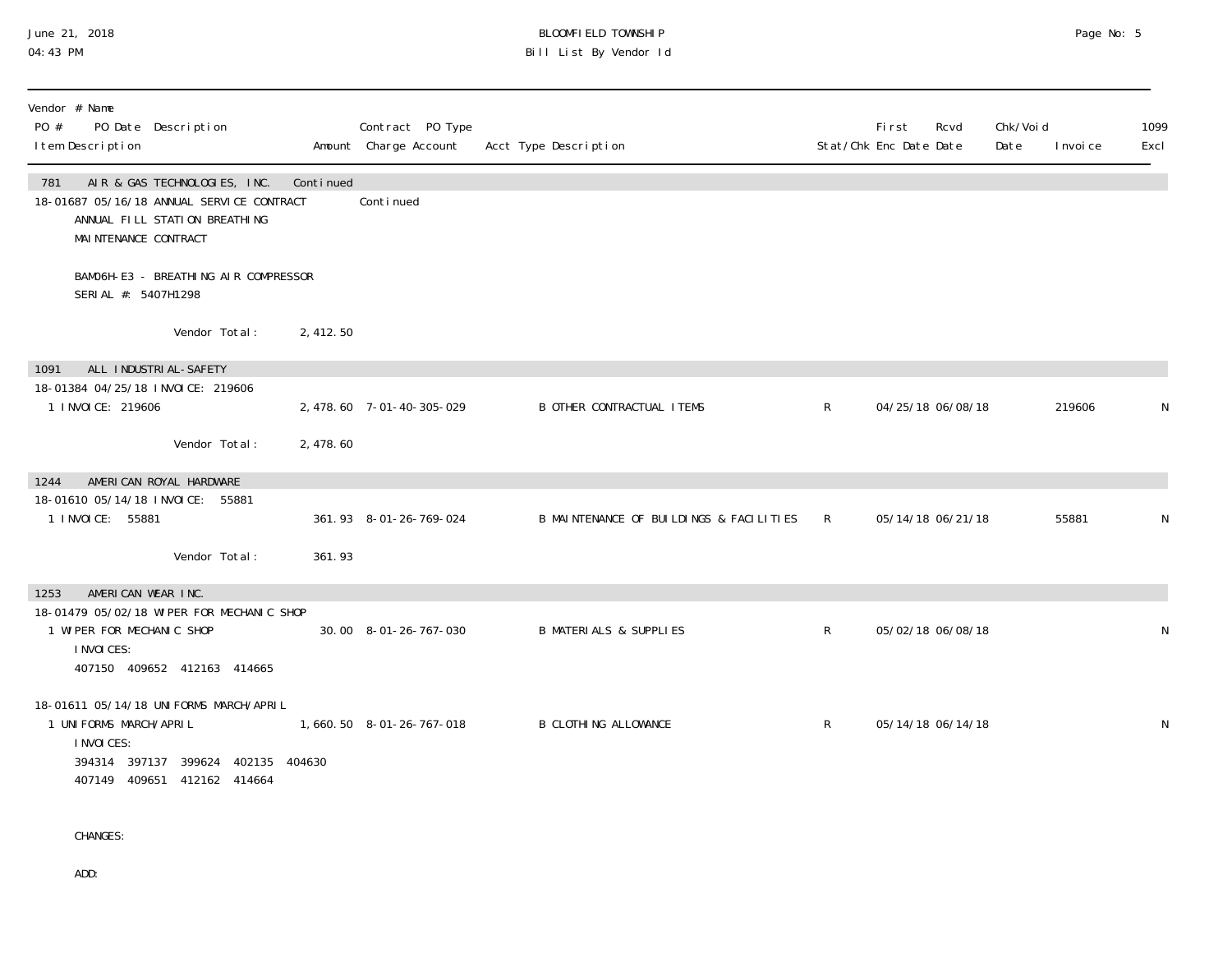#### June 21, 2018 BLOOMFIELD TOWNSHIP Page No: 5 04:43 PM Bill List By Vendor Id

| Vendor # Name<br>PO #<br>PO Date Description<br>I tem Description                      |                                                                   |           | Contract PO Type<br>Amount Charge Account | Acct Type Description                   |              | First<br>Stat/Chk Enc Date Date | Rcvd<br>Date | Chk/Voi d | I nvoi ce | 1099<br>Excl |
|----------------------------------------------------------------------------------------|-------------------------------------------------------------------|-----------|-------------------------------------------|-----------------------------------------|--------------|---------------------------------|--------------|-----------|-----------|--------------|
| 781<br>18-01687 05/16/18 ANNUAL SERVICE CONTRACT<br>MAI NTENANCE CONTRACT              | AIR & GAS TECHNOLOGIES, INC.<br>ANNUAL FILL STATION BREATHING     | Continued | Conti nued                                |                                         |              |                                 |              |           |           |              |
| SERI AL #: 5407H1298                                                                   | BAMO6H-E3 - BREATHING AIR COMPRESSOR                              |           |                                           |                                         |              |                                 |              |           |           |              |
|                                                                                        | Vendor Total:                                                     | 2,412.50  |                                           |                                         |              |                                 |              |           |           |              |
| ALL INDUSTRIAL-SAFETY<br>1091                                                          |                                                                   |           |                                           |                                         |              |                                 |              |           |           |              |
| 18-01384 04/25/18 INVOICE: 219606<br>1 I NVOI CE: 219606                               |                                                                   |           | 2, 478.60 7-01-40-305-029                 | <b>B OTHER CONTRACTUAL ITEMS</b>        | $\mathsf{R}$ | 04/25/18 06/08/18               |              |           | 219606    | N            |
|                                                                                        | Vendor Total:                                                     | 2,478.60  |                                           |                                         |              |                                 |              |           |           |              |
| AMERICAN ROYAL HARDWARE<br>1244                                                        |                                                                   |           |                                           |                                         |              |                                 |              |           |           |              |
| 18-01610 05/14/18 INVOICE: 55881<br>1 I NVOI CE: 55881                                 |                                                                   |           | 361.93 8-01-26-769-024                    | B MAINTENANCE OF BUILDINGS & FACILITIES | $\mathsf{R}$ | 05/14/18 06/21/18               |              |           | 55881     | ${\sf N}$    |
|                                                                                        | Vendor Total:                                                     | 361.93    |                                           |                                         |              |                                 |              |           |           |              |
| AMERICAN WEAR INC.<br>1253                                                             |                                                                   |           |                                           |                                         |              |                                 |              |           |           |              |
| 18-01479 05/02/18 WIPER FOR MECHANIC SHOP<br>1 WI PER FOR MECHANIC SHOP<br>I NVOI CES: | 407150 409652 412163 414665                                       |           | 30.00 8-01-26-767-030                     | <b>B MATERIALS &amp; SUPPLIES</b>       | $\mathsf{R}$ | 05/02/18 06/08/18               |              |           |           | N            |
| 18-01611 05/14/18 UNIFORMS MARCH/APRIL<br>1 UNI FORMS MARCH/APRIL<br>I NVOI CES:       | 394314 397137 399624 402135 404630<br>407149 409651 412162 414664 |           | 1,660.50 8-01-26-767-018                  | <b>B CLOTHING ALLOWANCE</b>             | R            | 05/14/18 06/14/18               |              |           |           | N            |

CHANGES:

ADD: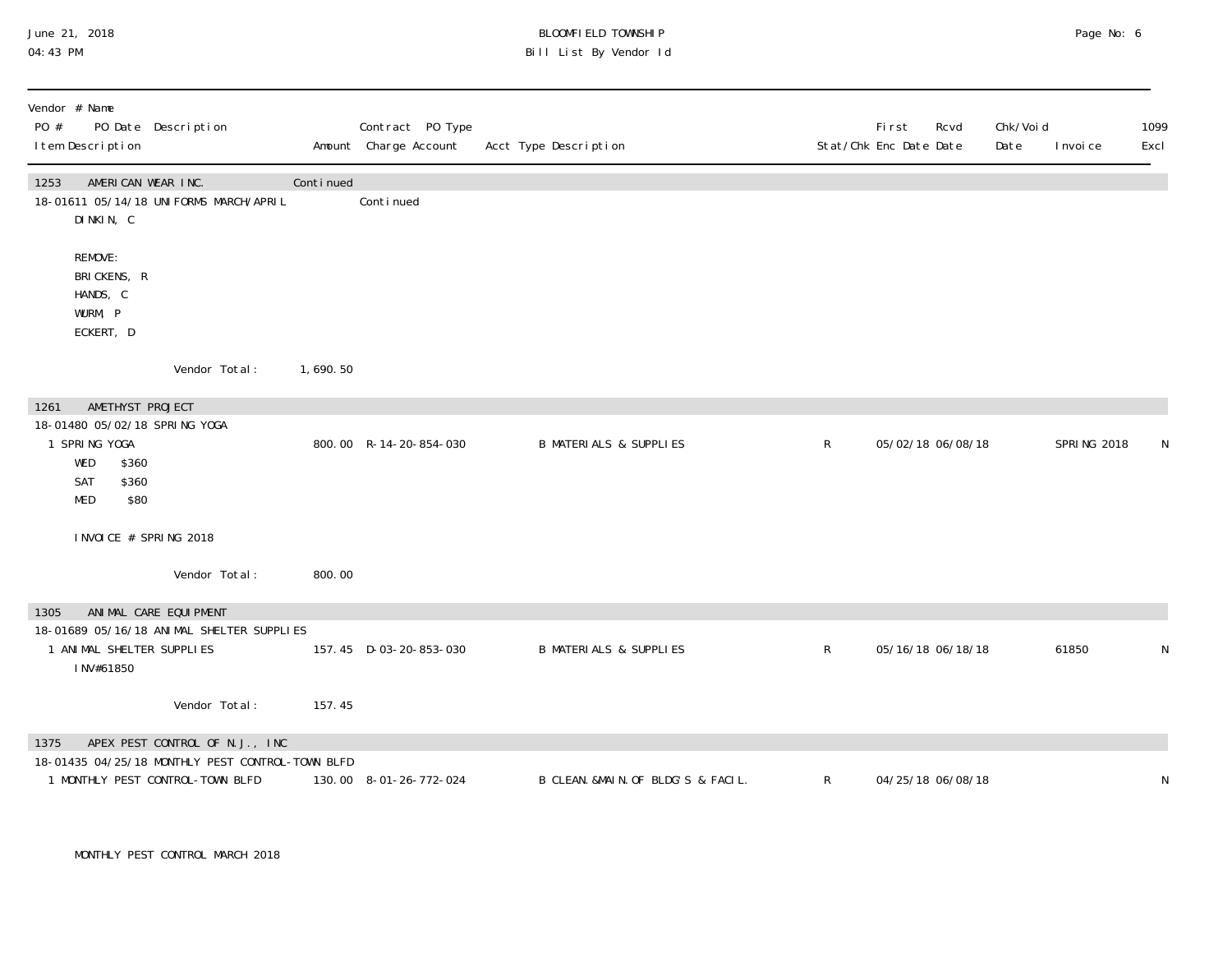#### June 21, 2018 BLOOMFIELD TOWNSHIP Page No: 6 04:43 PM Bill List By Vendor Id

| Vendor # Name<br>PO #<br>I tem Description                                                           | PO Date Description                                                                  |           | Contract PO Type<br>Amount Charge Account | Acct Type Description              |              | <b>First</b><br>Stat/Chk Enc Date Date | Rcvd              | Chk/Void<br>Date | I nvoi ce          | 1099<br>Excl |
|------------------------------------------------------------------------------------------------------|--------------------------------------------------------------------------------------|-----------|-------------------------------------------|------------------------------------|--------------|----------------------------------------|-------------------|------------------|--------------------|--------------|
| AMERICAN WEAR INC.<br>1253<br>DINKIN, C                                                              | 18-01611 05/14/18 UNIFORMS MARCH/APRIL                                               | Continued | Conti nued                                |                                    |              |                                        |                   |                  |                    |              |
| REMOVE:<br>BRICKENS, R<br>HANDS, C<br>WURM, P<br>ECKERT, D                                           |                                                                                      |           |                                           |                                    |              |                                        |                   |                  |                    |              |
|                                                                                                      | Vendor Total:                                                                        | 1,690.50  |                                           |                                    |              |                                        |                   |                  |                    |              |
| AMETHYST PROJECT<br>1261                                                                             |                                                                                      |           |                                           |                                    |              |                                        |                   |                  |                    |              |
| 18-01480 05/02/18 SPRING YOGA<br>1 SPRING YOGA<br>WED<br>\$360<br>\$360<br>SAT<br><b>MED</b><br>\$80 |                                                                                      |           | 800.00 R-14-20-854-030                    | <b>B MATERIALS &amp; SUPPLIES</b>  | $\mathsf{R}$ |                                        | 05/02/18 06/08/18 |                  | <b>SPRING 2018</b> |              |
| INVOICE # SPRING 2018                                                                                |                                                                                      |           |                                           |                                    |              |                                        |                   |                  |                    |              |
|                                                                                                      | Vendor Total:                                                                        | 800.00    |                                           |                                    |              |                                        |                   |                  |                    |              |
| 1305                                                                                                 | ANIMAL CARE EQUI PMENT                                                               |           |                                           |                                    |              |                                        |                   |                  |                    |              |
| 1 ANIMAL SHELTER SUPPLIES<br>INV#61850                                                               | 18-01689 05/16/18 ANIMAL SHELTER SUPPLIES                                            |           | 157.45 D-03-20-853-030                    | <b>B MATERIALS &amp; SUPPLIES</b>  | $\mathsf{R}$ |                                        | 05/16/18 06/18/18 |                  | 61850              | N            |
|                                                                                                      | Vendor Total:                                                                        | 157.45    |                                           |                                    |              |                                        |                   |                  |                    |              |
| 1375                                                                                                 | APEX PEST CONTROL OF N.J., INC                                                       |           |                                           |                                    |              |                                        |                   |                  |                    |              |
|                                                                                                      | 18-01435 04/25/18 MONTHLY PEST CONTROL-TOWN BLFD<br>1 MONTHLY PEST CONTROL-TOWN BLFD |           | 130.00 8-01-26-772-024                    | B CLEAN. &MAIN. OF BLDG'S & FACIL. | $\mathsf{R}$ | 04/25/18 06/08/18                      |                   |                  |                    | N            |

MONTHLY PEST CONTROL MARCH 2018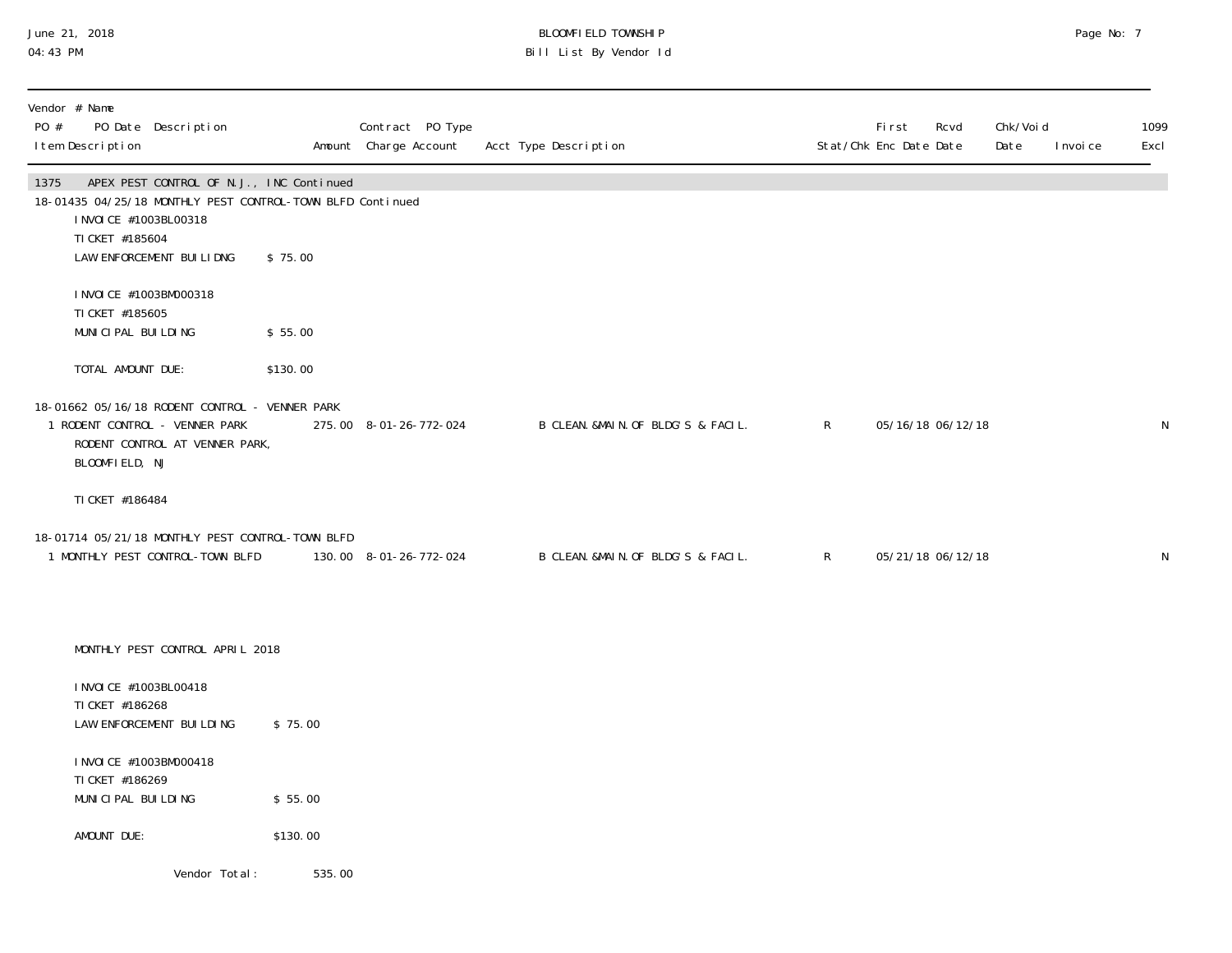## June 21, 2018 BLOOMFIELD TOWNSHIP Page No: 7 04:43 PM Bill List By Vendor Id

| Vendor # Name<br>PO Date Description<br>PO #<br>I tem Description                                                                                                                       |          | Contract PO Type       | Amount Charge Account Acct Type Description |              | First<br>Rcvd<br>Stat/Chk Enc Date Date | Chk/Voi d<br>Date<br>I nvoi ce | 1099<br>Excl |
|-----------------------------------------------------------------------------------------------------------------------------------------------------------------------------------------|----------|------------------------|---------------------------------------------|--------------|-----------------------------------------|--------------------------------|--------------|
| APEX PEST CONTROL OF N.J., INC Continued<br>1375<br>18-01435 04/25/18 MONTHLY PEST CONTROL-TOWN BLFD Continued<br>I NVOI CE #1003BL00318<br>TI CKET #185604<br>LAW ENFORCEMENT BUILIDNG | \$75.00  |                        |                                             |              |                                         |                                |              |
| I NVOI CE #1003BM000318<br>TI CKET #185605<br>MUNICIPAL BUILDING                                                                                                                        | \$55.00  |                        |                                             |              |                                         |                                |              |
| TOTAL AMOUNT DUE:                                                                                                                                                                       | \$130.00 |                        |                                             |              |                                         |                                |              |
| 18-01662 05/16/18 RODENT CONTROL - VENNER PARK<br>1 RODENT CONTROL - VENNER PARK<br>RODENT CONTROL AT VENNER PARK,<br>BLOOMFIELD, NJ                                                    |          | 275.00 8-01-26-772-024 | B CLEAN. &MAIN. OF BLDG'S & FACIL.          | $\mathsf{R}$ | 05/16/18 06/12/18                       |                                | N            |
| TI CKET #186484                                                                                                                                                                         |          |                        |                                             |              |                                         |                                |              |
| 18-01714 05/21/18 MONTHLY PEST CONTROL-TOWN BLFD<br>1 MONTHLY PEST CONTROL-TOWN BLFD                                                                                                    |          | 130.00 8-01-26-772-024 | B CLEAN. & MAIN. OF BLDG'S & FACIL.         | $\mathsf{R}$ | 05/21/18 06/12/18                       |                                | N            |
| MONTHLY PEST CONTROL APRIL 2018                                                                                                                                                         |          |                        |                                             |              |                                         |                                |              |
| I NVOI CE #1003BL00418<br>TI CKET #186268<br>LAW ENFORCEMENT BUILDING                                                                                                                   | \$75.00  |                        |                                             |              |                                         |                                |              |
| I NVOI CE #1003BM000418<br>TI CKET #186269<br>MUNICIPAL BUILDING                                                                                                                        | \$55.00  |                        |                                             |              |                                         |                                |              |
| AMOUNT DUE:                                                                                                                                                                             | \$130.00 |                        |                                             |              |                                         |                                |              |
| Vendor Total:                                                                                                                                                                           | 535.00   |                        |                                             |              |                                         |                                |              |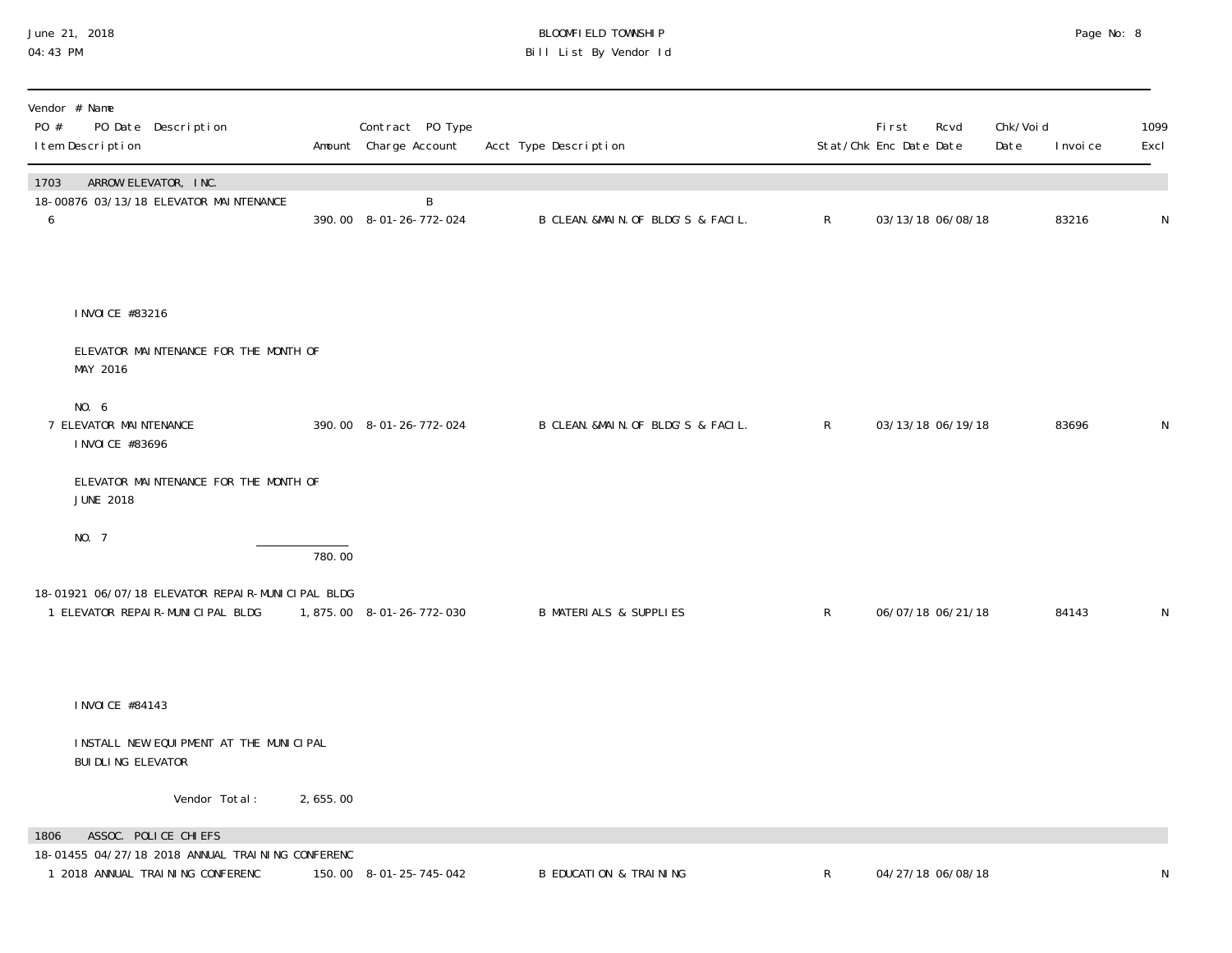| June 21, 2018 |  |
|---------------|--|
| 04:43 PM      |  |

## June 21, 2018 BLOOMFIELD TOWNSHIP Page No: 8 Page No: 8 04:43 PM Bill List By Vendor Id

| PO #      | Vendor # Name<br>PO Date Description<br>I tem Description                                                    |          | Contract PO Type<br>Amount Charge Account | Acct Type Description              |              | First<br>Stat/Chk Enc Date Date | Rcvd | Chk/Void<br>Date | I nvoi ce | 1099<br>Excl |
|-----------|--------------------------------------------------------------------------------------------------------------|----------|-------------------------------------------|------------------------------------|--------------|---------------------------------|------|------------------|-----------|--------------|
| 1703<br>6 | ARROW ELEVATOR, INC.<br>18-00876 03/13/18 ELEVATOR MAINTENANCE                                               |          | B<br>390.00 8-01-26-772-024               | B CLEAN. &MAIN. OF BLDG'S & FACIL. | $\mathsf{R}$ | 03/13/18 06/08/18               |      |                  | 83216     | ${\sf N}$    |
|           | I NVOI CE #83216                                                                                             |          |                                           |                                    |              |                                 |      |                  |           |              |
|           | ELEVATOR MAINTENANCE FOR THE MONTH OF<br>MAY 2016                                                            |          |                                           |                                    |              |                                 |      |                  |           |              |
|           | NO. 6<br>7 ELEVATOR MAINTENANCE<br>I NVOI CE #83696                                                          |          | 390.00 8-01-26-772-024                    | B CLEAN. &MAIN. OF BLDG'S & FACIL. | $\mathsf{R}$ | 03/13/18 06/19/18               |      |                  | 83696     | $\mathsf{N}$ |
|           | ELEVATOR MAINTENANCE FOR THE MONTH OF<br><b>JUNE 2018</b>                                                    |          |                                           |                                    |              |                                 |      |                  |           |              |
|           | NO. 7                                                                                                        | 780.00   |                                           |                                    |              |                                 |      |                  |           |              |
|           | 18-01921 06/07/18 ELEVATOR REPAIR-MUNICIPAL BLDG<br>1 ELEVATOR REPAIR-MUNICIPAL BLDG                         |          | 1,875.00 8-01-26-772-030                  | <b>B MATERIALS &amp; SUPPLIES</b>  | $\mathsf{R}$ | 06/07/18 06/21/18               |      |                  | 84143     | N            |
|           | I NVOI CE #84143                                                                                             |          |                                           |                                    |              |                                 |      |                  |           |              |
|           | INSTALL NEW EQUIPMENT AT THE MUNICIPAL<br>BUI DLI NG ELEVATOR                                                |          |                                           |                                    |              |                                 |      |                  |           |              |
|           | Vendor Total:                                                                                                | 2,655.00 |                                           |                                    |              |                                 |      |                  |           |              |
| 1806      | ASSOC. POLICE CHIEFS<br>18-01455 04/27/18 2018 ANNUAL TRAINING CONFERENC<br>1 2018 ANNUAL TRAINING CONFERENC |          | 150.00 8-01-25-745-042                    | <b>B EDUCATION &amp; TRAINING</b>  | $\mathsf R$  | 04/27/18 06/08/18               |      |                  |           | N            |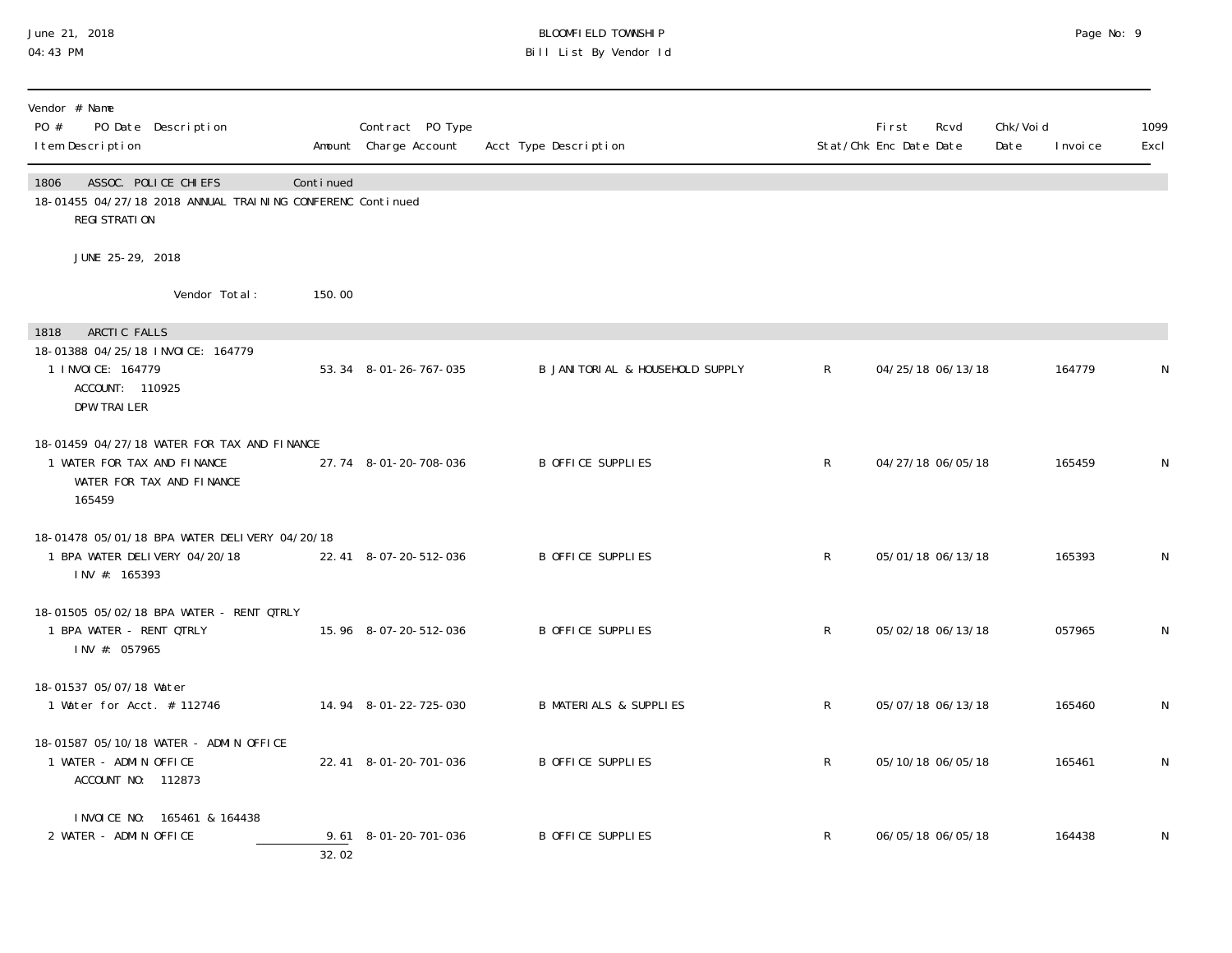## June 21, 2018 BLOOMFIELD TOWNSHIP Page No: 9 04:43 PM Bill List By Vendor Id

| Vendor # Name<br>PO #<br>PO Date Description<br>I tem Description                                                  |           | Contract PO Type<br>Amount Charge Account | Acct Type Description             |              | First<br>Stat/Chk Enc Date Date | Rcvd | Chk/Voi d<br>Date | I nvoi ce | 1099<br>Excl |
|--------------------------------------------------------------------------------------------------------------------|-----------|-------------------------------------------|-----------------------------------|--------------|---------------------------------|------|-------------------|-----------|--------------|
| ASSOC. POLICE CHIEFS<br>1806<br>18-01455 04/27/18 2018 ANNUAL TRAINING CONFERENC Continued<br>REGI STRATION        | Continued |                                           |                                   |              |                                 |      |                   |           |              |
| JUNE 25-29, 2018                                                                                                   |           |                                           |                                   |              |                                 |      |                   |           |              |
| Vendor Total:                                                                                                      | 150.00    |                                           |                                   |              |                                 |      |                   |           |              |
| ARCTIC FALLS<br>1818<br>18-01388 04/25/18 INVOICE: 164779<br>1 I NVOI CE: 164779<br>ACCOUNT: 110925<br>DPW TRAILER |           | 53.34 8-01-26-767-035                     | B JANITORIAL & HOUSEHOLD SUPPLY   | $\mathsf{R}$ | 04/25/18 06/13/18               |      |                   | 164779    | N            |
| 18-01459 04/27/18 WATER FOR TAX AND FINANCE<br>1 WATER FOR TAX AND FINANCE<br>WATER FOR TAX AND FINANCE<br>165459  |           | 27.74 8-01-20-708-036                     | B OFFICE SUPPLIES                 | $\mathsf{R}$ | 04/27/18 06/05/18               |      |                   | 165459    | N            |
| 18-01478 05/01/18 BPA WATER DELIVERY 04/20/18<br>1 BPA WATER DELIVERY 04/20/18<br>INV #: 165393                    |           | 22.41 8-07-20-512-036                     | B OFFICE SUPPLIES                 | R            | 05/01/18 06/13/18               |      |                   | 165393    | N            |
| 18-01505 05/02/18 BPA WATER - RENT QTRLY<br>1 BPA WATER - RENT QTRLY<br>INV #: 057965                              |           | 15.96 8-07-20-512-036                     | B OFFICE SUPPLIES                 | $\mathsf{R}$ | 05/02/18 06/13/18               |      |                   | 057965    | N            |
| 18-01537 05/07/18 Water<br>1 Water for Acct. # 112746                                                              |           | 14.94 8-01-22-725-030                     | <b>B MATERIALS &amp; SUPPLIES</b> | R            | 05/07/18 06/13/18               |      |                   | 165460    | N            |
| 18-01587 05/10/18 WATER - ADMIN OFFICE<br>1 WATER - ADMIN OFFICE<br>ACCOUNT NO: 112873                             |           | 22.41 8-01-20-701-036                     | B OFFICE SUPPLIES                 | $\mathsf{R}$ | 05/10/18 06/05/18               |      |                   | 165461    | N            |
| INVOICE NO: 165461 & 164438<br>2 WATER - ADMIN OFFICE                                                              | 32.02     | 9.61 8-01-20-701-036                      | <b>B OFFICE SUPPLIES</b>          | R            | 06/05/18 06/05/18               |      |                   | 164438    | N            |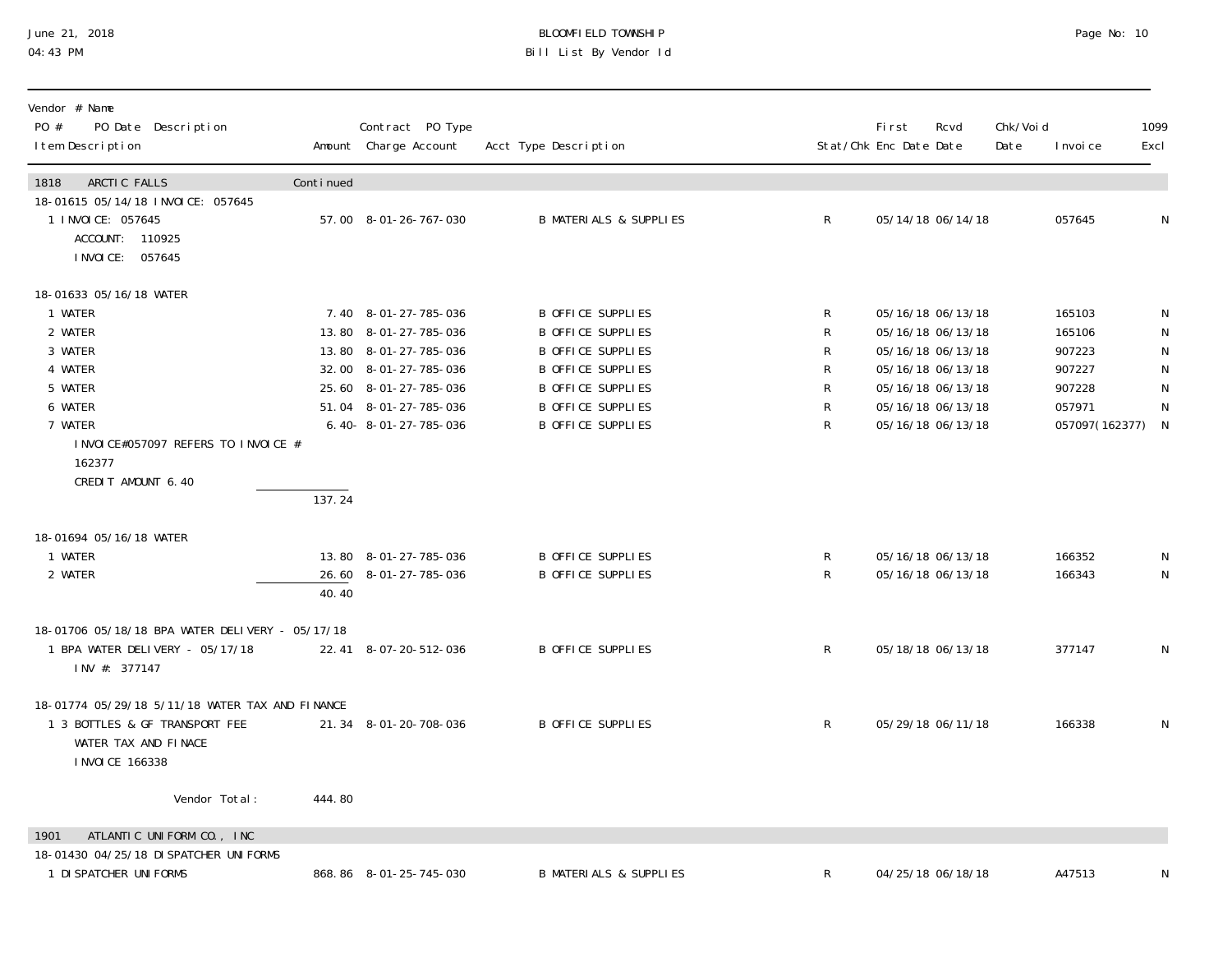## June 21, 2018 BLOOMFIELD TOWNSHIP Page 2018 Page No: 10 04:43 PM Bill List By Vendor Id

| Vendor # Name<br>PO #<br>PO Date Description<br>I tem Description                                |           | Contract PO Type<br>Amount Charge Account | Acct Type Description             |              | <b>First</b><br>Stat/Chk Enc Date Date | Rcvd              | Chk/Voi d<br>Date | I nvoi ce        | 1099<br>Excl |
|--------------------------------------------------------------------------------------------------|-----------|-------------------------------------------|-----------------------------------|--------------|----------------------------------------|-------------------|-------------------|------------------|--------------|
| 1818<br>ARCTIC FALLS                                                                             | Continued |                                           |                                   |              |                                        |                   |                   |                  |              |
| 18-01615 05/14/18 INVOICE: 057645<br>1 I NVOI CE: 057645<br>ACCOUNT: 110925<br>I NVOI CE: 057645 |           | 57.00 8-01-26-767-030                     | <b>B MATERIALS &amp; SUPPLIES</b> | $\mathsf{R}$ |                                        | 05/14/18 06/14/18 |                   | 057645           | N            |
| 18-01633 05/16/18 WATER                                                                          |           |                                           |                                   |              |                                        |                   |                   |                  |              |
| 1 WATER                                                                                          |           | 7.40 8-01-27-785-036                      | <b>B OFFICE SUPPLIES</b>          | R            | 05/16/18 06/13/18                      |                   |                   | 165103           |              |
| 2 WATER                                                                                          |           | 13.80 8-01-27-785-036                     | <b>B OFFICE SUPPLIES</b>          | R            | 05/16/18 06/13/18                      |                   |                   | 165106           |              |
| 3 WATER                                                                                          |           | 13.80 8-01-27-785-036                     | <b>B OFFICE SUPPLIES</b>          | R            | 05/16/18 06/13/18                      |                   |                   | 907223           | $\mathsf{N}$ |
| 4 WATER                                                                                          |           | 32.00 8-01-27-785-036                     | <b>B OFFICE SUPPLIES</b>          | R            | 05/16/18 06/13/18                      |                   |                   | 907227           | $\mathsf{N}$ |
| 5 WATER                                                                                          |           | 25.60 8-01-27-785-036                     | <b>B OFFICE SUPPLIES</b>          | R            | 05/16/18 06/13/18                      |                   |                   | 907228           | $\mathsf N$  |
| 6 WATER                                                                                          |           | 51.04 8-01-27-785-036                     | B OFFICE SUPPLIES                 | R            | 05/16/18 06/13/18                      |                   |                   | 057971           | N            |
| 7 WATER                                                                                          |           | $6.40 - 8 - 01 - 27 - 785 - 036$          | <b>B OFFICE SUPPLIES</b>          | $\mathsf{R}$ |                                        | 05/16/18 06/13/18 |                   | 057097(162377) N |              |
| INVOICE#057097 REFERS TO INVOICE #<br>162377<br>CREDIT AMOUNT 6.40                               |           |                                           |                                   |              |                                        |                   |                   |                  |              |
|                                                                                                  | 137.24    |                                           |                                   |              |                                        |                   |                   |                  |              |
| 18-01694 05/16/18 WATER                                                                          |           |                                           |                                   |              |                                        |                   |                   |                  |              |
| 1 WATER                                                                                          |           | 13.80 8-01-27-785-036                     | <b>B OFFICE SUPPLIES</b>          | R            | 05/16/18 06/13/18                      |                   |                   | 166352           | N            |
| 2 WATER                                                                                          |           | 26.60 8-01-27-785-036                     | <b>B OFFICE SUPPLIES</b>          | R            |                                        | 05/16/18 06/13/18 |                   | 166343           | $\mathsf N$  |
|                                                                                                  | 40.40     |                                           |                                   |              |                                        |                   |                   |                  |              |
| 18-01706 05/18/18 BPA WATER DELIVERY - 05/17/18                                                  |           |                                           |                                   |              |                                        |                   |                   |                  |              |
| 1 BPA WATER DELIVERY - 05/17/18<br>INV #: 377147                                                 |           | 22.41 8-07-20-512-036                     | <b>B OFFICE SUPPLIES</b>          | $\mathsf{R}$ | 05/18/18 06/13/18                      |                   |                   | 377147           | N            |
| 18-01774 05/29/18 5/11/18 WATER TAX AND FINANCE                                                  |           |                                           |                                   |              |                                        |                   |                   |                  |              |
| 1 3 BOTTLES & GF TRANSPORT FEE<br>WATER TAX AND FINACE<br>I NVOI CE 166338                       |           | 21.34 8-01-20-708-036                     | <b>B OFFICE SUPPLIES</b>          | $\mathsf{R}$ |                                        | 05/29/18 06/11/18 |                   | 166338           | N            |
| Vendor Total:                                                                                    | 444.80    |                                           |                                   |              |                                        |                   |                   |                  |              |
| ATLANTIC UNIFORM CO., INC<br>1901                                                                |           |                                           |                                   |              |                                        |                   |                   |                  |              |
| 18-01430 04/25/18 DI SPATCHER UNI FORMS                                                          |           |                                           |                                   |              |                                        |                   |                   |                  |              |
| 1 DI SPATCHER UNI FORMS                                                                          |           | 868.86 8-01-25-745-030                    | <b>B MATERIALS &amp; SUPPLIES</b> | R            |                                        | 04/25/18 06/18/18 |                   | A47513           |              |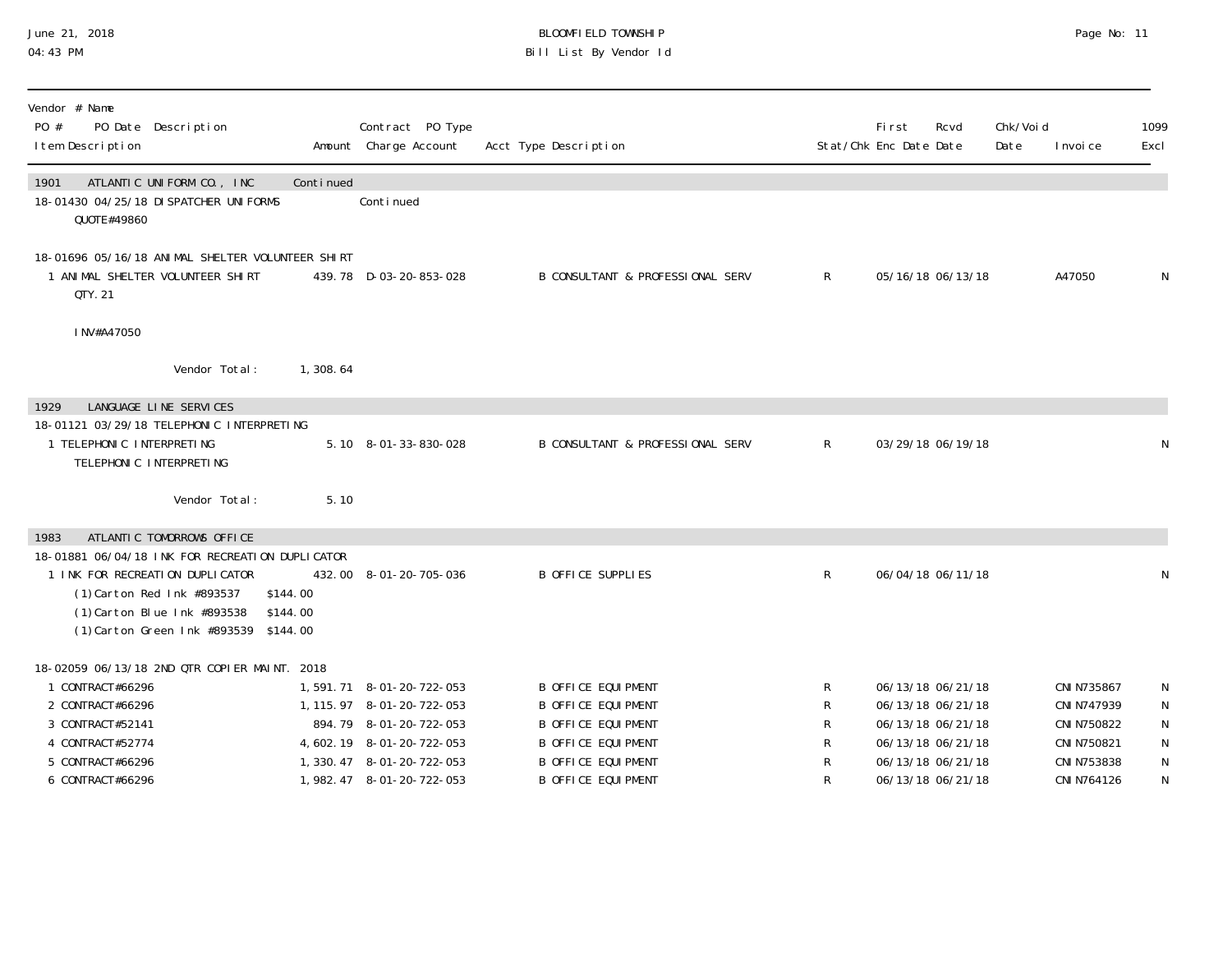# June 21, 2018 BLOOMFIELD TOWNSHIP Page No: 11 Bill List By Vendor Id

| Vendor # Name<br>PO #<br>PO Date Description<br>I tem Description                                                                                                                        |                      | Contract PO Type<br>Amount Charge Account            | Acct Type Description                                  |                | <b>First</b><br>Stat/Chk Enc Date Date | Rcvd                                   | Chk/Void<br>Date | I nvoi ce                  | 1099<br>Excl           |
|------------------------------------------------------------------------------------------------------------------------------------------------------------------------------------------|----------------------|------------------------------------------------------|--------------------------------------------------------|----------------|----------------------------------------|----------------------------------------|------------------|----------------------------|------------------------|
| ATLANTIC UNIFORM CO., INC<br>1901<br>18-01430 04/25/18 DI SPATCHER UNI FORMS<br>QUOTE#49860                                                                                              | Continued            | Continued                                            |                                                        |                |                                        |                                        |                  |                            |                        |
| 18-01696 05/16/18 ANIMAL SHELTER VOLUNTEER SHIRT<br>1 ANIMAL SHELTER VOLUNTEER SHIRT<br>QTY. 21                                                                                          |                      | 439.78 D-03-20-853-028                               | B CONSULTANT & PROFESSIONAL SERV                       | $\mathsf{R}$   |                                        | 05/16/18 06/13/18                      |                  | A47050                     | N                      |
| INV#A47050                                                                                                                                                                               |                      |                                                      |                                                        |                |                                        |                                        |                  |                            |                        |
| Vendor Total:                                                                                                                                                                            | 1,308.64             |                                                      |                                                        |                |                                        |                                        |                  |                            |                        |
| LANGUAGE LINE SERVICES<br>1929                                                                                                                                                           |                      |                                                      |                                                        |                |                                        |                                        |                  |                            |                        |
| 18-01121 03/29/18 TELEPHONIC INTERPRETING<br>1 TELEPHONIC INTERPRETING<br>TELEPHONIC INTERPRETING                                                                                        |                      | 5.10 8-01-33-830-028                                 | <b>B CONSULTANT &amp; PROFESSIONAL SERV</b>            | $\mathsf{R}^-$ | 03/29/18 06/19/18                      |                                        |                  |                            | N                      |
| Vendor Total:                                                                                                                                                                            | 5.10                 |                                                      |                                                        |                |                                        |                                        |                  |                            |                        |
| ATLANTIC TOMORROWS OFFICE<br>1983                                                                                                                                                        |                      |                                                      |                                                        |                |                                        |                                        |                  |                            |                        |
| 18-01881 06/04/18 INK FOR RECREATION DUPLICATOR<br>1 INK FOR RECREATION DUPLICATOR<br>(1) Carton Red Ink #893537<br>(1) Carton Blue Ink #893538<br>(1) Carton Green Ink #893539 \$144.00 | \$144.00<br>\$144.00 | 432.00 8-01-20-705-036                               | <b>B OFFICE SUPPLIES</b>                               | R              | 06/04/18 06/11/18                      |                                        |                  |                            | ${\sf N}$              |
| 18-02059 06/13/18 2ND QTR COPIER MAINT. 2018                                                                                                                                             |                      |                                                      |                                                        |                |                                        |                                        |                  |                            |                        |
| 1 CONTRACT#66296                                                                                                                                                                         |                      | 1,591.71 8-01-20-722-053                             | <b>B OFFICE EQUIPMENT</b>                              | R              |                                        | 06/13/18 06/21/18                      |                  | CNI N735867                | N                      |
| 2 CONTRACT#66296<br>3 CONTRACT#52141                                                                                                                                                     |                      | 1, 115. 97 8-01-20-722-053<br>894.79 8-01-20-722-053 | <b>B OFFICE EQUIPMENT</b><br><b>B OFFICE EQUIPMENT</b> | R<br>R         |                                        | 06/13/18 06/21/18<br>06/13/18 06/21/18 |                  | CNI N747939<br>CNI N750822 | ${\sf N}$<br>${\sf N}$ |
| 4 CONTRACT#52774                                                                                                                                                                         |                      | 4, 602. 19 8-01-20-722-053                           | <b>B OFFICE EQUIPMENT</b>                              | R              |                                        | 06/13/18 06/21/18                      |                  | CNI N750821                | ${\sf N}$              |
| 5 CONTRACT#66296                                                                                                                                                                         |                      | 1, 330. 47 8-01-20-722-053                           | <b>B OFFICE EQUIPMENT</b>                              | R              |                                        | 06/13/18 06/21/18                      |                  | CNI N753838                | $\mathsf N$            |
| 6 CONTRACT#66296                                                                                                                                                                         |                      | 1, 982. 47 8-01-20-722-053                           | <b>B OFFICE EQUIPMENT</b>                              |                |                                        | 06/13/18 06/21/18                      |                  | CNI N764126                | N                      |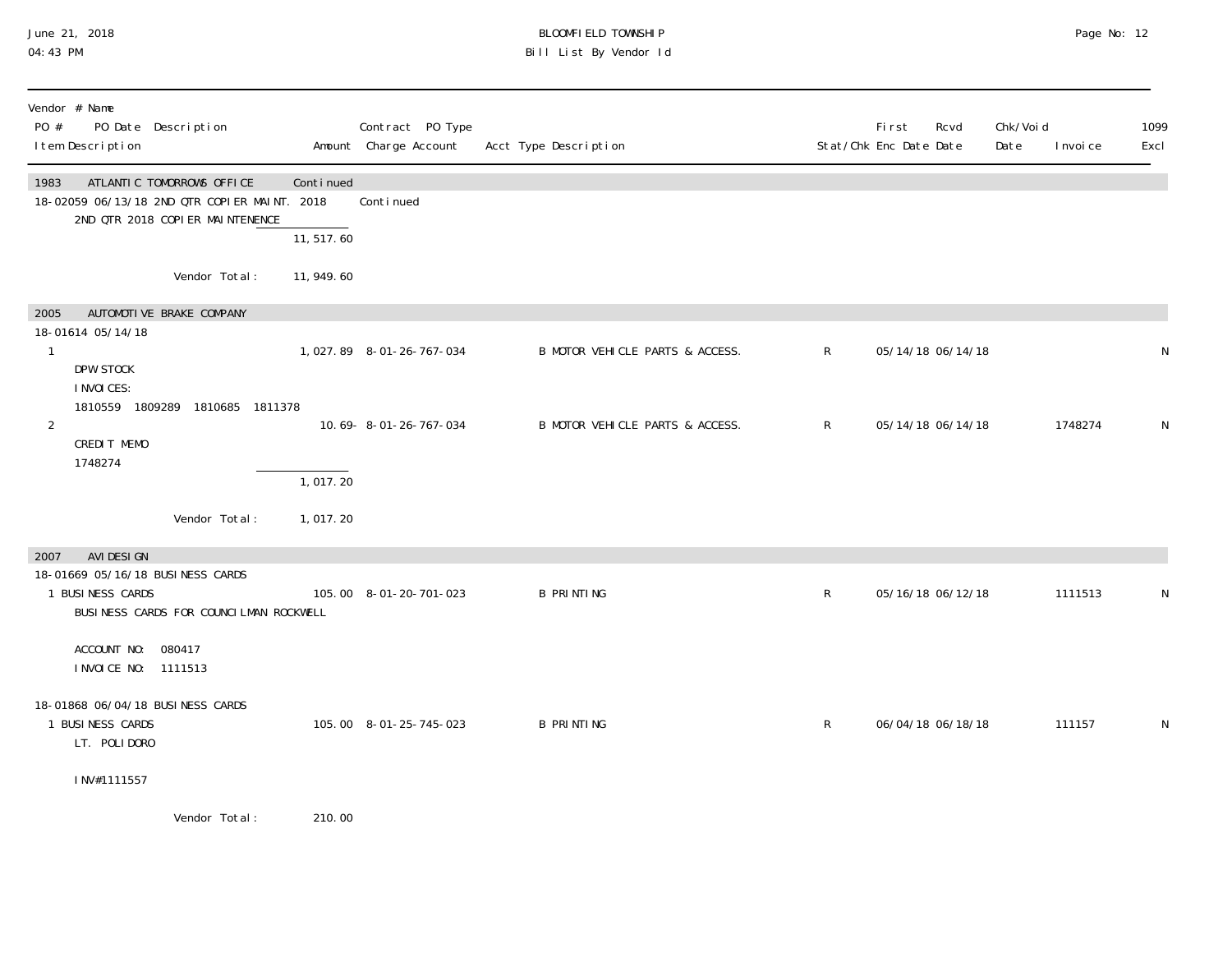## June 21, 2018 BLOOMFIELD TOWNSHIP Page 2018 Page No: 12 04:43 PM Bill List By Vendor Id

| Vendor # Name<br>PO #<br>PO Date Description<br>I tem Description                                                    |            | Contract PO Type<br>Amount Charge Account | Acct Type Description           |              | First<br>Rcvd<br>Stat/Chk Enc Date Date | Chk/Voi d<br>Date | I nvoi ce | 1099<br>Excl |
|----------------------------------------------------------------------------------------------------------------------|------------|-------------------------------------------|---------------------------------|--------------|-----------------------------------------|-------------------|-----------|--------------|
| ATLANTIC TOMORROWS OFFICE<br>1983<br>18-02059 06/13/18 2ND QTR COPIER MAINT. 2018<br>2ND QTR 2018 COPIER MAINTENENCE | Continued  | Conti nued                                |                                 |              |                                         |                   |           |              |
|                                                                                                                      | 11, 517.60 |                                           |                                 |              |                                         |                   |           |              |
| Vendor Total:                                                                                                        | 11, 949.60 |                                           |                                 |              |                                         |                   |           |              |
| AUTOMOTIVE BRAKE COMPANY<br>2005                                                                                     |            |                                           |                                 |              |                                         |                   |           |              |
| 18-01614 05/14/18<br>1<br>DPW STOCK                                                                                  |            | 1,027.89 8-01-26-767-034                  | B MOTOR VEHICLE PARTS & ACCESS. | $\mathsf{R}$ | 05/14/18 06/14/18                       |                   |           | N            |
| I NVOI CES:<br>1810559 1809289 1810685 1811378<br>2<br>CREDIT MEMO<br>1748274                                        |            | 10.69-8-01-26-767-034                     | B MOTOR VEHICLE PARTS & ACCESS. | $\mathsf{R}$ | 05/14/18 06/14/18                       |                   | 1748274   | N            |
|                                                                                                                      | 1,017.20   |                                           |                                 |              |                                         |                   |           |              |
| Vendor Total:                                                                                                        | 1,017.20   |                                           |                                 |              |                                         |                   |           |              |
| AVI DESI GN<br>2007                                                                                                  |            |                                           |                                 |              |                                         |                   |           |              |
| 18-01669 05/16/18 BUSINESS CARDS<br>1 BUSINESS CARDS<br>BUSINESS CARDS FOR COUNCILMAN ROCKWELL                       |            | 105.00  8-01-20-701-023                   | <b>B PRINTING</b>               | $\mathsf{R}$ | 05/16/18 06/12/18                       |                   | 1111513   | N            |
| ACCOUNT NO: 080417<br>INVOICE NO: 1111513                                                                            |            |                                           |                                 |              |                                         |                   |           |              |
| 18-01868 06/04/18 BUSINESS CARDS<br>1 BUSINESS CARDS<br>LT. POLIDORO                                                 |            | 105.00 8-01-25-745-023                    | <b>B PRINTING</b>               | $\mathsf{R}$ | 06/04/18 06/18/18                       |                   | 111157    | N            |
| INV#1111557                                                                                                          |            |                                           |                                 |              |                                         |                   |           |              |
| $M_{\odot}$ and a set $\pm$ 1 and 1 and 1 and 1 and 1 and 1 and 1 and 1 and 1 and 1 and 1 and 1 and 1 and 1          | 240.00     |                                           |                                 |              |                                         |                   |           |              |

Vendor Total: 210.00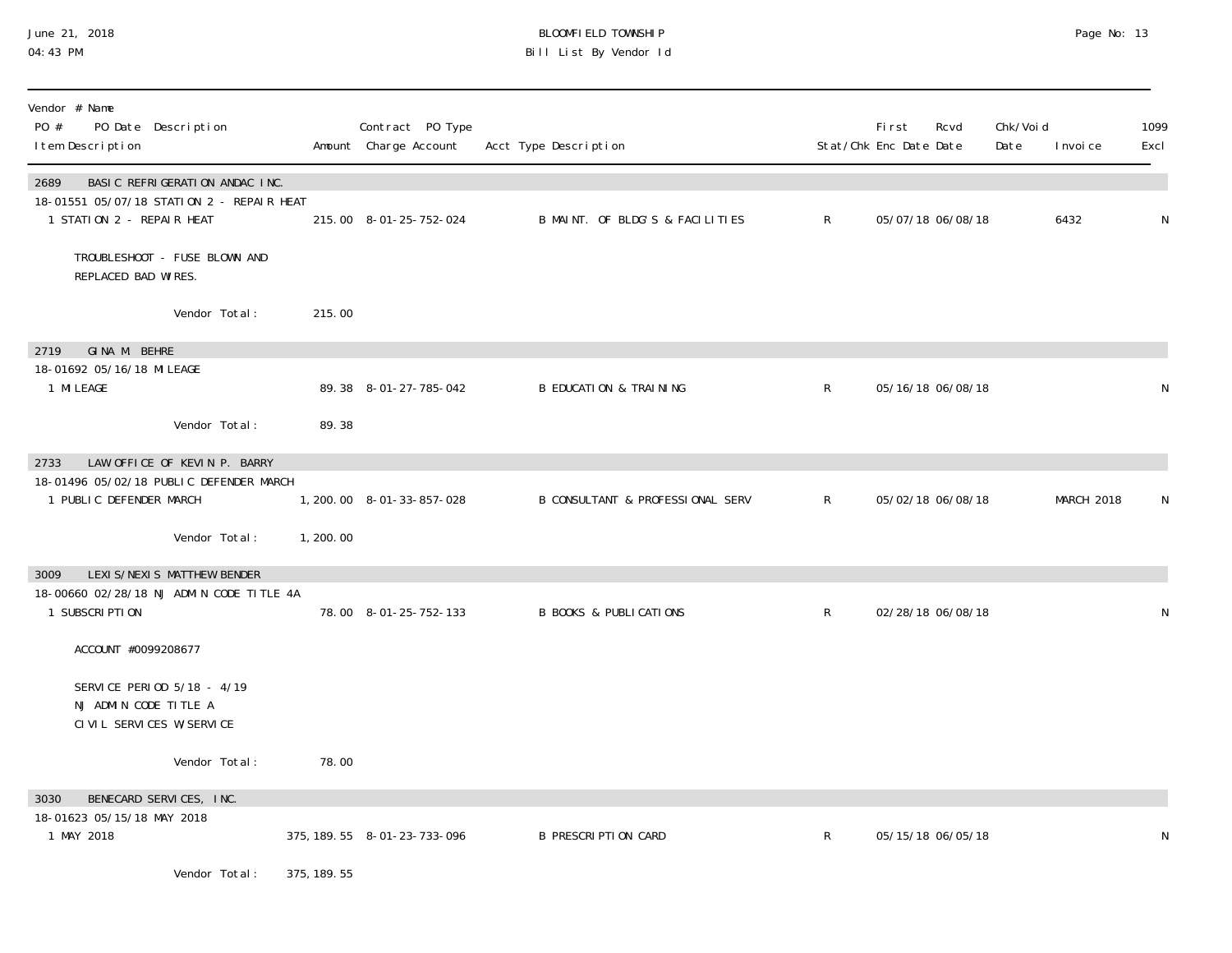## June 21, 2018 BLOOMFIELD TOWNSHIP Page 2018 Page No: 13 04:43 PM Bill List By Vendor Id

| Vendor # Name<br>PO #<br>PO Date Description<br>I tem Description                                                |             | Contract PO Type<br>Amount Charge Account | Acct Type Description             |              | <b>First</b><br>Stat/Chk Enc Date Date | Rcvd              | Chk/Voi d<br>Date | I nvoi ce  | 1099<br>Excl |
|------------------------------------------------------------------------------------------------------------------|-------------|-------------------------------------------|-----------------------------------|--------------|----------------------------------------|-------------------|-------------------|------------|--------------|
| BASIC REFRIGERATION ANDAC INC.<br>2689<br>18-01551 05/07/18 STATION 2 - REPAIR HEAT<br>1 STATION 2 - REPAIR HEAT |             | 215.00 8-01-25-752-024                    | B MAINT. OF BLDG'S & FACILITIES   | $\mathsf{R}$ |                                        | 05/07/18 06/08/18 |                   | 6432       | N            |
| TROUBLESHOOT - FUSE BLOWN AND<br>REPLACED BAD WIRES.                                                             |             |                                           |                                   |              |                                        |                   |                   |            |              |
| Vendor Total:                                                                                                    | 215.00      |                                           |                                   |              |                                        |                   |                   |            |              |
| GINA M. BEHRE<br>2719                                                                                            |             |                                           |                                   |              |                                        |                   |                   |            |              |
| 18-01692 05/16/18 MI LEAGE<br>1 MI LEAGE                                                                         |             | 89.38 8-01-27-785-042                     | <b>B EDUCATION &amp; TRAINING</b> | $\mathsf{R}$ |                                        | 05/16/18 06/08/18 |                   |            | N            |
| Vendor Total:                                                                                                    | 89.38       |                                           |                                   |              |                                        |                   |                   |            |              |
| LAW OFFICE OF KEVIN P. BARRY<br>2733                                                                             |             |                                           |                                   |              |                                        |                   |                   |            |              |
| 18-01496 05/02/18 PUBLIC DEFENDER MARCH<br>1 PUBLIC DEFENDER MARCH                                               |             | 1, 200. 00 8-01-33-857-028                | B CONSULTANT & PROFESSIONAL SERV  | R            |                                        | 05/02/18 06/08/18 |                   | MARCH 2018 | N            |
| Vendor Total:                                                                                                    | 1,200.00    |                                           |                                   |              |                                        |                   |                   |            |              |
| LEXIS/NEXIS MATTHEW BENDER<br>3009                                                                               |             |                                           |                                   |              |                                        |                   |                   |            |              |
| 18-00660 02/28/18 NJ ADMIN CODE TITLE 4A<br>1 SUBSCRIPTION                                                       |             | 78.00 8-01-25-752-133                     | <b>B BOOKS &amp; PUBLICATIONS</b> | $\mathsf{R}$ |                                        | 02/28/18 06/08/18 |                   |            | N            |
| ACCOUNT #0099208677                                                                                              |             |                                           |                                   |              |                                        |                   |                   |            |              |
| SERVICE PERIOD 5/18 - 4/19<br>NJ ADMIN CODE TITLE A<br>CIVIL SERVICES W/SERVICE                                  |             |                                           |                                   |              |                                        |                   |                   |            |              |
| Vendor Total:                                                                                                    | 78.00       |                                           |                                   |              |                                        |                   |                   |            |              |
| BENECARD SERVICES, INC.<br>3030                                                                                  |             |                                           |                                   |              |                                        |                   |                   |            |              |
| 18-01623 05/15/18 MAY 2018<br>1 MAY 2018                                                                         |             | 375, 189. 55 8-01-23-733-096              | <b>B PRESCRIPTION CARD</b>        | $\mathsf{R}$ |                                        | 05/15/18 06/05/18 |                   |            | N            |
| Vendor Total:                                                                                                    | 375, 189.55 |                                           |                                   |              |                                        |                   |                   |            |              |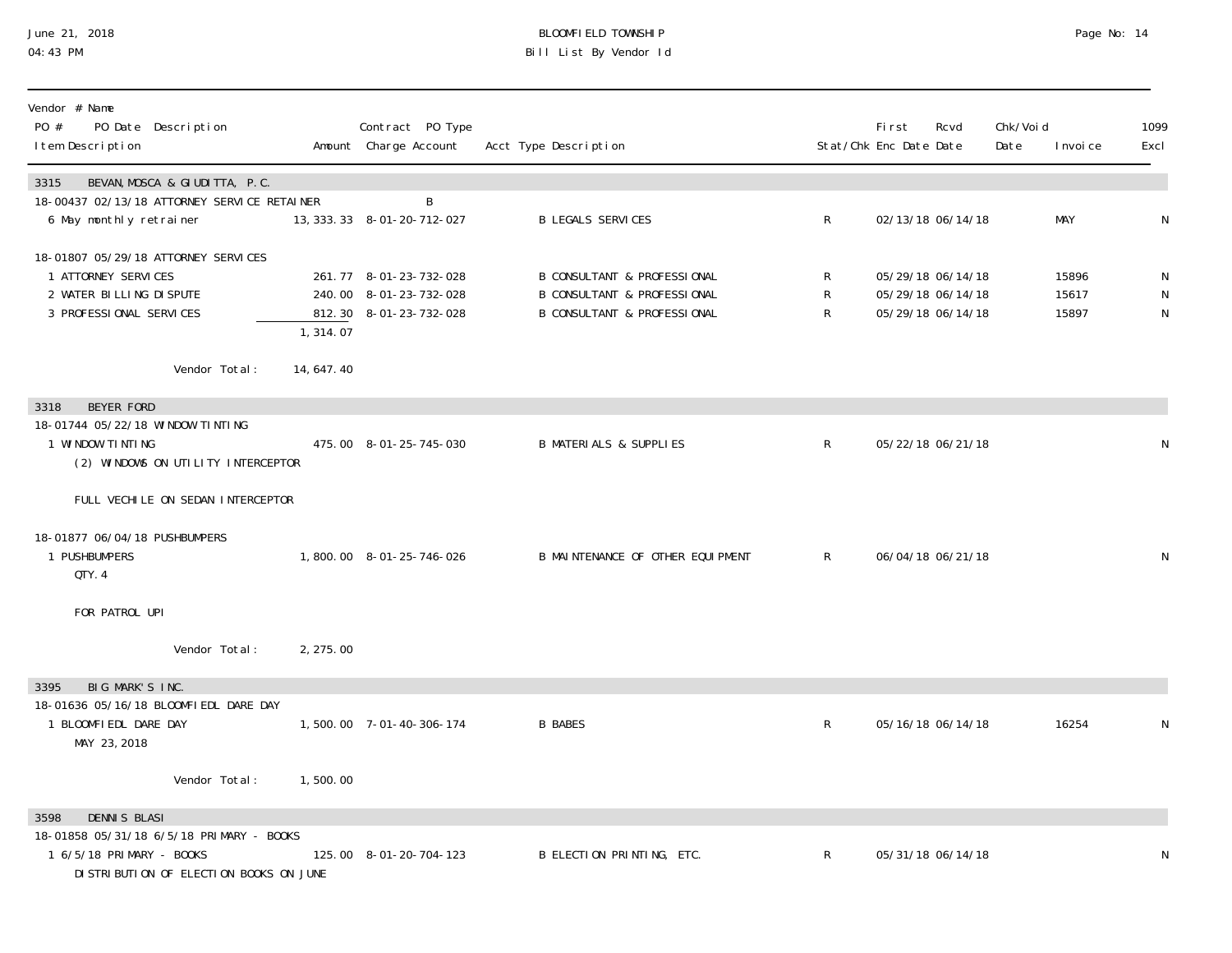# June 21, 2018 BLOOMFIELD TOWNSHIP Page 2018 Page No: 14 04:43 PM Bill List By Vendor Id

| Vendor # Name<br>PO #<br>PO Date Description<br>I tem Description                                                  |             | Contract PO Type<br>Amount Charge Account                                  | Acct Type Description                                                                                                      |             | <b>First</b><br>Stat/Chk Enc Date Date | Rcvd                                                        | Chk/Void<br>Date | I nvoi ce               | 1099<br>Excl        |
|--------------------------------------------------------------------------------------------------------------------|-------------|----------------------------------------------------------------------------|----------------------------------------------------------------------------------------------------------------------------|-------------|----------------------------------------|-------------------------------------------------------------|------------------|-------------------------|---------------------|
| 3315<br>BEVAN, MOSCA & GIUDITTA, P.C.                                                                              |             |                                                                            |                                                                                                                            |             |                                        |                                                             |                  |                         |                     |
| 18-00437 02/13/18 ATTORNEY SERVICE RETAINER<br>6 May monthly retrainer                                             |             | B<br>13, 333. 33 8-01-20-712-027                                           | <b>B LEGALS SERVICES</b>                                                                                                   | R           |                                        | 02/13/18 06/14/18                                           |                  | <b>MAY</b>              | N                   |
| 18-01807 05/29/18 ATTORNEY SERVICES<br>1 ATTORNEY SERVICES<br>2 WATER BILLING DISPUTE<br>3 PROFESSIONAL SERVICES   | 1,314.07    | 261.77 8-01-23-732-028<br>240.00 8-01-23-732-028<br>812.30 8-01-23-732-028 | <b>B CONSULTANT &amp; PROFESSIONAL</b><br><b>B CONSULTANT &amp; PROFESSIONAL</b><br><b>B CONSULTANT &amp; PROFESSIONAL</b> | R<br>R<br>R |                                        | 05/29/18 06/14/18<br>05/29/18 06/14/18<br>05/29/18 06/14/18 |                  | 15896<br>15617<br>15897 | N<br>${\sf N}$<br>N |
| Vendor Total:                                                                                                      | 14, 647. 40 |                                                                            |                                                                                                                            |             |                                        |                                                             |                  |                         |                     |
| <b>BEYER FORD</b><br>3318                                                                                          |             |                                                                            |                                                                                                                            |             |                                        |                                                             |                  |                         |                     |
| 18-01744 05/22/18 WINDOW TINTING<br>1 WINDOW TINTING<br>(2) WINDOWS ON UTILITY INTERCEPTOR                         |             | 475.00 8-01-25-745-030                                                     | <b>B MATERIALS &amp; SUPPLIES</b>                                                                                          | R           |                                        | 05/22/18 06/21/18                                           |                  |                         | N                   |
| FULL VECHILE ON SEDAN INTERCEPTOR                                                                                  |             |                                                                            |                                                                                                                            |             |                                        |                                                             |                  |                         |                     |
| 18-01877 06/04/18 PUSHBUMPERS<br>1 PUSHBUMPERS<br>QTY. 4                                                           |             | 1,800.00 8-01-25-746-026                                                   | B MAINTENANCE OF OTHER EQUIPMENT                                                                                           | $\mathsf R$ |                                        | 06/04/18 06/21/18                                           |                  |                         | ${\sf N}$           |
| FOR PATROL UPI                                                                                                     |             |                                                                            |                                                                                                                            |             |                                        |                                                             |                  |                         |                     |
| Vendor Total:                                                                                                      | 2, 275.00   |                                                                            |                                                                                                                            |             |                                        |                                                             |                  |                         |                     |
| 3395<br>BIG MARK'S INC.                                                                                            |             |                                                                            |                                                                                                                            |             |                                        |                                                             |                  |                         |                     |
| 18-01636 05/16/18 BLOOMFIEDL DARE DAY<br>1 BLOOMFIEDL DARE DAY<br>MAY 23, 2018                                     |             | 1,500.00 7-01-40-306-174                                                   | <b>B BABES</b>                                                                                                             | R           |                                        | 05/16/18 06/14/18                                           |                  | 16254                   | N                   |
| Vendor Total:                                                                                                      | 1,500.00    |                                                                            |                                                                                                                            |             |                                        |                                                             |                  |                         |                     |
| <b>DENNIS BLASI</b><br>3598                                                                                        |             |                                                                            |                                                                                                                            |             |                                        |                                                             |                  |                         |                     |
| 18-01858 05/31/18 6/5/18 PRIMARY - BOOKS<br>1 6/5/18 PRIMARY - BOOKS<br>DI STRI BUTI ON OF ELECTI ON BOOKS ON JUNE |             | 125.00 8-01-20-704-123                                                     | B ELECTION PRINTING, ETC.                                                                                                  | R           |                                        | 05/31/18 06/14/18                                           |                  |                         | N                   |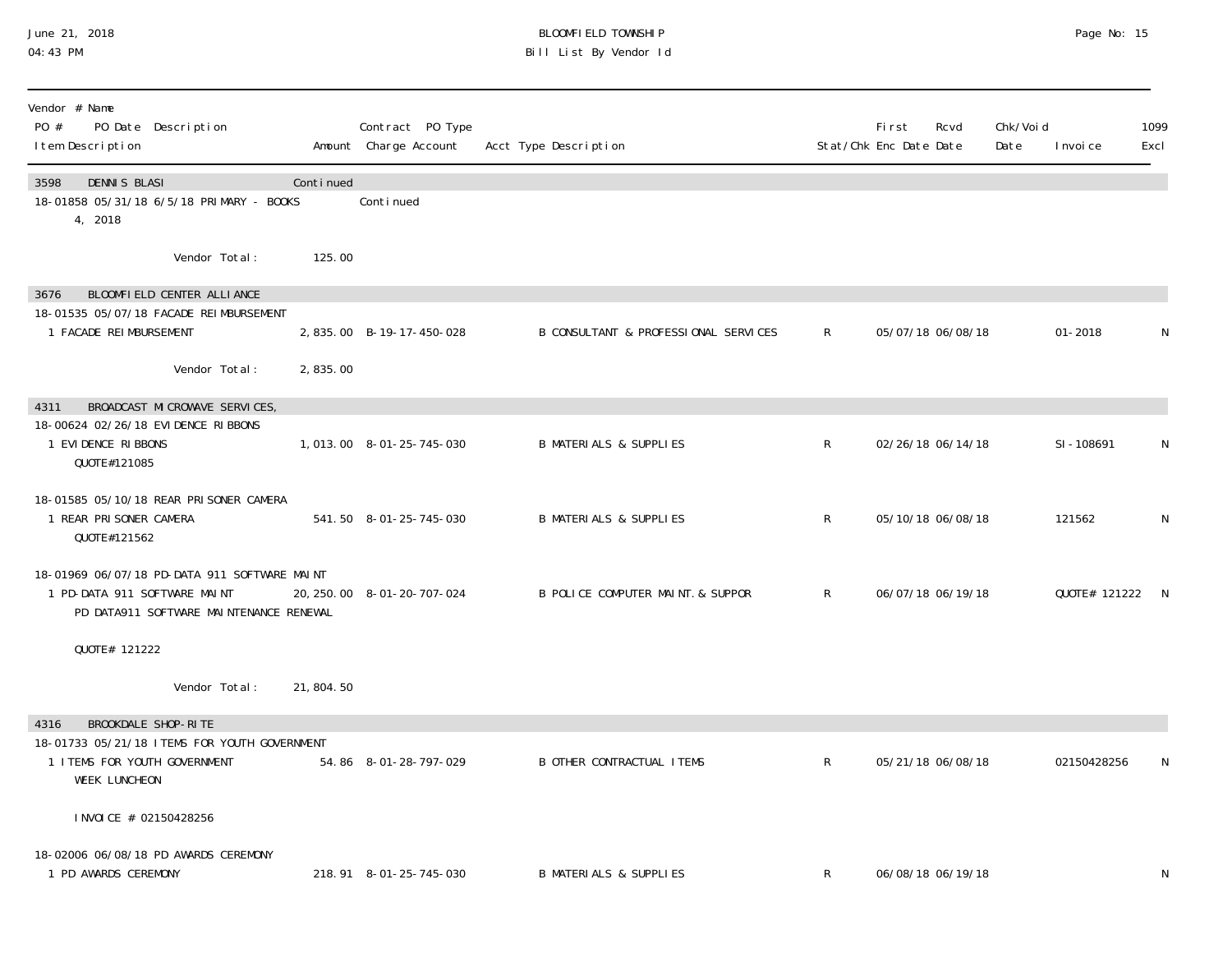### June 21, 2018 BLOOMFIELD TOWNSHIP Page 2018 Page No: 15 04:43 PM Bill List By Vendor Id

| Vendor # Name<br>PO #<br>PO Date Description<br>I tem Description                                                       |           | Contract PO Type<br>Amount Charge Account | Acct Type Description                |              | <b>First</b><br>Stat/Chk Enc Date Date | Rcvd              | Chk/Voi d<br>Date | I nvoi ce       | 1099<br>Excl |
|-------------------------------------------------------------------------------------------------------------------------|-----------|-------------------------------------------|--------------------------------------|--------------|----------------------------------------|-------------------|-------------------|-----------------|--------------|
| <b>DENNIS BLASI</b><br>3598<br>18-01858 05/31/18 6/5/18 PRIMARY - BOOKS<br>4, 2018                                      | Continued | Conti nued                                |                                      |              |                                        |                   |                   |                 |              |
| Vendor Total:                                                                                                           | 125.00    |                                           |                                      |              |                                        |                   |                   |                 |              |
| BLOOMFIELD CENTER ALLIANCE<br>3676<br>18-01535 05/07/18 FACADE REIMBURSEMENT                                            |           |                                           |                                      |              |                                        |                   |                   |                 |              |
| 1 FACADE REIMBURSEMENT                                                                                                  |           | 2,835.00 B-19-17-450-028                  | B CONSULTANT & PROFESSIONAL SERVICES | R            |                                        | 05/07/18 06/08/18 |                   | $01 - 2018$     | N            |
| Vendor Total:                                                                                                           | 2,835.00  |                                           |                                      |              |                                        |                   |                   |                 |              |
| BROADCAST MICROWAVE SERVICES,<br>4311                                                                                   |           |                                           |                                      |              |                                        |                   |                   |                 |              |
| 18-00624 02/26/18 EVIDENCE RIBBONS<br>1 EVIDENCE RIBBONS<br>QUOTE#121085                                                |           | 1,013.00 8-01-25-745-030                  | <b>B MATERIALS &amp; SUPPLIES</b>    | $\mathsf{R}$ |                                        | 02/26/18 06/14/18 |                   | SI-108691       | N            |
| 18-01585 05/10/18 REAR PRISONER CAMERA<br>1 REAR PRISONER CAMERA<br>QUOTE#121562                                        |           | 541.50 8-01-25-745-030                    | <b>B MATERIALS &amp; SUPPLIES</b>    | $\mathsf{R}$ |                                        | 05/10/18 06/08/18 |                   | 121562          | N            |
| 18-01969 06/07/18 PD-DATA 911 SOFTWARE MAINT<br>1 PD-DATA 911 SOFTWARE MAINT<br>PD DATA911 SOFTWARE MAINTENANCE RENEWAL |           | 20, 250. 00 8-01-20-707-024               | B POLICE COMPUTER MAINT. & SUPPOR    | $\mathsf{R}$ |                                        | 06/07/18 06/19/18 |                   | QUOTE# 121222 N |              |
| QUOTE# 121222                                                                                                           |           |                                           |                                      |              |                                        |                   |                   |                 |              |
| Vendor Total:                                                                                                           | 21,804.50 |                                           |                                      |              |                                        |                   |                   |                 |              |
| BROOKDALE SHOP-RITE<br>4316                                                                                             |           |                                           |                                      |              |                                        |                   |                   |                 |              |
| 18-01733 05/21/18 I TEMS FOR YOUTH GOVERNMENT<br>1 I TEMS FOR YOUTH GOVERNMENT<br><b>WEEK LUNCHEON</b>                  |           | 54.86 8-01-28-797-029                     | <b>B OTHER CONTRACTUAL ITEMS</b>     | $\mathsf{R}$ |                                        | 05/21/18 06/08/18 |                   | 02150428256     | N            |
| INVOICE # 02150428256                                                                                                   |           |                                           |                                      |              |                                        |                   |                   |                 |              |
| 18-02006 06/08/18 PD AWARDS CEREMONY<br>1 PD AWARDS CEREMONY                                                            |           | 218.91 8-01-25-745-030                    | <b>B MATERIALS &amp; SUPPLIES</b>    | R            |                                        | 06/08/18 06/19/18 |                   |                 | N            |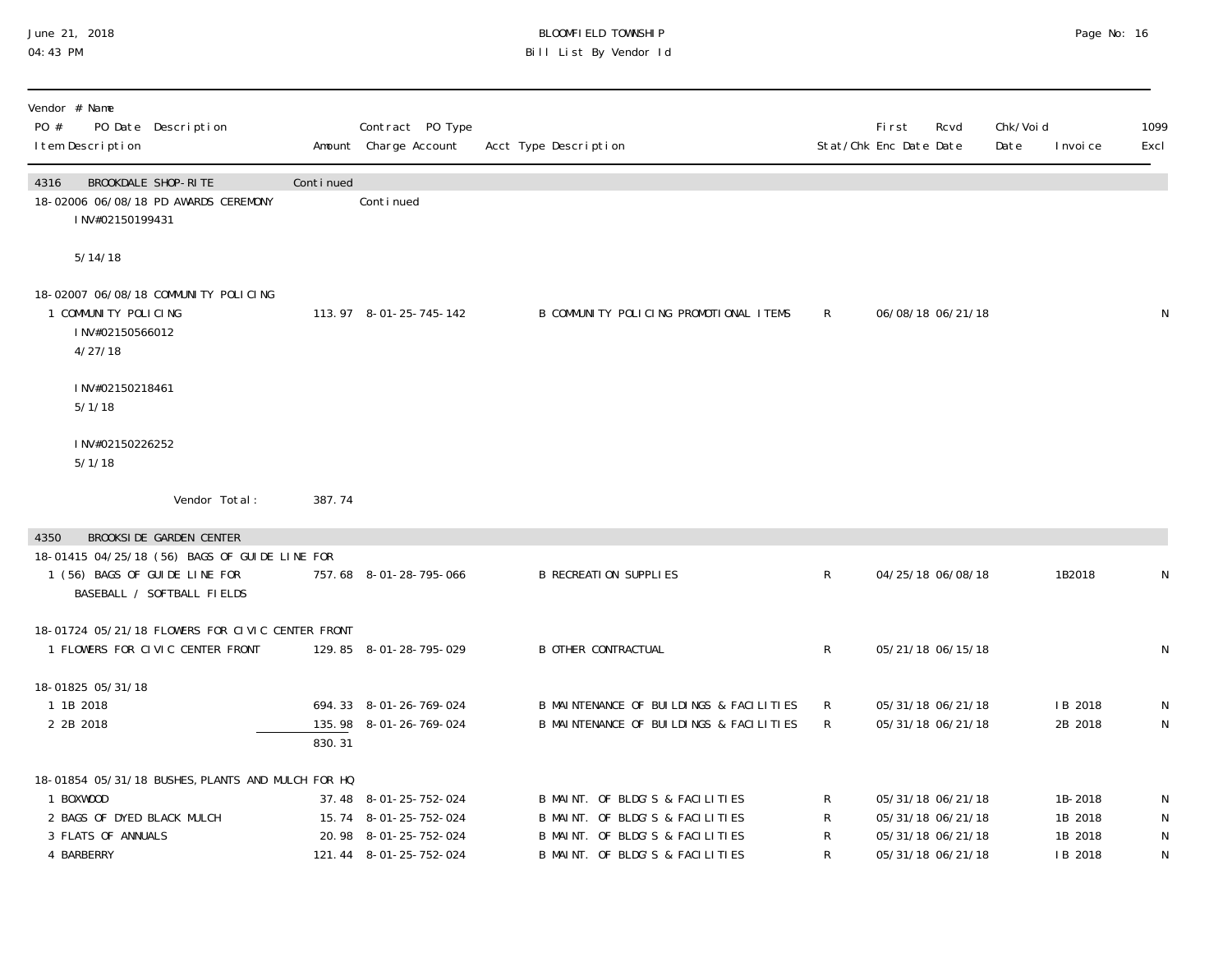## June 21, 2018 BLOOMFIELD TOWNSHIP Page 2018 Page No: 16 04:43 PM Bill List By Vendor Id

| Vendor # Name<br>PO #<br>PO Date Description<br>I tem Description                                                                |           | Contract PO Type<br>Amount Charge Account                                                         | Acct Type Description                                                                                                                    |                                | <b>First</b><br>Stat/Chk Enc Date Date | Rcvd                                                                             | Chk/Void<br>Date | I nvoi ce                                | 1099<br>Excl                           |
|----------------------------------------------------------------------------------------------------------------------------------|-----------|---------------------------------------------------------------------------------------------------|------------------------------------------------------------------------------------------------------------------------------------------|--------------------------------|----------------------------------------|----------------------------------------------------------------------------------|------------------|------------------------------------------|----------------------------------------|
| BROOKDALE SHOP-RITE<br>4316<br>18-02006 06/08/18 PD AWARDS CEREMONY<br>INV#02150199431                                           | Continued | Continued                                                                                         |                                                                                                                                          |                                |                                        |                                                                                  |                  |                                          |                                        |
| 5/14/18                                                                                                                          |           |                                                                                                   |                                                                                                                                          |                                |                                        |                                                                                  |                  |                                          |                                        |
| 18-02007 06/08/18 COMMUNITY POLICING<br>1 COMMUNITY POLICING<br>INV#02150566012<br>4/27/18                                       |           | 113.97 8-01-25-745-142                                                                            | B COMMUNITY POLICING PROMOTIONAL ITEMS                                                                                                   | $\mathsf{R}$                   |                                        | 06/08/18 06/21/18                                                                |                  |                                          | $\mathsf{N}$                           |
| INV#02150218461<br>5/1/18                                                                                                        |           |                                                                                                   |                                                                                                                                          |                                |                                        |                                                                                  |                  |                                          |                                        |
| INV#02150226252<br>5/1/18                                                                                                        |           |                                                                                                   |                                                                                                                                          |                                |                                        |                                                                                  |                  |                                          |                                        |
| Vendor Total:                                                                                                                    | 387.74    |                                                                                                   |                                                                                                                                          |                                |                                        |                                                                                  |                  |                                          |                                        |
| <b>BROOKSIDE GARDEN CENTER</b><br>4350                                                                                           |           |                                                                                                   |                                                                                                                                          |                                |                                        |                                                                                  |                  |                                          |                                        |
| 18-01415 04/25/18 (56) BAGS OF GUIDE LINE FOR<br>1 (56) BAGS OF GUIDE LINE FOR<br>BASEBALL / SOFTBALL FIELDS                     |           | 757.68 8-01-28-795-066                                                                            | <b>B RECREATION SUPPLIES</b>                                                                                                             | $\mathsf{R}$                   |                                        | 04/25/18 06/08/18                                                                |                  | 1B2018                                   | $\mathsf N$                            |
| 18-01724 05/21/18 FLOWERS FOR CIVIC CENTER FRONT<br>1 FLOWERS FOR CIVIC CENTER FRONT                                             |           | 129.85 8-01-28-795-029                                                                            | <b>B OTHER CONTRACTUAL</b>                                                                                                               | $\mathsf{R}^-$                 |                                        | 05/21/18 06/15/18                                                                |                  |                                          | N                                      |
| 18-01825 05/31/18<br>1 1B 2018<br>2 2B 2018                                                                                      | 830.31    | 694.33 8-01-26-769-024<br>135.98 8-01-26-769-024                                                  | B MAINTENANCE OF BUILDINGS & FACILITIES<br>B MAINTENANCE OF BUILDINGS & FACILITIES                                                       | $\mathsf{R}^-$<br>$\mathsf{R}$ |                                        | 05/31/18 06/21/18<br>05/31/18 06/21/18                                           |                  | IB 2018<br>2B 2018                       | N<br>$\mathsf N$                       |
| 18-01854 05/31/18 BUSHES, PLANTS AND MULCH FOR HQ<br>1 BOXWOOD<br>2 BAGS OF DYED BLACK MULCH<br>3 FLATS OF ANNUALS<br>4 BARBERRY |           | 37.48 8-01-25-752-024<br>15.74 8-01-25-752-024<br>20.98 8-01-25-752-024<br>121.44 8-01-25-752-024 | B MAINT. OF BLDG'S & FACILITIES<br>B MAINT. OF BLDG'S & FACILITIES<br>B MAINT. OF BLDG'S & FACILITIES<br>B MAINT. OF BLDG'S & FACILITIES | R<br>R<br>R                    |                                        | 05/31/18 06/21/18<br>05/31/18 06/21/18<br>05/31/18 06/21/18<br>05/31/18 06/21/18 |                  | 1B-2018<br>1B 2018<br>1B 2018<br>IB 2018 | N<br>N<br>$\mathsf{N}$<br>$\mathsf{N}$ |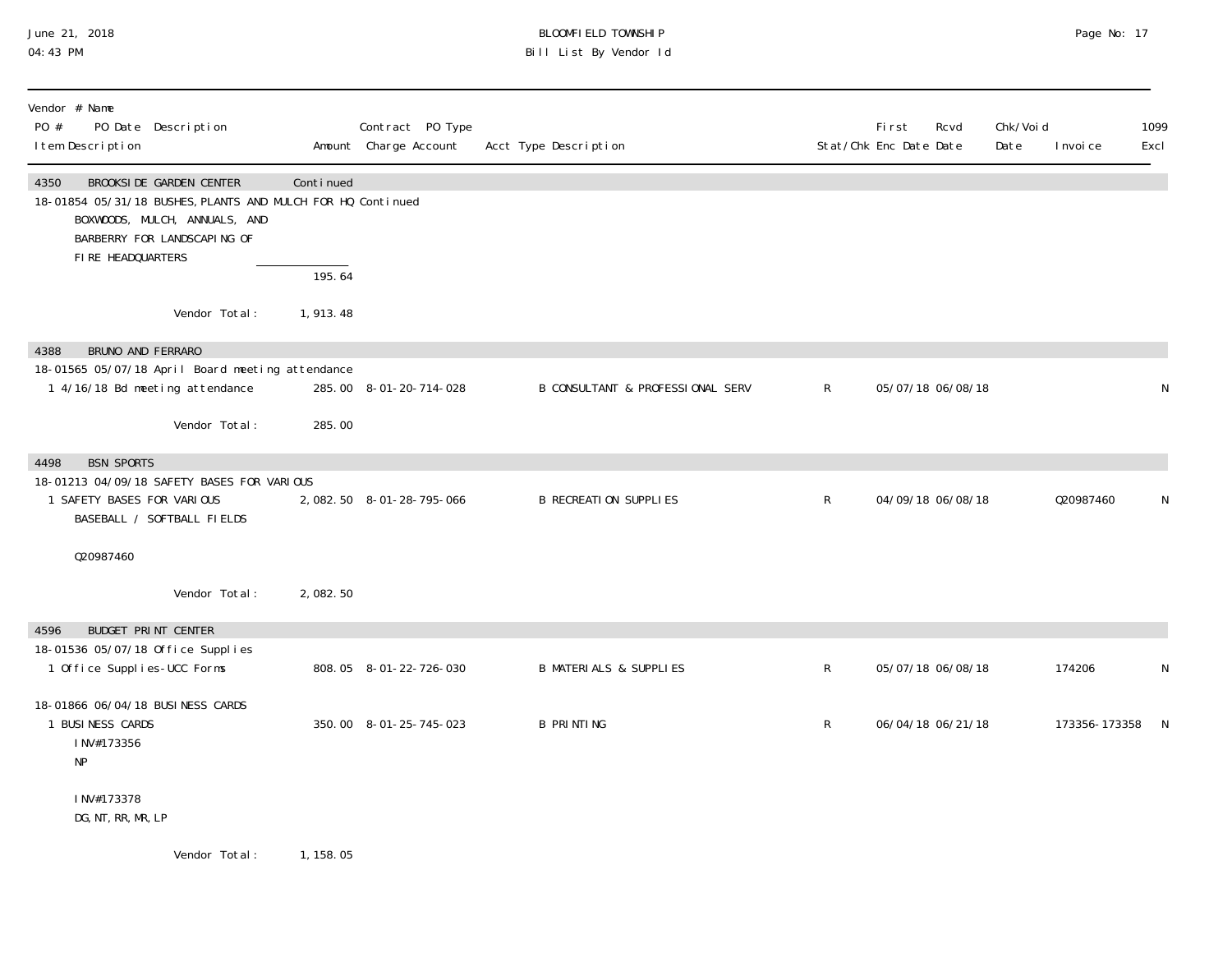## June 21, 2018 BLOOMFIELD TOWNSHIP Page 2018 Page No: 17 04:43 PM Bill List By Vendor Id

| Vendor # Name<br>PO #<br>PO Date Description<br>I tem Description                                                                                                                          |           | Contract PO Type<br>Amount Charge Account | Acct Type Description             |   | First<br>Rcvd<br>Stat/Chk Enc Date Date | Chk/Voi d<br>Date | I nvoi ce       | 1099<br>Excl |
|--------------------------------------------------------------------------------------------------------------------------------------------------------------------------------------------|-----------|-------------------------------------------|-----------------------------------|---|-----------------------------------------|-------------------|-----------------|--------------|
| <b>BROOKSIDE GARDEN CENTER</b><br>4350<br>18-01854 05/31/18 BUSHES, PLANTS AND MULCH FOR HQ Continued<br>BOXWOODS, MULCH, ANNUALS, AND<br>BARBERRY FOR LANDSCAPING OF<br>FIRE HEADQUARTERS | Continued |                                           |                                   |   |                                         |                   |                 |              |
|                                                                                                                                                                                            | 195.64    |                                           |                                   |   |                                         |                   |                 |              |
| Vendor Total:                                                                                                                                                                              | 1,913.48  |                                           |                                   |   |                                         |                   |                 |              |
| BRUNO AND FERRARO<br>4388                                                                                                                                                                  |           |                                           |                                   |   |                                         |                   |                 |              |
| 18-01565 05/07/18 April Board meeting attendance<br>1 4/16/18 Bd meeting attendance                                                                                                        |           | 285.00 8-01-20-714-028                    | B CONSULTANT & PROFESSIONAL SERV  | R | 05/07/18 06/08/18                       |                   |                 | $\mathsf{N}$ |
| Vendor Total:                                                                                                                                                                              | 285.00    |                                           |                                   |   |                                         |                   |                 |              |
| <b>BSN SPORTS</b><br>4498                                                                                                                                                                  |           |                                           |                                   |   |                                         |                   |                 |              |
| 18-01213 04/09/18 SAFETY BASES FOR VARIOUS<br>1 SAFETY BASES FOR VARIOUS<br>BASEBALL / SOFTBALL FIELDS                                                                                     |           | 2,082.50 8-01-28-795-066                  | <b>B RECREATION SUPPLIES</b>      | R | 04/09/18 06/08/18                       |                   | 020987460       | $\mathsf N$  |
| 020987460                                                                                                                                                                                  |           |                                           |                                   |   |                                         |                   |                 |              |
| Vendor Total:                                                                                                                                                                              | 2,082.50  |                                           |                                   |   |                                         |                   |                 |              |
| <b>BUDGET PRINT CENTER</b><br>4596                                                                                                                                                         |           |                                           |                                   |   |                                         |                   |                 |              |
| 18-01536 05/07/18 Office Supplies<br>1 Office Supplies-UCC Forms                                                                                                                           |           | 808.05 8-01-22-726-030                    | <b>B MATERIALS &amp; SUPPLIES</b> | R | 05/07/18 06/08/18                       |                   | 174206          | $\mathsf{N}$ |
| 18-01866 06/04/18 BUSINESS CARDS<br>1 BUSINESS CARDS<br>INV#173356<br>NP                                                                                                                   |           | 350.00 8-01-25-745-023                    | <b>B PRINTING</b>                 | R | 06/04/18 06/21/18                       |                   | 173356-173358 N |              |
| INV#173378<br>DG, NT, RR, MR, LP                                                                                                                                                           |           |                                           |                                   |   |                                         |                   |                 |              |
| Vendor Total:                                                                                                                                                                              | 1, 158.05 |                                           |                                   |   |                                         |                   |                 |              |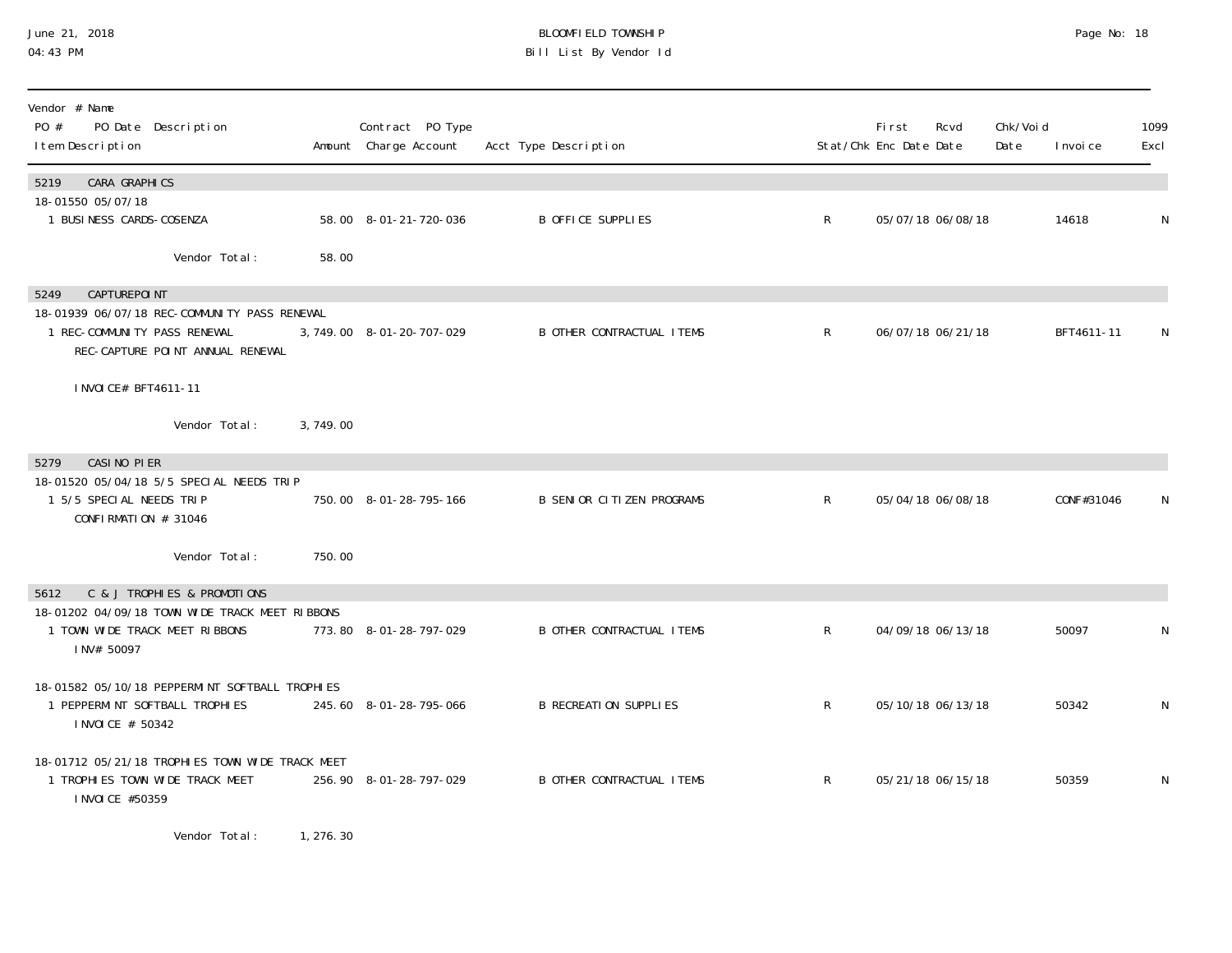## June 21, 2018 BLOOMFIELD TOWNSHIP Page 2018 Page No: 18 04:43 PM Bill List By Vendor Id

| Vendor # Name<br>PO #<br>PO Date Description<br>I tem Description                                                |                           | Contract PO Type<br>Amount Charge Account | Acct Type Description            |              | First<br>Stat/Chk Enc Date Date | Rcvd              | Chk/Voi d<br>Date | I nvoi ce  | 1099<br>Excl |
|------------------------------------------------------------------------------------------------------------------|---------------------------|-------------------------------------------|----------------------------------|--------------|---------------------------------|-------------------|-------------------|------------|--------------|
| CARA GRAPHICS<br>5219<br>18-01550 05/07/18                                                                       |                           |                                           |                                  |              |                                 |                   |                   |            |              |
| 1 BUSINESS CARDS-COSENZA                                                                                         |                           | 58.00 8-01-21-720-036                     | <b>B OFFICE SUPPLIES</b>         | $\mathsf{R}$ |                                 | 05/07/18 06/08/18 |                   | 14618      | N            |
|                                                                                                                  | Vendor Total:<br>58.00    |                                           |                                  |              |                                 |                   |                   |            |              |
| <b>CAPTUREPOINT</b><br>5249                                                                                      |                           |                                           |                                  |              |                                 |                   |                   |            |              |
| 18-01939 06/07/18 REC-COMMUNITY PASS RENEWAL<br>1 REC-COMMUNITY PASS RENEWAL<br>REC-CAPTURE POINT ANNUAL RENEWAL |                           | 3, 749.00 8-01-20-707-029                 | <b>B OTHER CONTRACTUAL ITEMS</b> | $\mathsf{R}$ |                                 | 06/07/18 06/21/18 |                   | BFT4611-11 |              |
| I NVOI CE# BFT4611-11                                                                                            |                           |                                           |                                  |              |                                 |                   |                   |            |              |
|                                                                                                                  | Vendor Total:<br>3,749.00 |                                           |                                  |              |                                 |                   |                   |            |              |
| CASINO PIER<br>5279                                                                                              |                           |                                           |                                  |              |                                 |                   |                   |            |              |
| 18-01520 05/04/18 5/5 SPECIAL NEEDS TRIP<br>1 5/5 SPECIAL NEEDS TRIP<br>CONFIRMATION # 31046                     |                           | 750.00 8-01-28-795-166                    | <b>B SENIOR CITIZEN PROGRAMS</b> | $\mathsf{R}$ |                                 | 05/04/18 06/08/18 |                   | CONF#31046 | N            |
|                                                                                                                  | Vendor Total:<br>750.00   |                                           |                                  |              |                                 |                   |                   |            |              |
| C & J TROPHIES & PROMOTIONS<br>5612                                                                              |                           |                                           |                                  |              |                                 |                   |                   |            |              |
| 18-01202 04/09/18 TOWN WIDE TRACK MEET RIBBONS<br>1 TOWN WIDE TRACK MEET RIBBONS<br>INV# 50097                   |                           | 773.80 8-01-28-797-029                    | <b>B OTHER CONTRACTUAL ITEMS</b> | $\mathsf{R}$ |                                 | 04/09/18 06/13/18 |                   | 50097      | N            |
| 18-01582 05/10/18 PEPPERMINT SOFTBALL TROPHIES<br>1 PEPPERMINT SOFTBALL TROPHIES<br>I NVOI CE # 50342            |                           | 245.60 8-01-28-795-066                    | <b>B RECREATION SUPPLIES</b>     | $\mathsf{R}$ |                                 | 05/10/18 06/13/18 |                   | 50342      | N            |
| 18-01712 05/21/18 TROPHIES TOWN WIDE TRACK MEET<br>1 TROPHIES TOWN WIDE TRACK MEET<br>I NVOI CE #50359           |                           | 256.90 8-01-28-797-029                    | <b>B OTHER CONTRACTUAL ITEMS</b> | $\mathsf{R}$ |                                 | 05/21/18 06/15/18 |                   | 50359      | N            |
|                                                                                                                  |                           |                                           |                                  |              |                                 |                   |                   |            |              |

Vendor Total: 1, 276.30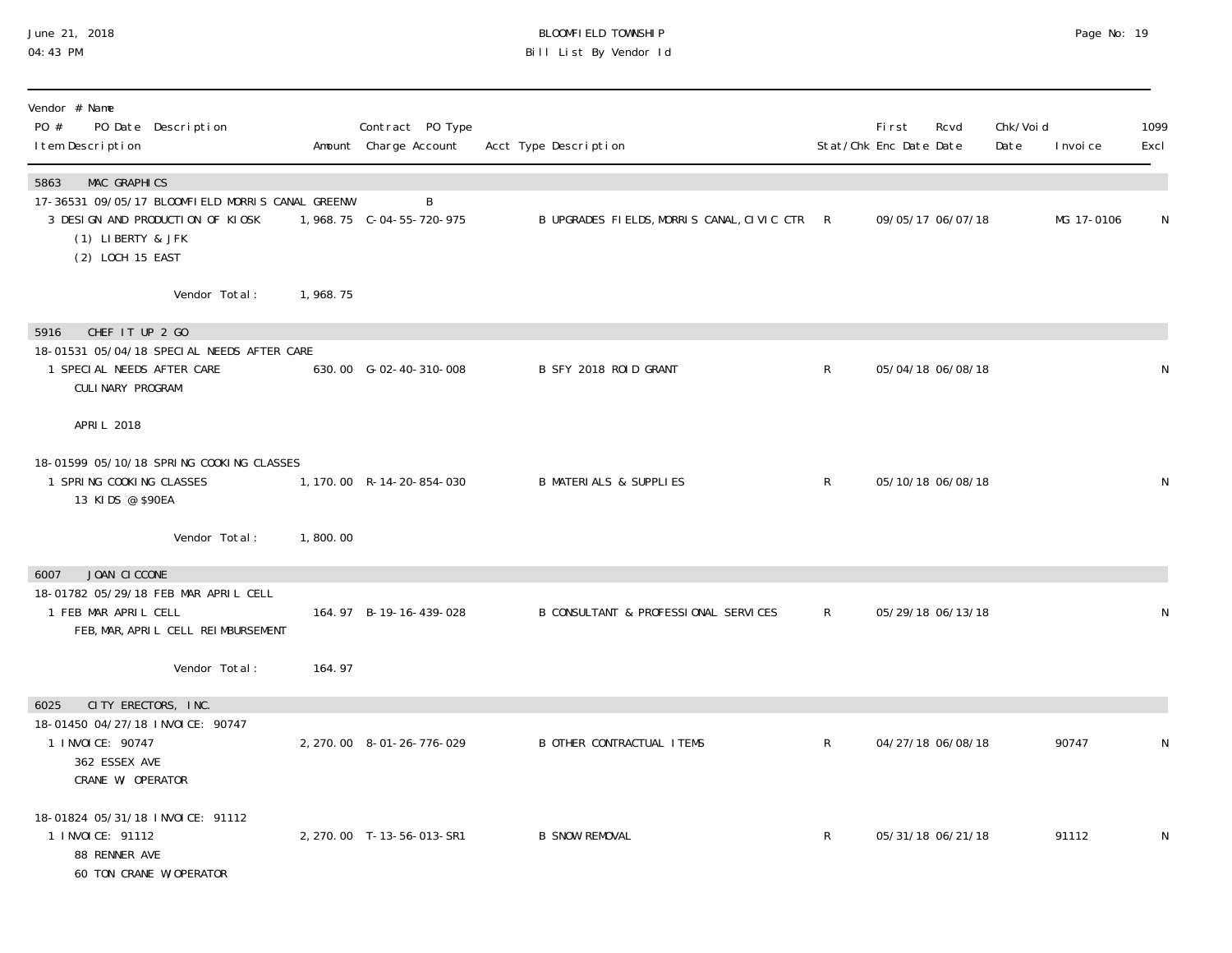## June 21, 2018 BLOOMFIELD TOWNSHIP Page 2018 Page No: 19 04:43 PM Bill List By Vendor Id

| Vendor # Name<br>PO #<br>PO Date Description<br>I tem Description                                                                                            |          | Contract PO Type<br>Amount Charge Account | Acct Type Description                        |              | First<br>Stat/Chk Enc Date Date | Rcvd              | Chk/Voi d<br>Date | I nvoi ce  | 1099<br>Excl |
|--------------------------------------------------------------------------------------------------------------------------------------------------------------|----------|-------------------------------------------|----------------------------------------------|--------------|---------------------------------|-------------------|-------------------|------------|--------------|
| <b>MAC GRAPHICS</b><br>5863<br>17-36531 09/05/17 BLOOMFIELD MORRIS CANAL GREENW<br>3 DESIGN AND PRODUCTION OF KIOSK<br>(1) LIBERTY & JFK<br>(2) LOCH 15 EAST |          | B                                         | B UPGRADES FIELDS, MORRIS CANAL, CIVIC CTR R |              |                                 | 09/05/17 06/07/18 |                   | MG 17-0106 | N            |
| Vendor Total:                                                                                                                                                | 1,968.75 |                                           |                                              |              |                                 |                   |                   |            |              |
| CHEF IT UP 2 GO<br>5916<br>18-01531 05/04/18 SPECIAL NEEDS AFTER CARE<br>1 SPECIAL NEEDS AFTER CARE<br>CULINARY PROGRAM                                      |          | 630.00 G-02-40-310-008                    | B SFY 2018 ROID GRANT                        | $\mathsf{R}$ |                                 | 05/04/18 06/08/18 |                   |            | N            |
| APRIL 2018                                                                                                                                                   |          |                                           |                                              |              |                                 |                   |                   |            |              |
| 18-01599 05/10/18 SPRING COOKING CLASSES<br>1 SPRING COOKING CLASSES<br>13 KIDS @ \$90EA                                                                     |          | 1, 170.00 R-14-20-854-030                 | <b>B MATERIALS &amp; SUPPLIES</b>            | $\mathsf{R}$ |                                 | 05/10/18 06/08/18 |                   |            | N            |
| Vendor Total:                                                                                                                                                | 1,800.00 |                                           |                                              |              |                                 |                   |                   |            |              |
| JOAN CICCONE<br>6007<br>18-01782 05/29/18 FEB MAR APRIL CELL<br>1 FEB MAR APRIL CELL<br>FEB, MAR, APRIL CELL REIMBURSEMENT                                   |          | 164.97 B-19-16-439-028                    | B CONSULTANT & PROFESSIONAL SERVICES         | $\mathsf{R}$ |                                 | 05/29/18 06/13/18 |                   |            | N            |
| Vendor Total:                                                                                                                                                | 164.97   |                                           |                                              |              |                                 |                   |                   |            |              |
| 6025<br>CITY ERECTORS, INC.<br>18-01450 04/27/18 INVOICE: 90747<br>1 I NVOI CE: 90747<br>362 ESSEX AVE<br>CRANE W/ OPERATOR                                  |          | 2, 270.00 8-01-26-776-029                 | <b>B OTHER CONTRACTUAL ITEMS</b>             | $\mathsf{R}$ |                                 | 04/27/18 06/08/18 |                   | 90747      | N            |
| 18-01824 05/31/18 INVOICE: 91112<br>1 INVOICE: 91112<br>88 RENNER AVE<br>60 TON CRANE W/OPERATOR                                                             |          | 2, 270.00 T-13-56-013-SR1                 | <b>B SNOW REMOVAL</b>                        | R            |                                 | 05/31/18 06/21/18 |                   | 91112      | N            |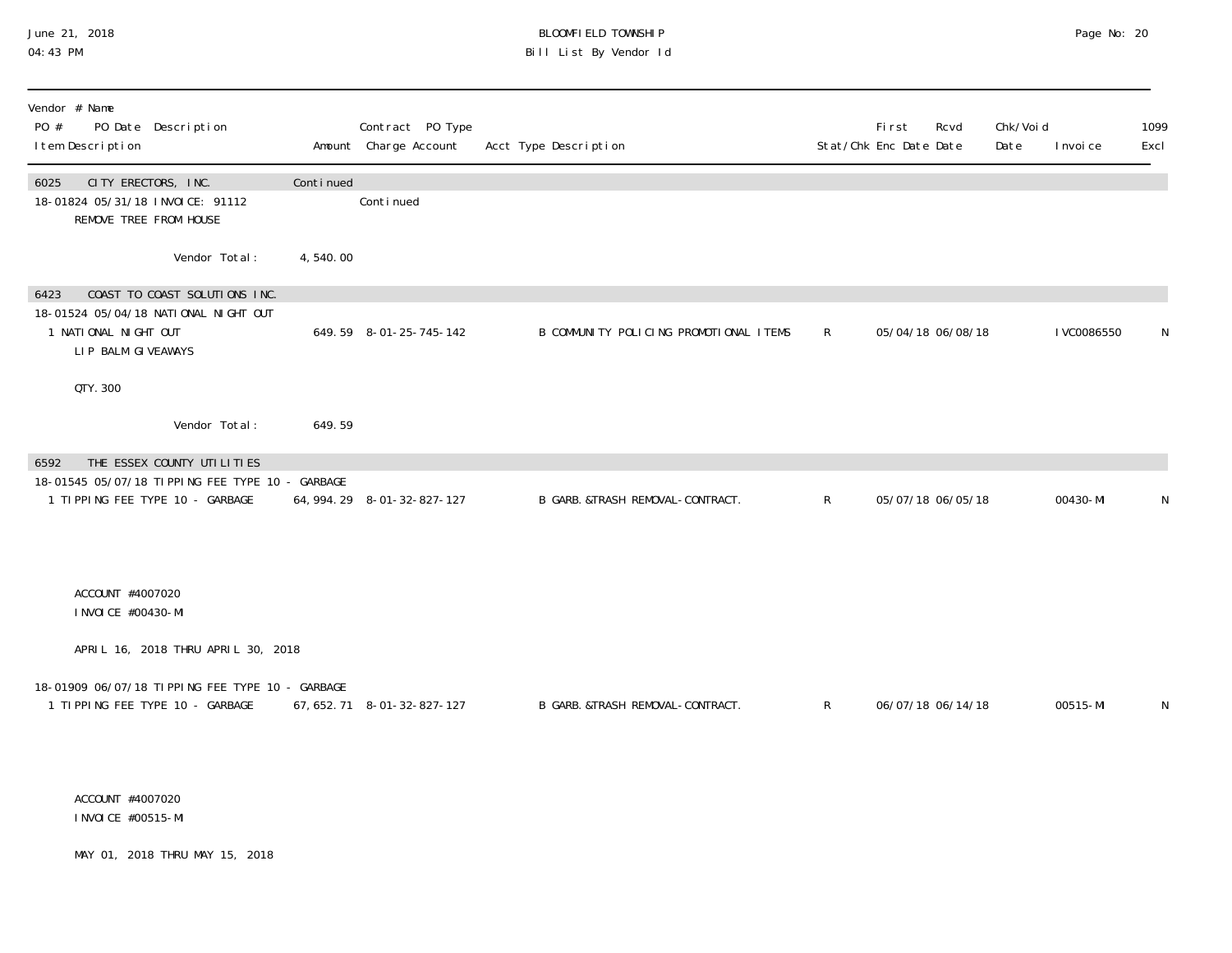## June 21, 2018 BLOOMFIELD TOWNSHIP Page No: 20 04:43 PM Bill List By Vendor Id

| Vendor # Name<br>PO #<br>PO Date Description<br>I tem Description                                                           |           | Contract PO Type<br>Amount Charge Account | Acct Type Description                  |              | First<br>Rcvd<br>Stat/Chk Enc Date Date | Chk/Voi d<br>Date | I nvoi ce   | 1099<br>Excl |
|-----------------------------------------------------------------------------------------------------------------------------|-----------|-------------------------------------------|----------------------------------------|--------------|-----------------------------------------|-------------------|-------------|--------------|
| CITY ERECTORS, INC.<br>6025<br>18-01824 05/31/18 INVOICE: 91112<br>REMOVE TREE FROM HOUSE                                   | Continued | Continued                                 |                                        |              |                                         |                   |             |              |
| Vendor Total:                                                                                                               | 4,540.00  |                                           |                                        |              |                                         |                   |             |              |
| COAST TO COAST SOLUTIONS INC.<br>6423<br>18-01524 05/04/18 NATIONAL NIGHT OUT<br>1 NATIONAL NIGHT OUT<br>LIP BALM GIVEAWAYS |           | 649.59 8-01-25-745-142                    | B COMMUNITY POLICING PROMOTIONAL ITEMS | $\mathsf{R}$ | 05/04/18 06/08/18                       |                   | I VC0086550 | N            |
| QTY. 300                                                                                                                    |           |                                           |                                        |              |                                         |                   |             |              |
| Vendor Total:                                                                                                               | 649.59    |                                           |                                        |              |                                         |                   |             |              |
| 6592<br>THE ESSEX COUNTY UTILITIES<br>18-01545 05/07/18 TIPPING FEE TYPE 10 - GARBAGE<br>1 TIPPING FEE TYPE 10 - GARBAGE    |           | 64, 994. 29 8-01-32-827-127               | B GARB. &TRASH REMOVAL-CONTRACT.       | $\mathsf{R}$ | 05/07/18 06/05/18                       |                   | 00430-MI    | N            |
| ACCOUNT #4007020<br>I NVOI CE #00430-MI                                                                                     |           |                                           |                                        |              |                                         |                   |             |              |
| APRIL 16, 2018 THRU APRIL 30, 2018                                                                                          |           |                                           |                                        |              |                                         |                   |             |              |
| 18-01909 06/07/18 TIPPING FEE TYPE 10 - GARBAGE<br>1 TIPPING FEE TYPE 10 - GARBAGE                                          |           | 67, 652. 71 8-01-32-827-127               | B GARB. &TRASH REMOVAL-CONTRACT.       | $\mathsf{R}$ | 06/07/18 06/14/18                       |                   | 00515-MI    | N            |
| ACCOUNT #4007020<br>I NVOI CE #00515-MI                                                                                     |           |                                           |                                        |              |                                         |                   |             |              |
| MAY 01, 2018 THRU MAY 15, 2018                                                                                              |           |                                           |                                        |              |                                         |                   |             |              |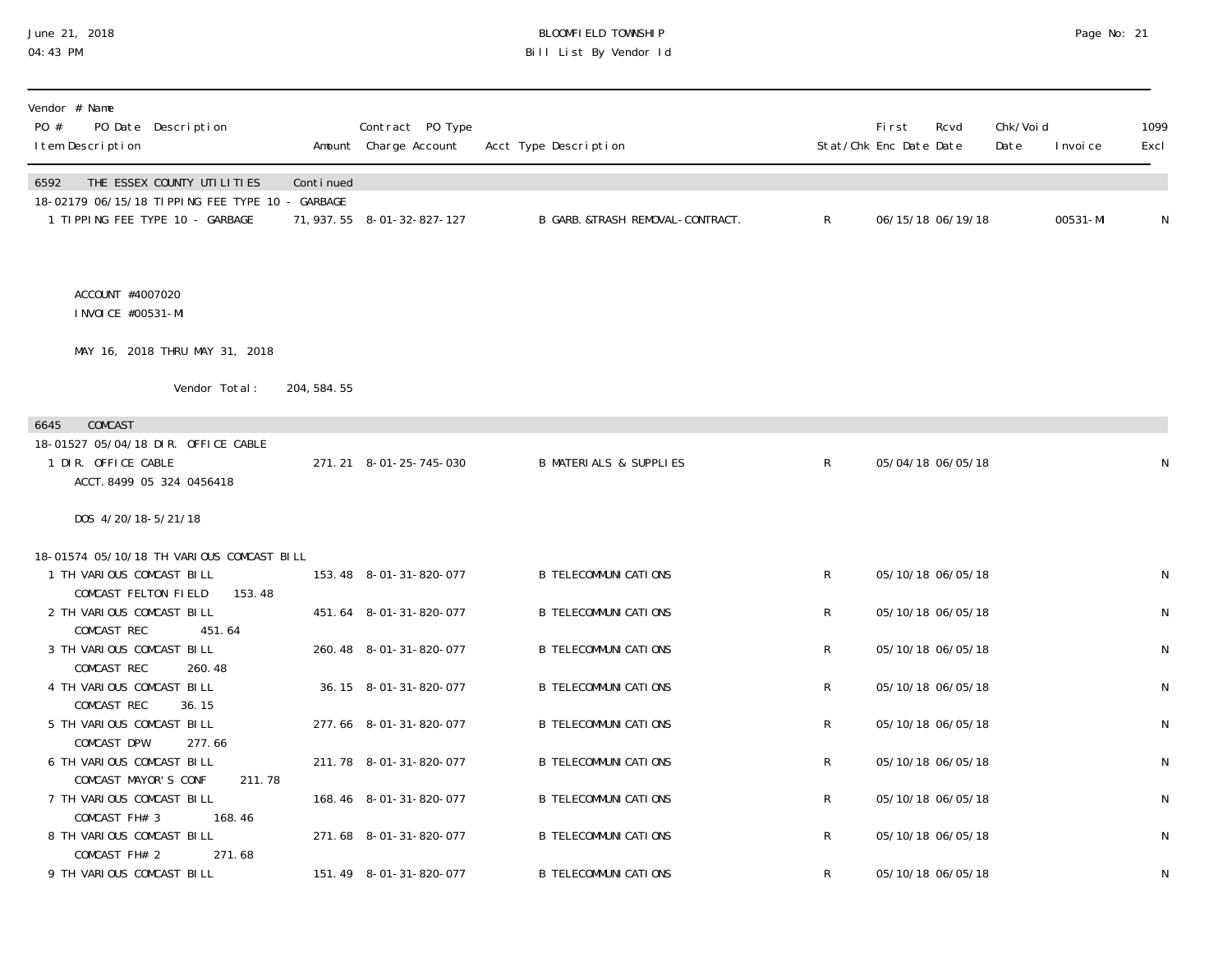## June 21, 2018 BLOOMFIELD TOWNSHIP Page No: 21 04:43 PM Bill List By Vendor Id

| Continued |                                                                                                              | Acct Type Description                                                                                                                                                                                                                                                                          |                                                                                                                                                               | Stat/Chk Enc Date Date                              | Rcvd | Chk/Void<br>Date                                                                                                                                                                                               | I nvoi ce         | 1099<br>Excl |
|-----------|--------------------------------------------------------------------------------------------------------------|------------------------------------------------------------------------------------------------------------------------------------------------------------------------------------------------------------------------------------------------------------------------------------------------|---------------------------------------------------------------------------------------------------------------------------------------------------------------|-----------------------------------------------------|------|----------------------------------------------------------------------------------------------------------------------------------------------------------------------------------------------------------------|-------------------|--------------|
|           |                                                                                                              | B GARB. &TRASH REMOVAL-CONTRACT.                                                                                                                                                                                                                                                               | $\mathsf{R}$                                                                                                                                                  |                                                     |      |                                                                                                                                                                                                                | 00531-MI          | N            |
|           |                                                                                                              |                                                                                                                                                                                                                                                                                                |                                                                                                                                                               |                                                     |      |                                                                                                                                                                                                                |                   |              |
|           |                                                                                                              |                                                                                                                                                                                                                                                                                                |                                                                                                                                                               |                                                     |      |                                                                                                                                                                                                                |                   |              |
|           |                                                                                                              |                                                                                                                                                                                                                                                                                                |                                                                                                                                                               |                                                     |      |                                                                                                                                                                                                                |                   |              |
|           |                                                                                                              |                                                                                                                                                                                                                                                                                                |                                                                                                                                                               |                                                     |      |                                                                                                                                                                                                                |                   |              |
|           |                                                                                                              | <b>B MATERIALS &amp; SUPPLIES</b>                                                                                                                                                                                                                                                              | $\mathsf{R}$                                                                                                                                                  |                                                     |      |                                                                                                                                                                                                                |                   | N            |
|           |                                                                                                              |                                                                                                                                                                                                                                                                                                |                                                                                                                                                               |                                                     |      |                                                                                                                                                                                                                |                   |              |
|           |                                                                                                              |                                                                                                                                                                                                                                                                                                |                                                                                                                                                               |                                                     |      |                                                                                                                                                                                                                |                   |              |
|           |                                                                                                              | <b>B TELECOMMUNI CATIONS</b>                                                                                                                                                                                                                                                                   | $\mathsf{R}$                                                                                                                                                  |                                                     |      |                                                                                                                                                                                                                |                   | N            |
|           |                                                                                                              | <b>B TELECOMMUNI CATIONS</b>                                                                                                                                                                                                                                                                   | R                                                                                                                                                             |                                                     |      |                                                                                                                                                                                                                |                   | N            |
|           |                                                                                                              |                                                                                                                                                                                                                                                                                                |                                                                                                                                                               |                                                     |      |                                                                                                                                                                                                                |                   | N            |
|           |                                                                                                              |                                                                                                                                                                                                                                                                                                |                                                                                                                                                               |                                                     |      |                                                                                                                                                                                                                |                   |              |
|           |                                                                                                              |                                                                                                                                                                                                                                                                                                |                                                                                                                                                               |                                                     |      |                                                                                                                                                                                                                |                   | N            |
|           |                                                                                                              | <b>B TELECOMMUNI CATIONS</b>                                                                                                                                                                                                                                                                   | R                                                                                                                                                             |                                                     |      |                                                                                                                                                                                                                |                   | ${\sf N}$    |
|           |                                                                                                              |                                                                                                                                                                                                                                                                                                |                                                                                                                                                               |                                                     |      |                                                                                                                                                                                                                |                   | N            |
|           |                                                                                                              |                                                                                                                                                                                                                                                                                                |                                                                                                                                                               |                                                     |      |                                                                                                                                                                                                                |                   |              |
|           |                                                                                                              |                                                                                                                                                                                                                                                                                                |                                                                                                                                                               |                                                     |      |                                                                                                                                                                                                                |                   | N            |
|           |                                                                                                              | <b>B TELECOMMUNICATIONS</b>                                                                                                                                                                                                                                                                    | $\mathsf{R}^-$                                                                                                                                                |                                                     |      |                                                                                                                                                                                                                |                   | N            |
|           |                                                                                                              |                                                                                                                                                                                                                                                                                                |                                                                                                                                                               |                                                     |      |                                                                                                                                                                                                                |                   | N            |
|           | 18-02179 06/15/18 TIPPING FEE TYPE 10 - GARBAGE<br>204, 584. 55<br>18-01574 05/10/18 TH VARIOUS COMCAST BILL | 71, 937. 55 8-01-32-827-127<br>271.21 8-01-25-745-030<br>153.48 8-01-31-820-077<br>451.64 8-01-31-820-077<br>260.48 8-01-31-820-077<br>36.15 8-01-31-820-077<br>277.66 8-01-31-820-077<br>211.78 8-01-31-820-077<br>168.46 8-01-31-820-077<br>271.68 8-01-31-820-077<br>151.49 8-01-31-820-077 | <b>B TELECOMMUNI CATIONS</b><br><b>B TELECOMMUNI CATIONS</b><br><b>B TELECOMMUNI CATIONS</b><br><b>B TELECOMMUNI CATIONS</b><br><b>B TELECOMMUNI CATI ONS</b> | $\mathsf R$<br>$\mathsf R$<br>R<br>$\mathsf R$<br>R |      | 06/15/18 06/19/18<br>05/04/18 06/05/18<br>05/10/18 06/05/18<br>05/10/18 06/05/18<br>05/10/18 06/05/18<br>05/10/18 06/05/18<br>05/10/18 06/05/18<br>05/10/18 06/05/18<br>05/10/18 06/05/18<br>05/10/18 06/05/18 | 05/10/18 06/05/18 |              |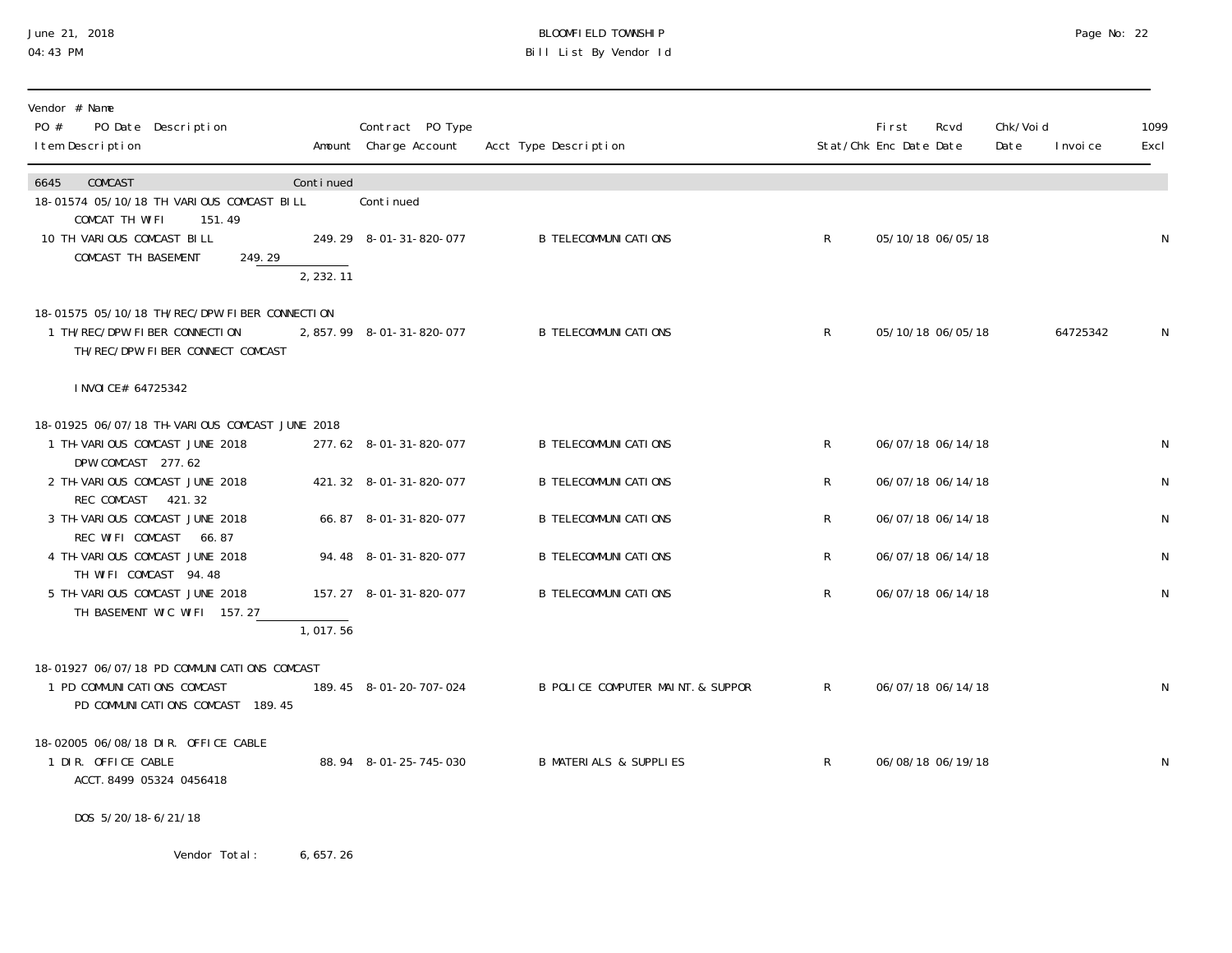## June 21, 2018 BLOOMFIELD TOWNSHIP Page No: 22 04:43 PM Bill List By Vendor Id

| Vendor # Name<br>PO #<br>PO Date Description<br>I tem Description                                                  |           | Contract PO Type<br>Amount Charge Account | Acct Type Description             |              | <b>First</b><br>Stat/Chk Enc Date Date | Rcvd              | Chk/Void<br>Date | I nvoi ce | 1099<br>Excl |
|--------------------------------------------------------------------------------------------------------------------|-----------|-------------------------------------------|-----------------------------------|--------------|----------------------------------------|-------------------|------------------|-----------|--------------|
| COMCAST<br>6645<br>18-01574 05/10/18 TH VARIOUS COMCAST BILL                                                       | Continued | Continued                                 |                                   |              |                                        |                   |                  |           |              |
| COMCAT TH WIFI<br>151.49<br>10 TH VARIOUS COMCAST BILL<br>COMCAST TH BASEMENT<br>249.29                            |           | 249.29 8-01-31-820-077                    | <b>B TELECOMMUNI CATI ONS</b>     | $\mathsf{R}$ |                                        | 05/10/18 06/05/18 |                  |           | N            |
|                                                                                                                    | 2, 232.11 |                                           |                                   |              |                                        |                   |                  |           |              |
| 18-01575 05/10/18 TH/REC/DPW FIBER CONNECTION<br>1 TH/REC/DPW FIBER CONNECTION<br>TH/REC/DPW FIBER CONNECT COMCAST |           | 2,857.99 8-01-31-820-077                  | <b>B TELECOMMUNI CATIONS</b>      | $\mathsf{R}$ |                                        | 05/10/18 06/05/18 |                  | 64725342  | N            |
| I NVOI CE# 64725342                                                                                                |           |                                           |                                   |              |                                        |                   |                  |           |              |
| 18-01925 06/07/18 TH-VARIOUS COMCAST JUNE 2018<br>1 TH-VARIOUS COMCAST JUNE 2018                                   |           | 277.62 8-01-31-820-077                    | <b>B TELECOMMUNI CATI ONS</b>     | $\mathsf{R}$ |                                        | 06/07/18 06/14/18 |                  |           | N            |
| DPW COMCAST 277.62<br>2 TH-VARIOUS COMCAST JUNE 2018                                                               |           | 421.32 8-01-31-820-077                    | <b>B TELECOMMUNI CATI ONS</b>     | R            |                                        | 06/07/18 06/14/18 |                  |           | $\mathsf{N}$ |
| REC COMCAST 421.32<br>3 TH-VARIOUS COMCAST JUNE 2018                                                               |           | 66.87 8-01-31-820-077                     | <b>B TELECOMMUNI CATI ONS</b>     | R            |                                        | 06/07/18 06/14/18 |                  |           | N            |
| REC WIFI COMCAST 66.87<br>4 TH-VARIOUS COMCAST JUNE 2018<br>TH WIFI COMCAST 94.48                                  |           | 94.48 8-01-31-820-077                     | <b>B TELECOMMUNI CATI ONS</b>     | R            |                                        | 06/07/18 06/14/18 |                  |           | N            |
| 5 TH-VARIOUS COMCAST JUNE 2018<br>TH BASEMENT WIC WIFI 157.27                                                      |           | 157.27 8-01-31-820-077                    | <b>B TELECOMMUNICATIONS</b>       | R            |                                        | 06/07/18 06/14/18 |                  |           | N            |
|                                                                                                                    | 1,017.56  |                                           |                                   |              |                                        |                   |                  |           |              |
| 18-01927 06/07/18 PD COMMUNICATIONS COMCAST<br>1 PD COMMUNICATIONS COMCAST<br>PD COMMUNICATIONS COMCAST 189.45     |           | 189.45 8-01-20-707-024                    | B POLICE COMPUTER MAINT. & SUPPOR | $\mathsf{R}$ |                                        | 06/07/18 06/14/18 |                  |           | N            |
| 18-02005 06/08/18 DIR. OFFICE CABLE<br>1 DIR. OFFICE CABLE<br>ACCT. 8499 05324 0456418                             |           | 88.94 8-01-25-745-030                     | <b>B MATERIALS &amp; SUPPLIES</b> | $\mathsf{R}$ |                                        | 06/08/18 06/19/18 |                  |           | N            |
| DOS 5/20/18-6/21/18                                                                                                |           |                                           |                                   |              |                                        |                   |                  |           |              |

Vendor Total: 6,657.26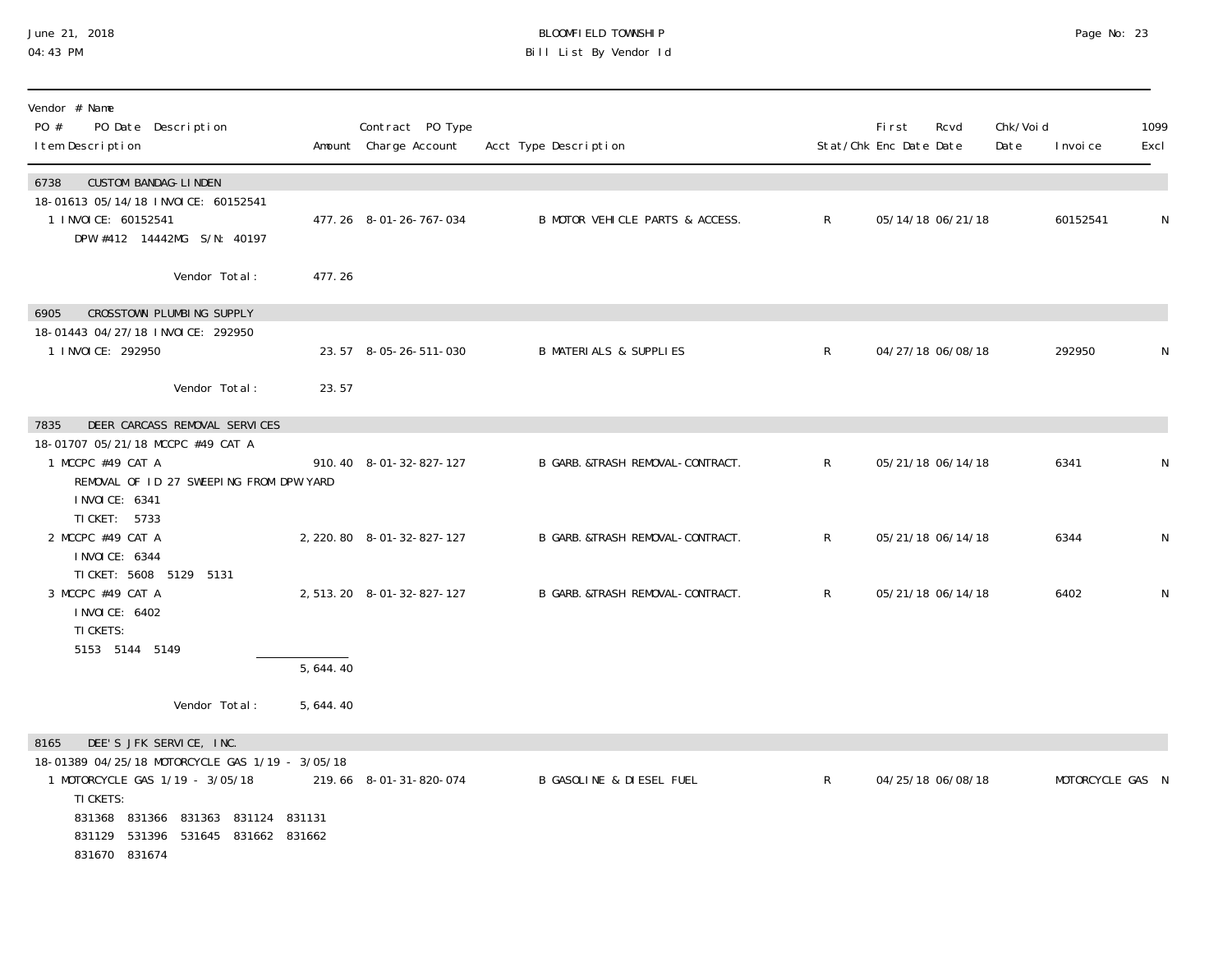## June 21, 2018 BLOOMFIELD TOWNSHIP Page No: 23 04:43 PM Bill List By Vendor Id

| Vendor # Name<br>PO #<br>PO Date Description<br>I tem Description                                                                                                                                                                  |          | Contract PO Type<br>Amount Charge Account | Acct Type Description               |              | First<br>Stat/Chk Enc Date Date | Rcvd              | Chk/Voi d<br>Date | I nvoi ce        | 1099<br>Excl |
|------------------------------------------------------------------------------------------------------------------------------------------------------------------------------------------------------------------------------------|----------|-------------------------------------------|-------------------------------------|--------------|---------------------------------|-------------------|-------------------|------------------|--------------|
| <b>CUSTOM BANDAG-LINDEN</b><br>6738<br>18-01613 05/14/18 INVOICE: 60152541<br>1 I NVOI CE: 60152541<br>DPW #412 14442MG S/N: 40197                                                                                                 |          | 477.26 8-01-26-767-034                    | B MOTOR VEHICLE PARTS & ACCESS.     | $\mathsf{R}$ |                                 | 05/14/18 06/21/18 |                   | 60152541         | N            |
| Vendor Total:                                                                                                                                                                                                                      | 477.26   |                                           |                                     |              |                                 |                   |                   |                  |              |
| CROSSTOWN PLUMBING SUPPLY<br>6905<br>18-01443 04/27/18 INVOICE: 292950<br>1 I NVOI CE: 292950                                                                                                                                      |          | 23.57 8-05-26-511-030                     | <b>B MATERIALS &amp; SUPPLIES</b>   | $\mathsf{R}$ |                                 | 04/27/18 06/08/18 |                   | 292950           |              |
| Vendor Total:                                                                                                                                                                                                                      | 23.57    |                                           |                                     |              |                                 |                   |                   |                  |              |
| DEER CARCASS REMOVAL SERVICES<br>7835<br>18-01707 05/21/18 MCCPC #49 CAT A<br>1 MCCPC #49 CAT A<br>REMOVAL OF ID 27 SWEEPING FROM DPW YARD<br>I NVOI CE: 6341<br>TI CKET: 5733                                                     |          | 910.40 8-01-32-827-127                    | B GARB. & TRASH REMOVAL-CONTRACT.   | $\mathsf{R}$ |                                 | 05/21/18 06/14/18 |                   | 6341             |              |
| 2 MCCPC #49 CAT A<br>I NVOI CE: 6344                                                                                                                                                                                               |          | 2, 220.80 8-01-32-827-127                 | B GARB. &TRASH REMOVAL-CONTRACT.    | $\mathsf{R}$ |                                 | 05/21/18 06/14/18 |                   | 6344             | N            |
| TI CKET: 5608 5129 5131<br>3 MCCPC #49 CAT A<br>I NVOI CE: 6402<br>TI CKETS:<br>5153 5144 5149                                                                                                                                     |          | 2, 513. 20 8-01-32-827-127                | B GARB. &TRASH REMOVAL-CONTRACT.    | $\mathsf{R}$ |                                 | 05/21/18 06/14/18 |                   | 6402             | N            |
|                                                                                                                                                                                                                                    | 5,644.40 |                                           |                                     |              |                                 |                   |                   |                  |              |
| Vendor Total:                                                                                                                                                                                                                      | 5,644.40 |                                           |                                     |              |                                 |                   |                   |                  |              |
| 8165<br>DEE'S JFK SERVICE, INC.<br>18-01389 04/25/18 MOTORCYCLE GAS 1/19 - 3/05/18<br>1 MOTORCYCLE GAS 1/19 - 3/05/18<br>TI CKETS:<br>831368 831366 831363 831124 831131<br>831129 531396<br>531645 831662 831662<br>831670 831674 |          | 219.66 8-01-31-820-074                    | <b>B GASOLINE &amp; DIESEL FUEL</b> | $\mathsf{R}$ |                                 | 04/25/18 06/08/18 |                   | MOTORCYCLE GAS N |              |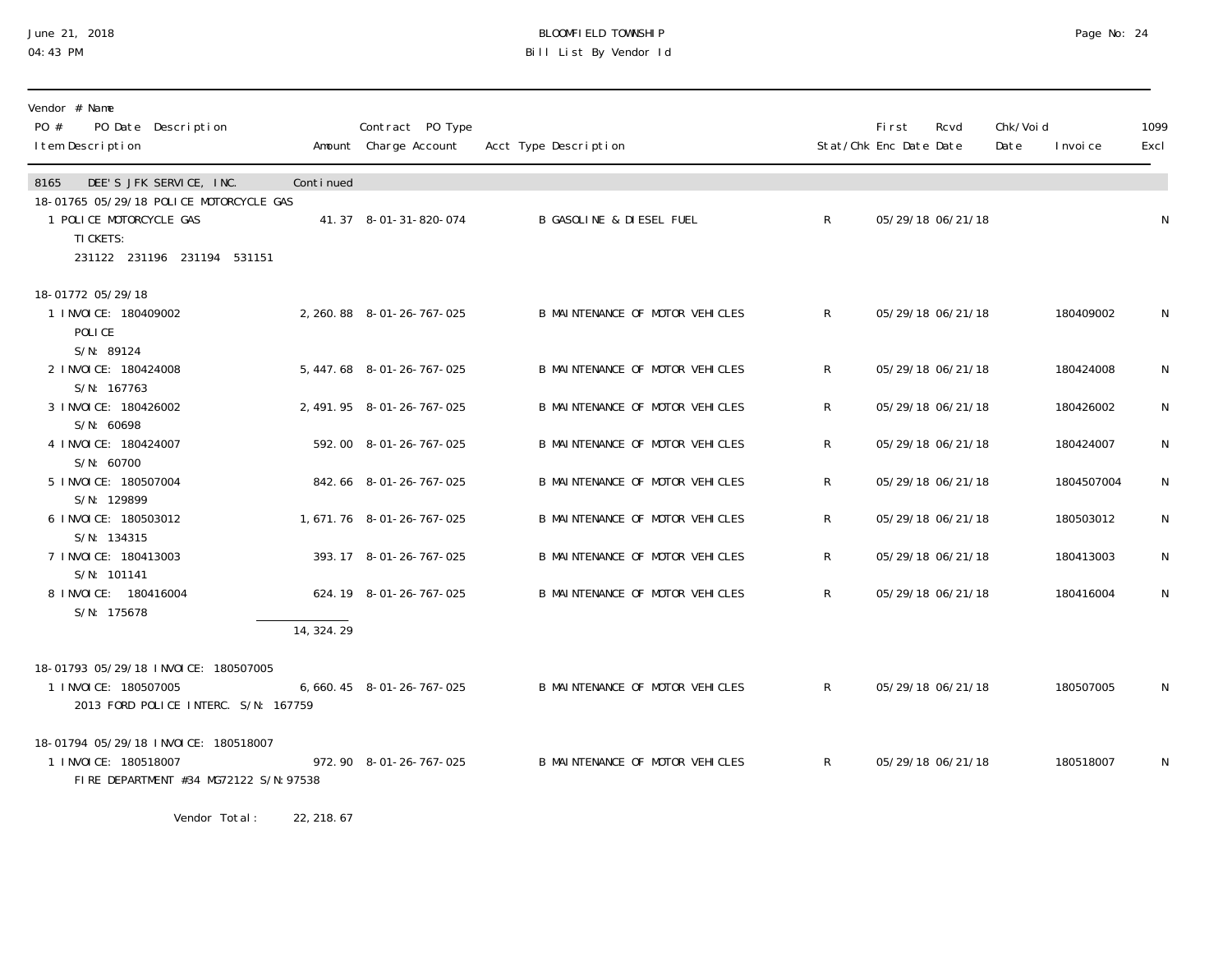## June 21, 2018 BLOOMFIELD TOWNSHIP Page No: 24 04:43 PM Bill List By Vendor Id

| Vendor # Name<br>PO #<br>PO Date Description<br>I tem Description                                              |             | Contract PO Type<br>Amount Charge Account | Acct Type Description                  |              | First<br>Stat/Chk Enc Date Date | Rcvd              | Chk/Voi d<br>Date | I nvoi ce  | 1099<br>Excl |
|----------------------------------------------------------------------------------------------------------------|-------------|-------------------------------------------|----------------------------------------|--------------|---------------------------------|-------------------|-------------------|------------|--------------|
| DEE'S JFK SERVICE, INC.<br>8165                                                                                | Continued   |                                           |                                        |              |                                 |                   |                   |            |              |
| 18-01765 05/29/18 POLICE MOTORCYCLE GAS<br>1 POLICE MOTORCYCLE GAS<br>TI CKETS:<br>231122 231196 231194 531151 |             | 41.37 8-01-31-820-074                     | <b>B GASOLINE &amp; DIESEL FUEL</b>    | $\mathsf{R}$ |                                 | 05/29/18 06/21/18 |                   |            | $\mathsf{N}$ |
| 18-01772 05/29/18                                                                                              |             |                                           |                                        |              |                                 |                   |                   |            |              |
| 1 INVOICE: 180409002<br>POLICE<br>S/N: 89124                                                                   |             | 2, 260.88 8-01-26-767-025                 | <b>B MAINTENANCE OF MOTOR VEHICLES</b> | $\mathsf{R}$ |                                 | 05/29/18 06/21/18 |                   | 180409002  | N            |
| 2 INVOICE: 180424008<br>S/N: 167763                                                                            |             | 5, 447.68 8-01-26-767-025                 | B MAINTENANCE OF MOTOR VEHICLES        | $\mathsf{R}$ |                                 | 05/29/18 06/21/18 |                   | 180424008  | $\mathsf N$  |
| 3 INVOICE: 180426002<br>S/N: 60698                                                                             |             | 2, 491.95 8-01-26-767-025                 | B MAINTENANCE OF MOTOR VEHICLES        | R            |                                 | 05/29/18 06/21/18 |                   | 180426002  | $\mathsf{N}$ |
| 4 INVOICE: 180424007<br>S/N: 60700                                                                             |             | 592.00 8-01-26-767-025                    | <b>B MAINTENANCE OF MOTOR VEHICLES</b> | R            |                                 | 05/29/18 06/21/18 |                   | 180424007  | $\mathsf{N}$ |
| 5 INVOICE: 180507004<br>S/N: 129899                                                                            |             | 842.66 8-01-26-767-025                    | B MAINTENANCE OF MOTOR VEHICLES        | R            |                                 | 05/29/18 06/21/18 |                   | 1804507004 | ${\sf N}$    |
| 6 INVOICE: 180503012<br>S/N: 134315                                                                            |             | 1, 671. 76 8-01-26-767-025                | B MAINTENANCE OF MOTOR VEHICLES        | R            |                                 | 05/29/18 06/21/18 |                   | 180503012  | $\mathsf{N}$ |
| 7 INVOICE: 180413003<br>S/N: 101141                                                                            |             | 393.17 8-01-26-767-025                    | B MAINTENANCE OF MOTOR VEHICLES        | R            |                                 | 05/29/18 06/21/18 |                   | 180413003  | $\mathsf{N}$ |
| 8 I NVOI CE: 180416004<br>S/N: 175678                                                                          |             | 624.19 8-01-26-767-025                    | B MAINTENANCE OF MOTOR VEHICLES        | $\mathsf{R}$ |                                 | 05/29/18 06/21/18 |                   | 180416004  | $\mathsf{N}$ |
|                                                                                                                | 14, 324. 29 |                                           |                                        |              |                                 |                   |                   |            |              |
| 18-01793 05/29/18 INVOICE: 180507005<br>1 INVOICE: 180507005<br>2013 FORD POLICE INTERC. S/N: 167759           |             | 6, 660. 45 8-01-26-767-025                | B MAINTENANCE OF MOTOR VEHICLES        | $\mathsf{R}$ |                                 | 05/29/18 06/21/18 |                   | 180507005  | $\mathsf N$  |
| 18-01794 05/29/18 INVOICE: 180518007<br>1 INVOICE: 180518007<br>FIRE DEPARTMENT #34 MG72122 S/N: 97538         |             | 972.90 8-01-26-767-025                    | <b>B MAINTENANCE OF MOTOR VEHICLES</b> | $\mathsf{R}$ |                                 | 05/29/18 06/21/18 |                   | 180518007  | $\mathsf{N}$ |

Vendor Total: 22, 218.67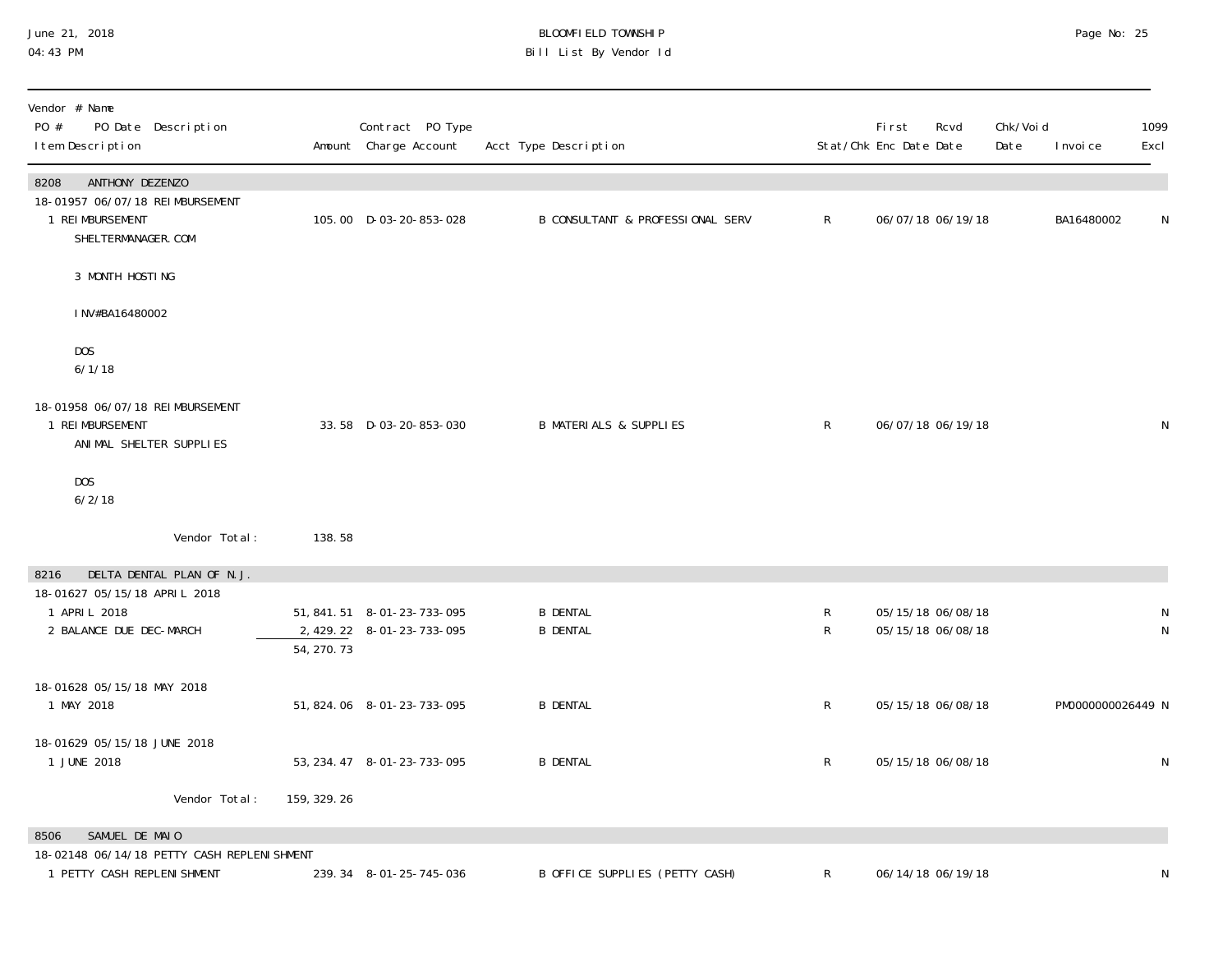## June 21, 2018 BLOOMFIELD TOWNSHIP Page No: 25 04:43 PM Bill List By Vendor Id

| Vendor # Name<br>PO #<br>PO Date Description<br>I tem Description                                     |              | Contract PO Type<br>Amount Charge Account                  | Acct Type Description                       |                             | First<br>Stat/Chk Enc Date Date | Rcvd                                   | Chk/Voi d<br>Date | I nvoi ce         | 1099<br>Excl      |
|-------------------------------------------------------------------------------------------------------|--------------|------------------------------------------------------------|---------------------------------------------|-----------------------------|---------------------------------|----------------------------------------|-------------------|-------------------|-------------------|
| 8208<br>ANTHONY DEZENZO<br>18-01957 06/07/18 REIMBURSEMENT<br>1 REI MBURSEMENT<br>SHELTERMANAGER. COM |              | 105.00 D-03-20-853-028                                     | <b>B CONSULTANT &amp; PROFESSIONAL SERV</b> | $\mathsf{R}$                |                                 | 06/07/18 06/19/18                      |                   | BA16480002        | N                 |
| 3 MONTH HOSTING                                                                                       |              |                                                            |                                             |                             |                                 |                                        |                   |                   |                   |
| INV#BA16480002                                                                                        |              |                                                            |                                             |                             |                                 |                                        |                   |                   |                   |
| DOS<br>6/1/18                                                                                         |              |                                                            |                                             |                             |                                 |                                        |                   |                   |                   |
| 18-01958 06/07/18 REIMBURSEMENT<br>1 REI MBURSEMENT<br>ANIMAL SHELTER SUPPLIES                        |              | 33.58 D-03-20-853-030                                      | <b>B MATERIALS &amp; SUPPLIES</b>           | $\mathsf{R}$                |                                 | 06/07/18 06/19/18                      |                   |                   | ${\sf N}$         |
| DOS<br>6/2/18                                                                                         |              |                                                            |                                             |                             |                                 |                                        |                   |                   |                   |
| Vendor Total:                                                                                         | 138.58       |                                                            |                                             |                             |                                 |                                        |                   |                   |                   |
| DELTA DENTAL PLAN OF N.J.<br>8216<br>18-01627 05/15/18 APRIL 2018                                     |              |                                                            |                                             |                             |                                 |                                        |                   |                   |                   |
| 1 APRI L 2018<br>2 BALANCE DUE DEC-MARCH                                                              | 54, 270.73   | 51, 841. 51  8-01-23-733-095<br>2, 429. 22 8-01-23-733-095 | <b>B DENTAL</b><br><b>B DENTAL</b>          | $\mathsf R$<br>$\mathsf{R}$ |                                 | 05/15/18 06/08/18<br>05/15/18 06/08/18 |                   |                   | N<br>$\mathsf{N}$ |
| 18-01628 05/15/18 MAY 2018<br>1 MAY 2018                                                              |              | 51, 824. 06  8-01-23-733-095                               | <b>B DENTAL</b>                             | $\mathsf R$                 |                                 | 05/15/18 06/08/18                      |                   | PM0000000026449 N |                   |
| 18-01629 05/15/18 JUNE 2018<br>1 JUNE 2018                                                            |              | 53, 234. 47 8-01-23-733-095                                | <b>B DENTAL</b>                             | $\mathsf{R}$                |                                 | 05/15/18 06/08/18                      |                   |                   | N                 |
| Vendor Total:                                                                                         | 159, 329. 26 |                                                            |                                             |                             |                                 |                                        |                   |                   |                   |
| SAMUEL DE MAIO<br>8506                                                                                |              |                                                            |                                             |                             |                                 |                                        |                   |                   |                   |
| 18-02148 06/14/18 PETTY CASH REPLENI SHMENT<br>1 PETTY CASH REPLENI SHMENT                            |              | 239.34 8-01-25-745-036                                     | B OFFICE SUPPLIES (PETTY CASH)              | R                           |                                 | 06/14/18 06/19/18                      |                   |                   | ${\sf N}$         |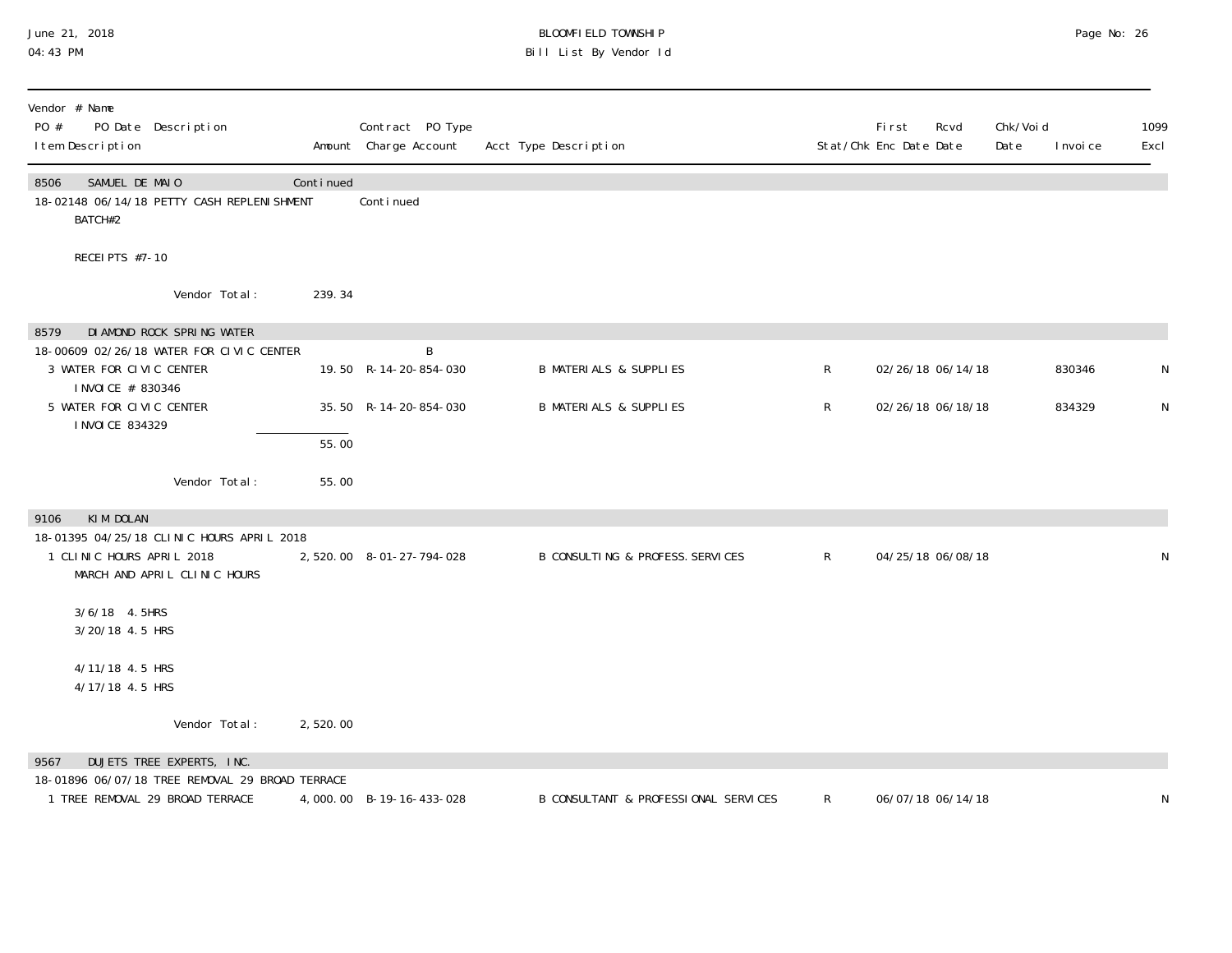## June 21, 2018 BLOOMFIELD TOWNSHIP Page No: 26 04:43 PM Bill List By Vendor Id

| Vendor # Name<br>PO #<br>PO Date Description<br>I tem Description                                                                                                                |                             | Contract PO Type<br>Amount Charge Account           | Acct Type Description                                                  |              | First<br>Rcvd<br>Stat/Chk Enc Date Date | Chk/Voi d<br>Date<br>I nvoi ce | 1099<br>Excl |
|----------------------------------------------------------------------------------------------------------------------------------------------------------------------------------|-----------------------------|-----------------------------------------------------|------------------------------------------------------------------------|--------------|-----------------------------------------|--------------------------------|--------------|
| SAMUEL DE MAIO<br>8506<br>18-02148 06/14/18 PETTY CASH REPLENI SHMENT<br>BATCH#2                                                                                                 | Continued                   | Continued                                           |                                                                        |              |                                         |                                |              |
| RECEI PTS #7-10                                                                                                                                                                  |                             |                                                     |                                                                        |              |                                         |                                |              |
| Vendor Total:                                                                                                                                                                    | 239.34                      |                                                     |                                                                        |              |                                         |                                |              |
| DI AMOND ROCK SPRING WATER<br>8579<br>18-00609 02/26/18 WATER FOR CIVIC CENTER<br>3 WATER FOR CIVIC CENTER<br>I NVOI CE # 830346<br>5 WATER FOR CIVIC CENTER<br>I NVOI CE 834329 |                             | B<br>19.50 R-14-20-854-030<br>35.50 R-14-20-854-030 | <b>B MATERIALS &amp; SUPPLIES</b><br><b>B MATERIALS &amp; SUPPLIES</b> | R<br>R       | 02/26/18 06/14/18<br>02/26/18 06/18/18  | 830346<br>834329               | N            |
| Vendor Total:                                                                                                                                                                    | $\overline{55.00}$<br>55.00 |                                                     |                                                                        |              |                                         |                                |              |
| KIM DOLAN<br>9106<br>18-01395 04/25/18 CLINIC HOURS APRIL 2018<br>1 CLINIC HOURS APRIL 2018<br>MARCH AND APRIL CLINIC HOURS                                                      |                             | 2,520.00 8-01-27-794-028                            | B CONSULTING & PROFESS. SERVICES                                       | $\mathsf{R}$ | 04/25/18 06/08/18                       |                                |              |
| 3/6/18  4.5HRS<br>3/20/18 4.5 HRS                                                                                                                                                |                             |                                                     |                                                                        |              |                                         |                                |              |
| 4/11/18 4.5 HRS<br>4/17/18 4.5 HRS                                                                                                                                               |                             |                                                     |                                                                        |              |                                         |                                |              |
| Vendor Total:                                                                                                                                                                    | 2,520.00                    |                                                     |                                                                        |              |                                         |                                |              |
| DUJETS TREE EXPERTS, INC.<br>9567<br>18-01896 06/07/18 TREE REMOVAL 29 BROAD TERRACE<br>1 TREE REMOVAL 29 BROAD TERRACE                                                          |                             | 4,000.00 B-19-16-433-028                            | B CONSULTANT & PROFESSIONAL SERVICES                                   | $\mathsf{R}$ | 06/07/18 06/14/18                       |                                |              |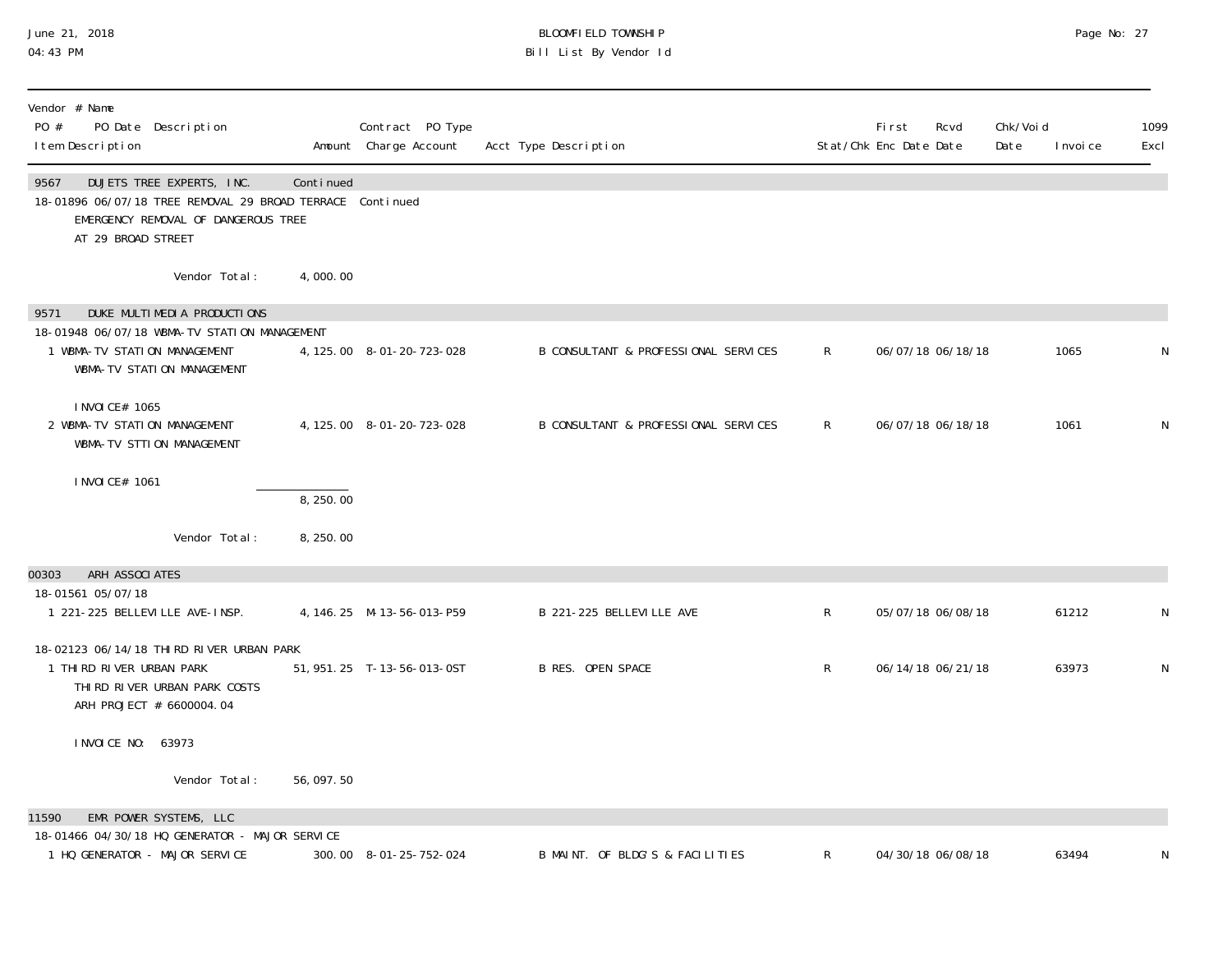### June 21, 2018 BLOOMFIELD TOWNSHIP Page No: 27 04:43 PM Bill List By Vendor Id

| Vendor # Name<br>PO #<br>PO Date Description<br>I tem Description                                                                                           |           | Contract PO Type<br>Amount Charge Account | Acct Type Description                |              | First<br>Rcvd<br>Stat/Chk Enc Date Date | Chk/Void<br>Date | I nvoi ce | 1099<br>Excl |
|-------------------------------------------------------------------------------------------------------------------------------------------------------------|-----------|-------------------------------------------|--------------------------------------|--------------|-----------------------------------------|------------------|-----------|--------------|
| 9567<br>DUJETS TREE EXPERTS, INC.<br>18-01896 06/07/18 TREE REMOVAL 29 BROAD TERRACE Continued<br>EMERGENCY REMOVAL OF DANGEROUS TREE<br>AT 29 BROAD STREET | Continued |                                           |                                      |              |                                         |                  |           |              |
| Vendor Total:                                                                                                                                               | 4,000.00  |                                           |                                      |              |                                         |                  |           |              |
| DUKE MULTIMEDIA PRODUCTIONS<br>9571                                                                                                                         |           |                                           |                                      |              |                                         |                  |           |              |
| 18-01948 06/07/18 WBMA-TV STATION MANAGEMENT<br>1 WBMA-TV STATION MANAGEMENT<br>WBMA-TV STATION MANAGEMENT                                                  |           | 4, 125.00 8-01-20-723-028                 | B CONSULTANT & PROFESSIONAL SERVICES | $\mathsf{R}$ | 06/07/18 06/18/18                       |                  | 1065      | N            |
| I NVOI CE# 1065<br>2 WBMA-TV STATION MANAGEMENT<br>WBMA-TV STTION MANAGEMENT                                                                                |           | 4, 125.00 8-01-20-723-028                 | B CONSULTANT & PROFESSIONAL SERVICES | R.           | 06/07/18 06/18/18                       |                  | 1061      | N            |
| I NVOI CE# 1061                                                                                                                                             | 8, 250.00 |                                           |                                      |              |                                         |                  |           |              |
| Vendor Total:                                                                                                                                               | 8,250.00  |                                           |                                      |              |                                         |                  |           |              |
| ARH ASSOCIATES<br>00303                                                                                                                                     |           |                                           |                                      |              |                                         |                  |           |              |
| 18-01561 05/07/18                                                                                                                                           |           |                                           |                                      |              |                                         |                  |           |              |
| 1 221-225 BELLEVILLE AVE-INSP.                                                                                                                              |           | 4, 146. 25 M-13-56-013-P59                | B 221-225 BELLEVILLE AVE             | $\mathsf{R}$ | 05/07/18 06/08/18                       |                  | 61212     | N            |
| 18-02123 06/14/18 THIRD RIVER URBAN PARK                                                                                                                    |           |                                           |                                      |              |                                         |                  |           |              |
| 1 THIRD RIVER URBAN PARK<br>THI RD RIVER URBAN PARK COSTS<br>ARH PROJECT # 6600004.04                                                                       |           | 51, 951. 25 T-13-56-013-0ST               | <b>B RES. OPEN SPACE</b>             | $\mathsf{R}$ | 06/14/18 06/21/18                       |                  | 63973     | N            |
| I NVOI CE NO: 63973                                                                                                                                         |           |                                           |                                      |              |                                         |                  |           |              |
| Vendor Total:                                                                                                                                               | 56,097.50 |                                           |                                      |              |                                         |                  |           |              |
| EMR POWER SYSTEMS, LLC<br>11590                                                                                                                             |           |                                           |                                      |              |                                         |                  |           |              |
| 18-01466 04/30/18 HQ GENERATOR - MAJOR SERVICE                                                                                                              |           |                                           |                                      |              |                                         |                  |           |              |
| 1 HQ GENERATOR - MAJOR SERVICE                                                                                                                              |           | 300.00 8-01-25-752-024                    | B MAINT. OF BLDG'S & FACILITIES      | R            | 04/30/18 06/08/18                       |                  | 63494     | N            |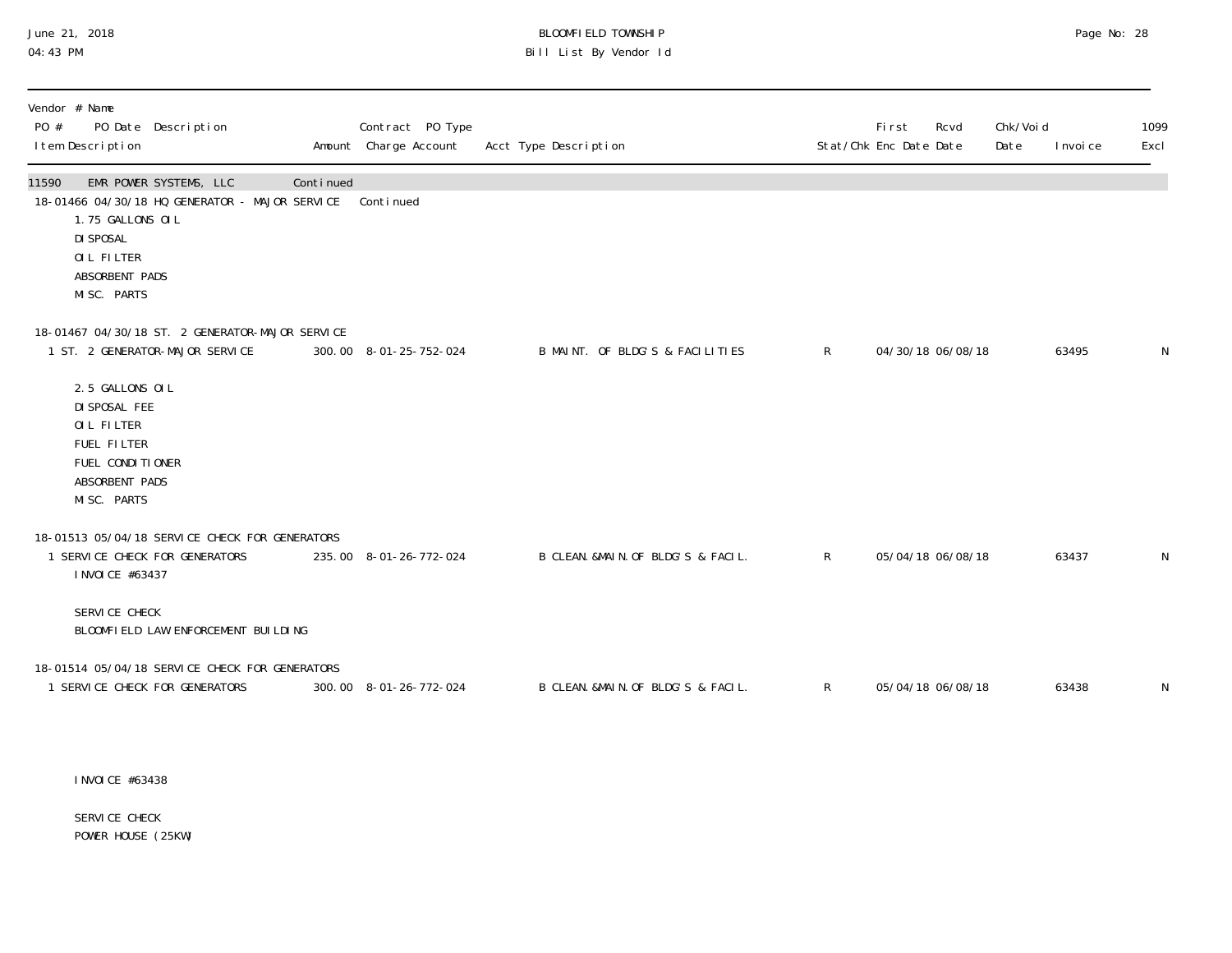## June 21, 2018 BLOOMFIELD TOWNSHIP Page 20 and the control of the control of the control of the control of the control of the control of the control of the control of the control of the control of t 04:43 PM Bill List By Vendor Id

| Vendor # Name<br>PO #<br>PO Date Description<br>I tem Description                                                                                                              | Contract PO Type<br>Amount Charge Account | Acct Type Description               |              | Fi rst<br>Stat/Chk Enc Date Date | Rcvd | Chk/Voi d<br>Date | I nvoi ce | 1099<br>Excl |
|--------------------------------------------------------------------------------------------------------------------------------------------------------------------------------|-------------------------------------------|-------------------------------------|--------------|----------------------------------|------|-------------------|-----------|--------------|
| EMR POWER SYSTEMS, LLC<br>11590<br>Continued<br>18-01466 04/30/18 HQ GENERATOR - MAJOR SERVICE<br>1.75 GALLONS OIL<br>DI SPOSAL<br>OIL FILTER<br>ABSORBENT PADS<br>MISC. PARTS | Continued                                 |                                     |              |                                  |      |                   |           |              |
| 18-01467 04/30/18 ST. 2 GENERATOR-MAJOR SERVICE<br>1 ST. 2 GENERATOR-MAJOR SERVICE                                                                                             | 300.00 8-01-25-752-024                    | B MAINT. OF BLDG'S & FACILITIES     | $\mathsf{R}$ | 04/30/18 06/08/18                |      |                   | 63495     | N            |
| 2.5 GALLONS OIL<br>DI SPOSAL FEE<br>OIL FILTER<br><b>FUEL FILTER</b><br>FUEL CONDITIONER<br>ABSORBENT PADS<br>MISC. PARTS                                                      |                                           |                                     |              |                                  |      |                   |           |              |
| 18-01513 05/04/18 SERVICE CHECK FOR GENERATORS<br>1 SERVICE CHECK FOR GENERATORS<br>I NVOI CE #63437                                                                           | 235.00 8-01-26-772-024                    | B CLEAN. &MAIN. OF BLDG'S & FACIL.  | $\mathsf{R}$ | 05/04/18 06/08/18                |      |                   | 63437     | N            |
| SERVICE CHECK<br>BLOOMFIELD LAW ENFORCEMENT BUILDING                                                                                                                           |                                           |                                     |              |                                  |      |                   |           |              |
| 18-01514 05/04/18 SERVICE CHECK FOR GENERATORS<br>1 SERVICE CHECK FOR GENERATORS                                                                                               | 300.00 8-01-26-772-024                    | B CLEAN. & MAIN. OF BLDG'S & FACIL. | R            | 05/04/18 06/08/18                |      |                   | 63438     | N            |

INVOICE #63438

SERVICE CHECK POWER HOUSE (25KW)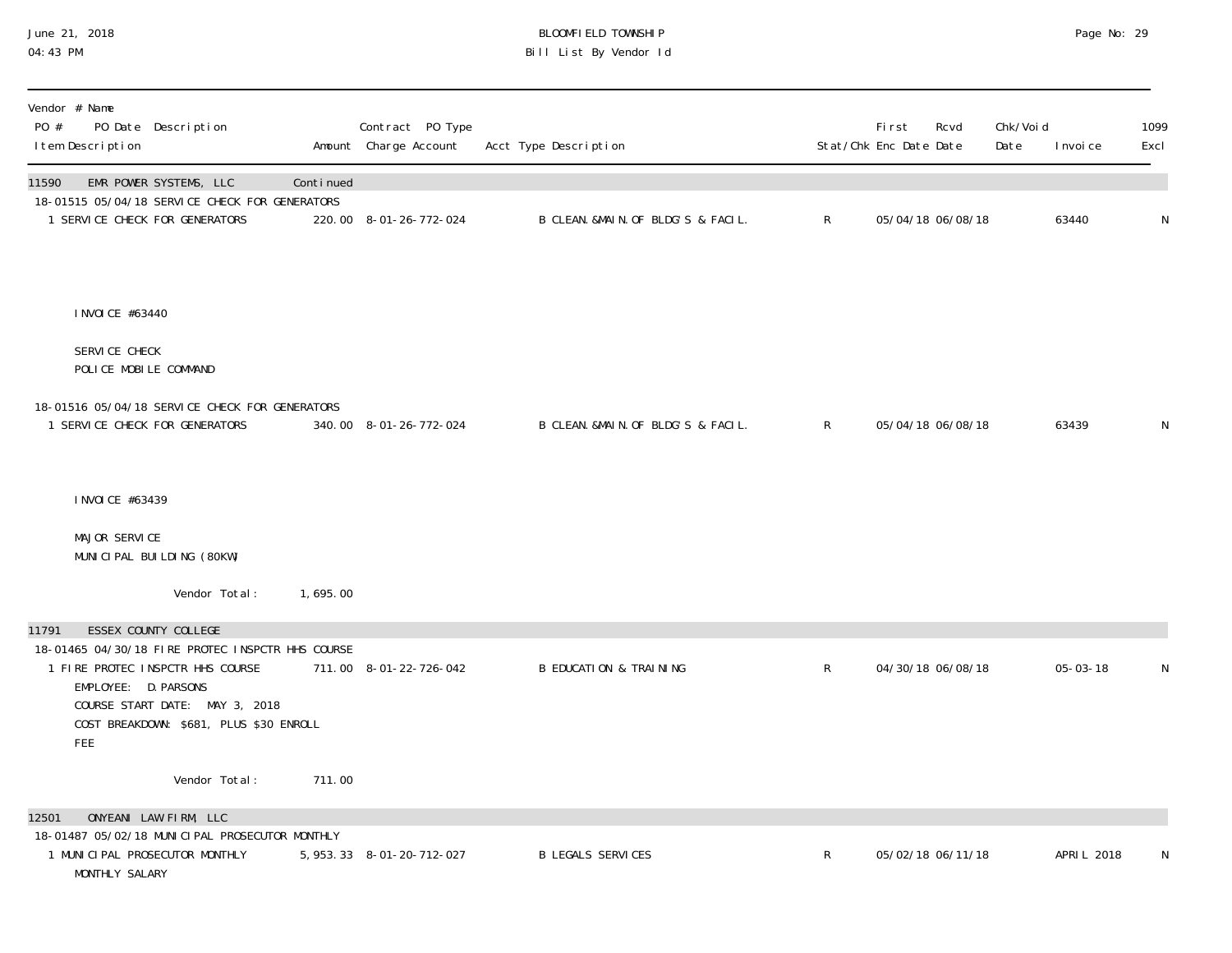## June 21, 2018 BLOOMFIELD TOWNSHIP Page No: 29 04:43 PM Bill List By Vendor Id

| Vendor # Name<br>PO #<br>PO Date Description<br>I tem Description                                                                                                                                                                 |           | Contract PO Type<br>Amount Charge Account | Acct Type Description              |              | <b>First</b><br>Rcvd<br>Stat/Chk Enc Date Date | Chk/Void<br>Date | I nvoi ce      | 1099<br>Excl |
|-----------------------------------------------------------------------------------------------------------------------------------------------------------------------------------------------------------------------------------|-----------|-------------------------------------------|------------------------------------|--------------|------------------------------------------------|------------------|----------------|--------------|
| 11590<br>EMR POWER SYSTEMS, LLC<br>18-01515 05/04/18 SERVICE CHECK FOR GENERATORS<br>1 SERVICE CHECK FOR GENERATORS                                                                                                               | Continued | 220.00 8-01-26-772-024                    | B CLEAN. &MAIN. OF BLDG'S & FACIL. | $\mathsf{R}$ | 05/04/18 06/08/18                              |                  | 63440          | N            |
| I NVOI CE #63440                                                                                                                                                                                                                  |           |                                           |                                    |              |                                                |                  |                |              |
| SERVICE CHECK<br>POLICE MOBILE COMMAND                                                                                                                                                                                            |           |                                           |                                    |              |                                                |                  |                |              |
| 18-01516 05/04/18 SERVICE CHECK FOR GENERATORS<br>1 SERVICE CHECK FOR GENERATORS                                                                                                                                                  |           | 340.00 8-01-26-772-024                    | B CLEAN. &MAIN. OF BLDG'S & FACIL. | $\mathsf{R}$ | 05/04/18 06/08/18                              |                  | 63439          | N            |
| I NVOI CE #63439                                                                                                                                                                                                                  |           |                                           |                                    |              |                                                |                  |                |              |
| MAJOR SERVICE<br>MUNICIPAL BUILDING (80KW)                                                                                                                                                                                        |           |                                           |                                    |              |                                                |                  |                |              |
| Vendor Total:                                                                                                                                                                                                                     | 1,695.00  |                                           |                                    |              |                                                |                  |                |              |
| ESSEX COUNTY COLLEGE<br>11791<br>18-01465 04/30/18 FIRE PROTEC INSPCTR HHS COURSE<br>1 FIRE PROTEC INSPCTR HHS COURSE<br>EMPLOYEE: D. PARSONS<br>COURSE START DATE: MAY 3, 2018<br>COST BREAKDOWN: \$681, PLUS \$30 ENROLL<br>FEE |           | 711.00 8-01-22-726-042                    | <b>B EDUCATION &amp; TRAINING</b>  | $\mathsf{R}$ | 04/30/18 06/08/18                              |                  | $05 - 03 - 18$ | N            |
| Vendor Total:                                                                                                                                                                                                                     | 711.00    |                                           |                                    |              |                                                |                  |                |              |
| 12501<br>ONYEANI LAW FIRM, LLC<br>18-01487 05/02/18 MUNICIPAL PROSECUTOR MONTHLY<br>1 MUNICIPAL PROSECUTOR MONTHLY<br>MONTHLY SALARY                                                                                              |           | 5, 953. 33 8-01-20-712-027                | <b>B LEGALS SERVICES</b>           | $\mathsf R$  | 05/02/18 06/11/18                              |                  | APRI L 2018    | N            |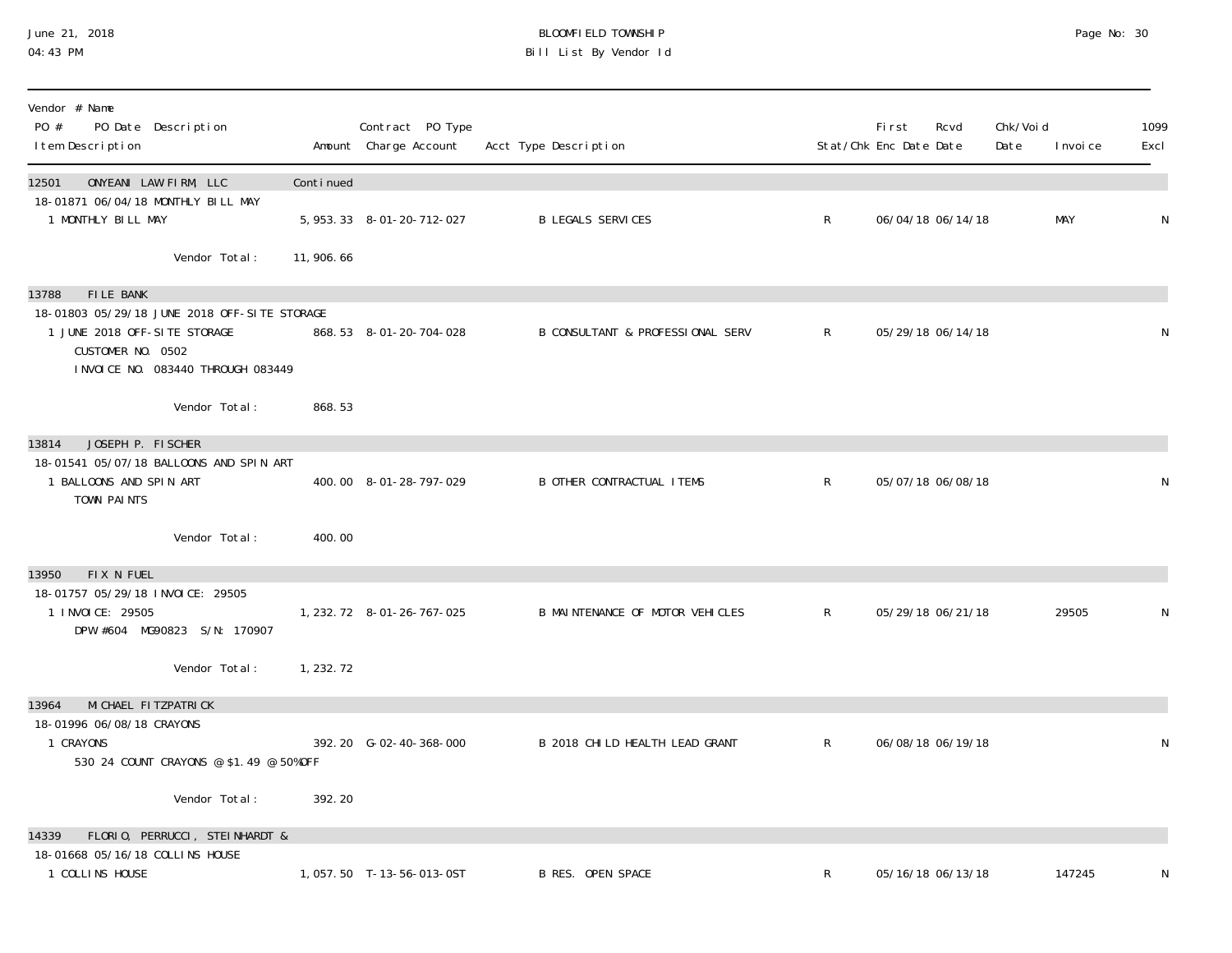## June 21, 2018 BLOOMFIELD TOWNSHIP Page 20 and the control of the control of the control of the control of the control of the control of the control of the control of the control of the control of t 04:43 PM Bill List By Vendor Id

| Vendor # Name<br>PO #<br>PO Date Description<br>I tem Description                                                                        |            | Contract PO Type<br>Amount Charge Account | Acct Type Description            |                | Fi rst<br>Stat/Chk Enc Date Date | Rcvd | Chk/Voi d<br>Date | I nvoi ce  | 1099<br>Excl |
|------------------------------------------------------------------------------------------------------------------------------------------|------------|-------------------------------------------|----------------------------------|----------------|----------------------------------|------|-------------------|------------|--------------|
| ONYEANI LAW FIRM, LLC<br>12501                                                                                                           | Continued  |                                           |                                  |                |                                  |      |                   |            |              |
| 18-01871 06/04/18 MONTHLY BILL MAY<br>1 MONTHLY BILL MAY                                                                                 |            | 5, 953. 33 8-01-20-712-027                | <b>B LEGALS SERVICES</b>         | R              | 06/04/18 06/14/18                |      |                   | <b>MAY</b> | $\mathsf{N}$ |
| Vendor Total:                                                                                                                            | 11,906.66  |                                           |                                  |                |                                  |      |                   |            |              |
| FILE BANK<br>13788                                                                                                                       |            |                                           |                                  |                |                                  |      |                   |            |              |
| 18-01803 05/29/18 JUNE 2018 OFF-SITE STORAGE<br>1 JUNE 2018 OFF-SITE STORAGE<br>CUSTOMER NO. 0502<br>I NVOI CE NO. 083440 THROUGH 083449 |            | 868.53 8-01-20-704-028                    | B CONSULTANT & PROFESSIONAL SERV | $R_{\perp}$    | 05/29/18 06/14/18                |      |                   |            | N            |
| Vendor Total:                                                                                                                            | 868.53     |                                           |                                  |                |                                  |      |                   |            |              |
| JOSEPH P. FISCHER<br>13814                                                                                                               |            |                                           |                                  |                |                                  |      |                   |            |              |
| 18-01541 05/07/18 BALLOONS AND SPIN ART<br>1 BALLOONS AND SPIN ART<br>TOWN PAINTS                                                        |            | 400.00 8-01-28-797-029                    | <b>B OTHER CONTRACTUAL ITEMS</b> | $\mathsf{R}$   | 05/07/18 06/08/18                |      |                   |            | N            |
| Vendor Total:                                                                                                                            | 400.00     |                                           |                                  |                |                                  |      |                   |            |              |
| 13950<br>FIX N FUEL                                                                                                                      |            |                                           |                                  |                |                                  |      |                   |            |              |
| 18-01757 05/29/18 INVOICE: 29505<br>1 INVOICE: 29505<br>DPW #604 MG90823 S/N: 170907                                                     |            | 1, 232. 72 8-01-26-767-025                | B MAINTENANCE OF MOTOR VEHICLES  | $\mathsf{R}^-$ | 05/29/18 06/21/18                |      |                   | 29505      | N            |
| Vendor Total:                                                                                                                            | 1, 232. 72 |                                           |                                  |                |                                  |      |                   |            |              |
| MI CHAEL FI TZPATRI CK<br>13964                                                                                                          |            |                                           |                                  |                |                                  |      |                   |            |              |
| 18-01996 06/08/18 CRAYONS<br>1 CRAYONS<br>530 24 COUNT CRAYONS @ \$1.49 @ 50%OFF                                                         |            | 392.20 G-02-40-368-000                    | B 2018 CHILD HEALTH LEAD GRANT   | R              | 06/08/18 06/19/18                |      |                   |            | N            |
| Vendor Total:                                                                                                                            | 392.20     |                                           |                                  |                |                                  |      |                   |            |              |
| FLORIO, PERRUCCI, STEINHARDT &<br>14339                                                                                                  |            |                                           |                                  |                |                                  |      |                   |            |              |
| 18-01668 05/16/18 COLLINS HOUSE<br>1 COLLINS HOUSE                                                                                       |            | 1,057.50 T-13-56-013-0ST                  | <b>B RES. OPEN SPACE</b>         | R              | 05/16/18 06/13/18                |      |                   | 147245     | N            |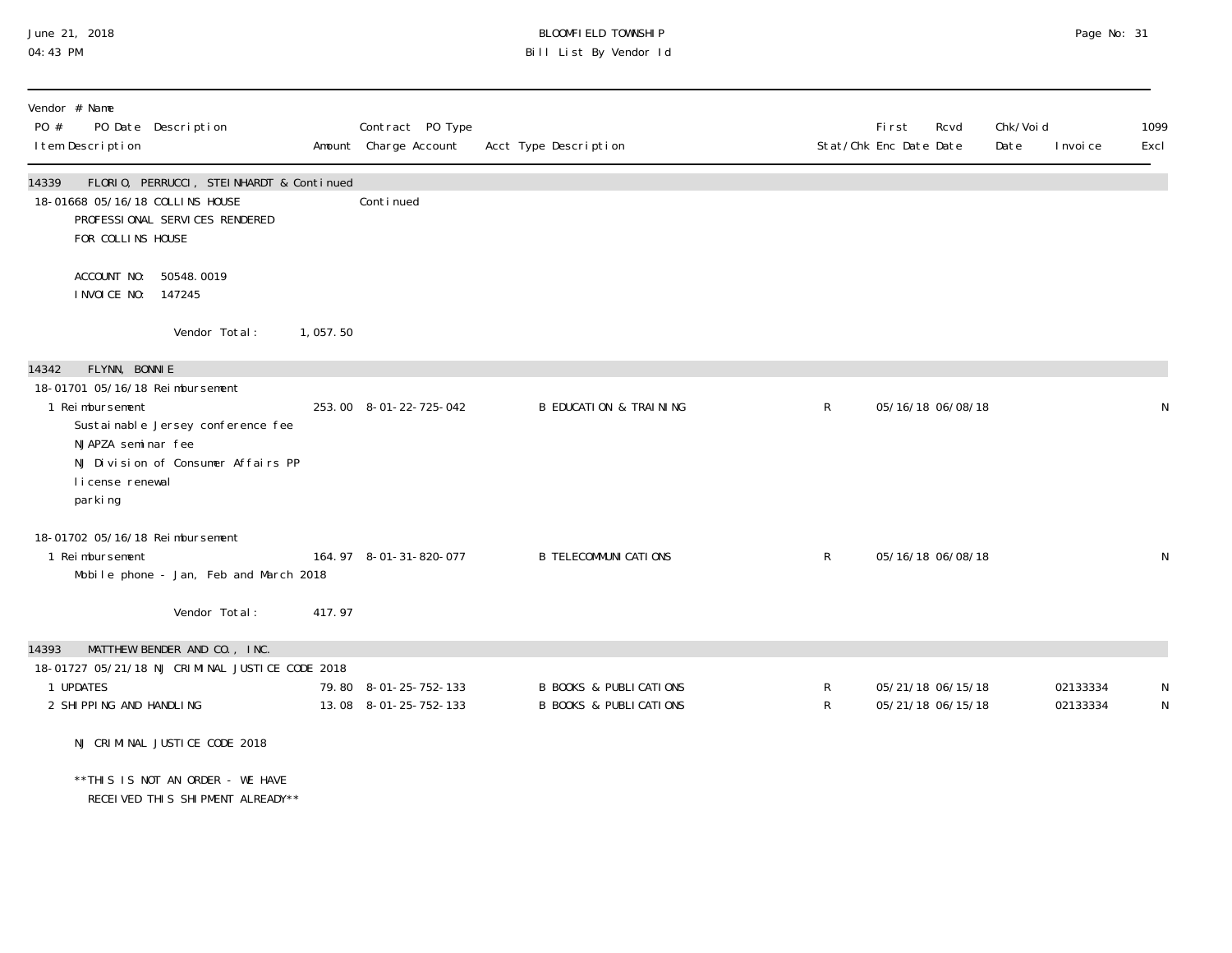## June 21, 2018 BLOOMFIELD TOWNSHIP Page 2018 Page No: 31 04:43 PM Bill List By Vendor Id

| Vendor # Name<br>PO #<br>I tem Description                                                             | PO Date Description                                                                                              |          | Contract PO Type<br>Amount Charge Account      | Acct Type Description                                                  |              | <b>First</b><br>Rcvd<br>Stat/Chk Enc Date Date | Chk/Voi d<br>Date | I nvoi ce            | 1099<br>Excl |
|--------------------------------------------------------------------------------------------------------|------------------------------------------------------------------------------------------------------------------|----------|------------------------------------------------|------------------------------------------------------------------------|--------------|------------------------------------------------|-------------------|----------------------|--------------|
| 14339<br>18-01668 05/16/18 COLLINS HOUSE<br>FOR COLLINS HOUSE                                          | FLORIO, PERRUCCI, STEINHARDT & Continued<br>PROFESSIONAL SERVICES RENDERED                                       |          | Conti nued                                     |                                                                        |              |                                                |                   |                      |              |
| I NVOI CE NO: 147245                                                                                   | ACCOUNT NO: 50548.0019                                                                                           |          |                                                |                                                                        |              |                                                |                   |                      |              |
|                                                                                                        | Vendor Total:                                                                                                    | 1,057.50 |                                                |                                                                        |              |                                                |                   |                      |              |
| FLYNN, BONNIE<br>14342                                                                                 |                                                                                                                  |          |                                                |                                                                        |              |                                                |                   |                      |              |
| 18-01701 05/16/18 Reimbursement<br>1 Reimbursement<br>NJAPZA seminar fee<br>license renewal<br>parking | Sustainable Jersey conference fee<br>NJ Division of Consumer Affairs PP                                          |          | 253.00 8-01-22-725-042                         | <b>B EDUCATION &amp; TRAINING</b>                                      | $\mathsf{R}$ | 05/16/18 06/08/18                              |                   |                      | N            |
| 18-01702 05/16/18 Reimbursement<br>1 Reimbursement                                                     | Mobile phone - Jan, Feb and March 2018                                                                           |          | 164.97 8-01-31-820-077                         | <b>B TELECOMMUNICATIONS</b>                                            | $\mathsf{R}$ | 05/16/18 06/08/18                              |                   |                      | N            |
|                                                                                                        | Vendor Total:                                                                                                    | 417.97   |                                                |                                                                        |              |                                                |                   |                      |              |
| 14393<br>1 UPDATES<br>2 SHIPPING AND HANDLING                                                          | MATTHEW BENDER AND CO., INC.<br>18-01727 05/21/18 NJ CRIMINAL JUSTICE CODE 2018<br>NJ CRIMINAL JUSTICE CODE 2018 |          | 79.80 8-01-25-752-133<br>13.08 8-01-25-752-133 | <b>B BOOKS &amp; PUBLICATIONS</b><br><b>B BOOKS &amp; PUBLICATIONS</b> | R<br>R       | 05/21/18 06/15/18<br>05/21/18 06/15/18         |                   | 02133334<br>02133334 | N<br>N       |
|                                                                                                        | ** THIS IS NOT AN ORDER - WE HAVE<br>RECEIVED THIS SHIPMENT ALREADY**                                            |          |                                                |                                                                        |              |                                                |                   |                      |              |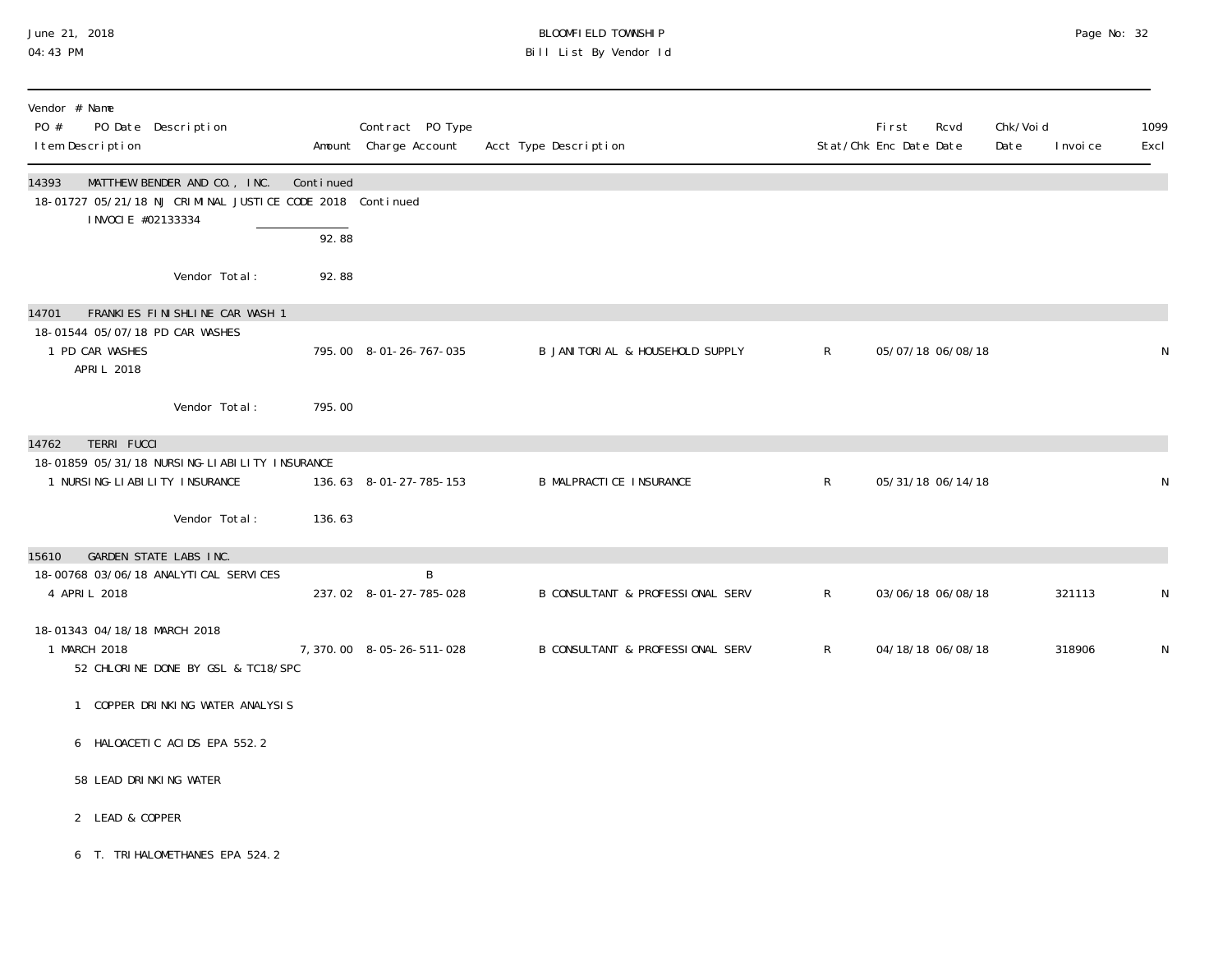## June 21, 2018 BLOOMFIELD TOWNSHIP Page 2018 Page No: 32 04:43 PM Bill List By Vendor Id

| Vendor # Name<br>PO #<br>PO Date Description<br>I tem Description                         |                                    |           | Contract PO Type<br>Amount Charge Account | Acct Type Description             |              | First<br>Stat/Chk Enc Date Date | Rcvd              | Chk/Voi d<br>Date | I nvoi ce | 1099<br>Excl |
|-------------------------------------------------------------------------------------------|------------------------------------|-----------|-------------------------------------------|-----------------------------------|--------------|---------------------------------|-------------------|-------------------|-----------|--------------|
| 14393<br>18-01727 05/21/18 NJ CRIMINAL JUSTICE CODE 2018 Continued<br>I NVOCI E #02133334 | MATTHEW BENDER AND CO., INC.       | Continued |                                           |                                   |              |                                 |                   |                   |           |              |
|                                                                                           |                                    | 92.88     |                                           |                                   |              |                                 |                   |                   |           |              |
|                                                                                           | Vendor Total:                      | 92.88     |                                           |                                   |              |                                 |                   |                   |           |              |
| 14701                                                                                     | FRANKIES FINISHLINE CAR WASH 1     |           |                                           |                                   |              |                                 |                   |                   |           |              |
| 18-01544 05/07/18 PD CAR WASHES<br>1 PD CAR WASHES<br>APRIL 2018                          |                                    |           | 795.00 8-01-26-767-035                    | B JANI TORI AL & HOUSEHOLD SUPPLY | $\mathsf{R}$ | 05/07/18 06/08/18               |                   |                   |           | N            |
|                                                                                           | Vendor Total:                      | 795.00    |                                           |                                   |              |                                 |                   |                   |           |              |
| <b>TERRI FUCCI</b><br>14762                                                               |                                    |           |                                           |                                   |              |                                 |                   |                   |           |              |
| 18-01859 05/31/18 NURSING-LIABILITY INSURANCE<br>1 NURSI NG-LI ABI LI TY INSURANCE        |                                    |           | 136.63 8-01-27-785-153                    | <b>B MALPRACTICE INSURANCE</b>    | $\mathsf{R}$ |                                 | 05/31/18 06/14/18 |                   |           | N            |
|                                                                                           | Vendor Total:                      | 136.63    |                                           |                                   |              |                                 |                   |                   |           |              |
| <b>GARDEN STATE LABS INC.</b><br>15610                                                    |                                    |           |                                           |                                   |              |                                 |                   |                   |           |              |
| 18-00768 03/06/18 ANALYTI CAL SERVICES<br>4 APRIL 2018                                    |                                    |           | B<br>237.02 8-01-27-785-028               | B CONSULTANT & PROFESSIONAL SERV  | $\mathsf{R}$ |                                 | 03/06/18 06/08/18 |                   | 321113    | N            |
| 18-01343 04/18/18 MARCH 2018<br>1 MARCH 2018                                              | 52 CHLORINE DONE BY GSL & TC18/SPC |           | 7, 370.00 8-05-26-511-028                 | B CONSULTANT & PROFESSIONAL SERV  | $\mathsf{R}$ | 04/18/18 06/08/18               |                   |                   | 318906    | N            |
|                                                                                           | COPPER DRINKING WATER ANALYSIS     |           |                                           |                                   |              |                                 |                   |                   |           |              |
| 6 HALOACETIC ACIDS EPA 552.2                                                              |                                    |           |                                           |                                   |              |                                 |                   |                   |           |              |
| 58 LEAD DRINKING WATER                                                                    |                                    |           |                                           |                                   |              |                                 |                   |                   |           |              |
| 2 LEAD & COPPER                                                                           |                                    |           |                                           |                                   |              |                                 |                   |                   |           |              |
| 6 T. TRI HALOMETHANES EPA 524.2                                                           |                                    |           |                                           |                                   |              |                                 |                   |                   |           |              |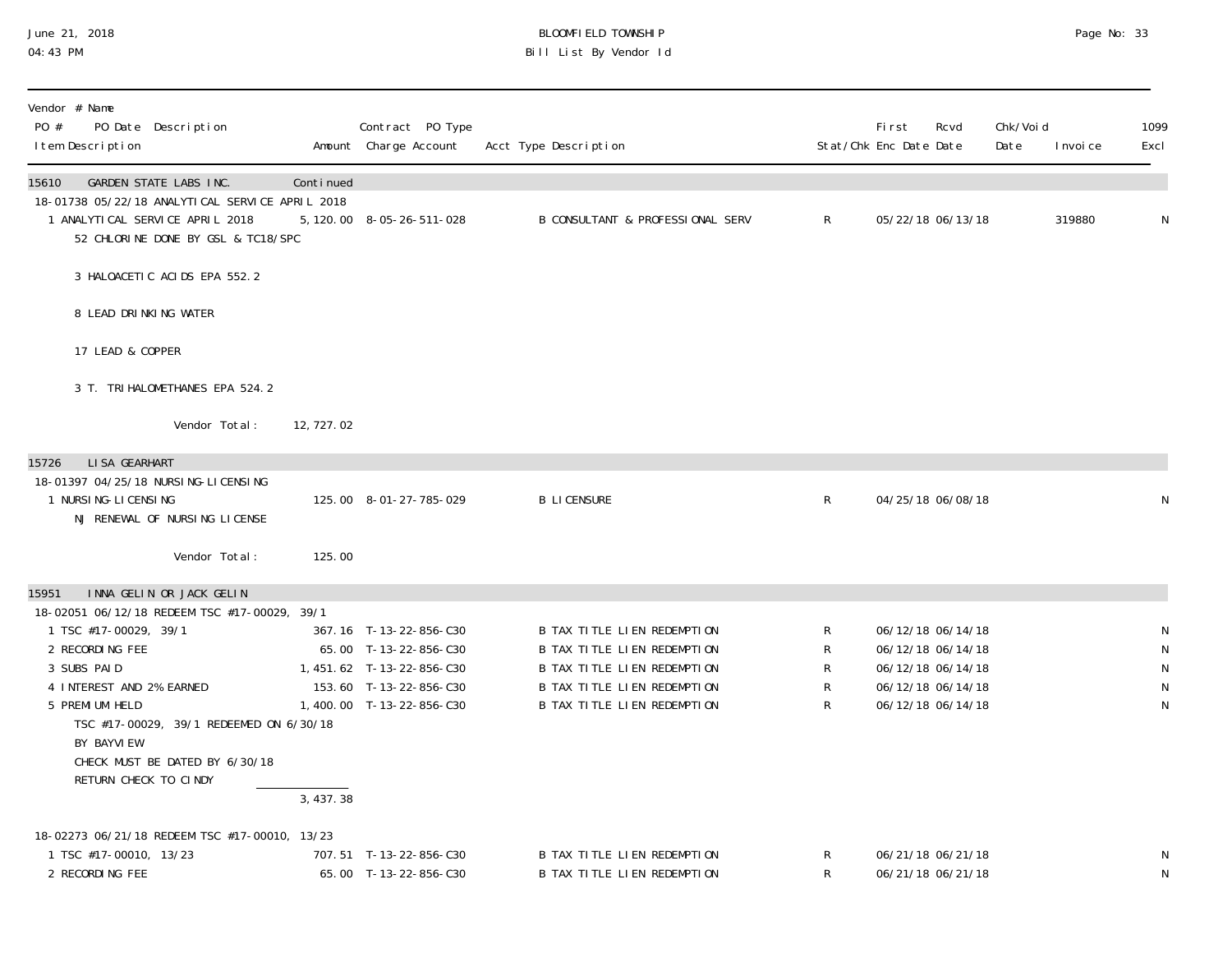#### June 21, 2018 BLOOMFIELD TOWNSHIP Page 2018 Page No: 33 04:43 PM Bill List By Vendor Id

| Vendor # Name<br>PO #<br>PO Date Description<br>I tem Description                                                                                                                                                                                                                                                |            | Contract PO Type<br>Amount Charge Account                                                                                         | Acct Type Description                                                                                                                                                        |                       | <b>First</b><br>Stat/Chk Enc Date Date | Rcvd                                                                                                  | Chk/Void<br>Date | I nvoi ce | 1099<br>Excl                                                  |
|------------------------------------------------------------------------------------------------------------------------------------------------------------------------------------------------------------------------------------------------------------------------------------------------------------------|------------|-----------------------------------------------------------------------------------------------------------------------------------|------------------------------------------------------------------------------------------------------------------------------------------------------------------------------|-----------------------|----------------------------------------|-------------------------------------------------------------------------------------------------------|------------------|-----------|---------------------------------------------------------------|
| 15610<br>GARDEN STATE LABS INC.<br>18-01738 05/22/18 ANALYTICAL SERVICE APRIL 2018<br>1 ANALYTICAL SERVICE APRIL 2018<br>52 CHLORINE DONE BY GSL & TC18/SPC                                                                                                                                                      | Continued  | 5, 120, 00 8-05-26-511-028                                                                                                        | B CONSULTANT & PROFESSIONAL SERV                                                                                                                                             | $\mathsf{R}$          |                                        | 05/22/18 06/13/18                                                                                     |                  | 319880    | N                                                             |
| 3 HALOACETIC ACIDS EPA 552.2                                                                                                                                                                                                                                                                                     |            |                                                                                                                                   |                                                                                                                                                                              |                       |                                        |                                                                                                       |                  |           |                                                               |
| 8 LEAD DRINKING WATER                                                                                                                                                                                                                                                                                            |            |                                                                                                                                   |                                                                                                                                                                              |                       |                                        |                                                                                                       |                  |           |                                                               |
| 17 LEAD & COPPER                                                                                                                                                                                                                                                                                                 |            |                                                                                                                                   |                                                                                                                                                                              |                       |                                        |                                                                                                       |                  |           |                                                               |
| 3 T. TRI HALOMETHANES EPA 524.2                                                                                                                                                                                                                                                                                  |            |                                                                                                                                   |                                                                                                                                                                              |                       |                                        |                                                                                                       |                  |           |                                                               |
| Vendor Total:                                                                                                                                                                                                                                                                                                    | 12, 727.02 |                                                                                                                                   |                                                                                                                                                                              |                       |                                        |                                                                                                       |                  |           |                                                               |
| LI SA GEARHART<br>15726<br>18-01397 04/25/18 NURSING-LICENSING<br>1 NURSI NG-LI CENSI NG<br>NJ RENEWAL OF NURSING LICENSE                                                                                                                                                                                        |            | 125.00 8-01-27-785-029                                                                                                            | <b>B LICENSURE</b>                                                                                                                                                           | $\mathsf{R}$          |                                        | 04/25/18 06/08/18                                                                                     |                  |           | N                                                             |
| Vendor Total:                                                                                                                                                                                                                                                                                                    | 125.00     |                                                                                                                                   |                                                                                                                                                                              |                       |                                        |                                                                                                       |                  |           |                                                               |
| INNA GELIN OR JACK GELIN<br>15951<br>18-02051 06/12/18 REDEEM TSC #17-00029, 39/1<br>1 TSC #17-00029, 39/1<br>2 RECORDING FEE<br>3 SUBS PAID<br>4 INTEREST AND 2% EARNED<br>5 PREMI UM HELD<br>TSC #17-00029, 39/1 REDEEMED ON 6/30/18<br>BY BAYVI EW<br>CHECK MUST BE DATED BY 6/30/18<br>RETURN CHECK TO CINDY | 3,437.38   | 367.16 T-13-22-856-C30<br>65.00 T-13-22-856-C30<br>1,451.62 T-13-22-856-C30<br>153.60 T-13-22-856-C30<br>1,400.00 T-13-22-856-C30 | B TAX TITLE LIEN REDEMPTION<br>B TAX TITLE LIEN REDEMPTION<br><b>B TAX TITLE LIEN REDEMPTION</b><br><b>B TAX TITLE LIEN REDEMPTION</b><br><b>B TAX TITLE LIEN REDEMPTION</b> | R<br>R<br>R<br>R<br>R |                                        | 06/12/18 06/14/18<br>06/12/18 06/14/18<br>06/12/18 06/14/18<br>06/12/18 06/14/18<br>06/12/18 06/14/18 |                  |           | ${\sf N}$<br>${\sf N}$<br>${\sf N}$<br>${\sf N}$<br>${\sf N}$ |
| 18-02273 06/21/18 REDEEM TSC #17-00010, 13/23<br>1 TSC #17-00010, 13/23<br>2 RECORDING FEE                                                                                                                                                                                                                       |            | 707.51 T-13-22-856-C30<br>65.00 T-13-22-856-C30                                                                                   | B TAX TITLE LIEN REDEMPTION<br>B TAX TITLE LIEN REDEMPTION                                                                                                                   | R<br>R                |                                        | 06/21/18 06/21/18<br>06/21/18 06/21/18                                                                |                  |           | ${\sf N}$<br>${\sf N}$                                        |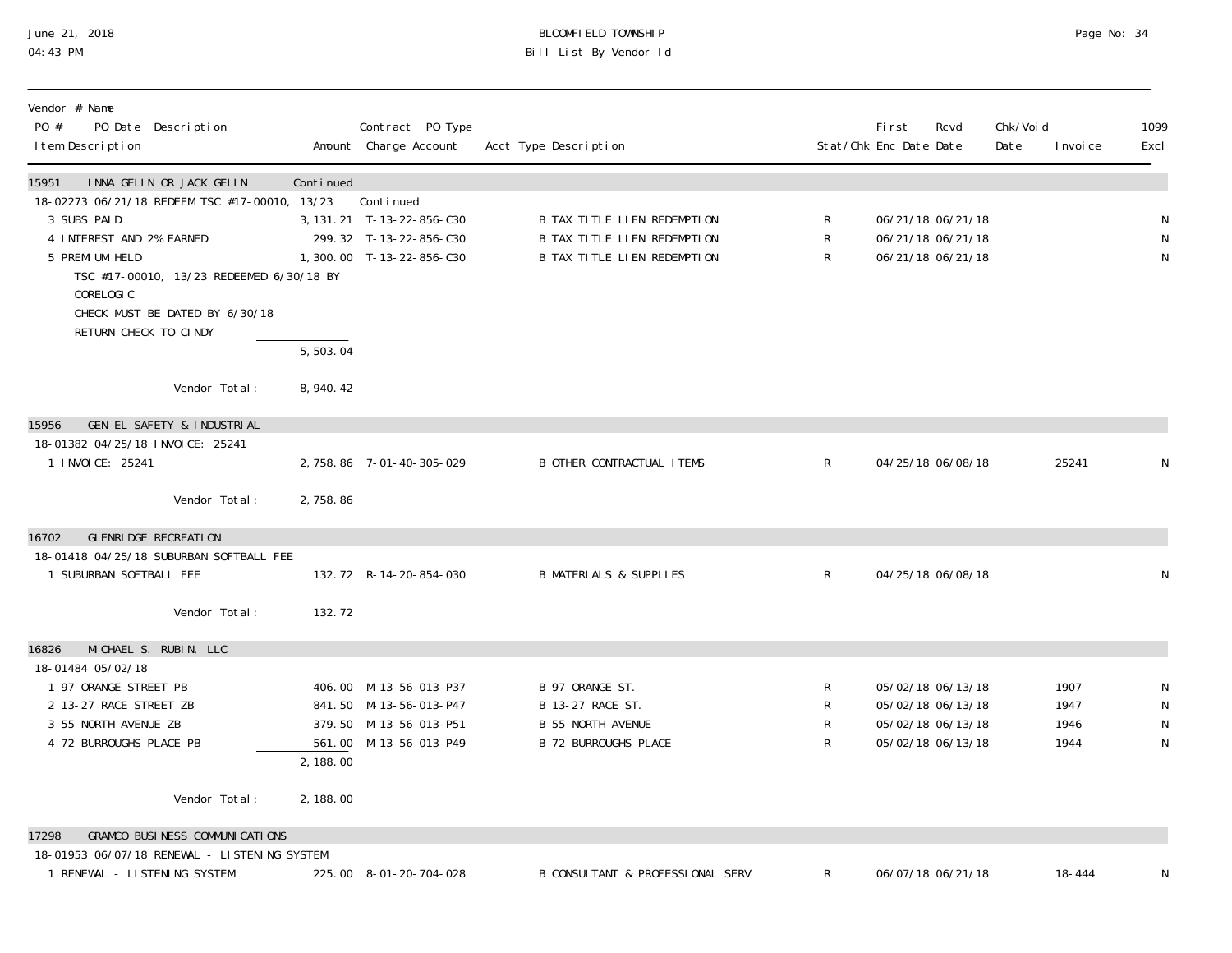# June 21, 2018 BLOOMFIELD TOWNSHIP Page No: 34 04:43 PM Bill List By Vendor Id

| Vendor # Name<br>PO #<br>PO Date Description<br>I tem Description                                                                                       |                       | Contract PO Type<br>Amount Charge Account                                                            | Acct Type Description                                                                          |                        | <b>First</b><br>Stat/Chk Enc Date Date                                           | Rcvd | Chk/Voi d<br>Date | I nvoi ce                    | 1099<br>Excl                     |
|---------------------------------------------------------------------------------------------------------------------------------------------------------|-----------------------|------------------------------------------------------------------------------------------------------|------------------------------------------------------------------------------------------------|------------------------|----------------------------------------------------------------------------------|------|-------------------|------------------------------|----------------------------------|
| INNA GELIN OR JACK GELIN<br>15951                                                                                                                       | Continued             |                                                                                                      |                                                                                                |                        |                                                                                  |      |                   |                              |                                  |
| 18-02273 06/21/18 REDEEM TSC #17-00010, 13/23<br>3 SUBS PAID<br>4 INTEREST AND 2% EARNED<br>5 PREMI UM HELD<br>TSC #17-00010, 13/23 REDEEMED 6/30/18 BY |                       | Continued<br>3, 131. 21 T-13-22-856-C30<br>299.32 T-13-22-856-C30<br>1,300.00 T-13-22-856-C30        | B TAX TITLE LIEN REDEMPTION<br>B TAX TITLE LIEN REDEMPTION<br>B TAX TITLE LIEN REDEMPTION      | R<br>R<br>$\mathsf{R}$ | 06/21/18 06/21/18<br>06/21/18 06/21/18<br>06/21/18 06/21/18                      |      |                   |                              | N<br>${\sf N}$<br>N              |
| CORELOGIC<br>CHECK MUST BE DATED BY 6/30/18<br>RETURN CHECK TO CINDY                                                                                    |                       |                                                                                                      |                                                                                                |                        |                                                                                  |      |                   |                              |                                  |
|                                                                                                                                                         | $\overline{5,503.04}$ |                                                                                                      |                                                                                                |                        |                                                                                  |      |                   |                              |                                  |
| Vendor Total:                                                                                                                                           | 8, 940. 42            |                                                                                                      |                                                                                                |                        |                                                                                  |      |                   |                              |                                  |
| GEN-EL SAFETY & INDUSTRIAL<br>15956                                                                                                                     |                       |                                                                                                      |                                                                                                |                        |                                                                                  |      |                   |                              |                                  |
| 18-01382 04/25/18 INVOICE: 25241<br>1 I NVOI CE: 25241                                                                                                  |                       | 2, 758.86 7-01-40-305-029                                                                            | <b>B OTHER CONTRACTUAL ITEMS</b>                                                               | $\mathsf{R}$           | 04/25/18 06/08/18                                                                |      |                   | 25241                        | N                                |
| Vendor Total:                                                                                                                                           | 2,758.86              |                                                                                                      |                                                                                                |                        |                                                                                  |      |                   |                              |                                  |
| GLENRI DGE RECREATION<br>16702                                                                                                                          |                       |                                                                                                      |                                                                                                |                        |                                                                                  |      |                   |                              |                                  |
| 18-01418 04/25/18 SUBURBAN SOFTBALL FEE<br>1 SUBURBAN SOFTBALL FEE                                                                                      |                       | 132.72 R-14-20-854-030                                                                               | <b>B MATERIALS &amp; SUPPLIES</b>                                                              | $\mathsf{R}$           | 04/25/18 06/08/18                                                                |      |                   |                              | N                                |
| Vendor Total:                                                                                                                                           | 132.72                |                                                                                                      |                                                                                                |                        |                                                                                  |      |                   |                              |                                  |
| MICHAEL S. RUBIN, LLC<br>16826                                                                                                                          |                       |                                                                                                      |                                                                                                |                        |                                                                                  |      |                   |                              |                                  |
| 18-01484 05/02/18<br>1 97 ORANGE STREET PB<br>2 13-27 RACE STREET ZB<br>3 55 NORTH AVENUE ZB<br>4 72 BURROUGHS PLACE PB                                 | 2, 188.00             | 406.00 M-13-56-013-P37<br>841.50 M-13-56-013-P47<br>379.50 M-13-56-013-P51<br>561.00 M-13-56-013-P49 | B 97 ORANGE ST.<br>B 13-27 RACE ST.<br><b>B 55 NORTH AVENUE</b><br><b>B 72 BURROUGHS PLACE</b> | R<br>R<br>R<br>R       | 05/02/18 06/13/18<br>05/02/18 06/13/18<br>05/02/18 06/13/18<br>05/02/18 06/13/18 |      |                   | 1907<br>1947<br>1946<br>1944 | N<br>${\sf N}$<br>${\sf N}$<br>N |
| Vendor Total:                                                                                                                                           | 2, 188.00             |                                                                                                      |                                                                                                |                        |                                                                                  |      |                   |                              |                                  |
| GRAMCO BUSINESS COMMUNICATIONS<br>17298                                                                                                                 |                       |                                                                                                      |                                                                                                |                        |                                                                                  |      |                   |                              |                                  |
| 18-01953 06/07/18 RENEWAL - LISTENING SYSTEM<br>1 RENEWAL - LISTENING SYSTEM                                                                            |                       | 225.00 8-01-20-704-028                                                                               | B CONSULTANT & PROFESSIONAL SERV                                                               | R                      | 06/07/18 06/21/18                                                                |      |                   | 18-444                       |                                  |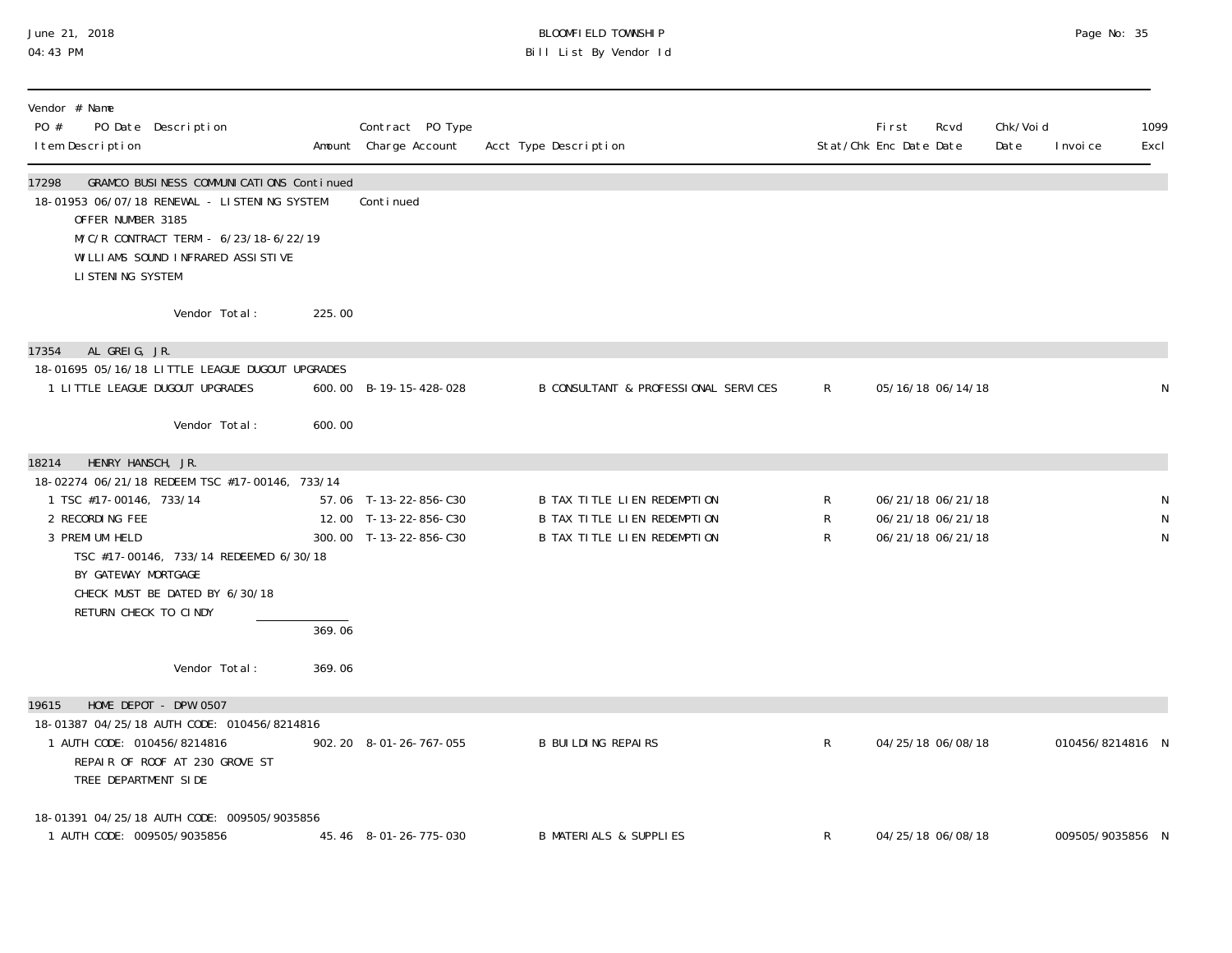## June 21, 2018 BLOOMFIELD TOWNSHIP Page 2018 Page No: 35 04:43 PM Bill List By Vendor Id

| Vendor # Name<br>PO #<br>PO Date Description<br>I tem Description                                                                                                                                                                                                                          |                  | Contract PO Type<br>Amount Charge Account                                | Acct Type Description                                                                     |                                   | First<br>Rcvd<br>Stat/Chk Enc Date Date                     | Chk/Voi d<br>Date<br>I nvoi ce | 1099<br>Excl |
|--------------------------------------------------------------------------------------------------------------------------------------------------------------------------------------------------------------------------------------------------------------------------------------------|------------------|--------------------------------------------------------------------------|-------------------------------------------------------------------------------------------|-----------------------------------|-------------------------------------------------------------|--------------------------------|--------------|
| GRAMCO BUSINESS COMMUNICATIONS Continued<br>17298<br>18-01953 06/07/18 RENEWAL - LISTENING SYSTEM<br>OFFER NUMBER 3185<br>M/C/R CONTRACT TERM - 6/23/18-6/22/19<br>WILLIAMS SOUND INFRARED ASSISTIVE<br>LI STENING SYSTEM                                                                  |                  | Continued                                                                |                                                                                           |                                   |                                                             |                                |              |
| Vendor Total:                                                                                                                                                                                                                                                                              | 225.00           |                                                                          |                                                                                           |                                   |                                                             |                                |              |
| AL GREIG, JR.<br>17354<br>18-01695 05/16/18 LITTLE LEAGUE DUGOUT UPGRADES<br>1 LITTLE LEAGUE DUGOUT UPGRADES<br>Vendor Total:                                                                                                                                                              | 600.00           | 600.00 B-19-15-428-028                                                   | B CONSULTANT & PROFESSIONAL SERVICES                                                      | R                                 | 05/16/18 06/14/18                                           |                                | N            |
| HENRY HANSCH, JR.<br>18214<br>18-02274 06/21/18 REDEEM TSC #17-00146, 733/14<br>1 TSC #17-00146, 733/14<br>2 RECORDING FEE<br>3 PREMI UM HELD<br>TSC #17-00146, 733/14 REDEEMED 6/30/18<br>BY GATEWAY MORTGAGE<br>CHECK MUST BE DATED BY 6/30/18<br>RETURN CHECK TO CINDY<br>Vendor Total: | 369.06<br>369.06 | 57.06 T-13-22-856-C30<br>12.00 T-13-22-856-C30<br>300.00 T-13-22-856-C30 | B TAX TITLE LIEN REDEMPTION<br>B TAX TITLE LIEN REDEMPTION<br>B TAX TITLE LIEN REDEMPTION | $\mathsf{R}$<br>$\mathsf{R}$<br>R | 06/21/18 06/21/18<br>06/21/18 06/21/18<br>06/21/18 06/21/18 |                                | N<br>N<br>N  |
| HOME DEPOT - DPW 0507<br>19615                                                                                                                                                                                                                                                             |                  |                                                                          |                                                                                           |                                   |                                                             |                                |              |
| 18-01387 04/25/18 AUTH CODE: 010456/8214816<br>1 AUTH CODE: 010456/8214816<br>REPAIR OF ROOF AT 230 GROVE ST<br>TREE DEPARTMENT SIDE                                                                                                                                                       |                  | 902.20 8-01-26-767-055                                                   | <b>B BUILDING REPAIRS</b>                                                                 | R                                 | 04/25/18 06/08/18                                           | 010456/8214816 N               |              |
| 18-01391 04/25/18 AUTH CODE: 009505/9035856<br>1 AUTH CODE: 009505/9035856                                                                                                                                                                                                                 |                  | 45.46 8-01-26-775-030                                                    | <b>B MATERIALS &amp; SUPPLIES</b>                                                         | $\mathsf{R}$                      | 04/25/18 06/08/18                                           | 009505/9035856 N               |              |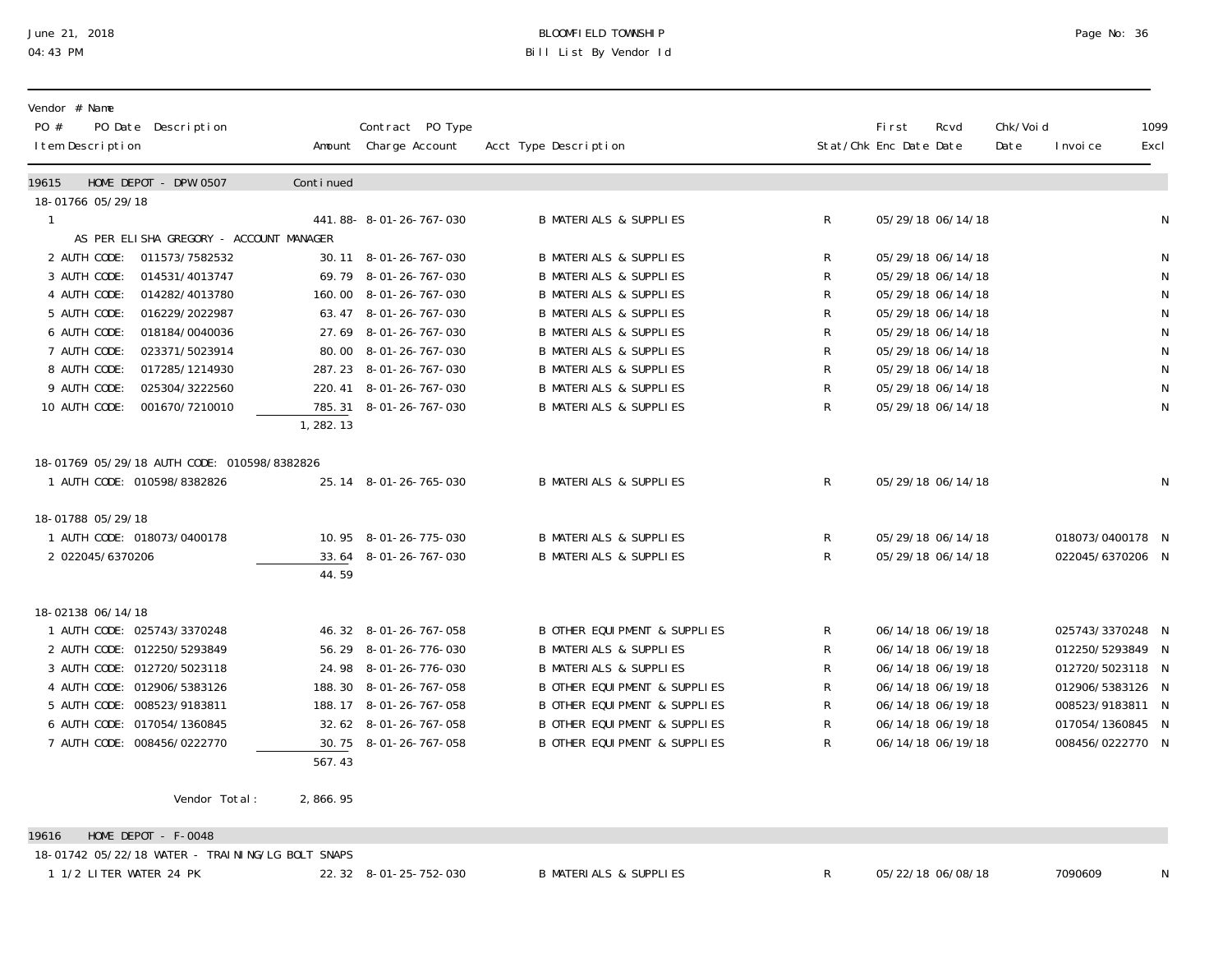# June 21, 2018 BLOOMFIELD TOWNSHIP Page No: 36 Bill List By Vendor Id

| Vendor # Name<br>PO #<br>PO Date Description<br>I tem Description                                                                                                                                                                                                                                               |                     | Contract PO Type<br>Amount Charge Account                                                                                                                                                                                         | Acct Type Description                                                                                                                                                                                                                                                                                                                     |                                           | <b>First</b><br>Stat/Chk Enc Date Date | Rcvd                                                                                                                                                                                      | Chk/Voi d<br>Date | I nvoi ce                                                                                                                                | 1099<br>Excl                                                                                  |
|-----------------------------------------------------------------------------------------------------------------------------------------------------------------------------------------------------------------------------------------------------------------------------------------------------------------|---------------------|-----------------------------------------------------------------------------------------------------------------------------------------------------------------------------------------------------------------------------------|-------------------------------------------------------------------------------------------------------------------------------------------------------------------------------------------------------------------------------------------------------------------------------------------------------------------------------------------|-------------------------------------------|----------------------------------------|-------------------------------------------------------------------------------------------------------------------------------------------------------------------------------------------|-------------------|------------------------------------------------------------------------------------------------------------------------------------------|-----------------------------------------------------------------------------------------------|
| HOME DEPOT - DPW 0507<br>19615                                                                                                                                                                                                                                                                                  | Continued           |                                                                                                                                                                                                                                   |                                                                                                                                                                                                                                                                                                                                           |                                           |                                        |                                                                                                                                                                                           |                   |                                                                                                                                          |                                                                                               |
| 18-01766 05/29/18<br>-1<br>AS PER ELISHA GREGORY - ACCOUNT MANAGER                                                                                                                                                                                                                                              |                     | 441.88-8--01-26-767-030                                                                                                                                                                                                           | <b>B MATERIALS &amp; SUPPLIES</b>                                                                                                                                                                                                                                                                                                         | R                                         |                                        | 05/29/18 06/14/18                                                                                                                                                                         |                   |                                                                                                                                          | ${\sf N}$                                                                                     |
| 011573/7582532<br>2 AUTH CODE:<br>3 AUTH CODE:<br>014531/4013747<br>4 AUTH CODE:<br>014282/4013780<br>5 AUTH CODE:<br>016229/2022987<br>6 AUTH CODE:<br>018184/0040036<br>7 AUTH CODE:<br>023371/5023914<br>8 AUTH CODE:<br>017285/1214930<br>9 AUTH CODE:<br>025304/3222560<br>10 AUTH CODE:<br>001670/7210010 | 1, 282.13           | 30.11 8-01-26-767-030<br>69.79 8-01-26-767-030<br>160.00 8-01-26-767-030<br>63.47 8-01-26-767-030<br>27.69 8-01-26-767-030<br>80.00 8-01-26-767-030<br>287.23 8-01-26-767-030<br>220.41 8-01-26-767-030<br>785.31 8-01-26-767-030 | <b>B MATERIALS &amp; SUPPLIES</b><br><b>B MATERIALS &amp; SUPPLIES</b><br><b>B MATERIALS &amp; SUPPLIES</b><br><b>B MATERIALS &amp; SUPPLIES</b><br><b>B MATERIALS &amp; SUPPLIES</b><br><b>B MATERIALS &amp; SUPPLIES</b><br><b>B MATERIALS &amp; SUPPLIES</b><br><b>B MATERIALS &amp; SUPPLIES</b><br><b>B MATERIALS &amp; SUPPLIES</b> | R<br>R<br>R<br>R<br>R<br>R<br>R<br>R<br>R |                                        | 05/29/18 06/14/18<br>05/29/18 06/14/18<br>05/29/18 06/14/18<br>05/29/18 06/14/18<br>05/29/18 06/14/18<br>05/29/18 06/14/18<br>05/29/18 06/14/18<br>05/29/18 06/14/18<br>05/29/18 06/14/18 |                   |                                                                                                                                          | N<br>${\sf N}$<br>${\sf N}$<br>${\sf N}$<br>${\sf N}$<br>$\mathsf N$<br>$\mathsf N$<br>N<br>N |
| 18-01769 05/29/18 AUTH CODE: 010598/8382826<br>1 AUTH CODE: 010598/8382826                                                                                                                                                                                                                                      |                     | 25.14 8-01-26-765-030                                                                                                                                                                                                             | <b>B MATERIALS &amp; SUPPLIES</b>                                                                                                                                                                                                                                                                                                         | $\mathsf{R}$                              |                                        | 05/29/18 06/14/18                                                                                                                                                                         |                   |                                                                                                                                          | N                                                                                             |
| 18-01788 05/29/18<br>1 AUTH CODE: 018073/0400178<br>2 022045/6370206                                                                                                                                                                                                                                            | 44.59               | 10.95 8-01-26-775-030<br>33.64 8-01-26-767-030                                                                                                                                                                                    | <b>B MATERIALS &amp; SUPPLIES</b><br><b>B MATERIALS &amp; SUPPLIES</b>                                                                                                                                                                                                                                                                    | R<br>R                                    |                                        | 05/29/18 06/14/18<br>05/29/18 06/14/18                                                                                                                                                    |                   | 018073/0400178 N<br>022045/6370206 N                                                                                                     |                                                                                               |
| 18-02138 06/14/18<br>1 AUTH CODE: 025743/3370248<br>2 AUTH CODE: 012250/5293849<br>3 AUTH CODE: 012720/5023118<br>4 AUTH CODE: 012906/5383126<br>5 AUTH CODE: 008523/9183811<br>6 AUTH CODE: 017054/1360845<br>7 AUTH CODE: 008456/0222770                                                                      | $\overline{567.43}$ | 46.32 8-01-26-767-058<br>56.29 8-01-26-776-030<br>24.98 8-01-26-776-030<br>188.30 8-01-26-767-058<br>188.17 8-01-26-767-058<br>32.62 8-01-26-767-058<br>30.75 8-01-26-767-058                                                     | <b>B OTHER EQUI PMENT &amp; SUPPLIES</b><br><b>B MATERIALS &amp; SUPPLIES</b><br><b>B MATERIALS &amp; SUPPLIES</b><br><b>B OTHER EQUI PMENT &amp; SUPPLIES</b><br><b>B OTHER EQUI PMENT &amp; SUPPLIES</b><br><b>B OTHER EQUI PMENT &amp; SUPPLIES</b><br><b>B OTHER EQUI PMENT &amp; SUPPLIES</b>                                        | R<br>R<br>R<br>R<br>R<br>R<br>R           |                                        | 06/14/18 06/19/18<br>06/14/18 06/19/18<br>06/14/18 06/19/18<br>06/14/18 06/19/18<br>06/14/18 06/19/18<br>06/14/18 06/19/18<br>06/14/18 06/19/18                                           |                   | 025743/3370248 N<br>012250/5293849 N<br>012720/5023118 N<br>012906/5383126 N<br>008523/9183811 N<br>017054/1360845 N<br>008456/0222770 N |                                                                                               |
| Vendor Total:                                                                                                                                                                                                                                                                                                   | 2,866.95            |                                                                                                                                                                                                                                   |                                                                                                                                                                                                                                                                                                                                           |                                           |                                        |                                                                                                                                                                                           |                   |                                                                                                                                          |                                                                                               |

19616 HOME DEPOT - F-0048

18-01742 05/22/18 WATER - TRAINING/LG BOLT SNAPS

1 1/2 LITER WATER 24 PK 22.32 8-01-25-752-030 B MATERIALS & SUPPLIES R 05/22/18 06/08/18 7090609 N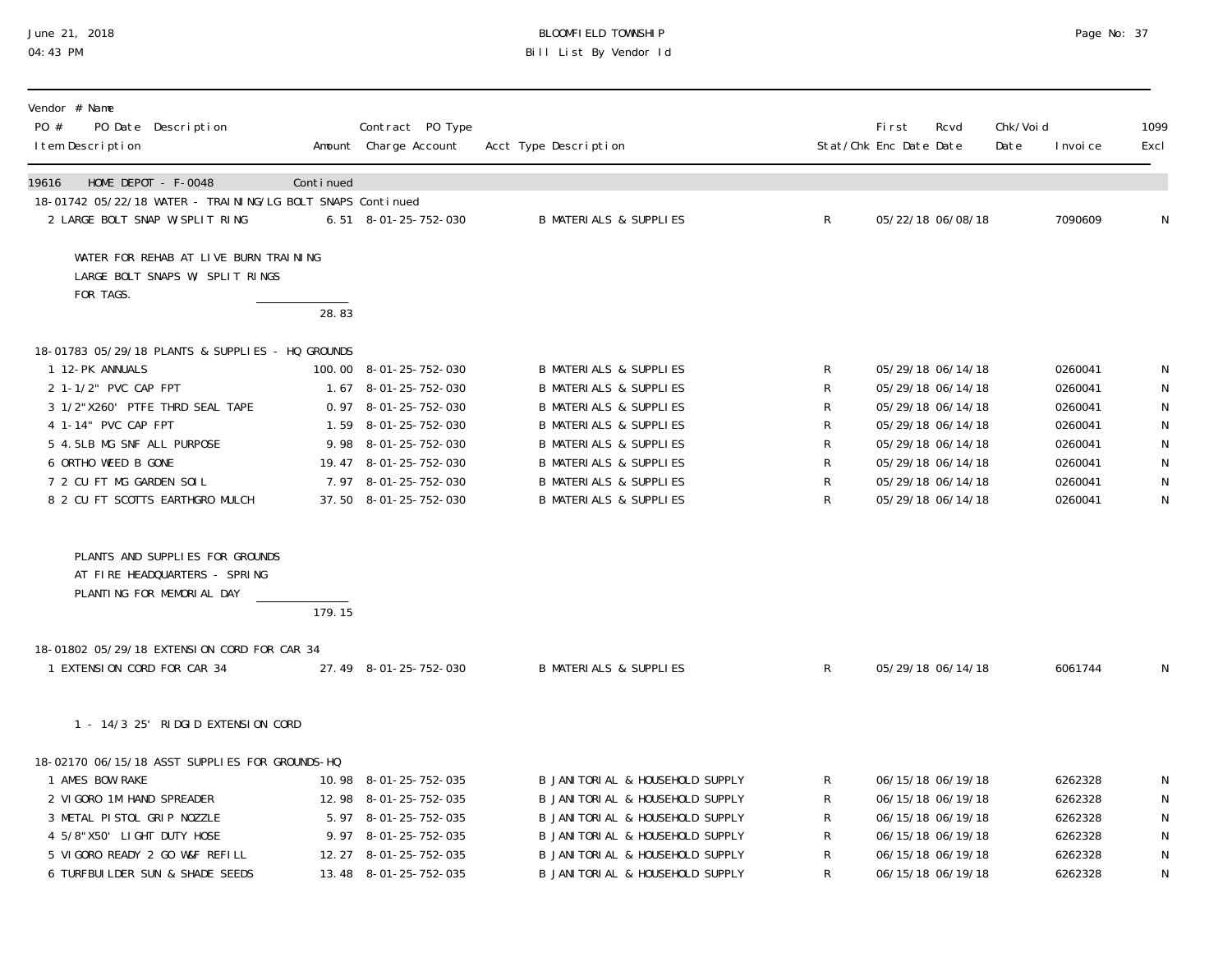## June 21, 2018 BLOOMFIELD TOWNSHIP Page 2018 Page No: 37 04:43 PM Bill List By Vendor Id

| Vendor # Name<br>$P0 \#$<br>PO Date Description<br>I tem Description                          |           | Contract PO Type<br>Amount Charge Account | Acct Type Description                      |              | <b>First</b><br>Stat/Chk Enc Date Date | Rcvd              | Chk/Voi d<br>Date | I nvoi ce | 1099<br>Excl |
|-----------------------------------------------------------------------------------------------|-----------|-------------------------------------------|--------------------------------------------|--------------|----------------------------------------|-------------------|-------------------|-----------|--------------|
| HOME DEPOT - F-0048<br>19616                                                                  | Continued |                                           |                                            |              |                                        |                   |                   |           |              |
| 18-01742 05/22/18 WATER - TRAINING/LG BOLT SNAPS Continued                                    |           |                                           |                                            |              |                                        |                   |                   |           |              |
| 2 LARGE BOLT SNAP W/SPLIT RING                                                                |           | $6.51$ $8-01-25-752-030$                  | <b>B MATERIALS &amp; SUPPLIES</b>          | $\mathsf{R}$ |                                        | 05/22/18 06/08/18 |                   | 7090609   | N            |
| WATER FOR REHAB AT LIVE BURN TRAINING<br>LARGE BOLT SNAPS W/ SPLIT RINGS<br>FOR TAGS.         |           |                                           |                                            |              |                                        |                   |                   |           |              |
|                                                                                               | 28.83     |                                           |                                            |              |                                        |                   |                   |           |              |
|                                                                                               |           |                                           |                                            |              |                                        |                   |                   |           |              |
| 18-01783 05/29/18 PLANTS & SUPPLIES - HQ GROUNDS<br>1 12-PK ANNUALS                           |           | 100.00 8-01-25-752-030                    | <b>B MATERIALS &amp; SUPPLIES</b>          | R            |                                        | 05/29/18 06/14/18 |                   | 0260041   |              |
| 2 1-1/2" PVC CAP FPT                                                                          |           | 1.67 8-01-25-752-030                      | <b>B MATERIALS &amp; SUPPLIES</b>          | R            |                                        | 05/29/18 06/14/18 |                   | 0260041   | N<br>N       |
| 3 1/2"X260' PTFE THRD SEAL TAPE                                                               |           | $0.97$ $8-01-25-752-030$                  | <b>B MATERIALS &amp; SUPPLIES</b>          | R            |                                        | 05/29/18 06/14/18 |                   | 0260041   | N            |
| 4 1-14" PVC CAP FPT                                                                           |           | 1.59 8-01-25-752-030                      | <b>B MATERIALS &amp; SUPPLIES</b>          | R            |                                        | 05/29/18 06/14/18 |                   | 0260041   | $\mathsf N$  |
| 5 4.5LB MG SNF ALL PURPOSE                                                                    |           | 9.98 8-01-25-752-030                      | <b>B MATERIALS &amp; SUPPLIES</b>          | R            |                                        | 05/29/18 06/14/18 |                   | 0260041   | N            |
| 6 ORTHO WEED B GONE                                                                           |           | 19.47 8-01-25-752-030                     | <b>B MATERIALS &amp; SUPPLIES</b>          | R            |                                        | 05/29/18 06/14/18 |                   | 0260041   | N            |
| 7 2 CU FT MG GARDEN SOIL                                                                      |           | 7.97 8-01-25-752-030                      | <b>B MATERIALS &amp; SUPPLIES</b>          | R            |                                        | 05/29/18 06/14/18 |                   | 0260041   | N            |
| 8 2 CU FT SCOTTS EARTHGRO MULCH                                                               |           | 37.50 8-01-25-752-030                     | <b>B MATERIALS &amp; SUPPLIES</b>          | R            |                                        | 05/29/18 06/14/18 |                   | 0260041   | $\mathsf N$  |
| PLANTS AND SUPPLIES FOR GROUNDS<br>AT FIRE HEADQUARTERS - SPRING<br>PLANTING FOR MEMORIAL DAY | 179.15    |                                           |                                            |              |                                        |                   |                   |           |              |
| 18-01802 05/29/18 EXTENSION CORD FOR CAR 34                                                   |           |                                           |                                            |              |                                        |                   |                   |           |              |
| 1 EXTENSION CORD FOR CAR 34                                                                   |           | 27.49 8-01-25-752-030                     | <b>B MATERIALS &amp; SUPPLIES</b>          | $\mathsf{R}$ |                                        | 05/29/18 06/14/18 |                   | 6061744   | $\mathsf N$  |
| 1 - 14/3 25' RIDGID EXTENSION CORD                                                            |           |                                           |                                            |              |                                        |                   |                   |           |              |
| 18-02170 06/15/18 ASST SUPPLIES FOR GROUNDS-HQ                                                |           |                                           |                                            |              |                                        |                   |                   |           |              |
| 1 AMES BOW RAKE                                                                               |           | 10.98 8-01-25-752-035                     | B JANITORIAL & HOUSEHOLD SUPPLY            | R            |                                        | 06/15/18 06/19/18 |                   | 6262328   | N            |
| 2 VIGORO 1M HAND SPREADER                                                                     |           | 12.98 8-01-25-752-035                     | B JANI TORI AL & HOUSEHOLD SUPPLY          | R            |                                        | 06/15/18 06/19/18 |                   | 6262328   | N            |
| 3 METAL PISTOL GRIP NOZZLE                                                                    |           | 5.97 8-01-25-752-035                      | B JANITORIAL & HOUSEHOLD SUPPLY            | R            |                                        | 06/15/18 06/19/18 |                   | 6262328   | ${\sf N}$    |
| 4 5/8"X50' LIGHT DUTY HOSE                                                                    |           | 9.97 8-01-25-752-035                      | B JANITORIAL & HOUSEHOLD SUPPLY            |              |                                        | 06/15/18 06/19/18 |                   | 6262328   | ${\sf N}$    |
| 5 VIGORO READY 2 GO W&F REFILL                                                                |           | 12.27 8-01-25-752-035                     | <b>B JANITORIAL &amp; HOUSEHOLD SUPPLY</b> | R            |                                        | 06/15/18 06/19/18 |                   | 6262328   | ${\sf N}$    |
| 6 TURFBUILDER SUN & SHADE SEEDS                                                               |           | 13.48 8-01-25-752-035                     | B JANI TORI AL & HOUSEHOLD SUPPLY          | R            |                                        | 06/15/18 06/19/18 |                   | 6262328   | $\mathsf N$  |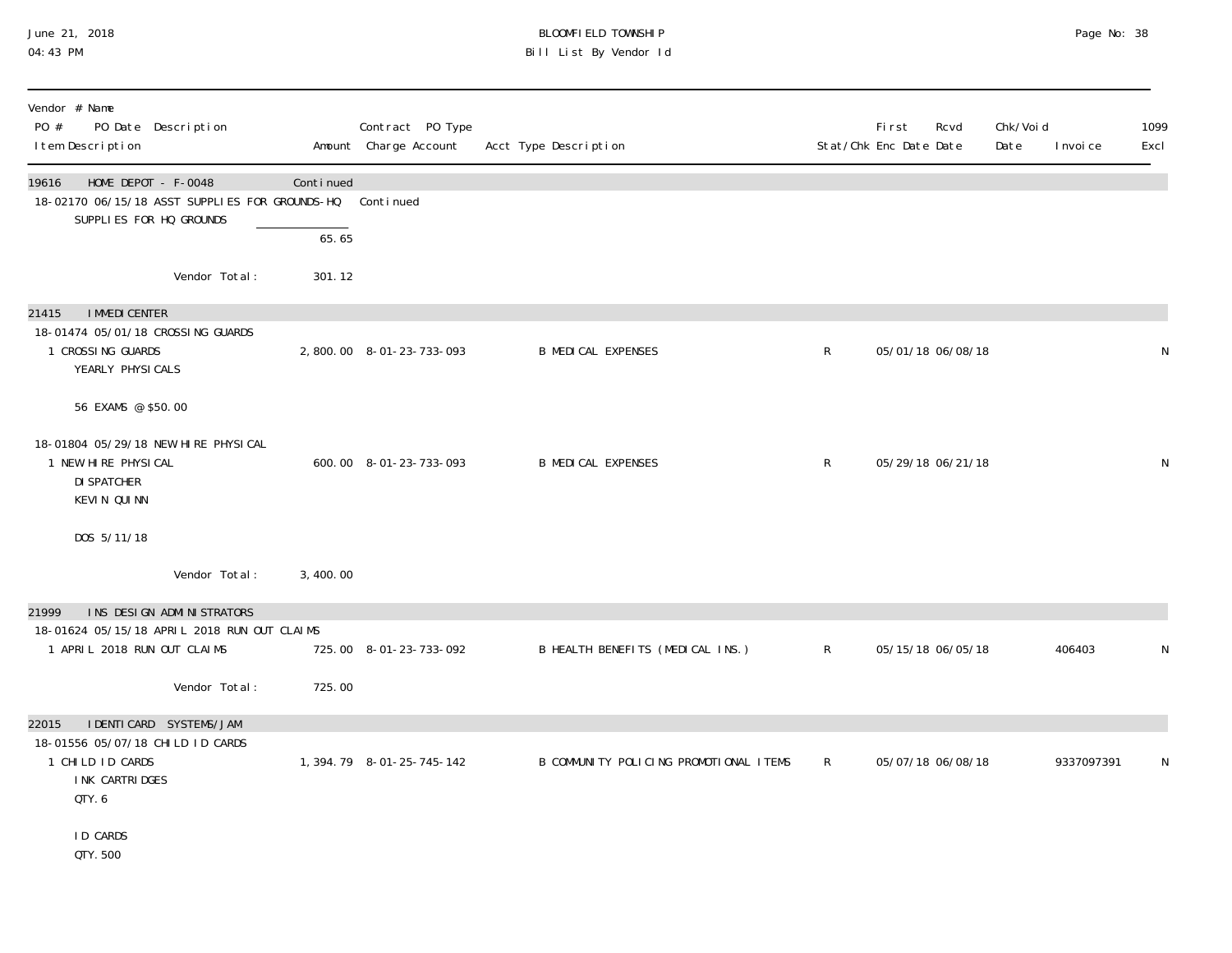#### June 21, 2018 BLOOMFIELD TOWNSHIP Page 2018 Page No: 38 04:43 PM Bill List By Vendor Id

| Vendor # Name<br>PO #<br>PO Date Description<br>I tem Description                                                    |           | Contract PO Type<br>Amount Charge Account | Acct Type Description                  |              | <b>First</b><br>Rcvd<br>Stat/Chk Enc Date Date | Chk/Voi d<br>Date | I nvoi ce  | 1099<br>Excl |
|----------------------------------------------------------------------------------------------------------------------|-----------|-------------------------------------------|----------------------------------------|--------------|------------------------------------------------|-------------------|------------|--------------|
| HOME DEPOT - F-0048<br>19616<br>18-02170 06/15/18 ASST SUPPLIES FOR GROUNDS-HQ<br>SUPPLIES FOR HQ GROUNDS            | Continued | Continued                                 |                                        |              |                                                |                   |            |              |
|                                                                                                                      | 65.65     |                                           |                                        |              |                                                |                   |            |              |
| Vendor Total:                                                                                                        | 301.12    |                                           |                                        |              |                                                |                   |            |              |
| <b>I MMEDI CENTER</b><br>21415<br>18-01474 05/01/18 CROSSING GUARDS<br>1 CROSSING GUARDS<br>YEARLY PHYSICALS         |           | 2,800.00 8-01-23-733-093                  | <b>B MEDICAL EXPENSES</b>              | $\mathsf{R}$ | 05/01/18 06/08/18                              |                   |            | N            |
| 56 EXAMS @ \$50.00                                                                                                   |           |                                           |                                        |              |                                                |                   |            |              |
| 18-01804 05/29/18 NEW HIRE PHYSICAL<br>1 NEW HIRE PHYSICAL<br><b>DI SPATCHER</b><br>KEVIN QUINN                      |           | 600.00 8-01-23-733-093                    | <b>B MEDICAL EXPENSES</b>              | $\mathsf{R}$ | 05/29/18 06/21/18                              |                   |            | N            |
| DOS 5/11/18                                                                                                          |           |                                           |                                        |              |                                                |                   |            |              |
| Vendor Total:                                                                                                        | 3,400.00  |                                           |                                        |              |                                                |                   |            |              |
| INS DESIGN ADMINISTRATORS<br>21999                                                                                   |           |                                           |                                        |              |                                                |                   |            |              |
| 18-01624 05/15/18 APRIL 2018 RUN OUT CLAIMS<br>1 APRIL 2018 RUN OUT CLAIMS                                           |           | 725.00 8-01-23-733-092                    | B HEALTH BENEFITS (MEDICAL INS.)       | $\mathsf{R}$ | 05/15/18 06/05/18                              |                   | 406403     | N            |
| Vendor Total:                                                                                                        | 725.00    |                                           |                                        |              |                                                |                   |            |              |
| I DENTI CARD SYSTEMS/JAM<br>22015<br>18-01556 05/07/18 CHILD ID CARDS<br>1 CHILD ID CARDS<br>INK CARTRIDGES<br>QTY.6 |           | 1, 394. 79 8-01-25-745-142                | B COMMUNITY POLICING PROMOTIONAL ITEMS | $\mathsf{R}$ | 05/07/18 06/08/18                              |                   | 9337097391 | N            |
| <b>ID CARDS</b><br>QTY. 500                                                                                          |           |                                           |                                        |              |                                                |                   |            |              |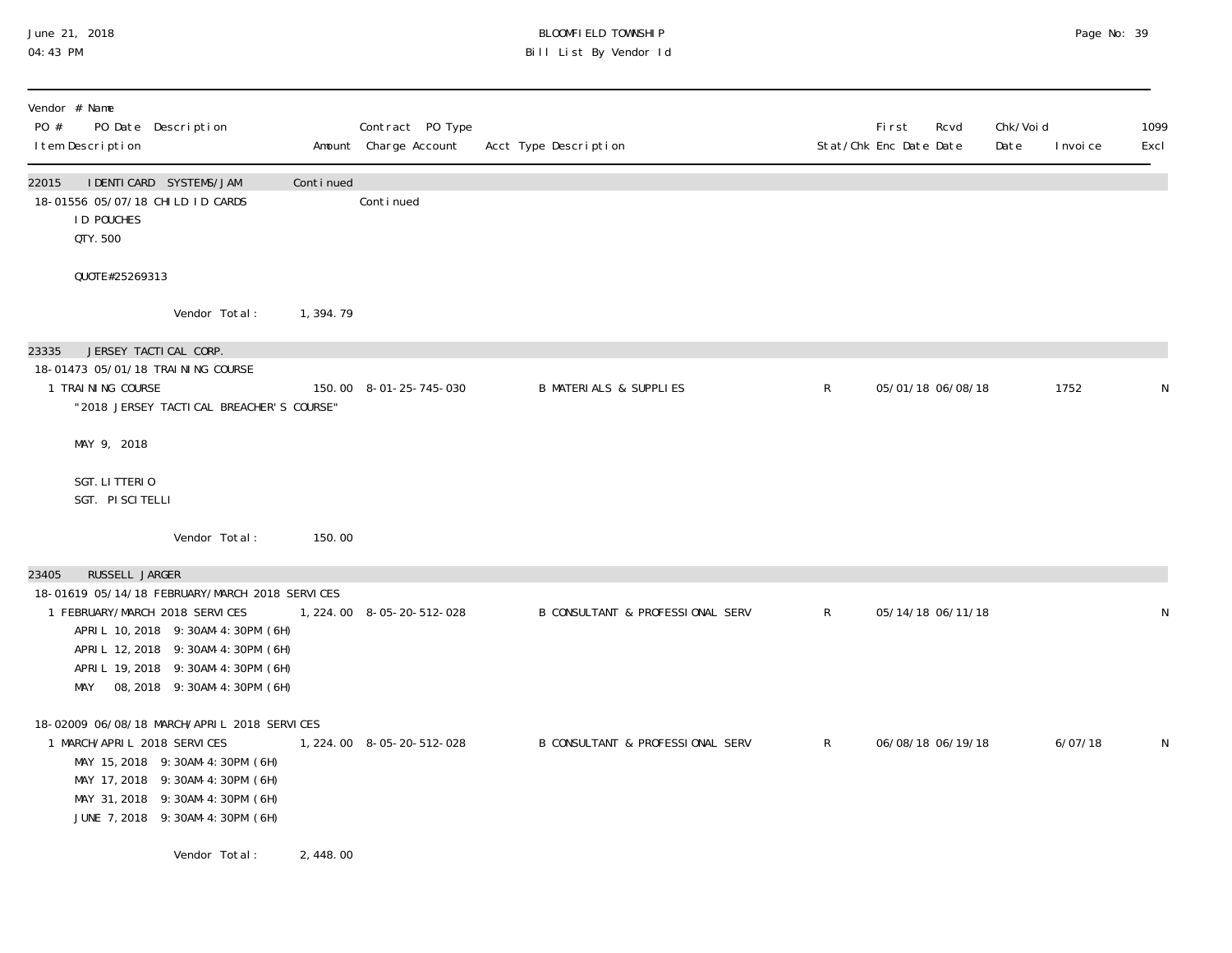#### June 21, 2018 BLOOMFIELD TOWNSHIP Page 2018 Page No: 39 04:43 PM Bill List By Vendor Id

| Vendor # Name<br>PO #<br>PO Date Description<br>I tem Description                                                                                                                                                                                                       |            | Contract PO Type<br>Amount Charge Account | Acct Type Description             |             | <b>First</b><br>Stat/Chk Enc Date Date | Rcvd | Chk/Voi d<br>Date | I nvoi ce | 1099<br>Excl |
|-------------------------------------------------------------------------------------------------------------------------------------------------------------------------------------------------------------------------------------------------------------------------|------------|-------------------------------------------|-----------------------------------|-------------|----------------------------------------|------|-------------------|-----------|--------------|
| I DENTI CARD SYSTEMS/JAM<br>22015<br>18-01556 05/07/18 CHILD ID CARDS<br><b>ID POUCHES</b><br>QTY. 500                                                                                                                                                                  | Continued  | Conti nued                                |                                   |             |                                        |      |                   |           |              |
| QUOTE#25269313                                                                                                                                                                                                                                                          |            |                                           |                                   |             |                                        |      |                   |           |              |
| Vendor Total:                                                                                                                                                                                                                                                           | 1, 394. 79 |                                           |                                   |             |                                        |      |                   |           |              |
| JERSEY TACTICAL CORP.<br>23335<br>18-01473 05/01/18 TRAINING COURSE<br>1 TRAINING COURSE<br>"2018 JERSEY TACTI CAL BREACHER'S COURSE"                                                                                                                                   |            | 150.00 8-01-25-745-030                    | <b>B MATERIALS &amp; SUPPLIES</b> | $\mathsf R$ | 05/01/18 06/08/18                      |      |                   | 1752      | N            |
| MAY 9, 2018                                                                                                                                                                                                                                                             |            |                                           |                                   |             |                                        |      |                   |           |              |
| SGT. LITTERIO<br>SGT. PISCITELLI                                                                                                                                                                                                                                        |            |                                           |                                   |             |                                        |      |                   |           |              |
| Vendor Total:                                                                                                                                                                                                                                                           | 150.00     |                                           |                                   |             |                                        |      |                   |           |              |
| RUSSELL JARGER<br>23405<br>18-01619 05/14/18 FEBRUARY/MARCH 2018 SERVICES<br>1 FEBRUARY/MARCH 2018 SERVICES<br>APRIL 10, 2018 9: 30AM-4: 30PM (6H)<br>APRIL 12, 2018  9: 30AM-4: 30PM (6H)<br>APRIL 19, 2018  9: 30AM-4: 30PM (6H)<br>MAY 08, 2018 9: 30AM-4: 30PM (6H) |            | 1, 224.00 8-05-20-512-028                 | B CONSULTANT & PROFESSIONAL SERV  | R           | 05/14/18 06/11/18                      |      |                   |           | N            |
| 18-02009 06/08/18 MARCH/APRIL 2018 SERVICES<br>1 MARCH/APRIL 2018 SERVICES<br>MAY 15, 2018 9: 30AM-4: 30PM (6H)<br>MAY 17, 2018 9: 30AM-4: 30PM (6H)<br>MAY 31, 2018 9: 30AM-4: 30PM (6H)<br>JUNE 7, 2018 9: 30AM-4: 30PM (6H)                                          |            | 1, 224.00 8-05-20-512-028                 | B CONSULTANT & PROFESSIONAL SERV  | R           | 06/08/18 06/19/18                      |      |                   | 6/07/18   | N            |
| Vendor Total:                                                                                                                                                                                                                                                           | 2,448.00   |                                           |                                   |             |                                        |      |                   |           |              |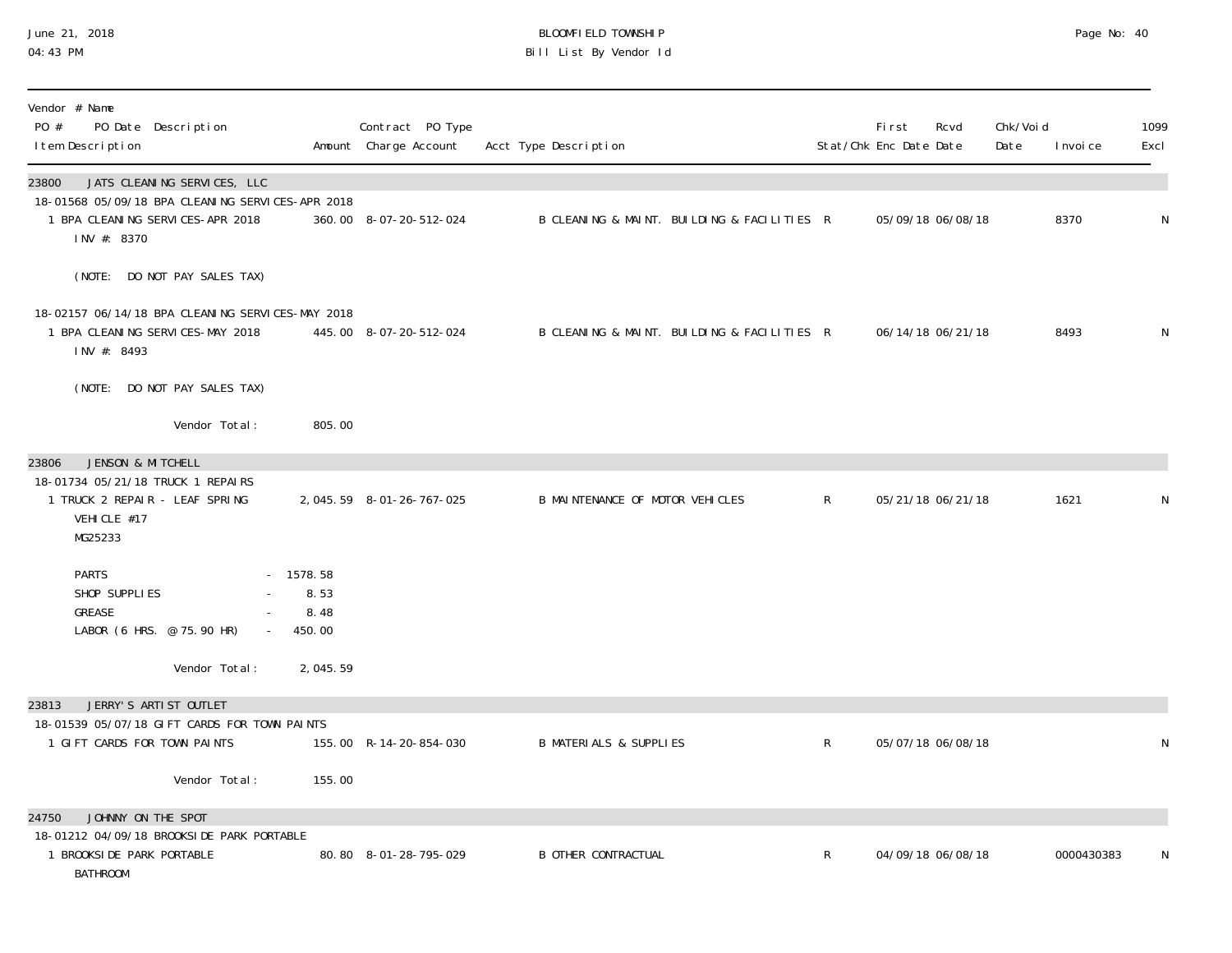#### June 21, 2018 BLOOMFIELD TOWNSHIP Page 2018 Page No: 40 04:43 PM Bill List By Vendor Id

| Vendor # Name<br>PO #<br>PO Date Description<br>I tem Description                                                                           |                                   | Contract PO Type<br>Amount Charge Account | Acct Type Description                       |              | <b>First</b><br>Stat/Chk Enc Date Date | Rcvd              | Chk/Void<br>Date | I nvoi ce  | 1099<br>Excl |
|---------------------------------------------------------------------------------------------------------------------------------------------|-----------------------------------|-------------------------------------------|---------------------------------------------|--------------|----------------------------------------|-------------------|------------------|------------|--------------|
| 23800<br>JATS CLEANING SERVICES, LLC<br>18-01568 05/09/18 BPA CLEANING SERVICES-APR 2018<br>1 BPA CLEANING SERVICES-APR 2018<br>INV #: 8370 |                                   | 360.00 8-07-20-512-024                    | B CLEANING & MAINT. BUILDING & FACILITIES R |              |                                        | 05/09/18 06/08/18 |                  | 8370       | ${\sf N}$    |
| (NOTE: DO NOT PAY SALES TAX)<br>18-02157 06/14/18 BPA CLEANING SERVICES-MAY 2018                                                            |                                   |                                           |                                             |              |                                        |                   |                  |            |              |
| 1 BPA CLEANING SERVICES-MAY 2018<br>INV #: 8493                                                                                             |                                   | 445.00 8-07-20-512-024                    | B CLEANING & MAINT. BUILDING & FACILITIES R |              |                                        | 06/14/18 06/21/18 |                  | 8493       | N            |
| (NOTE: DO NOT PAY SALES TAX)<br>Vendor Total:                                                                                               | 805.00                            |                                           |                                             |              |                                        |                   |                  |            |              |
| JENSON & MITCHELL<br>23806<br>18-01734 05/21/18 TRUCK 1 REPAIRS<br>1 TRUCK 2 REPAIR - LEAF SPRING<br>VEHICLE #17<br>MG25233                 |                                   | 2, 045.59 8-01-26-767-025                 | B MAINTENANCE OF MOTOR VEHICLES             | $\mathsf{R}$ |                                        | 05/21/18 06/21/18 |                  | 1621       | N            |
| <b>PARTS</b><br>SHOP SUPPLIES<br>GREASE<br>LABOR (6 HRS. @ 75.90 HR)                                                                        | 1578.58<br>8.53<br>8.48<br>450.00 |                                           |                                             |              |                                        |                   |                  |            |              |
| Vendor Total:                                                                                                                               | 2,045.59                          |                                           |                                             |              |                                        |                   |                  |            |              |
| JERRY'S ARTIST OUTLET<br>23813                                                                                                              |                                   |                                           |                                             |              |                                        |                   |                  |            |              |
| 18-01539 05/07/18 GIFT CARDS FOR TOWN PAINTS<br>1 GIFT CARDS FOR TOWN PAINTS                                                                |                                   | 155.00 R-14-20-854-030                    | <b>B MATERIALS &amp; SUPPLIES</b>           | $\mathsf{R}$ |                                        | 05/07/18 06/08/18 |                  |            | ${\sf N}$    |
| Vendor Total:                                                                                                                               | 155.00                            |                                           |                                             |              |                                        |                   |                  |            |              |
| JOHNNY ON THE SPOT<br>24750                                                                                                                 |                                   |                                           |                                             |              |                                        |                   |                  |            |              |
| 18-01212 04/09/18 BROOKSIDE PARK PORTABLE<br>1 BROOKSIDE PARK PORTABLE<br><b>BATHROOM</b>                                                   |                                   | 80.80 8-01-28-795-029                     | <b>B OTHER CONTRACTUAL</b>                  | R            |                                        | 04/09/18 06/08/18 |                  | 0000430383 | N            |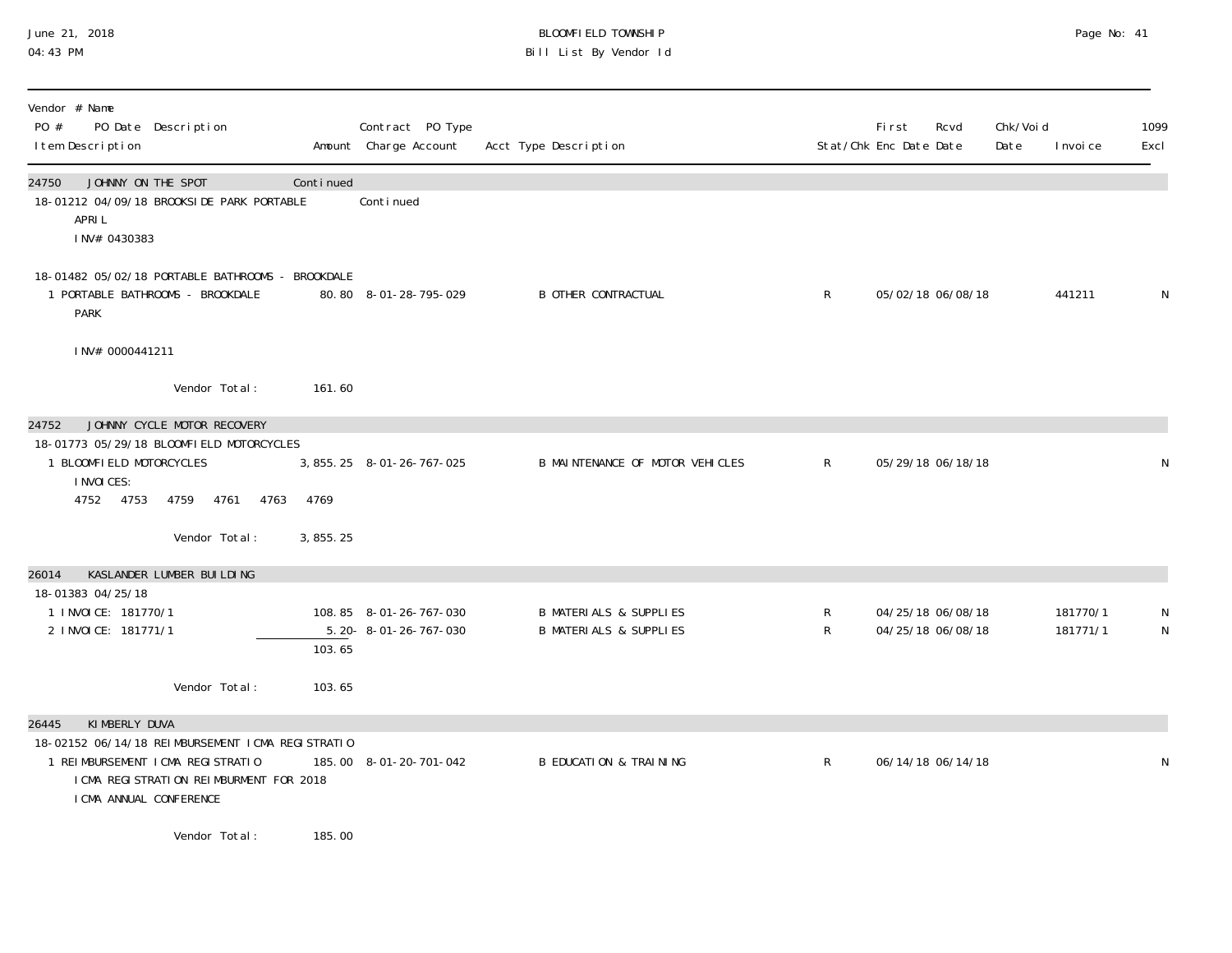#### June 21, 2018 BLOOMFIELD TOWNSHIP Page 2018 Page No: 41 04:43 PM Bill List By Vendor Id

| Vendor # Name                                                                                                                                               |            |                                                            |                                                                        |              |                                                |                   |                      |              |
|-------------------------------------------------------------------------------------------------------------------------------------------------------------|------------|------------------------------------------------------------|------------------------------------------------------------------------|--------------|------------------------------------------------|-------------------|----------------------|--------------|
| PO #<br>PO Date Description<br>I tem Description                                                                                                            |            | Contract PO Type<br>Amount Charge Account                  | Acct Type Description                                                  |              | <b>First</b><br>Rcvd<br>Stat/Chk Enc Date Date | Chk/Voi d<br>Date | I nvoi ce            | 1099<br>Excl |
| JOHNNY ON THE SPOT<br>24750<br>18-01212 04/09/18 BROOKSIDE PARK PORTABLE<br>APRI L<br>INV# 0430383                                                          | Continued  | Continued                                                  |                                                                        |              |                                                |                   |                      |              |
| 18-01482 05/02/18 PORTABLE BATHROOMS - BROOKDALE<br>1 PORTABLE BATHROOMS - BROOKDALE<br><b>PARK</b>                                                         |            | 80.80 8-01-28-795-029                                      | <b>B OTHER CONTRACTUAL</b>                                             | $\mathsf{R}$ | 05/02/18 06/08/18                              |                   | 441211               | N            |
| INV# 0000441211                                                                                                                                             |            |                                                            |                                                                        |              |                                                |                   |                      |              |
| Vendor Total:                                                                                                                                               | 161.60     |                                                            |                                                                        |              |                                                |                   |                      |              |
| JOHNNY CYCLE MOTOR RECOVERY<br>24752                                                                                                                        |            |                                                            |                                                                        |              |                                                |                   |                      |              |
| 18-01773 05/29/18 BLOOMFIELD MOTORCYCLES<br>1 BLOOMFIELD MOTORCYCLES<br><b>INVOICES:</b>                                                                    |            | 3, 855. 25 8-01-26-767-025                                 | B MAINTENANCE OF MOTOR VEHICLES                                        | $\mathsf{R}$ | 05/29/18 06/18/18                              |                   |                      | N            |
| 4752 4753<br>4761<br>4759<br>4763                                                                                                                           | 4769       |                                                            |                                                                        |              |                                                |                   |                      |              |
| Vendor Total:                                                                                                                                               | 3, 855. 25 |                                                            |                                                                        |              |                                                |                   |                      |              |
| KASLANDER LUMBER BUILDING<br>26014                                                                                                                          |            |                                                            |                                                                        |              |                                                |                   |                      |              |
| 18-01383 04/25/18<br>1 INVOICE: 181770/1<br>2 INVOICE: 181771/1                                                                                             | 103.65     | 108.85 8-01-26-767-030<br>$5.20 - 8 - 01 - 26 - 767 - 030$ | <b>B MATERIALS &amp; SUPPLIES</b><br><b>B MATERIALS &amp; SUPPLIES</b> | R<br>R       | 04/25/18 06/08/18<br>04/25/18 06/08/18         |                   | 181770/1<br>181771/1 | N<br>N       |
| Vendor Total:                                                                                                                                               | 103.65     |                                                            |                                                                        |              |                                                |                   |                      |              |
| KIMBERLY DUVA<br>26445                                                                                                                                      |            |                                                            |                                                                        |              |                                                |                   |                      |              |
| 18-02152 06/14/18 REIMBURSEMENT ICMA REGISTRATIO<br>1 REIMBURSEMENT I CMA REGISTRATIO<br>I CMA REGISTRATION REIMBURMENT FOR 2018<br>I CMA ANNUAL CONFERENCE |            | 185.00 8-01-20-701-042                                     | <b>B EDUCATION &amp; TRAINING</b>                                      | $\mathsf{R}$ | 06/14/18 06/14/18                              |                   |                      | ${\sf N}$    |
| Vendor Total:                                                                                                                                               | 185.00     |                                                            |                                                                        |              |                                                |                   |                      |              |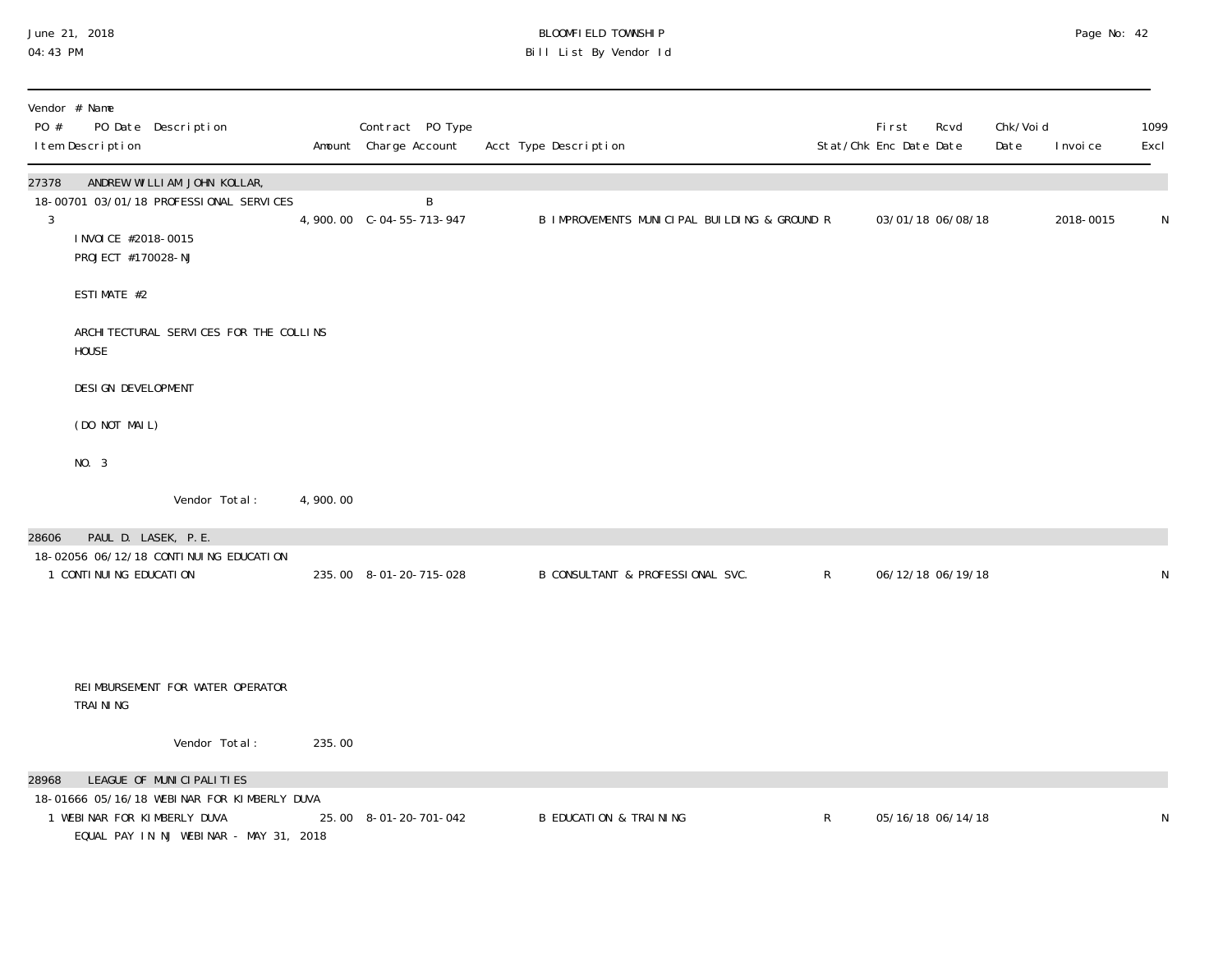## June 21, 2018 BLOOMFIELD TOWNSHIP Page 2018 Page No: 42 04:43 PM Bill List By Vendor Id

| Vendor # Name<br>PO #<br>PO Date Description<br>I tem Description                                                                                         |          | Contract PO Type<br>Amount Charge Account | Acct Type Description                        |              | First<br>Stat/Chk Enc Date Date | Rcvd              | Chk/Voi d<br>Date | I nvoi ce | 1099<br>Excl |
|-----------------------------------------------------------------------------------------------------------------------------------------------------------|----------|-------------------------------------------|----------------------------------------------|--------------|---------------------------------|-------------------|-------------------|-----------|--------------|
| ANDREW WILLIAM JOHN KOLLAR,<br>27378<br>18-00701 03/01/18 PROFESSIONAL SERVICES<br>$\mathfrak{Z}$<br>I NVOI CE #2018-0015<br>PROJECT #170028-NJ           |          | B                                         | B IMPROVEMENTS MUNICIPAL BUILDING & GROUND R |              |                                 | 03/01/18 06/08/18 |                   | 2018-0015 | N            |
| ESTIMATE #2                                                                                                                                               |          |                                           |                                              |              |                                 |                   |                   |           |              |
| ARCHI TECTURAL SERVICES FOR THE COLLINS<br><b>HOUSE</b>                                                                                                   |          |                                           |                                              |              |                                 |                   |                   |           |              |
| DESI GN DEVELOPMENT                                                                                                                                       |          |                                           |                                              |              |                                 |                   |                   |           |              |
| (DO NOT MAIL)                                                                                                                                             |          |                                           |                                              |              |                                 |                   |                   |           |              |
| NO. 3                                                                                                                                                     |          |                                           |                                              |              |                                 |                   |                   |           |              |
| Vendor Total:                                                                                                                                             | 4,900.00 |                                           |                                              |              |                                 |                   |                   |           |              |
| PAUL D. LASEK, P.E.<br>28606<br>18-02056 06/12/18 CONTINUING EDUCATION<br>1 CONTI NUI NG EDUCATI ON                                                       |          | 235.00 8-01-20-715-028                    | B CONSULTANT & PROFESSIONAL SVC.             | $\mathsf{R}$ |                                 | 06/12/18 06/19/18 |                   |           | N            |
| REIMBURSEMENT FOR WATER OPERATOR<br>TRAINING                                                                                                              |          |                                           |                                              |              |                                 |                   |                   |           |              |
| Vendor Total:                                                                                                                                             | 235.00   |                                           |                                              |              |                                 |                   |                   |           |              |
| LEAGUE OF MUNICIPALITIES<br>28968<br>18-01666 05/16/18 WEBINAR FOR KIMBERLY DUVA<br>1 WEBINAR FOR KIMBERLY DUVA<br>EQUAL PAY IN NJ WEBINAR - MAY 31, 2018 |          | 25.00 8-01-20-701-042                     | <b>B EDUCATION &amp; TRAINING</b>            | $\mathsf{R}$ |                                 | 05/16/18 06/14/18 |                   |           | N            |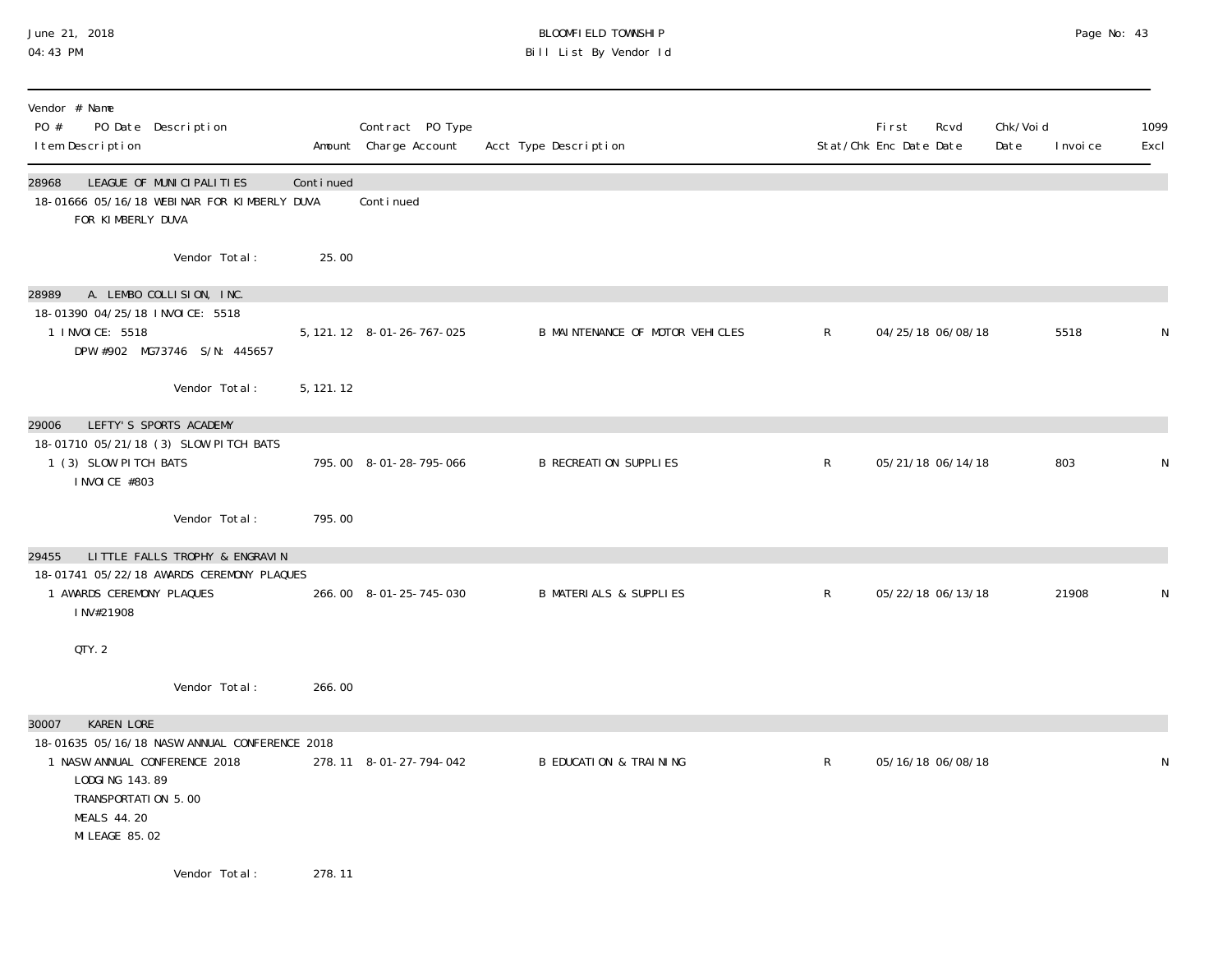#### June 21, 2018 BLOOMFIELD TOWNSHIP Page 2018 Page No: 43 04:43 PM Bill List By Vendor Id

| Vendor # Name<br>PO #<br>PO Date Description<br>I tem Description                                              |            | Contract PO Type<br>Amount Charge Account | Acct Type Description             |              | Fi rst<br>Stat/Chk Enc Date Date | Rcvd | Chk/Voi d<br>Date | I nvoi ce | 1099<br>Excl |
|----------------------------------------------------------------------------------------------------------------|------------|-------------------------------------------|-----------------------------------|--------------|----------------------------------|------|-------------------|-----------|--------------|
| LEAGUE OF MUNICIPALITIES<br>28968<br>18-01666 05/16/18 WEBINAR FOR KIMBERLY DUVA<br>FOR KIMBERLY DUVA          | Continued  | Continued                                 |                                   |              |                                  |      |                   |           |              |
| Vendor Total:                                                                                                  | 25.00      |                                           |                                   |              |                                  |      |                   |           |              |
| A. LEMBO COLLISION, INC.<br>28989                                                                              |            |                                           |                                   |              |                                  |      |                   |           |              |
| 18-01390 04/25/18 INVOICE: 5518<br>1 INVOICE: 5518<br>DPW #902 MG73746 S/N: 445657                             |            | 5, 121. 12 8-01-26-767-025                | B MAINTENANCE OF MOTOR VEHICLES   | $\mathsf{R}$ | 04/25/18 06/08/18                |      |                   | 5518      | N            |
| Vendor Total:                                                                                                  | 5, 121. 12 |                                           |                                   |              |                                  |      |                   |           |              |
| LEFTY'S SPORTS ACADEMY<br>29006                                                                                |            |                                           |                                   |              |                                  |      |                   |           |              |
| 18-01710 05/21/18 (3) SLOW PITCH BATS<br>1 (3) SLOW PITCH BATS<br>I NVOI CE #803                               |            | 795.00 8-01-28-795-066                    | <b>B RECREATION SUPPLIES</b>      | $\mathsf{R}$ | 05/21/18 06/14/18                |      |                   | 803       | N            |
| Vendor Total:                                                                                                  | 795.00     |                                           |                                   |              |                                  |      |                   |           |              |
| LITTLE FALLS TROPHY & ENGRAVIN<br>29455                                                                        |            |                                           |                                   |              |                                  |      |                   |           |              |
| 18-01741 05/22/18 AWARDS CEREMONY PLAQUES                                                                      |            |                                           |                                   |              |                                  |      |                   |           |              |
| 1 AWARDS CEREMONY PLAQUES<br>INV#21908                                                                         |            | 266.00 8-01-25-745-030                    | <b>B MATERIALS &amp; SUPPLIES</b> | R            | 05/22/18 06/13/18                |      |                   | 21908     | N            |
| QTY. 2                                                                                                         |            |                                           |                                   |              |                                  |      |                   |           |              |
| Vendor Total:                                                                                                  | 266.00     |                                           |                                   |              |                                  |      |                   |           |              |
| <b>KAREN LORE</b><br>30007                                                                                     |            |                                           |                                   |              |                                  |      |                   |           |              |
| 18-01635 05/16/18 NASW ANNUAL CONFERENCE 2018                                                                  |            |                                           |                                   |              |                                  |      |                   |           |              |
| 1 NASW ANNUAL CONFERENCE 2018<br>LODGING 143.89<br>TRANSPORTATION 5.00<br><b>MEALS 44.20</b><br>MI LEAGE 85.02 |            | 278.11 8-01-27-794-042                    | <b>B EDUCATION &amp; TRAINING</b> | $\mathsf{R}$ | 05/16/18 06/08/18                |      |                   |           | N            |
| Vendor Total:                                                                                                  | 278.11     |                                           |                                   |              |                                  |      |                   |           |              |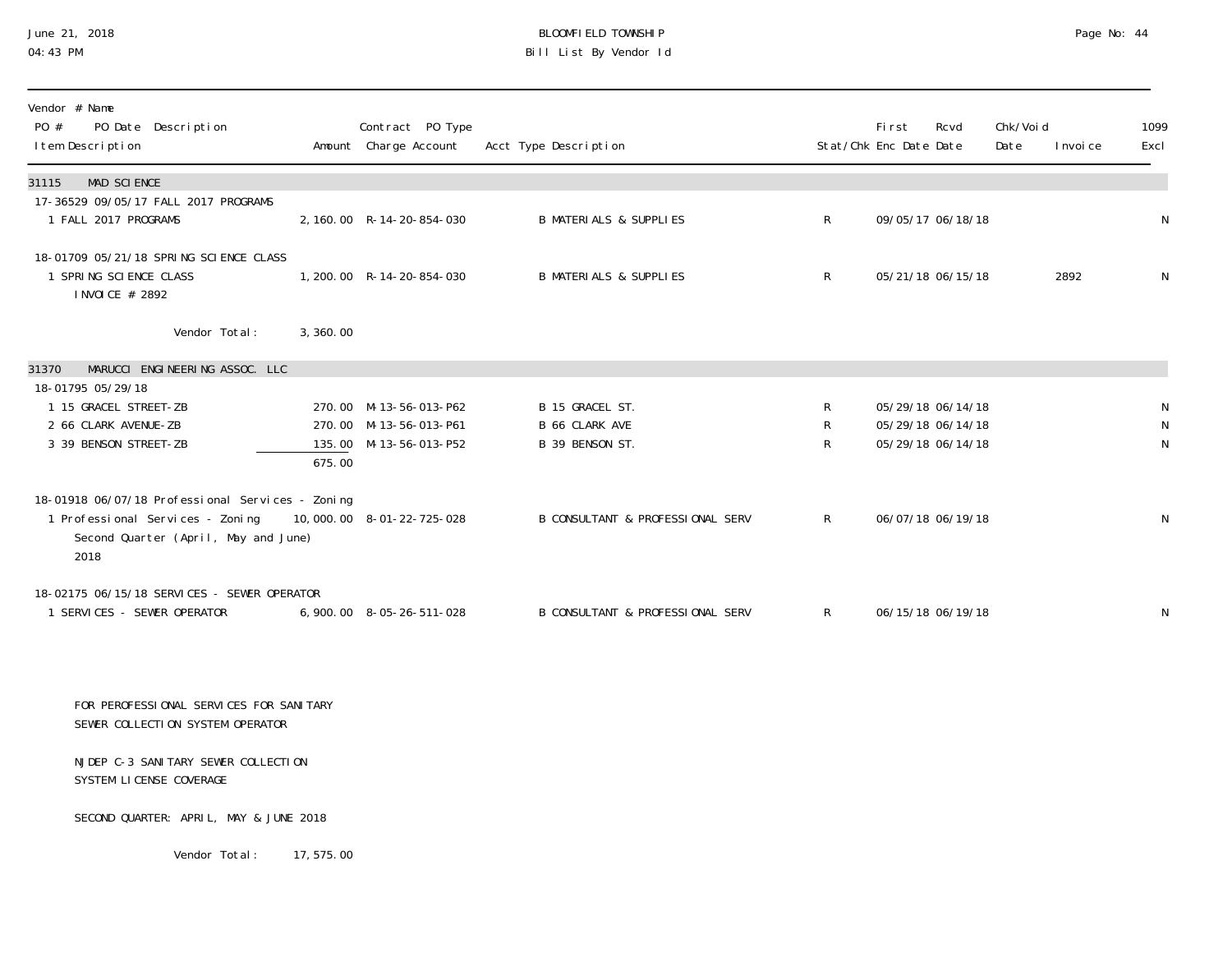## June 21, 2018 BLOOMFIELD TOWNSHIP Page 2018 Page No: 44 04:43 PM Bill List By Vendor Id

| Vendor # Name<br>PO #<br>PO Date Description<br>I tem Description                                                                                              |          | Contract PO Type<br>Amount Charge Account        | Acct Type Description                    |                   | <b>First</b><br>Stat/Chk Enc Date Date | Rcvd                                   | Chk/Voi d<br>Date | I nvoi ce | 1099<br>Excl      |
|----------------------------------------------------------------------------------------------------------------------------------------------------------------|----------|--------------------------------------------------|------------------------------------------|-------------------|----------------------------------------|----------------------------------------|-------------------|-----------|-------------------|
| MAD SCIENCE<br>31115                                                                                                                                           |          |                                                  |                                          |                   |                                        |                                        |                   |           |                   |
| 17-36529 09/05/17 FALL 2017 PROGRAMS<br>1 FALL 2017 PROGRAMS                                                                                                   |          | 2, 160.00 R-14-20-854-030                        | <b>B MATERIALS &amp; SUPPLIES</b>        | $\mathsf{R}$      |                                        | 09/05/17 06/18/18                      |                   |           | ${\sf N}$         |
| 18-01709 05/21/18 SPRING SCIENCE CLASS<br>1 SPRING SCIENCE CLASS<br>I NVOI CE # 2892                                                                           |          | 1, 200. 00 R-14-20-854-030                       | <b>B MATERIALS &amp; SUPPLIES</b>        | $R_{\perp}$       |                                        | 05/21/18 06/15/18                      |                   | 2892      | N                 |
| Vendor Total:                                                                                                                                                  | 3,360.00 |                                                  |                                          |                   |                                        |                                        |                   |           |                   |
| MARUCCI ENGINEERING ASSOC. LLC<br>31370                                                                                                                        |          |                                                  |                                          |                   |                                        |                                        |                   |           |                   |
| 18-01795 05/29/18<br>1 15 GRACEL STREET-ZB                                                                                                                     |          | 270.00 M-13-56-013-P62                           | B 15 GRACEL ST.                          | $\mathsf R$       |                                        | 05/29/18 06/14/18                      |                   |           | N                 |
| 2 66 CLARK AVENUE-ZB<br>3 39 BENSON STREET-ZB                                                                                                                  | 675.00   | 270.00 M-13-56-013-P61<br>135.00 M-13-56-013-P52 | <b>B 66 CLARK AVE</b><br>B 39 BENSON ST. | $\mathsf{R}$<br>R |                                        | 05/29/18 06/14/18<br>05/29/18 06/14/18 |                   |           | N<br>$\mathsf{N}$ |
| 18-01918 06/07/18 Professional Services - Zoning<br>1 Professional Services - Zoning 10,000.00 8-01-22-725-028<br>Second Quarter (April, May and June)<br>2018 |          |                                                  | B CONSULTANT & PROFESSIONAL SERV         | R                 |                                        | 06/07/18 06/19/18                      |                   |           | N                 |
| 18-02175 06/15/18 SERVICES - SEWER OPERATOR<br>1 SERVICES - SEWER OPERATOR                                                                                     |          | 6,900.00 8-05-26-511-028                         | B CONSULTANT & PROFESSIONAL SERV         | R                 |                                        | 06/15/18 06/19/18                      |                   |           | N                 |
| FOR PEROFESSIONAL SERVICES FOR SANITARY<br>SEWER COLLECTION SYSTEM OPERATOR                                                                                    |          |                                                  |                                          |                   |                                        |                                        |                   |           |                   |
| NJDEP C-3 SANITARY SEWER COLLECTION<br>SYSTEM LICENSE COVERAGE                                                                                                 |          |                                                  |                                          |                   |                                        |                                        |                   |           |                   |
| SECOND QUARTER: APRIL, MAY & JUNE 2018                                                                                                                         |          |                                                  |                                          |                   |                                        |                                        |                   |           |                   |

Vendor Total: 17,575.00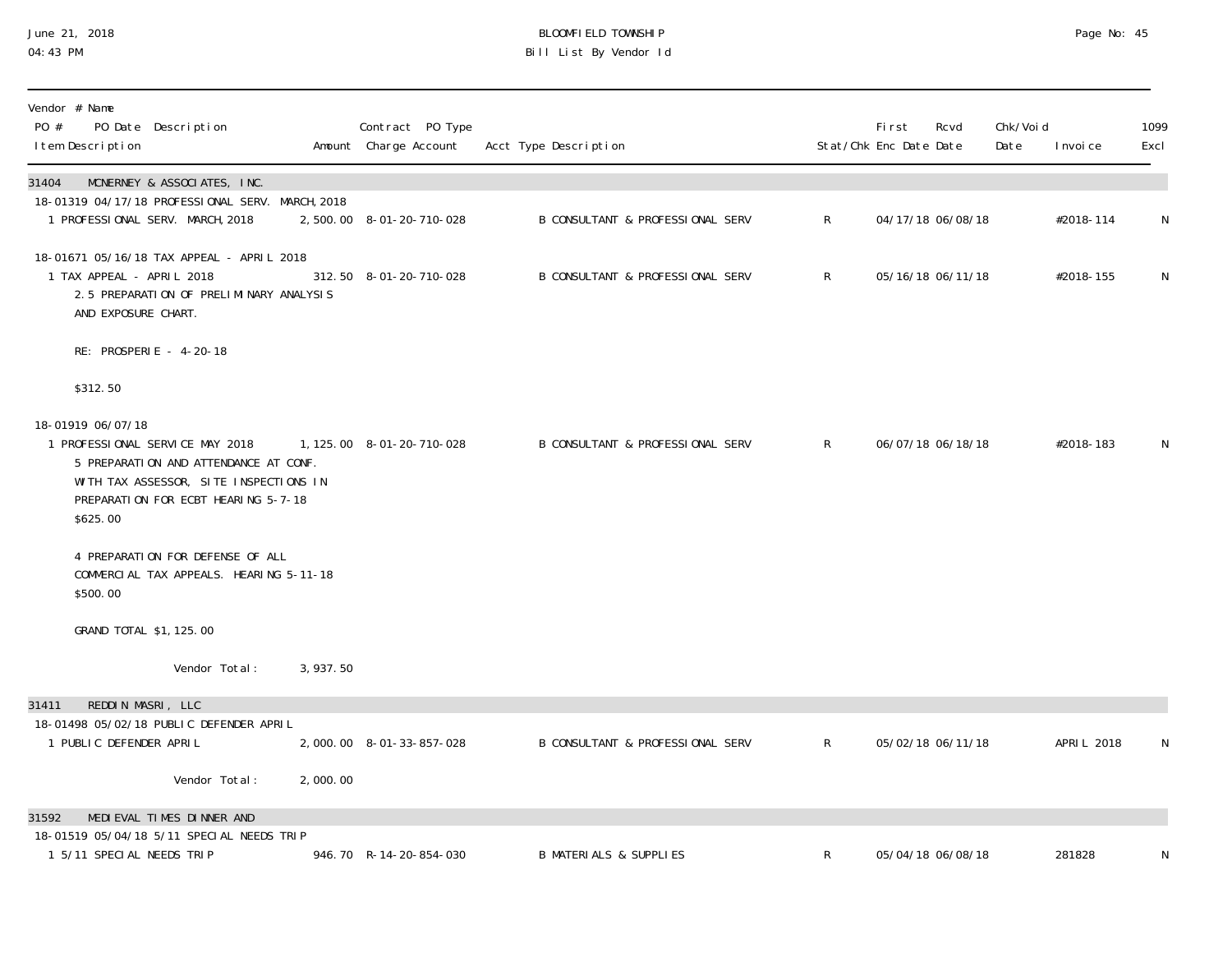## June 21, 2018 BLOOMFIELD TOWNSHIP Page 2018 Page No: 45 04:43 PM Bill List By Vendor Id

| Vendor # Name<br>PO #<br>PO Date Description<br>I tem Description                                                                                                                          |           | Contract PO Type<br>Amount Charge Account | Acct Type Description                       |                | First<br>Stat/Chk Enc Date Date | Rcvd              | Chk/Voi d<br>Date | I nvoi ce   | 1099<br>Excl |
|--------------------------------------------------------------------------------------------------------------------------------------------------------------------------------------------|-----------|-------------------------------------------|---------------------------------------------|----------------|---------------------------------|-------------------|-------------------|-------------|--------------|
| MCNERNEY & ASSOCIATES, INC.<br>31404<br>18-01319 04/17/18 PROFESSIONAL SERV. MARCH, 2018<br>1 PROFESSIONAL SERV. MARCH, 2018                                                               |           | 2,500.00 8-01-20-710-028                  | <b>B CONSULTANT &amp; PROFESSIONAL SERV</b> | $\mathsf{R}^-$ |                                 | 04/17/18 06/08/18 |                   | #2018-114   | N            |
| 18-01671 05/16/18 TAX APPEAL - APRIL 2018<br>1 TAX APPEAL - APRIL 2018<br>2.5 PREPARATION OF PRELIMINARY ANALYSIS<br>AND EXPOSURE CHART.                                                   |           | 312.50 8-01-20-710-028                    | <b>B CONSULTANT &amp; PROFESSIONAL SERV</b> | $\mathsf{R}$   |                                 | 05/16/18 06/11/18 |                   | #2018-155   | $\mathsf{N}$ |
| RE: PROSPERIE - 4-20-18                                                                                                                                                                    |           |                                           |                                             |                |                                 |                   |                   |             |              |
| \$312.50                                                                                                                                                                                   |           |                                           |                                             |                |                                 |                   |                   |             |              |
| 18-01919 06/07/18<br>1 PROFESSIONAL SERVICE MAY 2018<br>5 PREPARATION AND ATTENDANCE AT CONF.<br>WITH TAX ASSESSOR, SITE INSPECTIONS IN<br>PREPARATION FOR ECBT HEARING 5-7-18<br>\$625.00 |           | 1, 125.00  8-01-20-710-028                | <b>B CONSULTANT &amp; PROFESSIONAL SERV</b> | $\mathsf{R}$   |                                 | 06/07/18 06/18/18 |                   | #2018-183   | $\mathsf{N}$ |
| 4 PREPARATION FOR DEFENSE OF ALL<br>COMMERCIAL TAX APPEALS. HEARING 5-11-18<br>\$500.00                                                                                                    |           |                                           |                                             |                |                                 |                   |                   |             |              |
| GRAND TOTAL \$1, 125.00                                                                                                                                                                    |           |                                           |                                             |                |                                 |                   |                   |             |              |
| Vendor Total:                                                                                                                                                                              | 3, 937.50 |                                           |                                             |                |                                 |                   |                   |             |              |
| REDDIN MASRI, LLC<br>31411<br>18-01498 05/02/18 PUBLIC DEFENDER APRIL<br>1 PUBLIC DEFENDER APRIL                                                                                           |           | 2,000.00 8-01-33-857-028                  | <b>B CONSULTANT &amp; PROFESSIONAL SERV</b> | $\mathsf{R}$   |                                 | 05/02/18 06/11/18 |                   | APRI L 2018 | N            |
| Vendor Total:                                                                                                                                                                              | 2,000.00  |                                           |                                             |                |                                 |                   |                   |             |              |
| MEDIEVAL TIMES DINNER AND<br>31592                                                                                                                                                         |           |                                           |                                             |                |                                 |                   |                   |             |              |
| 18-01519 05/04/18 5/11 SPECIAL NEEDS TRIP<br>1 5/11 SPECIAL NEEDS TRIP                                                                                                                     |           | 946.70 R-14-20-854-030                    | <b>B MATERIALS &amp; SUPPLIES</b>           | R              |                                 | 05/04/18 06/08/18 |                   | 281828      | N            |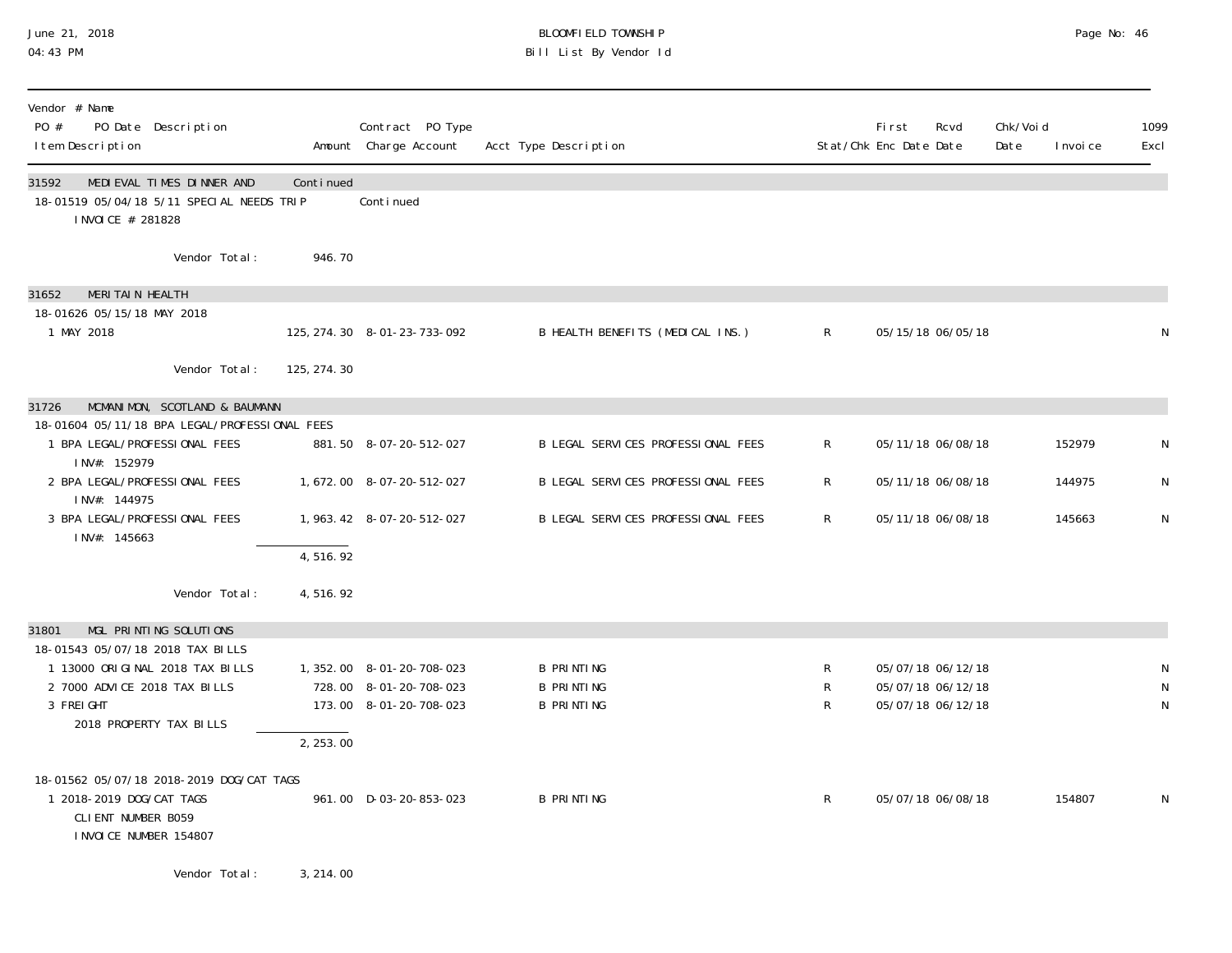#### June 21, 2018 BLOOMFIELD TOWNSHIP Page 2018 Page No: 46 04:43 PM Bill List By Vendor Id

| Vendor # Name<br>PO #<br>PO Date Description<br>I tem Description                                                                                                              |              | Contract PO Type<br>Amount Charge Account                                     | Acct Type Description                                       |                | First<br>Stat/Chk Enc Date Date                             | Rcvd | Chk/Voi d<br>Date | I nvoi ce | 1099<br>Excl |
|--------------------------------------------------------------------------------------------------------------------------------------------------------------------------------|--------------|-------------------------------------------------------------------------------|-------------------------------------------------------------|----------------|-------------------------------------------------------------|------|-------------------|-----------|--------------|
| MEDIEVAL TIMES DINNER AND<br>31592<br>18-01519 05/04/18 5/11 SPECIAL NEEDS TRIP<br>I NVOI CE # 281828                                                                          | Continued    | Continued                                                                     |                                                             |                |                                                             |      |                   |           |              |
| Vendor Total:                                                                                                                                                                  | 946.70       |                                                                               |                                                             |                |                                                             |      |                   |           |              |
| MERITAIN HEALTH<br>31652<br>18-01626 05/15/18 MAY 2018<br>1 MAY 2018                                                                                                           |              | 125, 274. 30 8-01-23-733-092                                                  | B HEALTH BENEFITS (MEDICAL INS.)                            | $\mathsf{R}$   | 05/15/18 06/05/18                                           |      |                   |           | N            |
| Vendor Total:                                                                                                                                                                  | 125, 274. 30 |                                                                               |                                                             |                |                                                             |      |                   |           |              |
| MCMANIMON, SCOTLAND & BAUMANN<br>31726<br>18-01604 05/11/18 BPA LEGAL/PROFESSIONAL FEES                                                                                        |              |                                                                               |                                                             |                |                                                             |      |                   |           |              |
| 1 BPA LEGAL/PROFESSIONAL FEES<br>INV#: 152979                                                                                                                                  |              | 881.50 8-07-20-512-027                                                        | B LEGAL SERVICES PROFESSIONAL FEES                          | $\mathsf{R}$   | 05/11/18 06/08/18                                           |      |                   | 152979    | N            |
| 2 BPA LEGAL/PROFESSIONAL FEES<br>INV#: 144975                                                                                                                                  |              | 1,672.00 8-07-20-512-027                                                      | B LEGAL SERVICES PROFESSIONAL FEES                          | $\mathsf{R}^-$ | 05/11/18 06/08/18                                           |      |                   | 144975    | N            |
| 3 BPA LEGAL/PROFESSIONAL FEES<br>INV#: 145663                                                                                                                                  |              | 1, 963. 42 8-07-20-512-027                                                    | B LEGAL SERVICES PROFESSIONAL FEES                          | $\mathsf{R}$   | 05/11/18 06/08/18                                           |      |                   | 145663    | ${\sf N}$    |
|                                                                                                                                                                                | 4,516.92     |                                                                               |                                                             |                |                                                             |      |                   |           |              |
| Vendor Total:                                                                                                                                                                  | 4,516.92     |                                                                               |                                                             |                |                                                             |      |                   |           |              |
| MGL PRINTING SOLUTIONS<br>31801<br>18-01543 05/07/18 2018 TAX BILLS<br>1 13000 ORIGINAL 2018 TAX BILLS<br>2 7000 ADVICE 2018 TAX BILLS<br>3 FREIGHT<br>2018 PROPERTY TAX BILLS | 2, 253.00    | 1, 352.00 8-01-20-708-023<br>728.00 8-01-20-708-023<br>173.00 8-01-20-708-023 | <b>B PRINTING</b><br><b>B PRINTING</b><br><b>B PRINTING</b> | R<br>R<br>R    | 05/07/18 06/12/18<br>05/07/18 06/12/18<br>05/07/18 06/12/18 |      |                   |           | N            |
| 18-01562 05/07/18 2018-2019 DOG/CAT TAGS<br>1 2018-2019 DOG/CAT TAGS<br>CLIENT NUMBER B059<br>I NVOI CE NUMBER 154807                                                          |              | 961.00 D-03-20-853-023                                                        | <b>B PRINTING</b>                                           | R              | 05/07/18 06/08/18                                           |      |                   | 154807    | N            |

Vendor Total: 3,214.00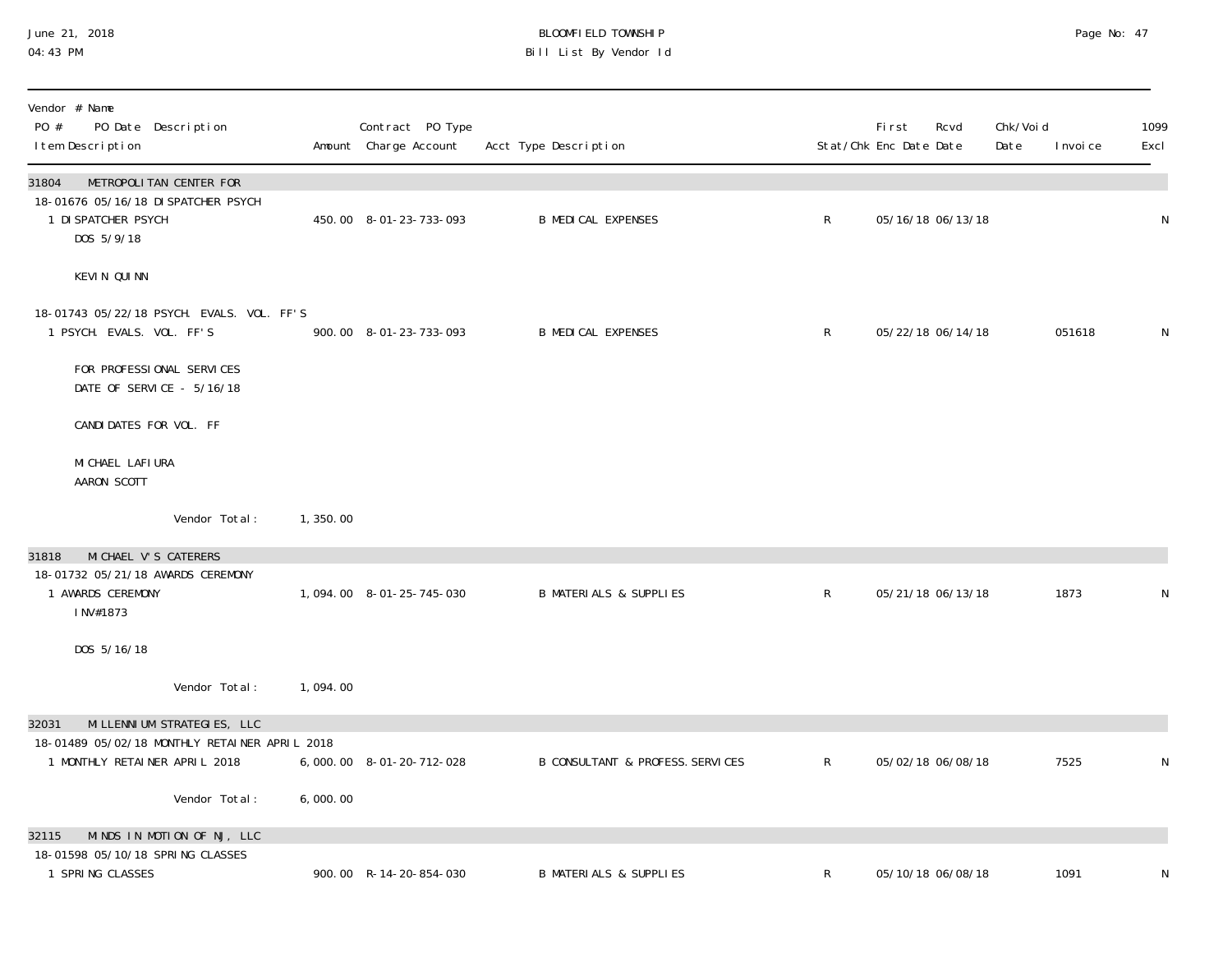#### June 21, 2018 BLOOMFIELD TOWNSHIP Page 2018 Page No: 47 04:43 PM Bill List By Vendor Id

| Vendor # Name<br>PO #<br>PO Date Description<br>I tem Description                                            |          | Contract PO Type<br>Amount Charge Account | Acct Type Description                       |              | First<br>Stat/Chk Enc Date Date | Rcvd | Chk/Voi d<br>Date | 1099<br>I nvoi ce<br>Excl |
|--------------------------------------------------------------------------------------------------------------|----------|-------------------------------------------|---------------------------------------------|--------------|---------------------------------|------|-------------------|---------------------------|
| 31804<br>METROPOLITAN CENTER FOR<br>18-01676 05/16/18 DI SPATCHER PSYCH<br>1 DI SPATCHER PSYCH<br>DOS 5/9/18 |          | 450.00 8-01-23-733-093                    | <b>B MEDICAL EXPENSES</b>                   | $\mathsf{R}$ | 05/16/18 06/13/18               |      |                   | N                         |
| KEVIN QUINN                                                                                                  |          |                                           |                                             |              |                                 |      |                   |                           |
| 18-01743 05/22/18 PSYCH. EVALS. VOL. FF'S<br>1 PSYCH. EVALS. VOL. FF'S                                       |          | 900.00 8-01-23-733-093                    | <b>B MEDICAL EXPENSES</b>                   | $\mathsf{R}$ | 05/22/18 06/14/18               |      |                   | 051618<br>N               |
| FOR PROFESSIONAL SERVICES<br>DATE OF SERVICE - 5/16/18                                                       |          |                                           |                                             |              |                                 |      |                   |                           |
| CANDIDATES FOR VOL. FF                                                                                       |          |                                           |                                             |              |                                 |      |                   |                           |
| MI CHAEL LAFI URA<br>AARON SCOTT                                                                             |          |                                           |                                             |              |                                 |      |                   |                           |
| Vendor Total:                                                                                                | 1,350.00 |                                           |                                             |              |                                 |      |                   |                           |
| MI CHAEL V'S CATERERS<br>31818<br>18-01732 05/21/18 AWARDS CEREMONY                                          |          |                                           |                                             |              |                                 |      |                   |                           |
| 1 AWARDS CEREMONY<br>INV#1873                                                                                |          | 1,094.00 8-01-25-745-030                  | <b>B MATERIALS &amp; SUPPLIES</b>           | $\mathsf{R}$ | 05/21/18 06/13/18               |      | 1873              | N                         |
| DOS 5/16/18                                                                                                  |          |                                           |                                             |              |                                 |      |                   |                           |
| Vendor Total:                                                                                                | 1,094.00 |                                           |                                             |              |                                 |      |                   |                           |
| MI LLENNI UM STRATEGIES, LLC<br>32031<br>18-01489 05/02/18 MONTHLY RETAINER APRIL 2018                       |          |                                           |                                             |              |                                 |      |                   |                           |
| 1 MONTHLY RETAINER APRIL 2018                                                                                |          | 6,000.00 8-01-20-712-028                  | <b>B CONSULTANT &amp; PROFESS. SERVICES</b> | $\mathsf{R}$ | 05/02/18 06/08/18               |      | 7525              | N                         |
| Vendor Total:                                                                                                | 6,000.00 |                                           |                                             |              |                                 |      |                   |                           |
| MINDS IN MOTION OF NJ, LLC<br>32115<br>18-01598 05/10/18 SPRING CLASSES                                      |          |                                           |                                             |              |                                 |      |                   |                           |
| 1 SPRING CLASSES                                                                                             |          | 900.00 R-14-20-854-030                    | <b>B MATERIALS &amp; SUPPLIES</b>           | R            | 05/10/18 06/08/18               |      | 1091              | ${\sf N}$                 |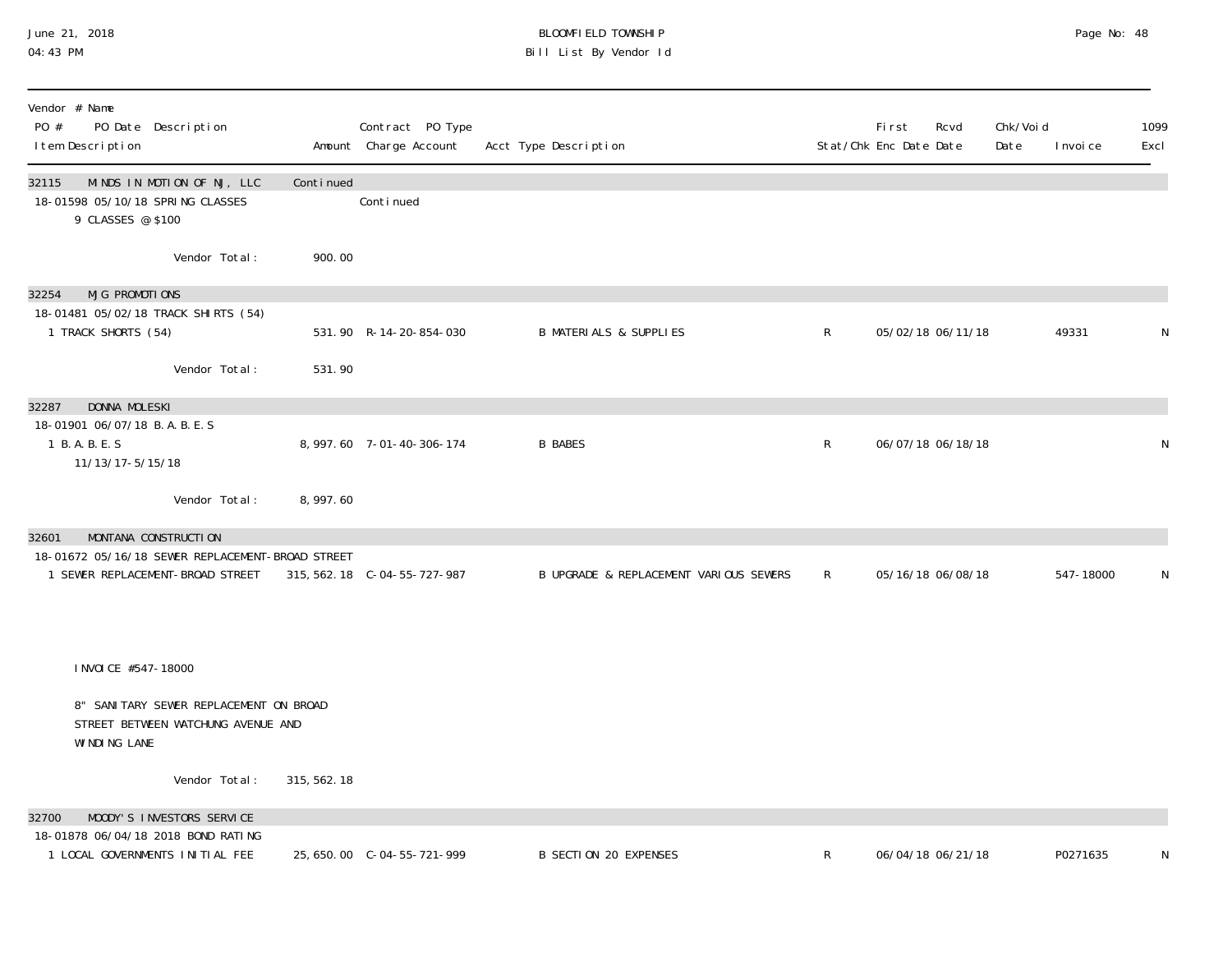#### June 21, 2018 BLOOMFIELD TOWNSHIP Page 2018 Page No: 48 04:43 PM Bill List By Vendor Id

| Vendor # Name<br>PO #<br>PO Date Description<br>I tem Description                                                     |              | Contract PO Type<br>Amount Charge Account | Acct Type Description                  |              | First<br>Rcvd<br>Stat/Chk Enc Date Date | Chk/Voi d<br>Date | I nvoi ce | 1099<br>Excl |
|-----------------------------------------------------------------------------------------------------------------------|--------------|-------------------------------------------|----------------------------------------|--------------|-----------------------------------------|-------------------|-----------|--------------|
| 32115<br>MINDS IN MOTION OF NJ, LLC<br>18-01598 05/10/18 SPRING CLASSES<br>9 CLASSES @ \$100                          | Continued    | Continued                                 |                                        |              |                                         |                   |           |              |
| Vendor Total:                                                                                                         | 900.00       |                                           |                                        |              |                                         |                   |           |              |
| MJG PROMOTIONS<br>32254                                                                                               |              |                                           |                                        |              |                                         |                   |           |              |
| 18-01481 05/02/18 TRACK SHIRTS (54)<br>1 TRACK SHORTS (54)                                                            |              | 531.90 R-14-20-854-030                    | <b>B MATERIALS &amp; SUPPLIES</b>      | $\mathsf{R}$ | 05/02/18 06/11/18                       |                   | 49331     | N            |
| Vendor Total:                                                                                                         | 531.90       |                                           |                                        |              |                                         |                   |           |              |
| DONNA MOLESKI<br>32287                                                                                                |              |                                           |                                        |              |                                         |                   |           |              |
| 18-01901 06/07/18 B.A.B.E.S<br>1 B.A.B.E.S<br>11/13/17-5/15/18                                                        |              | 8, 997.60 7-01-40-306-174                 | <b>B BABES</b>                         | R            | 06/07/18 06/18/18                       |                   |           | N            |
| Vendor Total:                                                                                                         | 8,997.60     |                                           |                                        |              |                                         |                   |           |              |
| MONTANA CONSTRUCTION<br>32601<br>18-01672 05/16/18 SEWER REPLACEMENT-BROAD STREET<br>1 SEWER REPLACEMENT-BROAD STREET |              | 315, 562. 18 C-04-55-727-987              | B UPGRADE & REPLACEMENT VARIOUS SEWERS | $\mathsf{R}$ | 05/16/18 06/08/18                       |                   | 547-18000 | N            |
| I NVOI CE #547-18000                                                                                                  |              |                                           |                                        |              |                                         |                   |           |              |
| 8" SANITARY SEWER REPLACEMENT ON BROAD<br>STREET BETWEEN WATCHUNG AVENUE AND<br>WINDING LANE                          |              |                                           |                                        |              |                                         |                   |           |              |
| Vendor Total:                                                                                                         | 315, 562. 18 |                                           |                                        |              |                                         |                   |           |              |
| MOODY'S INVESTORS SERVICE<br>32700                                                                                    |              |                                           |                                        |              |                                         |                   |           |              |
| 18-01878 06/04/18 2018 BOND RATING<br>1 LOCAL GOVERNMENTS INITIAL FEE                                                 |              | 25, 650.00 C-04-55-721-999                | <b>B SECTION 20 EXPENSES</b>           | R            | 06/04/18 06/21/18                       |                   | P0271635  | N            |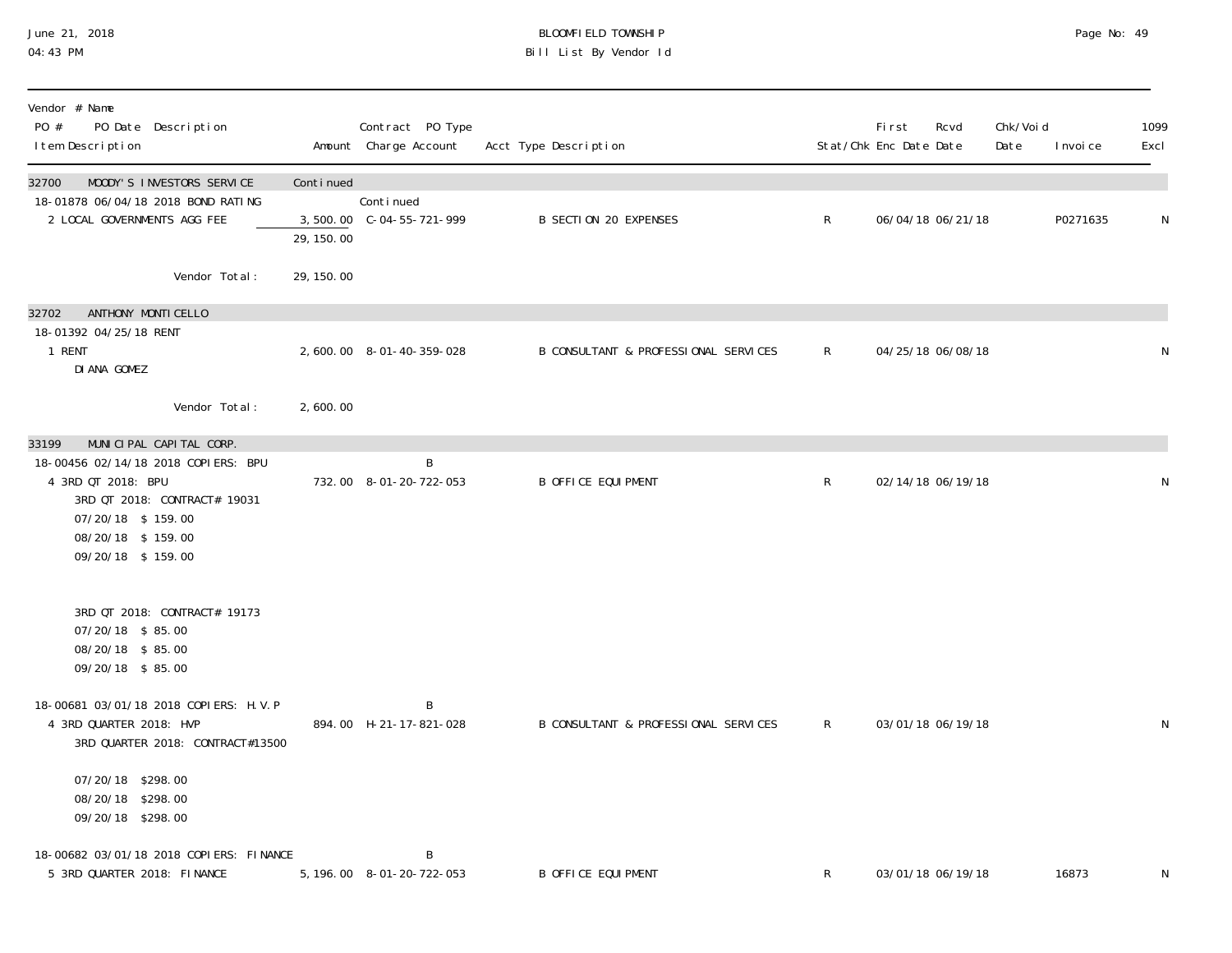#### June 21, 2018 BLOOMFIELD TOWNSHIP Page 2018 Page No: 49 04:43 PM Bill List By Vendor Id

| Vendor # Name<br>PO #<br>PO Date Description<br>I tem Description                                                                                        |            | Contract PO Type<br>Amount Charge Account | Acct Type Description                |              | <b>First</b><br>Stat/Chk Enc Date Date | Rcvd              | Chk/Voi d<br>Date | I nvoi ce | 1099<br>Excl |
|----------------------------------------------------------------------------------------------------------------------------------------------------------|------------|-------------------------------------------|--------------------------------------|--------------|----------------------------------------|-------------------|-------------------|-----------|--------------|
| MOODY'S INVESTORS SERVICE<br>32700<br>18-01878 06/04/18 2018 BOND RATING                                                                                 | Continued  | Conti nued                                |                                      |              |                                        |                   |                   |           |              |
| 2 LOCAL GOVERNMENTS AGG FEE                                                                                                                              | 29, 150.00 |                                           | <b>B SECTION 20 EXPENSES</b>         | $\mathsf{R}$ |                                        | 06/04/18 06/21/18 |                   | P0271635  | N            |
| Vendor Total:                                                                                                                                            | 29, 150.00 |                                           |                                      |              |                                        |                   |                   |           |              |
| ANTHONY MONTI CELLO<br>32702<br>18-01392 04/25/18 RENT                                                                                                   |            |                                           |                                      |              |                                        |                   |                   |           |              |
| 1 RENT<br>DI ANA GOMEZ                                                                                                                                   |            | 2,600.00 8-01-40-359-028                  | B CONSULTANT & PROFESSIONAL SERVICES | $\mathsf{R}$ |                                        | 04/25/18 06/08/18 |                   |           | N            |
| Vendor Total:                                                                                                                                            | 2,600.00   |                                           |                                      |              |                                        |                   |                   |           |              |
| MUNICIPAL CAPITAL CORP.<br>33199                                                                                                                         |            | B                                         |                                      |              |                                        |                   |                   |           |              |
| 18-00456 02/14/18 2018 COPIERS: BPU<br>4 3RD QT 2018: BPU<br>3RD QT 2018: CONTRACT# 19031<br>07/20/18 \$159.00<br>08/20/18 \$159.00<br>09/20/18 \$159.00 |            | 732.00 8-01-20-722-053                    | <b>B OFFICE EQUIPMENT</b>            | $\mathsf{R}$ |                                        | 02/14/18 06/19/18 |                   |           | N            |
| 3RD QT 2018: CONTRACT# 19173<br>07/20/18 \$85.00<br>08/20/18 \$85.00<br>09/20/18 \$85.00                                                                 |            |                                           |                                      |              |                                        |                   |                   |           |              |
| 18-00681 03/01/18 2018 COPIERS: H.V.P<br>4 3RD QUARTER 2018: HVP<br>3RD QUARTER 2018: CONTRACT#13500                                                     |            | B<br>894.00 H-21-17-821-028               | B CONSULTANT & PROFESSIONAL SERVICES | $\mathsf{R}$ |                                        | 03/01/18 06/19/18 |                   |           | N            |
| 07/20/18 \$298.00<br>08/20/18 \$298.00<br>09/20/18 \$298.00                                                                                              |            |                                           |                                      |              |                                        |                   |                   |           |              |
| 18-00682 03/01/18 2018 COPIERS: FINANCE<br>5 3RD QUARTER 2018: FINANCE                                                                                   |            | B<br>5, 196.00 8-01-20-722-053            | <b>B OFFICE EQUIPMENT</b>            | R            |                                        | 03/01/18 06/19/18 |                   | 16873     | N            |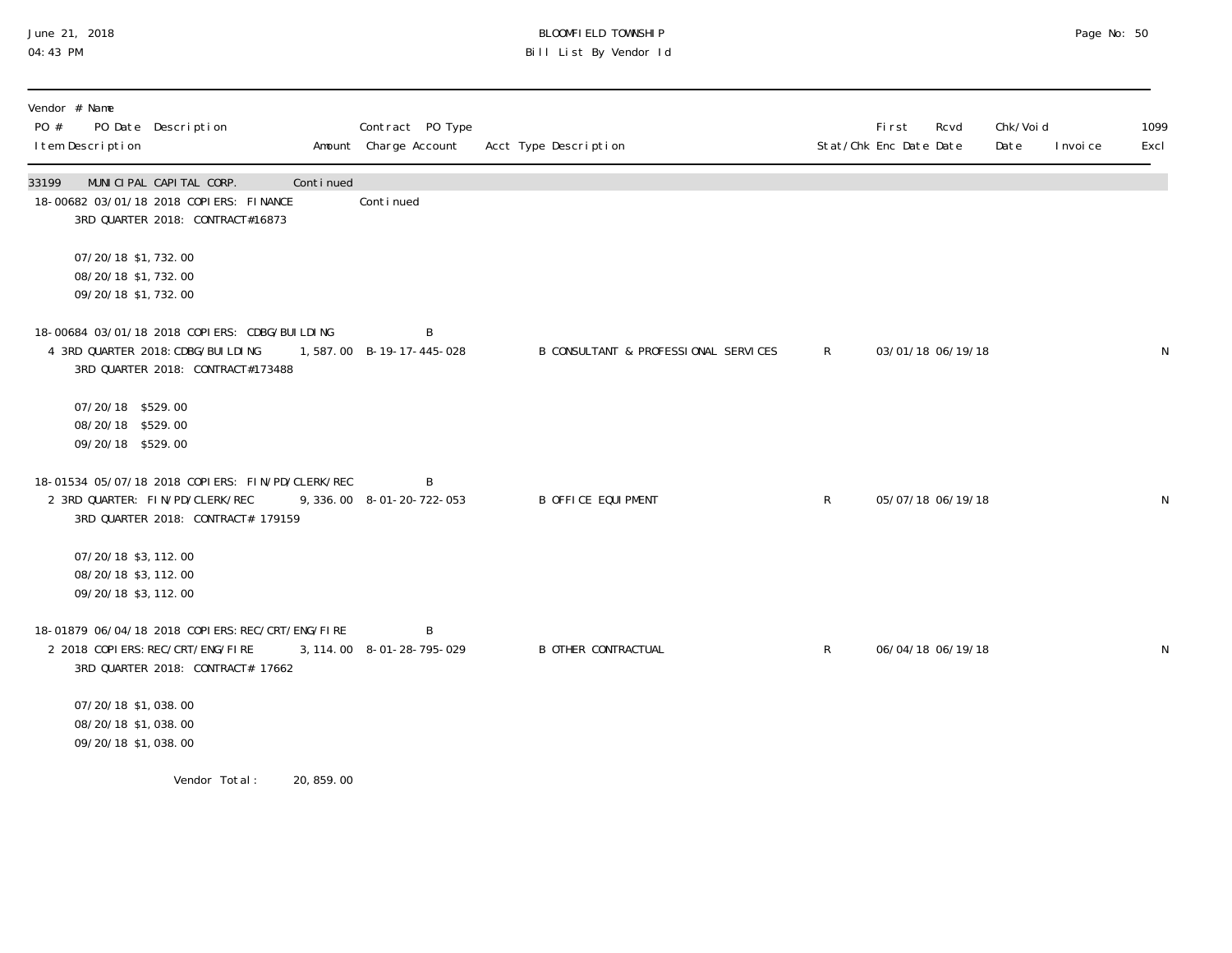### June 21, 2018 BLOOMFIELD TOWNSHIP Page 2018 Page No: 50 04:43 PM Bill List By Vendor Id

| Vendor # Name<br>PO #<br>PO Date Description<br>I tem Description                                                            |            | Contract PO Type<br>Amount Charge Account | Acct Type Description                |              | Fi rst<br>Stat/Chk Enc Date Date | Rcvd              | Chk/Voi d<br>Date | I nvoi ce | 1099<br>Excl |
|------------------------------------------------------------------------------------------------------------------------------|------------|-------------------------------------------|--------------------------------------|--------------|----------------------------------|-------------------|-------------------|-----------|--------------|
| 33199<br>MUNICIPAL CAPITAL CORP.<br>18-00682 03/01/18 2018 COPIERS: FINANCE<br>3RD QUARTER 2018: CONTRACT#16873              | Continued  | Continued                                 |                                      |              |                                  |                   |                   |           |              |
| 07/20/18 \$1, 732.00<br>08/20/18 \$1,732.00<br>09/20/18 \$1,732.00                                                           |            |                                           |                                      |              |                                  |                   |                   |           |              |
| 18-00684 03/01/18 2018 COPIERS: CDBG/BUILDING<br>4 3RD QUARTER 2018: CDBG/BUI LDI NG<br>3RD QUARTER 2018: CONTRACT#173488    |            | B<br>1,587.00 B-19-17-445-028             | B CONSULTANT & PROFESSIONAL SERVICES | $\mathsf{R}$ |                                  | 03/01/18 06/19/18 |                   |           | N            |
| 07/20/18 \$529.00<br>08/20/18 \$529.00<br>09/20/18 \$529.00                                                                  |            |                                           |                                      |              |                                  |                   |                   |           |              |
| 18-01534 05/07/18 2018 COPIERS: FIN/PD/CLERK/REC<br>2 3RD QUARTER: FIN/PD/CLERK/REC<br>3RD QUARTER 2018: CONTRACT# 179159    |            | B<br>9, 336.00 8-01-20-722-053            | <b>B OFFICE EQUIPMENT</b>            | R            |                                  | 05/07/18 06/19/18 |                   |           | N            |
| 07/20/18 \$3, 112.00<br>08/20/18 \$3, 112.00<br>09/20/18 \$3, 112.00                                                         |            |                                           |                                      |              |                                  |                   |                   |           |              |
| 18-01879 06/04/18 2018 COPI ERS: REC/CRT/ENG/FIRE<br>2 2018 COPI ERS: REC/CRT/ENG/FI RE<br>3RD QUARTER 2018: CONTRACT# 17662 |            | B<br>3, 114.00 8-01-28-795-029            | <b>B OTHER CONTRACTUAL</b>           | R            |                                  | 06/04/18 06/19/18 |                   |           | N            |
| 07/20/18 \$1,038.00<br>08/20/18 \$1,038.00<br>09/20/18 \$1,038.00                                                            |            |                                           |                                      |              |                                  |                   |                   |           |              |
| Vendor Total:                                                                                                                | 20, 859.00 |                                           |                                      |              |                                  |                   |                   |           |              |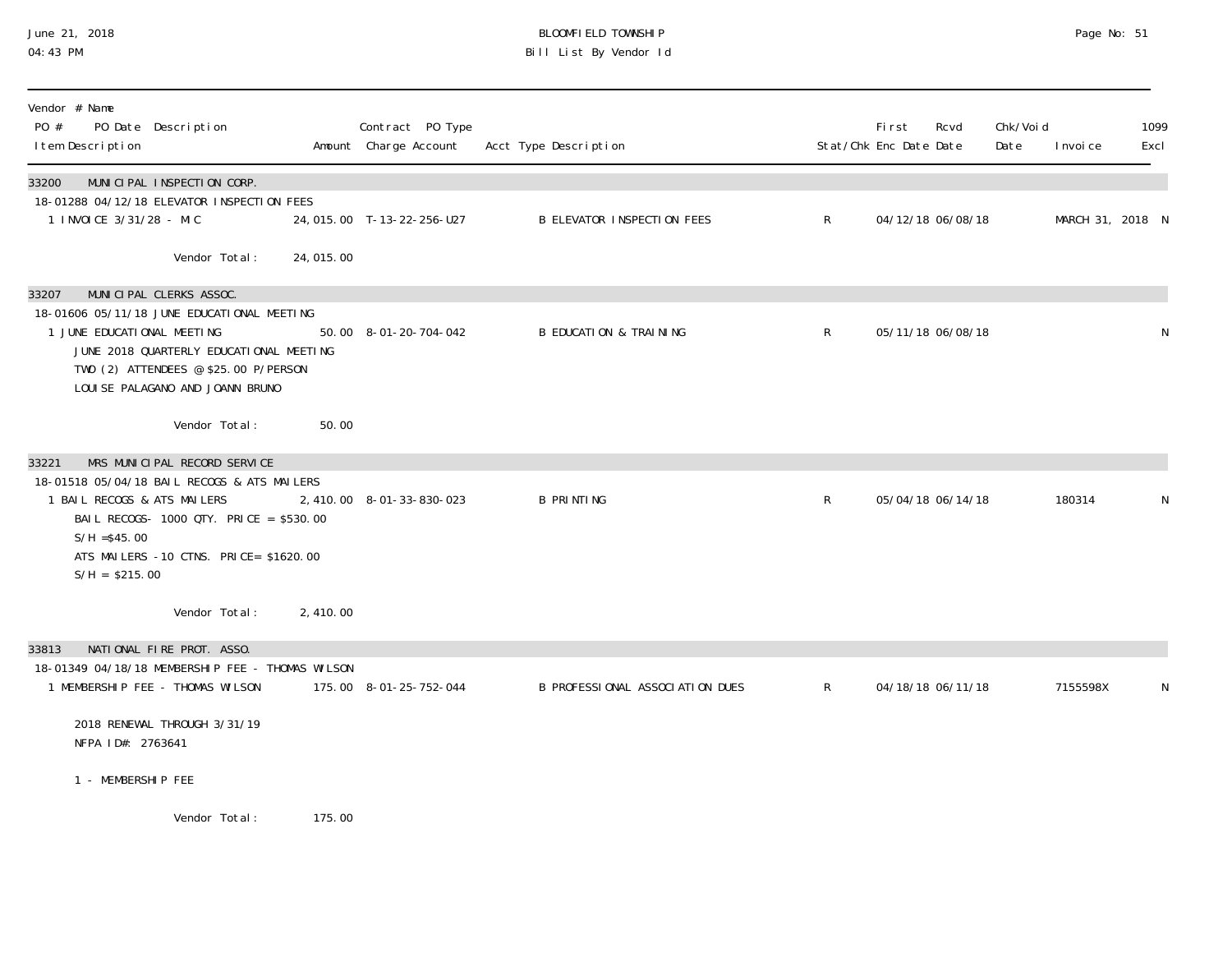## June 21, 2018 BLOOMFIELD TOWNSHIP Page No: 51 04:43 PM Bill List By Vendor Id

| Vendor # Name<br>PO #<br>PO Date Description<br>I tem Description                    |           | Contract PO Type<br>Amount Charge Account | Acct Type Description             |              | Fi rst<br>Stat/Chk Enc Date Date | Rcvd | Chk/Voi d<br>Date | I nvoi ce        | 1099<br>Excl |
|--------------------------------------------------------------------------------------|-----------|-------------------------------------------|-----------------------------------|--------------|----------------------------------|------|-------------------|------------------|--------------|
| 33200<br>MUNICIPAL INSPECTION CORP.<br>18-01288 04/12/18 ELEVATOR INSPECTION FEES    |           |                                           |                                   |              |                                  |      |                   |                  |              |
| 1 INVOICE 3/31/28 - MIC                                                              |           | 24, 015.00 T-13-22-256-U27                | <b>B ELEVATOR INSPECTION FEES</b> | $\mathsf{R}$ | 04/12/18 06/08/18                |      |                   | MARCH 31, 2018 N |              |
| Vendor Total:                                                                        | 24,015.00 |                                           |                                   |              |                                  |      |                   |                  |              |
| MUNICIPAL CLERKS ASSOC.<br>33207                                                     |           |                                           |                                   |              |                                  |      |                   |                  |              |
| 18-01606 05/11/18 JUNE EDUCATIONAL MEETING<br>1 JUNE EDUCATIONAL MEETING             |           | 50.00 8-01-20-704-042                     | <b>B EDUCATION &amp; TRAINING</b> | $\mathsf{R}$ | 05/11/18 06/08/18                |      |                   |                  | $\mathsf N$  |
| JUNE 2018 QUARTERLY EDUCATIONAL MEETING                                              |           |                                           |                                   |              |                                  |      |                   |                  |              |
| TWO (2) ATTENDEES @ \$25.00 P/PERSON<br>LOUI SE PALAGANO AND JOANN BRUNO             |           |                                           |                                   |              |                                  |      |                   |                  |              |
| Vendor Total:                                                                        | 50.00     |                                           |                                   |              |                                  |      |                   |                  |              |
|                                                                                      |           |                                           |                                   |              |                                  |      |                   |                  |              |
| MRS MUNICIPAL RECORD SERVICE<br>33221<br>18-01518 05/04/18 BAIL RECOGS & ATS MAILERS |           |                                           |                                   |              |                                  |      |                   |                  |              |
| 1 BAIL RECOGS & ATS MAILERS                                                          |           | 2,410.00 8-01-33-830-023                  | <b>B PRINTING</b>                 | $\mathsf{R}$ | 05/04/18 06/14/18                |      |                   | 180314           | N            |
| BAIL RECOGS- 1000 QTY. PRICE = \$530.00                                              |           |                                           |                                   |              |                                  |      |                   |                  |              |
| $S/H = $45.00$<br>ATS MAILERS -10 CTNS. PRICE= \$1620.00                             |           |                                           |                                   |              |                                  |      |                   |                  |              |
| $S/H = $215.00$                                                                      |           |                                           |                                   |              |                                  |      |                   |                  |              |
| Vendor Total:                                                                        | 2, 410.00 |                                           |                                   |              |                                  |      |                   |                  |              |
| NATIONAL FIRE PROT. ASSO.<br>33813                                                   |           |                                           |                                   |              |                                  |      |                   |                  |              |
| 18-01349 04/18/18 MEMBERSHIP FEE - THOMAS WILSON                                     |           |                                           |                                   |              |                                  |      |                   |                  |              |
| 1 MEMBERSHIP FEE - THOMAS WILSON                                                     |           | 175.00 8-01-25-752-044                    | B PROFESSIONAL ASSOCIATION DUES   | R            | 04/18/18 06/11/18                |      |                   | 7155598X         | N            |
| 2018 RENEWAL THROUGH 3/31/19<br>NFPA ID#: 2763641                                    |           |                                           |                                   |              |                                  |      |                   |                  |              |
| 1 - MEMBERSHIP FEE                                                                   |           |                                           |                                   |              |                                  |      |                   |                  |              |
| Vander Totel                                                                         | 175 NO    |                                           |                                   |              |                                  |      |                   |                  |              |

Vendor Total: 175.00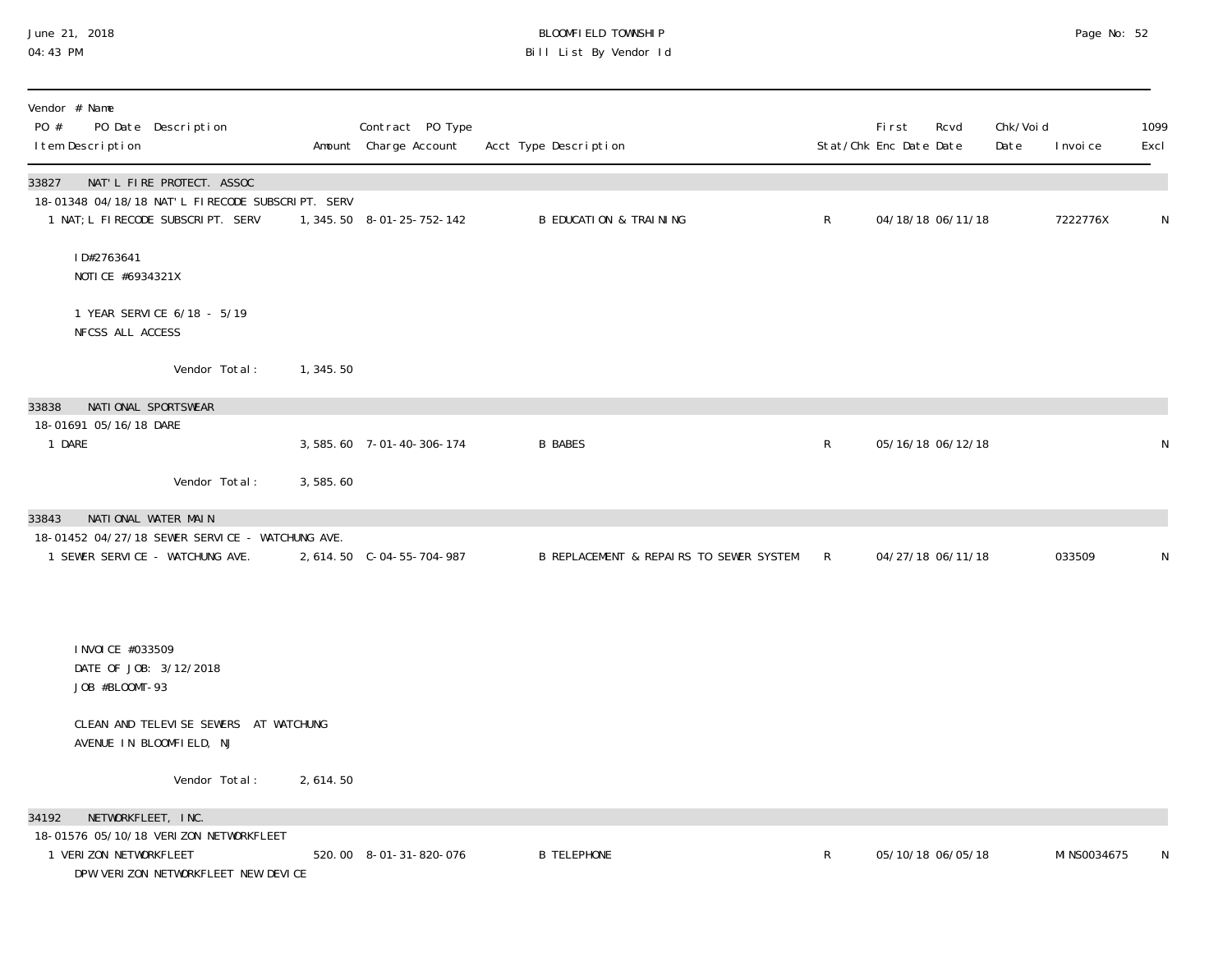## June 21, 2018 BLOOMFIELD TOWNSHIP Page 2018 Page No: 52 04:43 PM Bill List By Vendor Id

| Vendor # Name<br>PO #<br>I tem Description                    | PO Date Description                                                           |            | Contract PO Type<br>Amount Charge Account | Acct Type Description                   |              | First<br>Stat/Chk Enc Date Date | Rcvd              | Chk/Voi d<br>Date | I nvoi ce    | 1099<br>Excl |
|---------------------------------------------------------------|-------------------------------------------------------------------------------|------------|-------------------------------------------|-----------------------------------------|--------------|---------------------------------|-------------------|-------------------|--------------|--------------|
| 33827                                                         | NAT'L FIRE PROTECT. ASSOC<br>18-01348 04/18/18 NAT'L FIRECODE SUBSCRIPT. SERV |            |                                           |                                         |              |                                 |                   |                   |              |              |
|                                                               | 1 NAT; L FIRECODE SUBSCRIPT. SERV                                             |            | 1, 345. 50  8-01-25-752-142               | <b>B EDUCATION &amp; TRAINING</b>       | $\mathsf{R}$ |                                 | 04/18/18 06/11/18 |                   | 7222776X     | N            |
| ID#2763641<br>NOTICE #6934321X                                |                                                                               |            |                                           |                                         |              |                                 |                   |                   |              |              |
| NFCSS ALL ACCESS                                              | 1 YEAR SERVICE 6/18 - 5/19                                                    |            |                                           |                                         |              |                                 |                   |                   |              |              |
|                                                               | Vendor Total:                                                                 | 1,345.50   |                                           |                                         |              |                                 |                   |                   |              |              |
| 33838<br>NATIONAL SPORTSWEAR                                  |                                                                               |            |                                           |                                         |              |                                 |                   |                   |              |              |
| 18-01691 05/16/18 DARE<br>1 DARE                              |                                                                               |            | 3, 585.60 7-01-40-306-174                 | <b>B BABES</b>                          | R            |                                 | 05/16/18 06/12/18 |                   |              | N            |
|                                                               | Vendor Total:                                                                 | 3,585.60   |                                           |                                         |              |                                 |                   |                   |              |              |
| NATIONAL WATER MAIN<br>33843                                  | 18-01452 04/27/18 SEWER SERVICE - WATCHUNG AVE.                               |            |                                           |                                         |              |                                 |                   |                   |              |              |
| 1 SEWER SERVICE - WATCHUNG AVE.                               |                                                                               |            |                                           | B REPLACEMENT & REPAIRS TO SEWER SYSTEM | $\mathsf{R}$ |                                 | 04/27/18 06/11/18 |                   | 033509       | N            |
|                                                               |                                                                               |            |                                           |                                         |              |                                 |                   |                   |              |              |
| I NVOI CE #033509<br>DATE OF JOB: 3/12/2018<br>JOB #BLOOMT-93 |                                                                               |            |                                           |                                         |              |                                 |                   |                   |              |              |
| AVENUE IN BLOOMFIELD, NJ                                      | CLEAN AND TELEVISE SEWERS AT WATCHUNG                                         |            |                                           |                                         |              |                                 |                   |                   |              |              |
|                                                               | Vendor Total:                                                                 | 2, 614. 50 |                                           |                                         |              |                                 |                   |                   |              |              |
| NETWORKFLEET, INC.<br>34192                                   |                                                                               |            |                                           |                                         |              |                                 |                   |                   |              |              |
| 1 VERIZON NETWORKFLEET                                        | 18-01576 05/10/18 VERIZON NETWORKFLEET<br>DPW VERIZON NETWORKFLEET NEW DEVICE |            | 520.00 8-01-31-820-076                    | <b>B TELEPHONE</b>                      | R            |                                 | 05/10/18 06/05/18 |                   | MI NS0034675 | N            |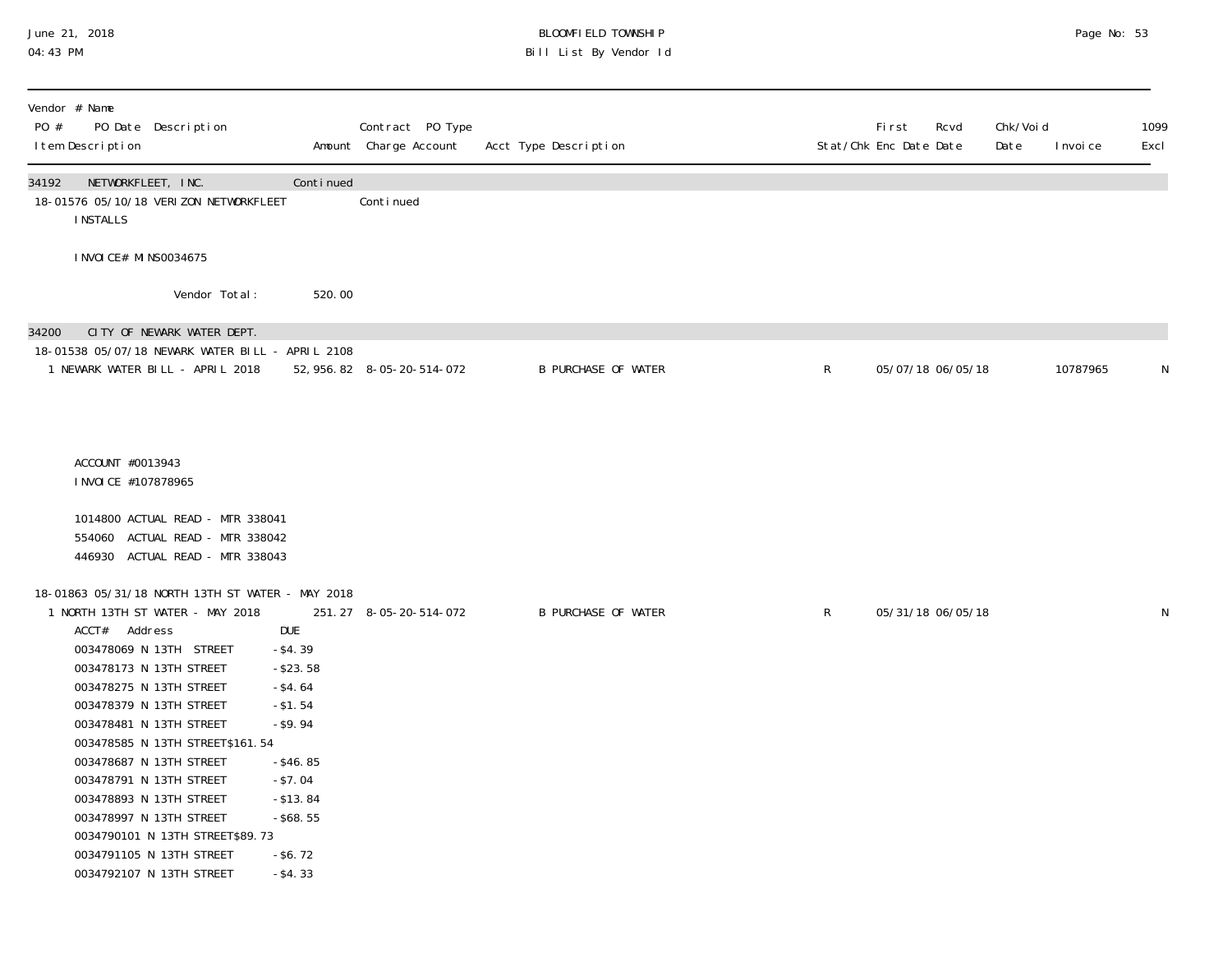#### June 21, 2018 BLOOMFIELD TOWNSHIP Page 2018 Page No: 53 04:43 PM Bill List By Vendor Id

| Vendor # Name<br>PO #<br>PO Date Description<br>I tem Description                                                                                                                                                                                                                                                                                                                                                                                                                                    |                                                                                                                                                           | Contract PO Type<br>Amount Charge Account | Acct Type Description      |              | <b>First</b><br>Stat/Chk Enc Date Date | Rcvd              | Chk/Voi d<br>Date | I nvoi ce | 1099<br>Excl |
|------------------------------------------------------------------------------------------------------------------------------------------------------------------------------------------------------------------------------------------------------------------------------------------------------------------------------------------------------------------------------------------------------------------------------------------------------------------------------------------------------|-----------------------------------------------------------------------------------------------------------------------------------------------------------|-------------------------------------------|----------------------------|--------------|----------------------------------------|-------------------|-------------------|-----------|--------------|
| NETWORKFLEET, INC.<br>34192<br>18-01576 05/10/18 VERI ZON NETWORKFLEET<br><b>INSTALLS</b>                                                                                                                                                                                                                                                                                                                                                                                                            | Continued                                                                                                                                                 | Continued                                 |                            |              |                                        |                   |                   |           |              |
| I NVOI CE# MI NS0034675                                                                                                                                                                                                                                                                                                                                                                                                                                                                              |                                                                                                                                                           |                                           |                            |              |                                        |                   |                   |           |              |
| Vendor Total:                                                                                                                                                                                                                                                                                                                                                                                                                                                                                        | 520.00                                                                                                                                                    |                                           |                            |              |                                        |                   |                   |           |              |
| CITY OF NEWARK WATER DEPT.<br>34200<br>18-01538 05/07/18 NEWARK WATER BILL - APRIL 2108<br>1 NEWARK WATER BILL - APRIL 2018                                                                                                                                                                                                                                                                                                                                                                          |                                                                                                                                                           | 52, 956. 82  8-05-20-514-072              | <b>B PURCHASE OF WATER</b> | $\mathsf{R}$ |                                        | 05/07/18 06/05/18 |                   | 10787965  | N            |
| ACCOUNT #0013943<br>I NVOI CE #107878965<br>1014800 ACTUAL READ - MTR 338041<br>554060 ACTUAL READ - MTR 338042<br>446930 ACTUAL READ - MTR 338043                                                                                                                                                                                                                                                                                                                                                   |                                                                                                                                                           |                                           |                            |              |                                        |                   |                   |           |              |
| 18-01863 05/31/18 NORTH 13TH ST WATER - MAY 2018<br>1 NORTH 13TH ST WATER - MAY 2018<br>ACCT# Address<br><b>DUE</b><br>003478069 N 13TH STREET<br>003478173 N 13TH STREET<br>003478275 N 13TH STREET<br>003478379 N 13TH STREET<br>003478481 N 13TH STREET<br>003478585 N 13TH STREET\$161.54<br>003478687 N 13TH STREET<br>003478791 N 13TH STREET<br>003478893 N 13TH STREET<br>003478997 N 13TH STREET<br>0034790101 N 13TH STREET\$89.73<br>0034791105 N 13TH STREET<br>0034792107 N 13TH STREET | $-$ \$4.39<br>$-$ \$23.58<br>$-$ \$4.64<br>$-$ \$1.54<br>$-$ \$9.94<br>$-$ \$46.85<br>$- $7.04$<br>$-$ \$13.84<br>$-$ \$68.55<br>$-$ \$6.72<br>$-$ \$4.33 | 251.27 8-05-20-514-072                    | <b>B PURCHASE OF WATER</b> | $\mathsf{R}$ |                                        | 05/31/18 06/05/18 |                   |           | N            |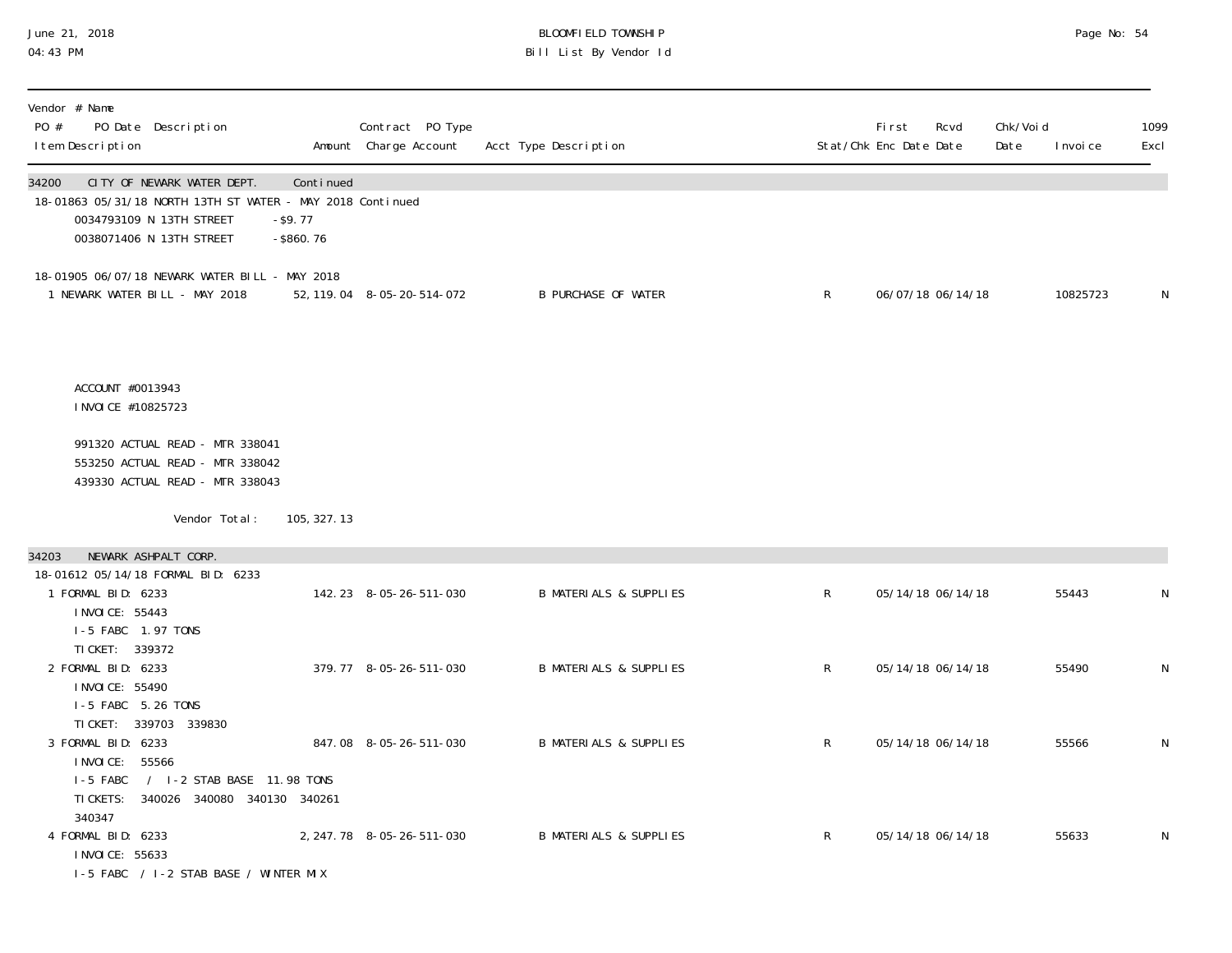#### June 21, 2018 BLOOMFIELD TOWNSHIP Page No: 54 04:43 PM Bill List By Vendor Id

| Vendor # Name<br>PO #<br>PO Date Description<br>I tem Description                                                                                         |                                         | Contract PO Type<br>Amount Charge Account | Acct Type Description             |              | <b>First</b><br>Stat/Chk Enc Date Date | Rcvd              | Chk/Voi d<br>Date | I nvoi ce | 1099<br>Excl |
|-----------------------------------------------------------------------------------------------------------------------------------------------------------|-----------------------------------------|-------------------------------------------|-----------------------------------|--------------|----------------------------------------|-------------------|-------------------|-----------|--------------|
| CITY OF NEWARK WATER DEPT.<br>34200<br>18-01863 05/31/18 NORTH 13TH ST WATER - MAY 2018 Continued<br>0034793109 N 13TH STREET<br>0038071406 N 13TH STREET | Continued<br>$-$ \$9.77<br>$-$ \$860.76 |                                           |                                   |              |                                        |                   |                   |           |              |
| 18-01905 06/07/18 NEWARK WATER BILL - MAY 2018<br>1 NEWARK WATER BILL - MAY 2018                                                                          |                                         | 52, 119. 04  8-05-20-514-072              | <b>B PURCHASE OF WATER</b>        | $\mathsf{R}$ |                                        | 06/07/18 06/14/18 |                   | 10825723  | N            |
| ACCOUNT #0013943<br>I NVOI CE #10825723                                                                                                                   |                                         |                                           |                                   |              |                                        |                   |                   |           |              |
| 991320 ACTUAL READ - MTR 338041<br>553250 ACTUAL READ - MTR 338042<br>439330 ACTUAL READ - MTR 338043                                                     |                                         |                                           |                                   |              |                                        |                   |                   |           |              |
| Vendor Total:                                                                                                                                             | 105, 327. 13                            |                                           |                                   |              |                                        |                   |                   |           |              |
| NEWARK ASHPALT CORP.<br>34203                                                                                                                             |                                         |                                           |                                   |              |                                        |                   |                   |           |              |
| 18-01612 05/14/18 FORMAL BID: 6233<br>1 FORMAL BID: 6233<br>I NVOI CE: 55443<br>I-5 FABC 1.97 TONS<br>TI CKET: 339372                                     |                                         | 142.23 8-05-26-511-030                    | <b>B MATERIALS &amp; SUPPLIES</b> | $\mathsf{R}$ |                                        | 05/14/18 06/14/18 |                   | 55443     | N            |
| 2 FORMAL BID: 6233<br>I NVOI CE: 55490<br>I-5 FABC 5.26 TONS<br>TI CKET: 339703 339830                                                                    |                                         | 379.77 8-05-26-511-030                    | <b>B MATERIALS &amp; SUPPLIES</b> | $\mathsf{R}$ |                                        | 05/14/18 06/14/18 |                   | 55490     | N            |
| 3 FORMAL BID: 6233<br>I NVOI CE: 55566<br>/ I-2 STAB BASE 11.98 TONS<br>I-5 FABC<br>TI CKETS:<br>340026 340080 340130 340261<br>340347                    |                                         | 847.08 8-05-26-511-030                    | <b>B MATERIALS &amp; SUPPLIES</b> | $\mathsf{R}$ |                                        | 05/14/18 06/14/18 |                   | 55566     | N            |
| 4 FORMAL BID: 6233<br>I NVOI CE: 55633<br>I-5 FABC / I-2 STAB BASE / WINTER MIX                                                                           |                                         | 2, 247. 78 8-05-26-511-030                | <b>B MATERIALS &amp; SUPPLIES</b> | $\mathsf{R}$ |                                        | 05/14/18 06/14/18 |                   | 55633     | N            |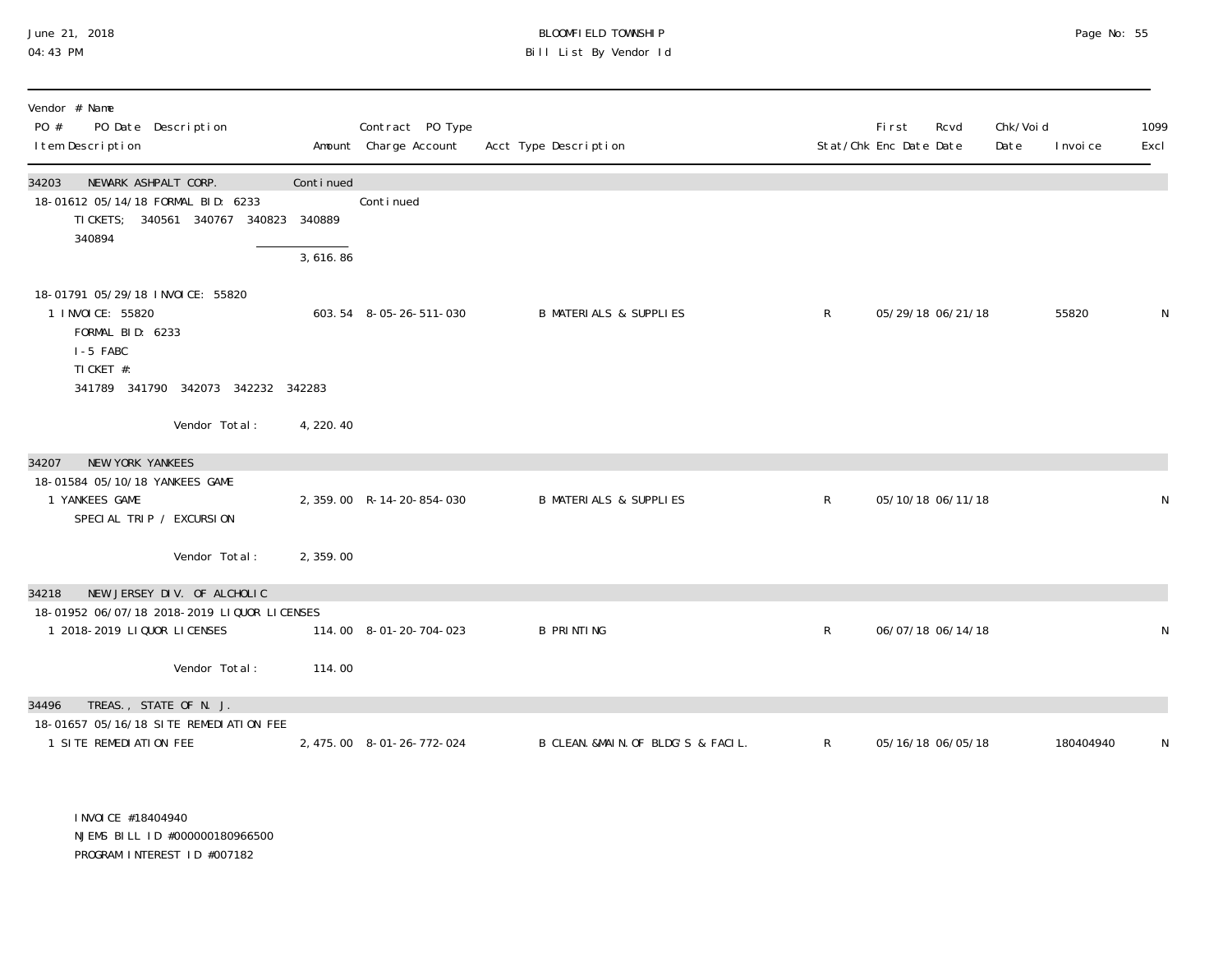# June 21, 2018 BLOOMFIELD TOWNSHIP Page No: 55 Bill List By Vendor Id

| Vendor # Name<br>PO #<br>PO Date Description<br>I tem Description                      |           | Contract PO Type<br>Amount Charge Account | Acct Type Description              |              | First<br>Stat/Chk Enc Date Date | Rcvd              | Chk/Voi d<br>Date | I nvoi ce | 1099<br>Excl |
|----------------------------------------------------------------------------------------|-----------|-------------------------------------------|------------------------------------|--------------|---------------------------------|-------------------|-------------------|-----------|--------------|
| NEWARK ASHPALT CORP.<br>34203                                                          | Continued |                                           |                                    |              |                                 |                   |                   |           |              |
| 18-01612 05/14/18 FORMAL BID: 6233<br>TI CKETS; 340561 340767<br>340823<br>340894      | 340889    | Continued                                 |                                    |              |                                 |                   |                   |           |              |
|                                                                                        | 3,616.86  |                                           |                                    |              |                                 |                   |                   |           |              |
| 18-01791 05/29/18 INVOICE: 55820<br>1 I NVOI CE: 55820<br>FORMAL BID: 6233<br>I-5 FABC |           | 603.54 8-05-26-511-030                    | <b>B MATERIALS &amp; SUPPLIES</b>  | $\mathsf{R}$ |                                 | 05/29/18 06/21/18 |                   | 55820     | N            |
| TI CKET #:<br>341789 341790 342073 342232 342283                                       |           |                                           |                                    |              |                                 |                   |                   |           |              |
| Vendor Total:                                                                          | 4, 220.40 |                                           |                                    |              |                                 |                   |                   |           |              |
| NEW YORK YANKEES<br>34207                                                              |           |                                           |                                    |              |                                 |                   |                   |           |              |
| 18-01584 05/10/18 YANKEES GAME<br>1 YANKEES GAME                                       |           | 2, 359.00 R-14-20-854-030                 | <b>B MATERIALS &amp; SUPPLIES</b>  | $\mathsf{R}$ |                                 | 05/10/18 06/11/18 |                   |           | N            |
| SPECIAL TRIP / EXCURSION                                                               |           |                                           |                                    |              |                                 |                   |                   |           |              |
| Vendor Total:                                                                          | 2, 359.00 |                                           |                                    |              |                                 |                   |                   |           |              |
| NEW JERSEY DIV. OF ALCHOLIC<br>34218                                                   |           |                                           |                                    |              |                                 |                   |                   |           |              |
| 18-01952 06/07/18 2018-2019 LIQUOR LICENSES<br>1 2018-2019 LIQUOR LICENSES             |           | 114.00 8-01-20-704-023                    | <b>B PRINTING</b>                  | $\mathsf{R}$ |                                 | 06/07/18 06/14/18 |                   |           | N            |
| Vendor Total:                                                                          | 114.00    |                                           |                                    |              |                                 |                   |                   |           |              |
|                                                                                        |           |                                           |                                    |              |                                 |                   |                   |           |              |
| TREAS., STATE OF N. J.<br>34496<br>18-01657 05/16/18 SITE REMEDIATION FEE              |           |                                           |                                    |              |                                 |                   |                   |           |              |
| 1 SITE REMEDIATION FEE                                                                 |           | 2, 475.00 8-01-26-772-024                 | B CLEAN. &MAIN. OF BLDG'S & FACIL. | $\mathsf{R}$ |                                 | 05/16/18 06/05/18 |                   | 180404940 | N            |

 INVOICE #18404940 NJEMS BILL ID #000000180966500 PROGRAM INTEREST ID #007182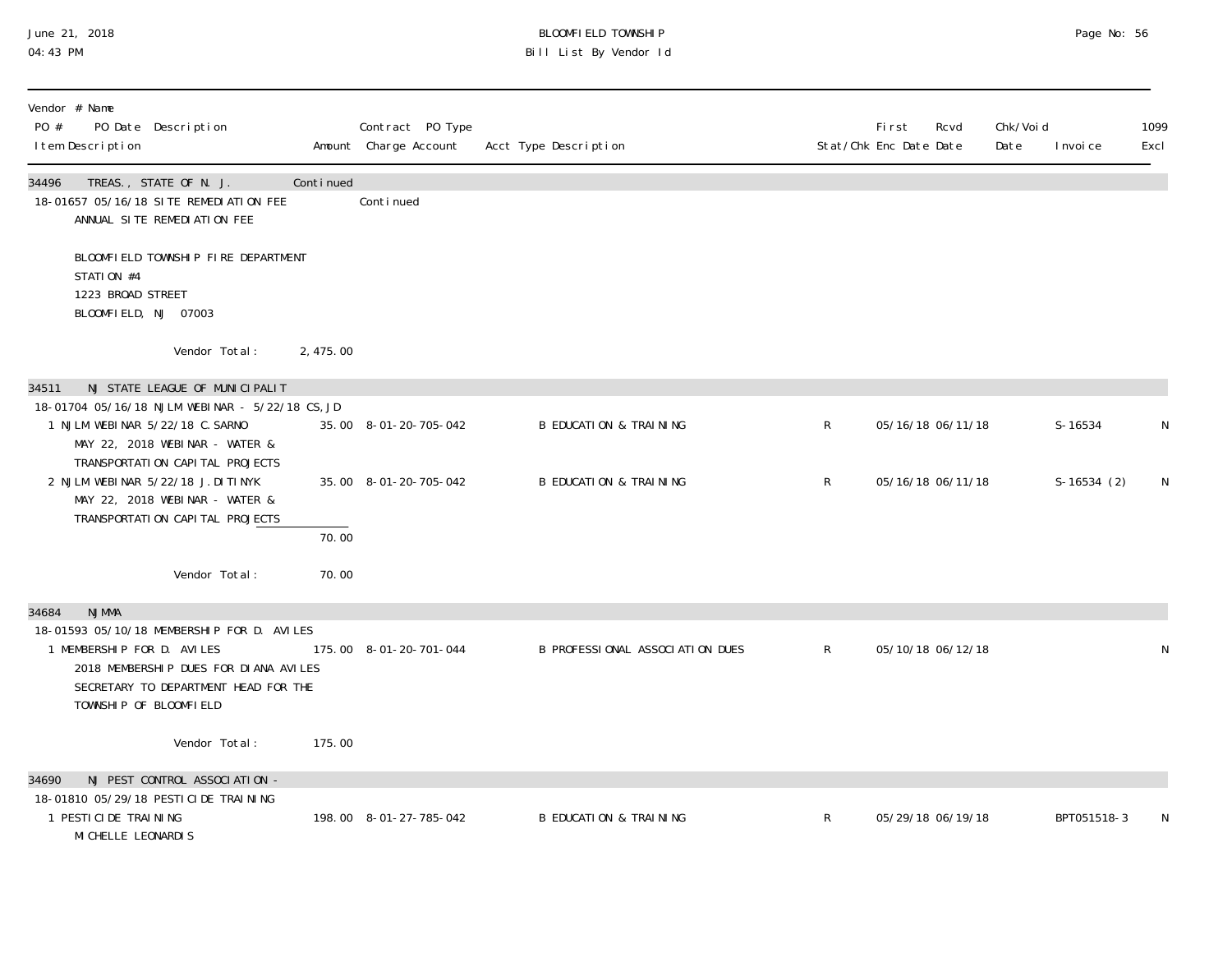### June 21, 2018 BLOOMFIELD TOWNSHIP Page 2018 Page No: 56 04:43 PM Bill List By Vendor Id

| Vendor # Name<br>PO #<br>PO Date Description<br>I tem Description                                                                                                                   |           | Contract PO Type<br>Amount Charge Account | Acct Type Description             |              | <b>First</b><br>Stat/Chk Enc Date Date | Rcvd | Chk/Voi d<br>Date | I nvoi ce    | 1099<br>Excl |
|-------------------------------------------------------------------------------------------------------------------------------------------------------------------------------------|-----------|-------------------------------------------|-----------------------------------|--------------|----------------------------------------|------|-------------------|--------------|--------------|
| 34496<br>TREAS., STATE OF N. J.<br>18-01657 05/16/18 SITE REMEDIATION FEE<br>ANNUAL SITE REMEDIATION FEE                                                                            | Continued | Continued                                 |                                   |              |                                        |      |                   |              |              |
| BLOOMFIELD TOWNSHIP FIRE DEPARTMENT<br>STATION #4<br>1223 BROAD STREET<br>BLOOMFIELD, NJ 07003                                                                                      |           |                                           |                                   |              |                                        |      |                   |              |              |
| Vendor Total:                                                                                                                                                                       | 2, 475.00 |                                           |                                   |              |                                        |      |                   |              |              |
| NJ STATE LEAGUE OF MUNICIPALIT<br>34511                                                                                                                                             |           |                                           |                                   |              |                                        |      |                   |              |              |
| 18-01704 05/16/18 NJLM WEBINAR - 5/22/18 CS, JD<br>1 NJLM WEBINAR 5/22/18 C. SARNO<br>MAY 22, 2018 WEBINAR - WATER &                                                                |           | 35.00 8-01-20-705-042                     | <b>B EDUCATION &amp; TRAINING</b> | $\mathsf R$  | 05/16/18 06/11/18                      |      |                   | $S-16534$    | N            |
| TRANSPORTATION CAPITAL PROJECTS<br>2 NJLM WEBINAR 5/22/18 J.DITINYK<br>MAY 22, 2018 WEBINAR - WATER &                                                                               |           | 35.00 8-01-20-705-042                     | <b>B EDUCATION &amp; TRAINING</b> | $\mathsf{R}$ | 05/16/18 06/11/18                      |      |                   | $S-16534(2)$ | N            |
| TRANSPORTATION CAPITAL PROJECTS                                                                                                                                                     | 70.00     |                                           |                                   |              |                                        |      |                   |              |              |
| Vendor Total:                                                                                                                                                                       | 70.00     |                                           |                                   |              |                                        |      |                   |              |              |
| <b>NJMMA</b><br>34684                                                                                                                                                               |           |                                           |                                   |              |                                        |      |                   |              |              |
| 18-01593 05/10/18 MEMBERSHIP FOR D. AVILES<br>1 MEMBERSHIP FOR D. AVILES<br>2018 MEMBERSHIP DUES FOR DIANA AVILES<br>SECRETARY TO DEPARTMENT HEAD FOR THE<br>TOWNSHIP OF BLOOMFIELD |           | 175.00 8-01-20-701-044                    | B PROFESSIONAL ASSOCIATION DUES   | $\mathsf{R}$ | 05/10/18 06/12/18                      |      |                   |              | N            |
| Vendor Total:                                                                                                                                                                       | 175.00    |                                           |                                   |              |                                        |      |                   |              |              |
| NJ PEST CONTROL ASSOCIATION -<br>34690                                                                                                                                              |           |                                           |                                   |              |                                        |      |                   |              |              |
| 18-01810 05/29/18 PESTICIDE TRAINING<br>1 PESTICIDE TRAINING<br>MI CHELLE LEONARDIS                                                                                                 |           | 198.00 8-01-27-785-042                    | <b>B EDUCATION &amp; TRAINING</b> | R            | 05/29/18 06/19/18                      |      |                   | BPT051518-3  |              |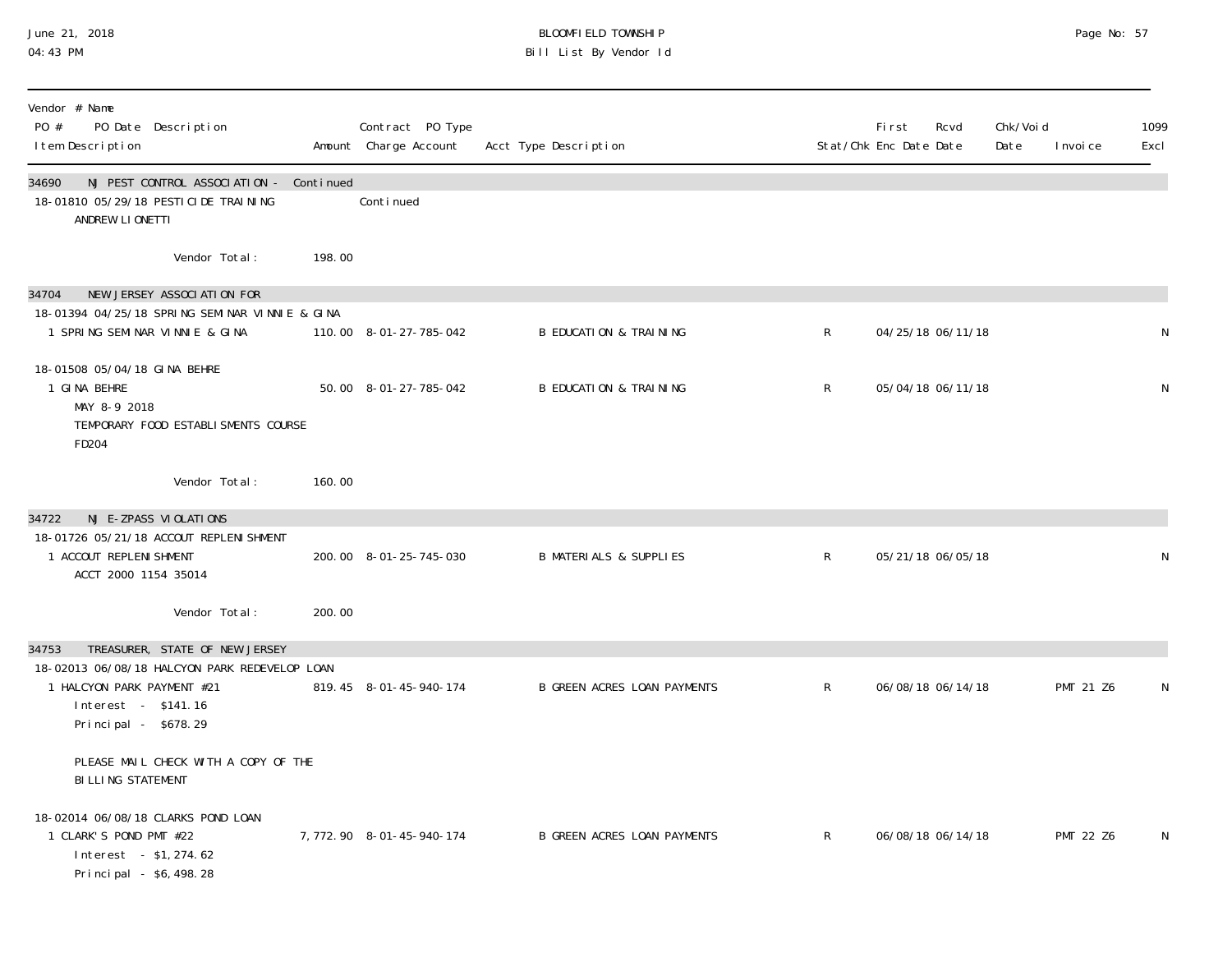#### June 21, 2018 BLOOMFIELD TOWNSHIP Page 2018 Page No: 57 04:43 PM Bill List By Vendor Id

| Vendor # Name<br>PO #<br>PO Date Description<br>I tem Description                                                                                                     |        | Contract PO Type<br>Amount Charge Account | Acct Type Description              |              | <b>First</b><br>Stat/Chk Enc Date Date | Rcvd | Chk/Void<br>Date | I nvoi ce        | 1099<br>Excl |
|-----------------------------------------------------------------------------------------------------------------------------------------------------------------------|--------|-------------------------------------------|------------------------------------|--------------|----------------------------------------|------|------------------|------------------|--------------|
| 34690<br>NJ PEST CONTROL ASSOCIATION - Continued<br>18-01810 05/29/18 PESTICIDE TRAINING<br>ANDREW LIONETTI                                                           |        | Conti nued                                |                                    |              |                                        |      |                  |                  |              |
| Vendor Total:                                                                                                                                                         | 198.00 |                                           |                                    |              |                                        |      |                  |                  |              |
| NEW JERSEY ASSOCIATION FOR<br>34704<br>18-01394 04/25/18 SPRING SEMINAR VINNIE & GINA<br>1 SPRING SEMINAR VINNIE & GINA                                               |        | 110.00 8-01-27-785-042                    | <b>B EDUCATION &amp; TRAINING</b>  | $\mathsf{R}$ | 04/25/18 06/11/18                      |      |                  |                  | N            |
| 18-01508 05/04/18 GINA BEHRE<br>1 GINA BEHRE<br>MAY 8-9 2018<br>TEMPORARY FOOD ESTABLI SMENTS COURSE<br>FD204                                                         |        | 50.00 8-01-27-785-042                     | <b>B EDUCATION &amp; TRAINING</b>  | $\mathsf{R}$ | 05/04/18 06/11/18                      |      |                  |                  | N            |
| Vendor Total:                                                                                                                                                         | 160.00 |                                           |                                    |              |                                        |      |                  |                  |              |
| NJ E-ZPASS VIOLATIONS<br>34722<br>18-01726 05/21/18 ACCOUT REPLENI SHMENT<br>1 ACCOUT REPLENI SHMENT<br>ACCT 2000 1154 35014                                          |        | 200.00 8-01-25-745-030                    | <b>B MATERIALS &amp; SUPPLIES</b>  | $\mathsf{R}$ | 05/21/18 06/05/18                      |      |                  |                  | N            |
| Vendor Total:                                                                                                                                                         | 200.00 |                                           |                                    |              |                                        |      |                  |                  |              |
| TREASURER, STATE OF NEW JERSEY<br>34753<br>18-02013 06/08/18 HALCYON PARK REDEVELOP LOAN<br>1 HALCYON PARK PAYMENT #21<br>Interest - \$141.16<br>Principal - \$678.29 |        | 819.45 8-01-45-940-174                    | <b>B GREEN ACRES LOAN PAYMENTS</b> | $\mathsf{R}$ | 06/08/18 06/14/18                      |      |                  | PMT 21 Z6        | N            |
| PLEASE MAIL CHECK WITH A COPY OF THE<br><b>BILLING STATEMENT</b>                                                                                                      |        |                                           |                                    |              |                                        |      |                  |                  |              |
| 18-02014 06/08/18 CLARKS POND LOAN<br>1 CLARK'S POND PMT #22<br>Interest - \$1, 274.62<br>Principal - \$6,498.28                                                      |        | 7, 772. 90 8-01-45-940-174                | <b>B GREEN ACRES LOAN PAYMENTS</b> | $\mathsf{R}$ | 06/08/18 06/14/18                      |      |                  | <b>PMT 22 Z6</b> | N            |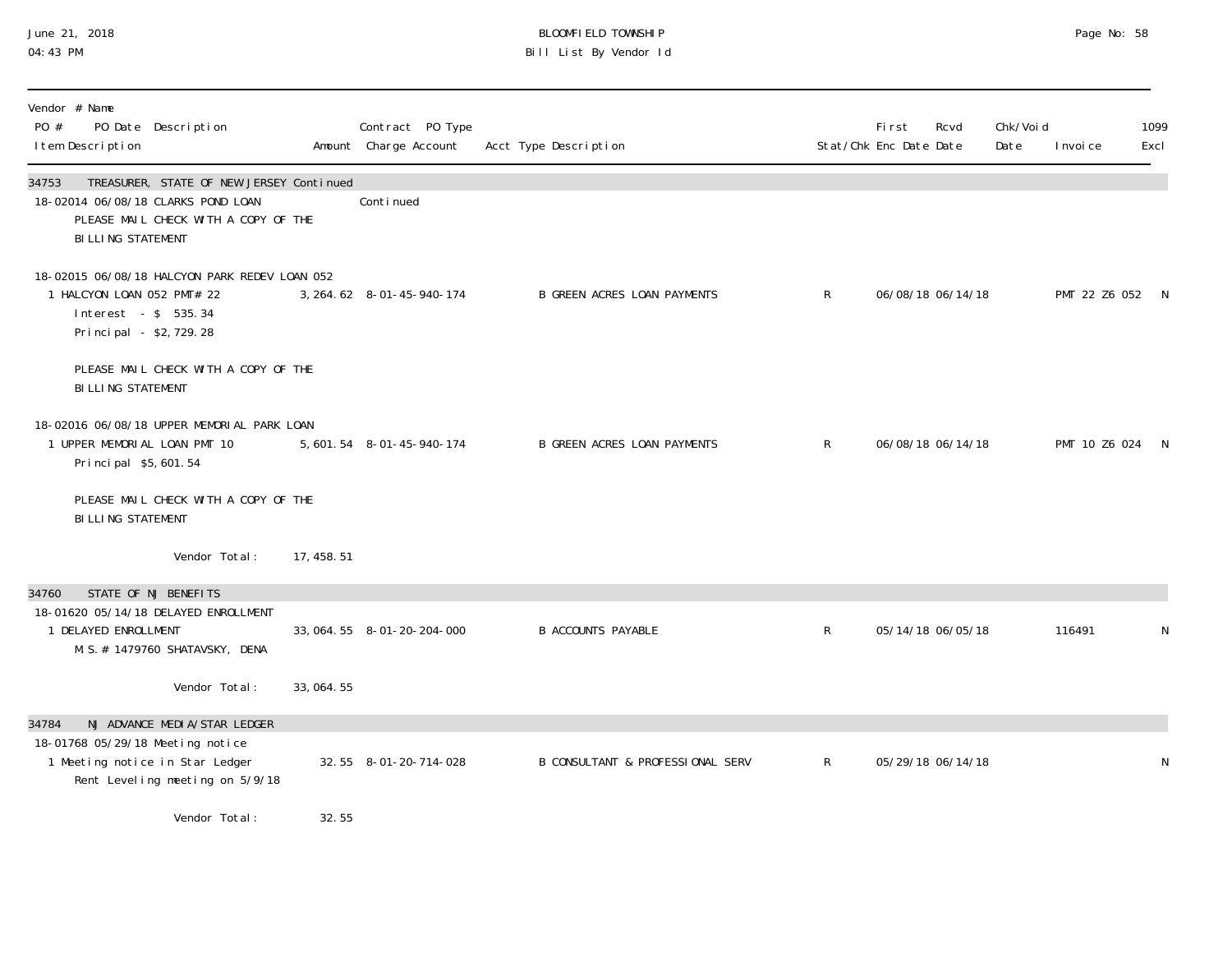#### June 21, 2018 BLOOMFIELD TOWNSHIP Page 2018 Page No: 58 04:43 PM Bill List By Vendor Id

| Vendor # Name<br>PO #<br>PO Date Description<br>I tem Description                                                                                    |             | Contract PO Type<br>Amount Charge Account | Acct Type Description                       |              | First<br>Stat/Chk Enc Date Date | Rcvd              | Chk/Voi d<br>Date | I nvoi ce       | 1099<br>Excl |
|------------------------------------------------------------------------------------------------------------------------------------------------------|-------------|-------------------------------------------|---------------------------------------------|--------------|---------------------------------|-------------------|-------------------|-----------------|--------------|
| 34753<br>TREASURER, STATE OF NEW JERSEY Continued<br>18-02014 06/08/18 CLARKS POND LOAN<br>PLEASE MAIL CHECK WITH A COPY OF THE<br>BILLING STATEMENT |             | Continued                                 |                                             |              |                                 |                   |                   |                 |              |
| 18-02015 06/08/18 HALCYON PARK REDEV LOAN 052<br>1 HALCYON LOAN 052 PMT# 22<br>Interest - \$ 535.34<br>Principal - \$2,729.28                        |             | 3, 264. 62 8-01-45-940-174                | <b>B GREEN ACRES LOAN PAYMENTS</b>          | $\mathsf{R}$ |                                 | 06/08/18 06/14/18 |                   | PMT 22 Z6 052 N |              |
| PLEASE MAIL CHECK WITH A COPY OF THE<br><b>BILLING STATEMENT</b>                                                                                     |             |                                           |                                             |              |                                 |                   |                   |                 |              |
| 18-02016 06/08/18 UPPER MEMORIAL PARK LOAN<br>1 UPPER MEMORIAL LOAN PMT 10<br>Principal \$5,601.54                                                   |             | 5, 601. 54 8-01-45-940-174                | <b>B GREEN ACRES LOAN PAYMENTS</b>          | $\mathsf{R}$ |                                 | 06/08/18 06/14/18 |                   | PMT 10 Z6 024 N |              |
| PLEASE MAIL CHECK WITH A COPY OF THE<br><b>BILLING STATEMENT</b>                                                                                     |             |                                           |                                             |              |                                 |                   |                   |                 |              |
| Vendor Total:                                                                                                                                        | 17, 458. 51 |                                           |                                             |              |                                 |                   |                   |                 |              |
| STATE OF NJ BENEFITS<br>34760<br>18-01620 05/14/18 DELAYED ENROLLMENT<br>1 DELAYED ENROLLMENT<br>M. S. # 1479760 SHATAVSKY, DENA                     |             | 33, 064. 55 8-01-20-204-000               | <b>B ACCOUNTS PAYABLE</b>                   | $\mathsf{R}$ |                                 | 05/14/18 06/05/18 |                   | 116491          | N            |
| Vendor Total:                                                                                                                                        | 33, 064. 55 |                                           |                                             |              |                                 |                   |                   |                 |              |
| NJ ADVANCE MEDIA/STAR LEDGER<br>34784                                                                                                                |             |                                           |                                             |              |                                 |                   |                   |                 |              |
| 18-01768 05/29/18 Meeting notice<br>1 Meeting notice in Star Ledger<br>Rent Leveling meeting on 5/9/18                                               |             | 32.55 8-01-20-714-028                     | <b>B CONSULTANT &amp; PROFESSIONAL SERV</b> | $\mathsf{R}$ |                                 | 05/29/18 06/14/18 |                   |                 | N            |
| Vendor Total:                                                                                                                                        | 32.55       |                                           |                                             |              |                                 |                   |                   |                 |              |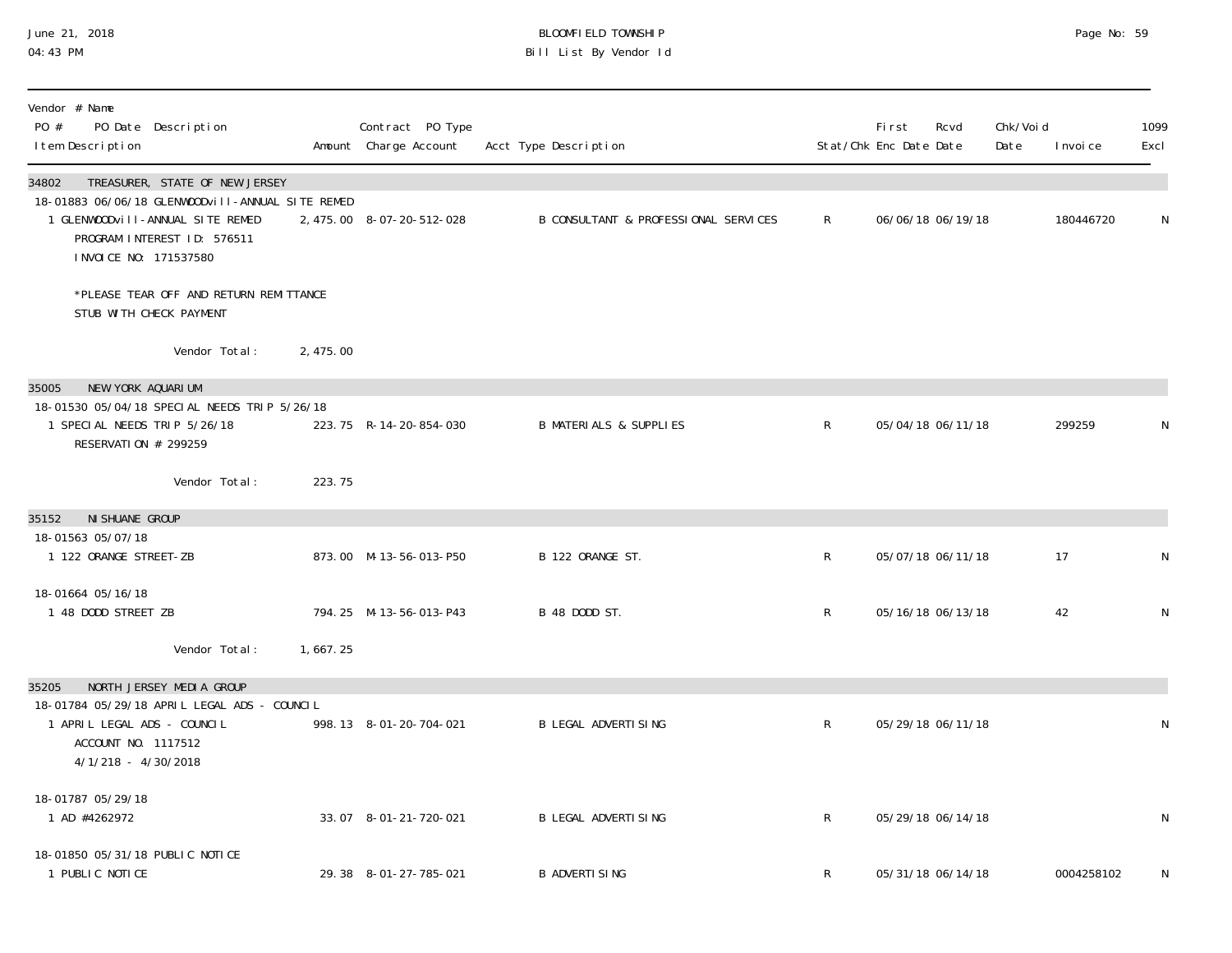## June 21, 2018 BLOOMFIELD TOWNSHIP Page 2018 Page No: 59 04:43 PM Bill List By Vendor Id

| Vendor # Name<br>PO #<br>PO Date Description<br>I tem Description                                                                                                                       |          | Contract PO Type<br>Amount Charge Account | Acct Type Description                |              | <b>First</b><br>Stat/Chk Enc Date Date | Rcvd              | Chk/Voi d<br>Date | I nvoi ce  | 1099<br>Excl |
|-----------------------------------------------------------------------------------------------------------------------------------------------------------------------------------------|----------|-------------------------------------------|--------------------------------------|--------------|----------------------------------------|-------------------|-------------------|------------|--------------|
| 34802<br>TREASURER, STATE OF NEW JERSEY<br>18-01883 06/06/18 GLENWOODvill-ANNUAL SITE REMED<br>1 GLENWOODVIII-ANNUAL SITE REMED<br>PROGRAM INTEREST ID: 576511<br>INVOICE NO: 171537580 |          | 2, 475.00 8-07-20-512-028                 | B CONSULTANT & PROFESSIONAL SERVICES | $\mathsf{R}$ |                                        | 06/06/18 06/19/18 |                   | 180446720  | N            |
| *PLEASE TEAR OFF AND RETURN REMITTANCE<br>STUB WITH CHECK PAYMENT                                                                                                                       |          |                                           |                                      |              |                                        |                   |                   |            |              |
| Vendor Total:                                                                                                                                                                           | 2,475.00 |                                           |                                      |              |                                        |                   |                   |            |              |
| NEW YORK AQUARIUM<br>35005<br>18-01530 05/04/18 SPECIAL NEEDS TRIP 5/26/18<br>1 SPECIAL NEEDS TRIP 5/26/18<br>RESERVATION # 299259                                                      |          | 223.75 R-14-20-854-030                    | <b>B MATERIALS &amp; SUPPLIES</b>    | $\mathsf{R}$ |                                        | 05/04/18 06/11/18 |                   | 299259     | N            |
| Vendor Total:                                                                                                                                                                           | 223.75   |                                           |                                      |              |                                        |                   |                   |            |              |
| 35152<br>NI SHUANE GROUP                                                                                                                                                                |          |                                           |                                      |              |                                        |                   |                   |            |              |
| 18-01563 05/07/18<br>1 122 ORANGE STREET-ZB                                                                                                                                             |          | 873.00 M-13-56-013-P50                    | B 122 ORANGE ST.                     | R            |                                        | 05/07/18 06/11/18 |                   | 17         | $\mathsf{N}$ |
| 18-01664 05/16/18<br>1 48 DODD STREET ZB                                                                                                                                                |          | 794.25 M-13-56-013-P43                    | B 48 DODD ST.                        | $\mathsf{R}$ |                                        | 05/16/18 06/13/18 |                   | 42         | $\mathsf{N}$ |
| Vendor Total:                                                                                                                                                                           | 1,667.25 |                                           |                                      |              |                                        |                   |                   |            |              |
| 35205<br>NORTH JERSEY MEDIA GROUP<br>18-01784 05/29/18 APRIL LEGAL ADS - COUNCIL<br>1 APRIL LEGAL ADS - COUNCIL<br>ACCOUNT NO. 1117512<br>4/1/218 - 4/30/2018                           |          | 998.13 8-01-20-704-021                    | <b>B LEGAL ADVERTISING</b>           | $\mathsf{R}$ |                                        | 05/29/18 06/11/18 |                   |            | N            |
| 18-01787 05/29/18<br>1 AD #4262972                                                                                                                                                      |          | 33.07 8-01-21-720-021                     | <b>B LEGAL ADVERTISING</b>           | $\mathsf{R}$ |                                        | 05/29/18 06/14/18 |                   |            | N            |
| 18-01850 05/31/18 PUBLIC NOTICE<br>1 PUBLIC NOTICE                                                                                                                                      |          | 29.38 8-01-27-785-021                     | <b>B ADVERTI SING</b>                | R            |                                        | 05/31/18 06/14/18 |                   | 0004258102 | N            |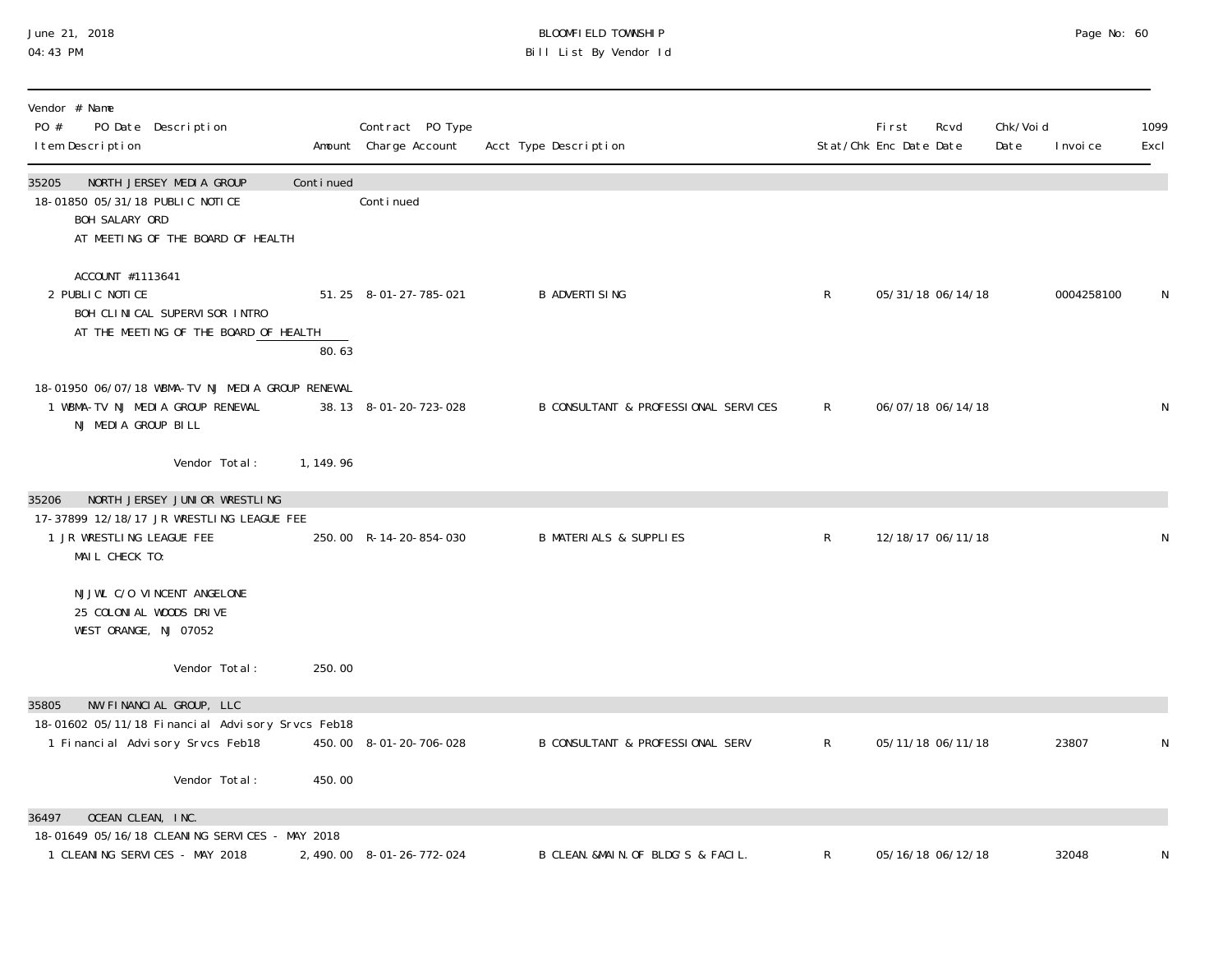#### June 21, 2018 BLOOMFIELD TOWNSHIP Page 2018 Page No: 60 04:43 PM Bill List By Vendor Id

| Vendor # Name<br>PO #<br>PO Date Description<br>I tem Description                                                                  |            | Contract PO Type<br>Amount Charge Account | Acct Type Description                |              | First<br>Stat/Chk Enc Date Date | Rcvd              | Chk/Voi d<br>Date | I nvoi ce  | 1099<br>Excl |
|------------------------------------------------------------------------------------------------------------------------------------|------------|-------------------------------------------|--------------------------------------|--------------|---------------------------------|-------------------|-------------------|------------|--------------|
| 35205<br>NORTH JERSEY MEDIA GROUP<br>18-01850 05/31/18 PUBLIC NOTICE<br>BOH SALARY ORD<br>AT MEETING OF THE BOARD OF HEALTH        | Continued  | Conti nued                                |                                      |              |                                 |                   |                   |            |              |
| ACCOUNT #1113641<br>2 PUBLIC NOTICE<br>BOH CLINICAL SUPERVISOR INTRO<br>AT THE MEETING OF THE BOARD OF HEALTH                      | 80.63      | 51.25 8-01-27-785-021                     | <b>B ADVERTI SING</b>                | $\mathsf{R}$ |                                 | 05/31/18 06/14/18 |                   | 0004258100 | N            |
| 18-01950 06/07/18 WBMA-TV NJ MEDIA GROUP RENEWAL<br>1 WBMA-TV NJ MEDIA GROUP RENEWAL<br>NJ MEDIA GROUP BILL                        |            | 38.13 8-01-20-723-028                     | B CONSULTANT & PROFESSIONAL SERVICES | R            |                                 | 06/07/18 06/14/18 |                   |            | ${\sf N}$    |
| Vendor Total:                                                                                                                      | 1, 149. 96 |                                           |                                      |              |                                 |                   |                   |            |              |
| NORTH JERSEY JUNIOR WRESTLING<br>35206<br>17-37899 12/18/17 JR WRESTLING LEAGUE FEE<br>1 JR WRESTLING LEAGUE FEE<br>MAIL CHECK TO: |            | 250.00 R-14-20-854-030                    | <b>B MATERIALS &amp; SUPPLIES</b>    | $\mathsf R$  |                                 | 12/18/17 06/11/18 |                   |            | N            |
| NJJWL C/O VINCENT ANGELONE<br>25 COLONIAL WOODS DRIVE<br>WEST ORANGE, NJ 07052                                                     |            |                                           |                                      |              |                                 |                   |                   |            |              |
| Vendor Total:                                                                                                                      | 250.00     |                                           |                                      |              |                                 |                   |                   |            |              |
| NW FINANCIAL GROUP, LLC<br>35805<br>18-01602 05/11/18 Financial Advisory Srvcs Feb18<br>1 Financial Advisory Srvcs Feb18           |            | 450.00 8-01-20-706-028                    | B CONSULTANT & PROFESSIONAL SERV     | $\mathsf{R}$ |                                 | 05/11/18 06/11/18 |                   | 23807      | N            |
| Vendor Total:                                                                                                                      | 450.00     |                                           |                                      |              |                                 |                   |                   |            |              |
| OCEAN CLEAN, INC.<br>36497<br>18-01649 05/16/18 CLEANING SERVICES - MAY 2018                                                       |            |                                           |                                      |              |                                 |                   |                   |            |              |
| 1 CLEANING SERVICES - MAY 2018                                                                                                     |            | 2, 490.00 8-01-26-772-024                 | B CLEAN. &MAIN. OF BLDG'S & FACIL.   | $\mathsf{R}$ |                                 | 05/16/18 06/12/18 |                   | 32048      | N            |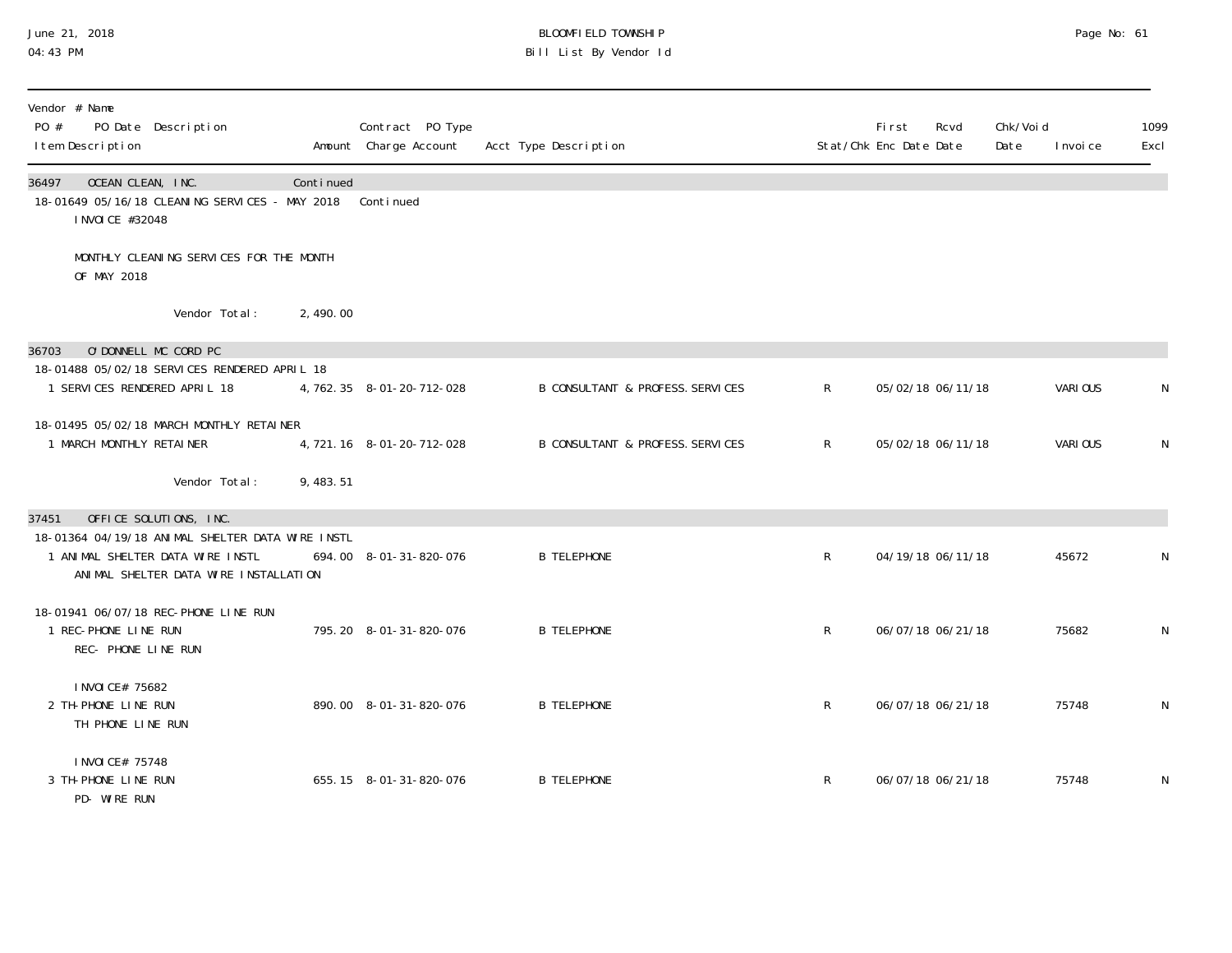#### June 21, 2018 BLOOMFIELD TOWNSHIP Page 2018 Page No: 61 04:43 PM Bill List By Vendor Id

| Vendor # Name<br>PO #<br>PO Date Description<br>I tem Description                                                             |           | Contract PO Type<br>Amount Charge Account | Acct Type Description            |              | <b>First</b><br>Rcvd<br>Stat/Chk Enc Date Date | Chk/Voi d<br>Date | I nvoi ce | 1099<br>Excl |
|-------------------------------------------------------------------------------------------------------------------------------|-----------|-------------------------------------------|----------------------------------|--------------|------------------------------------------------|-------------------|-----------|--------------|
| 36497<br>OCEAN CLEAN, INC.<br>18-01649 05/16/18 CLEANING SERVICES - MAY 2018<br>I NVOI CE #32048                              | Continued | Continued                                 |                                  |              |                                                |                   |           |              |
| MONTHLY CLEANING SERVICES FOR THE MONTH<br>OF MAY 2018                                                                        |           |                                           |                                  |              |                                                |                   |           |              |
| Vendor Total:                                                                                                                 | 2,490.00  |                                           |                                  |              |                                                |                   |           |              |
| O'DONNELL MC CORD PC<br>36703                                                                                                 |           |                                           |                                  |              |                                                |                   |           |              |
| 18-01488 05/02/18 SERVICES RENDERED APRIL 18<br>1 SERVICES RENDERED APRIL 18                                                  |           | 4, 762. 35 8-01-20-712-028                | B CONSULTANT & PROFESS. SERVICES | $\mathsf{R}$ | 05/02/18 06/11/18                              |                   | VARIOUS   | N            |
| 18-01495 05/02/18 MARCH MONTHLY RETAINER<br>1 MARCH MONTHLY RETAINER                                                          |           | 4, 721. 16 8-01-20-712-028                | B CONSULTANT & PROFESS. SERVICES | $\mathsf{R}$ | 05/02/18 06/11/18                              |                   | VARIOUS   | N            |
| Vendor Total:                                                                                                                 | 9,483.51  |                                           |                                  |              |                                                |                   |           |              |
| OFFICE SOLUTIONS, INC.<br>37451                                                                                               |           |                                           |                                  |              |                                                |                   |           |              |
| 18-01364 04/19/18 ANIMAL SHELTER DATA WIRE INSTL<br>1 ANIMAL SHELTER DATA WIRE INSTL<br>ANIMAL SHELTER DATA WIRE INSTALLATION |           | 694.00 8-01-31-820-076                    | <b>B TELEPHONE</b>               | R            | 04/19/18 06/11/18                              |                   | 45672     | N            |
| 18-01941 06/07/18 REC-PHONE LINE RUN<br>1 REC-PHONE LINE RUN<br>REC- PHONE LINE RUN                                           |           | 795.20 8-01-31-820-076                    | <b>B TELEPHONE</b>               | $\mathsf{R}$ | 06/07/18 06/21/18                              |                   | 75682     | N            |
| I NVOI CE# 75682<br>2 TH-PHONE LINE RUN<br>TH PHONE LINE RUN                                                                  |           | 890.00 8-01-31-820-076                    | <b>B TELEPHONE</b>               | $\mathsf{R}$ | 06/07/18 06/21/18                              |                   | 75748     | N            |
| I NVOI CE# 75748<br>3 TH-PHONE LINE RUN<br>$AD$ $III$ $D$ $D$ $N$                                                             |           | 655.15 8-01-31-820-076                    | <b>B TELEPHONE</b>               | R            | 06/07/18 06/21/18                              |                   | 75748     | N            |

PD- WIRE RUN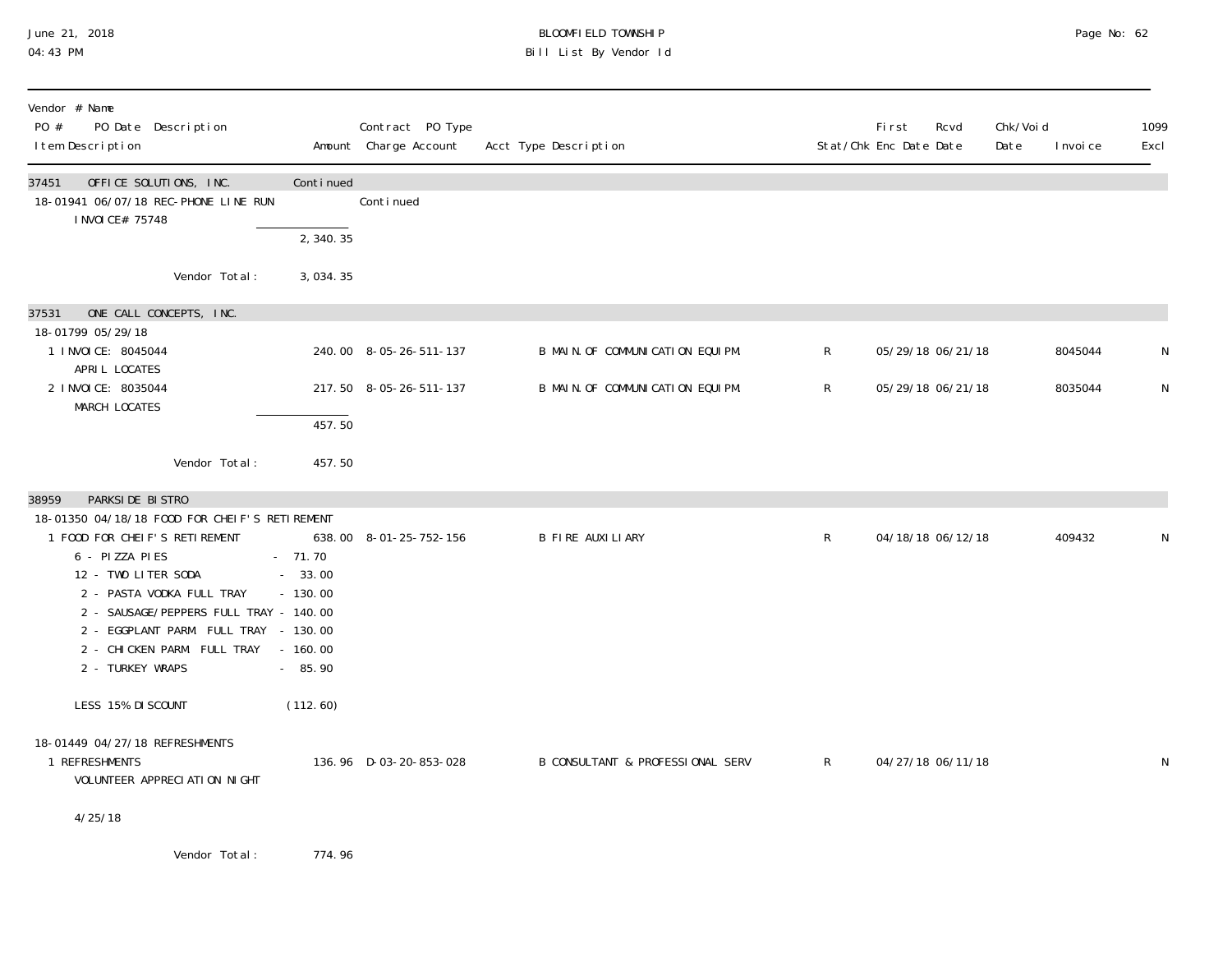#### June 21, 2018 BLOOMFIELD TOWNSHIP Page 2018 Page No: 62 04:43 PM Bill List By Vendor Id

| Vendor # Name<br>PO #<br>PO Date Description<br>I tem Description                                                                                                                                                                                                                                                      |                                                            | Contract PO Type<br>Amount Charge Account | Acct Type Description            |              | First<br>Stat/Chk Enc Date Date | Rcvd | Chk/Voi d<br>Date | I nvoi ce | 1099<br>Excl |
|------------------------------------------------------------------------------------------------------------------------------------------------------------------------------------------------------------------------------------------------------------------------------------------------------------------------|------------------------------------------------------------|-------------------------------------------|----------------------------------|--------------|---------------------------------|------|-------------------|-----------|--------------|
| OFFICE SOLUTIONS, INC.<br>37451<br>18-01941 06/07/18 REC-PHONE LINE RUN<br>I NVOI CE# 75748                                                                                                                                                                                                                            | Continued                                                  | Conti nued                                |                                  |              |                                 |      |                   |           |              |
| Vendor Total:                                                                                                                                                                                                                                                                                                          | 2, 340.35<br>3,034.35                                      |                                           |                                  |              |                                 |      |                   |           |              |
| ONE CALL CONCEPTS, INC.<br>37531<br>18-01799 05/29/18                                                                                                                                                                                                                                                                  |                                                            |                                           |                                  |              |                                 |      |                   |           |              |
| 1 I NVOI CE: 8045044<br>APRIL LOCATES                                                                                                                                                                                                                                                                                  |                                                            | 240.00 8-05-26-511-137                    | B MAIN. OF COMMUNICATION EQUIPM. | $\mathsf{R}$ | 05/29/18 06/21/18               |      |                   | 8045044   | N            |
| 2 I NVOI CE: 8035044<br>MARCH LOCATES                                                                                                                                                                                                                                                                                  |                                                            | 217.50 8-05-26-511-137                    | B MAIN. OF COMMUNICATION EQUIPM. | $\mathsf{R}$ | 05/29/18 06/21/18               |      |                   | 8035044   | N            |
|                                                                                                                                                                                                                                                                                                                        | 457.50                                                     |                                           |                                  |              |                                 |      |                   |           |              |
| Vendor Total:                                                                                                                                                                                                                                                                                                          | 457.50                                                     |                                           |                                  |              |                                 |      |                   |           |              |
| 38959<br>PARKSIDE BISTRO<br>18-01350 04/18/18 FOOD FOR CHEIF'S RETIREMENT<br>1 FOOD FOR CHEIF'S RETIREMENT<br>6 - PIZZA PIES<br>12 - TWO LITER SODA<br>2 - PASTA VODKA FULL TRAY<br>2 - SAUSAGE/PEPPERS FULL TRAY - 140.00<br>2 - EGGPLANT PARM. FULL TRAY - 130.00<br>2 - CHICKEN PARM. FULL TRAY<br>2 - TURKEY WRAPS | $-71.70$<br>$-33.00$<br>$-130.00$<br>$-160.00$<br>$-85.90$ | 638.00 8-01-25-752-156                    | B FIRE AUXILIARY                 | $\mathsf{R}$ | 04/18/18 06/12/18               |      |                   | 409432    | N            |
| LESS 15% DI SCOUNT<br>18-01449 04/27/18 REFRESHMENTS<br>1 REFRESHMENTS<br>VOLUNTEER APPRECIATION NIGHT<br>4/25/18                                                                                                                                                                                                      | (112.60)                                                   | 136.96 D-03-20-853-028                    | B CONSULTANT & PROFESSIONAL SERV | $\mathsf{R}$ | 04/27/18 06/11/18               |      |                   |           | N            |

Vendor Total: 774.96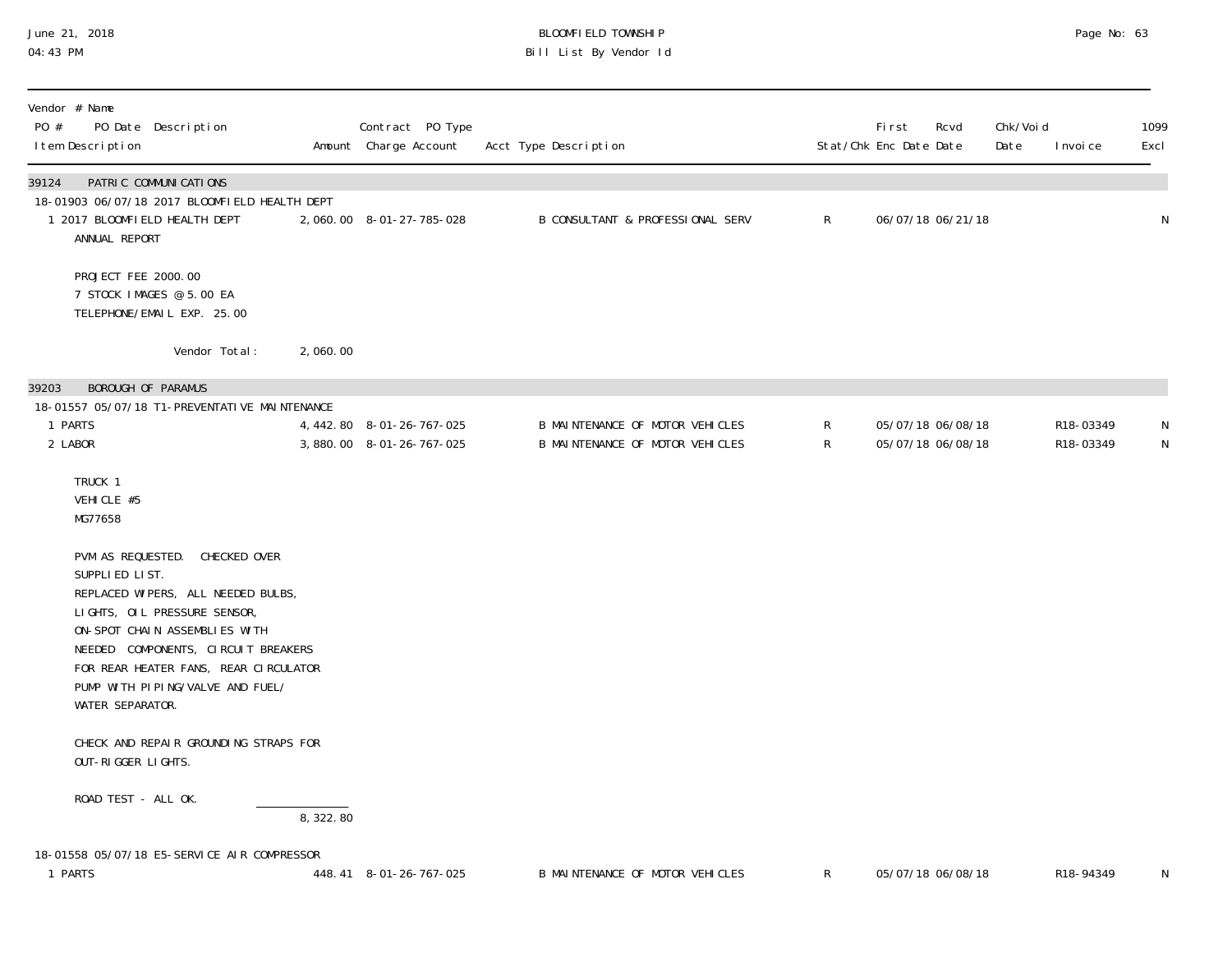## June 21, 2018 BLOOMFIELD TOWNSHIP Page No: 63 Bill List By Vendor Id

| Vendor # Name<br>PO #<br>PO Date Description<br>I tem Description                                                                                                                                                                                                                               |          | Contract PO Type<br>Amount Charge Account             | Acct Type Description                                              |                   | <b>First</b><br>Stat/Chk Enc Date Date | Rcvd                                   | Chk/Voi d<br>Date | I nvoi ce              | 1099<br>Excl   |
|-------------------------------------------------------------------------------------------------------------------------------------------------------------------------------------------------------------------------------------------------------------------------------------------------|----------|-------------------------------------------------------|--------------------------------------------------------------------|-------------------|----------------------------------------|----------------------------------------|-------------------|------------------------|----------------|
| PATRIC COMMUNICATIONS<br>39124<br>18-01903 06/07/18 2017 BLOOMFIELD HEALTH DEPT<br>1 2017 BLOOMFIELD HEALTH DEPT<br>ANNUAL REPORT                                                                                                                                                               |          | 2,060.00 8-01-27-785-028                              | <b>B CONSULTANT &amp; PROFESSIONAL SERV</b>                        | $\mathsf{R}$      |                                        | 06/07/18 06/21/18                      |                   |                        | $\mathsf N$    |
| PROJECT FEE 2000.00<br>7 STOCK IMAGES @ 5.00 EA<br>TELEPHONE/EMAIL EXP. 25.00                                                                                                                                                                                                                   |          |                                                       |                                                                    |                   |                                        |                                        |                   |                        |                |
| Vendor Total:                                                                                                                                                                                                                                                                                   | 2,060.00 |                                                       |                                                                    |                   |                                        |                                        |                   |                        |                |
| BOROUGH OF PARAMUS<br>39203<br>18-01557 05/07/18 T1-PREVENTATI VE MAINTENANCE                                                                                                                                                                                                                   |          |                                                       |                                                                    |                   |                                        |                                        |                   |                        |                |
| 1 PARTS<br>2 LABOR                                                                                                                                                                                                                                                                              |          | 4, 442.80 8-01-26-767-025<br>3,880.00 8-01-26-767-025 | B MAINTENANCE OF MOTOR VEHICLES<br>B MAINTENANCE OF MOTOR VEHICLES | R<br>$\mathsf{R}$ |                                        | 05/07/18 06/08/18<br>05/07/18 06/08/18 |                   | R18-03349<br>R18-03349 | N<br>${\sf N}$ |
| TRUCK 1<br>VEHICLE #5<br>MG77658                                                                                                                                                                                                                                                                |          |                                                       |                                                                    |                   |                                        |                                        |                   |                        |                |
| PVM AS REQUESTED. CHECKED OVER<br>SUPPLIED LIST.<br>REPLACED WIPERS, ALL NEEDED BULBS,<br>LIGHTS, OIL PRESSURE SENSOR,<br>ON-SPOT CHAIN ASSEMBLIES WITH<br>NEEDED COMPONENTS, CIRCUIT BREAKERS<br>FOR REAR HEATER FANS, REAR CIRCULATOR<br>PUMP WITH PIPING/VALVE AND FUEL/<br>WATER SEPARATOR. |          |                                                       |                                                                    |                   |                                        |                                        |                   |                        |                |
| CHECK AND REPAIR GROUNDING STRAPS FOR<br>OUT-RIGGER LIGHTS.                                                                                                                                                                                                                                     |          |                                                       |                                                                    |                   |                                        |                                        |                   |                        |                |
| ROAD TEST - ALL OK.                                                                                                                                                                                                                                                                             | 8,322.80 |                                                       |                                                                    |                   |                                        |                                        |                   |                        |                |
| 18-01558 05/07/18 E5-SERVICE AIR COMPRESSOR<br>1 PARTS                                                                                                                                                                                                                                          |          | 448.41 8-01-26-767-025                                | B MAINTENANCE OF MOTOR VEHICLES                                    | R                 |                                        | 05/07/18 06/08/18                      |                   | R18-94349              | N              |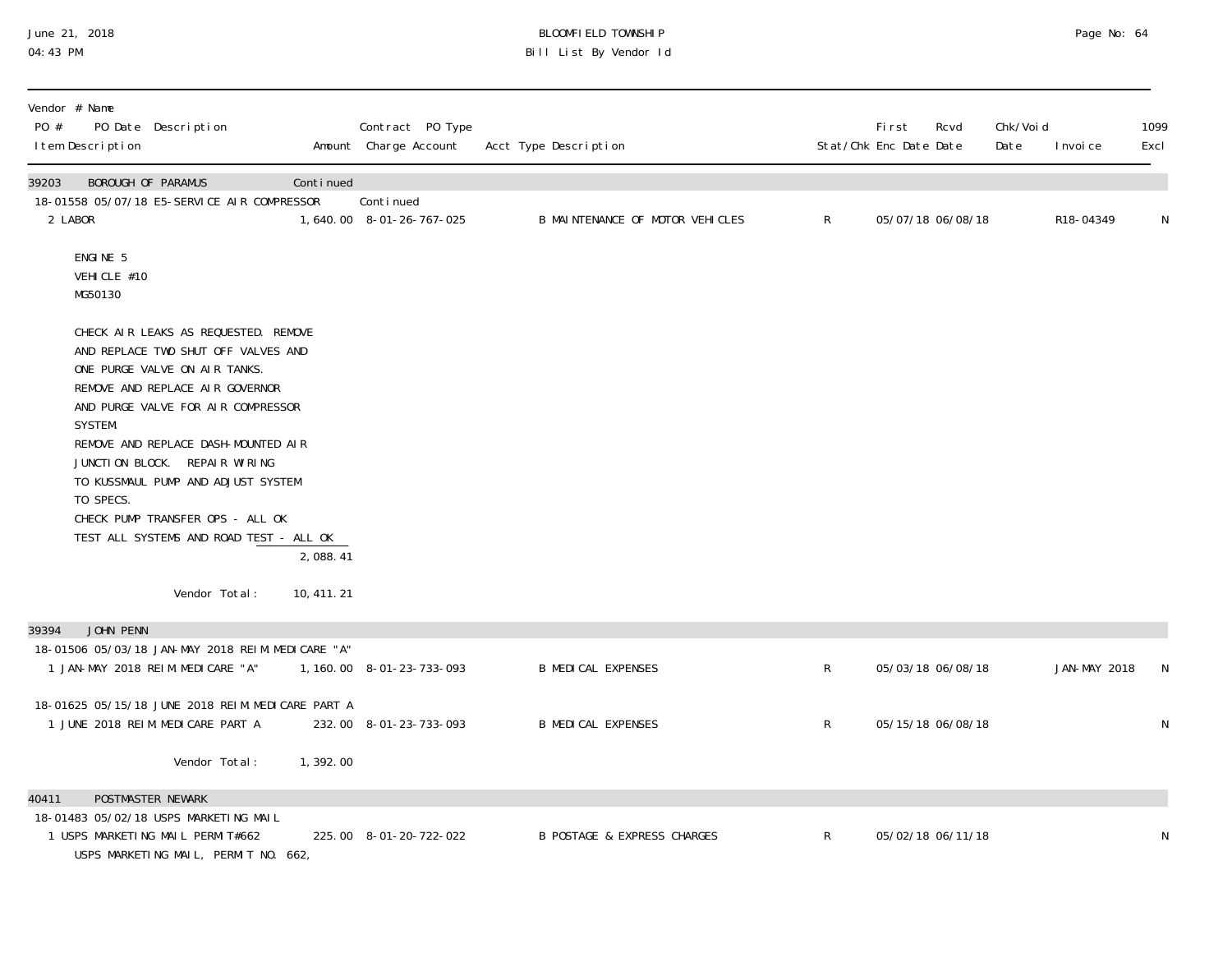## June 21, 2018 BLOOMFIELD TOWNSHIP Page 2018 Page No: 64 04:43 PM Bill List By Vendor Id

| Vendor # Name<br>PO #<br>PO Date Description<br>I tem Description                                                                                                                                                                                                                                                                                                                                          |             | Contract PO Type<br>Amount Charge Account | Acct Type Description                  |                | First<br>Stat/Chk Enc Date Date | Rcvd              | Chk/Voi d<br>Date | I nvoi ce           | 1099<br>Excl |
|------------------------------------------------------------------------------------------------------------------------------------------------------------------------------------------------------------------------------------------------------------------------------------------------------------------------------------------------------------------------------------------------------------|-------------|-------------------------------------------|----------------------------------------|----------------|---------------------------------|-------------------|-------------------|---------------------|--------------|
| 39203<br>BOROUGH OF PARAMUS<br>18-01558 05/07/18 E5-SERVICE AIR COMPRESSOR<br>2 LABOR                                                                                                                                                                                                                                                                                                                      | Continued   | Continued<br>1,640.00 8-01-26-767-025     | B MAINTENANCE OF MOTOR VEHICLES        | $\mathsf{R}^-$ |                                 | 05/07/18 06/08/18 |                   | R18-04349           | N            |
| ENGINE 5<br>VEHICLE #10<br>MG50130                                                                                                                                                                                                                                                                                                                                                                         |             |                                           |                                        |                |                                 |                   |                   |                     |              |
| CHECK AIR LEAKS AS REQUESTED. REMOVE<br>AND REPLACE TWO SHUT OFF VALVES AND<br>ONE PURGE VALVE ON AIR TANKS.<br>REMOVE AND REPLACE AIR GOVERNOR<br>AND PURGE VALVE FOR AIR COMPRESSOR<br>SYSTEM.<br>REMOVE AND REPLACE DASH-MOUNTED AIR<br>JUNCTION BLOCK. REPAIR WIRING<br>TO KUSSMAUL PUMP AND ADJUST SYSTEM<br>TO SPECS.<br>CHECK PUMP TRANSFER OPS - ALL OK<br>TEST ALL SYSTEMS AND ROAD TEST - ALL OK | 2,088.41    |                                           |                                        |                |                                 |                   |                   |                     |              |
| Vendor Total:                                                                                                                                                                                                                                                                                                                                                                                              | 10, 411. 21 |                                           |                                        |                |                                 |                   |                   |                     |              |
| JOHN PENN<br>39394<br>18-01506 05/03/18 JAN-MAY 2018 REIM. MEDICARE "A"<br>1 JAN-MAY 2018 REIM. MEDICARE "A"                                                                                                                                                                                                                                                                                               |             | 1, 160.00 8-01-23-733-093                 | <b>B MEDICAL EXPENSES</b>              | $\mathsf R$    |                                 | 05/03/18 06/08/18 |                   | <b>JAN-MAY 2018</b> | N            |
| 18-01625 05/15/18 JUNE 2018 REIM. MEDICARE PART A<br>1 JUNE 2018 REIM. MEDICARE PART A                                                                                                                                                                                                                                                                                                                     |             | 232.00 8-01-23-733-093                    | <b>B MEDICAL EXPENSES</b>              | $\mathsf{R}$   |                                 | 05/15/18 06/08/18 |                   |                     | N            |
| Vendor Total:                                                                                                                                                                                                                                                                                                                                                                                              | 1,392.00    |                                           |                                        |                |                                 |                   |                   |                     |              |
| 40411<br><b>POSTMASTER NEWARK</b>                                                                                                                                                                                                                                                                                                                                                                          |             |                                           |                                        |                |                                 |                   |                   |                     |              |
| 18-01483 05/02/18 USPS MARKETING MAIL<br>1 USPS MARKETING MAIL PERMIT#662<br>USPS MARKETING MAIL, PERMIT NO. 662,                                                                                                                                                                                                                                                                                          |             | 225.00 8-01-20-722-022                    | <b>B POSTAGE &amp; EXPRESS CHARGES</b> | $\mathsf{R}^-$ |                                 | 05/02/18 06/11/18 |                   |                     | N            |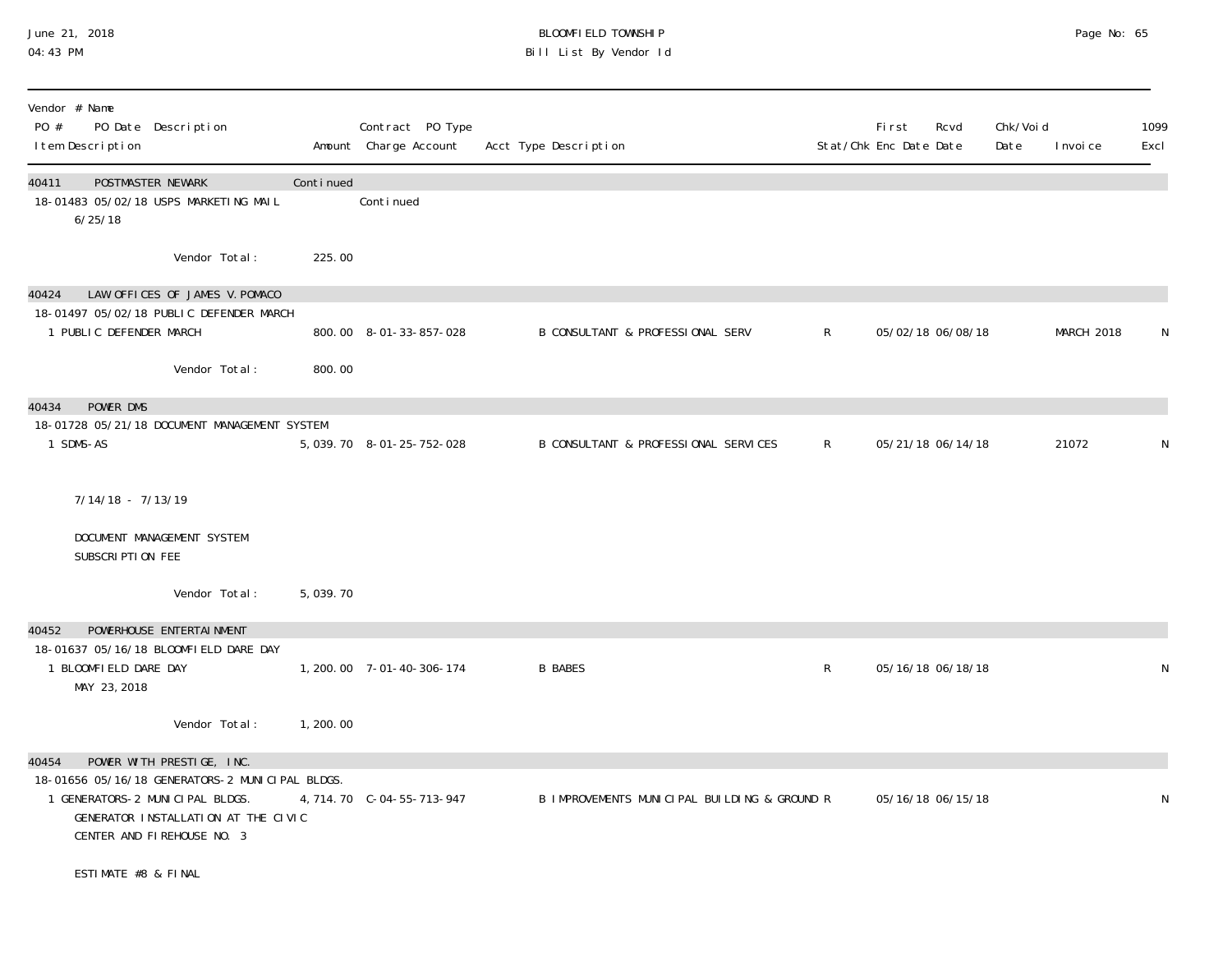#### June 21, 2018 BLOOMFIELD TOWNSHIP Page 2018 Page No: 65 04:43 PM Bill List By Vendor Id

| Vendor # Name<br>PO #<br>PO Date Description<br>I tem Description                                                                                                                             |           | Contract PO Type<br>Amount Charge Account | Acct Type Description                        |              | Fi rst<br>Stat/Chk Enc Date Date | Rcvd              | Chk/Voi d<br>Date | I nvoi ce  | 1099<br>Excl |
|-----------------------------------------------------------------------------------------------------------------------------------------------------------------------------------------------|-----------|-------------------------------------------|----------------------------------------------|--------------|----------------------------------|-------------------|-------------------|------------|--------------|
| 40411<br><b>POSTMASTER NEWARK</b><br>18-01483 05/02/18 USPS MARKETING MAIL<br>6/25/18                                                                                                         | Continued | Continued                                 |                                              |              |                                  |                   |                   |            |              |
| Vendor Total:                                                                                                                                                                                 | 225.00    |                                           |                                              |              |                                  |                   |                   |            |              |
| LAW OFFICES OF JAMES V. POMACO<br>40424<br>18-01497 05/02/18 PUBLIC DEFENDER MARCH                                                                                                            |           |                                           |                                              |              |                                  |                   |                   |            |              |
| 1 PUBLIC DEFENDER MARCH                                                                                                                                                                       |           | 800.00 8-01-33-857-028                    | B CONSULTANT & PROFESSIONAL SERV             | $\mathsf{R}$ |                                  | 05/02/18 06/08/18 |                   | MARCH 2018 | N            |
| Vendor Total:                                                                                                                                                                                 | 800.00    |                                           |                                              |              |                                  |                   |                   |            |              |
| POWER DMS<br>40434                                                                                                                                                                            |           |                                           |                                              |              |                                  |                   |                   |            |              |
| 18-01728 05/21/18 DOCUMENT MANAGEMENT SYSTEM<br>1 SDMS-AS                                                                                                                                     |           | 5, 039. 70 8-01-25-752-028                | B CONSULTANT & PROFESSIONAL SERVICES         | $\mathsf{R}$ |                                  | 05/21/18 06/14/18 |                   | 21072      | N            |
| $7/14/18 - 7/13/19$<br>DOCUMENT MANAGEMENT SYSTEM                                                                                                                                             |           |                                           |                                              |              |                                  |                   |                   |            |              |
| SUBSCRIPTION FEE                                                                                                                                                                              |           |                                           |                                              |              |                                  |                   |                   |            |              |
| Vendor Total:                                                                                                                                                                                 | 5,039.70  |                                           |                                              |              |                                  |                   |                   |            |              |
| POWERHOUSE ENTERTAI NMENT<br>40452                                                                                                                                                            |           |                                           |                                              |              |                                  |                   |                   |            |              |
| 18-01637 05/16/18 BLOOMFIELD DARE DAY<br>1 BLOOMFIELD DARE DAY<br>MAY 23, 2018                                                                                                                |           | 1, 200. 00 7-01-40-306-174                | <b>B BABES</b>                               | R            |                                  | 05/16/18 06/18/18 |                   |            | N            |
| Vendor Total:                                                                                                                                                                                 | 1,200.00  |                                           |                                              |              |                                  |                   |                   |            |              |
| 40454<br>POWER WITH PRESTIGE, INC.<br>18-01656 05/16/18 GENERATORS-2 MUNICIPAL BLDGS.<br>1 GENERATORS-2 MUNICIPAL BLDGS.<br>GENERATOR INSTALLATION AT THE CIVIC<br>CENTER AND FIREHOUSE NO. 3 |           | 4, 714. 70 C-04-55-713-947                | B IMPROVEMENTS MUNICIPAL BUILDING & GROUND R |              |                                  | 05/16/18 06/15/18 |                   |            | N            |
| ESTIMATE #8 & FINAL                                                                                                                                                                           |           |                                           |                                              |              |                                  |                   |                   |            |              |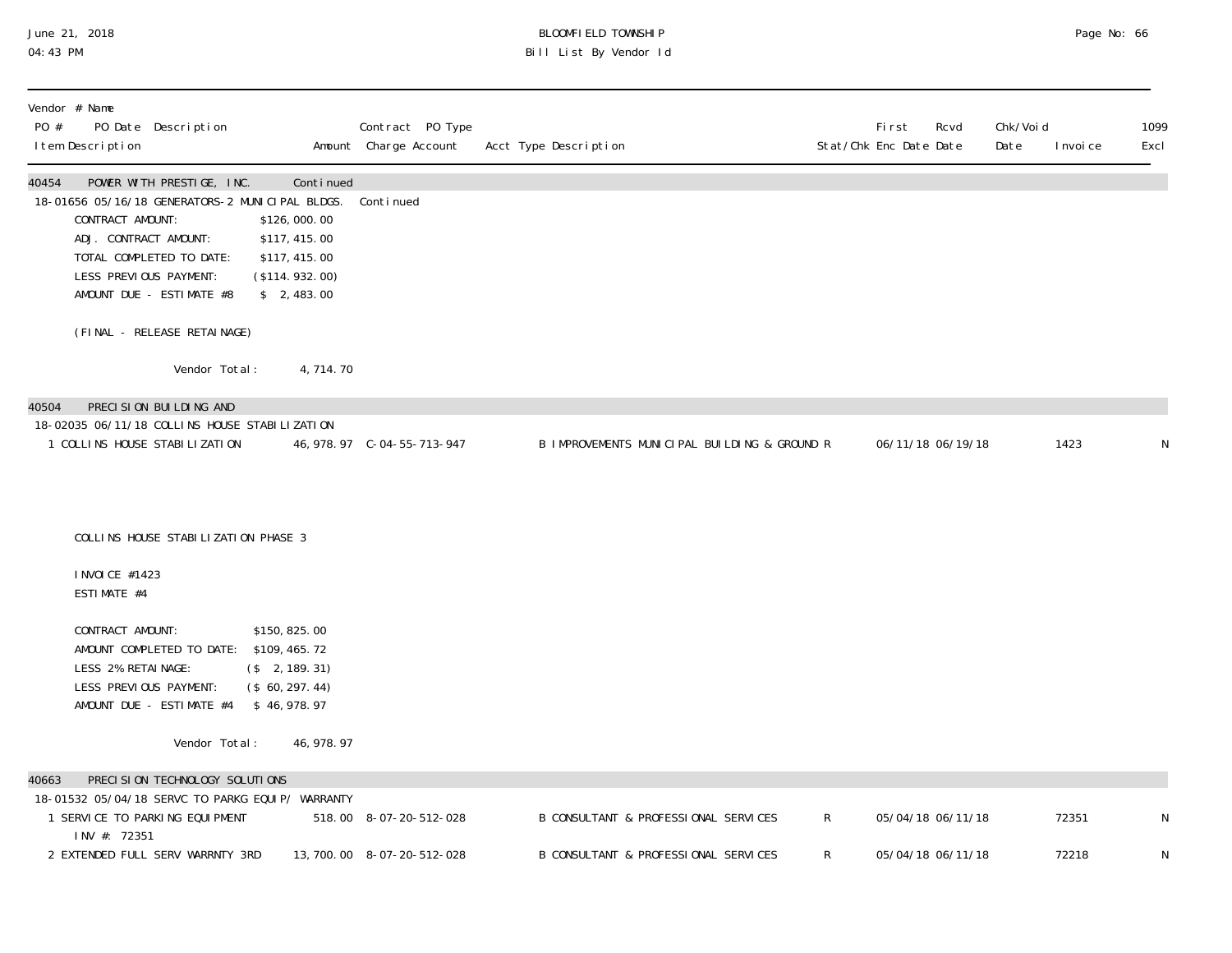#### June 21, 2018 BLOOMFIELD TOWNSHIP Page 2018 Page No: 66 04:43 PM Bill List By Vendor Id

| Vendor # Name<br>PO Date Description<br>PO #<br>I tem Description                                                                                                                                                                                                                                      |             | Contract PO Type<br>Amount Charge Account | Acct Type Description                        | Stat/Chk Enc Date Date | <b>First</b>      | Rcvd              | Chk/Void<br>Date | I nvoi ce | 1099<br>Excl |
|--------------------------------------------------------------------------------------------------------------------------------------------------------------------------------------------------------------------------------------------------------------------------------------------------------|-------------|-------------------------------------------|----------------------------------------------|------------------------|-------------------|-------------------|------------------|-----------|--------------|
| 40454<br>POWER WITH PRESTIGE, INC.<br>18-01656 05/16/18 GENERATORS-2 MUNICIPAL BLDGS.<br>CONTRACT AMOUNT:<br>\$126,000.00<br>ADJ. CONTRACT AMOUNT:<br>\$117, 415.00<br>TOTAL COMPLETED TO DATE:<br>\$117, 415.00<br>LESS PREVIOUS PAYMENT:<br>(\$114.932.00)<br>AMOUNT DUE - ESTIMATE #8<br>\$2,483.00 | Continued   | Continued                                 |                                              |                        |                   |                   |                  |           |              |
| (FINAL - RELEASE RETAINAGE)                                                                                                                                                                                                                                                                            |             |                                           |                                              |                        |                   |                   |                  |           |              |
| Vendor Total:                                                                                                                                                                                                                                                                                          | 4,714.70    |                                           |                                              |                        |                   |                   |                  |           |              |
| 40504<br>PRECISION BUILDING AND                                                                                                                                                                                                                                                                        |             |                                           |                                              |                        |                   |                   |                  |           |              |
| 18-02035 06/11/18 COLLINS HOUSE STABILIZATION<br>1 COLLINS HOUSE STABILIZATION                                                                                                                                                                                                                         |             |                                           | B IMPROVEMENTS MUNICIPAL BUILDING & GROUND R |                        |                   | 06/11/18 06/19/18 |                  | 1423      | N            |
| COLLINS HOUSE STABILIZATION PHASE 3                                                                                                                                                                                                                                                                    |             |                                           |                                              |                        |                   |                   |                  |           |              |
| I NVOI CE #1423<br>ESTIMATE #4                                                                                                                                                                                                                                                                         |             |                                           |                                              |                        |                   |                   |                  |           |              |
| CONTRACT AMOUNT:<br>\$150, 825.00<br>AMOUNT COMPLETED TO DATE: \$109,465.72<br>LESS 2% RETAINAGE:<br>$($ \$ 2, 189. 31)<br>LESS PREVIOUS PAYMENT:<br>(\$60, 297.44)<br>AMOUNT DUE - ESTIMATE #4 \$46,978.97                                                                                            |             |                                           |                                              |                        |                   |                   |                  |           |              |
| Vendor Total:                                                                                                                                                                                                                                                                                          | 46, 978. 97 |                                           |                                              |                        |                   |                   |                  |           |              |
| PRECISION TECHNOLOGY SOLUTIONS<br>40663                                                                                                                                                                                                                                                                |             |                                           |                                              |                        |                   |                   |                  |           |              |
| 18-01532 05/04/18 SERVC TO PARKG EQUIP/ WARRANTY<br>1 SERVICE TO PARKING EQUIPMENT                                                                                                                                                                                                                     |             | 518.00 8-07-20-512-028                    | B CONSULTANT & PROFESSIONAL SERVICES         | $\mathsf{R}$           |                   | 05/04/18 06/11/18 |                  | 72351     | N            |
| INV #: 72351<br>2 EXTENDED FULL SERV WARRNTY 3RD                                                                                                                                                                                                                                                       |             | 13, 700.00 8-07-20-512-028                | B CONSULTANT & PROFESSIONAL SERVICES         | R                      | 05/04/18 06/11/18 |                   |                  | 72218     | N            |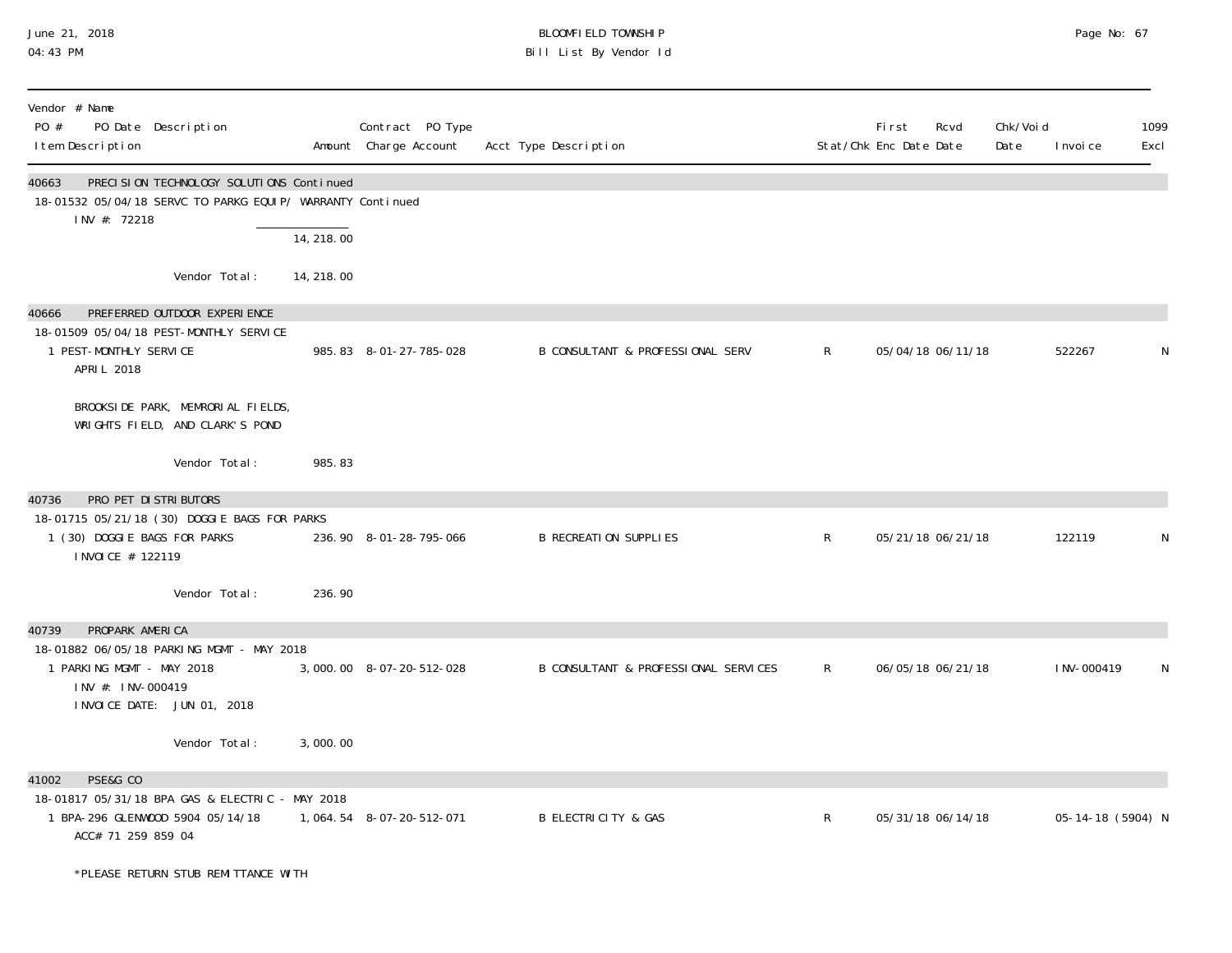### June 21, 2018 BLOOMFIELD TOWNSHIP Page 2018 Page No: 67 04:43 PM Bill List By Vendor Id

| Vendor # Name<br>PO #<br>I tem Description         | PO Date Description                                                                                    |            | Contract PO Type<br>Amount Charge Account | Acct Type Description                       |              | <b>First</b><br>Rcvd<br>Stat/Chk Enc Date Date | Chk/Voi d<br>Date | Excl<br>I nvoi ce | 1099 |
|----------------------------------------------------|--------------------------------------------------------------------------------------------------------|------------|-------------------------------------------|---------------------------------------------|--------------|------------------------------------------------|-------------------|-------------------|------|
| 40663<br>INV #: 72218                              | PRECISION TECHNOLOGY SOLUTIONS Continued<br>18-01532 05/04/18 SERVC TO PARKG EQUIP/ WARRANTY Continued |            |                                           |                                             |              |                                                |                   |                   |      |
|                                                    |                                                                                                        | 14, 218.00 |                                           |                                             |              |                                                |                   |                   |      |
|                                                    | Vendor Total:                                                                                          | 14, 218.00 |                                           |                                             |              |                                                |                   |                   |      |
| 40666                                              | PREFERRED OUTDOOR EXPERIENCE                                                                           |            |                                           |                                             |              |                                                |                   |                   |      |
| 1 PEST-MONTHLY SERVICE<br>APRIL 2018               | 18-01509 05/04/18 PEST-MONTHLY SERVICE                                                                 |            | 985.83 8-01-27-785-028                    | <b>B CONSULTANT &amp; PROFESSIONAL SERV</b> | $\mathsf{R}$ | 05/04/18 06/11/18                              |                   | 522267            | N    |
|                                                    | BROOKSIDE PARK, MEMRORIAL FIELDS,<br>WRIGHTS FIELD, AND CLARK'S POND                                   |            |                                           |                                             |              |                                                |                   |                   |      |
|                                                    | Vendor Total:                                                                                          | 985.83     |                                           |                                             |              |                                                |                   |                   |      |
| 40736                                              | PRO PET DI STRI BUTORS                                                                                 |            |                                           |                                             |              |                                                |                   |                   |      |
| 1 (30) DOGGIE BAGS FOR PARKS<br>I NVOI CE # 122119 | 18-01715 05/21/18 (30) DOGGIE BAGS FOR PARKS                                                           |            | 236.90 8-01-28-795-066                    | <b>B RECREATION SUPPLIES</b>                | $\mathsf{R}$ | 05/21/18 06/21/18                              |                   | 122119            | N    |
|                                                    | Vendor Total:                                                                                          | 236.90     |                                           |                                             |              |                                                |                   |                   |      |
| 40739<br>PROPARK AMERICA                           |                                                                                                        |            |                                           |                                             |              |                                                |                   |                   |      |
| 1 PARKING MGMT - MAY 2018                          | 18-01882 06/05/18 PARKING MGMT - MAY 2018                                                              |            | 3,000.00 8-07-20-512-028                  | B CONSULTANT & PROFESSIONAL SERVICES        | $\mathsf{R}$ | 06/05/18 06/21/18                              |                   | I NV-000419       | N    |
| INV #: INV-000419                                  | INVOICE DATE: JUN 01, 2018                                                                             |            |                                           |                                             |              |                                                |                   |                   |      |
|                                                    | Vendor Total:                                                                                          | 3,000.00   |                                           |                                             |              |                                                |                   |                   |      |
| PSE&G CO<br>41002                                  |                                                                                                        |            |                                           |                                             |              |                                                |                   |                   |      |
| ACC# 71 259 859 04                                 | 18-01817 05/31/18 BPA GAS & ELECTRIC - MAY 2018<br>1 BPA-296 GLENWOOD 5904 05/14/18                    |            | 1, 064. 54 8-07-20-512-071                | <b>B ELECTRICITY &amp; GAS</b>              | $\mathsf{R}$ | 05/31/18 06/14/18                              |                   | 05-14-18 (5904) N |      |
|                                                    | *PLEASE RETURN STUB REMITTANCE WITH                                                                    |            |                                           |                                             |              |                                                |                   |                   |      |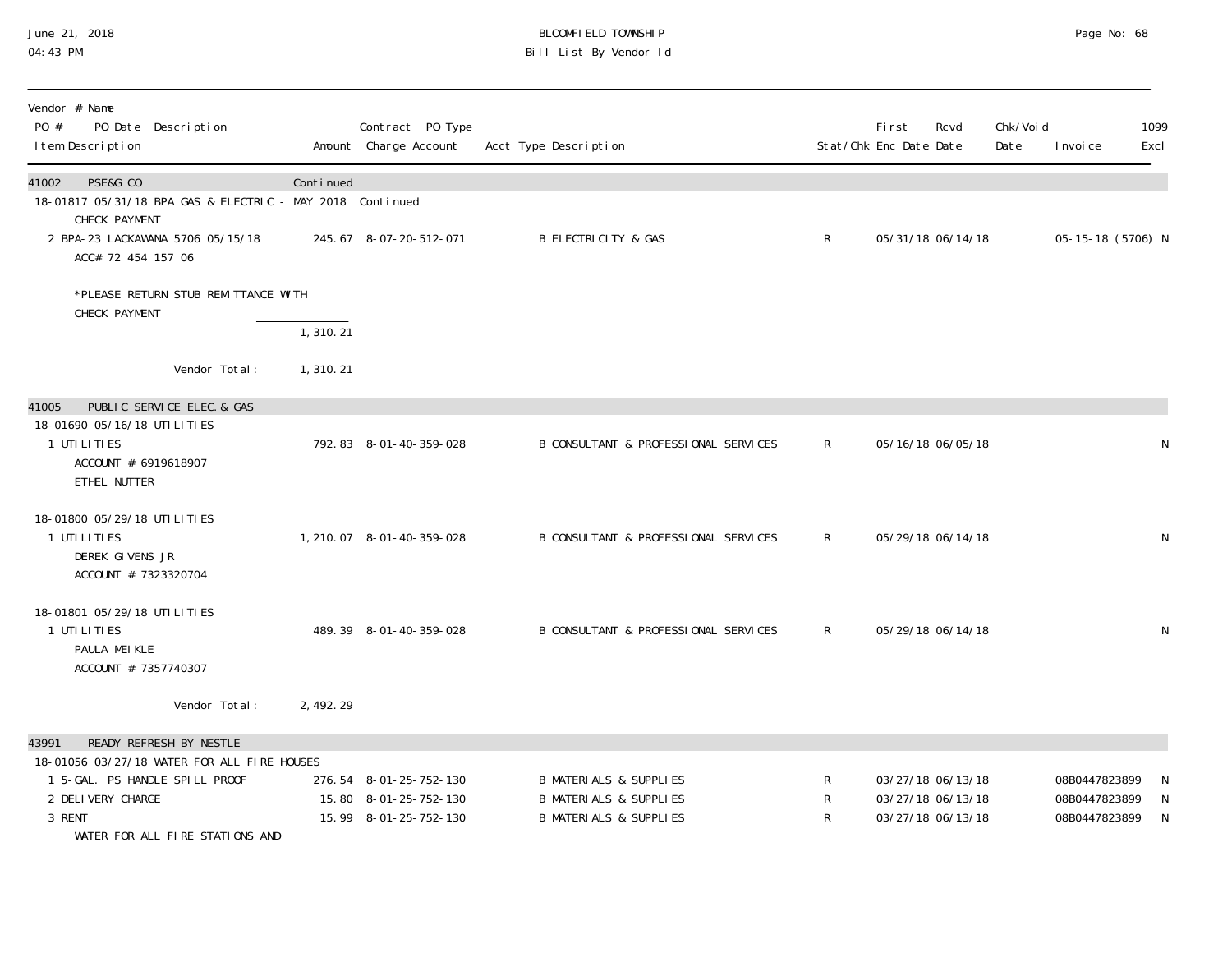#### June 21, 2018 BLOOMFIELD TOWNSHIP Page 2018 Page No: 68 04:43 PM Bill List By Vendor Id

| Vendor # Name<br>PO #<br>PO Date Description<br>I tem Description                               |            | Contract PO Type<br>Amount Charge Account | Acct Type Description                |                | <b>First</b><br>Stat/Chk Enc Date Date | Rcvd              | Chk/Voi d<br>Date | I nvoi ce         | 1099<br>Excl |
|-------------------------------------------------------------------------------------------------|------------|-------------------------------------------|--------------------------------------|----------------|----------------------------------------|-------------------|-------------------|-------------------|--------------|
| PSE&G CO<br>41002<br>18-01817 05/31/18 BPA GAS & ELECTRIC - MAY 2018 Continued<br>CHECK PAYMENT | Continued  |                                           |                                      |                |                                        |                   |                   |                   |              |
| 2 BPA-23 LACKAWANA 5706 05/15/18<br>ACC# 72 454 157 06                                          |            | 245.67 8-07-20-512-071                    | <b>B ELECTRICITY &amp; GAS</b>       | $\mathsf{R}$   |                                        | 05/31/18 06/14/18 |                   | 05-15-18 (5706) N |              |
| *PLEASE RETURN STUB REMITTANCE WITH<br>CHECK PAYMENT                                            |            |                                           |                                      |                |                                        |                   |                   |                   |              |
|                                                                                                 | 1,310.21   |                                           |                                      |                |                                        |                   |                   |                   |              |
| Vendor Total:                                                                                   | 1,310.21   |                                           |                                      |                |                                        |                   |                   |                   |              |
| PUBLIC SERVICE ELEC. & GAS<br>41005                                                             |            |                                           |                                      |                |                                        |                   |                   |                   |              |
| 18-01690 05/16/18 UTILITIES<br>1 UTILITIES<br>ACCOUNT # 6919618907<br>ETHEL NUTTER              |            | 792.83 8-01-40-359-028                    | B CONSULTANT & PROFESSIONAL SERVICES | $\mathsf{R}^-$ |                                        | 05/16/18 06/05/18 |                   |                   | N            |
| 18-01800 05/29/18 UTILITIES<br>1 UTI LI TI ES<br>DEREK GIVENS JR<br>ACCOUNT # 7323320704        |            | 1, 210.07 8-01-40-359-028                 | B CONSULTANT & PROFESSIONAL SERVICES | $\mathsf{R}$   |                                        | 05/29/18 06/14/18 |                   |                   | N            |
| 18-01801 05/29/18 UTILITIES<br>1 UTI LI TI ES<br>PAULA MEIKLE<br>ACCOUNT # 7357740307           |            | 489.39 8-01-40-359-028                    | B CONSULTANT & PROFESSIONAL SERVICES | R.             |                                        | 05/29/18 06/14/18 |                   |                   | N            |
| Vendor Total:                                                                                   | 2, 492. 29 |                                           |                                      |                |                                        |                   |                   |                   |              |
| READY REFRESH BY NESTLE<br>43991                                                                |            |                                           |                                      |                |                                        |                   |                   |                   |              |
| 18-01056 03/27/18 WATER FOR ALL FIRE HOUSES                                                     |            |                                           |                                      |                |                                        |                   |                   |                   |              |
| 1 5-GAL. PS HANDLE SPILL PROOF                                                                  |            | 276.54 8-01-25-752-130                    | <b>B MATERIALS &amp; SUPPLIES</b>    | R              |                                        | 03/27/18 06/13/18 |                   | 08B0447823899     | N            |
| 2 DELIVERY CHARGE                                                                               |            | 15.80 8-01-25-752-130                     | <b>B MATERIALS &amp; SUPPLIES</b>    | R              |                                        | 03/27/18 06/13/18 |                   | 08B0447823899     | N            |
| 3 RENT<br>WATER FOR ALL FIRE STATIONS AND                                                       |            | 15.99 8-01-25-752-130                     | <b>B MATERIALS &amp; SUPPLIES</b>    | R              |                                        | 03/27/18 06/13/18 |                   | 08B0447823899     | N            |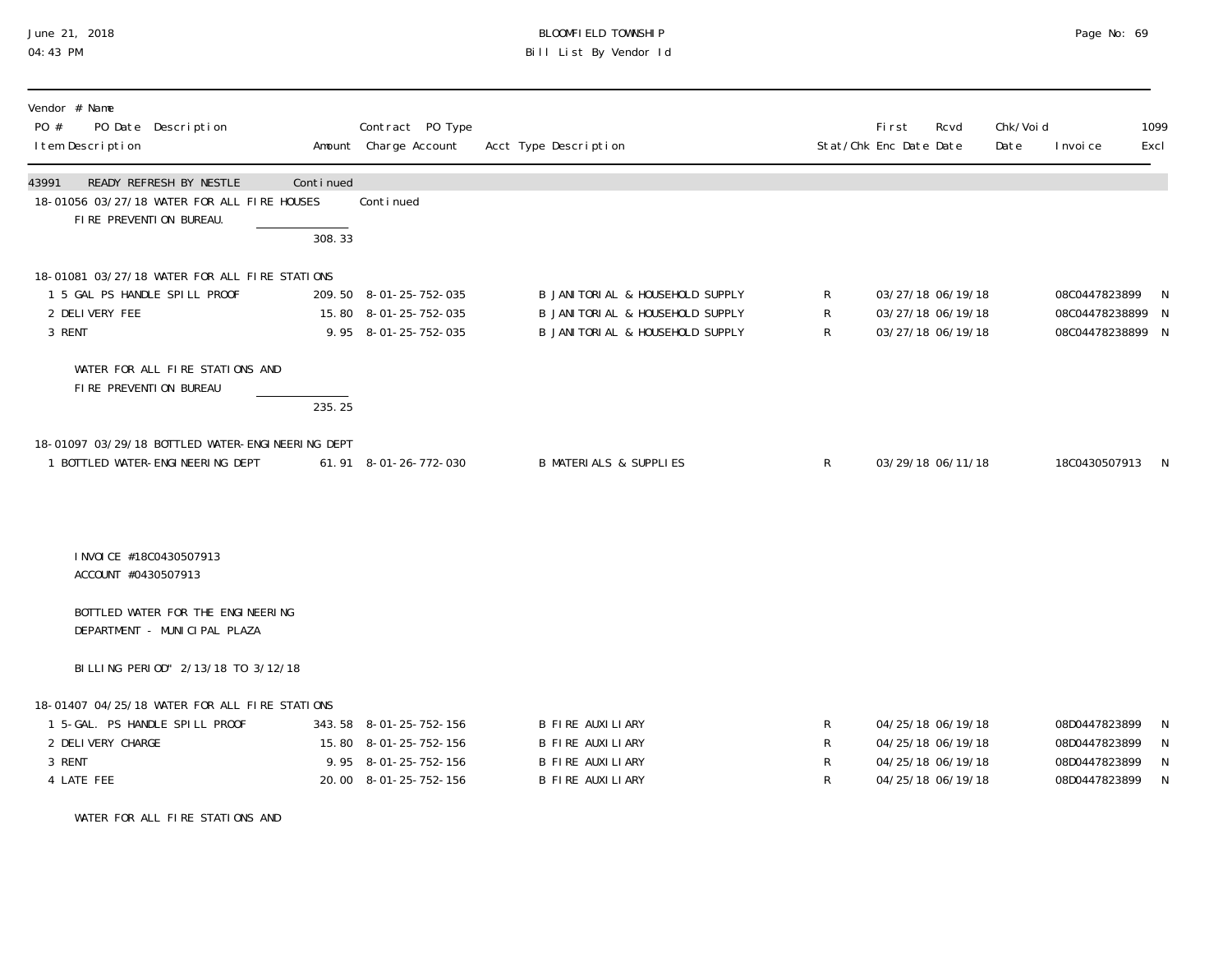## June 21, 2018 BLOOMFIELD TOWNSHIP Page 2018 Page No: 69 04:43 PM Bill List By Vendor Id

| Vendor # Name<br>PO Date Description<br>PO #<br>I tem Description                                                            |                     | Contract PO Type<br>Amount Charge Account                                                        | Acct Type Description                                                                                   |                  | First<br>Rcvd<br>Stat/Chk Enc Date Date                                          | Chk/Voi d<br>Date | I nvoi ce                                                        | 1099<br>Excl     |
|------------------------------------------------------------------------------------------------------------------------------|---------------------|--------------------------------------------------------------------------------------------------|---------------------------------------------------------------------------------------------------------|------------------|----------------------------------------------------------------------------------|-------------------|------------------------------------------------------------------|------------------|
| <b>READY REFRESH BY NESTLE</b><br>43991<br>18-01056 03/27/18 WATER FOR ALL FIRE HOUSES<br>FIRE PREVENTION BUREAU.            | Continued<br>308.33 | Continued                                                                                        |                                                                                                         |                  |                                                                                  |                   |                                                                  |                  |
| 18-01081 03/27/18 WATER FOR ALL FIRE STATIONS<br>1 5 GAL PS HANDLE SPILL PROOF<br>2 DELIVERY FEE<br>3 RENT                   |                     | 209.50 8-01-25-752-035<br>15.80 8-01-25-752-035<br>9.95 8-01-25-752-035                          | B JANI TORI AL & HOUSEHOLD SUPPLY<br>B JANITORIAL & HOUSEHOLD SUPPLY<br>B JANITORIAL & HOUSEHOLD SUPPLY | R<br>R<br>R      | 03/27/18 06/19/18<br>03/27/18 06/19/18<br>03/27/18 06/19/18                      |                   | 08C0447823899<br>08C04478238899<br>08C04478238899 N              | N<br>N           |
| WATER FOR ALL FIRE STATIONS AND<br>FIRE PREVENTION BUREAU                                                                    | 235.25              |                                                                                                  |                                                                                                         |                  |                                                                                  |                   |                                                                  |                  |
| 18-01097 03/29/18 BOTTLED WATER-ENGINEERING DEPT<br>1 BOTTLED WATER-ENGINEERING DEPT                                         |                     | 61.91 8-01-26-772-030                                                                            | <b>B MATERIALS &amp; SUPPLIES</b>                                                                       | $\mathsf R$      | 03/29/18 06/11/18                                                                |                   | 18C0430507913 N                                                  |                  |
| I NVOI CE #18C0430507913<br>ACCOUNT #0430507913                                                                              |                     |                                                                                                  |                                                                                                         |                  |                                                                                  |                   |                                                                  |                  |
| BOTTLED WATER FOR THE ENGINEERING<br>DEPARTMENT - MUNICIPAL PLAZA                                                            |                     |                                                                                                  |                                                                                                         |                  |                                                                                  |                   |                                                                  |                  |
| BILLING PERIOD" 2/13/18 TO 3/12/18                                                                                           |                     |                                                                                                  |                                                                                                         |                  |                                                                                  |                   |                                                                  |                  |
| 18-01407 04/25/18 WATER FOR ALL FIRE STATIONS<br>1 5-GAL. PS HANDLE SPILL PROOF<br>2 DELIVERY CHARGE<br>3 RENT<br>4 LATE FEE |                     | 343.58 8-01-25-752-156<br>15.80 8-01-25-752-156<br>9.95 8-01-25-752-156<br>20.00 8-01-25-752-156 | B FIRE AUXILIARY<br>B FIRE AUXILIARY<br>B FIRE AUXILIARY<br>B FIRE AUXILIARY                            | R<br>R<br>R<br>R | 04/25/18 06/19/18<br>04/25/18 06/19/18<br>04/25/18 06/19/18<br>04/25/18 06/19/18 |                   | 08D0447823899<br>08D0447823899<br>08D0447823899<br>08D0447823899 | N<br>N<br>N<br>N |

WATER FOR ALL FIRE STATIONS AND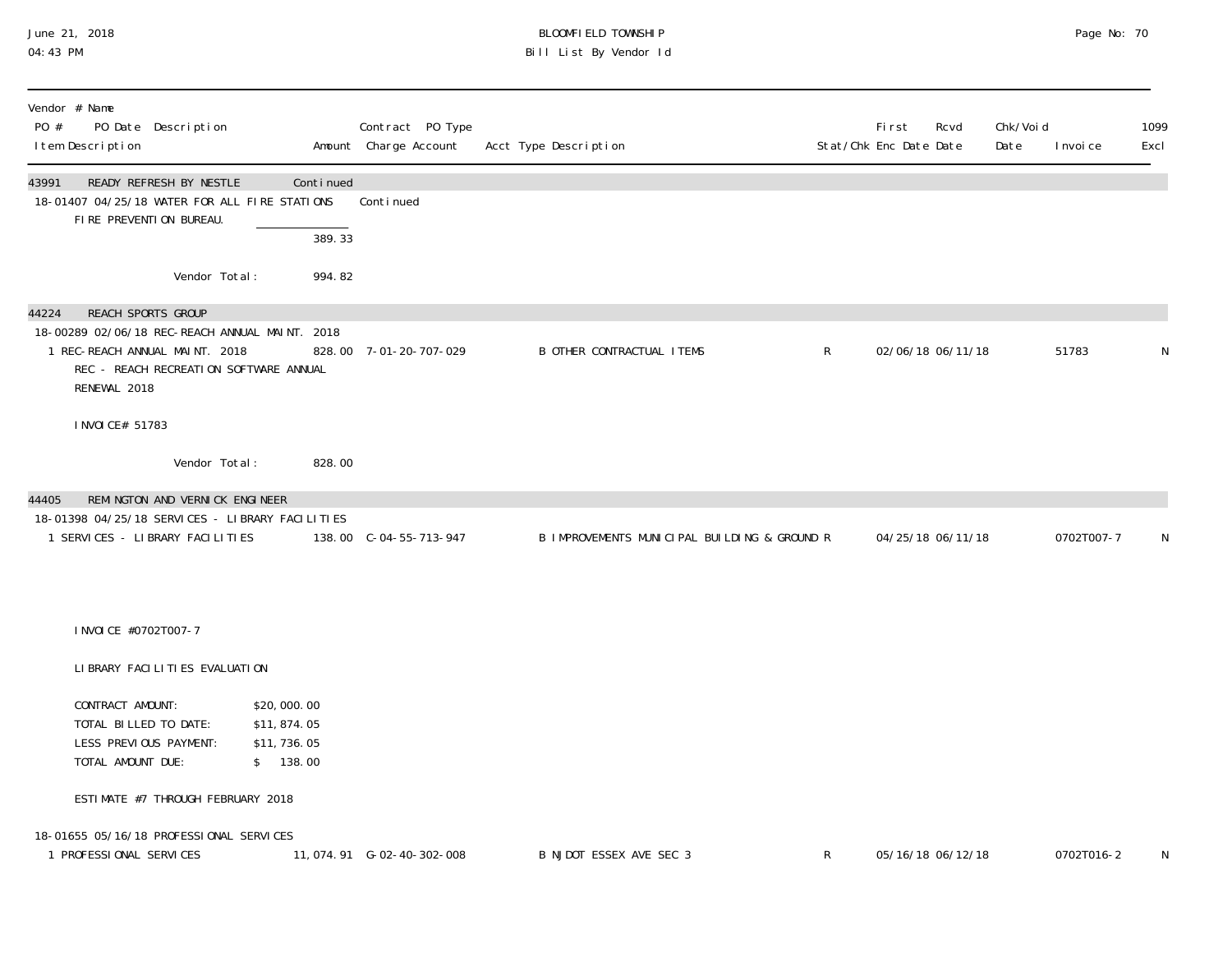## June 21, 2018 BLOOMFIELD TOWNSHIP Page 2018 Page No: 70 04:43 PM Bill List By Vendor Id

| Vendor # Name<br>PO #<br>PO Date Description<br>I tem Description                                                                                                         |                                                        | Contract PO Type<br>Amount Charge Account | Acct Type Description                        |              | First<br>Rcvd<br>Stat/Chk Enc Date Date | Chk/Voi d<br>Date | I nvoi ce  | 1099<br>Excl |
|---------------------------------------------------------------------------------------------------------------------------------------------------------------------------|--------------------------------------------------------|-------------------------------------------|----------------------------------------------|--------------|-----------------------------------------|-------------------|------------|--------------|
| 43991<br>READY REFRESH BY NESTLE<br>18-01407 04/25/18 WATER FOR ALL FIRE STATIONS<br>FIRE PREVENTION BUREAU.                                                              | Continued<br>389.33                                    | Conti nued                                |                                              |              |                                         |                   |            |              |
| Vendor Total:                                                                                                                                                             | 994.82                                                 |                                           |                                              |              |                                         |                   |            |              |
| REACH SPORTS GROUP<br>44224<br>18-00289 02/06/18 REC-REACH ANNUAL MAINT. 2018<br>1 REC-REACH ANNUAL MAINT. 2018<br>REC - REACH RECREATION SOFTWARE ANNUAL<br>RENEWAL 2018 |                                                        | 828.00 7-01-20-707-029                    | <b>B OTHER CONTRACTUAL ITEMS</b>             | $\mathsf{R}$ | 02/06/18 06/11/18                       |                   | 51783      | N            |
| I NVOI CE# 51783                                                                                                                                                          |                                                        |                                           |                                              |              |                                         |                   |            |              |
| Vendor Total:                                                                                                                                                             | 828.00                                                 |                                           |                                              |              |                                         |                   |            |              |
| REMINGTON AND VERNICK ENGINEER<br>44405<br>18-01398 04/25/18 SERVICES - LIBRARY FACILITIES<br>1 SERVICES - LIBRARY FACILITIES                                             |                                                        | 138.00 C-04-55-713-947                    | B IMPROVEMENTS MUNICIPAL BUILDING & GROUND R |              | 04/25/18 06/11/18                       |                   | 0702T007-7 | N            |
| I NVOI CE #0702T007-7                                                                                                                                                     |                                                        |                                           |                                              |              |                                         |                   |            |              |
| LIBRARY FACILITIES EVALUATION                                                                                                                                             |                                                        |                                           |                                              |              |                                         |                   |            |              |
| CONTRACT AMOUNT:<br>TOTAL BILLED TO DATE:<br>LESS PREVIOUS PAYMENT:<br>TOTAL AMOUNT DUE:                                                                                  | \$20,000.00<br>\$11,874.05<br>\$11,736.05<br>\$ 138.00 |                                           |                                              |              |                                         |                   |            |              |
| ESTIMATE #7 THROUGH FEBRUARY 2018                                                                                                                                         |                                                        |                                           |                                              |              |                                         |                   |            |              |
| 18-01655 05/16/18 PROFESSIONAL SERVICES<br>1 PROFESSIONAL SERVICES                                                                                                        |                                                        | 11, 074. 91    G-02-40-302-008            | B NJDOT ESSEX AVE SEC 3                      | $\mathsf{R}$ | 05/16/18 06/12/18                       |                   | 0702T016-2 | N            |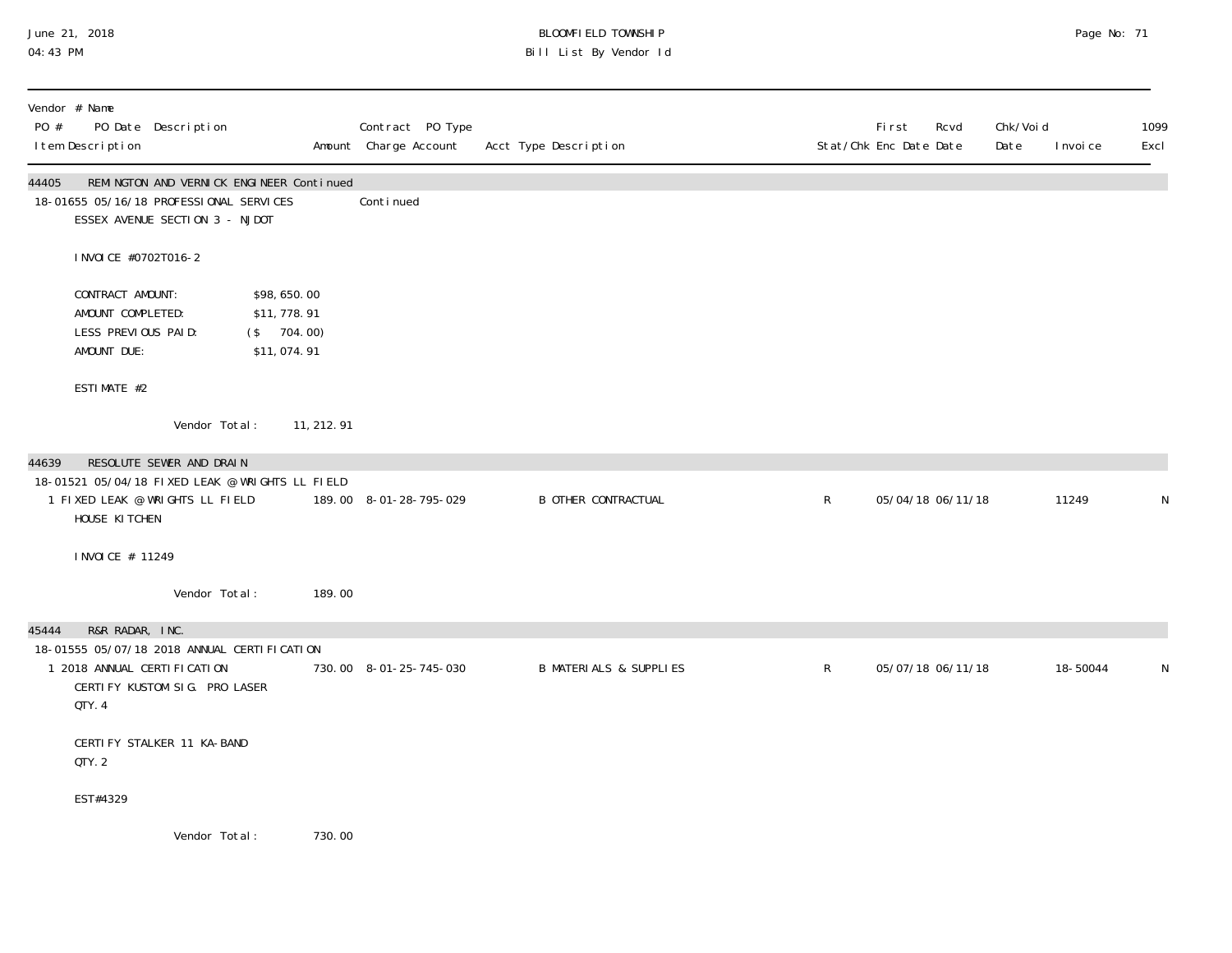## June 21, 2018 BLOOMFIELD TOWNSHIP Page No: 71 04:43 PM Bill List By Vendor Id

| PO #  | Vendor # Name<br>I tem Description                                          | PO Date Description                                                                                                   |                                                             |             | Contract PO Type<br>Amount Charge Account | Acct Type Description             |             | <b>First</b><br>Rcvd<br>Stat/Chk Enc Date Date | Chk/Voi d<br>Date | I nvoi ce | 1099<br>Excl |
|-------|-----------------------------------------------------------------------------|-----------------------------------------------------------------------------------------------------------------------|-------------------------------------------------------------|-------------|-------------------------------------------|-----------------------------------|-------------|------------------------------------------------|-------------------|-----------|--------------|
| 44405 |                                                                             | REMINGTON AND VERNICK ENGINEER Continued<br>18-01655 05/16/18 PROFESSIONAL SERVICES<br>ESSEX AVENUE SECTION 3 - NJDOT |                                                             |             | Conti nued                                |                                   |             |                                                |                   |           |              |
|       | I NVOI CE #0702T016-2                                                       |                                                                                                                       |                                                             |             |                                           |                                   |             |                                                |                   |           |              |
|       | CONTRACT AMOUNT:<br>AMOUNT COMPLETED:<br>LESS PREVIOUS PAID:<br>AMOUNT DUE: |                                                                                                                       | \$98,650.00<br>\$11,778.91<br>$($ \$ 704.00)<br>\$11,074.91 |             |                                           |                                   |             |                                                |                   |           |              |
|       | ESTIMATE #2                                                                 |                                                                                                                       |                                                             |             |                                           |                                   |             |                                                |                   |           |              |
|       |                                                                             | Vendor Total:                                                                                                         |                                                             | 11, 212. 91 |                                           |                                   |             |                                                |                   |           |              |
| 44639 | HOUSE KITCHEN                                                               | RESOLUTE SEWER AND DRAIN<br>18-01521 05/04/18 FIXED LEAK @ WRIGHTS LL FIELD<br>1 FIXED LEAK @ WRIGHTS LL FIELD        |                                                             |             | 189.00 8-01-28-795-029                    | <b>B OTHER CONTRACTUAL</b>        | $\mathsf R$ | 05/04/18 06/11/18                              |                   | 11249     | N            |
|       | I NVOI CE # 11249                                                           |                                                                                                                       |                                                             |             |                                           |                                   |             |                                                |                   |           |              |
|       |                                                                             | Vendor Total:                                                                                                         |                                                             | 189.00      |                                           |                                   |             |                                                |                   |           |              |
| 45444 | R&R RADAR, INC.<br>QTY. 4                                                   | 18-01555 05/07/18 2018 ANNUAL CERTIFICATION<br>1 2018 ANNUAL CERTI FI CATI ON<br>CERTIFY KUSTOM SIG. PRO LASER        |                                                             |             | 730.00 8-01-25-745-030                    | <b>B MATERIALS &amp; SUPPLIES</b> | $\mathsf R$ | 05/07/18 06/11/18                              |                   | 18-50044  | N            |
|       | QTY.2                                                                       | CERTIFY STALKER 11 KA-BAND                                                                                            |                                                             |             |                                           |                                   |             |                                                |                   |           |              |
|       | EST#4329                                                                    |                                                                                                                       |                                                             |             |                                           |                                   |             |                                                |                   |           |              |
|       |                                                                             | Vendor Total:                                                                                                         |                                                             | 730.00      |                                           |                                   |             |                                                |                   |           |              |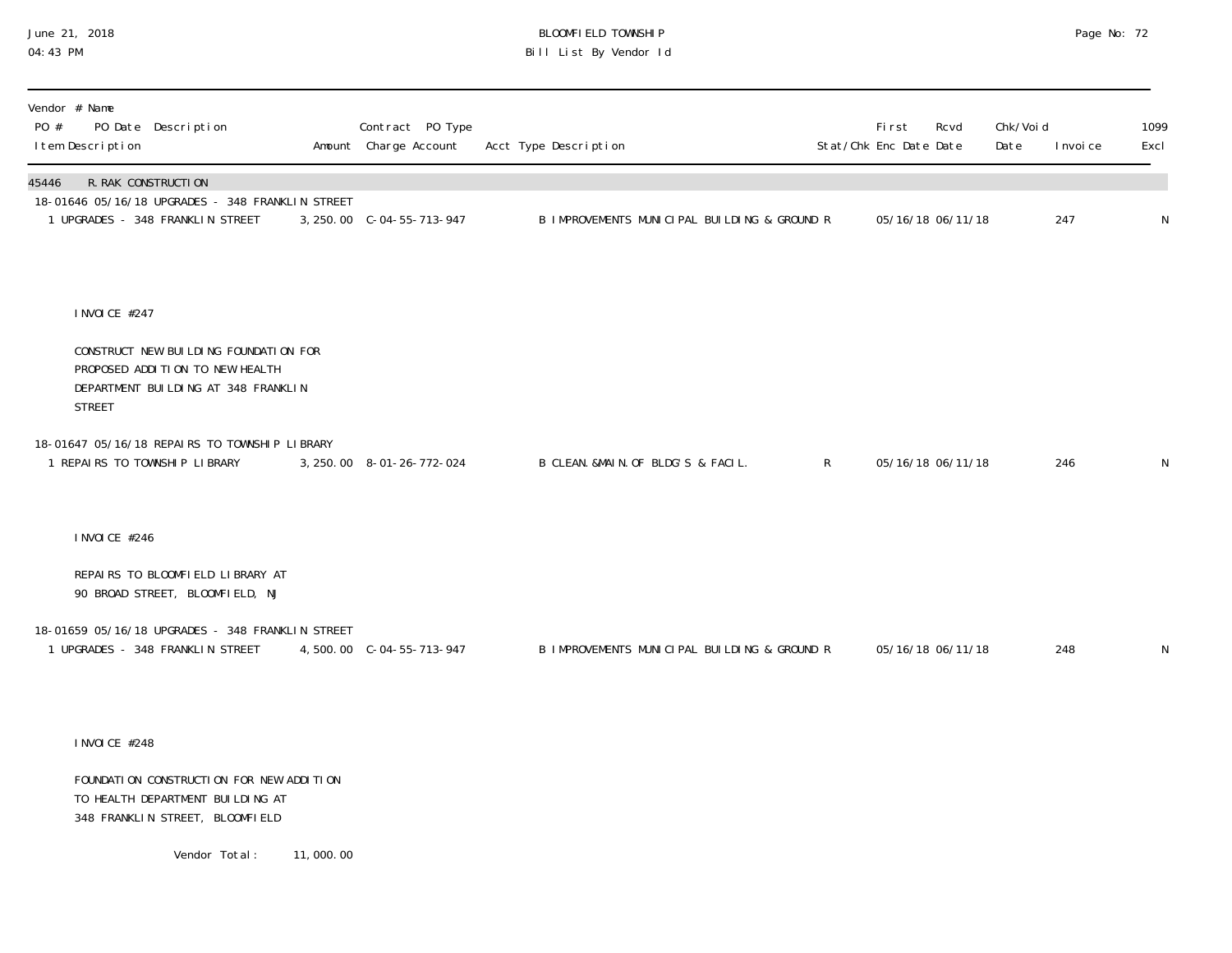## June 21, 2018 BLOOMFIELD TOWNSHIP Page No: 72 Bill List By Vendor Id

| Vendor # Name<br>PO #<br>PO Date Description<br>I tem Description                                                                | Contract PO Type<br>Amount Charge Account | Acct Type Description                        |              | First<br>Stat/Chk Enc Date Date | Rcvd              | Chk/Voi d<br>Date | I nvoi ce | 1099<br>Excl |
|----------------------------------------------------------------------------------------------------------------------------------|-------------------------------------------|----------------------------------------------|--------------|---------------------------------|-------------------|-------------------|-----------|--------------|
| R. RAK CONSTRUCTION<br>45446<br>18-01646 05/16/18 UPGRADES - 348 FRANKLIN STREET<br>1 UPGRADES - 348 FRANKLIN STREET             | 3, 250.00 C-04-55-713-947                 | B IMPROVEMENTS MUNICIPAL BUILDING & GROUND R |              |                                 | 05/16/18 06/11/18 |                   | 247       | $\mathsf N$  |
| I NVOI CE #247                                                                                                                   |                                           |                                              |              |                                 |                   |                   |           |              |
| CONSTRUCT NEW BUILDING FOUNDATION FOR<br>PROPOSED ADDITION TO NEW HEALTH<br>DEPARTMENT BUILDING AT 348 FRANKLIN<br><b>STREET</b> |                                           |                                              |              |                                 |                   |                   |           |              |
| 18-01647 05/16/18 REPAIRS TO TOWNSHIP LIBRARY<br>REPAIRS TO TOWNSHIP LIBRARY                                                     | 3, 250.00 8-01-26-772-024                 | B CLEAN. &MAIN. OF BLDG'S & FACIL.           | $\mathsf{R}$ |                                 | 05/16/18 06/11/18 |                   | 246       | $\mathsf{N}$ |
| I NVOI CE #246                                                                                                                   |                                           |                                              |              |                                 |                   |                   |           |              |
| REPAIRS TO BLOOMFIELD LIBRARY AT<br>90 BROAD STREET, BLOOMFIELD, NJ                                                              |                                           |                                              |              |                                 |                   |                   |           |              |
| 18-01659 05/16/18 UPGRADES - 348 FRANKLIN STREET<br>1 UPGRADES - 348 FRANKLIN STREET                                             |                                           | B IMPROVEMENTS MUNICIPAL BUILDING & GROUND R |              |                                 | 05/16/18 06/11/18 |                   | 248       | $\mathsf N$  |

INVOICE #248

 FOUNDATION CONSTRUCTION FOR NEW ADDITION TO HEALTH DEPARTMENT BUILDING AT 348 FRANKLIN STREET, BLOOMFIELD

Vendor Total: 11,000.00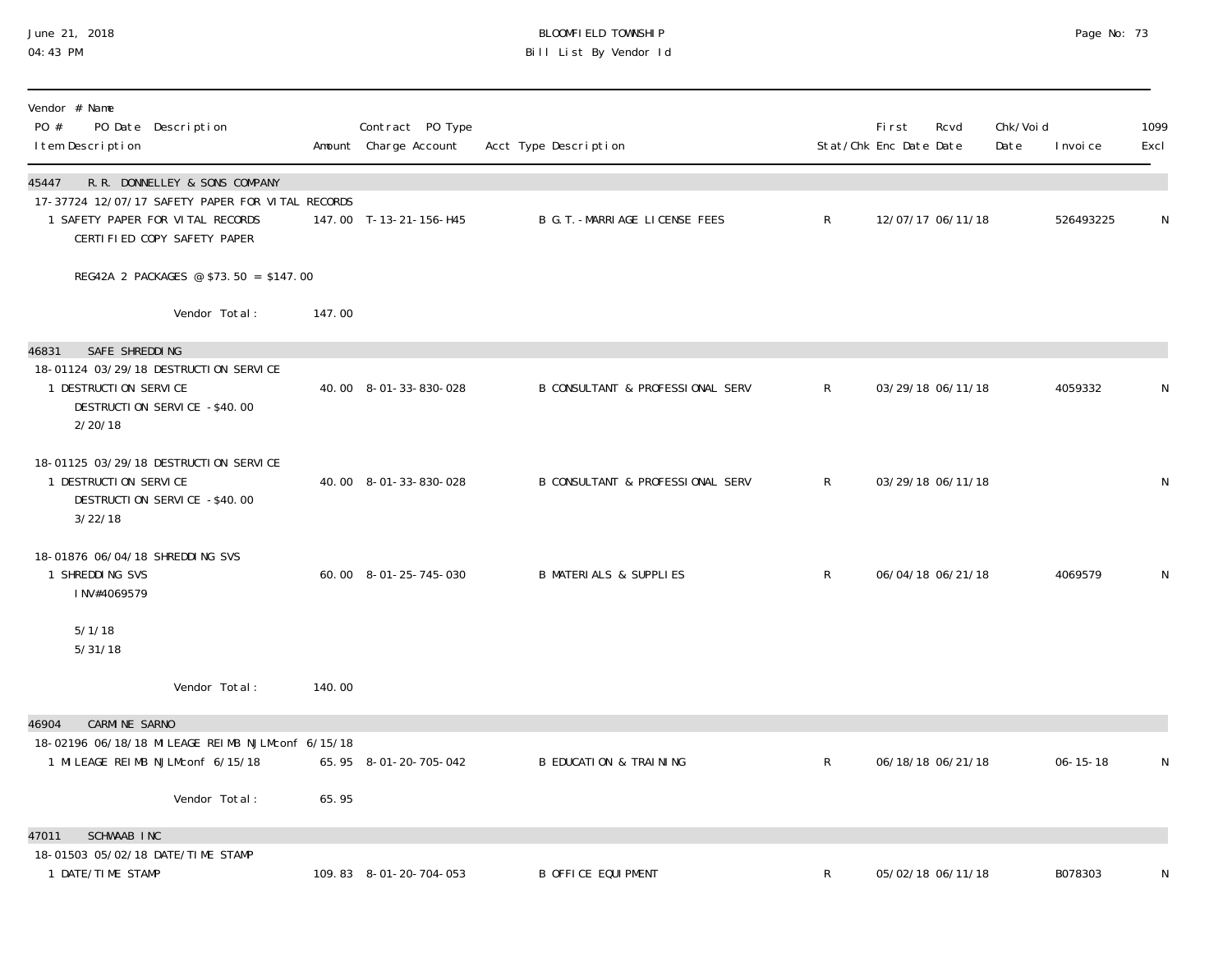#### June 21, 2018 BLOOMFIELD TOWNSHIP Page No: 73 04:43 PM Bill List By Vendor Id

| Vendor # Name<br>PO #<br>PO Date Description<br>I tem Description                                                                                             |        | Contract PO Type<br>Amount Charge Account | Acct Type Description                       |              | First<br>Stat/Chk Enc Date Date | Rcvd              | Chk/Void<br>Date | I nvoi ce      | 1099<br>Excl |
|---------------------------------------------------------------------------------------------------------------------------------------------------------------|--------|-------------------------------------------|---------------------------------------------|--------------|---------------------------------|-------------------|------------------|----------------|--------------|
| R.R. DONNELLEY & SONS COMPANY<br>45447<br>17-37724 12/07/17 SAFETY PAPER FOR VITAL RECORDS<br>1 SAFETY PAPER FOR VITAL RECORDS<br>CERTIFIED COPY SAFETY PAPER |        | 147.00 T-13-21-156-H45                    | B G. T. - MARRI AGE LICENSE FEES            | $\mathsf{R}$ |                                 | 12/07/17 06/11/18 |                  | 526493225      | N            |
| REG42A 2 PACKAGES @ \$73.50 = \$147.00                                                                                                                        |        |                                           |                                             |              |                                 |                   |                  |                |              |
| Vendor Total:                                                                                                                                                 | 147.00 |                                           |                                             |              |                                 |                   |                  |                |              |
| SAFE SHREDDING<br>46831<br>18-01124 03/29/18 DESTRUCTION SERVICE<br>1 DESTRUCTION SERVICE<br>DESTRUCTION SERVICE -\$40.00<br>2/20/18                          |        | 40.00 8-01-33-830-028                     | <b>B CONSULTANT &amp; PROFESSIONAL SERV</b> | $\mathsf{R}$ |                                 | 03/29/18 06/11/18 |                  | 4059332        | N            |
| 18-01125 03/29/18 DESTRUCTION SERVICE<br>1 DESTRUCTION SERVICE<br>DESTRUCTION SERVICE -\$40.00<br>3/22/18                                                     |        | 40.00 8-01-33-830-028                     | <b>B CONSULTANT &amp; PROFESSIONAL SERV</b> | $\mathsf{R}$ |                                 | 03/29/18 06/11/18 |                  |                | N            |
| 18-01876 06/04/18 SHREDDING SVS<br>1 SHREDDING SVS<br>INV#4069579                                                                                             |        | 60.00 8-01-25-745-030                     | <b>B MATERIALS &amp; SUPPLIES</b>           | $\mathsf{R}$ |                                 | 06/04/18 06/21/18 |                  | 4069579        | N            |
| 5/1/18<br>5/31/18                                                                                                                                             |        |                                           |                                             |              |                                 |                   |                  |                |              |
| Vendor Total:                                                                                                                                                 | 140.00 |                                           |                                             |              |                                 |                   |                  |                |              |
| <b>CARMINE SARNO</b><br>46904<br>18-02196 06/18/18 MILEAGE REIMB NJLMconf 6/15/18                                                                             |        |                                           |                                             |              |                                 |                   |                  |                |              |
| 1 MILEAGE REIMB NJLMconf 6/15/18                                                                                                                              |        | 65.95 8-01-20-705-042                     | <b>B EDUCATION &amp; TRAINING</b>           | $\mathsf{R}$ |                                 | 06/18/18 06/21/18 |                  | $06 - 15 - 18$ | N            |
| Vendor Total:                                                                                                                                                 | 65.95  |                                           |                                             |              |                                 |                   |                  |                |              |
| <b>SCHWAAB INC</b><br>47011                                                                                                                                   |        |                                           |                                             |              |                                 |                   |                  |                |              |
| 18-01503 05/02/18 DATE/TIME STAMP<br>1 DATE/TIME STAMP                                                                                                        |        | 109.83 8-01-20-704-053                    | <b>B OFFICE EQUIPMENT</b>                   | R            |                                 | 05/02/18 06/11/18 |                  | B078303        |              |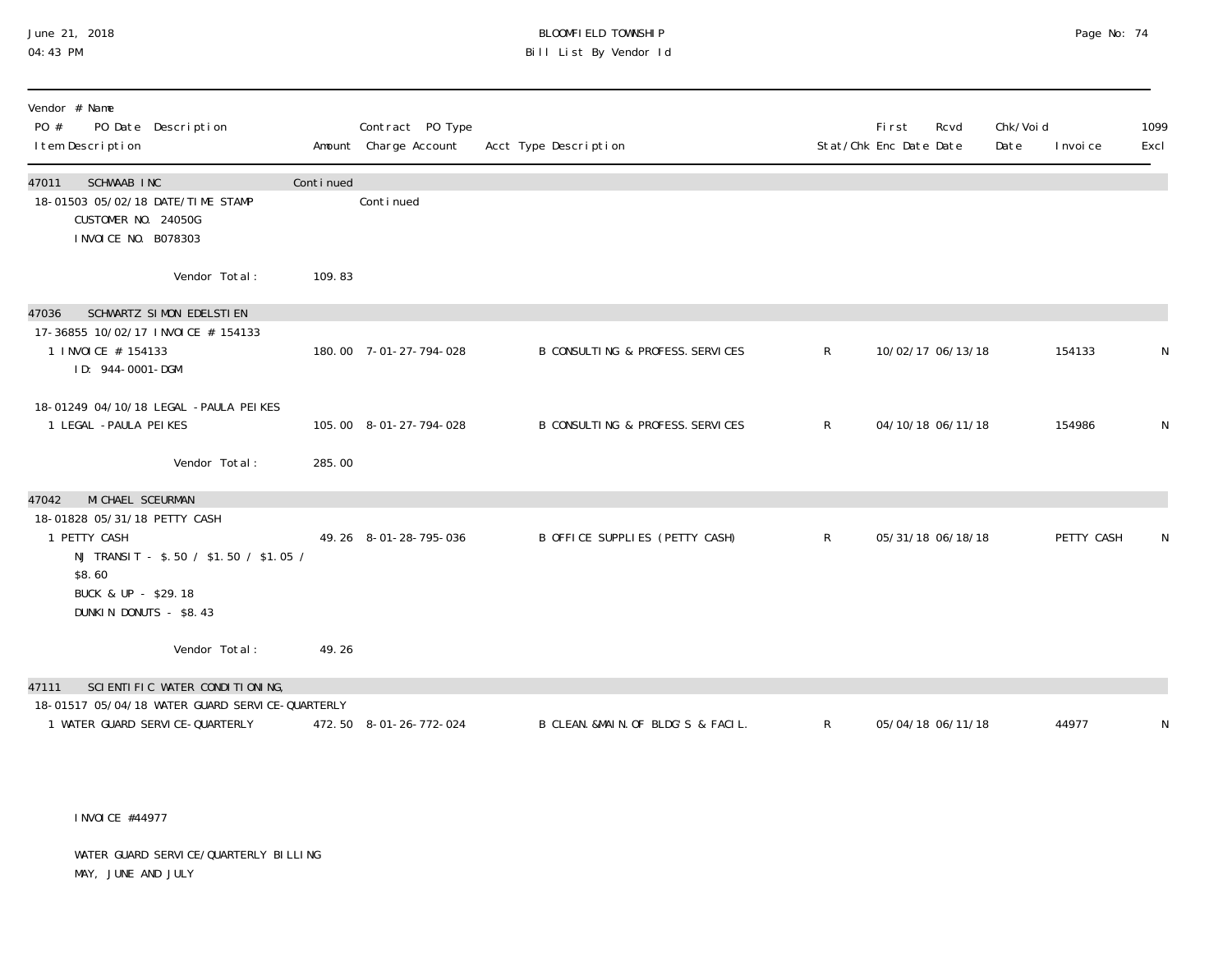# June 21, 2018 BLOOMFIELD TOWNSHIP Page No: 74 Bill List By Vendor Id

| Vendor # Name<br>PO Date Description<br>PO #<br>I tem Description                                                                                                               |           | Contract PO Type<br>Amount Charge Account | Acct Type Description              |              | First<br>Stat/Chk Enc Date Date | Chk/Voi d<br>Rcvd<br>Date | I nvoi ce  | 1099<br>Excl |
|---------------------------------------------------------------------------------------------------------------------------------------------------------------------------------|-----------|-------------------------------------------|------------------------------------|--------------|---------------------------------|---------------------------|------------|--------------|
| SCHWAAB INC<br>47011<br>18-01503 05/02/18 DATE/TIME STAMP<br>CUSTOMER NO. 24050G<br>I NVOI CE NO. B078303                                                                       | Continued | Conti nued                                |                                    |              |                                 |                           |            |              |
| Vendor Total:                                                                                                                                                                   | 109.83    |                                           |                                    |              |                                 |                           |            |              |
| SCHWARTZ SIMON EDELSTIEN<br>47036<br>17-36855 10/02/17 INVOICE # 154133<br>1 INVOICE # 154133<br>ID: 944-0001-DGM                                                               |           | 180.00 7-01-27-794-028                    | B CONSULTING & PROFESS. SERVICES   | $\mathsf{R}$ | 10/02/17 06/13/18               |                           | 154133     | N            |
| 18-01249 04/10/18 LEGAL -PAULA PEIKES<br>1 LEGAL - PAULA PEIKES<br>Vendor Total:                                                                                                | 285.00    | 105.00 8-01-27-794-028                    | B CONSULTING & PROFESS. SERVICES   | $\mathsf{R}$ | 04/10/18 06/11/18               |                           | 154986     | N            |
|                                                                                                                                                                                 |           |                                           |                                    |              |                                 |                           |            |              |
| MI CHAEL SCEURMAN<br>47042<br>18-01828 05/31/18 PETTY CASH<br>1 PETTY CASH<br>NJ TRANSIT - \$.50 / \$1.50 / \$1.05 /<br>\$8.60<br>BUCK & UP - \$29.18<br>DUNKIN DONUTS - \$8.43 |           | 49.26 8-01-28-795-036                     | B OFFICE SUPPLIES (PETTY CASH)     | $\mathsf{R}$ | 05/31/18 06/18/18               |                           | PETTY CASH | N            |
| Vendor Total:                                                                                                                                                                   | 49.26     |                                           |                                    |              |                                 |                           |            |              |
| SCIENTIFIC WATER CONDITIONING,<br>47111                                                                                                                                         |           |                                           |                                    |              |                                 |                           |            |              |
| 18-01517 05/04/18 WATER GUARD SERVICE-QUARTERLY<br>1 WATER GUARD SERVICE-QUARTERLY                                                                                              |           | 472.50 8-01-26-772-024                    | B CLEAN. &MAIN. OF BLDG'S & FACIL. | R            | 05/04/18 06/11/18               |                           | 44977      | N            |

INVOICE #44977

 WATER GUARD SERVICE/QUARTERLY BILLING MAY, JUNE AND JULY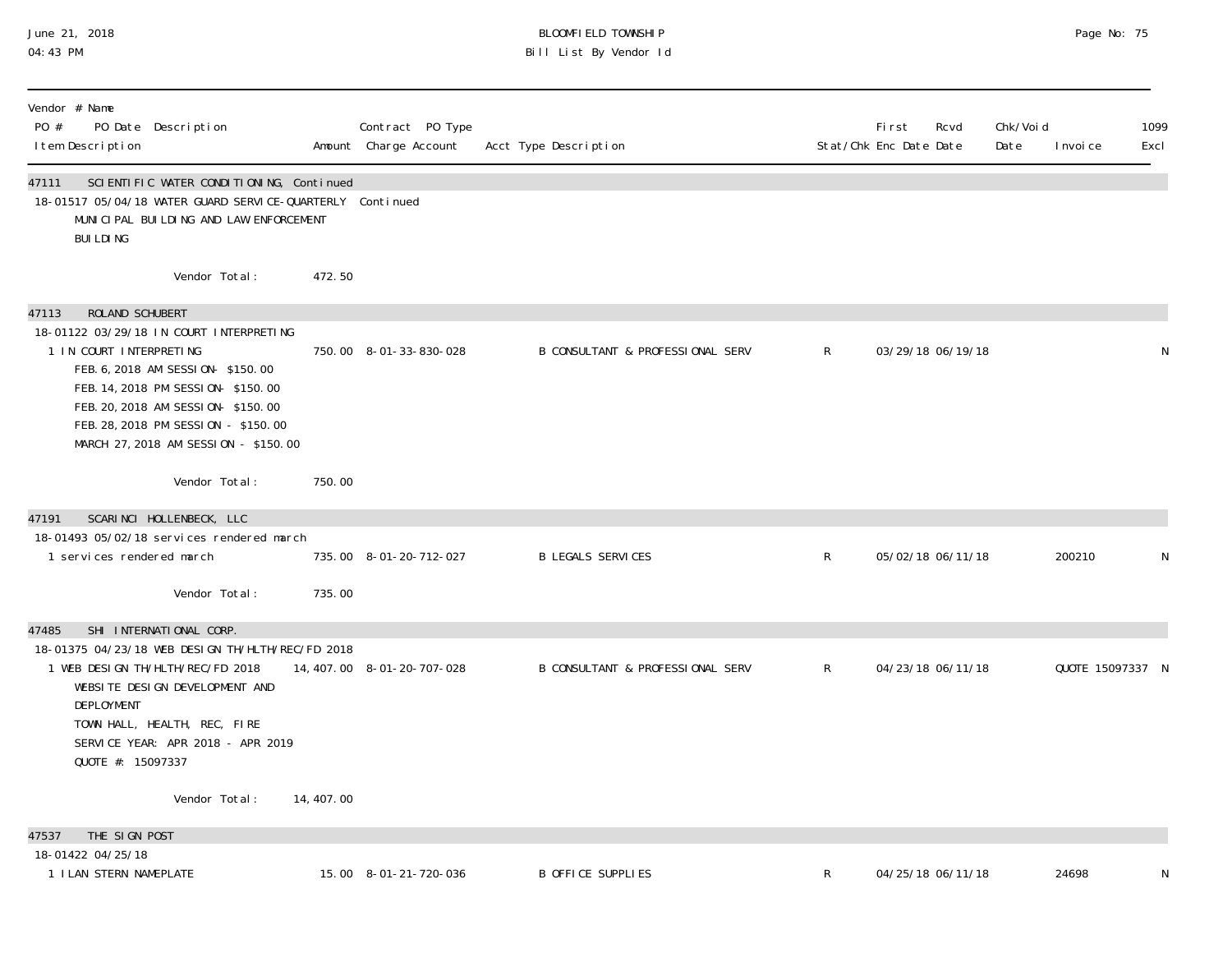### June 21, 2018 BLOOMFIELD TOWNSHIP Page 2018 Page No: 75 04:43 PM Bill List By Vendor Id

| Vendor # Name<br>PO #<br>PO Date Description<br>I tem Description                                                                                                                                                                                                                           |            | Contract PO Type<br>Amount Charge Account | Acct Type Description                       |              | <b>First</b><br>Rcvd<br>Stat/Chk Enc Date Date | Chk/Voi d<br>Date | I nvoi ce        | 1099<br>Excl |
|---------------------------------------------------------------------------------------------------------------------------------------------------------------------------------------------------------------------------------------------------------------------------------------------|------------|-------------------------------------------|---------------------------------------------|--------------|------------------------------------------------|-------------------|------------------|--------------|
| SCIENTIFIC WATER CONDITIONING, Continued<br>47111<br>18-01517 05/04/18 WATER GUARD SERVICE-QUARTERLY Continued<br>MUNICIPAL BUILDING AND LAW ENFORCEMENT<br><b>BUILDING</b>                                                                                                                 |            |                                           |                                             |              |                                                |                   |                  |              |
| Vendor Total:                                                                                                                                                                                                                                                                               | 472.50     |                                           |                                             |              |                                                |                   |                  |              |
| ROLAND SCHUBERT<br>47113<br>18-01122 03/29/18 IN COURT INTERPRETING<br>1 IN COURT INTERPRETING<br>FEB. 6, 2018 AM SESSION-\$150.00<br>FEB. 14, 2018 PM SESSION-\$150.00<br>FEB. 20, 2018 AM SESSION-\$150.00<br>FEB. 28, 2018 PM SESSION - \$150.00<br>MARCH 27, 2018 AM SESSION - \$150.00 |            | 750.00 8-01-33-830-028                    | <b>B CONSULTANT &amp; PROFESSIONAL SERV</b> | $\mathsf{R}$ | 03/29/18 06/19/18                              |                   |                  | N            |
| Vendor Total:                                                                                                                                                                                                                                                                               | 750.00     |                                           |                                             |              |                                                |                   |                  |              |
| SCARINCI HOLLENBECK, LLC<br>47191<br>18-01493 05/02/18 services rendered march<br>1 services rendered march                                                                                                                                                                                 |            | 735.00 8-01-20-712-027                    | <b>B LEGALS SERVICES</b>                    | $\mathsf{R}$ | 05/02/18 06/11/18                              |                   | 200210           | N            |
| Vendor Total:                                                                                                                                                                                                                                                                               | 735.00     |                                           |                                             |              |                                                |                   |                  |              |
| SHI INTERNATIONAL CORP.<br>47485<br>18-01375 04/23/18 WEB DESIGN TH/HLTH/REC/FD 2018<br>1 WEB DESIGN TH/HLTH/REC/FD 2018<br>WEBSITE DESIGN DEVELOPMENT AND<br>DEPLOYMENT<br>TOWN HALL, HEALTH, REC, FIRE<br>SERVICE YEAR: APR 2018 - APR 2019<br>QUOTE #: 15097337                          |            | 14, 407.00 8-01-20-707-028                | <b>B CONSULTANT &amp; PROFESSIONAL SERV</b> | $\mathsf{R}$ | 04/23/18 06/11/18                              |                   | QUOTE 15097337 N |              |
| Vendor Total:                                                                                                                                                                                                                                                                               | 14, 407.00 |                                           |                                             |              |                                                |                   |                  |              |
| THE SIGN POST<br>47537                                                                                                                                                                                                                                                                      |            |                                           |                                             |              |                                                |                   |                  |              |
| 18-01422 04/25/18<br>1 I LAN STERN NAMEPLATE                                                                                                                                                                                                                                                |            | 15.00 8-01-21-720-036                     | <b>B OFFICE SUPPLIES</b>                    | R            | 04/25/18 06/11/18                              |                   | 24698            | N            |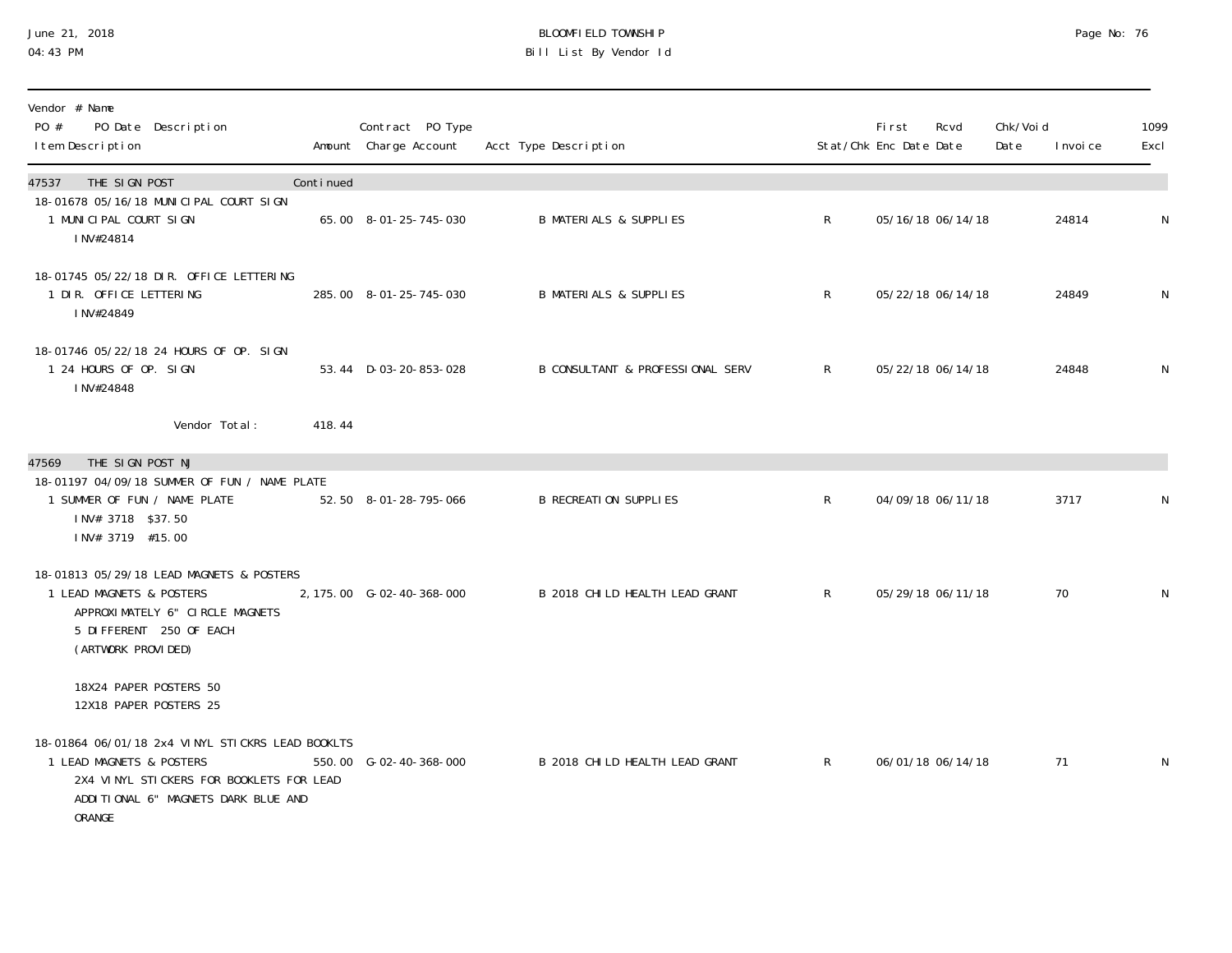### June 21, 2018 BLOOMFIELD TOWNSHIP Page 2018 Page No: 76 04:43 PM Bill List By Vendor Id

| Vendor # Name<br>PO #<br>PO Date Description<br>I tem Description                                                                                                         |           | Contract PO Type<br>Amount Charge Account | Acct Type Description             |              | First<br>Stat/Chk Enc Date Date | Rcvd              | Chk/Voi d<br>Date | I nvoi ce | 1099<br>Excl |
|---------------------------------------------------------------------------------------------------------------------------------------------------------------------------|-----------|-------------------------------------------|-----------------------------------|--------------|---------------------------------|-------------------|-------------------|-----------|--------------|
| THE SIGN POST<br>47537                                                                                                                                                    | Continued |                                           |                                   |              |                                 |                   |                   |           |              |
| 18-01678 05/16/18 MUNICIPAL COURT SIGN<br>1 MUNICIPAL COURT SIGN<br>INV#24814                                                                                             |           | 65.00 8-01-25-745-030                     | <b>B MATERIALS &amp; SUPPLIES</b> | $\mathsf{R}$ |                                 | 05/16/18 06/14/18 |                   | 24814     | N            |
| 18-01745 05/22/18 DIR. OFFICE LETTERING<br>1 DIR. OFFICE LETTERING<br>INV#24849                                                                                           |           | 285.00 8-01-25-745-030                    | <b>B MATERIALS &amp; SUPPLIES</b> | R            |                                 | 05/22/18 06/14/18 |                   | 24849     | N            |
| 18-01746 05/22/18 24 HOURS OF OP. SIGN<br>1 24 HOURS OF OP. SIGN<br>INV#24848                                                                                             |           | 53.44 D-03-20-853-028                     | B CONSULTANT & PROFESSIONAL SERV  | $R \sim$     |                                 | 05/22/18 06/14/18 |                   | 24848     | N            |
| Vendor Total:                                                                                                                                                             | 418.44    |                                           |                                   |              |                                 |                   |                   |           |              |
| THE SIGN POST NJ<br>47569<br>18-01197 04/09/18 SUMMER OF FUN / NAME PLATE<br>1 SUMMER OF FUN / NAME PLATE<br>INV# 3718 \$37.50<br>INV# 3719 #15.00                        |           | 52.50 8-01-28-795-066                     | <b>B RECREATION SUPPLIES</b>      | $\mathsf{R}$ |                                 | 04/09/18 06/11/18 |                   | 3717      | N            |
| 18-01813 05/29/18 LEAD MAGNETS & POSTERS<br>1 LEAD MAGNETS & POSTERS<br>APPROXIMATELY 6" CIRCLE MAGNETS<br>5 DIFFERENT 250 OF EACH<br>(ARTWORK PROVIDED)                  |           | 2, 175.00 G-02-40-368-000                 | B 2018 CHILD HEALTH LEAD GRANT    | R            |                                 | 05/29/18 06/11/18 |                   | 70        | N            |
| 18X24 PAPER POSTERS 50<br>12X18 PAPER POSTERS 25                                                                                                                          |           |                                           |                                   |              |                                 |                   |                   |           |              |
| 18-01864 06/01/18 2x4 VINYL STICKRS LEAD BOOKLTS<br>1 LEAD MAGNETS & POSTERS<br>2X4 VINYL STICKERS FOR BOOKLETS FOR LEAD<br>ADDITIONAL 6" MAGNETS DARK BLUE AND<br>ORANGE |           | 550.00 G-02-40-368-000                    | B 2018 CHILD HEALTH LEAD GRANT    | R            |                                 | 06/01/18 06/14/18 |                   | 71        | N            |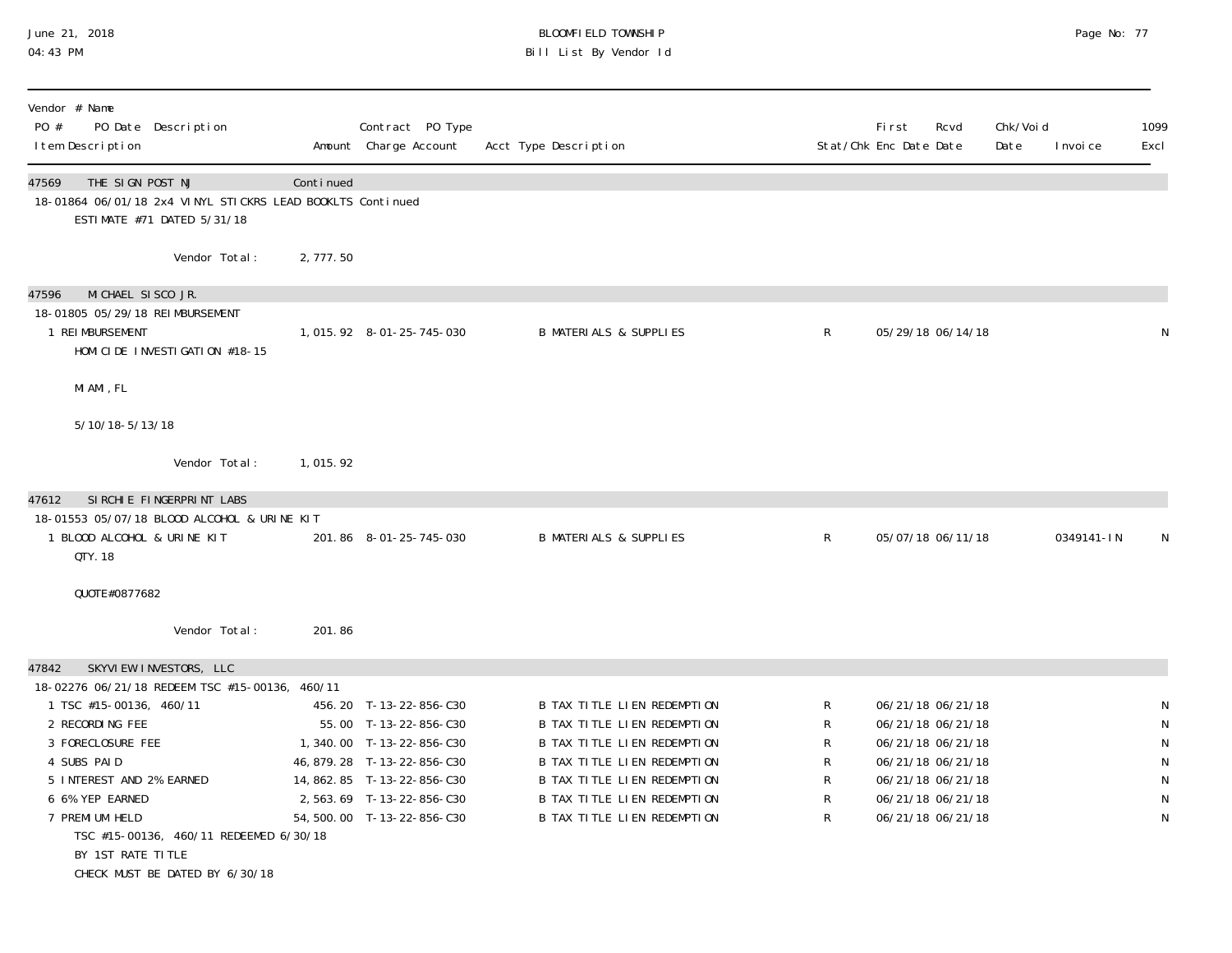### June 21, 2018 BLOOMFIELD TOWNSHIP Page 2018 Page No: 77 04:43 PM Bill List By Vendor Id

| Vendor # Name<br>PO #<br>PO Date Description<br>I tem Description                                                                                                                                                                                                                                                                      |           | Contract PO Type<br>Amount Charge Account                                                                                                                                                            | Acct Type Description                                                                                                                                                                                                                             |                                 | <b>First</b><br>Rcvd<br>Stat/Chk Enc Date Date                                                                                                  | Chk/Voi d<br>Date | I nvoi ce  | 1099<br>Excl     |
|----------------------------------------------------------------------------------------------------------------------------------------------------------------------------------------------------------------------------------------------------------------------------------------------------------------------------------------|-----------|------------------------------------------------------------------------------------------------------------------------------------------------------------------------------------------------------|---------------------------------------------------------------------------------------------------------------------------------------------------------------------------------------------------------------------------------------------------|---------------------------------|-------------------------------------------------------------------------------------------------------------------------------------------------|-------------------|------------|------------------|
| THE SIGN POST NJ<br>47569<br>18-01864 06/01/18 2x4 VINYL STICKRS LEAD BOOKLTS Continued<br>ESTIMATE #71 DATED 5/31/18                                                                                                                                                                                                                  | Continued |                                                                                                                                                                                                      |                                                                                                                                                                                                                                                   |                                 |                                                                                                                                                 |                   |            |                  |
| Vendor Total:                                                                                                                                                                                                                                                                                                                          | 2,777.50  |                                                                                                                                                                                                      |                                                                                                                                                                                                                                                   |                                 |                                                                                                                                                 |                   |            |                  |
| MICHAEL SISCO JR.<br>47596<br>18-01805 05/29/18 REIMBURSEMENT<br>1 REIMBURSEMENT<br>HOMI CI DE INVESTI GATI ON #18-15                                                                                                                                                                                                                  |           | 1, 015. 92  8-01-25-745-030                                                                                                                                                                          | <b>B MATERIALS &amp; SUPPLIES</b>                                                                                                                                                                                                                 | $\mathsf{R}$                    | 05/29/18 06/14/18                                                                                                                               |                   |            | N                |
| MI AMI, FL                                                                                                                                                                                                                                                                                                                             |           |                                                                                                                                                                                                      |                                                                                                                                                                                                                                                   |                                 |                                                                                                                                                 |                   |            |                  |
| 5/10/18-5/13/18                                                                                                                                                                                                                                                                                                                        |           |                                                                                                                                                                                                      |                                                                                                                                                                                                                                                   |                                 |                                                                                                                                                 |                   |            |                  |
| Vendor Total:                                                                                                                                                                                                                                                                                                                          | 1,015.92  |                                                                                                                                                                                                      |                                                                                                                                                                                                                                                   |                                 |                                                                                                                                                 |                   |            |                  |
| SIRCHIE FINGERPRINT LABS<br>47612<br>18-01553 05/07/18 BLOOD ALCOHOL & URINE KIT<br>1 BLOOD ALCOHOL & URINE KIT<br>QTY. 18<br>QUOTE#0877682                                                                                                                                                                                            |           | 201.86 8-01-25-745-030                                                                                                                                                                               | <b>B MATERIALS &amp; SUPPLIES</b>                                                                                                                                                                                                                 | R                               | 05/07/18 06/11/18                                                                                                                               |                   | 0349141-IN |                  |
| Vendor Total:                                                                                                                                                                                                                                                                                                                          | 201.86    |                                                                                                                                                                                                      |                                                                                                                                                                                                                                                   |                                 |                                                                                                                                                 |                   |            |                  |
| 47842<br>SKYVIEW INVESTORS, LLC<br>18-02276 06/21/18 REDEEM TSC #15-00136, 460/11<br>1 TSC #15-00136, 460/11<br>2 RECORDING FEE<br>3 FORECLOSURE FEE<br>4 SUBS PAID<br>5 INTEREST AND 2% EARNED<br>6 6% YEP EARNED<br>7 PREMI UM HELD<br>TSC #15-00136, 460/11 REDEEMED 6/30/18<br>BY 1ST RATE TITLE<br>CHECK MUST BE DATED BY 6/30/18 |           | 456.20 T-13-22-856-C30<br>55.00 T-13-22-856-C30<br>1,340.00 T-13-22-856-C30<br>46, 879. 28 T-13-22-856-C30<br>14, 862. 85 T-13-22-856-C30<br>2,563.69 T-13-22-856-C30<br>54, 500. 00 T-13-22-856-C30 | <b>B TAX TITLE LIEN REDEMPTION</b><br>B TAX TITLE LIEN REDEMPTION<br>B TAX TITLE LIEN REDEMPTION<br><b>B TAX TITLE LIEN REDEMPTION</b><br>B TAX TITLE LIEN REDEMPTION<br><b>B TAX TITLE LIEN REDEMPTION</b><br><b>B TAX TITLE LIEN REDEMPTION</b> | R<br>R<br>R<br>R<br>R<br>R<br>R | 06/21/18 06/21/18<br>06/21/18 06/21/18<br>06/21/18 06/21/18<br>06/21/18 06/21/18<br>06/21/18 06/21/18<br>06/21/18 06/21/18<br>06/21/18 06/21/18 |                   |            | N<br>N<br>N<br>N |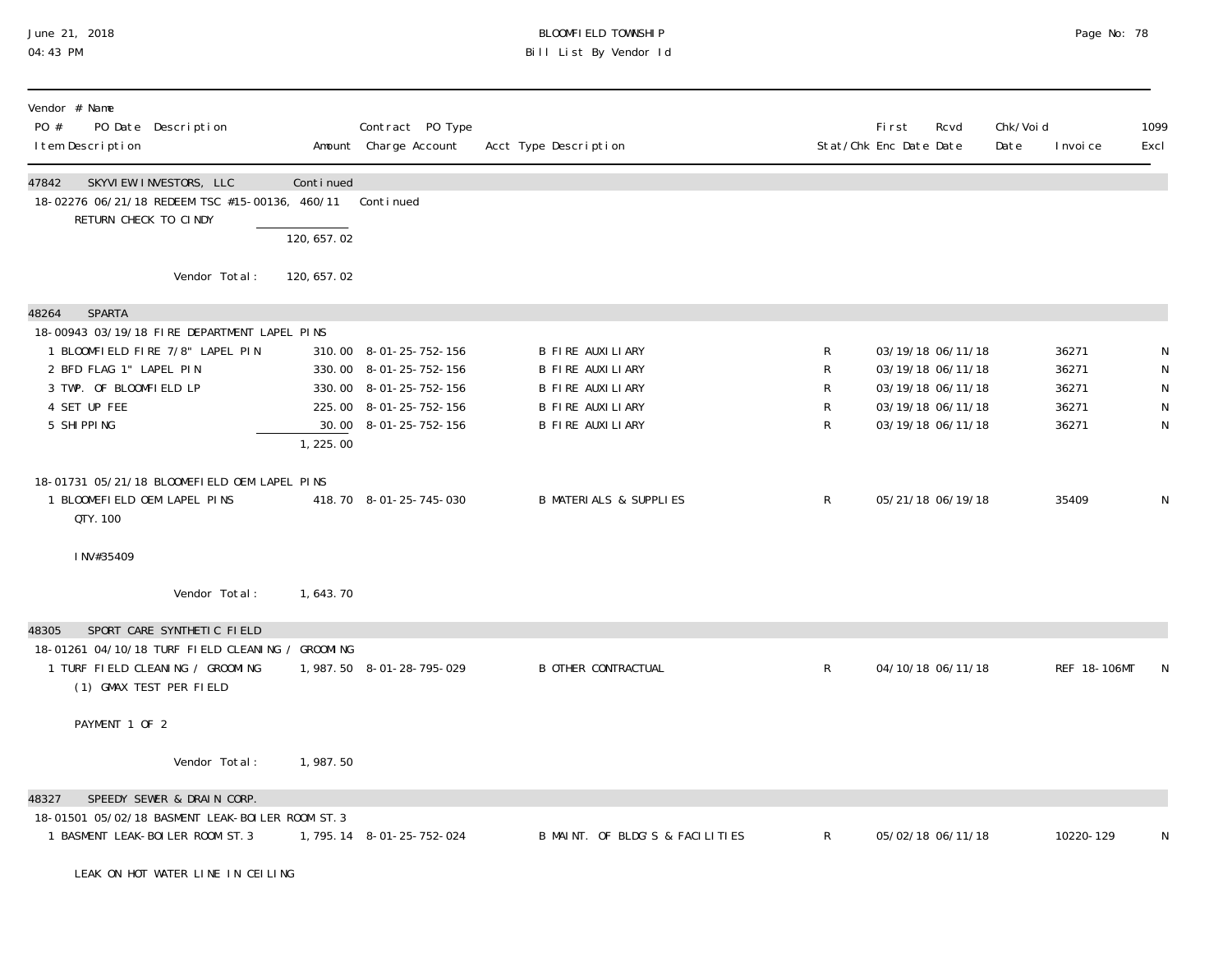# June 21, 2018 BLOOMFIELD TOWNSHIP Page 2018 Page No: 78 04:43 PM Bill List By Vendor Id

| Vendor # Name<br>PO #<br>PO Date Description<br>I tem Description                                                                                      |                          | Contract PO Type<br>Amount Charge Account                                                                                     | Acct Type Description                                                                                          |                       | <b>First</b><br>Rcvd<br>Stat/Chk Enc Date Date                                                        | Chk/Voi d<br>Date | I nvoi ce                                 | 1099<br>Excl                       |
|--------------------------------------------------------------------------------------------------------------------------------------------------------|--------------------------|-------------------------------------------------------------------------------------------------------------------------------|----------------------------------------------------------------------------------------------------------------|-----------------------|-------------------------------------------------------------------------------------------------------|-------------------|-------------------------------------------|------------------------------------|
| 47842<br>SKYVIEW INVESTORS, LLC<br>18-02276 06/21/18 REDEEM TSC #15-00136, 460/11<br>RETURN CHECK TO CINDY                                             | Continued<br>120, 657.02 | Continued                                                                                                                     |                                                                                                                |                       |                                                                                                       |                   |                                           |                                    |
| Vendor Total:                                                                                                                                          | 120, 657. 02             |                                                                                                                               |                                                                                                                |                       |                                                                                                       |                   |                                           |                                    |
| <b>SPARTA</b><br>48264<br>18-00943 03/19/18 FIRE DEPARTMENT LAPEL PINS                                                                                 |                          |                                                                                                                               |                                                                                                                |                       |                                                                                                       |                   |                                           |                                    |
| 1 BLOOMFIELD FIRE 7/8" LAPEL PIN<br>2 BFD FLAG 1" LAPEL PIN<br>3 TWP. OF BLOOMFIELD LP<br>4 SET UP FEE<br>5 SHIPPING                                   | 1,225.00                 | 310.00 8-01-25-752-156<br>330.00 8-01-25-752-156<br>330.00 8-01-25-752-156<br>225.00 8-01-25-752-156<br>30.00 8-01-25-752-156 | <b>B FIRE AUXILIARY</b><br><b>B FIRE AUXILIARY</b><br>B FIRE AUXILIARY<br>B FIRE AUXILIARY<br>B FIRE AUXILIARY | R<br>R<br>R<br>R<br>R | 03/19/18 06/11/18<br>03/19/18 06/11/18<br>03/19/18 06/11/18<br>03/19/18 06/11/18<br>03/19/18 06/11/18 |                   | 36271<br>36271<br>36271<br>36271<br>36271 | $\mathsf N$<br>${\sf N}$<br>N<br>N |
| 18-01731 05/21/18 BLOOMEFIELD OEM LAPEL PINS<br>1 BLOOMEFIELD OEM LAPEL PINS<br>QTY. 100                                                               |                          | 418.70 8-01-25-745-030                                                                                                        | <b>B MATERIALS &amp; SUPPLIES</b>                                                                              | R                     | 05/21/18 06/19/18                                                                                     |                   | 35409                                     | N                                  |
| INV#35409                                                                                                                                              |                          |                                                                                                                               |                                                                                                                |                       |                                                                                                       |                   |                                           |                                    |
| Vendor Total:                                                                                                                                          | 1,643.70                 |                                                                                                                               |                                                                                                                |                       |                                                                                                       |                   |                                           |                                    |
| SPORT CARE SYNTHETIC FIELD<br>48305<br>18-01261 04/10/18 TURF FIELD CLEANING / GROOMING<br>1 TURF FIELD CLEANING / GROOMING<br>(1) GMAX TEST PER FIELD |                          | 1,987.50 8-01-28-795-029                                                                                                      | <b>B OTHER CONTRACTUAL</b>                                                                                     | $\mathsf{R}$          | 04/10/18 06/11/18                                                                                     |                   | REF 18-106MT                              | N                                  |
| PAYMENT 1 OF 2                                                                                                                                         |                          |                                                                                                                               |                                                                                                                |                       |                                                                                                       |                   |                                           |                                    |
| Vendor Total:                                                                                                                                          | 1,987.50                 |                                                                                                                               |                                                                                                                |                       |                                                                                                       |                   |                                           |                                    |
| SPEEDY SEWER & DRAIN CORP.<br>48327<br>18-01501 05/02/18 BASMENT LEAK-BOILER ROOM ST. 3<br>1 BASMENT LEAK-BOILER ROOM ST. 3                            |                          | 1, 795. 14 8-01-25-752-024                                                                                                    | B MAINT. OF BLDG'S & FACILITIES                                                                                | R                     | 05/02/18 06/11/18                                                                                     |                   | 10220-129                                 | N                                  |
| LEAK ON HOT WATER LINE IN CEILING                                                                                                                      |                          |                                                                                                                               |                                                                                                                |                       |                                                                                                       |                   |                                           |                                    |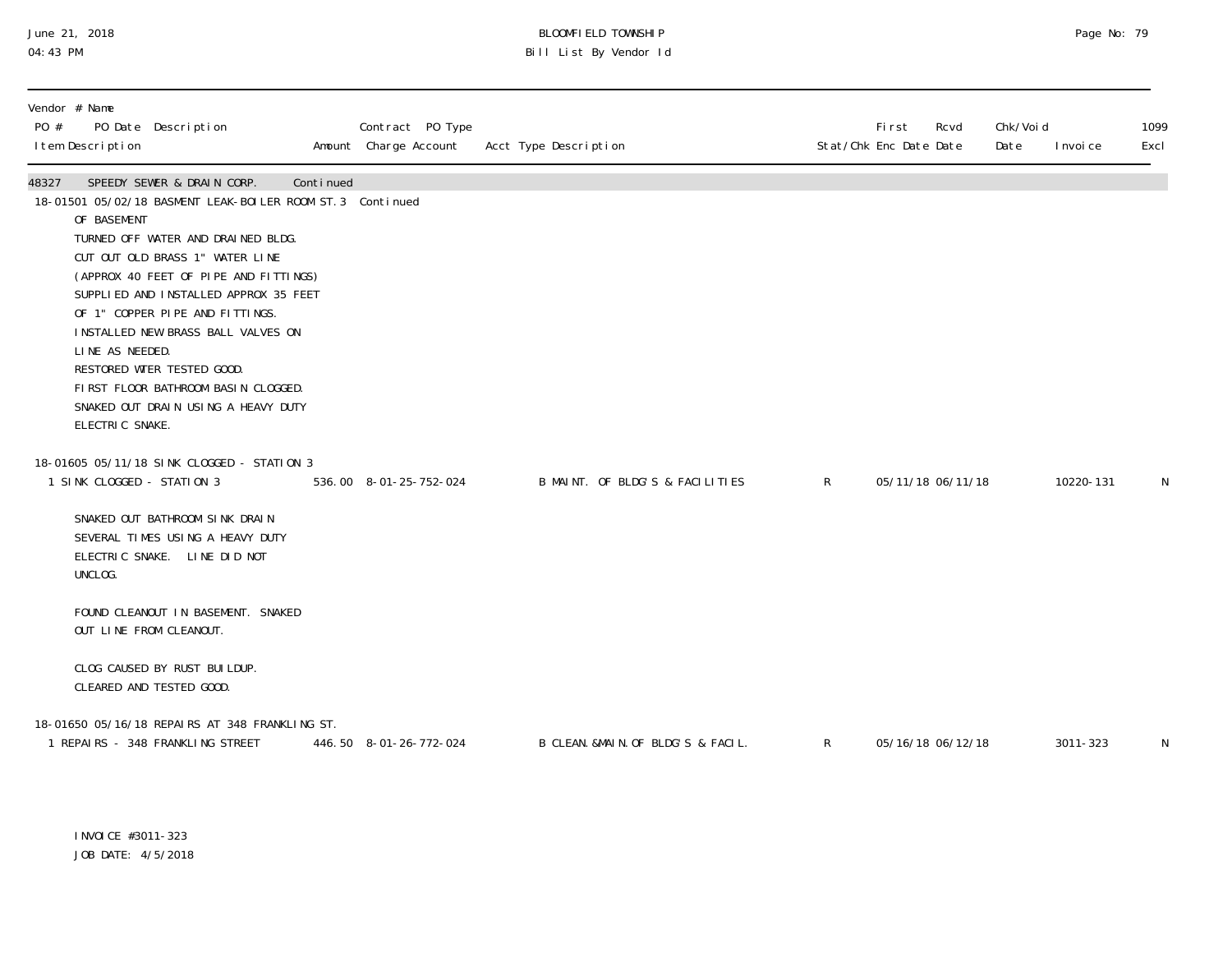# June 21, 2018 BLOOMFIELD TOWNSHIP Page 2018 Page No: 79 04:43 PM Bill List By Vendor Id

| PO #  | Vendor # Name<br>I tem Description                | PO Date Description                                                                                                                                                                                                                                                                                                                                                                                                                      |           | Contract PO Type<br>Amount Charge Account | Acct Type Description              |              | <b>First</b><br>Stat/Chk Enc Date Date | Rcvd | Chk/Voi d<br>Date | I nvoi ce | 1099<br>Excl |
|-------|---------------------------------------------------|------------------------------------------------------------------------------------------------------------------------------------------------------------------------------------------------------------------------------------------------------------------------------------------------------------------------------------------------------------------------------------------------------------------------------------------|-----------|-------------------------------------------|------------------------------------|--------------|----------------------------------------|------|-------------------|-----------|--------------|
| 48327 | OF BASEMENT<br>LINE AS NEEDED.<br>ELECTRIC SNAKE. | SPEEDY SEWER & DRAIN CORP.<br>18-01501 05/02/18 BASMENT LEAK-BOILER ROOM ST. 3 Continued<br>TURNED OFF WATER AND DRAINED BLDG.<br>CUT OUT OLD BRASS 1" WATER LINE<br>(APPROX 40 FEET OF PIPE AND FITTINGS)<br>SUPPLIED AND INSTALLED APPROX 35 FEET<br>OF 1" COPPER PIPE AND FITTINGS.<br>INSTALLED NEW BRASS BALL VALVES ON<br>RESTORED WTER TESTED GOOD.<br>FIRST FLOOR BATHROOM BASIN CLOGGED.<br>SNAKED OUT DRAIN USING A HEAVY DUTY | Continued |                                           |                                    |              |                                        |      |                   |           |              |
|       | 1 SINK CLOGGED - STATION 3                        | 18-01605 05/11/18 SINK CLOGGED - STATION 3                                                                                                                                                                                                                                                                                                                                                                                               |           | 536.00 8-01-25-752-024                    | B MAINT. OF BLDG'S & FACILITIES    | R            | 05/11/18 06/11/18                      |      |                   | 10220-131 | N            |
|       | UNCLOG.                                           | SNAKED OUT BATHROOM SINK DRAIN<br>SEVERAL TIMES USING A HEAVY DUTY<br>ELECTRIC SNAKE. LINE DID NOT                                                                                                                                                                                                                                                                                                                                       |           |                                           |                                    |              |                                        |      |                   |           |              |
|       | OUT LINE FROM CLEANOUT.                           | FOUND CLEANOUT IN BASEMENT. SNAKED                                                                                                                                                                                                                                                                                                                                                                                                       |           |                                           |                                    |              |                                        |      |                   |           |              |
|       |                                                   | CLOG CAUSED BY RUST BUILDUP.<br>CLEARED AND TESTED GOOD.                                                                                                                                                                                                                                                                                                                                                                                 |           |                                           |                                    |              |                                        |      |                   |           |              |
|       |                                                   | 18-01650 05/16/18 REPAIRS AT 348 FRANKLING ST.<br>1 REPAIRS - 348 FRANKLING STREET                                                                                                                                                                                                                                                                                                                                                       |           | 446.50 8-01-26-772-024                    | B CLEAN. &MAIN. OF BLDG'S & FACIL. | $\mathsf{R}$ | 05/16/18 06/12/18                      |      |                   | 3011-323  | N            |

INVOICE #3011-323 JOB DATE: 4/5/2018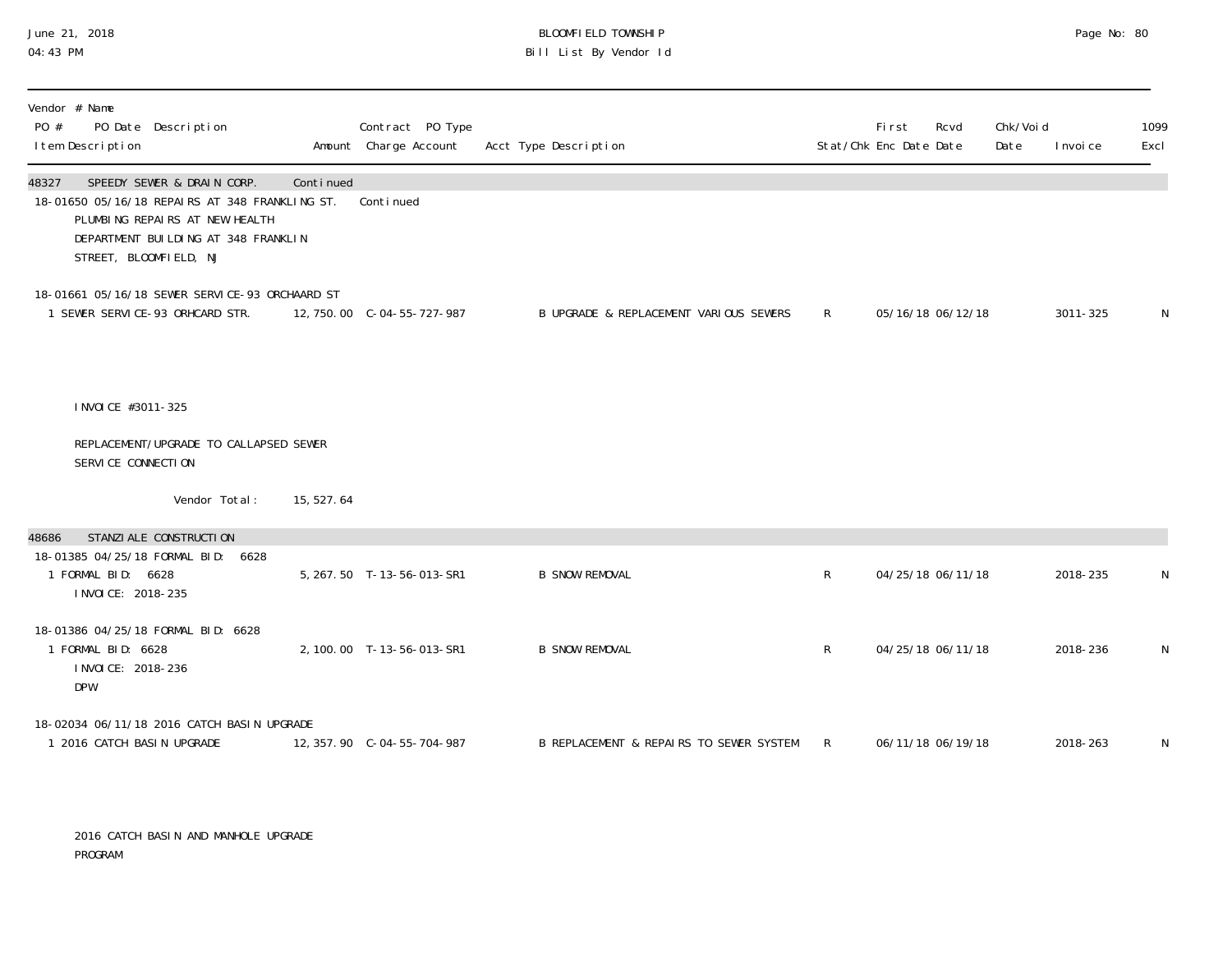### June 21, 2018 BLOOMFIELD TOWNSHIP Page 20 and the control of the control of the control of the control of the control of the control of the control of the control of the control of the control of t 04:43 PM Bill List By Vendor Id

| Vendor # Name<br>PO Date Description<br>PO #<br>I tem Description                                                                                                                        |            | Contract PO Type<br>Amount Charge Account | Acct Type Description                   |              | Fi rst<br>Rcvd<br>Stat/Chk Enc Date Date | Chk/Voi d<br>Date | I nvoi ce | 1099<br>Excl |
|------------------------------------------------------------------------------------------------------------------------------------------------------------------------------------------|------------|-------------------------------------------|-----------------------------------------|--------------|------------------------------------------|-------------------|-----------|--------------|
| SPEEDY SEWER & DRAIN CORP.<br>48327<br>18-01650 05/16/18 REPAIRS AT 348 FRANKLING ST.<br>PLUMBING REPAIRS AT NEW HEALTH<br>DEPARTMENT BUILDING AT 348 FRANKLIN<br>STREET, BLOOMFIELD, NJ | Continued  | Continued                                 |                                         |              |                                          |                   |           |              |
| 18-01661 05/16/18 SEWER SERVICE-93 ORCHAARD ST<br>1 SEWER SERVICE-93 ORHCARD STR.                                                                                                        |            | 12, 750.00 C-04-55-727-987                | B UPGRADE & REPLACEMENT VARIOUS SEWERS  | $\mathsf{R}$ | 05/16/18 06/12/18                        |                   | 3011-325  | N            |
| I NVOI CE #3011-325                                                                                                                                                                      |            |                                           |                                         |              |                                          |                   |           |              |
| REPLACEMENT/UPGRADE TO CALLAPSED SEWER<br>SERVICE CONNECTION                                                                                                                             |            |                                           |                                         |              |                                          |                   |           |              |
| Vendor Total:                                                                                                                                                                            | 15, 527.64 |                                           |                                         |              |                                          |                   |           |              |
| STANZI ALE CONSTRUCTI ON<br>48686                                                                                                                                                        |            |                                           |                                         |              |                                          |                   |           |              |
| 18-01385 04/25/18 FORMAL BID: 6628<br>1 FORMAL BID: 6628<br>I NVOI CE: 2018-235                                                                                                          |            | 5, 267.50 T-13-56-013-SR1                 | <b>B SNOW REMOVAL</b>                   | R            | 04/25/18 06/11/18                        |                   | 2018-235  | N            |
| 18-01386 04/25/18 FORMAL BID: 6628<br>1 FORMAL BID: 6628<br>I NVOI CE: 2018-236<br><b>DPW</b>                                                                                            |            | 2, 100.00 T-13-56-013-SR1                 | <b>B SNOW REMOVAL</b>                   | R            | 04/25/18 06/11/18                        |                   | 2018-236  | N            |
| 18-02034 06/11/18 2016 CATCH BASIN UPGRADE<br>1 2016 CATCH BASIN UPGRADE                                                                                                                 |            | 12, 357. 90 C-04-55-704-987               | B REPLACEMENT & REPAIRS TO SEWER SYSTEM | $\mathsf{R}$ | 06/11/18 06/19/18                        |                   | 2018-263  | N            |

 2016 CATCH BASIN AND MANHOLE UPGRADE PROGRAM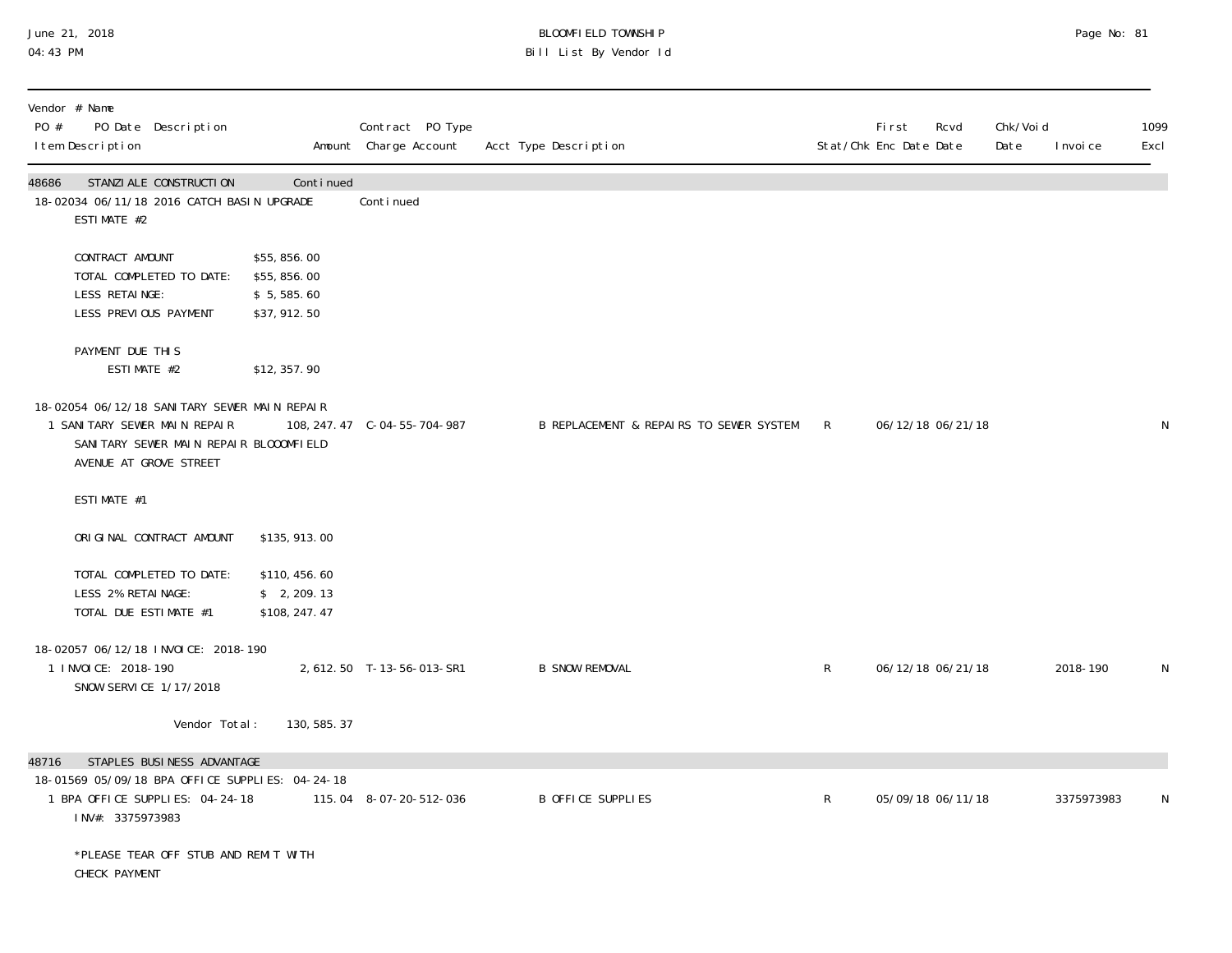# June 21, 2018 BLOOMFIELD TOWNSHIP Page 2018 Page No: 81 04:43 PM Bill List By Vendor Id

| PO #  | Vendor # Name<br>PO Date Description<br>I tem Description                                                                                        |               |                                                         | Contract PO Type<br>Amount Charge Account | Acct Type Description                     |              | First<br>Stat/Chk Enc Date Date | Rcvd              | Chk/Voi d<br>Date | I nvoi ce  | 1099<br>Excl |
|-------|--------------------------------------------------------------------------------------------------------------------------------------------------|---------------|---------------------------------------------------------|-------------------------------------------|-------------------------------------------|--------------|---------------------------------|-------------------|-------------------|------------|--------------|
| 48686 | STANZI ALE CONSTRUCTI ON<br>18-02034 06/11/18 2016 CATCH BASIN UPGRADE<br>ESTIMATE #2                                                            |               | Continued                                               | Conti nued                                |                                           |              |                                 |                   |                   |            |              |
|       | CONTRACT AMOUNT<br>TOTAL COMPLETED TO DATE:<br>LESS RETAINGE:<br>LESS PREVIOUS PAYMENT                                                           |               | \$55,856.00<br>\$55,856.00<br>\$5,585.60<br>\$37,912.50 |                                           |                                           |              |                                 |                   |                   |            |              |
|       | PAYMENT DUE THIS<br>ESTIMATE #2                                                                                                                  |               | \$12,357.90                                             |                                           |                                           |              |                                 |                   |                   |            |              |
|       | 18-02054 06/12/18 SANITARY SEWER MAIN REPAIR<br>1 SANITARY SEWER MAIN REPAIR<br>SANITARY SEWER MAIN REPAIR BLOOOMFIELD<br>AVENUE AT GROVE STREET |               |                                                         | 108, 247. 47 C-04-55-704-987              | B REPLACEMENT & REPAIRS TO SEWER SYSTEM R |              |                                 | 06/12/18 06/21/18 |                   |            | N            |
|       | ESTIMATE #1                                                                                                                                      |               |                                                         |                                           |                                           |              |                                 |                   |                   |            |              |
|       | ORIGINAL CONTRACT AMOUNT                                                                                                                         |               | \$135, 913.00                                           |                                           |                                           |              |                                 |                   |                   |            |              |
|       | TOTAL COMPLETED TO DATE:<br>LESS 2% RETAINAGE:<br>TOTAL DUE ESTIMATE #1                                                                          |               | \$110, 456.60<br>\$2, 209.13<br>\$108, 247.47           |                                           |                                           |              |                                 |                   |                   |            |              |
|       | 18-02057 06/12/18 INVOICE: 2018-190<br>1 INVOICE: 2018-190<br>SNOW SERVICE 1/17/2018                                                             |               |                                                         | 2, 612. 50 T-13-56-013-SR1                | <b>B SNOW REMOVAL</b>                     | $R_{\perp}$  |                                 | 06/12/18 06/21/18 |                   | 2018-190   | N            |
|       |                                                                                                                                                  | Vendor Total: | 130, 585. 37                                            |                                           |                                           |              |                                 |                   |                   |            |              |
| 48716 | STAPLES BUSINESS ADVANTAGE<br>18-01569 05/09/18 BPA OFFICE SUPPLIES: 04-24-18<br>1 BPA OFFICE SUPPLIES: 04-24-18<br>INV#: 3375973983             |               |                                                         | 115.04 8-07-20-512-036                    | B OFFICE SUPPLIES                         | $\mathsf{R}$ |                                 | 05/09/18 06/11/18 |                   | 3375973983 | N            |
|       | *PLEASE TEAR OFF STUB AND REMIT WITH<br>CHECK PAYMENT                                                                                            |               |                                                         |                                           |                                           |              |                                 |                   |                   |            |              |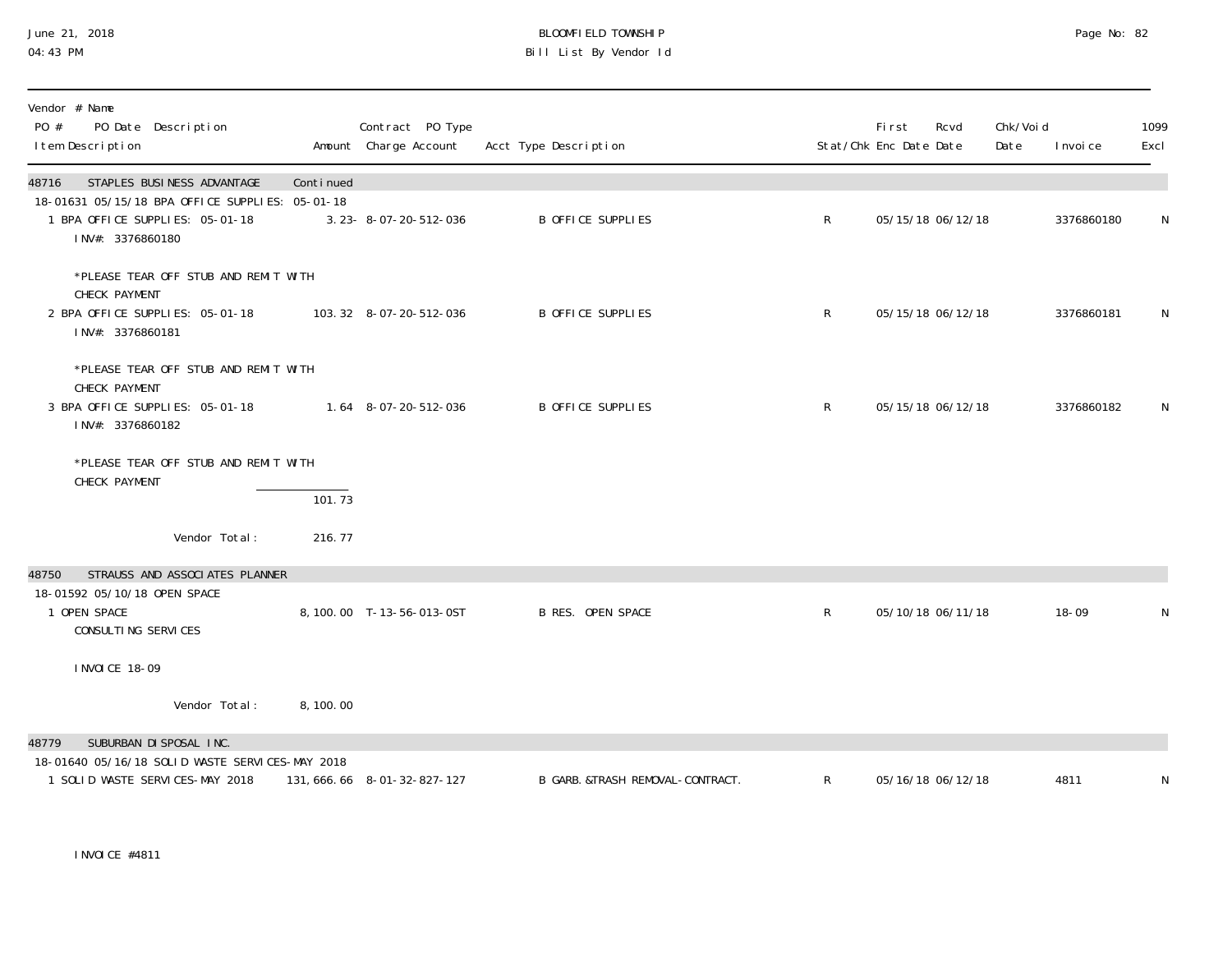#### June 21, 2018 BLOOMFIELD TOWNSHIP Page 2018 Page No: 82 04:43 PM Bill List By Vendor Id

| Vendor # Name<br>PO #<br>PO Date Description<br>I tem Description                                                                             |                     | Contract PO Type<br>Amount Charge Account | Acct Type Description            |              | <b>First</b><br>Stat/Chk Enc Date Date | Rcvd              | Chk/Voi d<br>Date | I nvoi ce  | 1099<br>Excl |
|-----------------------------------------------------------------------------------------------------------------------------------------------|---------------------|-------------------------------------------|----------------------------------|--------------|----------------------------------------|-------------------|-------------------|------------|--------------|
| STAPLES BUSINESS ADVANTAGE<br>48716<br>18-01631 05/15/18 BPA OFFICE SUPPLIES: 05-01-18<br>1 BPA OFFICE SUPPLIES: 05-01-18<br>INV#: 3376860180 | Continued           | 3.23-8-07-20-512-036                      | <b>B OFFICE SUPPLIES</b>         | R            |                                        | 05/15/18 06/12/18 |                   | 3376860180 | N            |
| *PLEASE TEAR OFF STUB AND REMIT WITH<br>CHECK PAYMENT<br>2 BPA OFFICE SUPPLIES: 05-01-18<br>INV#: 3376860181                                  |                     | 103.32 8-07-20-512-036                    | B OFFICE SUPPLIES                | R            |                                        | 05/15/18 06/12/18 |                   | 3376860181 | N            |
| *PLEASE TEAR OFF STUB AND REMIT WITH<br>CHECK PAYMENT<br>3 BPA OFFICE SUPPLIES: 05-01-18<br>INV#: 3376860182                                  |                     | 1.64 8-07-20-512-036                      | B OFFICE SUPPLIES                | R            |                                        | 05/15/18 06/12/18 |                   | 3376860182 | N            |
| *PLEASE TEAR OFF STUB AND REMIT WITH<br>CHECK PAYMENT                                                                                         | $\overline{101.73}$ |                                           |                                  |              |                                        |                   |                   |            |              |
| Vendor Total:                                                                                                                                 | 216.77              |                                           |                                  |              |                                        |                   |                   |            |              |
| STRAUSS AND ASSOCIATES PLANNER<br>48750<br>18-01592 05/10/18 OPEN SPACE<br>1 OPEN SPACE<br>CONSULTING SERVICES                                |                     | 8, 100.00 T-13-56-013-0ST                 | <b>B RES. OPEN SPACE</b>         | $\mathsf{R}$ |                                        | 05/10/18 06/11/18 |                   | $18 - 09$  | N            |
| I NVOI CE 18-09                                                                                                                               |                     |                                           |                                  |              |                                        |                   |                   |            |              |
| Vendor Total:                                                                                                                                 | 8,100.00            |                                           |                                  |              |                                        |                   |                   |            |              |
| SUBURBAN DI SPOSAL INC.<br>48779<br>18-01640 05/16/18 SOLID WASTE SERVICES-MAY 2018<br>1 SOLID WASTE SERVICES-MAY 2018                        |                     | 131, 666. 66 8-01-32-827-127              | B GARB. &TRASH REMOVAL-CONTRACT. | $\mathsf{R}$ |                                        | 05/16/18 06/12/18 |                   | 4811       | N            |

INVOICE #4811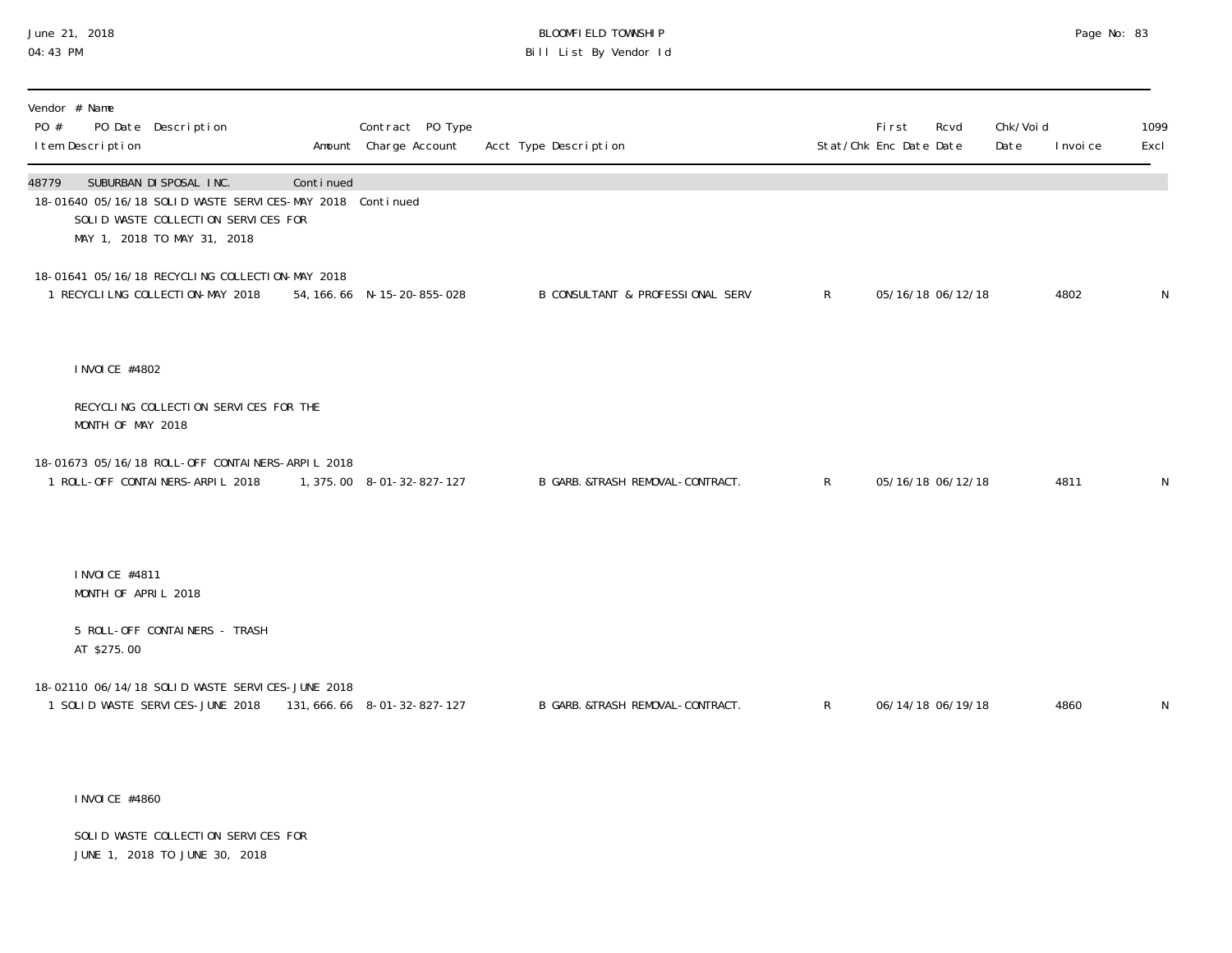# June 21, 2018 BLOOMFIELD TOWNSHIP Page No: 83 Bill List By Vendor Id

| Vendor # Name<br>PO #<br>PO Date Description<br>I tem Description                                                                                                   |           | Contract PO Type<br>Amount Charge Account | Acct Type Description             |              | <b>First</b><br>Stat/Chk Enc Date Date | Rcvd | Chk/Voi d<br>Date | I nvoi ce | 1099<br>Excl |
|---------------------------------------------------------------------------------------------------------------------------------------------------------------------|-----------|-------------------------------------------|-----------------------------------|--------------|----------------------------------------|------|-------------------|-----------|--------------|
| 48779<br>SUBURBAN DI SPOSAL INC.<br>18-01640 05/16/18 SOLID WASTE SERVICES-MAY 2018 Continued<br>SOLID WASTE COLLECTION SERVICES FOR<br>MAY 1, 2018 TO MAY 31, 2018 | Continued |                                           |                                   |              |                                        |      |                   |           |              |
| 18-01641 05/16/18 RECYCLING COLLECTION-MAY 2018<br>1 RECYCLILNG COLLECTION-MAY 2018                                                                                 |           | 54, 166. 66 N-15-20-855-028               | B CONSULTANT & PROFESSIONAL SERV  | $\mathsf{R}$ | 05/16/18 06/12/18                      |      |                   | 4802      | $\mathsf{N}$ |
| I NVOI CE #4802                                                                                                                                                     |           |                                           |                                   |              |                                        |      |                   |           |              |
| RECYCLING COLLECTION SERVICES FOR THE<br>MONTH OF MAY 2018                                                                                                          |           |                                           |                                   |              |                                        |      |                   |           |              |
| 18-01673 05/16/18 ROLL-OFF CONTAINERS-ARPIL 2018<br>1 ROLL-OFF CONTAINERS-ARPIL 2018                                                                                |           | 1, 375.00 8-01-32-827-127                 | B GARB. & TRASH REMOVAL-CONTRACT. | $\mathsf{R}$ | 05/16/18 06/12/18                      |      |                   | 4811      | N            |
| INVOICE #4811<br>MONTH OF APRIL 2018                                                                                                                                |           |                                           |                                   |              |                                        |      |                   |           |              |
| 5 ROLL-OFF CONTAINERS - TRASH<br>AT \$275.00                                                                                                                        |           |                                           |                                   |              |                                        |      |                   |           |              |
| 18-02110 06/14/18 SOLID WASTE SERVICES-JUNE 2018<br>1 SOLID WASTE SERVICES-JUNE 2018                                                                                |           | 131, 666. 66 8-01-32-827-127              | B GARB. &TRASH REMOVAL-CONTRACT.  | $\mathsf{R}$ | 06/14/18 06/19/18                      |      |                   | 4860      | $\mathsf N$  |

INVOICE #4860

 SOLID WASTE COLLECTION SERVICES FOR JUNE 1, 2018 TO JUNE 30, 2018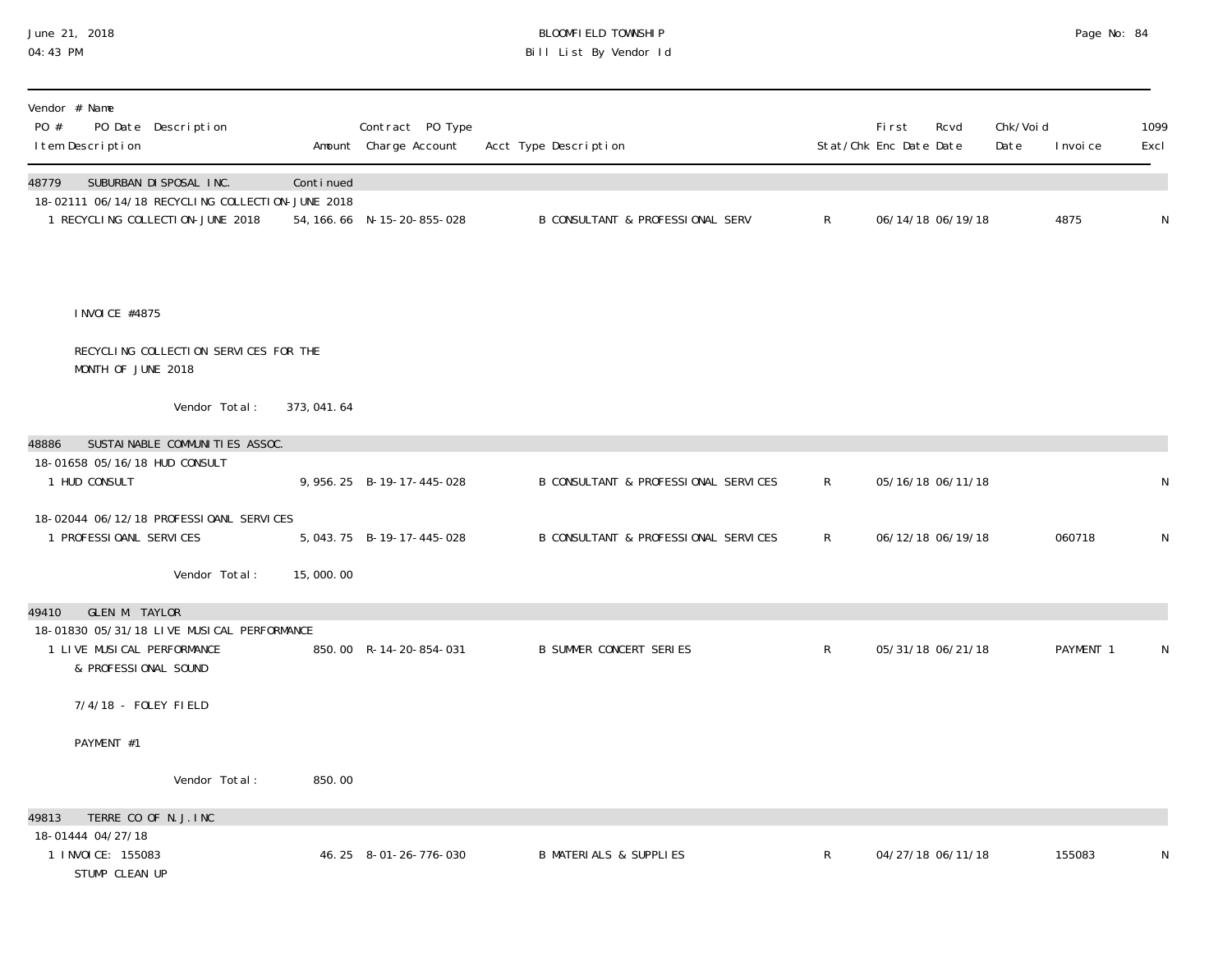# June 21, 2018 BLOOMFIELD TOWNSHIP Page 2018 Page No: 84 04:43 PM Bill List By Vendor Id

| Vendor # Name<br>PO #<br>PO Date Description<br>I tem Description                                                           |             | Contract PO Type<br>Amount Charge Account | Acct Type Description                       |              | First<br>Stat/Chk Enc Date Date | Rcvd              | Chk/Voi d<br>Date | I nvoi ce | 1099<br>Excl |
|-----------------------------------------------------------------------------------------------------------------------------|-------------|-------------------------------------------|---------------------------------------------|--------------|---------------------------------|-------------------|-------------------|-----------|--------------|
| 48779<br>SUBURBAN DI SPOSAL INC.<br>18-02111 06/14/18 RECYCLING COLLECTION-JUNE 2018<br>1 RECYCLING COLLECTION-JUNE 2018    | Continued   | 54, 166. 66 N-15-20-855-028               | <b>B CONSULTANT &amp; PROFESSIONAL SERV</b> | $\mathsf{R}$ |                                 | 06/14/18 06/19/18 |                   | 4875      | ${\sf N}$    |
| I NVOI CE #4875                                                                                                             |             |                                           |                                             |              |                                 |                   |                   |           |              |
| RECYCLING COLLECTION SERVICES FOR THE<br>MONTH OF JUNE 2018                                                                 |             |                                           |                                             |              |                                 |                   |                   |           |              |
| Vendor Total:                                                                                                               | 373, 041.64 |                                           |                                             |              |                                 |                   |                   |           |              |
| SUSTAI NABLE COMMUNITIES ASSOC.<br>48886<br>18-01658 05/16/18 HUD CONSULT                                                   |             |                                           |                                             |              |                                 |                   |                   |           |              |
| 1 HUD CONSULT                                                                                                               |             | 9, 956. 25 B-19-17-445-028                | B CONSULTANT & PROFESSIONAL SERVICES        | $\mathsf{R}$ |                                 | 05/16/18 06/11/18 |                   |           | N            |
| 18-02044 06/12/18 PROFESSIOANL SERVICES<br>1 PROFESSIOANL SERVICES                                                          |             | 5, 043. 75 B-19-17-445-028                | B CONSULTANT & PROFESSIONAL SERVICES        | $\mathsf{R}$ |                                 | 06/12/18 06/19/18 |                   | 060718    | $\mathsf N$  |
| Vendor Total:                                                                                                               | 15,000.00   |                                           |                                             |              |                                 |                   |                   |           |              |
| GLEN M. TAYLOR<br>49410<br>18-01830 05/31/18 LIVE MUSICAL PERFORMANCE<br>1 LIVE MUSICAL PERFORMANCE<br>& PROFESSIONAL SOUND |             | 850.00 R-14-20-854-031                    | <b>B SUMMER CONCERT SERIES</b>              | R            |                                 | 05/31/18 06/21/18 |                   | PAYMENT 1 | N            |
| 7/4/18 - FOLEY FIELD                                                                                                        |             |                                           |                                             |              |                                 |                   |                   |           |              |
| PAYMENT #1                                                                                                                  |             |                                           |                                             |              |                                 |                   |                   |           |              |
| Vendor Total:                                                                                                               | 850.00      |                                           |                                             |              |                                 |                   |                   |           |              |
| TERRE CO OF N.J. INC<br>49813<br>18-01444 04/27/18                                                                          |             |                                           |                                             |              |                                 |                   |                   |           |              |
| 1 I NVOI CE: 155083<br>STUMP CLEAN UP                                                                                       |             | 46.25 8-01-26-776-030                     | <b>B MATERIALS &amp; SUPPLIES</b>           | $\mathsf R$  |                                 | 04/27/18 06/11/18 |                   | 155083    | N            |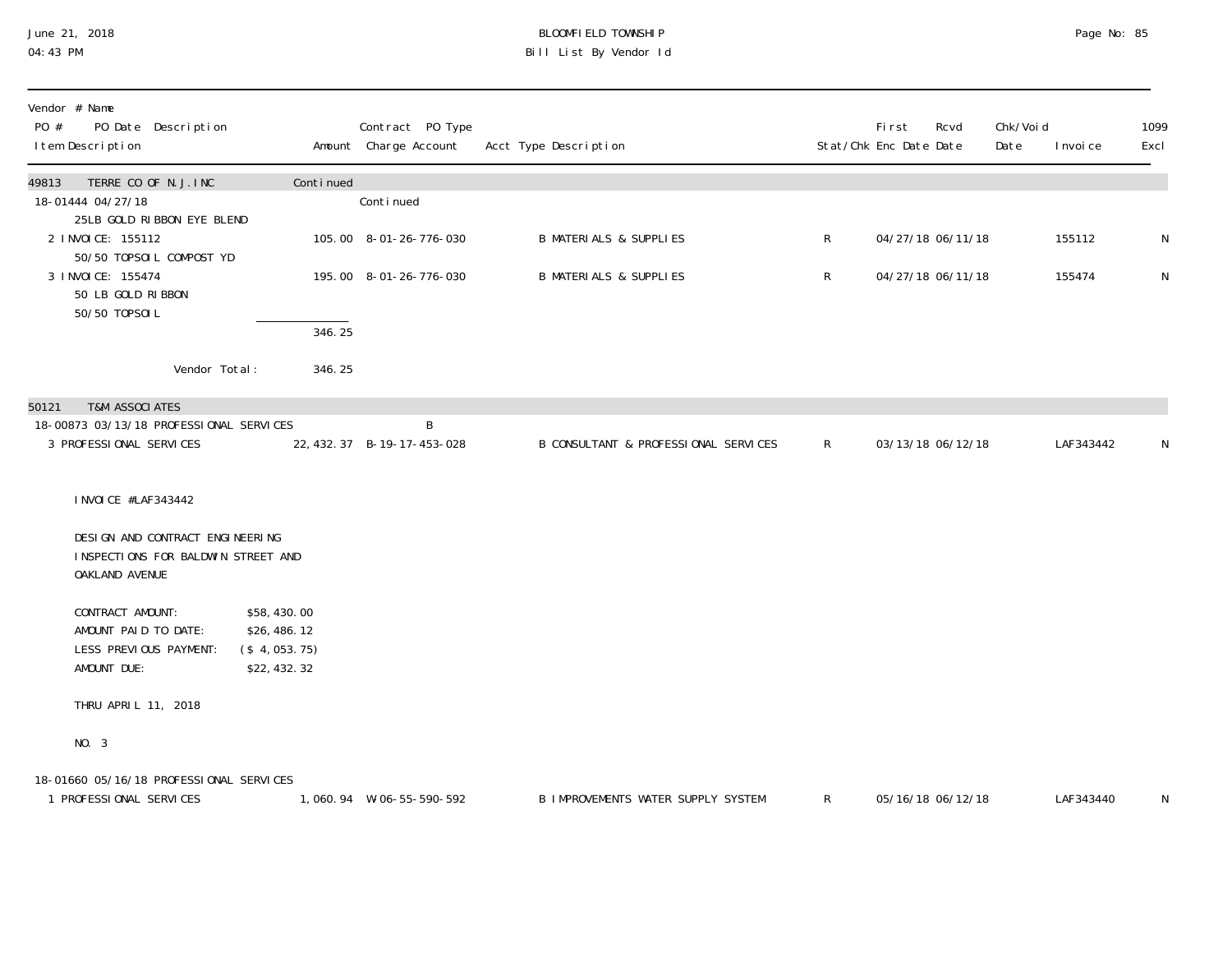### June 21, 2018 BLOOMFIELD TOWNSHIP Page 2018 Page No: 85 04:43 PM Bill List By Vendor Id

| Vendor # Name<br>PO #<br>PO Date Description<br>I tem Description                       |                                                           | Contract PO Type<br>Amount Charge Account | Acct Type Description                     |              | <b>First</b><br>Stat/Chk Enc Date Date | Rcvd | Chk/Voi d<br>Date | I nvoi ce | 1099<br>Excl |
|-----------------------------------------------------------------------------------------|-----------------------------------------------------------|-------------------------------------------|-------------------------------------------|--------------|----------------------------------------|------|-------------------|-----------|--------------|
| TERRE CO OF N.J. INC<br>49813                                                           | Continued                                                 |                                           |                                           |              |                                        |      |                   |           |              |
| 18-01444 04/27/18<br>25LB GOLD RIBBON EYE BLEND                                         |                                                           | Conti nued                                |                                           |              |                                        |      |                   |           |              |
| 2 I NVOI CE: 155112<br>50/50 TOPSOIL COMPOST YD                                         |                                                           | 105.00 8-01-26-776-030                    | <b>B MATERIALS &amp; SUPPLIES</b>         | $\mathsf{R}$ | 04/27/18 06/11/18                      |      |                   | 155112    | N            |
| 3 I NVOI CE: 155474<br>50 LB GOLD RIBBON<br>50/50 T0PS0IL                               |                                                           | 195.00 8-01-26-776-030                    | <b>B MATERIALS &amp; SUPPLIES</b>         | $\mathsf{R}$ | 04/27/18 06/11/18                      |      |                   | 155474    | $\mathsf N$  |
|                                                                                         | 346.25                                                    |                                           |                                           |              |                                        |      |                   |           |              |
| Vendor Total:                                                                           | 346.25                                                    |                                           |                                           |              |                                        |      |                   |           |              |
| <b>T&amp;M ASSOCIATES</b><br>50121                                                      |                                                           |                                           |                                           |              |                                        |      |                   |           |              |
| 18-00873 03/13/18 PROFESSIONAL SERVICES<br>3 PROFESSIONAL SERVICES                      |                                                           | B<br>22, 432. 37 B-19-17-453-028          | B CONSULTANT & PROFESSIONAL SERVICES      | $\mathsf{R}$ | 03/13/18 06/12/18                      |      |                   | LAF343442 | N            |
| I NVOI CE #LAF343442                                                                    |                                                           |                                           |                                           |              |                                        |      |                   |           |              |
| DESIGN AND CONTRACT ENGINEERING<br>INSPECTIONS FOR BALDWIN STREET AND<br>OAKLAND AVENUE |                                                           |                                           |                                           |              |                                        |      |                   |           |              |
| CONTRACT AMOUNT:<br>AMOUNT PAID TO DATE:<br>LESS PREVIOUS PAYMENT:<br>AMOUNT DUE:       | \$58,430.00<br>\$26,486.12<br>(\$4,053.75)<br>\$22,432.32 |                                           |                                           |              |                                        |      |                   |           |              |
| THRU APRIL 11, 2018                                                                     |                                                           |                                           |                                           |              |                                        |      |                   |           |              |
| NO. 3                                                                                   |                                                           |                                           |                                           |              |                                        |      |                   |           |              |
| 18-01660 05/16/18 PROFESSIONAL SERVICES<br>1 PROFESSIONAL SERVICES                      |                                                           | 1,060.94 W-06-55-590-592                  | <b>B IMPROVEMENTS WATER SUPPLY SYSTEM</b> | $\mathsf{R}$ | 05/16/18 06/12/18                      |      |                   | LAF343440 | $\mathsf{N}$ |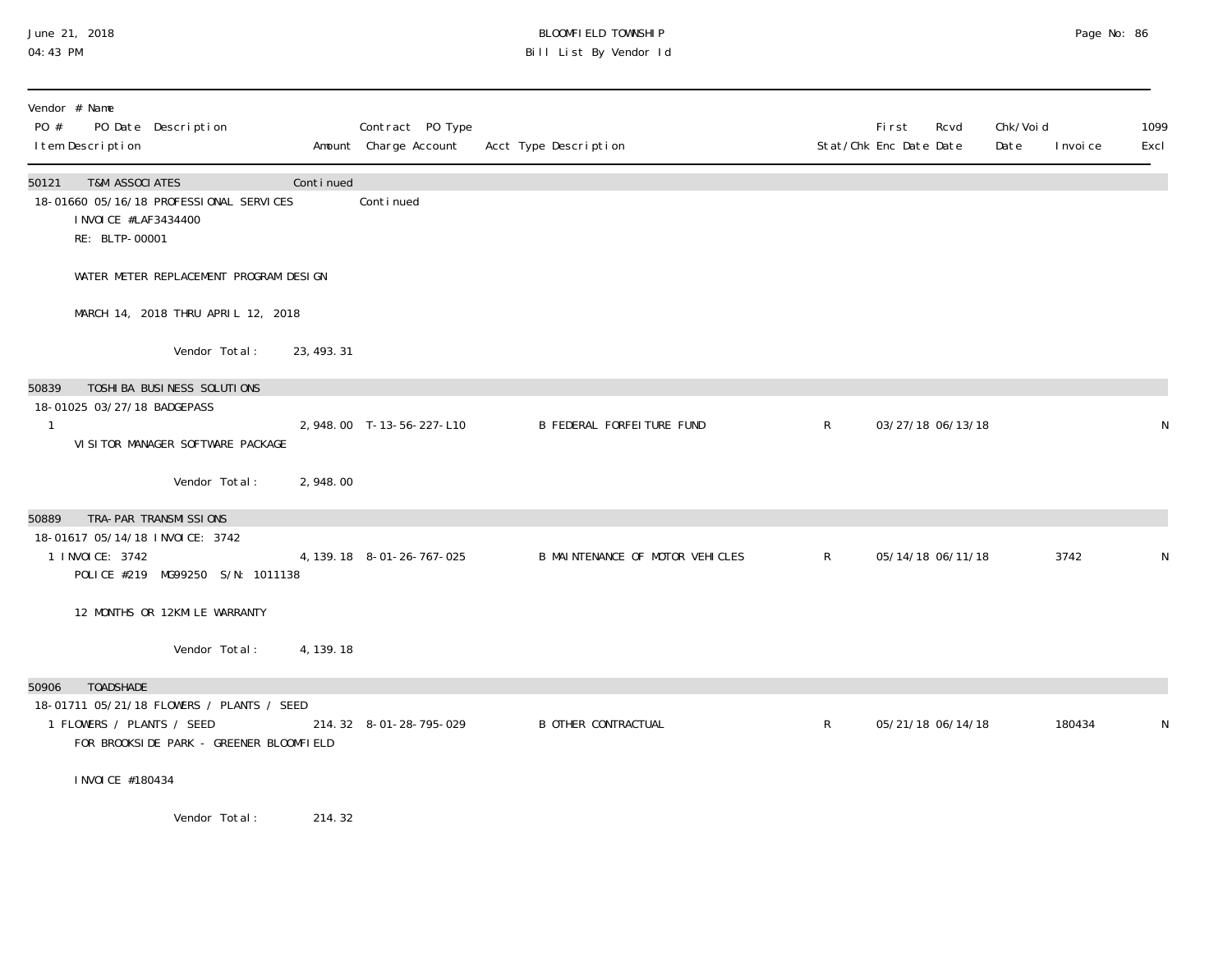#### June 21, 2018 BLOOMFIELD TOWNSHIP Page 2018 Page No: 86 04:43 PM Bill List By Vendor Id

| Vendor # Name<br>PO #<br>PO Date Description<br>I tem Description                                                        |             | Contract PO Type<br>Amount Charge Account | Acct Type Description            |              | Fi rst<br>Stat/Chk Enc Date Date | Rcvd              | Chk/Voi d<br>Date | I nvoi ce | 1099<br>Excl |
|--------------------------------------------------------------------------------------------------------------------------|-------------|-------------------------------------------|----------------------------------|--------------|----------------------------------|-------------------|-------------------|-----------|--------------|
| <b>T&amp;M ASSOCIATES</b><br>50121<br>18-01660 05/16/18 PROFESSIONAL SERVICES<br>I NVOI CE #LAF3434400<br>RE: BLTP-00001 | Continued   | Continued                                 |                                  |              |                                  |                   |                   |           |              |
| WATER METER REPLACEMENT PROGRAM DESIGN                                                                                   |             |                                           |                                  |              |                                  |                   |                   |           |              |
| MARCH 14, 2018 THRU APRIL 12, 2018                                                                                       |             |                                           |                                  |              |                                  |                   |                   |           |              |
| Vendor Total:                                                                                                            | 23, 493. 31 |                                           |                                  |              |                                  |                   |                   |           |              |
| 50839<br>TOSHI BA BUSI NESS SOLUTI ONS<br>18-01025 03/27/18 BADGEPASS<br>1<br>VI SI TOR MANAGER SOFTWARE PACKAGE         |             | 2,948.00 T-13-56-227-L10                  | <b>B FEDERAL FORFEITURE FUND</b> | $\mathsf{R}$ |                                  | 03/27/18 06/13/18 |                   |           | N            |
| Vendor Total:                                                                                                            | 2,948.00    |                                           |                                  |              |                                  |                   |                   |           |              |
| TRA-PAR TRANSMI SSIONS<br>50889                                                                                          |             |                                           |                                  |              |                                  |                   |                   |           |              |
| 18-01617 05/14/18 INVOICE: 3742<br>1 I NVOI CE: 3742<br>POLICE #219 MG99250 S/N: 1011138                                 |             | 4, 139. 18 8-01-26-767-025                | B MAINTENANCE OF MOTOR VEHICLES  | $\mathsf{R}$ |                                  | 05/14/18 06/11/18 |                   | 3742      |              |
| 12 MONTHS OR 12KMILE WARRANTY                                                                                            |             |                                           |                                  |              |                                  |                   |                   |           |              |
| Vendor Total:                                                                                                            | 4, 139. 18  |                                           |                                  |              |                                  |                   |                   |           |              |
| <b>TOADSHADE</b><br>50906<br>18-01711 05/21/18 FLOWERS / PLANTS / SEED                                                   |             |                                           |                                  |              |                                  |                   |                   |           |              |
| 1 FLOWERS / PLANTS / SEED<br>FOR BROOKSIDE PARK - GREENER BLOOMFIELD                                                     |             | 214.32 8-01-28-795-029                    | <b>B OTHER CONTRACTUAL</b>       | $\mathsf{R}$ |                                  | 05/21/18 06/14/18 |                   | 180434    |              |
| I NVOI CE #180434                                                                                                        |             |                                           |                                  |              |                                  |                   |                   |           |              |
| Vandor Total.                                                                                                            | ົາ1. 4 າົ   |                                           |                                  |              |                                  |                   |                   |           |              |

Vendor Total: 214.32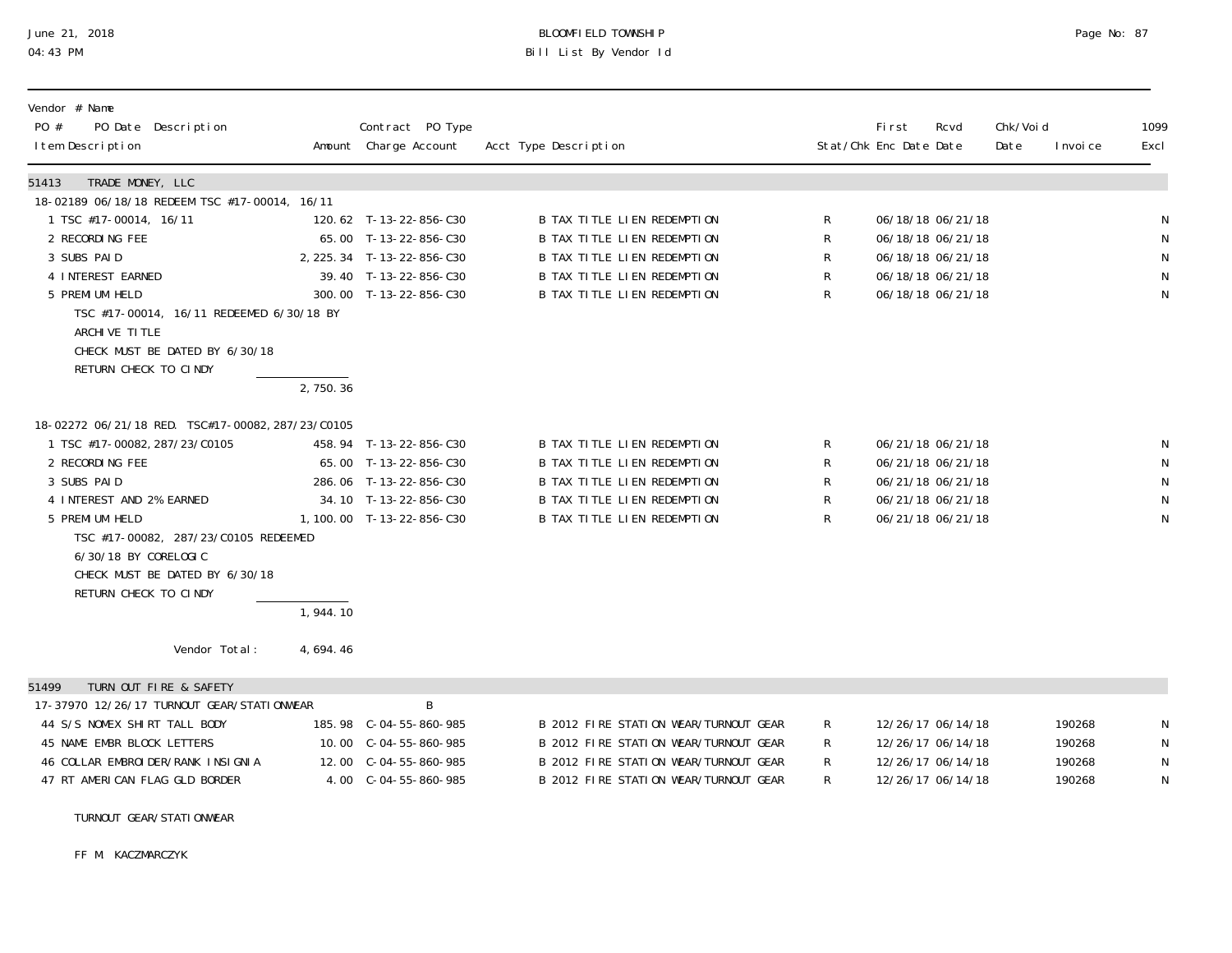# June 21, 2018 BLOOMFIELD TOWNSHIP Page 2018 Page No: 87 04:43 PM Bill List By Vendor Id

| Vendor # Name<br>PO #<br>PO Date Description<br>I tem Description                                                                                                                                                                                                                                               |                      | Contract PO Type<br>Amount Charge Account                                                                                       | Acct Type Description                                                                                                                                   |                                 | Fi rst<br>Stat/Chk Enc Date Date | Rcvd                                                                                                  | Chk/Voi d<br>Date | I nvoi ce | 1099<br>Excl                                                      |
|-----------------------------------------------------------------------------------------------------------------------------------------------------------------------------------------------------------------------------------------------------------------------------------------------------------------|----------------------|---------------------------------------------------------------------------------------------------------------------------------|---------------------------------------------------------------------------------------------------------------------------------------------------------|---------------------------------|----------------------------------|-------------------------------------------------------------------------------------------------------|-------------------|-----------|-------------------------------------------------------------------|
| TRADE MONEY, LLC<br>51413                                                                                                                                                                                                                                                                                       |                      |                                                                                                                                 |                                                                                                                                                         |                                 |                                  |                                                                                                       |                   |           |                                                                   |
| 18-02189 06/18/18 REDEEM TSC #17-00014, 16/11                                                                                                                                                                                                                                                                   |                      |                                                                                                                                 |                                                                                                                                                         |                                 |                                  |                                                                                                       |                   |           |                                                                   |
| 1 TSC #17-00014, 16/11                                                                                                                                                                                                                                                                                          |                      | 120.62 T-13-22-856-C30                                                                                                          | <b>B TAX TITLE LIEN REDEMPTION</b>                                                                                                                      | R                               |                                  | 06/18/18 06/21/18                                                                                     |                   |           | ${\sf N}$                                                         |
| 2 RECORDING FEE                                                                                                                                                                                                                                                                                                 |                      | 65.00 T-13-22-856-C30                                                                                                           | <b>B TAX TITLE LIEN REDEMPTION</b>                                                                                                                      | R                               |                                  | 06/18/18 06/21/18                                                                                     |                   |           | $\mathsf N$                                                       |
| 3 SUBS PAID                                                                                                                                                                                                                                                                                                     |                      | 2, 225. 34 T-13-22-856-C30                                                                                                      | <b>B TAX TITLE LIEN REDEMPTION</b>                                                                                                                      | R                               |                                  | 06/18/18 06/21/18                                                                                     |                   |           | ${\sf N}$<br>${\sf N}$                                            |
| 4 INTEREST EARNED<br>5 PREMI UM HELD                                                                                                                                                                                                                                                                            |                      | 39.40 T-13-22-856-C30<br>300.00 T-13-22-856-C30                                                                                 | B TAX TITLE LIEN REDEMPTION<br>B TAX TITLE LIEN REDEMPTION                                                                                              | R<br>R                          |                                  | 06/18/18 06/21/18<br>06/18/18 06/21/18                                                                |                   |           | $\mathsf N$                                                       |
| TSC #17-00014, 16/11 REDEEMED 6/30/18 BY                                                                                                                                                                                                                                                                        |                      |                                                                                                                                 |                                                                                                                                                         |                                 |                                  |                                                                                                       |                   |           |                                                                   |
| ARCHIVE TITLE                                                                                                                                                                                                                                                                                                   |                      |                                                                                                                                 |                                                                                                                                                         |                                 |                                  |                                                                                                       |                   |           |                                                                   |
| CHECK MUST BE DATED BY 6/30/18                                                                                                                                                                                                                                                                                  |                      |                                                                                                                                 |                                                                                                                                                         |                                 |                                  |                                                                                                       |                   |           |                                                                   |
| RETURN CHECK TO CINDY                                                                                                                                                                                                                                                                                           |                      |                                                                                                                                 |                                                                                                                                                         |                                 |                                  |                                                                                                       |                   |           |                                                                   |
|                                                                                                                                                                                                                                                                                                                 | 2,750.36             |                                                                                                                                 |                                                                                                                                                         |                                 |                                  |                                                                                                       |                   |           |                                                                   |
| 18-02272 06/21/18 RED. TSC#17-00082, 287/23/C0105<br>1 TSC #17-00082, 287/23/C0105<br>2 RECORDING FEE<br>3 SUBS PAID<br>4 INTEREST AND 2% EARNED<br>5 PREMI UM HELD<br>TSC #17-00082, 287/23/C0105 REDEEMED<br>6/30/18 BY CORELOGIC<br>CHECK MUST BE DATED BY 6/30/18<br>RETURN CHECK TO CINDY<br>Vendor Total: | 1,944.10<br>4,694.46 | 458.94 T-13-22-856-C30<br>65.00 T-13-22-856-C30<br>286.06 T-13-22-856-C30<br>34.10 T-13-22-856-C30<br>1, 100.00 T-13-22-856-C30 | B TAX TITLE LIEN REDEMPTION<br>B TAX TITLE LIEN REDEMPTION<br>B TAX TITLE LIEN REDEMPTION<br>B TAX TITLE LIEN REDEMPTION<br>B TAX TITLE LIEN REDEMPTION | $\mathsf R$<br>R<br>R<br>R<br>R |                                  | 06/21/18 06/21/18<br>06/21/18 06/21/18<br>06/21/18 06/21/18<br>06/21/18 06/21/18<br>06/21/18 06/21/18 |                   |           | ${\sf N}$<br>${\sf N}$<br>${\sf N}$<br>$\mathsf N$<br>$\mathsf N$ |
| TURN OUT FIRE & SAFETY<br>51499                                                                                                                                                                                                                                                                                 |                      |                                                                                                                                 |                                                                                                                                                         |                                 |                                  |                                                                                                       |                   |           |                                                                   |
| 17-37970 12/26/17 TURNOUT GEAR/STATIONWEAR                                                                                                                                                                                                                                                                      |                      | B                                                                                                                               |                                                                                                                                                         |                                 |                                  |                                                                                                       |                   |           |                                                                   |
| 44 S/S NOMEX SHIRT TALL BODY                                                                                                                                                                                                                                                                                    |                      | 185.98 C-04-55-860-985                                                                                                          | B 2012 FIRE STATION WEAR/TURNOUT GEAR                                                                                                                   | $\mathsf{R}^-$                  |                                  | 12/26/17 06/14/18                                                                                     |                   | 190268    | N                                                                 |
| 45 NAME EMBR BLOCK LETTERS                                                                                                                                                                                                                                                                                      |                      | 10.00 $C-04-55-860-985$                                                                                                         | B 2012 FIRE STATION WEAR/TURNOUT GEAR                                                                                                                   | R                               |                                  | 12/26/17 06/14/18                                                                                     |                   | 190268    | ${\sf N}$                                                         |
| 46 COLLAR EMBROI DER/RANK INSIGNIA                                                                                                                                                                                                                                                                              |                      | 12.00 C-04-55-860-985                                                                                                           | B 2012 FIRE STATION WEAR/TURNOUT GEAR                                                                                                                   | R                               |                                  | 12/26/17 06/14/18                                                                                     |                   | 190268    | $\mathsf N$                                                       |
| 47 RT AMERICAN FLAG GLD BORDER                                                                                                                                                                                                                                                                                  |                      | 4.00 C-04-55-860-985                                                                                                            | B 2012 FIRE STATION WEAR/TURNOUT GEAR                                                                                                                   | R                               |                                  | 12/26/17 06/14/18                                                                                     |                   | 190268    | $\mathsf N$                                                       |

#### TURNOUT GEAR/STATIONWEAR

FF M. KACZMARCZYK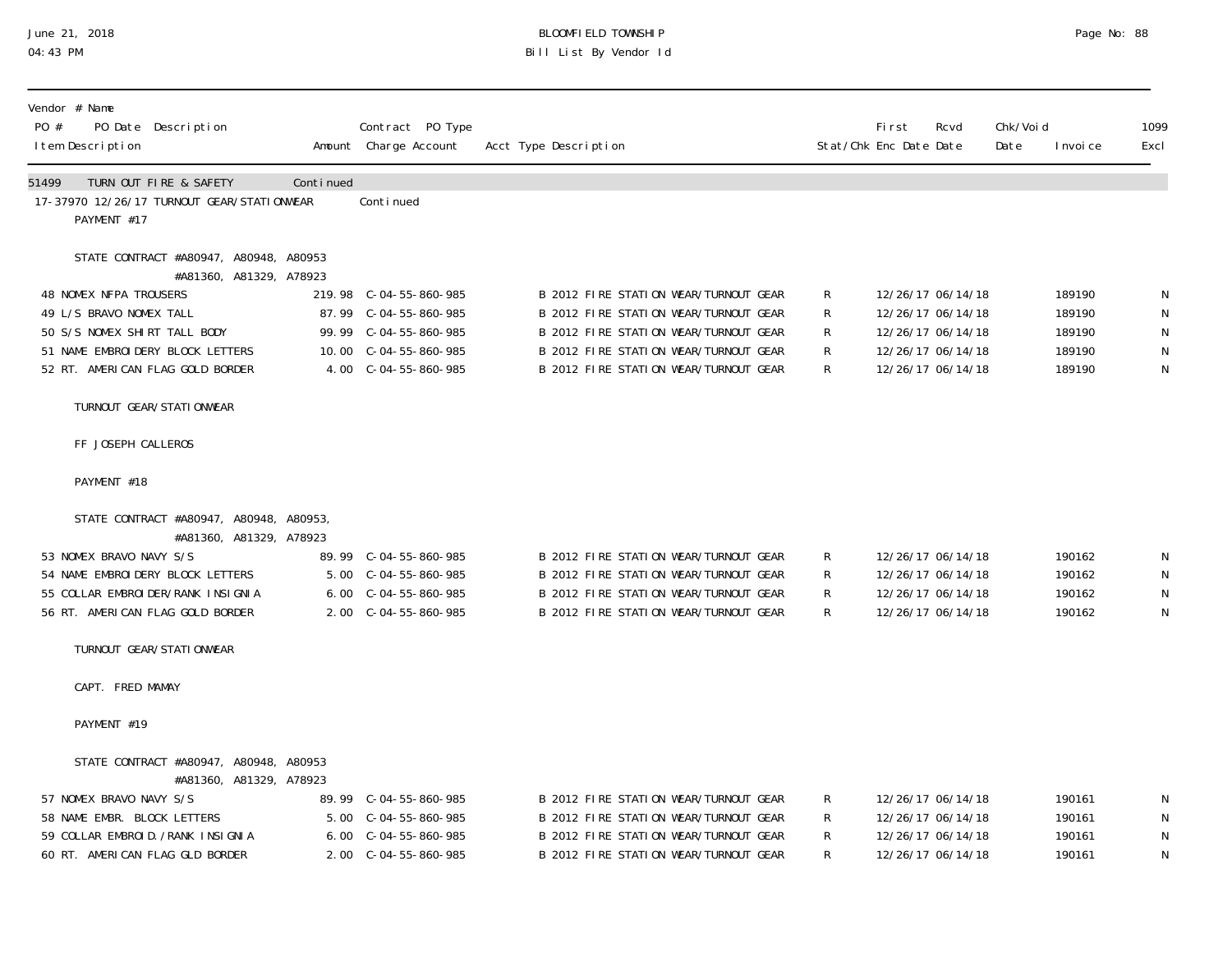#### June 21, 2018 BLOOMFIELD TOWNSHIP Page 2018 Page No: 88 04:43 PM Bill List By Vendor Id

| PO #  | Vendor # Name<br>PO Date Description<br>I tem Description                                                                                                                                                                      |           | Contract PO Type<br>Amount Charge Account                                                                                   | Acct Type Description                                                                                                                                                                                     |                         | First<br>Stat/Chk Enc Date Date                                                                       | Rcvd | Chk/Voi d<br>Date | I nvoi ce                                      | 1099<br>Excl          |
|-------|--------------------------------------------------------------------------------------------------------------------------------------------------------------------------------------------------------------------------------|-----------|-----------------------------------------------------------------------------------------------------------------------------|-----------------------------------------------------------------------------------------------------------------------------------------------------------------------------------------------------------|-------------------------|-------------------------------------------------------------------------------------------------------|------|-------------------|------------------------------------------------|-----------------------|
| 51499 | TURN OUT FIRE & SAFETY<br>17-37970 12/26/17 TURNOUT GEAR/STATIONWEAR<br>PAYMENT #17                                                                                                                                            | Continued | Continued                                                                                                                   |                                                                                                                                                                                                           |                         |                                                                                                       |      |                   |                                                |                       |
|       | STATE CONTRACT #A80947, A80948, A80953<br>#A81360, A81329, A78923<br>48 NOMEX NFPA TROUSERS<br>49 L/S BRAVO NOMEX TALL<br>50 S/S NOMEX SHIRT TALL BODY<br>51 NAME EMBROIDERY BLOCK LETTERS<br>52 RT. AMERICAN FLAG GOLD BORDER |           | 219.98 C-04-55-860-985<br>87.99 C-04-55-860-985<br>99.99 C-04-55-860-985<br>10.00 $C-04-55-860-985$<br>4.00 C-04-55-860-985 | B 2012 FIRE STATION WEAR/TURNOUT GEAR<br>B 2012 FIRE STATION WEAR/TURNOUT GEAR<br>B 2012 FIRE STATION WEAR/TURNOUT GEAR<br>B 2012 FIRE STATION WEAR/TURNOUT GEAR<br>B 2012 FIRE STATION WEAR/TURNOUT GEAR | R.<br>R<br>R<br>R<br>R. | 12/26/17 06/14/18<br>12/26/17 06/14/18<br>12/26/17 06/14/18<br>12/26/17 06/14/18<br>12/26/17 06/14/18 |      |                   | 189190<br>189190<br>189190<br>189190<br>189190 | N<br>N<br>N<br>N<br>N |
|       | TURNOUT GEAR/STATI ONWEAR                                                                                                                                                                                                      |           |                                                                                                                             |                                                                                                                                                                                                           |                         |                                                                                                       |      |                   |                                                |                       |
|       | FF JOSEPH CALLEROS                                                                                                                                                                                                             |           |                                                                                                                             |                                                                                                                                                                                                           |                         |                                                                                                       |      |                   |                                                |                       |
|       | PAYMENT #18                                                                                                                                                                                                                    |           |                                                                                                                             |                                                                                                                                                                                                           |                         |                                                                                                       |      |                   |                                                |                       |
|       | STATE CONTRACT #A80947, A80948, A80953,<br>#A81360, A81329, A78923<br>53 NOMEX BRAVO NAVY S/S<br>54 NAME EMBROIDERY BLOCK LETTERS<br>55 COLLAR EMBROI DER/RANK INSIGNIA<br>56 RT. AMERICAN FLAG GOLD BORDER                    |           | 89.99 C-04-55-860-985<br>5.00 C-04-55-860-985<br>6.00 C-04-55-860-985<br>2.00 C-04-55-860-985                               | B 2012 FIRE STATION WEAR/TURNOUT GEAR<br>B 2012 FIRE STATION WEAR/TURNOUT GEAR<br>B 2012 FIRE STATION WEAR/TURNOUT GEAR<br>B 2012 FIRE STATION WEAR/TURNOUT GEAR                                          | R<br>R<br>R<br>R.       | 12/26/17 06/14/18<br>12/26/17 06/14/18<br>12/26/17 06/14/18<br>12/26/17 06/14/18                      |      |                   | 190162<br>190162<br>190162<br>190162           | N<br>N<br>N<br>N      |
|       | TURNOUT GEAR/STATI ONWEAR                                                                                                                                                                                                      |           |                                                                                                                             |                                                                                                                                                                                                           |                         |                                                                                                       |      |                   |                                                |                       |
|       | CAPT. FRED MAMAY                                                                                                                                                                                                               |           |                                                                                                                             |                                                                                                                                                                                                           |                         |                                                                                                       |      |                   |                                                |                       |
|       | PAYMENT #19                                                                                                                                                                                                                    |           |                                                                                                                             |                                                                                                                                                                                                           |                         |                                                                                                       |      |                   |                                                |                       |
|       | STATE CONTRACT #A80947, A80948, A80953<br>#A81360, A81329, A78923<br>57 NOMEX BRAVO NAVY S/S<br>58 NAME EMBR. BLOCK LETTERS<br>59 COLLAR EMBROID. / RANK INSIGNIA<br>60 RT. AMERICAN FLAG GLD BORDER                           |           | 89.99 C-04-55-860-985<br>6.00 C-04-55-860-985<br>2.00 C-04-55-860-985                                                       | B 2012 FIRE STATION WEAR/TURNOUT GEAR<br>B 2012 FIRE STATION WEAR/TURNOUT GEAR<br>B 2012 FIRE STATION WEAR/TURNOUT GEAR<br>B 2012 FIRE STATION WEAR/TURNOUT GEAR                                          | R<br>R<br>R             | 12/26/17 06/14/18<br>12/26/17 06/14/18<br>12/26/17 06/14/18<br>12/26/17 06/14/18                      |      |                   | 190161<br>190161<br>190161<br>190161           | N<br>N<br>N<br>N      |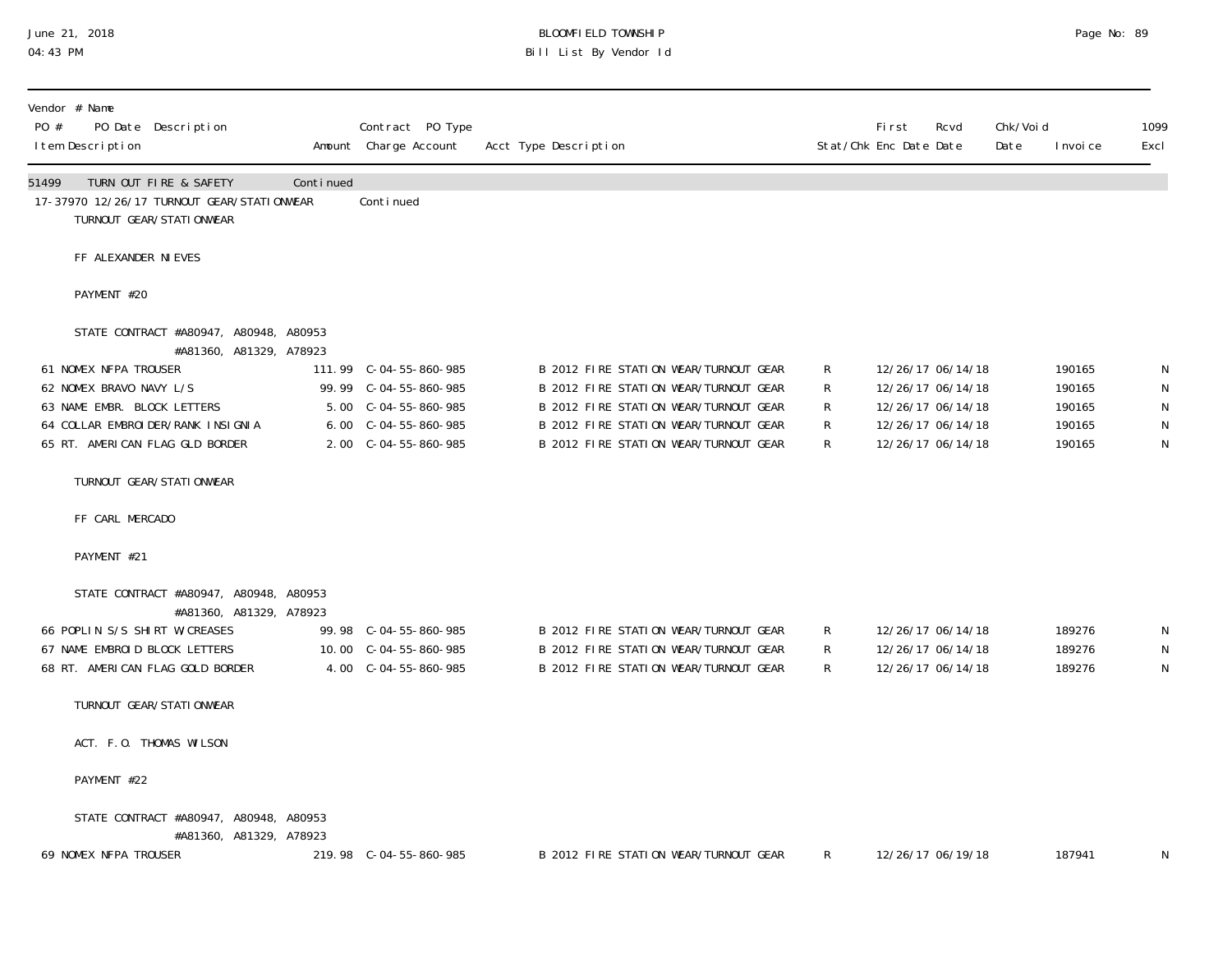#### June 21, 2018 BLOOMFIELD TOWNSHIP Page 2018 Page No: 89 04:43 PM Bill List By Vendor Id

| Vendor # Name<br>PO # | PO Date Description<br>I tem Description                                                                                                                                |           | Contract PO Type<br>Amount Charge Account                                                     | Acct Type Description                                                                                                                                                                                     |                                       | <b>First</b><br>Stat/Chk Enc Date Date                                                                | Rcvd | Chk/Voi d<br>Date | I nvoi ce                                      | 1099<br>Excl                                               |
|-----------------------|-------------------------------------------------------------------------------------------------------------------------------------------------------------------------|-----------|-----------------------------------------------------------------------------------------------|-----------------------------------------------------------------------------------------------------------------------------------------------------------------------------------------------------------|---------------------------------------|-------------------------------------------------------------------------------------------------------|------|-------------------|------------------------------------------------|------------------------------------------------------------|
| 51499                 | TURN OUT FIRE & SAFETY<br>17-37970 12/26/17 TURNOUT GEAR/STATIONWEAR<br>TURNOUT GEAR/STATI ONWEAR                                                                       | Continued | Conti nued                                                                                    |                                                                                                                                                                                                           |                                       |                                                                                                       |      |                   |                                                |                                                            |
|                       | FF ALEXANDER NI EVES                                                                                                                                                    |           |                                                                                               |                                                                                                                                                                                                           |                                       |                                                                                                       |      |                   |                                                |                                                            |
|                       | PAYMENT #20                                                                                                                                                             |           |                                                                                               |                                                                                                                                                                                                           |                                       |                                                                                                       |      |                   |                                                |                                                            |
|                       | STATE CONTRACT #A80947, A80948, A80953<br>#A81360, A81329, A78923                                                                                                       |           |                                                                                               |                                                                                                                                                                                                           |                                       |                                                                                                       |      |                   |                                                |                                                            |
|                       | 61 NOMEX NFPA TROUSER<br>62 NOMEX BRAVO NAVY L/S<br>63 NAME EMBR. BLOCK LETTERS<br>64 COLLAR EMBROI DER/RANK INSIGNIA<br>65 RT. AMERICAN FLAG GLD BORDER                |           | 99.99 C-04-55-860-985<br>5.00 C-04-55-860-985<br>6.00 C-04-55-860-985<br>2.00 C-04-55-860-985 | B 2012 FIRE STATION WEAR/TURNOUT GEAR<br>B 2012 FIRE STATION WEAR/TURNOUT GEAR<br>B 2012 FIRE STATION WEAR/TURNOUT GEAR<br>B 2012 FIRE STATION WEAR/TURNOUT GEAR<br>B 2012 FIRE STATION WEAR/TURNOUT GEAR | R.<br>R<br>R<br>R<br>R.               | 12/26/17 06/14/18<br>12/26/17 06/14/18<br>12/26/17 06/14/18<br>12/26/17 06/14/18<br>12/26/17 06/14/18 |      |                   | 190165<br>190165<br>190165<br>190165<br>190165 | N<br>${\sf N}$<br>$\mathsf N$<br>${\sf N}$<br>$\mathsf{N}$ |
|                       | TURNOUT GEAR/STATI ONWEAR                                                                                                                                               |           |                                                                                               |                                                                                                                                                                                                           |                                       |                                                                                                       |      |                   |                                                |                                                            |
|                       | FF CARL MERCADO                                                                                                                                                         |           |                                                                                               |                                                                                                                                                                                                           |                                       |                                                                                                       |      |                   |                                                |                                                            |
|                       | PAYMENT #21                                                                                                                                                             |           |                                                                                               |                                                                                                                                                                                                           |                                       |                                                                                                       |      |                   |                                                |                                                            |
|                       | STATE CONTRACT #A80947, A80948, A80953<br>#A81360, A81329, A78923<br>66 POPLIN S/S SHIRT W/CREASES<br>67 NAME EMBROID BLOCK LETTERS<br>68 RT. AMERICAN FLAG GOLD BORDER |           | 99.98 C-04-55-860-985<br>10.00 C-04-55-860-985<br>4.00 C-04-55-860-985                        | B 2012 FIRE STATION WEAR/TURNOUT GEAR<br>B 2012 FIRE STATION WEAR/TURNOUT GEAR<br>B 2012 FIRE STATION WEAR/TURNOUT GEAR                                                                                   | $\mathsf{R}^-$<br>$\mathsf{R}^-$<br>R | 12/26/17 06/14/18<br>12/26/17 06/14/18<br>12/26/17 06/14/18                                           |      |                   | 189276<br>189276<br>189276                     | N<br>${\sf N}$<br>$\mathsf N$                              |
|                       | TURNOUT GEAR/STATI ONWEAR                                                                                                                                               |           |                                                                                               |                                                                                                                                                                                                           |                                       |                                                                                                       |      |                   |                                                |                                                            |
|                       | ACT. F.O. THOMAS WILSON                                                                                                                                                 |           |                                                                                               |                                                                                                                                                                                                           |                                       |                                                                                                       |      |                   |                                                |                                                            |
|                       | PAYMENT #22                                                                                                                                                             |           |                                                                                               |                                                                                                                                                                                                           |                                       |                                                                                                       |      |                   |                                                |                                                            |
|                       | STATE CONTRACT #A80947, A80948, A80953<br>#A81360, A81329, A78923<br>69 NOMEX NFPA TROUSER                                                                              |           | 219.98 C-04-55-860-985                                                                        | B 2012 FIRE STATION WEAR/TURNOUT GEAR                                                                                                                                                                     | R                                     | 12/26/17 06/19/18                                                                                     |      |                   | 187941                                         | N                                                          |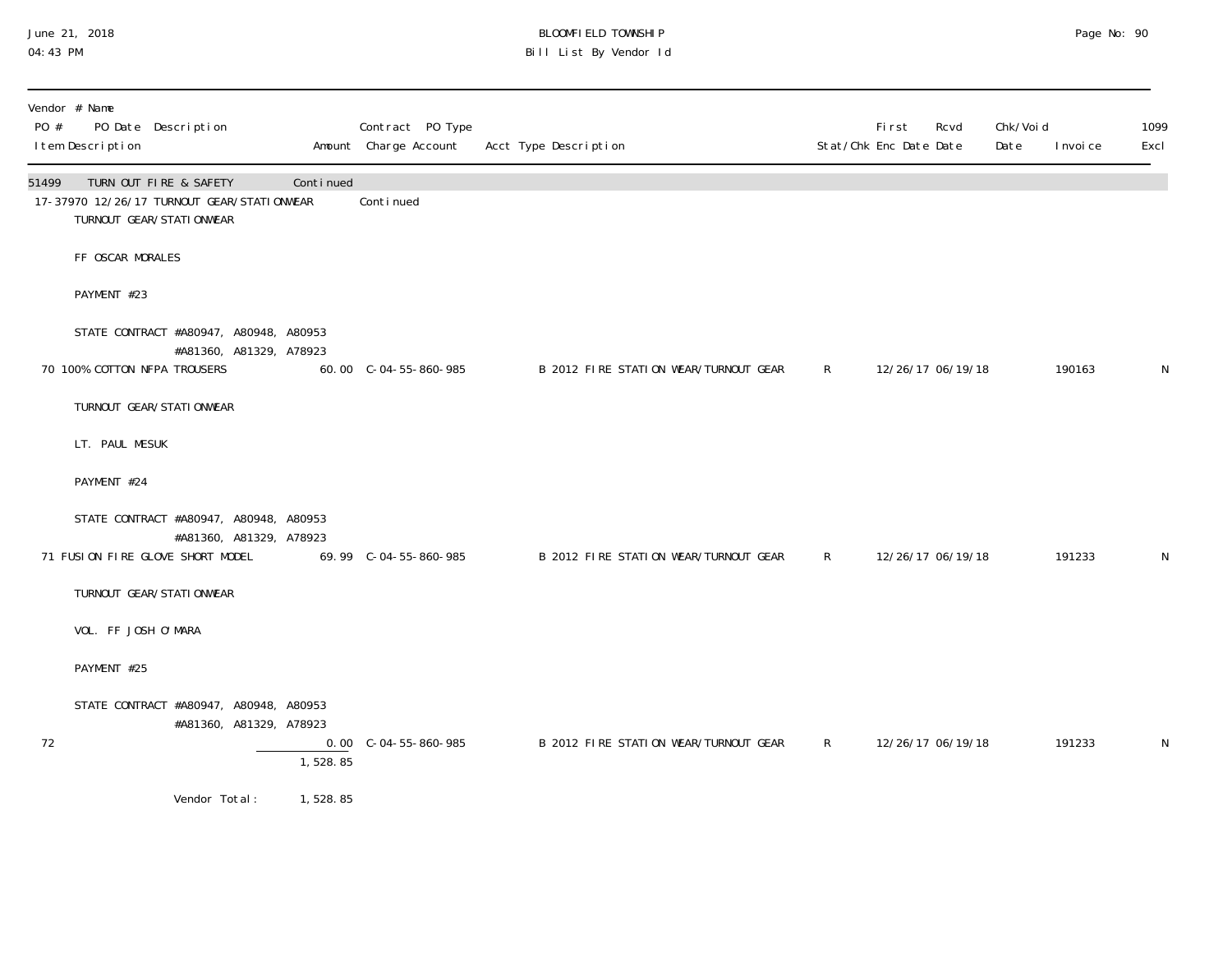#### June 21, 2018 BLOOMFIELD TOWNSHIP Page 2018 Page No: 90 04:43 PM Bill List By Vendor Id

| Vendor # Name<br>PO #<br>PO Date Description<br>I tem Description                                          |                         |           | Contract PO Type<br>Amount Charge Account | Acct Type Description                 |          | <b>First</b><br>Stat/Chk Enc Date Date | Rcvd | Chk/Voi d<br>Date | I nvoi ce | 1099<br>Excl |
|------------------------------------------------------------------------------------------------------------|-------------------------|-----------|-------------------------------------------|---------------------------------------|----------|----------------------------------------|------|-------------------|-----------|--------------|
| TURN OUT FIRE & SAFETY<br>51499<br>17-37970 12/26/17 TURNOUT GEAR/STATIONWEAR<br>TURNOUT GEAR/STATI ONWEAR |                         | Continued | Continued                                 |                                       |          |                                        |      |                   |           |              |
| FF OSCAR MORALES                                                                                           |                         |           |                                           |                                       |          |                                        |      |                   |           |              |
| PAYMENT #23                                                                                                |                         |           |                                           |                                       |          |                                        |      |                   |           |              |
| STATE CONTRACT #A80947, A80948, A80953                                                                     |                         |           |                                           |                                       |          |                                        |      |                   |           |              |
| 70 100% COTTON NFPA TROUSERS                                                                               | #A81360, A81329, A78923 |           | 60.00 C-04-55-860-985                     | B 2012 FIRE STATION WEAR/TURNOUT GEAR | $R \sim$ | 12/26/17 06/19/18                      |      |                   | 190163    | N            |
| TURNOUT GEAR/STATI ONWEAR                                                                                  |                         |           |                                           |                                       |          |                                        |      |                   |           |              |
| LT. PAUL MESUK                                                                                             |                         |           |                                           |                                       |          |                                        |      |                   |           |              |
| PAYMENT #24                                                                                                |                         |           |                                           |                                       |          |                                        |      |                   |           |              |
| STATE CONTRACT #A80947, A80948, A80953                                                                     |                         |           |                                           |                                       |          |                                        |      |                   |           |              |
| 71 FUSION FIRE GLOVE SHORT MODEL                                                                           | #A81360, A81329, A78923 |           |                                           | B 2012 FIRE STATION WEAR/TURNOUT GEAR | $R \sim$ | 12/26/17 06/19/18                      |      |                   | 191233    | N            |
| TURNOUT GEAR/STATI ONWEAR                                                                                  |                         |           |                                           |                                       |          |                                        |      |                   |           |              |
| VOL. FF JOSH O'MARA                                                                                        |                         |           |                                           |                                       |          |                                        |      |                   |           |              |
| PAYMENT #25                                                                                                |                         |           |                                           |                                       |          |                                        |      |                   |           |              |
| STATE CONTRACT #A80947, A80948, A80953<br>72                                                               | #A81360, A81329, A78923 | 1,528.85  | $0.00 \quad C - 04 - 55 - 860 - 985$      | B 2012 FIRE STATION WEAR/TURNOUT GEAR | $R \sim$ | 12/26/17 06/19/18                      |      |                   | 191233    | N            |
| Vendor Total:                                                                                              |                         | 1,528.85  |                                           |                                       |          |                                        |      |                   |           |              |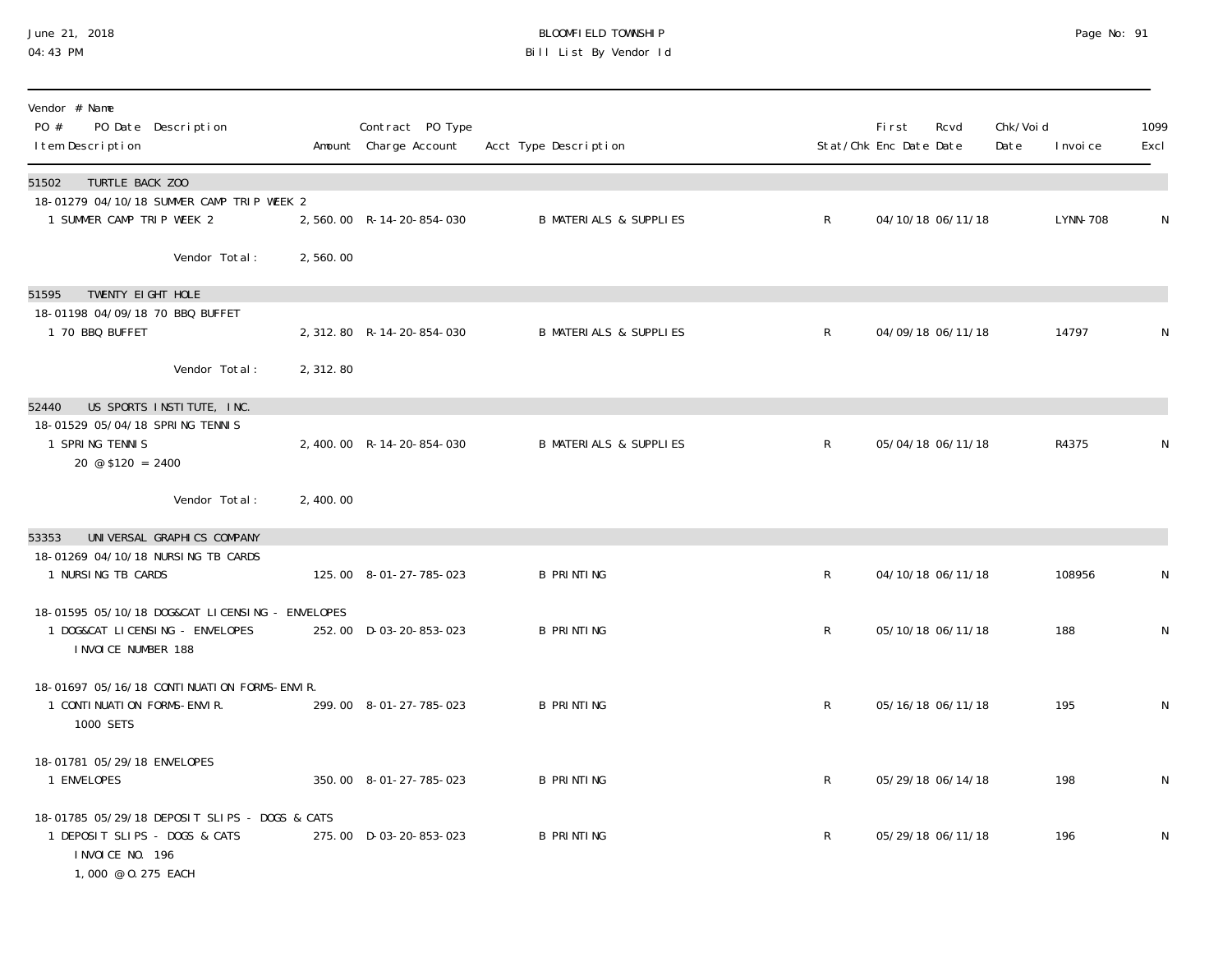#### June 21, 2018 BLOOMFIELD TOWNSHIP Page 2018 Page No: 91 04:43 PM Bill List By Vendor Id

| Vendor # Name<br>PO #<br>PO Date Description<br>I tem Description                                                         |          | Contract PO Type<br>Amount Charge Account | Acct Type Description             |              | <b>First</b><br>Stat/Chk Enc Date Date | Rcvd              | Chk/Voi d<br>Date | I nvoi ce | 1099<br>Excl |
|---------------------------------------------------------------------------------------------------------------------------|----------|-------------------------------------------|-----------------------------------|--------------|----------------------------------------|-------------------|-------------------|-----------|--------------|
| 51502<br>TURTLE BACK ZOO<br>18-01279 04/10/18 SUMMER CAMP TRIP WEEK 2                                                     |          |                                           |                                   |              |                                        |                   |                   |           |              |
| 1 SUMMER CAMP TRIP WEEK 2                                                                                                 |          | 2,560.00 R-14-20-854-030                  | <b>B MATERIALS &amp; SUPPLIES</b> | $\mathsf{R}$ |                                        | 04/10/18 06/11/18 |                   | LYNN-708  | N            |
| Vendor Total:                                                                                                             | 2,560.00 |                                           |                                   |              |                                        |                   |                   |           |              |
| TWENTY EIGHT HOLE<br>51595                                                                                                |          |                                           |                                   |              |                                        |                   |                   |           |              |
| 18-01198 04/09/18 70 BBQ BUFFET<br>1 70 BBQ BUFFET                                                                        |          | 2, 312.80 R-14-20-854-030                 | <b>B MATERIALS &amp; SUPPLIES</b> | $\mathsf{R}$ |                                        | 04/09/18 06/11/18 |                   | 14797     |              |
| Vendor Total:                                                                                                             | 2,312.80 |                                           |                                   |              |                                        |                   |                   |           |              |
| US SPORTS INSTITUTE, INC.<br>52440                                                                                        |          |                                           |                                   |              |                                        |                   |                   |           |              |
| 18-01529 05/04/18 SPRING TENNIS<br>1 SPRING TENNIS<br>$20 \text{ } \textcircled{} \textcircled{} \text{ } $120 = 2400$    |          | 2,400.00 R-14-20-854-030                  | <b>B MATERIALS &amp; SUPPLIES</b> | $\mathsf{R}$ |                                        | 05/04/18 06/11/18 |                   | R4375     |              |
| Vendor Total:                                                                                                             | 2,400.00 |                                           |                                   |              |                                        |                   |                   |           |              |
| UNIVERSAL GRAPHICS COMPANY<br>53353                                                                                       |          |                                           |                                   |              |                                        |                   |                   |           |              |
| 18-01269 04/10/18 NURSING TB CARDS<br>1 NURSING TB CARDS                                                                  |          | 125.00 8-01-27-785-023                    | <b>B PRINTING</b>                 | $\mathsf R$  |                                        | 04/10/18 06/11/18 |                   | 108956    | N            |
| 18-01595 05/10/18 DOG&CAT LICENSING - ENVELOPES<br>1 DOG&CAT LICENSING - ENVELOPES<br>I NVOI CE NUMBER 188                |          | 252.00 D-03-20-853-023                    | <b>B PRINTING</b>                 | $\mathsf{R}$ |                                        | 05/10/18 06/11/18 |                   | 188       | N            |
| 18-01697 05/16/18 CONTINUATION FORMS-ENVIR.<br>1 CONTINUATION FORMS-ENVIR.<br>1000 SETS                                   |          | 299.00 8-01-27-785-023                    | <b>B PRINTING</b>                 | $\mathsf{R}$ |                                        | 05/16/18 06/11/18 |                   | 195       | N            |
| 18-01781 05/29/18 ENVELOPES<br>1 ENVELOPES                                                                                |          | 350.00 8-01-27-785-023                    | <b>B PRINTING</b>                 | R            |                                        | 05/29/18 06/14/18 |                   | 198       | N            |
| 18-01785 05/29/18 DEPOSIT SLIPS - DOGS & CATS<br>1 DEPOSIT SLIPS - DOGS & CATS<br>I NVOI CE NO. 196<br>1,000 @ 0.275 EACH |          | 275.00 D-03-20-853-023                    | <b>B PRINTING</b>                 | $\mathsf{R}$ |                                        | 05/29/18 06/11/18 |                   | 196       | N            |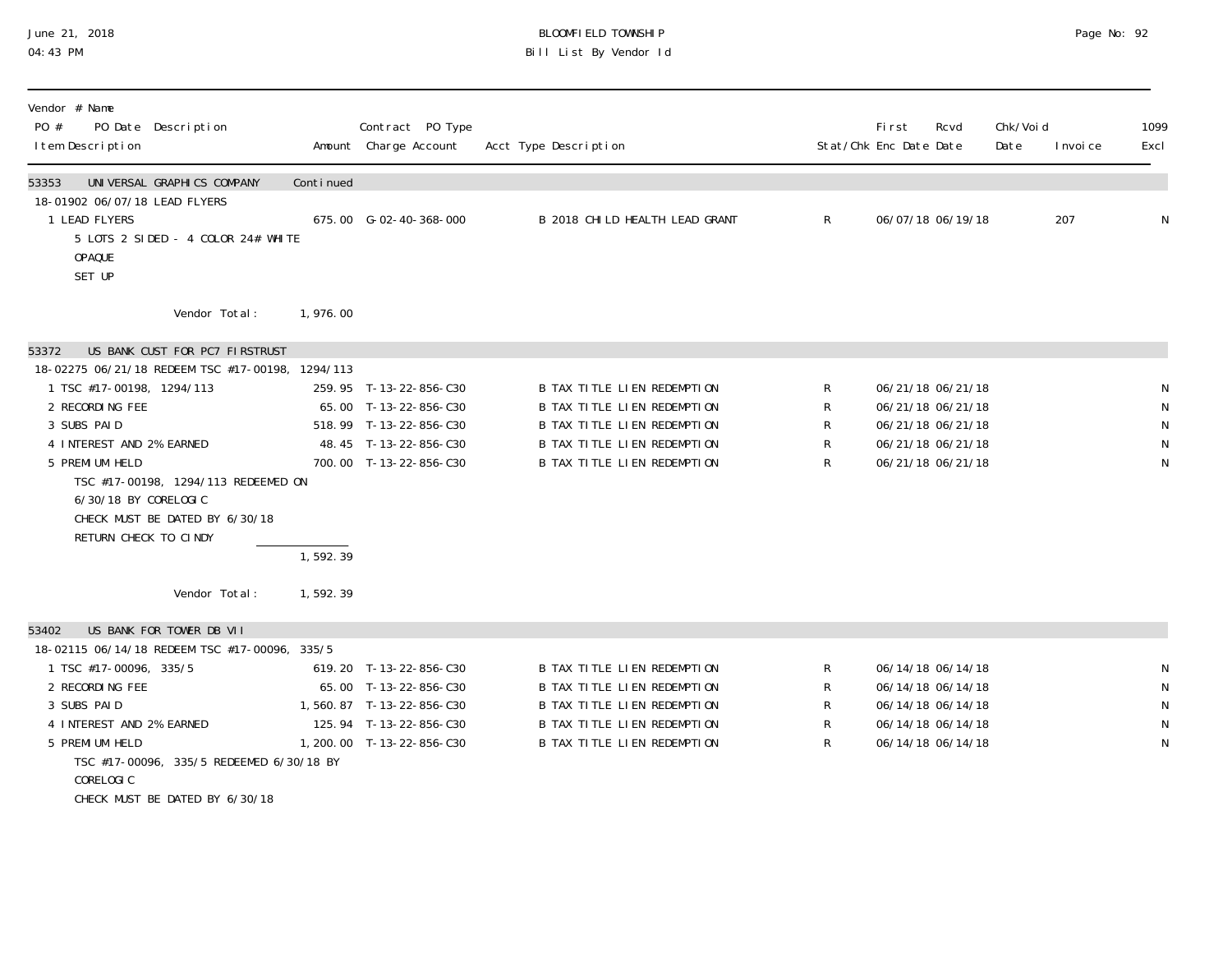#### June 21, 2018 BLOOMFIELD TOWNSHIP Page 2018 Page No: 92 04:43 PM Bill List By Vendor Id

| UNIVERSAL GRAPHICS COMPANY<br>Continued<br>53353<br>18-01902 06/07/18 LEAD FLYERS<br>207<br>1 LEAD FLYERS<br>B 2018 CHI LD HEALTH LEAD GRANT<br>R.<br>06/07/18 06/19/18<br>675.00 G-02-40-368-000<br>5 LOTS 2 SIDED - 4 COLOR 24# WHITE<br><b>OPAQUE</b><br>SET UP<br>Vendor Total:<br>1,976.00<br>US BANK CUST FOR PC7 FIRSTRUST<br>53372<br>18-02275 06/21/18 REDEEM TSC #17-00198, 1294/113 | 1099<br>Excl |
|------------------------------------------------------------------------------------------------------------------------------------------------------------------------------------------------------------------------------------------------------------------------------------------------------------------------------------------------------------------------------------------------|--------------|
|                                                                                                                                                                                                                                                                                                                                                                                                |              |
|                                                                                                                                                                                                                                                                                                                                                                                                | N            |
|                                                                                                                                                                                                                                                                                                                                                                                                |              |
|                                                                                                                                                                                                                                                                                                                                                                                                |              |
|                                                                                                                                                                                                                                                                                                                                                                                                |              |
| 1 TSC #17-00198, 1294/113<br>259.95 T-13-22-856-C30<br>B TAX TITLE LIEN REDEMPTION<br>R<br>06/21/18 06/21/18                                                                                                                                                                                                                                                                                   | N            |
| 2 RECORDING FEE<br>R<br>65.00 T-13-22-856-C30<br>B TAX TITLE LIEN REDEMPTION<br>06/21/18 06/21/18                                                                                                                                                                                                                                                                                              | $\mathsf N$  |
| ${\sf R}$<br>3 SUBS PAID<br>518.99 T-13-22-856-C30<br>B TAX TITLE LIEN REDEMPTION<br>06/21/18 06/21/18                                                                                                                                                                                                                                                                                         | $\mathsf{N}$ |
| R<br>4 INTEREST AND 2% EARNED<br>48.45 T-13-22-856-C30<br>B TAX TITLE LIEN REDEMPTION<br>06/21/18 06/21/18                                                                                                                                                                                                                                                                                     | ${\sf N}$    |
| 5 PREMI UM HELD<br><b>B TAX TITLE LIEN REDEMPTION</b><br>R<br>700.00 T-13-22-856-C30<br>06/21/18 06/21/18<br>TSC #17-00198, 1294/113 REDEEMED ON<br>6/30/18 BY CORELOGIC<br>CHECK MUST BE DATED BY 6/30/18<br>RETURN CHECK TO CINDY                                                                                                                                                            | ${\sf N}$    |
| 1, 592.39                                                                                                                                                                                                                                                                                                                                                                                      |              |
| Vendor Total:<br>1,592.39                                                                                                                                                                                                                                                                                                                                                                      |              |
| US BANK FOR TOWER DB VII<br>53402                                                                                                                                                                                                                                                                                                                                                              |              |
| 18-02115 06/14/18 REDEEM TSC #17-00096, 335/5                                                                                                                                                                                                                                                                                                                                                  |              |
| 619.20 T-13-22-856-C30<br>B TAX TITLE LIEN REDEMPTION<br>R<br>06/14/18 06/14/18<br>1 TSC #17-00096, 335/5                                                                                                                                                                                                                                                                                      | N            |
| R<br>2 RECORDING FEE<br>65.00 T-13-22-856-C30<br>B TAX TITLE LIEN REDEMPTION<br>06/14/18 06/14/18                                                                                                                                                                                                                                                                                              | ${\sf N}$    |
| R<br>3 SUBS PAID<br>B TAX TITLE LIEN REDEMPTION<br>1,560.87 T-13-22-856-C30<br>06/14/18 06/14/18                                                                                                                                                                                                                                                                                               | ${\sf N}$    |
| $\mathsf R$<br>4 INTEREST AND 2% EARNED<br>B TAX TITLE LIEN REDEMPTION<br>125.94 T-13-22-856-C30<br>06/14/18 06/14/18                                                                                                                                                                                                                                                                          | $\mathsf N$  |
| R<br>5 PREMI UM HELD<br>B TAX TITLE LIEN REDEMPTION<br>1, 200. 00 T-13-22-856-C30<br>06/14/18 06/14/18                                                                                                                                                                                                                                                                                         | N            |
| TSC #17-00096, 335/5 REDEEMED 6/30/18 BY                                                                                                                                                                                                                                                                                                                                                       |              |
| CORELOGIC<br>CHECK MUST BE DATED BY 6/30/18                                                                                                                                                                                                                                                                                                                                                    |              |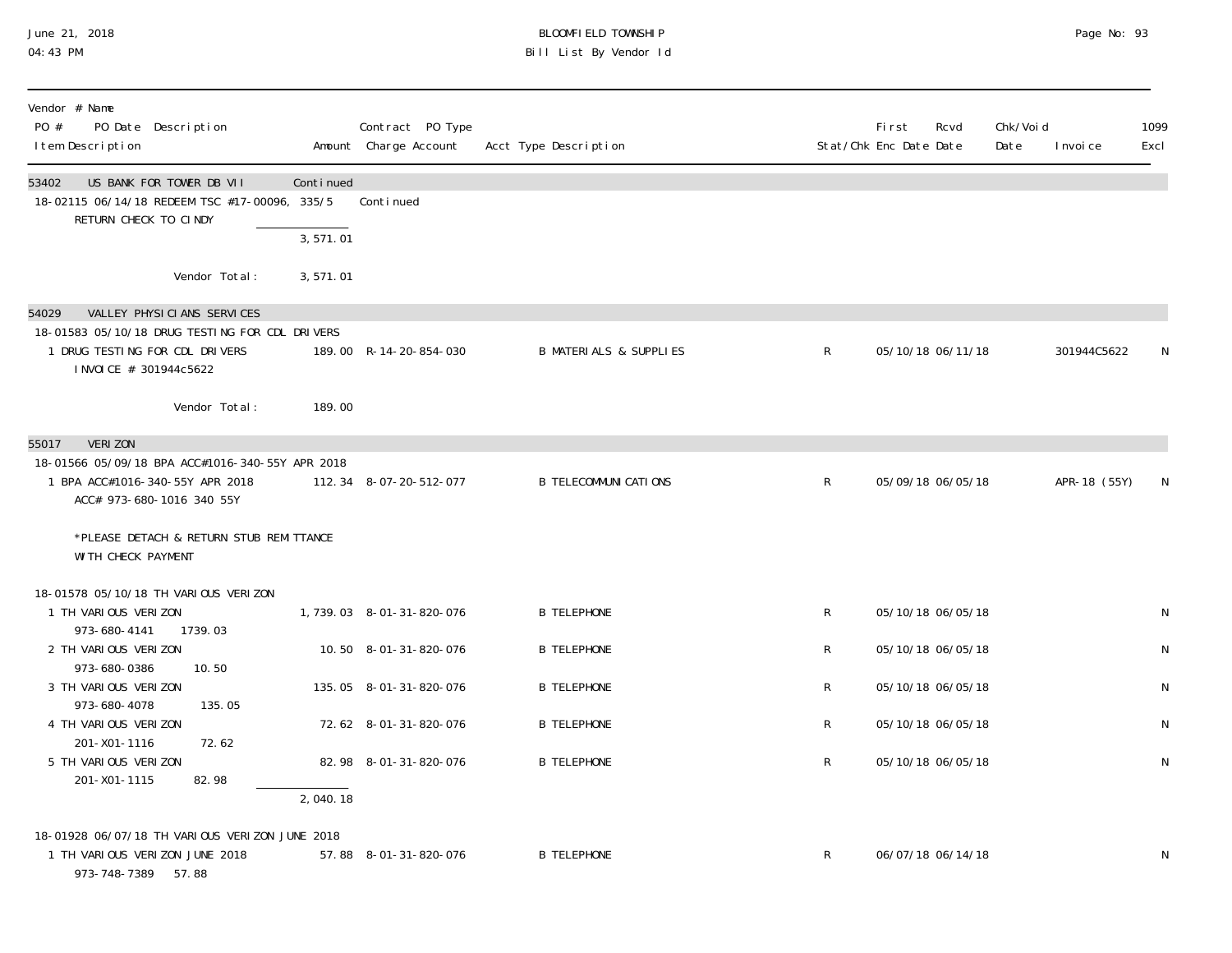#### June 21, 2018 BLOOMFIELD TOWNSHIP Page 2018 Page No: 93 04:43 PM Bill List By Vendor Id

| Vendor # Name<br>PO #<br>PO Date Description<br>I tem Description                                                                                                                                            |                        | Contract PO Type<br>Amount Charge Account | Acct Type Description             |              | First<br>Rcvd<br>Stat/Chk Enc Date Date | Chk/Voi d<br>Date | I nvoi ce    | 1099<br>Excl |
|--------------------------------------------------------------------------------------------------------------------------------------------------------------------------------------------------------------|------------------------|-------------------------------------------|-----------------------------------|--------------|-----------------------------------------|-------------------|--------------|--------------|
| US BANK FOR TOWER DB VII<br>53402<br>18-02115 06/14/18 REDEEM TSC #17-00096, 335/5<br>RETURN CHECK TO CINDY                                                                                                  | Continued<br>3, 571.01 | Continued                                 |                                   |              |                                         |                   |              |              |
| Vendor Total:                                                                                                                                                                                                | 3,571.01               |                                           |                                   |              |                                         |                   |              |              |
| VALLEY PHYSICIANS SERVICES<br>54029<br>18-01583 05/10/18 DRUG TESTING FOR CDL DRIVERS<br>1 DRUG TESTING FOR CDL DRIVERS<br>INVOICE # 301944c5622                                                             |                        | 189.00 R-14-20-854-030                    | <b>B MATERIALS &amp; SUPPLIES</b> | $\mathsf{R}$ | 05/10/18 06/11/18                       |                   | 301944C5622  |              |
| Vendor Total:                                                                                                                                                                                                | 189.00                 |                                           |                                   |              |                                         |                   |              |              |
| <b>VERIZON</b><br>55017<br>18-01566 05/09/18 BPA ACC#1016-340-55Y APR 2018<br>1 BPA ACC#1016-340-55Y APR 2018<br>ACC# 973-680-1016 340 55Y<br>*PLEASE DETACH & RETURN STUB REMITTANCE<br>WI TH CHECK PAYMENT |                        | 112.34 8-07-20-512-077                    | <b>B TELECOMMUNI CATIONS</b>      | R            | 05/09/18 06/05/18                       |                   | APR-18 (55Y) | N            |
| 18-01578 05/10/18 TH VARIOUS VERIZON<br>1 TH VARIOUS VERIZON<br>973-680-4141<br>1739.03                                                                                                                      |                        | 1,739.03 8-01-31-820-076                  | <b>B TELEPHONE</b>                | $\mathsf{R}$ | 05/10/18 06/05/18                       |                   |              | N            |
| 2 TH VARIOUS VERIZON<br>973-680-0386<br>10.50                                                                                                                                                                |                        | 10.50 8-01-31-820-076                     | <b>B TELEPHONE</b>                | $\mathsf{R}$ | 05/10/18 06/05/18                       |                   |              | N            |
| 3 TH VARIOUS VERIZON                                                                                                                                                                                         |                        | 135.05 8-01-31-820-076                    | <b>B TELEPHONE</b>                | R            | 05/10/18 06/05/18                       |                   |              | N            |
| 973-680-4078<br>135.05<br>4 TH VARIOUS VERIZON                                                                                                                                                               |                        | 72.62 8-01-31-820-076                     | <b>B TELEPHONE</b>                | $\mathsf{R}$ | 05/10/18 06/05/18                       |                   |              | N            |
| 201-X01-1116<br>72.62<br>5 TH VARIOUS VERIZON<br>201-X01-1115<br>82.98                                                                                                                                       | 2,040.18               | 82.98 8-01-31-820-076                     | <b>B TELEPHONE</b>                | $\mathsf R$  | 05/10/18 06/05/18                       |                   |              | N            |
| 18-01928 06/07/18 TH VARIOUS VERIZON JUNE 2018<br>1 TH VARIOUS VERIZON JUNE 2018<br>973-748-7389 57.88                                                                                                       |                        | 57.88 8-01-31-820-076                     | <b>B TELEPHONE</b>                | R            | 06/07/18 06/14/18                       |                   |              | N            |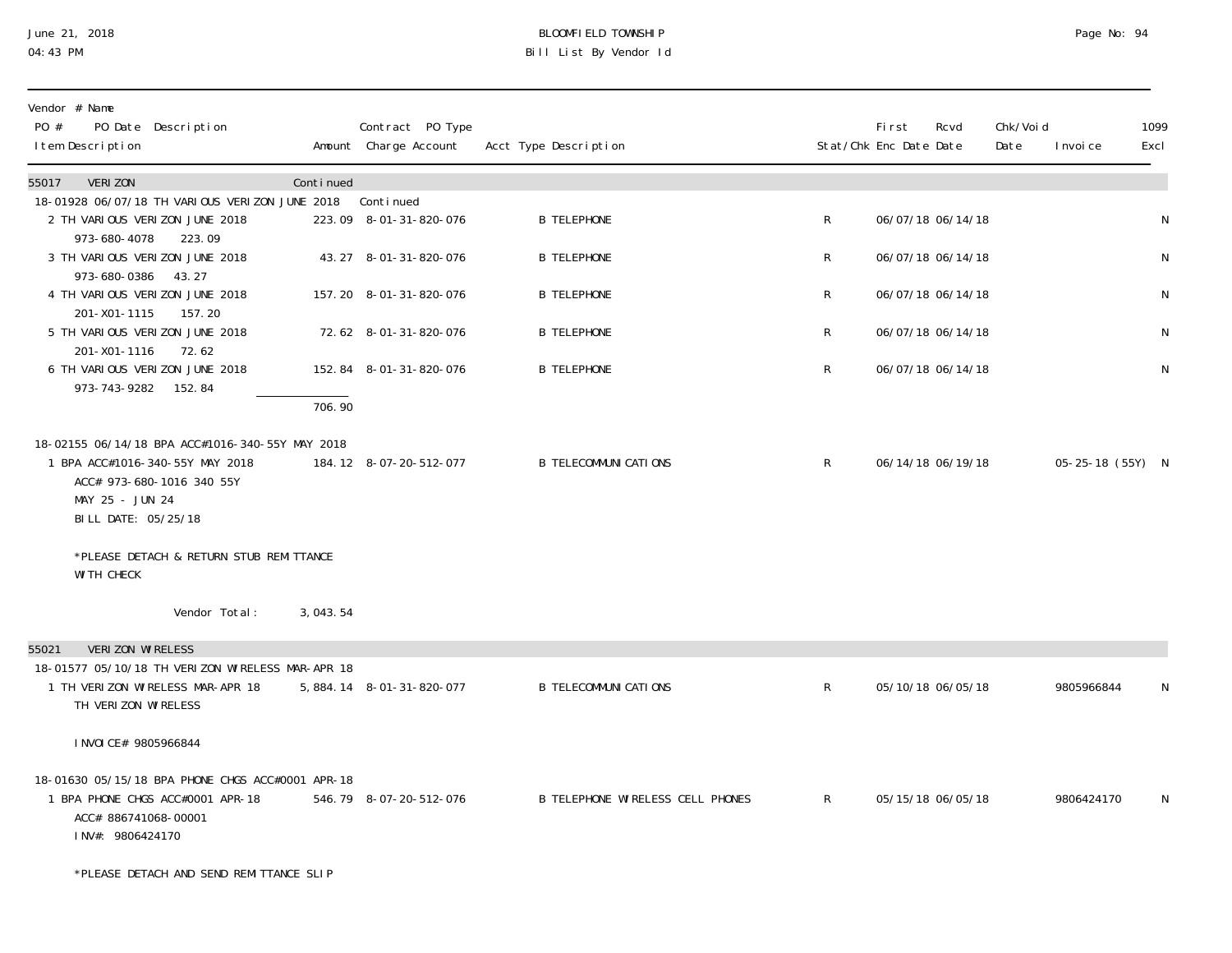### June 21, 2018 BLOOMFIELD TOWNSHIP Page 2018 Page No: 94 04:43 PM Bill List By Vendor Id

| Vendor # Name<br>PO #<br>PO Date Description<br>I tem Description                                                                                         |           | Contract PO Type<br>Amount Charge Account | Acct Type Description            |              | <b>First</b><br>Rcvd<br>Stat/Chk Enc Date Date | Chk/Void<br>Date | I nvoi ce        | 1099<br>Excl |
|-----------------------------------------------------------------------------------------------------------------------------------------------------------|-----------|-------------------------------------------|----------------------------------|--------------|------------------------------------------------|------------------|------------------|--------------|
| 55017<br><b>VERIZON</b>                                                                                                                                   | Continued |                                           |                                  |              |                                                |                  |                  |              |
| 18-01928 06/07/18 TH VARIOUS VERIZON JUNE 2018<br>2 TH VARIOUS VERIZON JUNE 2018<br>973-680-4078<br>223.09                                                |           | Continued<br>223.09 8-01-31-820-076       | <b>B TELEPHONE</b>               | $\mathsf{R}$ | 06/07/18 06/14/18                              |                  |                  | N            |
| 3 TH VARIOUS VERIZON JUNE 2018<br>973-680-0386<br>43.27                                                                                                   |           | 43.27 8-01-31-820-076                     | <b>B TELEPHONE</b>               | R            | 06/07/18 06/14/18                              |                  |                  | N            |
| 4 TH VARIOUS VERIZON JUNE 2018<br>201-X01-1115<br>157.20                                                                                                  |           | 157.20 8-01-31-820-076                    | <b>B TELEPHONE</b>               | R            | 06/07/18 06/14/18                              |                  |                  | N            |
| 5 TH VARIOUS VERIZON JUNE 2018<br>201-X01-1116<br>72.62                                                                                                   |           | 72.62 8-01-31-820-076                     | <b>B TELEPHONE</b>               | R            | 06/07/18 06/14/18                              |                  |                  | N            |
| 6 TH VARIOUS VERIZON JUNE 2018<br>973-743-9282 152.84                                                                                                     |           | 152.84 8-01-31-820-076                    | <b>B TELEPHONE</b>               | R            | 06/07/18 06/14/18                              |                  |                  | N            |
|                                                                                                                                                           | 706.90    |                                           |                                  |              |                                                |                  |                  |              |
| 18-02155 06/14/18 BPA ACC#1016-340-55Y MAY 2018<br>1 BPA ACC#1016-340-55Y MAY 2018<br>ACC# 973-680-1016 340 55Y<br>MAY 25 - JUN 24<br>BILL DATE: 05/25/18 |           | 184.12 8-07-20-512-077                    | <b>B TELECOMMUNI CATIONS</b>     | R.           | 06/14/18 06/19/18                              |                  | 05-25-18 (55Y) N |              |
| *PLEASE DETACH & RETURN STUB REMITTANCE<br>WI TH CHECK                                                                                                    |           |                                           |                                  |              |                                                |                  |                  |              |
| Vendor Total:                                                                                                                                             | 3,043.54  |                                           |                                  |              |                                                |                  |                  |              |
| VERIZON WIRELESS<br>55021<br>18-01577 05/10/18 TH VERIZON WIRELESS MAR-APR 18<br>1 TH VERIZON WIRELESS MAR-APR 18<br>TH VERIZON WIRELESS                  |           | 5, 884. 14 8-01-31-820-077                | <b>B TELECOMMUNI CATIONS</b>     | $\mathsf{R}$ | 05/10/18 06/05/18                              |                  | 9805966844       | N            |
| I NVOI CE# 9805966844                                                                                                                                     |           |                                           |                                  |              |                                                |                  |                  |              |
| 18-01630 05/15/18 BPA PHONE CHGS ACC#0001 APR-18<br>1 BPA PHONE CHGS ACC#0001 APR-18<br>ACC# 886741068-00001<br>INV#: 9806424170                          |           | 546.79 8-07-20-512-076                    | B TELEPHONE WIRELESS CELL PHONES | $R_{\perp}$  | 05/15/18 06/05/18                              |                  | 9806424170       | N            |
|                                                                                                                                                           |           |                                           |                                  |              |                                                |                  |                  |              |

\*PLEASE DETACH AND SEND REMITTANCE SLIP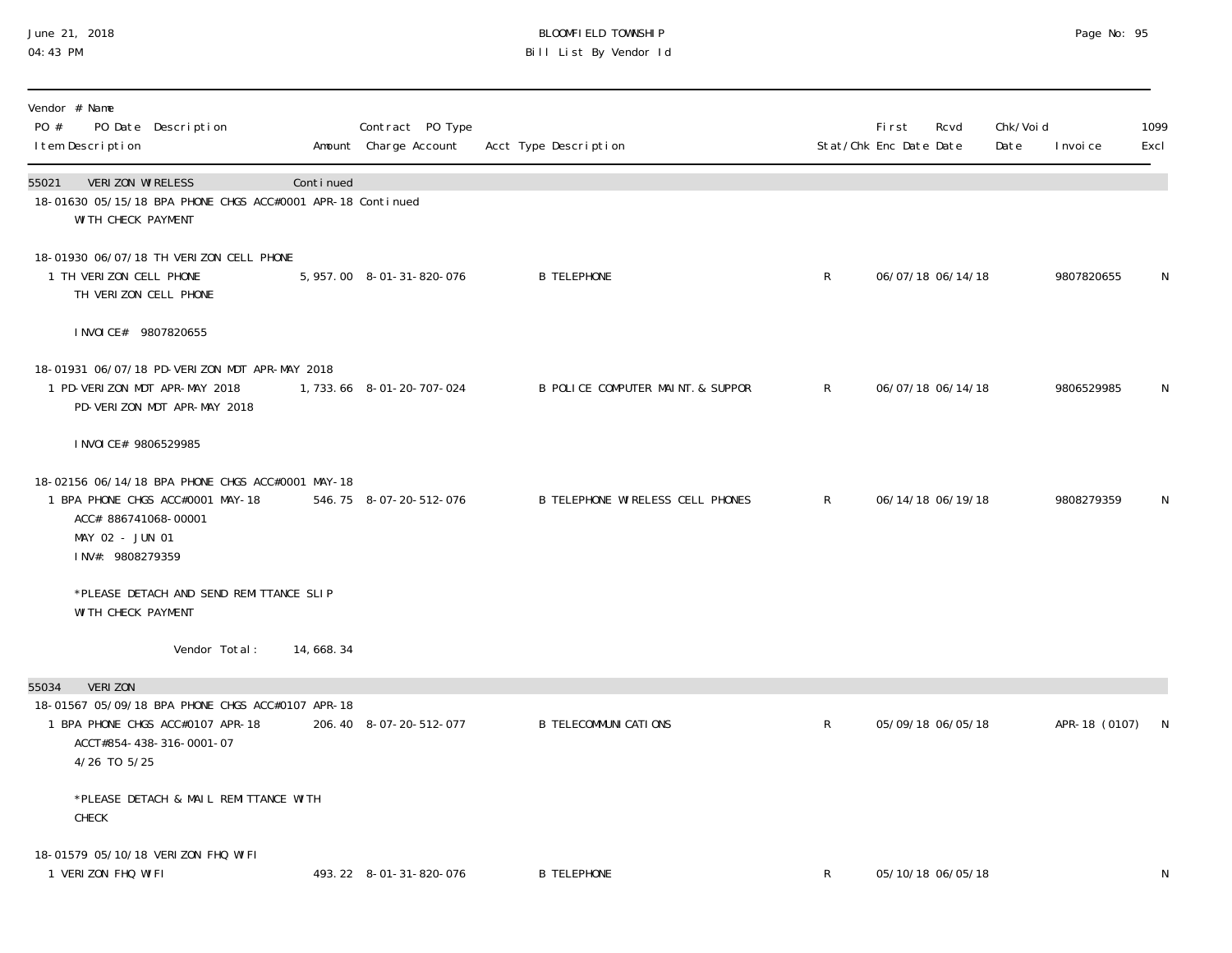#### June 21, 2018 BLOOMFIELD TOWNSHIP Page 2018 Page No: 95 04:43 PM Bill List By Vendor Id

| Vendor # Name<br>PO #<br>PO Date Description<br>I tem Description                                                                                           |           | Contract PO Type<br>Amount Charge Account | Acct Type Description             |              | <b>First</b><br>Stat/Chk Enc Date Date | Rcvd              | Chk/Voi d<br>Date | I nvoi ce       | 1099<br>Excl |
|-------------------------------------------------------------------------------------------------------------------------------------------------------------|-----------|-------------------------------------------|-----------------------------------|--------------|----------------------------------------|-------------------|-------------------|-----------------|--------------|
| 55021<br>VERIZON WIRELESS<br>18-01630 05/15/18 BPA PHONE CHGS ACC#0001 APR-18 Continued<br>WI TH CHECK PAYMENT                                              | Continued |                                           |                                   |              |                                        |                   |                   |                 |              |
| 18-01930 06/07/18 TH VERIZON CELL PHONE<br>1 TH VERIZON CELL PHONE<br>TH VERIZON CELL PHONE                                                                 |           | 5, 957.00 8-01-31-820-076                 | <b>B TELEPHONE</b>                | $\mathsf{R}$ |                                        | 06/07/18 06/14/18 |                   | 9807820655      | N            |
| I NVOI CE# 9807820655                                                                                                                                       |           |                                           |                                   |              |                                        |                   |                   |                 |              |
| 18-01931 06/07/18 PD-VERIZON MDT APR-MAY 2018<br>1 PD-VERIZON MDT APR-MAY 2018<br>PD-VERIZON MDT APR-MAY 2018                                               |           | 1, 733. 66 8-01-20-707-024                | B POLICE COMPUTER MAINT. & SUPPOR | $\mathsf{R}$ |                                        | 06/07/18 06/14/18 |                   | 9806529985      | N            |
| I NVOI CE# 9806529985                                                                                                                                       |           |                                           |                                   |              |                                        |                   |                   |                 |              |
| 18-02156 06/14/18 BPA PHONE CHGS ACC#0001 MAY-18<br>1 BPA PHONE CHGS ACC#0001 MAY-18<br>ACC# 886741068-00001<br>MAY 02 - JUN 01<br>INV#: 9808279359         |           | 546.75 8-07-20-512-076                    | B TELEPHONE WIRELESS CELL PHONES  | $\mathsf{R}$ |                                        | 06/14/18 06/19/18 |                   | 9808279359      | N            |
| *PLEASE DETACH AND SEND REMITTANCE SLIP<br>WI TH CHECK PAYMENT                                                                                              |           |                                           |                                   |              |                                        |                   |                   |                 |              |
| Vendor Total:                                                                                                                                               | 14,668.34 |                                           |                                   |              |                                        |                   |                   |                 |              |
| <b>VERIZON</b><br>55034<br>18-01567 05/09/18 BPA PHONE CHGS ACC#0107 APR-18<br>1 BPA PHONE CHGS ACC#0107 APR-18<br>ACCT#854-438-316-0001-07<br>4/26 TO 5/25 |           | 206.40 8-07-20-512-077                    | <b>B TELECOMMUNI CATI ONS</b>     | $\mathsf{R}$ |                                        | 05/09/18 06/05/18 |                   | APR-18 (0107) N |              |
| *PLEASE DETACH & MAIL REMITTANCE WITH<br>CHECK                                                                                                              |           |                                           |                                   |              |                                        |                   |                   |                 |              |
| 18-01579 05/10/18 VERIZON FHQ WIFI<br>1 VERIZON FHQ WIFI                                                                                                    |           | 493.22 8-01-31-820-076                    | <b>B TELEPHONE</b>                | R            |                                        | 05/10/18 06/05/18 |                   |                 | ${\sf N}$    |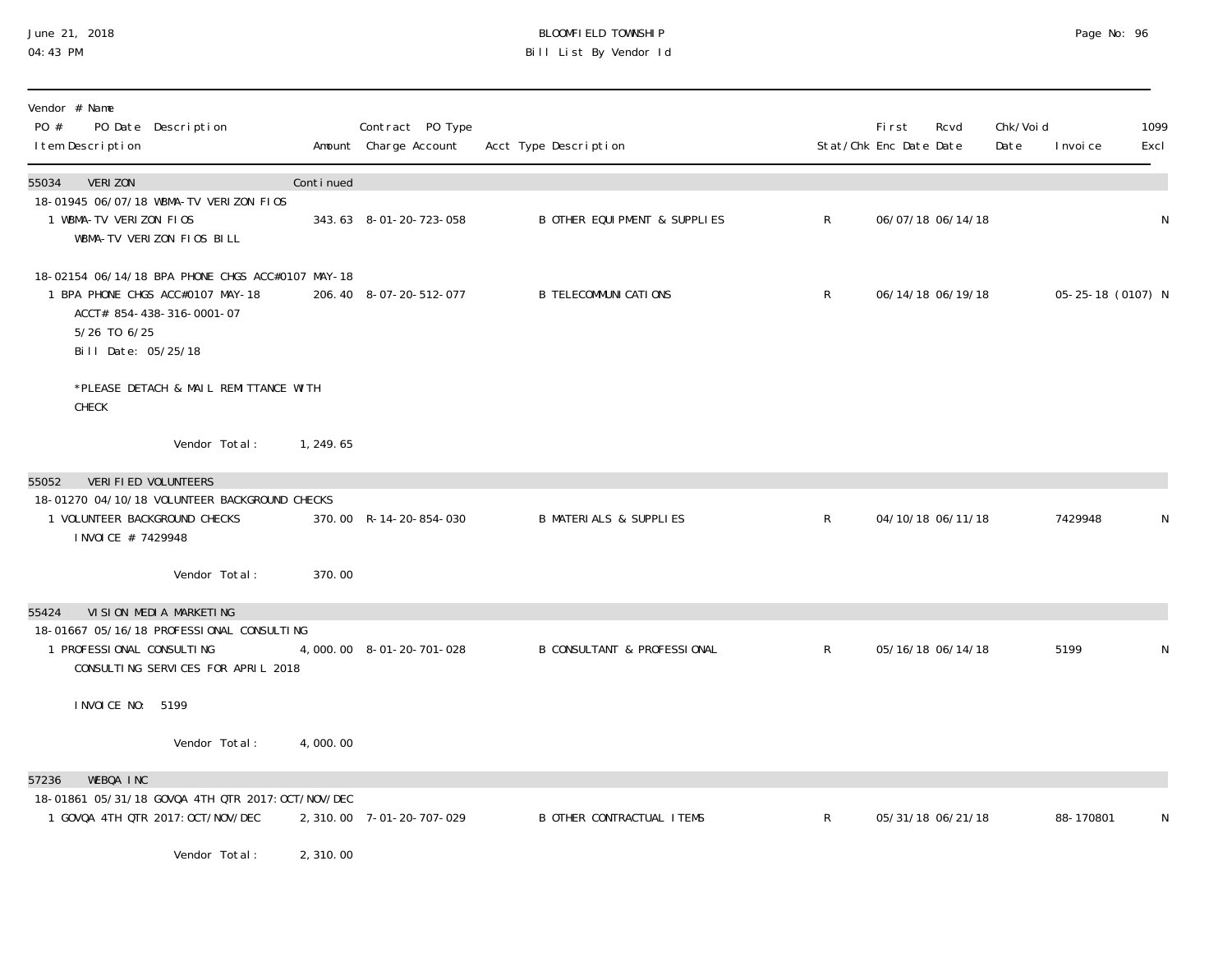### June 21, 2018 BLOOMFIELD TOWNSHIP Page No: 96 04:43 PM Bill List By Vendor Id

| Vendor # Name<br>PO #<br>PO Date Description<br>I tem Description                                                                                        |           | Contract PO Type<br>Amount Charge Account | Acct Type Description                  |                | <b>First</b><br>Rcvd<br>Stat/Chk Enc Date Date | Chk/Voi d<br>Date<br>I nvoi ce | 1099<br>Excl |
|----------------------------------------------------------------------------------------------------------------------------------------------------------|-----------|-------------------------------------------|----------------------------------------|----------------|------------------------------------------------|--------------------------------|--------------|
| 55034<br><b>VERIZON</b>                                                                                                                                  | Continued |                                           |                                        |                |                                                |                                |              |
| 18-01945 06/07/18 WBMA-TV VERIZON FIOS<br>1 WBMA-TV VERIZON FIOS<br>WBMA-TV VERIZON FIOS BILL                                                            |           | 343.63 8-01-20-723-058                    | B OTHER EQUI PMENT & SUPPLIES          | $\mathsf{R}^-$ | 06/07/18 06/14/18                              |                                | N            |
| 18-02154 06/14/18 BPA PHONE CHGS ACC#0107 MAY-18<br>1 BPA PHONE CHGS ACC#0107 MAY-18<br>ACCT# 854-438-316-0001-07<br>5/26 TO 6/25<br>Bill Date: 05/25/18 |           | 206.40 8-07-20-512-077                    | <b>B TELECOMMUNI CATIONS</b>           | $\mathsf{R}$   | 06/14/18 06/19/18                              | 05-25-18 (0107) N              |              |
| *PLEASE DETACH & MAIL REMITTANCE WITH<br>CHECK                                                                                                           |           |                                           |                                        |                |                                                |                                |              |
| Vendor Total:                                                                                                                                            | 1, 249.65 |                                           |                                        |                |                                                |                                |              |
| VERI FI ED VOLUNTEERS<br>55052                                                                                                                           |           |                                           |                                        |                |                                                |                                |              |
| 18-01270 04/10/18 VOLUNTEER BACKGROUND CHECKS<br>1 VOLUNTEER BACKGROUND CHECKS<br>I NVOI CE # 7429948                                                    |           | 370.00 R-14-20-854-030                    | <b>B MATERIALS &amp; SUPPLIES</b>      | $\mathsf{R}$   | 04/10/18 06/11/18                              | 7429948                        | N            |
| Vendor Total:                                                                                                                                            | 370.00    |                                           |                                        |                |                                                |                                |              |
| VI SI ON MEDI A MARKETI NG<br>55424                                                                                                                      |           |                                           |                                        |                |                                                |                                |              |
| 18-01667 05/16/18 PROFESSIONAL CONSULTING<br>1 PROFESSIONAL CONSULTING<br>CONSULTING SERVICES FOR APRIL 2018                                             |           | 4,000.00 8-01-20-701-028                  | <b>B CONSULTANT &amp; PROFESSIONAL</b> | $\mathsf{R}$   | 05/16/18 06/14/18                              | 5199                           | N            |
| I NVOI CE NO: 5199                                                                                                                                       |           |                                           |                                        |                |                                                |                                |              |
| Vendor Total:                                                                                                                                            | 4,000.00  |                                           |                                        |                |                                                |                                |              |
| WEBOA INC<br>57236                                                                                                                                       |           |                                           |                                        |                |                                                |                                |              |
| 18-01861 05/31/18 GOVQA 4TH QTR 2017: OCT/NOV/DEC<br>1 GOVQA 4TH QTR 2017: OCT/NOV/DEC                                                                   |           | 2, 310.00 7-01-20-707-029                 | <b>B OTHER CONTRACTUAL ITEMS</b>       | $\mathsf{R}$   | 05/31/18 06/21/18                              | 88-170801                      | N            |
| Vendor Total:                                                                                                                                            | 2,310.00  |                                           |                                        |                |                                                |                                |              |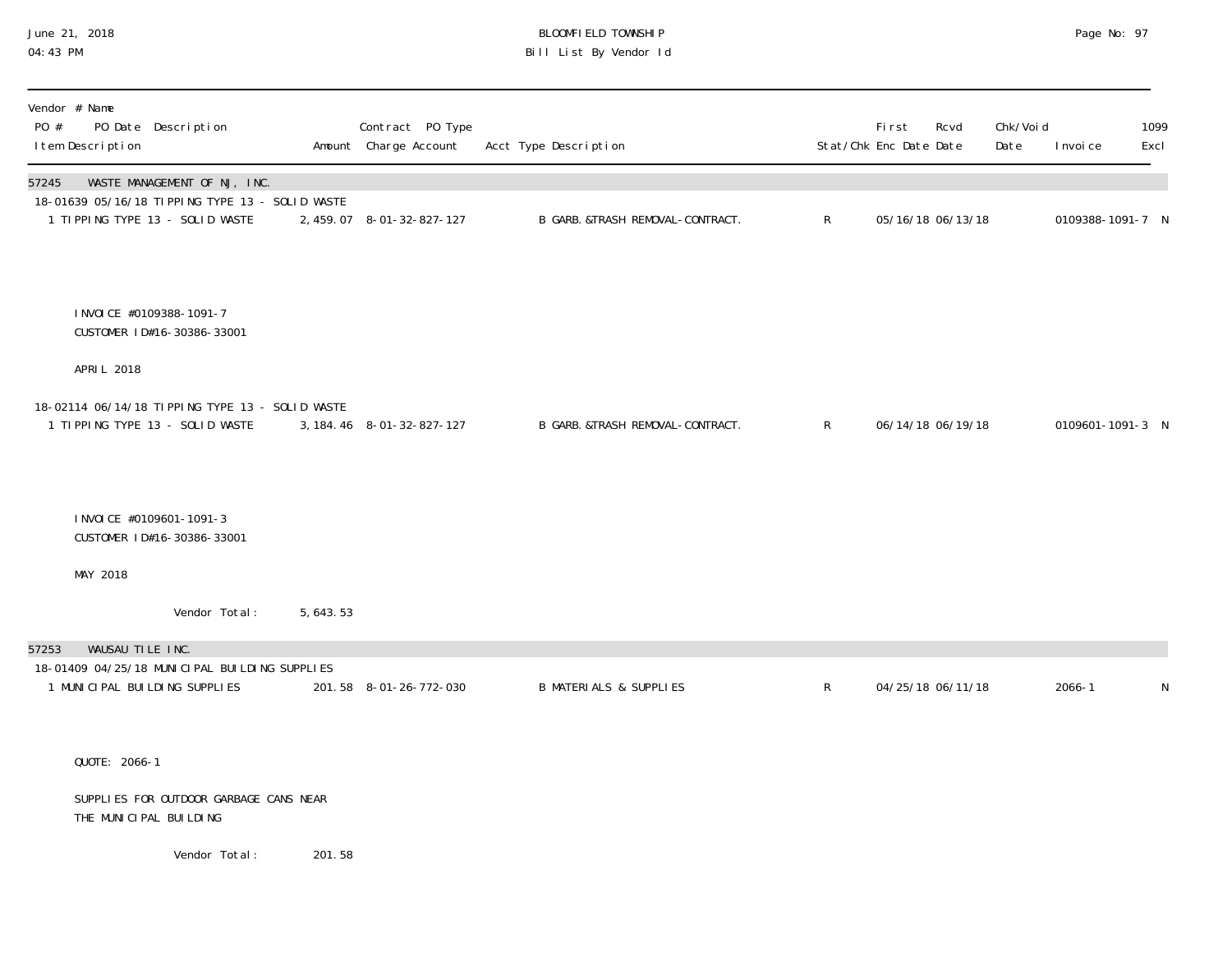# June 21, 2018 BLOOMFIELD TOWNSHIP Page No: 97 Bill List By Vendor Id

| Vendor # Name<br>PO #<br>PO Date Description<br>I tem Description                        | Contract PO Type<br>Amount Charge Account | Acct Type Description             |              | First<br>Stat/Chk Enc Date Date | Rcvd | Chk/Voi d<br>Date | I nvoi ce        | 1099<br>Excl |
|------------------------------------------------------------------------------------------|-------------------------------------------|-----------------------------------|--------------|---------------------------------|------|-------------------|------------------|--------------|
| WASTE MANAGEMENT OF NJ, INC.<br>57245<br>18-01639 05/16/18 TIPPING TYPE 13 - SOLID WASTE |                                           |                                   |              |                                 |      |                   |                  |              |
| 1 TIPPING TYPE 13 - SOLID WASTE                                                          | 2, 459.07 8-01-32-827-127                 | B GARB. &TRASH REMOVAL-CONTRACT.  | $\mathsf{R}$ | 05/16/18 06/13/18               |      |                   | 0109388-1091-7 N |              |
|                                                                                          |                                           |                                   |              |                                 |      |                   |                  |              |
| I NVOI CE #0109388-1091-7<br>CUSTOMER ID#16-30386-33001                                  |                                           |                                   |              |                                 |      |                   |                  |              |
| APRI L 2018                                                                              |                                           |                                   |              |                                 |      |                   |                  |              |
| 18-02114 06/14/18 TIPPING TYPE 13 - SOLID WASTE<br>1 TIPPING TYPE 13 - SOLID WASTE       | 3, 184. 46 8-01-32-827-127                | B GARB. &TRASH REMOVAL-CONTRACT.  | $\mathsf{R}$ | 06/14/18 06/19/18               |      |                   | 0109601-1091-3 N |              |
| I NVOI CE #0109601-1091-3<br>CUSTOMER ID#16-30386-33001                                  |                                           |                                   |              |                                 |      |                   |                  |              |
| MAY 2018                                                                                 |                                           |                                   |              |                                 |      |                   |                  |              |
| Vendor Total:<br>5, 643. 53                                                              |                                           |                                   |              |                                 |      |                   |                  |              |
| WAUSAU TILE INC.<br>57253                                                                |                                           |                                   |              |                                 |      |                   |                  |              |
| 18-01409 04/25/18 MUNICIPAL BUILDING SUPPLIES<br>1 MUNICIPAL BUILDING SUPPLIES           | 201.58 8-01-26-772-030                    | <b>B MATERIALS &amp; SUPPLIES</b> | R            | 04/25/18 06/11/18               |      |                   | $2066 - 1$       | N            |
|                                                                                          |                                           |                                   |              |                                 |      |                   |                  |              |

QUOTE: 2066-1

 SUPPLIES FOR OUTDOOR GARBAGE CANS NEAR THE MUNICIPAL BUILDING

Vendor Total: 201.58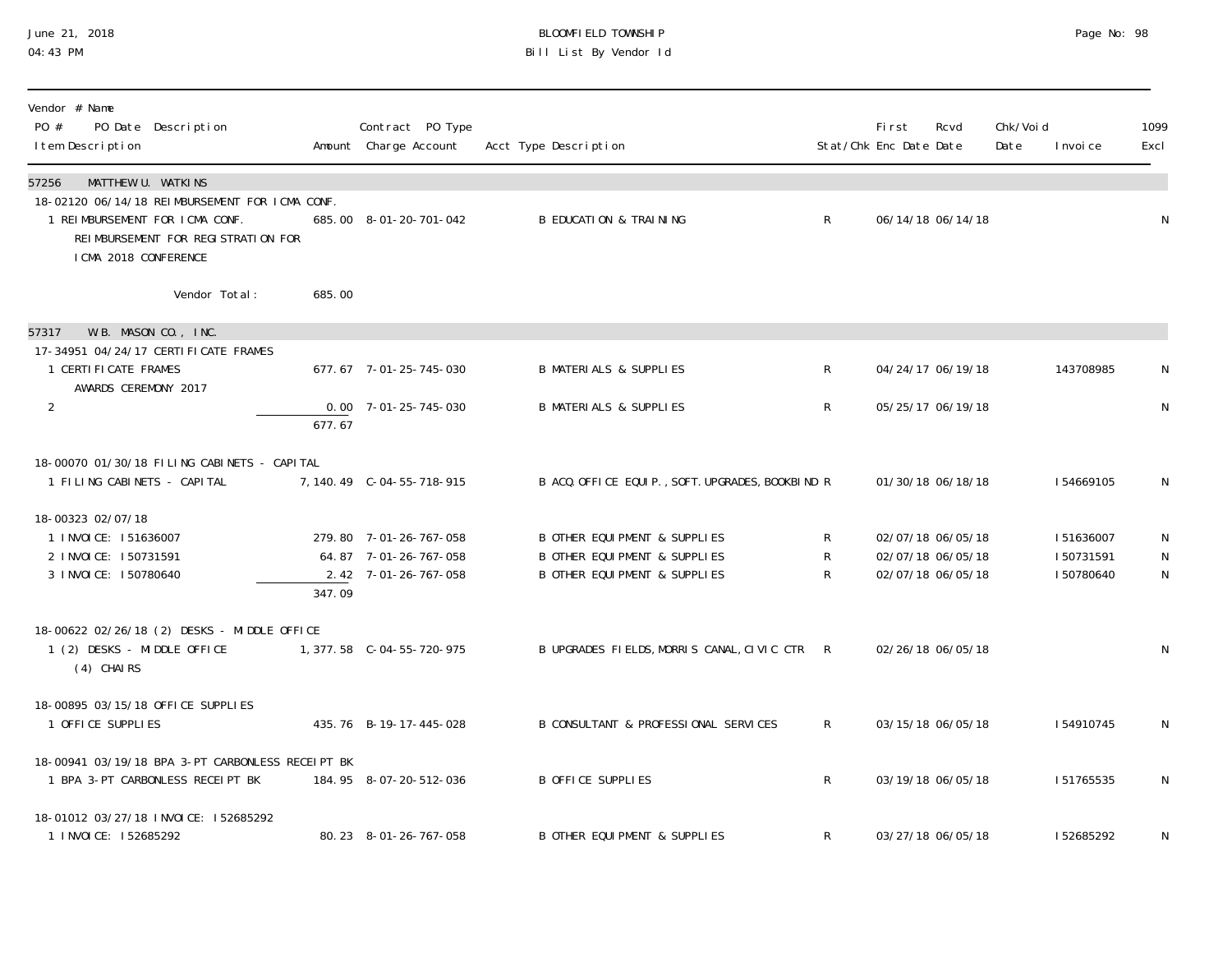### June 21, 2018 BLOOMFIELD TOWNSHIP Page 2018 Page No: 98 04:43 PM Bill List By Vendor Id

| Vendor # Name<br>PO #<br>PO Date Description<br>I tem Description                                                                                                              |        | Contract PO Type<br>Amount Charge Account                               | Acct Type Description                                                                                                            |                                                | First<br>Stat/Chk Enc Date Date | Rcvd                                                        | Chk/Void<br>Date | I nvoi ce                           | 1099<br>Excl                     |
|--------------------------------------------------------------------------------------------------------------------------------------------------------------------------------|--------|-------------------------------------------------------------------------|----------------------------------------------------------------------------------------------------------------------------------|------------------------------------------------|---------------------------------|-------------------------------------------------------------|------------------|-------------------------------------|----------------------------------|
| MATTHEW U. WATKINS<br>57256<br>18-02120 06/14/18 REIMBURSEMENT FOR ICMA CONF.<br>1 REIMBURSEMENT FOR ICMA CONF.<br>REIMBURSEMENT FOR REGISTRATION FOR<br>I CMA 2018 CONFERENCE |        | 685.00 8-01-20-701-042                                                  | <b>B EDUCATION &amp; TRAINING</b>                                                                                                | $R_{\perp}$                                    |                                 | 06/14/18 06/14/18                                           |                  |                                     | N                                |
| Vendor Total:                                                                                                                                                                  | 685.00 |                                                                         |                                                                                                                                  |                                                |                                 |                                                             |                  |                                     |                                  |
| W.B. MASON CO., INC.<br>57317                                                                                                                                                  |        |                                                                         |                                                                                                                                  |                                                |                                 |                                                             |                  |                                     |                                  |
| 17-34951 04/24/17 CERTI FI CATE FRAMES<br>1 CERTI FI CATE FRAMES                                                                                                               |        | 677.67 7-01-25-745-030                                                  | <b>B MATERIALS &amp; SUPPLIES</b>                                                                                                | $\mathsf{R}$                                   |                                 | 04/24/17 06/19/18                                           |                  | 143708985                           | N                                |
| AWARDS CEREMONY 2017<br>$\overline{2}$                                                                                                                                         | 677.67 | $0.00$ $7 - 01 - 25 - 745 - 030$                                        | <b>B MATERIALS &amp; SUPPLIES</b>                                                                                                | $\mathsf{R}$                                   |                                 | 05/25/17 06/19/18                                           |                  |                                     | N                                |
| 18-00070 01/30/18 FILING CABINETS - CAPITAL<br>1 FILING CABINETS - CAPITAL                                                                                                     |        | 7, 140.49    C-04-55-718-915                                            | B ACQ. OFFICE EQUIP., SOFT. UPGRADES, BOOKBIND R                                                                                 |                                                |                                 | 01/30/18 06/18/18                                           |                  | 154669105                           | N                                |
| 18-00323 02/07/18<br>1 INVOICE: 151636007<br>2 INVOICE: 150731591<br>3 I NVOI CE: 150780640                                                                                    | 347.09 | 279.80 7-01-26-767-058<br>64.87 7-01-26-767-058<br>2.42 7-01-26-767-058 | <b>B OTHER EQUI PMENT &amp; SUPPLIES</b><br><b>B OTHER EQUI PMENT &amp; SUPPLIES</b><br><b>B OTHER EQUI PMENT &amp; SUPPLIES</b> | $\mathsf{R}^-$<br>$\mathsf{R}$<br>$\mathsf{R}$ |                                 | 02/07/18 06/05/18<br>02/07/18 06/05/18<br>02/07/18 06/05/18 |                  | 151636007<br>150731591<br>150780640 | N<br>$\mathsf{N}$<br>$\mathsf N$ |
| 18-00622 02/26/18 (2) DESKS - MIDDLE OFFICE<br>1 (2) DESKS - MIDDLE OFFICE<br>$(4)$ CHAIRS                                                                                     |        | 1, 377.58 C-04-55-720-975                                               | B UPGRADES FIELDS, MORRIS CANAL, CIVIC CTR R                                                                                     |                                                |                                 | 02/26/18 06/05/18                                           |                  |                                     | $\mathsf{N}$                     |
| 18-00895 03/15/18 OFFICE SUPPLIES<br>1 OFFICE SUPPLIES                                                                                                                         |        | 435.76 B-19-17-445-028                                                  | B CONSULTANT & PROFESSIONAL SERVICES                                                                                             | $\mathsf{R}^-$                                 |                                 | 03/15/18 06/05/18                                           |                  | I 54910745                          | N                                |
| 18-00941 03/19/18 BPA 3-PT CARBONLESS RECEIPT BK<br>1 BPA 3-PT CARBONLESS RECEIPT BK                                                                                           |        | 184.95 8-07-20-512-036                                                  | <b>B OFFICE SUPPLIES</b>                                                                                                         | $\mathsf{R}$                                   |                                 | 03/19/18 06/05/18                                           |                  | 151765535                           | $\mathsf N$                      |
| 18-01012 03/27/18 INVOICE: 152685292<br>1 INVOICE: 152685292                                                                                                                   |        | 80.23 8-01-26-767-058                                                   | B OTHER EQUIPMENT & SUPPLIES                                                                                                     | R                                              |                                 | 03/27/18 06/05/18                                           |                  | 152685292                           | N                                |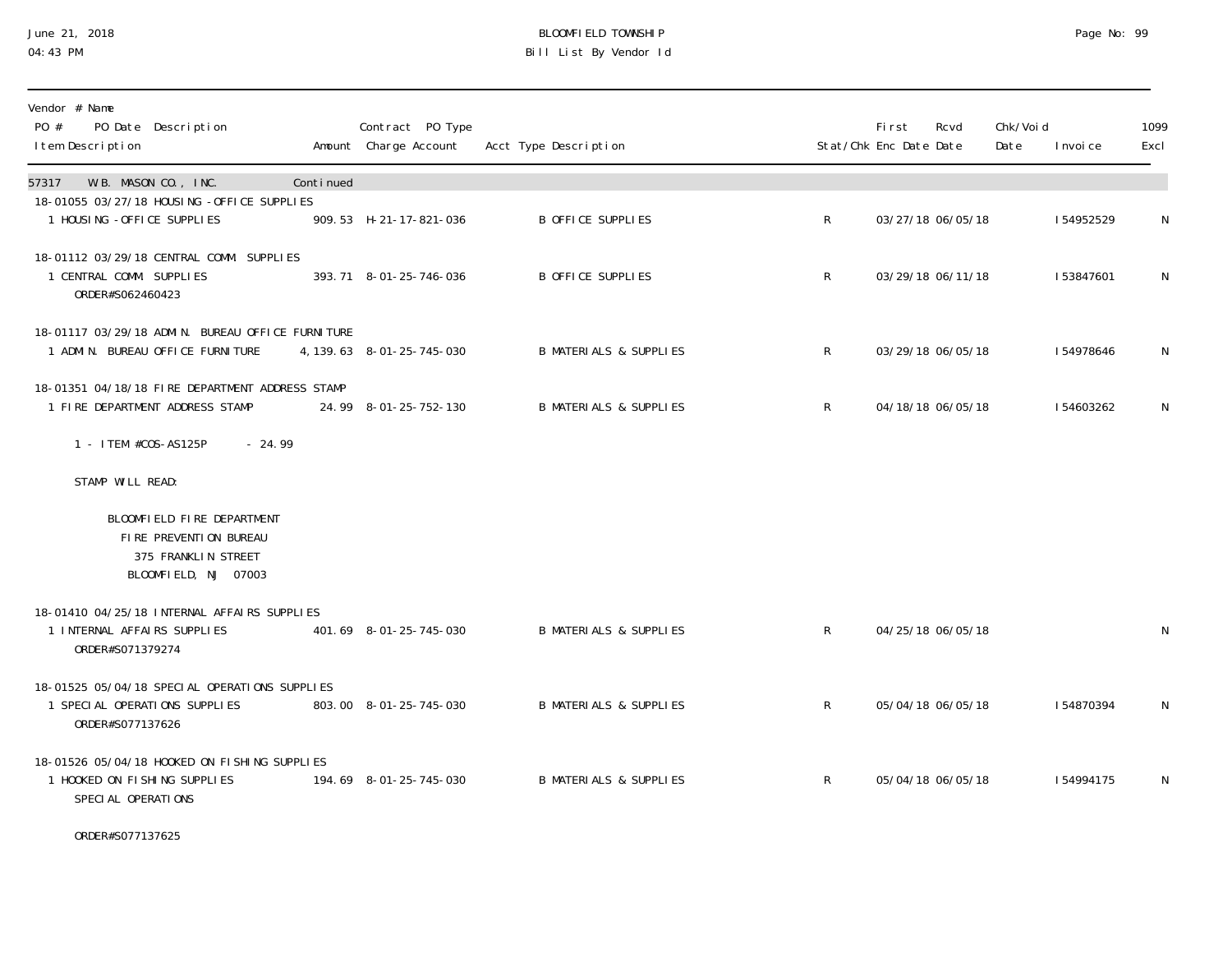#### June 21, 2018 BLOOMFIELD TOWNSHIP Page 2018 Page No: 99 04:43 PM Bill List By Vendor Id

| Vendor # Name<br>PO #<br>PO Date Description<br>I tem Description                                   |           | Contract PO Type<br>Amount Charge Account | Acct Type Description             |                | <b>First</b><br>Stat/Chk Enc Date Date | Rcvd              | Chk/Voi d<br>Date | I nvoi ce | 1099<br>Excl |
|-----------------------------------------------------------------------------------------------------|-----------|-------------------------------------------|-----------------------------------|----------------|----------------------------------------|-------------------|-------------------|-----------|--------------|
| W.B. MASON CO., INC.<br>57317                                                                       | Continued |                                           |                                   |                |                                        |                   |                   |           |              |
| 18-01055 03/27/18 HOUSING -OFFICE SUPPLIES<br>1 HOUSING - OFFICE SUPPLIES                           |           | 909.53 H-21-17-821-036                    | B OFFICE SUPPLIES                 | $\mathsf{R}$   |                                        | 03/27/18 06/05/18 |                   | 154952529 | N            |
| 18-01112 03/29/18 CENTRAL COMM. SUPPLIES<br>1 CENTRAL COMM. SUPPLIES<br>ORDER#S062460423            |           | 393.71 8-01-25-746-036                    | B OFFICE SUPPLIES                 | $\mathsf{R}^-$ |                                        | 03/29/18 06/11/18 |                   | 153847601 | N            |
| 18-01117 03/29/18 ADMIN. BUREAU OFFICE FURNITURE<br>1 ADMIN. BUREAU OFFICE FURNITURE                |           | 4, 139. 63 8-01-25-745-030                | <b>B MATERIALS &amp; SUPPLIES</b> | $\mathsf{R}$   |                                        | 03/29/18 06/05/18 |                   | 154978646 | N            |
| 18-01351 04/18/18 FIRE DEPARTMENT ADDRESS STAMP<br>1 FIRE DEPARTMENT ADDRESS STAMP                  |           | 24.99 8-01-25-752-130                     | <b>B MATERIALS &amp; SUPPLIES</b> | $\mathsf{R}$   |                                        | 04/18/18 06/05/18 |                   | 154603262 | N            |
| 1 - ITEM #COS-AS125P<br>$-24.99$                                                                    |           |                                           |                                   |                |                                        |                   |                   |           |              |
| STAMP WILL READ:                                                                                    |           |                                           |                                   |                |                                        |                   |                   |           |              |
| BLOOMFIELD FIRE DEPARTMENT<br>FIRE PREVENTION BUREAU<br>375 FRANKLIN STREET<br>BLOOMFIELD, NJ 07003 |           |                                           |                                   |                |                                        |                   |                   |           |              |
| 18-01410 04/25/18 INTERNAL AFFAIRS SUPPLIES<br>1 INTERNAL AFFAIRS SUPPLIES<br>ORDER#S071379274      |           | 401.69 8-01-25-745-030                    | <b>B MATERIALS &amp; SUPPLIES</b> | R              |                                        | 04/25/18 06/05/18 |                   |           | N            |
| 18-01525 05/04/18 SPECIAL OPERATIONS SUPPLIES<br>1 SPECIAL OPERATIONS SUPPLIES<br>ORDER#S077137626  |           | 803.00 8-01-25-745-030                    | <b>B MATERIALS &amp; SUPPLIES</b> | $\mathsf{R}$   |                                        | 05/04/18 06/05/18 |                   | 154870394 | N            |
| 18-01526 05/04/18 HOOKED ON FISHING SUPPLIES<br>1 HOOKED ON FISHING SUPPLIES<br>SPECIAL OPERATIONS  |           | 194.69 8-01-25-745-030                    | <b>B MATERIALS &amp; SUPPLIES</b> | $\mathsf{R}$   |                                        | 05/04/18 06/05/18 |                   | 154994175 | N            |

ORDER#S077137625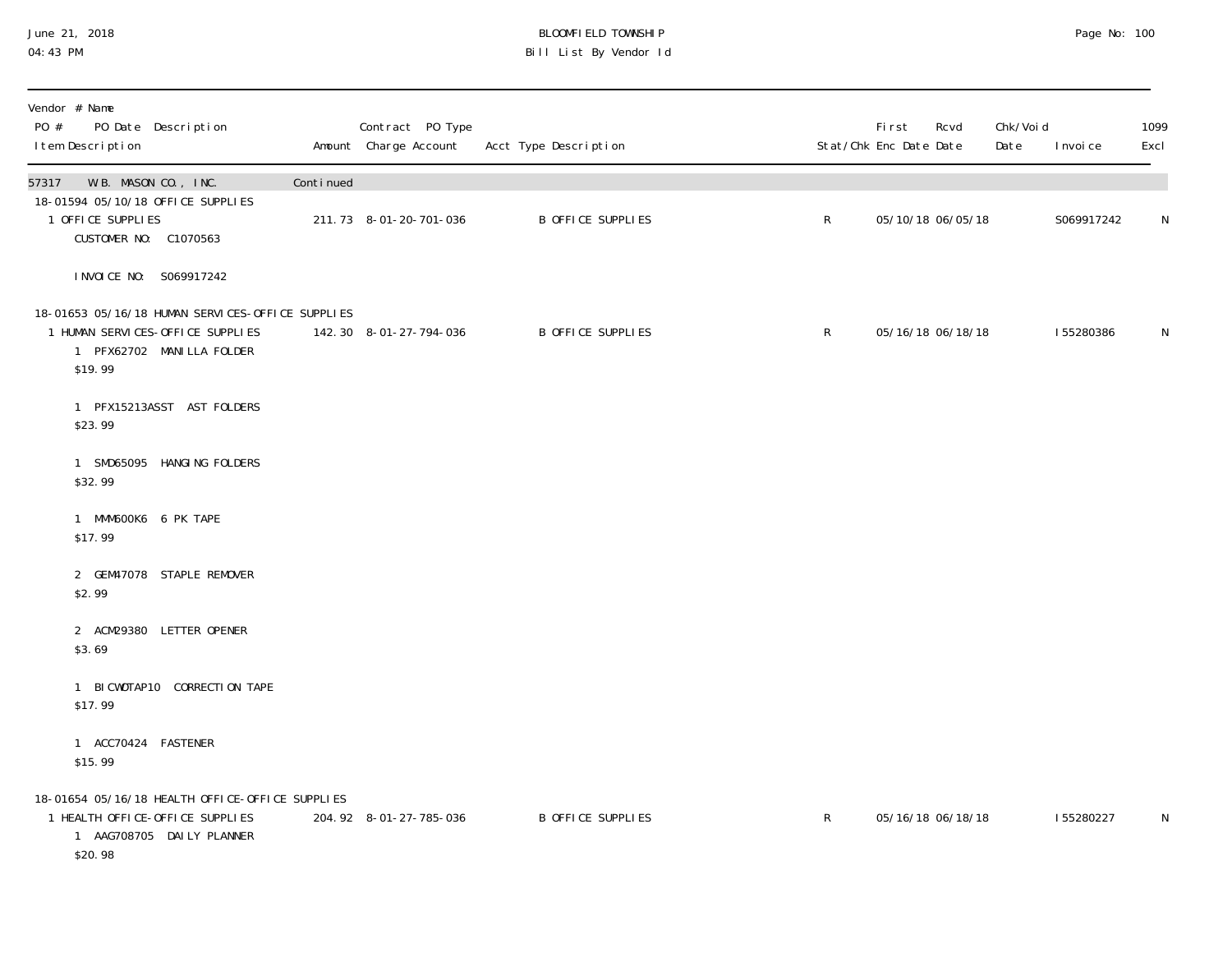#### June 21, 2018 BLOOMFIELD TOWNSHIP Page No: 100000FIELD TOWNSHIP Page No: 100 04:43 PM Bill List By Vendor Id

| Vendor # Name<br>PO #<br>I tem Description | PO Date Description                                                                                               |           | Contract PO Type<br>Amount Charge Account | Acct Type Description |              | <b>First</b><br>Rcvd<br>Stat/Chk Enc Date Date | Chk/Void<br>Date | I nvoi ce  | 1099<br>Excl |
|--------------------------------------------|-------------------------------------------------------------------------------------------------------------------|-----------|-------------------------------------------|-----------------------|--------------|------------------------------------------------|------------------|------------|--------------|
| 57317                                      | W.B. MASON CO., INC.                                                                                              | Continued |                                           |                       |              |                                                |                  |            |              |
| 1 OFFICE SUPPLIES                          | 18-01594 05/10/18 OFFICE SUPPLIES<br>CUSTOMER NO: C1070563                                                        |           | 211.73 8-01-20-701-036                    | B OFFICE SUPPLIES     | $\mathsf R$  | 05/10/18 06/05/18                              |                  | S069917242 | N            |
|                                            | INVOICE NO: S069917242                                                                                            |           |                                           |                       |              |                                                |                  |            |              |
| \$19.99                                    | 18-01653 05/16/18 HUMAN SERVICES-OFFICE SUPPLIES<br>1 HUMAN SERVICES-OFFICE SUPPLIES<br>1 PFX62702 MANILLA FOLDER |           | 142.30 8-01-27-794-036                    | B OFFICE SUPPLIES     | $\mathsf{R}$ | 05/16/18 06/18/18                              |                  | 155280386  | N            |
| \$23.99                                    | 1 PFX15213ASST AST FOLDERS                                                                                        |           |                                           |                       |              |                                                |                  |            |              |
| \$32.99                                    | 1 SMD65095 HANGING FOLDERS                                                                                        |           |                                           |                       |              |                                                |                  |            |              |
| \$17.99                                    | 1 MMM600K6 6 PK TAPE                                                                                              |           |                                           |                       |              |                                                |                  |            |              |
| \$2.99                                     | 2 GEM47078 STAPLE REMOVER                                                                                         |           |                                           |                       |              |                                                |                  |            |              |
| \$3.69                                     | 2 ACM29380 LETTER OPENER                                                                                          |           |                                           |                       |              |                                                |                  |            |              |
| \$17.99                                    | 1 BICWOTAP10 CORRECTION TAPE                                                                                      |           |                                           |                       |              |                                                |                  |            |              |
| \$15.99                                    | 1 ACC70424 FASTENER                                                                                               |           |                                           |                       |              |                                                |                  |            |              |
| \$20.98                                    | 18-01654 05/16/18 HEALTH OFFICE-OFFICE SUPPLIES<br>1 HEALTH OFFICE-OFFICE SUPPLIES<br>1 AAG708705 DAILY PLANNER   |           | 204.92 8-01-27-785-036                    | B OFFICE SUPPLIES     | R            | 05/16/18 06/18/18                              |                  | 155280227  | N            |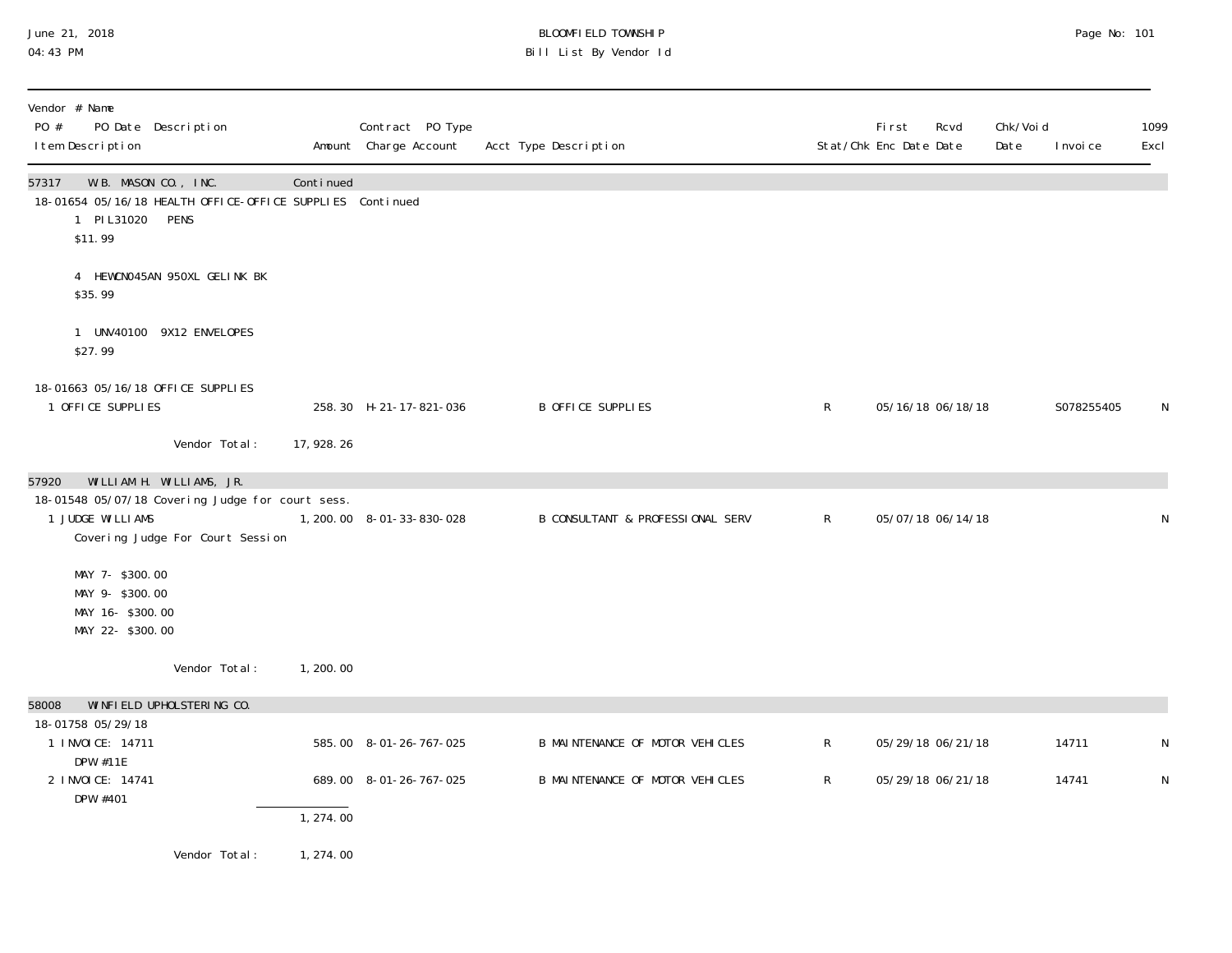#### June 21, 2018 BLOOMFIELD TOWNSHIP Page No: 101 04:43 PM Bill List By Vendor Id

| Vendor # Name<br>PO #<br>PO Date Description<br>I tem Description                                                   |                                  |             | Contract PO Type<br>Amount Charge Account | Acct Type Description            |              | <b>First</b><br>Stat/Chk Enc Date Date | Rcvd              | Chk/Voi d<br>Date | I nvoi ce  | 1099<br>Excl |
|---------------------------------------------------------------------------------------------------------------------|----------------------------------|-------------|-------------------------------------------|----------------------------------|--------------|----------------------------------------|-------------------|-------------------|------------|--------------|
| W.B. MASON CO., INC.<br>57317<br>18-01654 05/16/18 HEALTH OFFICE-OFFICE SUPPLIES Continued<br>1 PIL31020<br>\$11.99 | PENS                             | Continued   |                                           |                                  |              |                                        |                   |                   |            |              |
| \$35.99                                                                                                             | 4 HEWCNO45AN 950XL GELINK BK     |             |                                           |                                  |              |                                        |                   |                   |            |              |
| 1 UNV40100 9X12 ENVELOPES<br>\$27.99                                                                                |                                  |             |                                           |                                  |              |                                        |                   |                   |            |              |
| 18-01663 05/16/18 OFFICE SUPPLIES<br>1 OFFICE SUPPLIES                                                              |                                  |             | 258.30 H-21-17-821-036                    | B OFFICE SUPPLIES                | $\mathsf{R}$ |                                        | 05/16/18 06/18/18 |                   | S078255405 | N            |
|                                                                                                                     | Vendor Total:                    | 17, 928. 26 |                                           |                                  |              |                                        |                   |                   |            |              |
| WILLIAM H. WILLIAMS, JR.<br>57920<br>18-01548 05/07/18 Covering Judge for court sess.<br>1 JUDGE WILLIAMS           | Covering Judge For Court Session |             | 1, 200. 00  8-01-33-830-028               | B CONSULTANT & PROFESSIONAL SERV | $\mathsf{R}$ | 05/07/18 06/14/18                      |                   |                   |            | N            |
| MAY 7- \$300.00<br>MAY 9- \$300.00<br>MAY 16-\$300.00<br>MAY 22- \$300.00                                           |                                  |             |                                           |                                  |              |                                        |                   |                   |            |              |
|                                                                                                                     | Vendor Total:                    | 1, 200, 00  |                                           |                                  |              |                                        |                   |                   |            |              |
| 58008                                                                                                               | WINFIELD UPHOLSTERING CO.        |             |                                           |                                  |              |                                        |                   |                   |            |              |
| 18-01758 05/29/18<br>1 I NVOI CE: 14711<br>DPW #11E                                                                 |                                  |             | 585.00 8-01-26-767-025                    | B MAINTENANCE OF MOTOR VEHICLES  | $\mathsf{R}$ | 05/29/18 06/21/18                      |                   |                   | 14711      | N            |
| 2 I NVOI CE: 14741<br>DPW #401                                                                                      |                                  |             | 689.00 8-01-26-767-025                    | B MAINTENANCE OF MOTOR VEHICLES  | $\mathsf{R}$ |                                        | 05/29/18 06/21/18 |                   | 14741      | N            |
|                                                                                                                     |                                  | 1, 274.00   |                                           |                                  |              |                                        |                   |                   |            |              |
|                                                                                                                     | Vendor Total:                    | 1, 274.00   |                                           |                                  |              |                                        |                   |                   |            |              |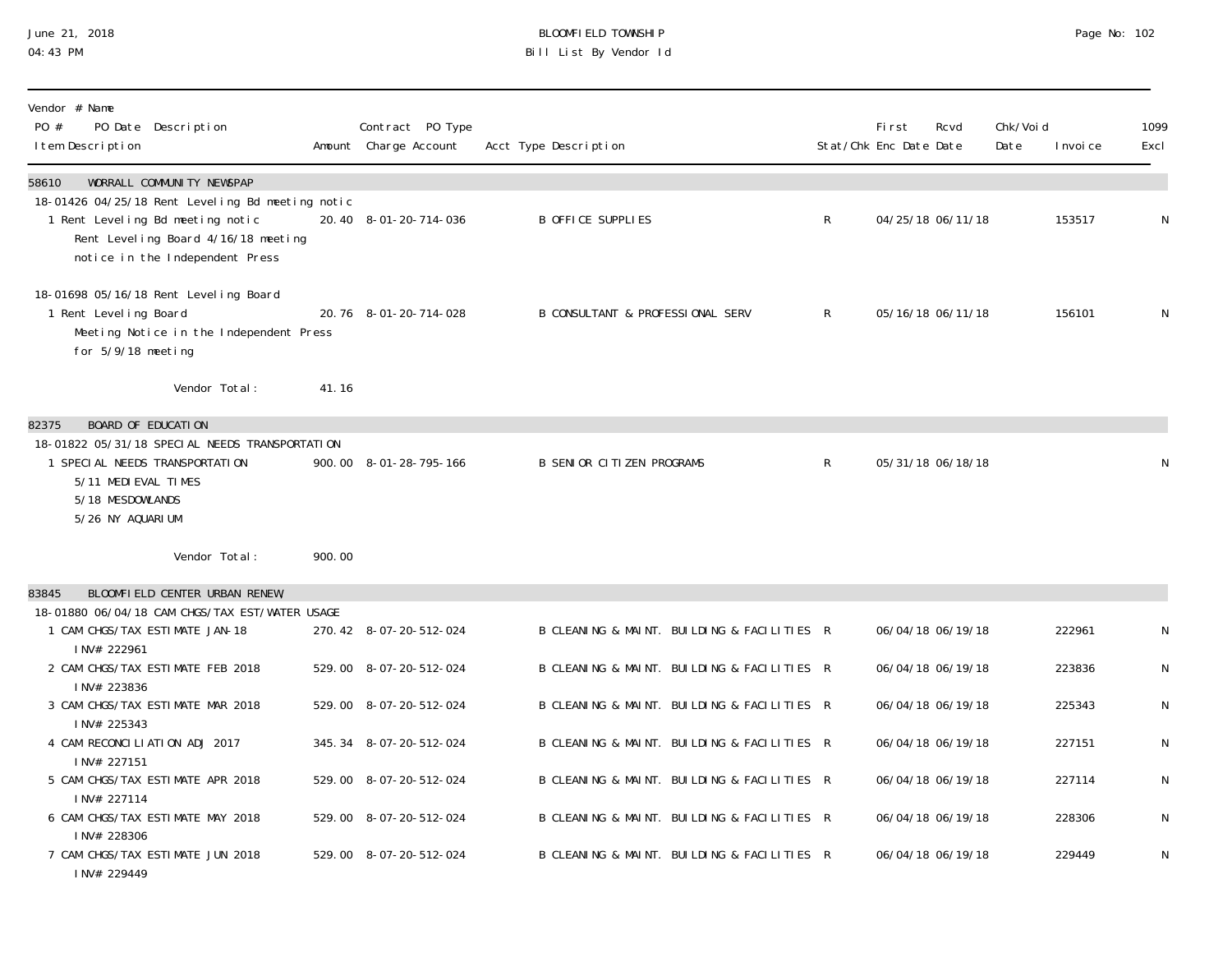# June 21, 2018 BLOOMFIELD TOWNSHIP Page No: 102 04:43 PM Bill List By Vendor Id

| Vendor # Name<br>PO #<br>PO Date Description<br>I tem Description                                                                                                                                     |        | Contract PO Type<br>Amount Charge Account | Acct Type Description                       |              | <b>First</b><br>Stat/Chk Enc Date Date | Rcvd              | Chk/Voi d<br>Date | I nvoi ce | 1099<br>Excl |
|-------------------------------------------------------------------------------------------------------------------------------------------------------------------------------------------------------|--------|-------------------------------------------|---------------------------------------------|--------------|----------------------------------------|-------------------|-------------------|-----------|--------------|
| WORRALL COMMUNITY NEWSPAP<br>58610<br>18-01426 04/25/18 Rent Leveling Bd meeting notic<br>1 Rent Leveling Bd meeting notic<br>Rent Level ing Board 4/16/18 meeting<br>notice in the Independent Press |        | 20.40 8-01-20-714-036                     | B OFFICE SUPPLIES                           | $\mathsf{R}$ |                                        | 04/25/18 06/11/18 |                   | 153517    | N            |
| 18-01698 05/16/18 Rent Level ing Board<br>1 Rent Leveling Board<br>Meeting Notice in the Independent Press<br>for 5/9/18 meeting                                                                      |        | 20.76 8-01-20-714-028                     | B CONSULTANT & PROFESSIONAL SERV            | R.           |                                        | 05/16/18 06/11/18 |                   | 156101    | N            |
| Vendor Total:                                                                                                                                                                                         | 41.16  |                                           |                                             |              |                                        |                   |                   |           |              |
| <b>BOARD OF EDUCATION</b><br>82375                                                                                                                                                                    |        |                                           |                                             |              |                                        |                   |                   |           |              |
| 18-01822 05/31/18 SPECIAL NEEDS TRANSPORTATION<br>1 SPECIAL NEEDS TRANSPORTATION<br>5/11 MEDI EVAL TIMES<br>5/18 MESDOWLANDS<br>5/26 NY AQUARIUM                                                      |        | 900.00 8-01-28-795-166                    | <b>B SENIOR CITIZEN PROGRAMS</b>            | $\mathsf{R}$ |                                        | 05/31/18 06/18/18 |                   |           | N            |
| Vendor Total:                                                                                                                                                                                         | 900.00 |                                           |                                             |              |                                        |                   |                   |           |              |
| BLOOMFIELD CENTER URBAN RENEW,<br>83845                                                                                                                                                               |        |                                           |                                             |              |                                        |                   |                   |           |              |
| 18-01880 06/04/18 CAM CHGS/TAX EST/WATER USAGE<br>1 CAM CHGS/TAX ESTIMATE JAN-18<br>INV# 222961                                                                                                       |        | 270.42 8-07-20-512-024                    | B CLEANING & MAINT. BUILDING & FACILITIES R |              |                                        | 06/04/18 06/19/18 |                   | 222961    | N            |
| 2 CAM CHGS/TAX ESTIMATE FEB 2018<br>INV# 223836                                                                                                                                                       |        | 529.00 8-07-20-512-024                    | B CLEANING & MAINT. BUILDING & FACILITIES R |              |                                        | 06/04/18 06/19/18 |                   | 223836    | N            |
| 3 CAM CHGS/TAX ESTIMATE MAR 2018<br>INV# 225343                                                                                                                                                       |        | 529.00 8-07-20-512-024                    | B CLEANING & MAINT. BUILDING & FACILITIES R |              |                                        | 06/04/18 06/19/18 |                   | 225343    | ${\sf N}$    |
| 4 CAM RECONCILIATION ADJ 2017<br>INV# 227151                                                                                                                                                          |        | 345.34 8-07-20-512-024                    | B CLEANING & MAINT. BUILDING & FACILITIES R |              |                                        | 06/04/18 06/19/18 |                   | 227151    | ${\sf N}$    |
| 5 CAM CHGS/TAX ESTIMATE APR 2018<br>INV# 227114                                                                                                                                                       |        | 529.00 8-07-20-512-024                    | B CLEANING & MAINT. BUILDING & FACILITIES R |              |                                        | 06/04/18 06/19/18 |                   | 227114    | N            |
| 6 CAM CHGS/TAX ESTIMATE MAY 2018<br>INV# 228306                                                                                                                                                       |        | 529.00 8-07-20-512-024                    | B CLEANING & MAINT. BUILDING & FACILITIES R |              |                                        | 06/04/18 06/19/18 |                   | 228306    | ${\sf N}$    |
| 7 CAM CHGS/TAX ESTIMATE JUN 2018<br>INV# 229449                                                                                                                                                       |        | 529.00 8-07-20-512-024                    | B CLEANING & MAINT. BUILDING & FACILITIES R |              |                                        | 06/04/18 06/19/18 |                   | 229449    | N            |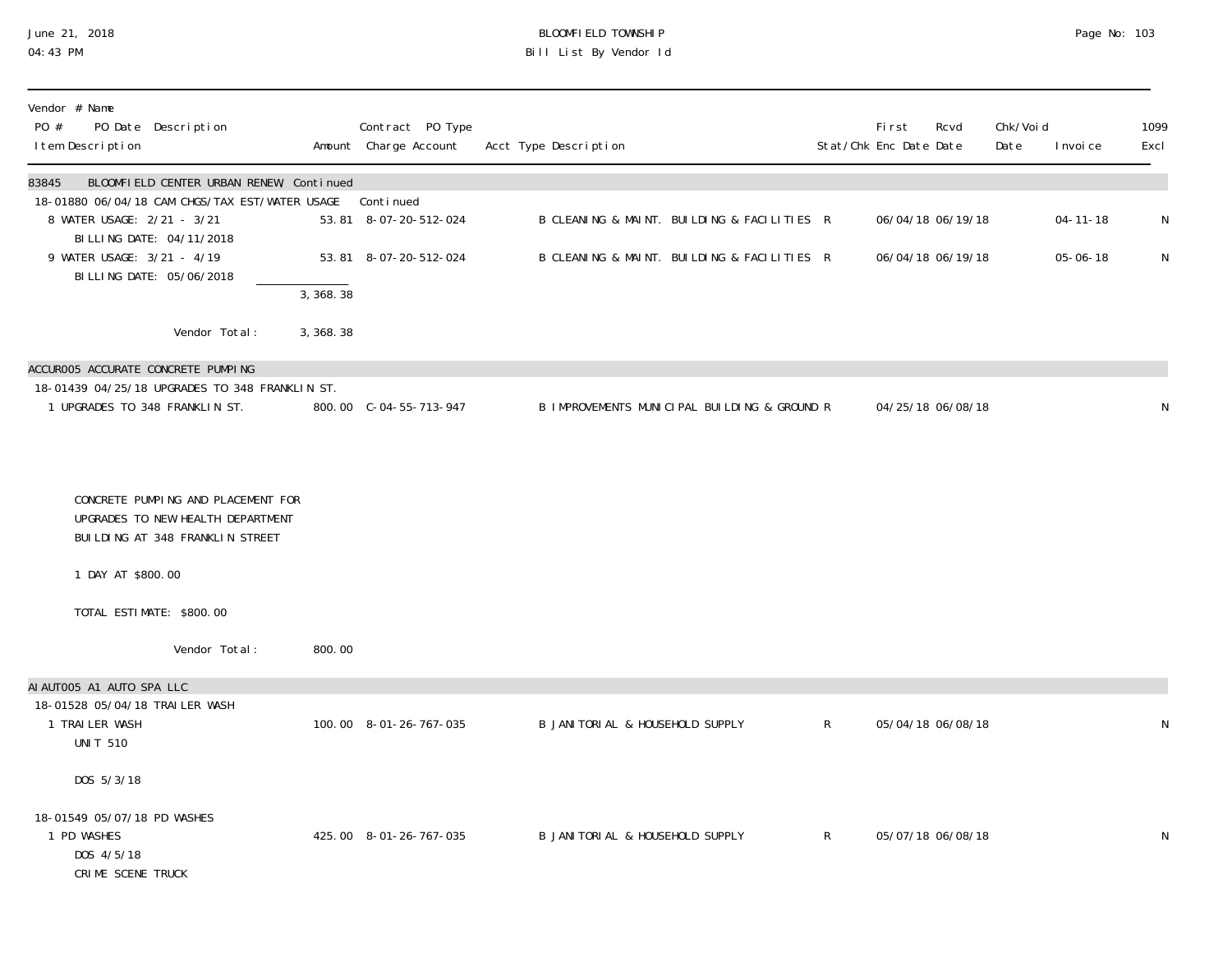#### June 21, 2018 BLOOMFIELD TOWNSHIP Page No: 103 04:43 PM Bill List By Vendor Id

| Vendor # Name                                                                                              |            |                                           |                                              |              |                                        |                   |                   |                |              |
|------------------------------------------------------------------------------------------------------------|------------|-------------------------------------------|----------------------------------------------|--------------|----------------------------------------|-------------------|-------------------|----------------|--------------|
| PO #<br>PO Date Description<br>I tem Description                                                           |            | Contract PO Type<br>Amount Charge Account | Acct Type Description                        |              | <b>First</b><br>Stat/Chk Enc Date Date | Rcvd              | Chk/Voi d<br>Date | I nvoi ce      | 1099<br>Excl |
| BLOOMFIELD CENTER URBAN RENEW, Continued<br>83845                                                          |            |                                           |                                              |              |                                        |                   |                   |                |              |
| 18-01880 06/04/18 CAM CHGS/TAX EST/WATER USAGE<br>8 WATER USAGE: 2/21 - 3/21<br>BI LLI NG DATE: 04/11/2018 |            | Continued<br>53.81 8-07-20-512-024        | B CLEANING & MAINT. BUILDING & FACILITIES R  |              |                                        | 06/04/18 06/19/18 |                   | $04 - 11 - 18$ | $\mathsf N$  |
| 9 WATER USAGE: 3/21 - 4/19<br>BILLING DATE: 05/06/2018                                                     |            | 53.81 8-07-20-512-024                     | B CLEANING & MAINT. BUILDING & FACILITIES R  |              |                                        | 06/04/18 06/19/18 |                   | $05 - 06 - 18$ | N            |
|                                                                                                            | 3,368.38   |                                           |                                              |              |                                        |                   |                   |                |              |
| Vendor Total:                                                                                              | 3, 368. 38 |                                           |                                              |              |                                        |                   |                   |                |              |
| ACCUROO5 ACCURATE CONCRETE PUMPING                                                                         |            |                                           |                                              |              |                                        |                   |                   |                |              |
| 18-01439 04/25/18 UPGRADES TO 348 FRANKLIN ST.<br>1 UPGRADES TO 348 FRANKLIN ST.                           |            | 800.00 C-04-55-713-947                    | B IMPROVEMENTS MUNICIPAL BUILDING & GROUND R |              |                                        | 04/25/18 06/08/18 |                   |                | N            |
|                                                                                                            |            |                                           |                                              |              |                                        |                   |                   |                |              |
| CONCRETE PUMPING AND PLACEMENT FOR<br>UPGRADES TO NEW HEALTH DEPARTMENT<br>BUILDING AT 348 FRANKLIN STREET |            |                                           |                                              |              |                                        |                   |                   |                |              |
| 1 DAY AT \$800.00                                                                                          |            |                                           |                                              |              |                                        |                   |                   |                |              |
| TOTAL ESTIMATE: \$800.00                                                                                   |            |                                           |                                              |              |                                        |                   |                   |                |              |
| Vendor Total:                                                                                              | 800.00     |                                           |                                              |              |                                        |                   |                   |                |              |
| AI AUTOO5 A1 AUTO SPA LLC                                                                                  |            |                                           |                                              |              |                                        |                   |                   |                |              |
| 18-01528 05/04/18 TRAILER WASH<br>1 TRAILER WASH<br><b>UNIT 510</b>                                        |            | 100.00 8-01-26-767-035                    | B JANITORIAL & HOUSEHOLD SUPPLY              | $\mathsf{R}$ |                                        | 05/04/18 06/08/18 |                   |                | N            |
| DOS 5/3/18                                                                                                 |            |                                           |                                              |              |                                        |                   |                   |                |              |
| 18-01549 05/07/18 PD WASHES<br>1 PD WASHES<br>DOS 4/5/18<br>CRIME SCENE TRUCK                              |            | 425.00 8-01-26-767-035                    | B JANI TORI AL & HOUSEHOLD SUPPLY            | $\mathsf{R}$ |                                        | 05/07/18 06/08/18 |                   |                | N            |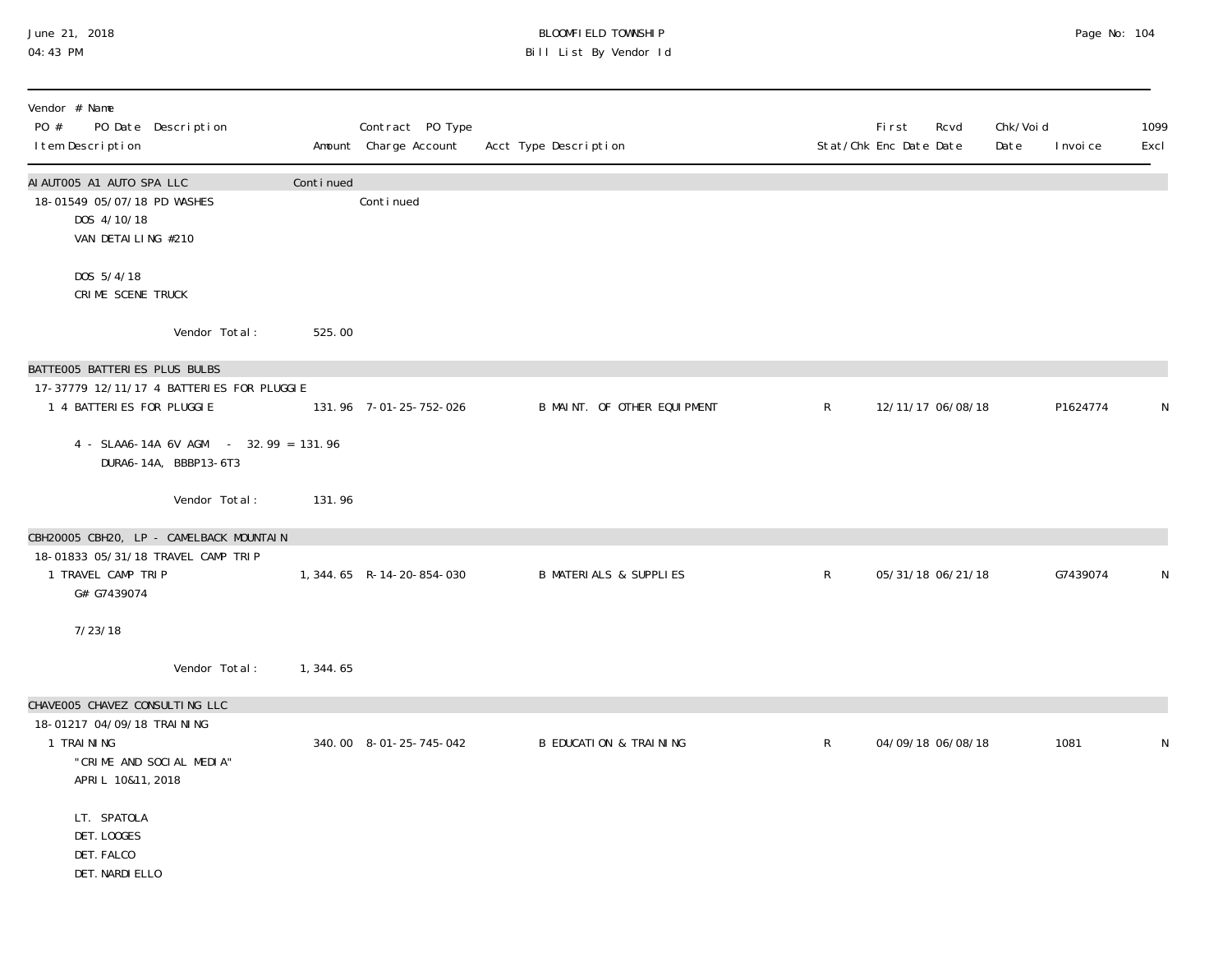#### June 21, 2018 BLOOMFIELD TOWNSHIP Page No: 104 04:43 PM Bill List By Vendor Id

| Vendor # Name<br>PO #<br>PO Date Description<br>I tem Description                                                           |           | Contract PO Type<br>Amount Charge Account | Acct Type Description             |              | <b>First</b><br>Rcvd<br>Stat/Chk Enc Date Date | Chk/Voi d<br>Date<br>I nvoi ce | 1099<br>Excl |
|-----------------------------------------------------------------------------------------------------------------------------|-----------|-------------------------------------------|-----------------------------------|--------------|------------------------------------------------|--------------------------------|--------------|
| AI AUTO05 A1 AUTO SPA LLC<br>18-01549 05/07/18 PD WASHES<br>DOS 4/10/18<br>VAN DETAILING #210                               | Continued | Continued                                 |                                   |              |                                                |                                |              |
| DOS 5/4/18<br>CRIME SCENE TRUCK                                                                                             |           |                                           |                                   |              |                                                |                                |              |
| Vendor Total:                                                                                                               | 525.00    |                                           |                                   |              |                                                |                                |              |
| BATTE005 BATTERIES PLUS BULBS<br>17-37779 12/11/17 4 BATTERIES FOR PLUGGIE<br>1 4 BATTERIES FOR PLUGGIE                     |           | 131.96 7-01-25-752-026                    | B MAINT. OF OTHER EQUIPMENT       | $\mathsf{R}$ | 12/11/17 06/08/18                              | P1624774                       | N            |
| 4 - SLAA6-14A 6V AGM - 32.99 = 131.96<br>DURA6-14A, BBBP13-6T3                                                              |           |                                           |                                   |              |                                                |                                |              |
| Vendor Total:                                                                                                               | 131.96    |                                           |                                   |              |                                                |                                |              |
| CBH20005 CBH20, LP - CAMELBACK MOUNTAIN<br>18-01833 05/31/18 TRAVEL CAMP TRIP<br>1 TRAVEL CAMP TRIP<br>G# G7439074          |           | 1, 344.65 R-14-20-854-030                 | <b>B MATERIALS &amp; SUPPLIES</b> | $\mathsf{R}$ | 05/31/18 06/21/18                              | G7439074                       | N            |
| 7/23/18                                                                                                                     |           |                                           |                                   |              |                                                |                                |              |
| Vendor Total:                                                                                                               | 1,344.65  |                                           |                                   |              |                                                |                                |              |
| CHAVEOO5 CHAVEZ CONSULTING LLC<br>18-01217 04/09/18 TRAINING<br>1 TRAINING<br>"CRIME AND SOCIAL MEDIA"<br>APRIL 10&11, 2018 |           | 340.00 8-01-25-745-042                    | <b>B EDUCATION &amp; TRAINING</b> | $\mathsf{R}$ | 04/09/18 06/08/18                              | 1081                           | N            |
| LT. SPATOLA<br>DET. LOOGES<br>DET. FALCO<br>DET. NARDI ELLO                                                                 |           |                                           |                                   |              |                                                |                                |              |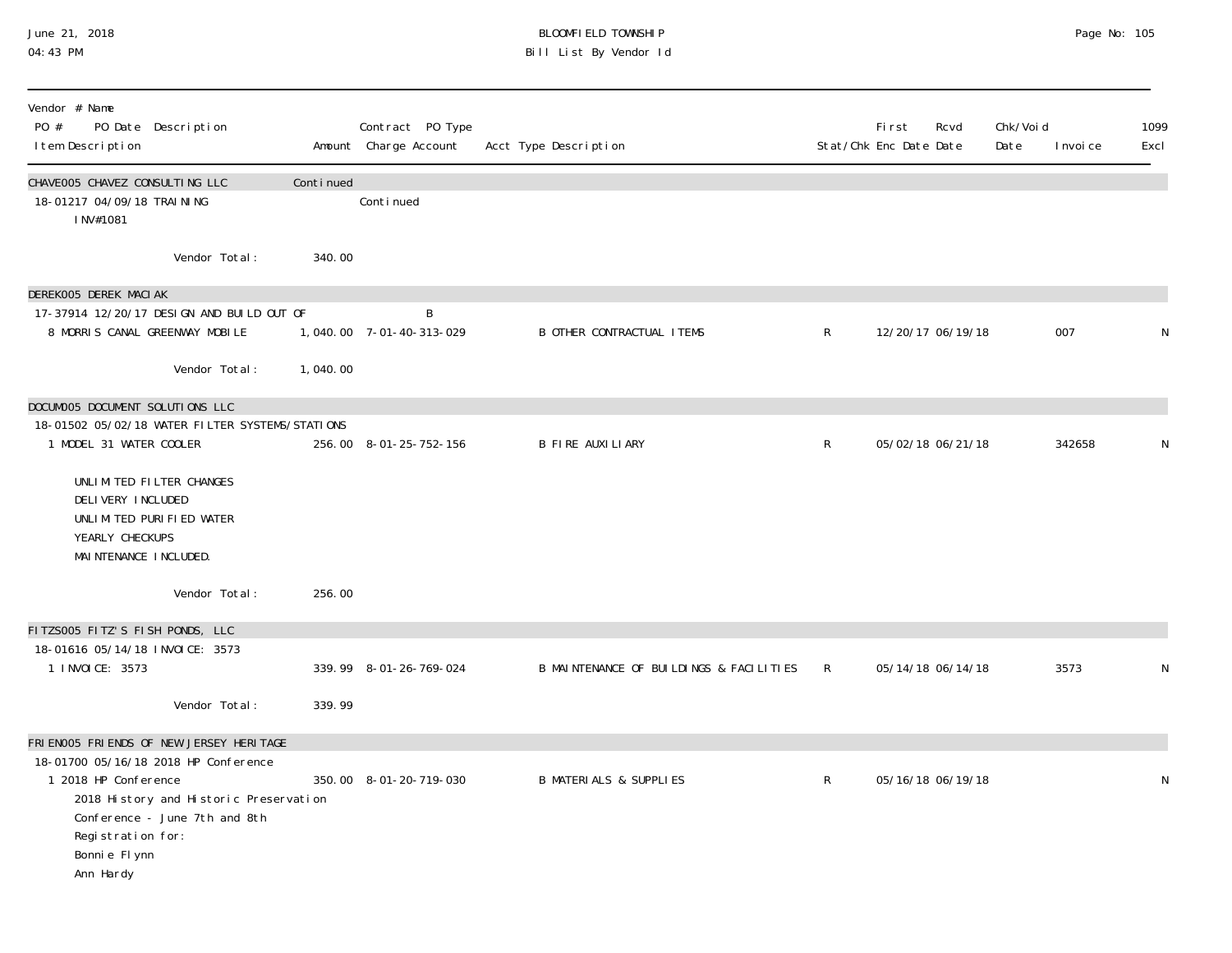### June 21, 2018 BLOOMFIELD TOWNSHIP Page No: 105 04:43 PM Bill List By Vendor Id

| Vendor # Name<br>PO Date Description<br>PO #                                                                                                                                                |           | Contract PO Type              |                                         |              | <b>First</b>           | Rcvd | Chk/Voi d |           | 1099 |
|---------------------------------------------------------------------------------------------------------------------------------------------------------------------------------------------|-----------|-------------------------------|-----------------------------------------|--------------|------------------------|------|-----------|-----------|------|
| I tem Description                                                                                                                                                                           |           | Amount Charge Account         | Acct Type Description                   |              | Stat/Chk Enc Date Date |      | Date      | I nvoi ce | Excl |
| CHAVEOO5 CHAVEZ CONSULTING LLC<br>18-01217 04/09/18 TRAI NI NG<br>INV#1081                                                                                                                  | Continued | Continued                     |                                         |              |                        |      |           |           |      |
| Vendor Total:                                                                                                                                                                               | 340.00    |                               |                                         |              |                        |      |           |           |      |
| DEREKOO5 DEREK MACIAK                                                                                                                                                                       |           |                               |                                         |              |                        |      |           |           |      |
| 17-37914 12/20/17 DESIGN AND BUILD OUT OF<br>8 MORRIS CANAL GREENWAY MOBILE                                                                                                                 |           | B<br>1,040.00 7-01-40-313-029 | <b>B OTHER CONTRACTUAL ITEMS</b>        | $\mathsf{R}$ | 12/20/17 06/19/18      |      |           | 007       | N    |
| Vendor Total:                                                                                                                                                                               | 1,040.00  |                               |                                         |              |                        |      |           |           |      |
| DOCUMOO5 DOCUMENT SOLUTIONS LLC                                                                                                                                                             |           |                               |                                         |              |                        |      |           |           |      |
| 18-01502 05/02/18 WATER FILTER SYSTEMS/STATIONS<br>1 MODEL 31 WATER COOLER                                                                                                                  |           | 256.00 8-01-25-752-156        | <b>B FIRE AUXILIARY</b>                 | $\mathsf{R}$ | 05/02/18 06/21/18      |      |           | 342658    | N    |
| UNLIMITED FILTER CHANGES<br>DELIVERY INCLUDED<br>UNLIMITED PURIFIED WATER<br>YEARLY CHECKUPS<br>MAI NTENANCE I NCLUDED.                                                                     |           |                               |                                         |              |                        |      |           |           |      |
| Vendor Total:                                                                                                                                                                               | 256.00    |                               |                                         |              |                        |      |           |           |      |
| FITZS005 FITZ'S FISH PONDS, LLC                                                                                                                                                             |           |                               |                                         |              |                        |      |           |           |      |
| 18-01616 05/14/18 INVOICE: 3573<br>1 INVOICE: 3573                                                                                                                                          |           | 339.99 8-01-26-769-024        | B MAINTENANCE OF BUILDINGS & FACILITIES | R            | 05/14/18 06/14/18      |      |           | 3573      | N    |
| Vendor Total:                                                                                                                                                                               | 339.99    |                               |                                         |              |                        |      |           |           |      |
| FRIENOO5 FRIENDS OF NEW JERSEY HERITAGE                                                                                                                                                     |           |                               |                                         |              |                        |      |           |           |      |
| 18-01700 05/16/18 2018 HP Conference<br>1 2018 HP Conference<br>2018 History and Historic Preservation<br>Conference - June 7th and 8th<br>Registration for:<br>Bonni e Fl ynn<br>Ann Hardy |           | 350.00 8-01-20-719-030        | <b>B MATERIALS &amp; SUPPLIES</b>       | $\mathsf{R}$ | 05/16/18 06/19/18      |      |           |           | N    |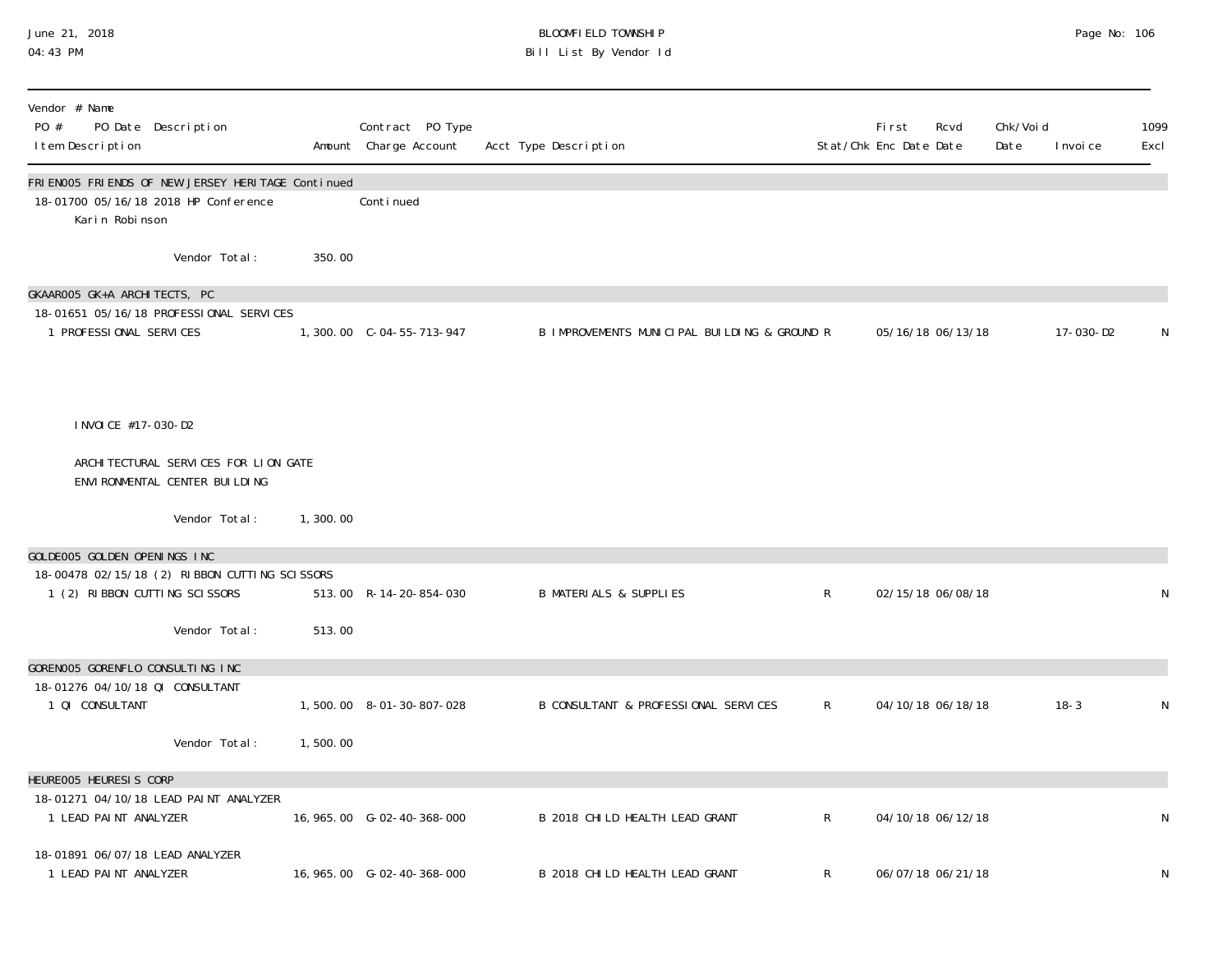#### June 21, 2018 BLOOMFIELD TOWNSHIP Page No: 106 04:43 PM Bill List By Vendor Id

| Vendor # Name<br>PO #<br>PO Date Description<br>I tem Description                                              |          | Contract PO Type<br>Amount Charge Account | Acct Type Description                        |              | First<br>Stat/Chk Enc Date Date | Rcvd              | Chk/Voi d<br>Date | I nvoi ce | 1099<br>Excl |
|----------------------------------------------------------------------------------------------------------------|----------|-------------------------------------------|----------------------------------------------|--------------|---------------------------------|-------------------|-------------------|-----------|--------------|
| FRIEN005 FRIENDS OF NEW JERSEY HERITAGE Continued<br>18-01700 05/16/18 2018 HP Conference<br>Karin Robinson    |          | Conti nued                                |                                              |              |                                 |                   |                   |           |              |
| Vendor Total:                                                                                                  | 350.00   |                                           |                                              |              |                                 |                   |                   |           |              |
| GKAAROO5 GK+A ARCHITECTS, PC<br>18-01651 05/16/18 PROFESSIONAL SERVICES<br>1 PROFESSIONAL SERVICES             |          |                                           | B IMPROVEMENTS MUNICIPAL BUILDING & GROUND R |              |                                 | 05/16/18 06/13/18 |                   | 17-030-D2 | N            |
| I NVOI CE #17-030-D2<br>ARCHI TECTURAL SERVICES FOR LION GATE                                                  |          |                                           |                                              |              |                                 |                   |                   |           |              |
| ENVIRONMENTAL CENTER BUILDING                                                                                  |          |                                           |                                              |              |                                 |                   |                   |           |              |
| Vendor Total:                                                                                                  | 1,300.00 |                                           |                                              |              |                                 |                   |                   |           |              |
| GOLDEOO5 GOLDEN OPENINGS INC<br>18-00478 02/15/18 (2) RIBBON CUTTING SCISSORS<br>1 (2) RIBBON CUTTING SCISSORS |          | 513.00 R-14-20-854-030                    | <b>B MATERIALS &amp; SUPPLIES</b>            | $\mathsf{R}$ |                                 | 02/15/18 06/08/18 |                   |           | N            |
| Vendor Total:                                                                                                  | 513.00   |                                           |                                              |              |                                 |                   |                   |           |              |
| GORENOO5 GORENFLO CONSULTING INC<br>18-01276 04/10/18 QI CONSULTANT                                            |          |                                           |                                              |              |                                 |                   |                   |           |              |
| 1 QI CONSULTANT<br>Vendor Total:                                                                               | 1,500.00 | 1,500.00 8-01-30-807-028                  | B CONSULTANT & PROFESSIONAL SERVICES         | $\mathsf{R}$ |                                 | 04/10/18 06/18/18 |                   | $18 - 3$  | N            |
| HEUREOO5 HEURESIS CORP<br>18-01271 04/10/18 LEAD PAINT ANALYZER<br>1 LEAD PAINT ANALYZER                       |          | 16, 965.00 G-02-40-368-000                | B 2018 CHILD HEALTH LEAD GRANT               | $\mathsf{R}$ |                                 | 04/10/18 06/12/18 |                   |           | N            |
| 18-01891 06/07/18 LEAD ANALYZER<br>1 LEAD PAINT ANALYZER                                                       |          | 16, 965.00 G-02-40-368-000                | B 2018 CHILD HEALTH LEAD GRANT               | R            |                                 | 06/07/18 06/21/18 |                   |           | N            |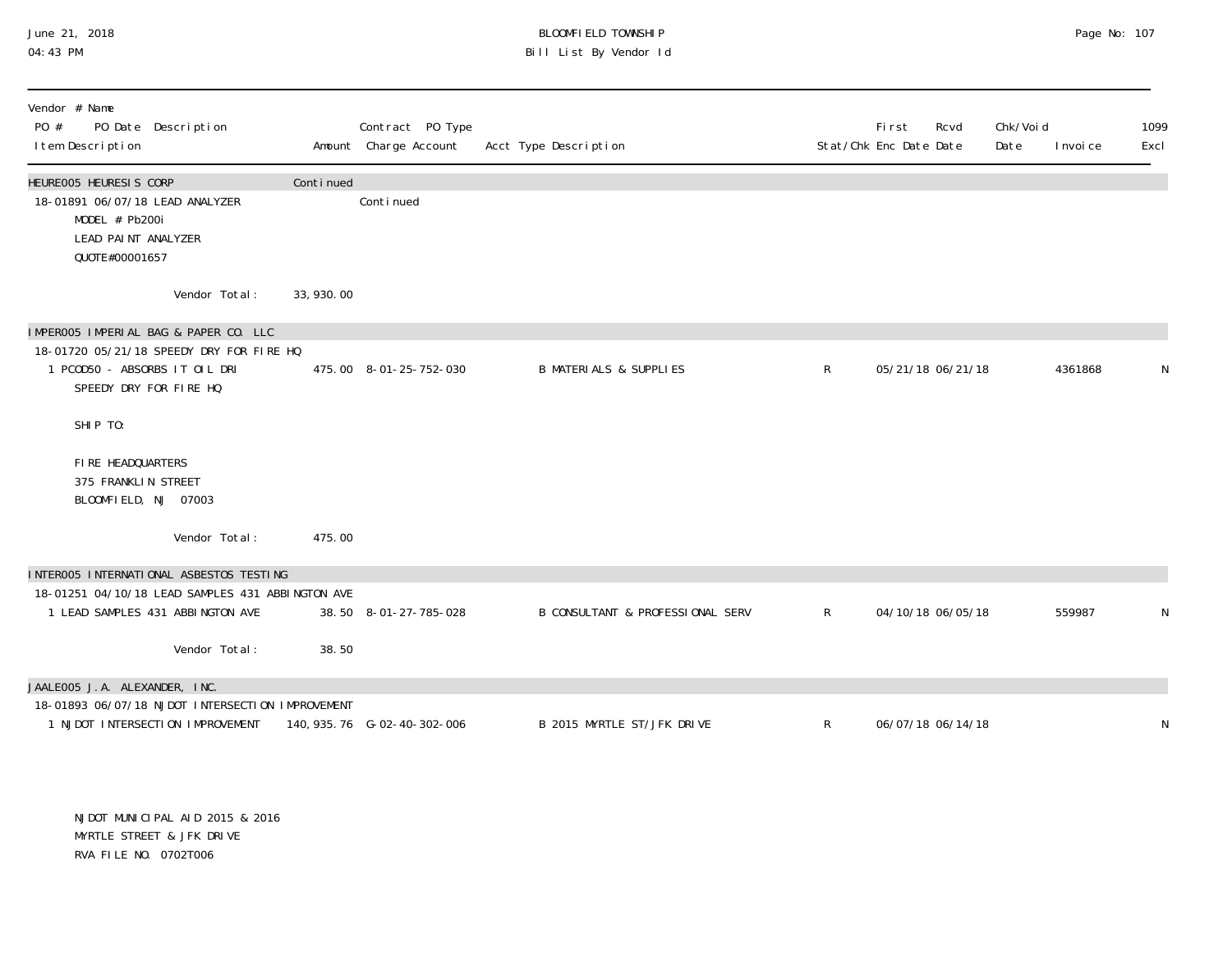# June 21, 2018 BLOOMFIELD TOWNSHIP Page No: 107 Bill List By Vendor Id

| Vendor # Name<br>PO #<br>PO Date Description<br>I tem Description                                                    |            | Contract PO Type<br>Amount Charge Account | Acct Type Description             |              | <b>First</b><br>Rcvd<br>Stat/Chk Enc Date Date | Chk/Voi d<br>Date<br>I nvoi ce | 1099<br>Excl |
|----------------------------------------------------------------------------------------------------------------------|------------|-------------------------------------------|-----------------------------------|--------------|------------------------------------------------|--------------------------------|--------------|
| HEUREOO5 HEURESIS CORP<br>18-01891 06/07/18 LEAD ANALYZER<br>MODEL # Pb200i<br>LEAD PAINT ANALYZER<br>QUOTE#00001657 | Continued  | Conti nued                                |                                   |              |                                                |                                |              |
| Vendor Total:                                                                                                        | 33, 930.00 |                                           |                                   |              |                                                |                                |              |
| IMPEROO5 IMPERIAL BAG & PAPER CO. LLC                                                                                |            |                                           |                                   |              |                                                |                                |              |
| 18-01720 05/21/18 SPEEDY DRY FOR FIRE HQ                                                                             |            |                                           |                                   |              |                                                |                                |              |
| 1 PCOD50 - ABSORBS IT OIL DRI<br>SPEEDY DRY FOR FIRE HQ                                                              |            | 475.00 8-01-25-752-030                    | <b>B MATERIALS &amp; SUPPLIES</b> | $\mathsf{R}$ | 05/21/18 06/21/18                              | 4361868                        | N            |
| SHIP TO:                                                                                                             |            |                                           |                                   |              |                                                |                                |              |
| FIRE HEADQUARTERS<br>375 FRANKLIN STREET<br>BLOOMFIELD, NJ 07003                                                     |            |                                           |                                   |              |                                                |                                |              |
| Vendor Total:                                                                                                        | 475.00     |                                           |                                   |              |                                                |                                |              |
| INTEROO5 INTERNATIONAL ASBESTOS TESTING                                                                              |            |                                           |                                   |              |                                                |                                |              |
| 18-01251 04/10/18 LEAD SAMPLES 431 ABBINGTON AVE                                                                     |            |                                           |                                   |              |                                                |                                |              |
| 1 LEAD SAMPLES 431 ABBINGTON AVE                                                                                     |            | 38.50 8-01-27-785-028                     | B CONSULTANT & PROFESSIONAL SERV  | $\mathsf{R}$ | 04/10/18 06/05/18                              | 559987                         | N            |
| Vendor Total:                                                                                                        | 38.50      |                                           |                                   |              |                                                |                                |              |
| JAALE005 J.A. ALEXANDER, INC.                                                                                        |            |                                           |                                   |              |                                                |                                |              |
| 18-01893 06/07/18 NJDOT INTERSECTION IMPROVEMENT                                                                     |            |                                           |                                   |              |                                                |                                |              |
| 1 NJDOT INTERSECTION IMPROVEMENT                                                                                     |            |                                           | B 2015 MYRTLE ST/JFK DRIVE        | $\mathsf{R}$ | 06/07/18 06/14/18                              |                                | N            |

NJDOT MUNICIPAL AID 2015 & 2016 MYRTLE STREET & JFK DRIVE RVA FILE NO. 0702T006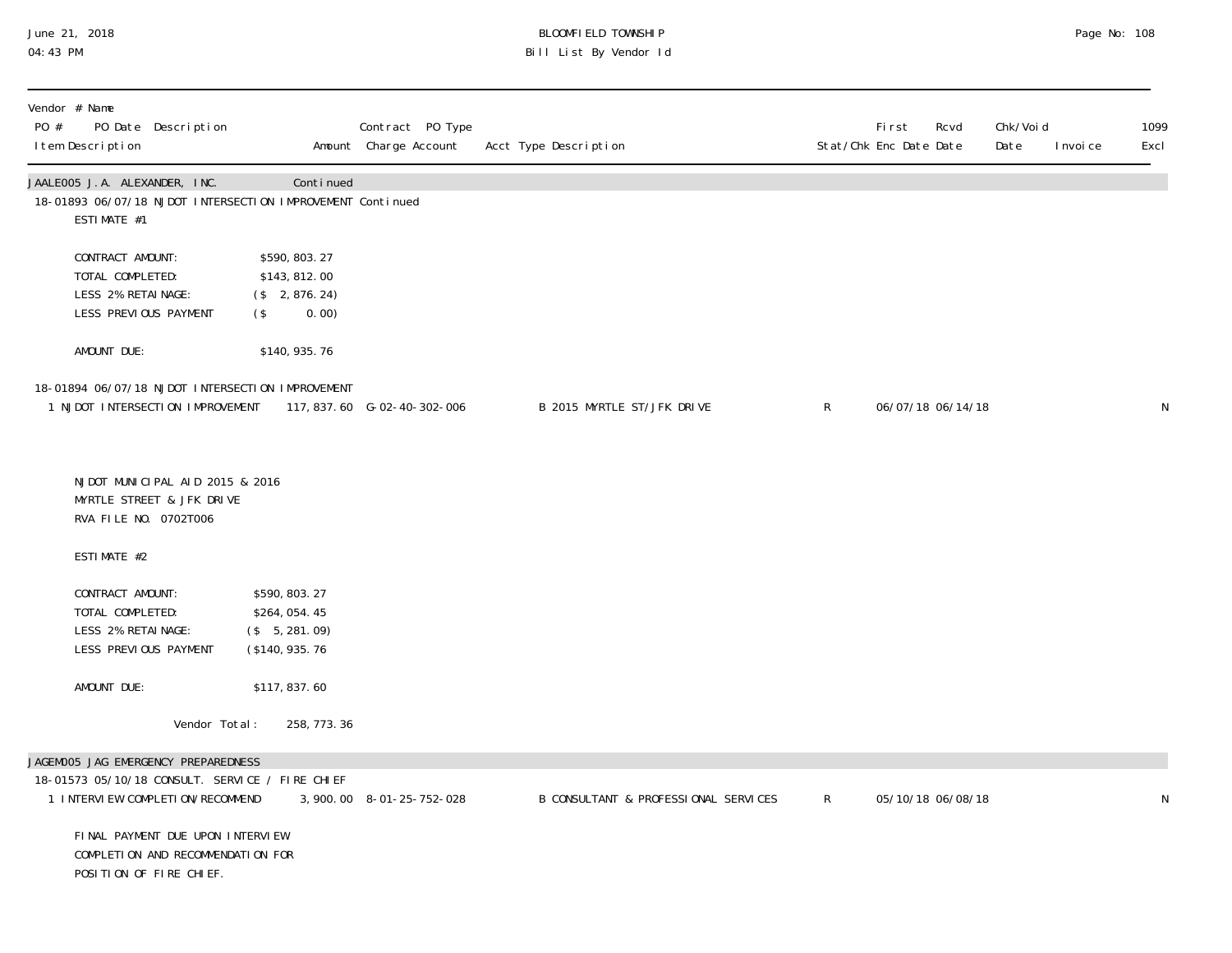# June 21, 2018 BLOOMFIELD TOWNSHIP Page No: 108 04:43 PM Bill List By Vendor Id

| PO # | Vendor # Name<br>I tem Description                         | PO Date Description                                                                              |                                                                         | Contract PO Type<br>Amount Charge Account | Acct Type Description                |              | First<br>Rcvd<br>Stat/Chk Enc Date Date | Chk/Voi d<br>Date | I nvoi ce | 1099<br>Excl |
|------|------------------------------------------------------------|--------------------------------------------------------------------------------------------------|-------------------------------------------------------------------------|-------------------------------------------|--------------------------------------|--------------|-----------------------------------------|-------------------|-----------|--------------|
|      | ESTIMATE #1                                                | JAALEOO5 J.A. ALEXANDER, INC.                                                                    | Continued<br>18-01893 06/07/18 NJDOT INTERSECTION IMPROVEMENT Continued |                                           |                                      |              |                                         |                   |           |              |
|      | CONTRACT AMOUNT:<br>TOTAL COMPLETED:<br>LESS 2% RETAINAGE: | LESS PREVIOUS PAYMENT                                                                            | \$590, 803. 27<br>\$143, 812.00<br>$($ \$ 2,876.24)<br>0.00)<br>$($ \$  |                                           |                                      |              |                                         |                   |           |              |
|      | AMOUNT DUE:                                                |                                                                                                  | \$140, 935. 76                                                          |                                           |                                      |              |                                         |                   |           |              |
|      |                                                            | 1 NJDOT INTERSECTION IMPROVEMENT                                                                 | 18-01894 06/07/18 NJDOT INTERSECTION IMPROVEMENT                        | 117, 837.60 G-02-40-302-006               | B 2015 MYRTLE ST/JFK DRIVE           | $\mathsf{R}$ | 06/07/18 06/14/18                       |                   |           | $\mathsf N$  |
|      |                                                            | NJDOT MUNICIPAL AID 2015 & 2016<br>MYRTLE STREET & JFK DRIVE<br>RVA FILE NO. 0702T006            |                                                                         |                                           |                                      |              |                                         |                   |           |              |
|      | ESTIMATE #2                                                |                                                                                                  |                                                                         |                                           |                                      |              |                                         |                   |           |              |
|      | CONTRACT AMOUNT:<br>TOTAL COMPLETED:<br>LESS 2% RETAINAGE: | LESS PREVIOUS PAYMENT                                                                            | \$590, 803.27<br>\$264,054.45<br>$($ \$ 5, 281.09)<br>(\$140, 935.76)   |                                           |                                      |              |                                         |                   |           |              |
|      | AMOUNT DUE:                                                |                                                                                                  | \$117,837.60                                                            |                                           |                                      |              |                                         |                   |           |              |
|      |                                                            | Vendor Total:                                                                                    | 258, 773. 36                                                            |                                           |                                      |              |                                         |                   |           |              |
|      |                                                            | JAGEMOO5 JAG EMERGENCY PREPAREDNESS<br>1 INTERVIEW COMPLETION/RECOMMEND                          | 18-01573 05/10/18 CONSULT. SERVICE / FIRE CHIEF                         | 3,900.00 8-01-25-752-028                  | B CONSULTANT & PROFESSIONAL SERVICES | $\mathsf{R}$ | 05/10/18 06/08/18                       |                   |           | N            |
|      |                                                            | FINAL PAYMENT DUE UPON INTERVIEW<br>COMPLETION AND RECOMMENDATION FOR<br>POSITION OF FIRE CHIEF. |                                                                         |                                           |                                      |              |                                         |                   |           |              |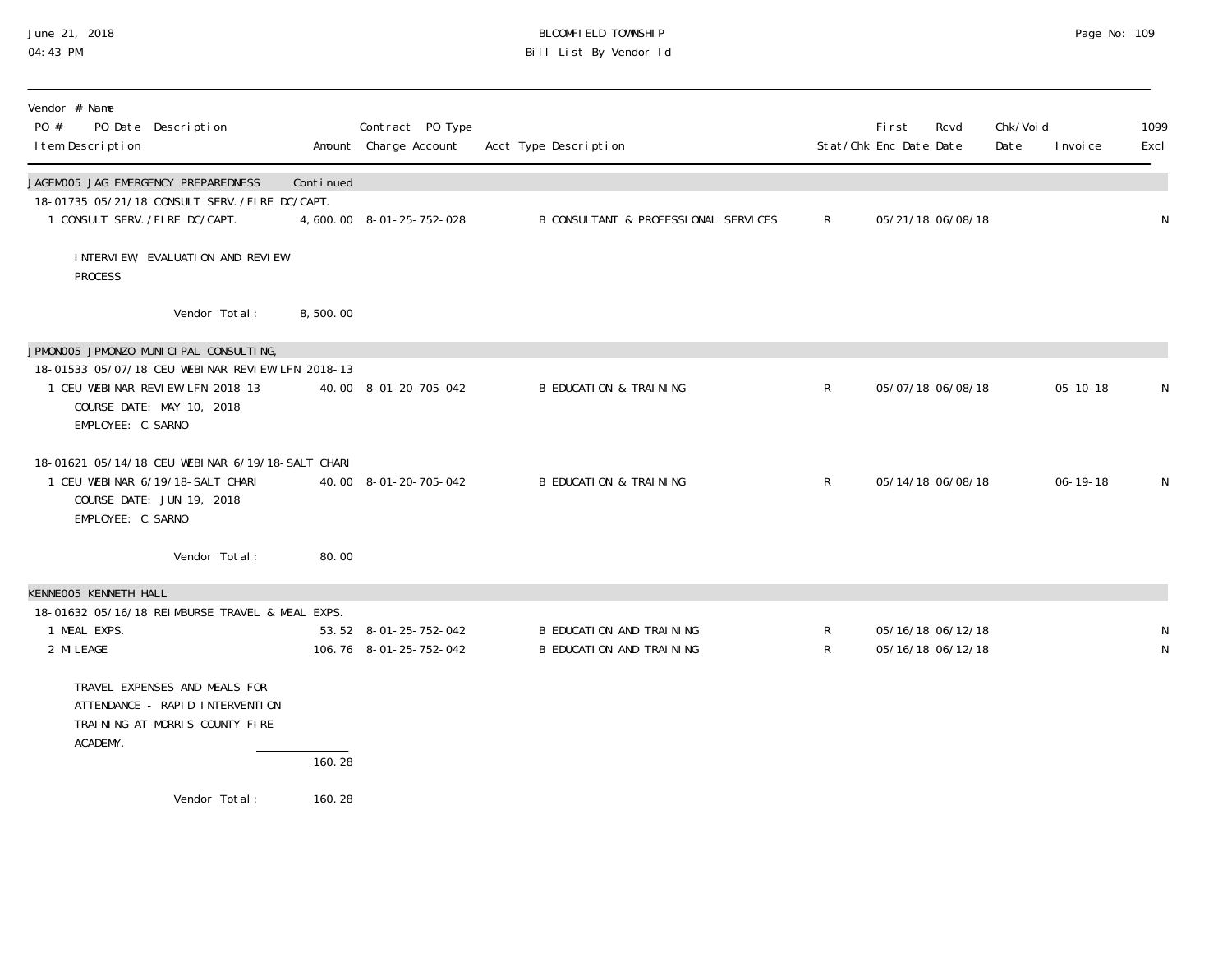### June 21, 2018 BLOOMFIELD TOWNSHIP Page No: 109 04:43 PM Bill List By Vendor Id

| Vendor # Name<br>PO #<br>I tem Description                            | PO Date Description                                                                                               |           | Contract PO Type<br>Amount Charge Account       | Acct Type Description                                |                              | Fi rst<br>Stat/Chk Enc Date Date | Rcvd                                   | Chk/Voi d<br>Date | I nvoi ce      | 1099<br>Excl      |
|-----------------------------------------------------------------------|-------------------------------------------------------------------------------------------------------------------|-----------|-------------------------------------------------|------------------------------------------------------|------------------------------|----------------------------------|----------------------------------------|-------------------|----------------|-------------------|
| JAGEMOO5 JAG EMERGENCY PREPAREDNESS<br>1 CONSULT SERV. /FIRE DC/CAPT. | 18-01735 05/21/18 CONSULT SERV. /FIRE DC/CAPT.                                                                    | Continued | 4,600.00 8-01-25-752-028                        | B CONSULTANT & PROFESSIONAL SERVICES                 | $\mathsf{R}$                 |                                  | 05/21/18 06/08/18                      |                   |                | $\mathsf N$       |
| <b>PROCESS</b>                                                        | INTERVIEW, EVALUATION AND REVIEW                                                                                  |           |                                                 |                                                      |                              |                                  |                                        |                   |                |                   |
|                                                                       | Vendor Total:                                                                                                     | 8,500.00  |                                                 |                                                      |                              |                                  |                                        |                   |                |                   |
|                                                                       | JPMONOO5 JPMONZO MUNICIPAL CONSULTING,                                                                            |           |                                                 |                                                      |                              |                                  |                                        |                   |                |                   |
| EMPLOYEE: C. SARNO                                                    | 18-01533 05/07/18 CEU WEBINAR REVIEW LFN 2018-13<br>1 CEU WEBINAR REVIEW LFN 2018-13<br>COURSE DATE: MAY 10, 2018 |           | 40.00 8-01-20-705-042                           | <b>B EDUCATION &amp; TRAINING</b>                    | $\mathsf{R}$                 |                                  | 05/07/18 06/08/18                      |                   | $05 - 10 - 18$ | N                 |
| EMPLOYEE: C. SARNO                                                    | 18-01621 05/14/18 CEU WEBINAR 6/19/18-SALT CHARI<br>1 CEU WEBINAR 6/19/18-SALT CHARI<br>COURSE DATE: JUN 19, 2018 |           | 40.00 8-01-20-705-042                           | <b>B EDUCATION &amp; TRAINING</b>                    | $\mathsf{R}$                 |                                  | 05/14/18 06/08/18                      |                   | $06 - 19 - 18$ | N                 |
|                                                                       | Vendor Total:                                                                                                     | 80.00     |                                                 |                                                      |                              |                                  |                                        |                   |                |                   |
| KENNEOO5 KENNETH HALL                                                 |                                                                                                                   |           |                                                 |                                                      |                              |                                  |                                        |                   |                |                   |
| 1 MEAL EXPS.<br>2 MI LEAGE                                            | 18-01632 05/16/18 REIMBURSE TRAVEL & MEAL EXPS.                                                                   |           | 53.52 8-01-25-752-042<br>106.76 8-01-25-752-042 | B EDUCATION AND TRAINING<br>B EDUCATION AND TRAINING | $\mathsf{R}$<br>$\mathsf{R}$ |                                  | 05/16/18 06/12/18<br>05/16/18 06/12/18 |                   |                | N<br>$\mathsf{N}$ |
| ACADEMY.                                                              | TRAVEL EXPENSES AND MEALS FOR<br>ATTENDANCE - RAPID INTERVENTION<br>TRAINING AT MORRIS COUNTY FIRE                |           |                                                 |                                                      |                              |                                  |                                        |                   |                |                   |
|                                                                       |                                                                                                                   | 160.28    |                                                 |                                                      |                              |                                  |                                        |                   |                |                   |
|                                                                       | Vendor Total:                                                                                                     | 160.28    |                                                 |                                                      |                              |                                  |                                        |                   |                |                   |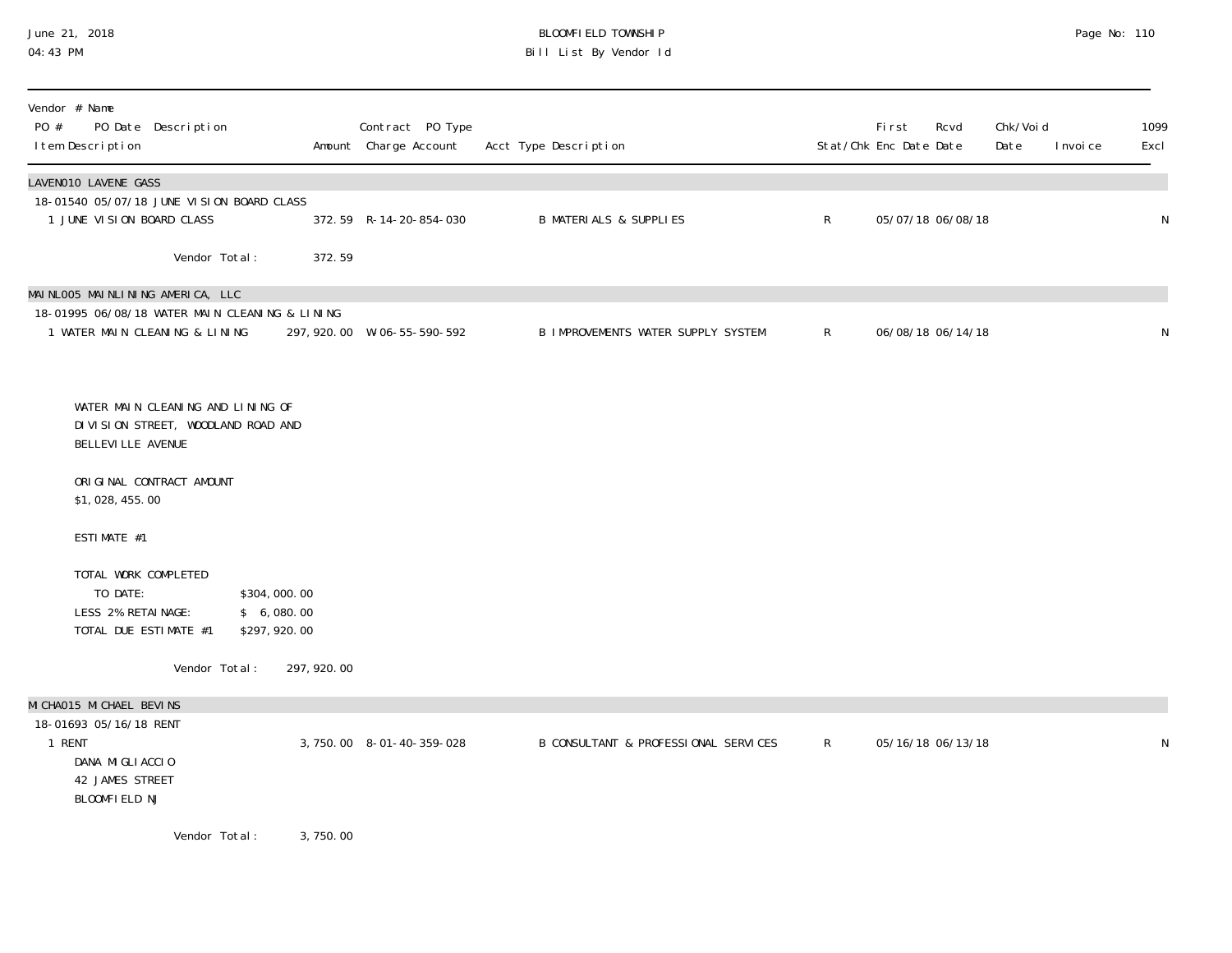### June 21, 2018 BLOOMFIELD TOWNSHIP Page No: 110 04:43 PM Bill List By Vendor Id

| Vendor # Name<br>PO #<br>PO Date Description<br>I tem Description                                                    |                                             | Contract PO Type<br>Amount Charge Account | Acct Type Description                |              | First<br>Rcvd<br>Stat/Chk Enc Date Date | Chk/Voi d<br>Date<br>I nvoi ce | 1099<br>Excl |
|----------------------------------------------------------------------------------------------------------------------|---------------------------------------------|-------------------------------------------|--------------------------------------|--------------|-----------------------------------------|--------------------------------|--------------|
| LAVENO10 LAVENE GASS<br>18-01540 05/07/18 JUNE VISION BOARD CLASS<br>1 JUNE VISION BOARD CLASS                       |                                             | 372.59 R-14-20-854-030                    | <b>B MATERIALS &amp; SUPPLIES</b>    | $\mathsf{R}$ | 05/07/18 06/08/18                       |                                | N            |
| Vendor Total:                                                                                                        | 372.59                                      |                                           |                                      |              |                                         |                                |              |
| MAINLOO5 MAINLINING AMERICA, LLC<br>18-01995 06/08/18 WATER MAIN CLEANING & LINING<br>1 WATER MAIN CLEANING & LINING |                                             | 297, 920.00 W-06-55-590-592               | B IMPROVEMENTS WATER SUPPLY SYSTEM   | $\mathsf{R}$ | 06/08/18 06/14/18                       |                                | N            |
| WATER MAIN CLEANING AND LINING OF<br>DIVISION STREET, WOODLAND ROAD AND<br>BELLEVI LLE AVENUE                        |                                             |                                           |                                      |              |                                         |                                |              |
| ORIGINAL CONTRACT AMOUNT<br>\$1,028,455.00                                                                           |                                             |                                           |                                      |              |                                         |                                |              |
| ESTIMATE #1                                                                                                          |                                             |                                           |                                      |              |                                         |                                |              |
| TOTAL WORK COMPLETED<br>TO DATE:<br>LESS 2% RETAINAGE:<br>TOTAL DUE ESTIMATE #1                                      | \$304,000.00<br>\$6,080.00<br>\$297, 920.00 |                                           |                                      |              |                                         |                                |              |
| Vendor Total:                                                                                                        | 297, 920.00                                 |                                           |                                      |              |                                         |                                |              |
| MI CHAO15 MI CHAEL BEVINS<br>18-01693 05/16/18 RENT<br>1 RENT<br>DANA MIGLIACCIO<br>42 JAMES STREET<br>BLOOMFIELD NJ |                                             | 3, 750.00 8-01-40-359-028                 | B CONSULTANT & PROFESSIONAL SERVICES | $\mathsf{R}$ | 05/16/18 06/13/18                       |                                | ${\sf N}$    |
| Vendor Total:                                                                                                        | 3,750.00                                    |                                           |                                      |              |                                         |                                |              |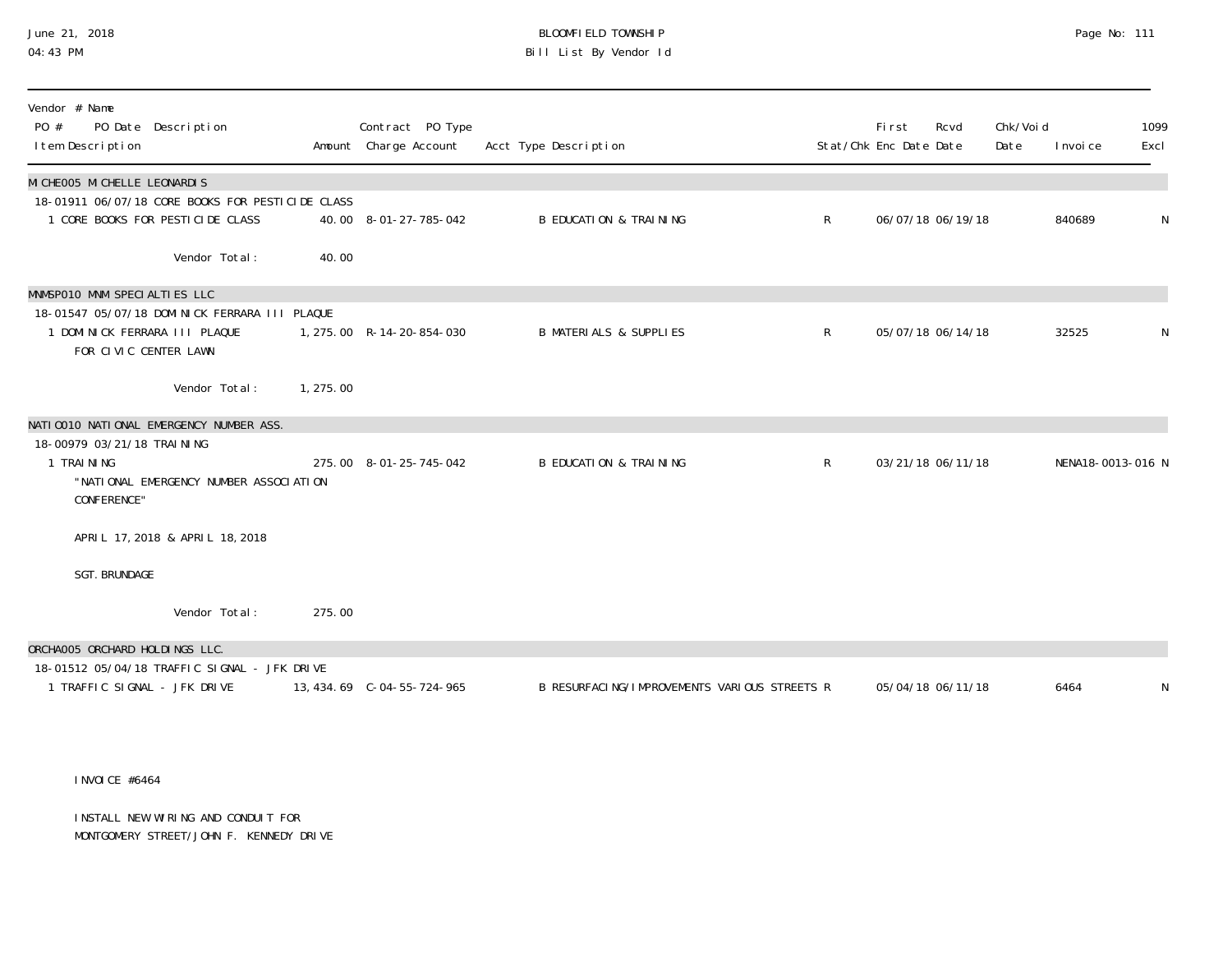# June 21, 2018 BLOOMFIELD TOWNSHIP Page No: 111 Bill List By Vendor Id

| Vendor # Name<br>PO #<br>PO Date Description<br>I tem Description |           | Contract PO Type<br>Amount Charge Account | Acct Type Description                        |              | <b>First</b><br>Stat/Chk Enc Date Date | Rcvd              | Chk/Voi d<br>Date | I nvoi ce         | 1099<br>Excl |
|-------------------------------------------------------------------|-----------|-------------------------------------------|----------------------------------------------|--------------|----------------------------------------|-------------------|-------------------|-------------------|--------------|
| MI CHEOO5 MI CHELLE LEONARDIS                                     |           |                                           |                                              |              |                                        |                   |                   |                   |              |
| 18-01911 06/07/18 CORE BOOKS FOR PESTICIDE CLASS                  |           |                                           |                                              |              |                                        |                   |                   |                   |              |
| 1 CORE BOOKS FOR PESTICIDE CLASS                                  |           | 40.00 8-01-27-785-042                     | <b>B EDUCATION &amp; TRAINING</b>            | $\mathsf{R}$ |                                        | 06/07/18 06/19/18 |                   | 840689            | N            |
| Vendor Total:                                                     | 40.00     |                                           |                                              |              |                                        |                   |                   |                   |              |
| MNMSP010 MNM SPECIALTIES LLC                                      |           |                                           |                                              |              |                                        |                   |                   |                   |              |
| 18-01547 05/07/18 DOMINICK FERRARA III PLAQUE                     |           |                                           |                                              |              |                                        |                   |                   |                   |              |
| DOMINICK FERRARA III PLAQUE<br>FOR CIVIC CENTER LAWN              |           | 1, 275.00 R-14-20-854-030                 | <b>B MATERIALS &amp; SUPPLIES</b>            | R            |                                        | 05/07/18 06/14/18 |                   | 32525             | N            |
|                                                                   |           |                                           |                                              |              |                                        |                   |                   |                   |              |
| Vendor Total:                                                     | 1, 275.00 |                                           |                                              |              |                                        |                   |                   |                   |              |
| NATIO010 NATIONAL EMERGENCY NUMBER ASS.                           |           |                                           |                                              |              |                                        |                   |                   |                   |              |
| 18-00979 03/21/18 TRAI NI NG                                      |           |                                           |                                              |              |                                        |                   |                   |                   |              |
| 1 TRAINING                                                        |           | 275.00 8-01-25-745-042                    | <b>B EDUCATION &amp; TRAINING</b>            | $\mathsf{R}$ |                                        | 03/21/18 06/11/18 |                   | NENA18-0013-016 N |              |
| "NATIONAL EMERGENCY NUMBER ASSOCIATION<br>CONFERENCE"             |           |                                           |                                              |              |                                        |                   |                   |                   |              |
|                                                                   |           |                                           |                                              |              |                                        |                   |                   |                   |              |
| APRIL 17, 2018 & APRIL 18, 2018                                   |           |                                           |                                              |              |                                        |                   |                   |                   |              |
| <b>SGT. BRUNDAGE</b>                                              |           |                                           |                                              |              |                                        |                   |                   |                   |              |
| Vendor Total:                                                     | 275.00    |                                           |                                              |              |                                        |                   |                   |                   |              |
| ORCHAOO5 ORCHARD HOLDINGS LLC.                                    |           |                                           |                                              |              |                                        |                   |                   |                   |              |
| 18-01512 05/04/18 TRAFFIC SIGNAL - JFK DRIVE                      |           |                                           |                                              |              |                                        |                   |                   |                   |              |
| 1 TRAFFIC SIGNAL - JFK DRIVE                                      |           |                                           | B RESURFACING/IMPROVEMENTS VARIOUS STREETS R |              |                                        | 05/04/18 06/11/18 |                   | 6464              | N            |

#### INVOICE #6464

INSTALL NEW WIRING AND CONDUIT FOR MONTGOMERY STREET/JOHN F. KENNEDY DRIVE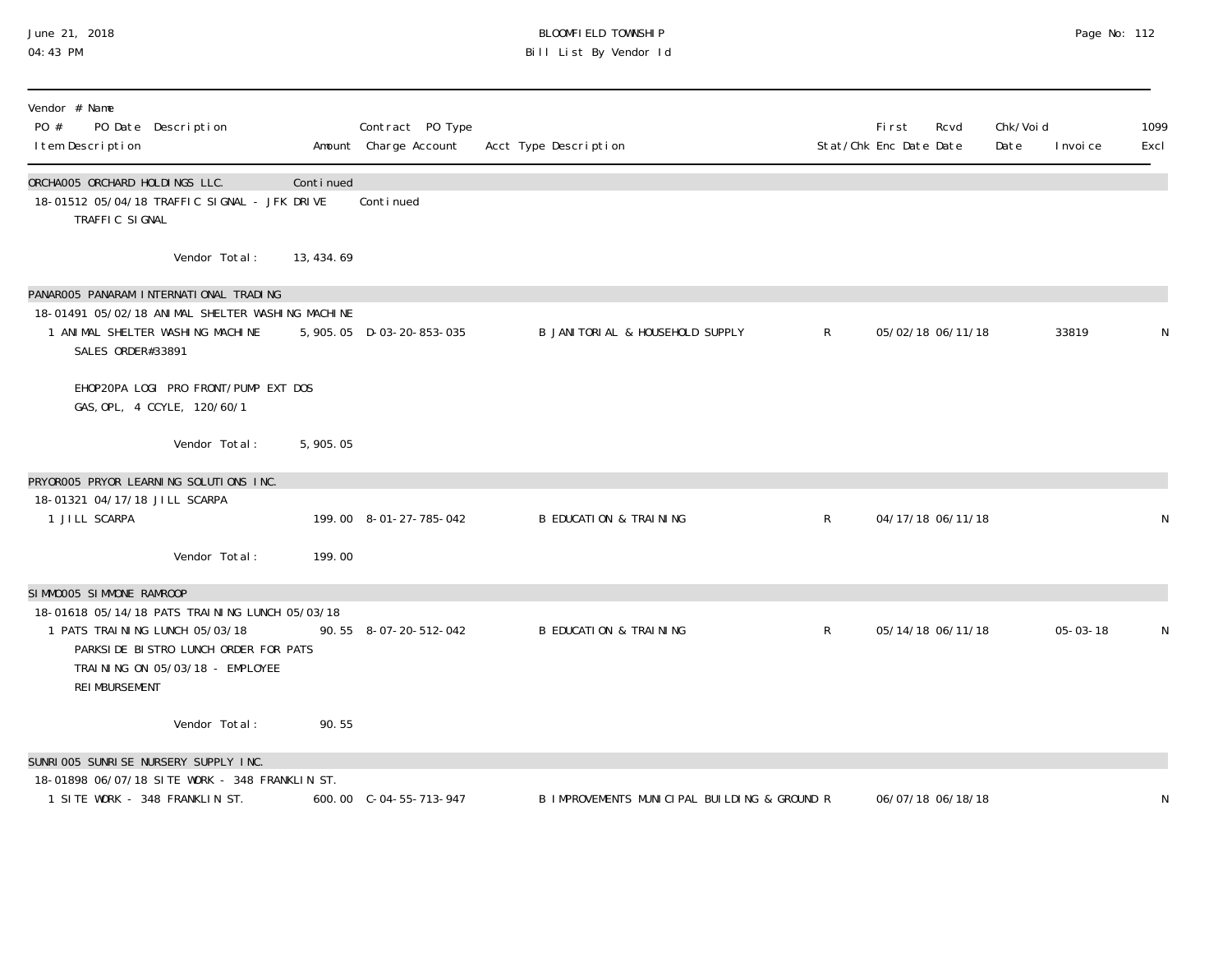### June 21, 2018 BLOOMFIELD TOWNSHIP Page No: 112 04:43 PM Bill List By Vendor Id

| Vendor # Name<br>PO #<br>PO Date Description<br>I tem Description                                                                                                             |            | Contract PO Type<br>Amount Charge Account | Acct Type Description                        |              | <b>First</b><br>Stat/Chk Enc Date Date | Rcvd | Chk/Voi d<br>Date | I nvoi ce      | 1099<br>Excl |
|-------------------------------------------------------------------------------------------------------------------------------------------------------------------------------|------------|-------------------------------------------|----------------------------------------------|--------------|----------------------------------------|------|-------------------|----------------|--------------|
| ORCHAOO5 ORCHARD HOLDINGS LLC.<br>18-01512 05/04/18 TRAFFIC SIGNAL - JFK DRIVE<br>TRAFFIC SIGNAL                                                                              | Continued  | Conti nued                                |                                              |              |                                        |      |                   |                |              |
| Vendor Total:                                                                                                                                                                 | 13, 434.69 |                                           |                                              |              |                                        |      |                   |                |              |
| PANAROO5 PANARAM INTERNATIONAL TRADING                                                                                                                                        |            |                                           |                                              |              |                                        |      |                   |                |              |
| 18-01491 05/02/18 ANIMAL SHELTER WASHING MACHINE<br>1 ANIMAL SHELTER WASHING MACHINE<br>SALES ORDER#33891                                                                     |            | 5, 905. 05 D-03-20-853-035                | B JANI TORI AL & HOUSEHOLD SUPPLY            | $\mathsf{R}$ | 05/02/18 06/11/18                      |      |                   | 33819          |              |
| EHOP2OPA LOGI PRO FRONT/PUMP EXT DOS<br>GAS, OPL, 4 CCYLE, 120/60/1                                                                                                           |            |                                           |                                              |              |                                        |      |                   |                |              |
| Vendor Total:                                                                                                                                                                 | 5,905.05   |                                           |                                              |              |                                        |      |                   |                |              |
| PRYOROO5 PRYOR LEARNING SOLUTIONS INC.                                                                                                                                        |            |                                           |                                              |              |                                        |      |                   |                |              |
| 18-01321 04/17/18 JILL SCARPA<br>1 JILL SCARPA                                                                                                                                |            | 199.00 8-01-27-785-042                    | <b>B EDUCATION &amp; TRAINING</b>            | $\mathsf{R}$ | 04/17/18 06/11/18                      |      |                   |                |              |
| Vendor Total:                                                                                                                                                                 | 199.00     |                                           |                                              |              |                                        |      |                   |                |              |
| SIMMOOO5 SIMMONE RAMROOP                                                                                                                                                      |            |                                           |                                              |              |                                        |      |                   |                |              |
| 18-01618 05/14/18 PATS TRAINING LUNCH 05/03/18<br>1 PATS TRAINING LUNCH 05/03/18<br>PARKSIDE BISTRO LUNCH ORDER FOR PATS<br>TRAINING ON 05/03/18 - EMPLOYEE<br>REI MBURSEMENT |            | 90.55 8-07-20-512-042                     | <b>B EDUCATION &amp; TRAINING</b>            | $\mathsf{R}$ | 05/14/18 06/11/18                      |      |                   | $05 - 03 - 18$ | N            |
| Vendor Total:                                                                                                                                                                 | 90.55      |                                           |                                              |              |                                        |      |                   |                |              |
| SUNRI 005 SUNRI SE NURSERY SUPPLY INC.                                                                                                                                        |            |                                           |                                              |              |                                        |      |                   |                |              |
| 18-01898 06/07/18 SITE WORK - 348 FRANKLIN ST.<br>1 SITE WORK - 348 FRANKLIN ST.                                                                                              |            | 600.00 C-04-55-713-947                    | B IMPROVEMENTS MUNICIPAL BUILDING & GROUND R |              | 06/07/18 06/18/18                      |      |                   |                | N            |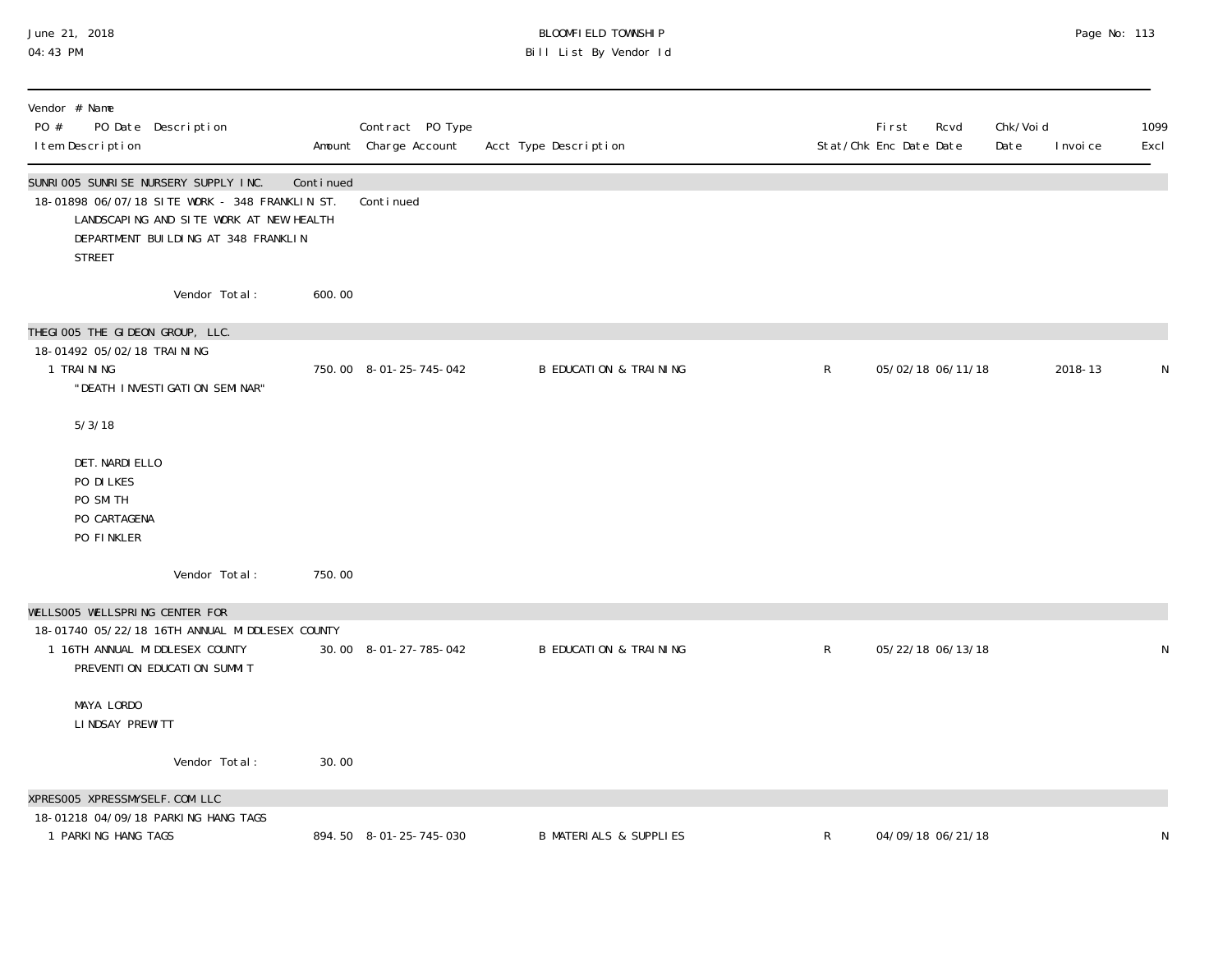### June 21, 2018 BLOOMFIELD TOWNSHIP Page No: 113 04:43 PM Bill List By Vendor Id

| Vendor # Name<br>PO #<br>PO Date Description<br>I tem Description                                                                                                                           |                         | Contract PO Type<br>Amount Charge Account | Acct Type Description             |   | First<br>Stat/Chk Enc Date Date | Rcvd              | Chk/Voi d<br>Date | I nvoi ce | 1099<br>Excl |
|---------------------------------------------------------------------------------------------------------------------------------------------------------------------------------------------|-------------------------|-------------------------------------------|-----------------------------------|---|---------------------------------|-------------------|-------------------|-----------|--------------|
| SUNRI 005 SUNRI SE NURSERY SUPPLY INC.<br>18-01898 06/07/18 SITE WORK - 348 FRANKLIN ST.<br>LANDSCAPING AND SITE WORK AT NEW HEALTH<br>DEPARTMENT BUILDING AT 348 FRANKLIN<br><b>STREET</b> | Continued               | Conti nued                                |                                   |   |                                 |                   |                   |           |              |
|                                                                                                                                                                                             | Vendor Total:<br>600.00 |                                           |                                   |   |                                 |                   |                   |           |              |
| THEGIOO5 THE GIDEON GROUP, LLC.<br>18-01492 05/02/18 TRAINING<br>1 TRAINING<br>"DEATH INVESTIGATION SEMINAR"                                                                                |                         | 750.00 8-01-25-745-042                    | <b>B EDUCATION &amp; TRAINING</b> | R |                                 | 05/02/18 06/11/18 |                   | 2018-13   |              |
| 5/3/18                                                                                                                                                                                      |                         |                                           |                                   |   |                                 |                   |                   |           |              |
| DET. NARDI ELLO<br>PO DI LKES<br>PO SMITH<br>PO CARTAGENA<br>PO FINKLER                                                                                                                     |                         |                                           |                                   |   |                                 |                   |                   |           |              |
|                                                                                                                                                                                             | Vendor Total:<br>750.00 |                                           |                                   |   |                                 |                   |                   |           |              |
| WELLSOO5 WELLSPRING CENTER FOR<br>18-01740 05/22/18 16TH ANNUAL MIDDLESEX COUNTY<br>1 16TH ANNUAL MIDDLESEX COUNTY<br>PREVENTI ON EDUCATI ON SUMMIT                                         |                         | 30.00 8-01-27-785-042                     | <b>B EDUCATION &amp; TRAINING</b> | R |                                 | 05/22/18 06/13/18 |                   |           |              |
| MAYA LORDO<br>LINDSAY PREWITT                                                                                                                                                               |                         |                                           |                                   |   |                                 |                   |                   |           |              |
|                                                                                                                                                                                             | Vendor Total:<br>30.00  |                                           |                                   |   |                                 |                   |                   |           |              |
| XPRESOO5 XPRESSMYSELF.COM LLC<br>18-01218 04/09/18 PARKING HANG TAGS                                                                                                                        |                         |                                           |                                   |   |                                 |                   |                   |           |              |
| 1 PARKING HANG TAGS                                                                                                                                                                         |                         | 894.50 8-01-25-745-030                    | <b>B MATERIALS &amp; SUPPLIES</b> | R |                                 | 04/09/18 06/21/18 |                   |           | N            |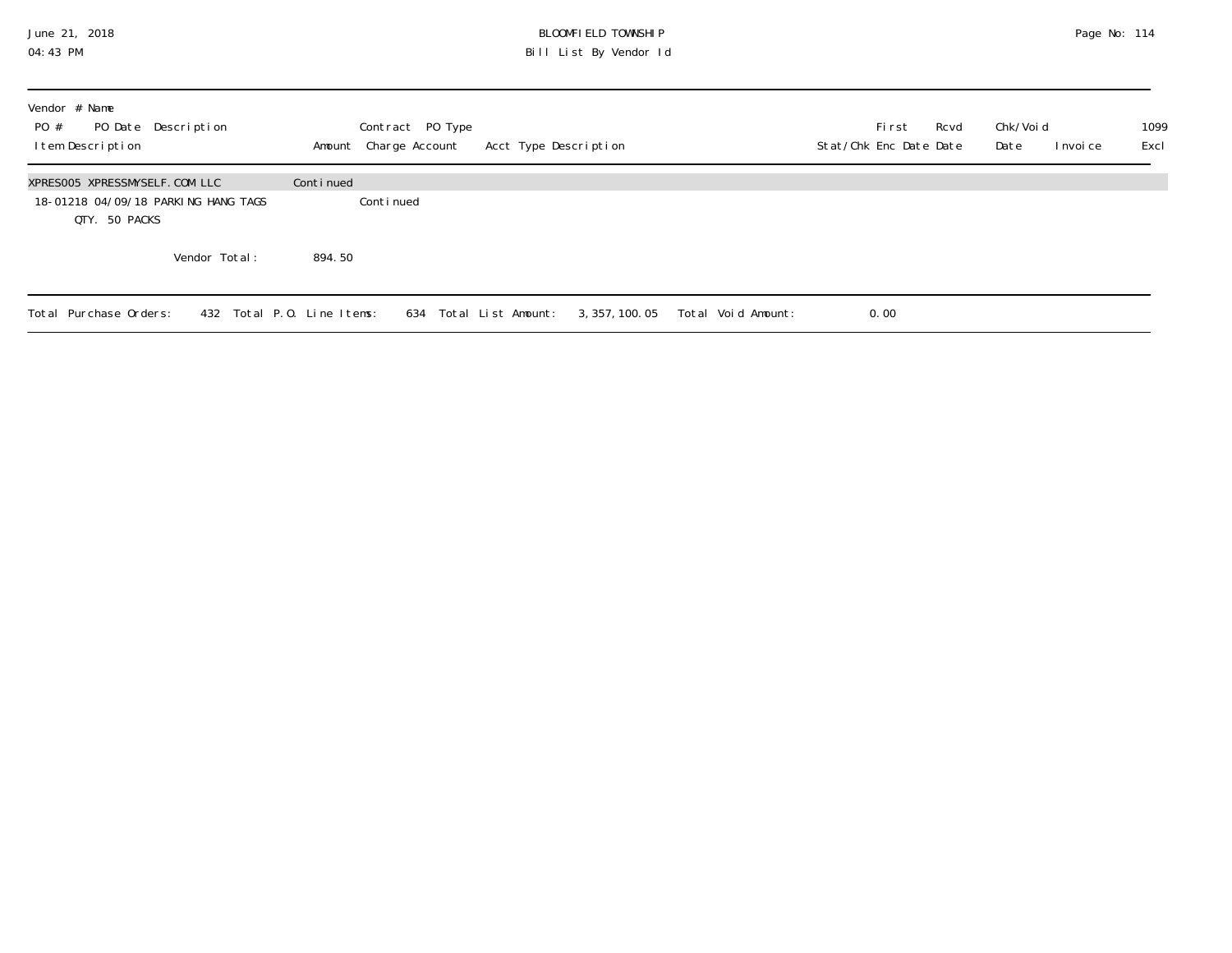### June 21, 2018 BLOOMFIELD TOWNSHIP Page No: 114 04:43 PM Bill List By Vendor Id

| Vendor # Name<br>PO Date Description<br>PO #<br>Item Description                      | Contract PO Type<br>Amount Charge Account | Acct Type Description               | Rcvd<br>Fi rst<br>Stat/Chk Enc Date Date | 1099<br>Chk/Voi d<br>Excl<br>Date<br>I nvoi ce |
|---------------------------------------------------------------------------------------|-------------------------------------------|-------------------------------------|------------------------------------------|------------------------------------------------|
| XPRESOO5 XPRESSMYSELF.COM LLC<br>18-01218 04/09/18 PARKING HANG TAGS<br>QTY. 50 PACKS | Continued<br>Continued                    |                                     |                                          |                                                |
| Vendor Total:                                                                         | 894.50                                    |                                     |                                          |                                                |
| Total Purchase Orders:                                                                | 432 Total P.O. Line Items:                | 634 Total List Amount: 3,357,100.05 | Total Void Amount:<br>0.00               |                                                |